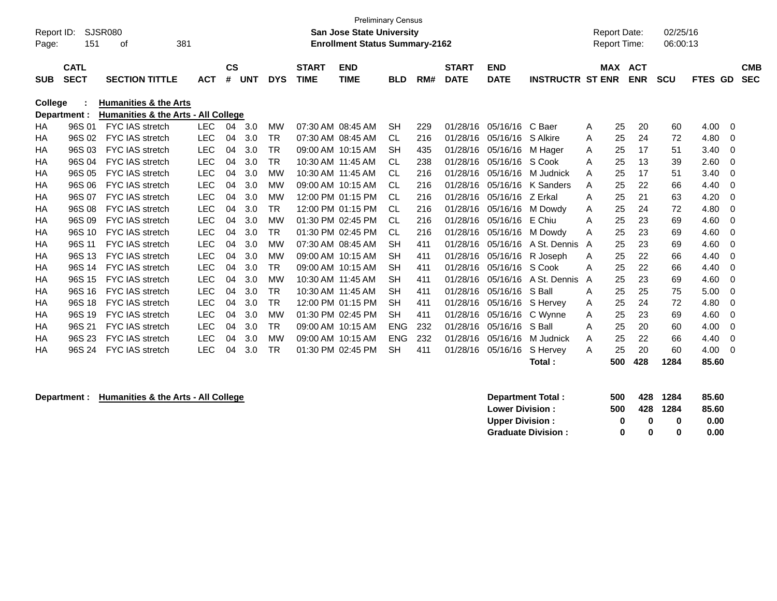|            |              |                                     |            |           |            |            |                   | <b>Preliminary Census</b>             |            |     |              |                   |                         |                     |     |            |            |         |             |
|------------|--------------|-------------------------------------|------------|-----------|------------|------------|-------------------|---------------------------------------|------------|-----|--------------|-------------------|-------------------------|---------------------|-----|------------|------------|---------|-------------|
| Report ID: |              | <b>SJSR080</b>                      |            |           |            |            |                   | <b>San Jose State University</b>      |            |     |              |                   |                         | <b>Report Date:</b> |     |            | 02/25/16   |         |             |
| Page:      | 151          | 381<br>οf                           |            |           |            |            |                   | <b>Enrollment Status Summary-2162</b> |            |     |              |                   |                         | <b>Report Time:</b> |     |            | 06:00:13   |         |             |
|            |              |                                     |            |           |            |            |                   |                                       |            |     |              |                   |                         |                     |     |            |            |         |             |
|            | <b>CATL</b>  |                                     |            | <b>CS</b> |            |            | <b>START</b>      | <b>END</b>                            |            |     | <b>START</b> | <b>END</b>        |                         | <b>MAX</b>          |     | <b>ACT</b> |            |         | <b>CMB</b>  |
| <b>SUB</b> | <b>SECT</b>  | <b>SECTION TITTLE</b>               | <b>ACT</b> | #         | <b>UNT</b> | <b>DYS</b> | <b>TIME</b>       | <b>TIME</b>                           | <b>BLD</b> | RM# | <b>DATE</b>  | <b>DATE</b>       | <b>INSTRUCTR ST ENR</b> |                     |     | <b>ENR</b> | <b>SCU</b> | FTES GD | <b>SEC</b>  |
| College    |              | <b>Humanities &amp; the Arts</b>    |            |           |            |            |                   |                                       |            |     |              |                   |                         |                     |     |            |            |         |             |
|            | Department : | Humanities & the Arts - All College |            |           |            |            |                   |                                       |            |     |              |                   |                         |                     |     |            |            |         |             |
| HA         | 96S 01       | <b>FYC IAS stretch</b>              | <b>LEC</b> | 04        | 3.0        | <b>MW</b>  |                   | 07:30 AM 08:45 AM                     | <b>SH</b>  | 229 | 01/28/16     | 05/16/16          | C Baer                  | Α                   | 25  | 20         | 60         | 4.00    | $\mathbf 0$ |
| HA         | 96S 02       | <b>FYC IAS stretch</b>              | <b>LEC</b> | 04        | 3.0        | <b>TR</b>  |                   | 07:30 AM 08:45 AM                     | <b>CL</b>  | 216 | 01/28/16     | 05/16/16 S Alkire |                         | A                   | 25  | 24         | 72         | 4.80    | $\Omega$    |
| HA         | 96S 03       | <b>FYC IAS stretch</b>              | <b>LEC</b> | 04        | 3.0        | <b>TR</b>  |                   | 09:00 AM 10:15 AM                     | <b>SH</b>  | 435 | 01/28/16     | 05/16/16 M Hager  |                         | Α                   | 25  | 17         | 51         | 3.40    | 0           |
| HA         | 96S 04       | FYC IAS stretch                     | <b>LEC</b> | 04        | 3.0        | <b>TR</b>  | 10:30 AM 11:45 AM |                                       | <b>CL</b>  | 238 | 01/28/16     | 05/16/16 S Cook   |                         | A                   | 25  | 13         | 39         | 2.60    | 0           |
| HA         | 96S 05       | <b>FYC IAS stretch</b>              | <b>LEC</b> | 04        | 3.0        | МW         | 10:30 AM 11:45 AM |                                       | <b>CL</b>  | 216 | 01/28/16     |                   | 05/16/16 M Judnick      | A                   | 25  | 17         | 51         | 3.40    | 0           |
| HA         | 96S 06       | FYC IAS stretch                     | <b>LEC</b> | 04        | 3.0        | <b>MW</b>  |                   | 09:00 AM 10:15 AM                     | <b>CL</b>  | 216 | 01/28/16     |                   | 05/16/16 K Sanders      | A                   | 25  | 22         | 66         | 4.40    | 0           |
| HA         | 96S 07       | FYC IAS stretch                     | <b>LEC</b> | 04        | 3.0        | <b>MW</b>  |                   | 12:00 PM 01:15 PM                     | <b>CL</b>  | 216 | 01/28/16     | 05/16/16 Z Erkal  |                         | A                   | 25  | 21         | 63         | 4.20    | $\Omega$    |
| HA         | 96S 08       | FYC IAS stretch                     | <b>LEC</b> | 04        | 3.0        | <b>TR</b>  |                   | 12:00 PM 01:15 PM                     | CL         | 216 | 01/28/16     |                   | 05/16/16 M Dowdy        | Α                   | 25  | 24         | 72         | 4.80    | 0           |
| HA         | 96S 09       | <b>FYC IAS stretch</b>              | <b>LEC</b> | 04        | 3.0        | <b>MW</b>  |                   | 01:30 PM 02:45 PM                     | <b>CL</b>  | 216 | 01/28/16     | 05/16/16          | E Chiu                  | A                   | 25  | 23         | 69         | 4.60    | $\Omega$    |
| HA         | 96S 10       | FYC IAS stretch                     | <b>LEC</b> | 04        | 3.0        | <b>TR</b>  |                   | 01:30 PM 02:45 PM                     | <b>CL</b>  | 216 | 01/28/16     |                   | 05/16/16 M Dowdy        | A                   | 25  | 23         | 69         | 4.60    | 0           |
| HA         | 96S 11       | <b>FYC IAS stretch</b>              | <b>LEC</b> | 04        | 3.0        | МW         |                   | 07:30 AM 08:45 AM                     | <b>SH</b>  | 411 | 01/28/16     | 05/16/16          | A St. Dennis A          |                     | 25  | 23         | 69         | 4.60    | $\Omega$    |
| HA         | 96S 13       | <b>FYC IAS stretch</b>              | <b>LEC</b> | 04        | 3.0        | <b>MW</b>  |                   | 09:00 AM 10:15 AM                     | <b>SH</b>  | 411 | 01/28/16     |                   | 05/16/16 R Joseph       | A                   | 25  | 22         | 66         | 4.40    | 0           |
| HA         | 96S 14       | <b>FYC IAS stretch</b>              | <b>LEC</b> | 04        | 3.0        | <b>TR</b>  |                   | 09:00 AM 10:15 AM                     | <b>SH</b>  | 411 | 01/28/16     | 05/16/16 S Cook   |                         | A                   | 25  | 22         | 66         | 4.40    | $\Omega$    |
| HA         | 96S 15       | <b>FYC IAS stretch</b>              | <b>LEC</b> | 04        | 3.0        | <b>MW</b>  | 10:30 AM 11:45 AM |                                       | <b>SH</b>  | 411 | 01/28/16     |                   | 05/16/16 A St. Dennis   | A                   | 25  | 23         | 69         | 4.60    | 0           |
| HA         | 96S 16       | <b>FYC IAS stretch</b>              | <b>LEC</b> | 04        | 3.0        | <b>TR</b>  | 10:30 AM 11:45 AM |                                       | <b>SH</b>  | 411 | 01/28/16     | 05/16/16 S Ball   |                         | A                   | 25  | 25         | 75         | 5.00    | 0           |
| HA         | 96S 18       | <b>FYC IAS stretch</b>              | <b>LEC</b> | 04        | 3.0        | <b>TR</b>  |                   | 12:00 PM 01:15 PM                     | <b>SH</b>  | 411 | 01/28/16     |                   | 05/16/16 S Hervey       | Α                   | 25  | 24         | 72         | 4.80    | 0           |
| HA         | 96S 19       | <b>FYC IAS stretch</b>              | <b>LEC</b> | 04        | 3.0        | <b>MW</b>  |                   | 01:30 PM 02:45 PM                     | <b>SH</b>  | 411 | 01/28/16     | 05/16/16 C Wynne  |                         | A                   | 25  | 23         | 69         | 4.60    | $\Omega$    |
| HA         | 96S 21       | <b>FYC IAS stretch</b>              | <b>LEC</b> | 04        | 3.0        | <b>TR</b>  |                   | 09:00 AM 10:15 AM                     | <b>ENG</b> | 232 | 01/28/16     | 05/16/16          | S Ball                  | A                   | 25  | 20         | 60         | 4.00    | 0           |
| HA         | 96S 23       | <b>FYC IAS stretch</b>              | <b>LEC</b> | 04        | 3.0        | <b>MW</b>  |                   | 09:00 AM 10:15 AM                     | <b>ENG</b> | 232 | 01/28/16     | 05/16/16          | M Judnick               | A                   | 25  | 22         | 66         | 4.40    | $\Omega$    |
| HA         | 96S 24       | <b>FYC IAS stretch</b>              | <b>LEC</b> | 04        | 3.0        | <b>TR</b>  |                   | 01:30 PM 02:45 PM                     | <b>SH</b>  | 411 | 01/28/16     | 05/16/16          | S Hervey                | A                   | 25  | 20         | 60         | 4.00    | 0           |
|            |              |                                     |            |           |            |            |                   |                                       |            |     |              |                   | Total:                  |                     | 500 | 428        | 1284       | 85.60   |             |
|            |              |                                     |            |           |            |            |                   |                                       |            |     |              |                   |                         |                     |     |            |            |         |             |

| Department : | <b>Humanities &amp; the Arts - All College</b> | Department Total:         | 500 | 428 | 1284 | 85.60 |
|--------------|------------------------------------------------|---------------------------|-----|-----|------|-------|
|              |                                                | <b>Lower Division:</b>    | 500 | 428 | 1284 | 85.60 |
|              |                                                | <b>Upper Division:</b>    |     |     |      | 0.00  |
|              |                                                | <b>Graduate Division:</b> |     |     |      | 0.00  |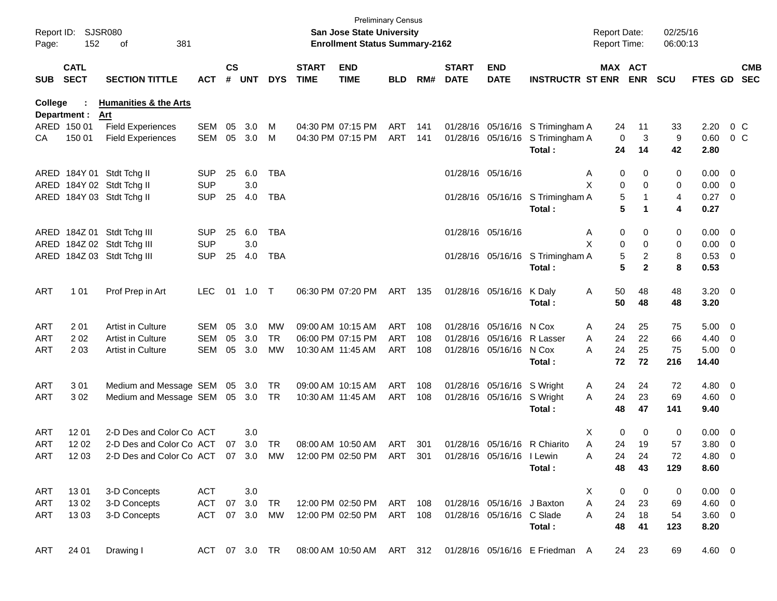| Report ID:<br>Page: | 152                         | <b>SJSR080</b><br>381<br>of                          |                          |               |               |            |                             | <b>Preliminary Census</b><br><b>San Jose State University</b><br><b>Enrollment Status Summary-2162</b> |            |            |                             |                                                         |                                                                      | <b>Report Date:</b><br><b>Report Time:</b> |                | 02/25/16<br>06:00:13 |                    |                          |
|---------------------|-----------------------------|------------------------------------------------------|--------------------------|---------------|---------------|------------|-----------------------------|--------------------------------------------------------------------------------------------------------|------------|------------|-----------------------------|---------------------------------------------------------|----------------------------------------------------------------------|--------------------------------------------|----------------|----------------------|--------------------|--------------------------|
| <b>SUB</b>          | <b>CATL</b><br><b>SECT</b>  | <b>SECTION TITTLE</b>                                | <b>ACT</b>               | $\mathsf{cs}$ | # UNT         | <b>DYS</b> | <b>START</b><br><b>TIME</b> | <b>END</b><br><b>TIME</b>                                                                              | <b>BLD</b> | RM#        | <b>START</b><br><b>DATE</b> | <b>END</b><br><b>DATE</b>                               | <b>INSTRUCTR ST ENR ENR</b>                                          | MAX ACT                                    |                | <b>SCU</b>           | <b>FTES GD</b>     | <b>CMB</b><br><b>SEC</b> |
| College             |                             | <b>Humanities &amp; the Arts</b>                     |                          |               |               |            |                             |                                                                                                        |            |            |                             |                                                         |                                                                      |                                            |                |                      |                    |                          |
|                     | Department :<br>ARED 150 01 | Art                                                  | SEM                      | 05            | 3.0           |            |                             | 04:30 PM 07:15 PM                                                                                      | ART        |            |                             |                                                         |                                                                      |                                            |                |                      | 2.20               | $0\,$ C                  |
| CA                  | 150 01                      | <b>Field Experiences</b><br><b>Field Experiences</b> | SEM                      | 05            | 3.0           | м<br>M     |                             | 04:30 PM 07:15 PM                                                                                      | ART        | 141<br>141 |                             |                                                         | 01/28/16 05/16/16 S Trimingham A<br>01/28/16 05/16/16 S Trimingham A | 24<br>0                                    | 11<br>3        | 33<br>9              | 0.60               | 0 <sup>o</sup>           |
|                     |                             |                                                      |                          |               |               |            |                             |                                                                                                        |            |            |                             |                                                         | Total:                                                               | 24                                         | 14             | 42                   | 2.80               |                          |
|                     |                             |                                                      |                          |               |               |            |                             |                                                                                                        |            |            |                             |                                                         |                                                                      |                                            |                |                      |                    |                          |
|                     |                             | ARED 184Y 01 Stdt Tchg II                            | <b>SUP</b>               | 25            | 6.0           | <b>TBA</b> |                             |                                                                                                        |            |            |                             | 01/28/16 05/16/16                                       |                                                                      | 0<br>A                                     | 0              | 0                    | $0.00 \t 0$        |                          |
|                     |                             | ARED 184Y 02 Stdt Tchg II                            | <b>SUP</b>               |               | 3.0           |            |                             |                                                                                                        |            |            |                             |                                                         |                                                                      | X<br>0                                     | $\Omega$       | 0                    | $0.00 \t 0$        |                          |
|                     |                             | ARED 184Y 03 Stdt Tchg II                            | <b>SUP</b>               | 25            | 4.0           | TBA        |                             |                                                                                                        |            |            |                             |                                                         | 01/28/16 05/16/16 S Trimingham A                                     | 5                                          |                | 4                    | $0.27$ 0           |                          |
|                     |                             |                                                      |                          |               |               |            |                             |                                                                                                        |            |            |                             |                                                         | Total:                                                               | 5                                          | 1              | 4                    | 0.27               |                          |
|                     |                             |                                                      |                          |               |               |            |                             |                                                                                                        |            |            |                             |                                                         |                                                                      |                                            |                |                      |                    |                          |
|                     |                             | ARED 184Z 01 Stdt Tchg III                           | <b>SUP</b>               | 25            | 6.0           | TBA        |                             |                                                                                                        |            |            | 01/28/16 05/16/16           |                                                         |                                                                      | 0<br>A                                     | 0              | 0                    | $0.00 \t 0$        |                          |
| ARED                |                             | 184Z 02 Stdt Tchg III                                | <b>SUP</b>               |               | 3.0           |            |                             |                                                                                                        |            |            |                             |                                                         |                                                                      | X<br>0                                     | 0              | 0                    | $0.00 \t 0$        |                          |
|                     |                             | ARED 184Z 03 Stdt Tchg III                           | <b>SUP</b>               | 25            | 4.0           | TBA        |                             |                                                                                                        |            |            |                             |                                                         | 01/28/16 05/16/16 S Trimingham A                                     | 5                                          | $\overline{c}$ | 8                    | 0.53 0             |                          |
|                     |                             |                                                      |                          |               |               |            |                             |                                                                                                        |            |            |                             |                                                         | Total:                                                               | 5                                          | $\mathbf{2}$   | 8                    | 0.53               |                          |
|                     |                             |                                                      |                          |               |               |            |                             |                                                                                                        |            |            |                             |                                                         |                                                                      |                                            |                |                      |                    |                          |
| <b>ART</b>          | 1 0 1                       | Prof Prep in Art                                     | <b>LEC</b>               | 01            | $1.0$ T       |            |                             | 06:30 PM 07:20 PM                                                                                      | ART        | 135        |                             | 01/28/16 05/16/16                                       | K Daly                                                               | 50<br>A                                    | 48             | 48                   | $3.20 \ 0$         |                          |
|                     |                             |                                                      |                          |               |               |            |                             |                                                                                                        |            |            |                             |                                                         | Total:                                                               | 50                                         | 48             | 48                   | 3.20               |                          |
| <b>ART</b>          | 201                         | Artist in Culture                                    | SEM                      | 05            | 3.0           | <b>MW</b>  |                             | 09:00 AM 10:15 AM                                                                                      | ART        | 108        |                             | 01/28/16 05/16/16 N Cox                                 |                                                                      | 24                                         | 25             | 75                   | $5.00 \t 0$        |                          |
| <b>ART</b>          | 202                         | Artist in Culture                                    | <b>SEM</b>               | 05            | 3.0           | TR.        |                             | 06:00 PM 07:15 PM                                                                                      | ART        | 108        |                             | 01/28/16 05/16/16 R Lasser                              |                                                                      | A<br>24<br>A                               | 22             | 66                   | $4.40 \ 0$         |                          |
| <b>ART</b>          | 203                         | <b>Artist in Culture</b>                             | SEM                      | 05            | 3.0           | <b>MW</b>  | 10:30 AM 11:45 AM           |                                                                                                        | ART        | 108        |                             | 01/28/16 05/16/16 N Cox                                 |                                                                      | 24<br>A                                    | 25             | 75                   | $5.00 \t 0$        |                          |
|                     |                             |                                                      |                          |               |               |            |                             |                                                                                                        |            |            |                             |                                                         | Total:                                                               | 72                                         | 72             | 216                  | 14.40              |                          |
|                     |                             |                                                      |                          |               |               |            |                             |                                                                                                        |            |            |                             |                                                         |                                                                      |                                            |                |                      |                    |                          |
| <b>ART</b>          | 301                         | Medium and Message SEM 05                            |                          |               | 3.0           | TR         |                             | 09:00 AM 10:15 AM                                                                                      | ART        | 108        |                             | 01/28/16 05/16/16 S Wright                              |                                                                      | 24<br>A                                    | 24             | 72                   | 4.80 0             |                          |
| <b>ART</b>          | 302                         | Medium and Message SEM 05 3.0 TR                     |                          |               |               |            | 10:30 AM 11:45 AM           |                                                                                                        | ART        | 108        |                             | 01/28/16 05/16/16 S Wright                              |                                                                      | 24<br>A                                    | 23             | 69                   | $4.60$ 0           |                          |
|                     |                             |                                                      |                          |               |               |            |                             |                                                                                                        |            |            |                             |                                                         | Total:                                                               | 48                                         | 47             | 141                  | 9.40               |                          |
|                     |                             |                                                      |                          |               |               |            |                             |                                                                                                        |            |            |                             |                                                         |                                                                      |                                            |                |                      |                    |                          |
| <b>ART</b>          | 12 01                       | 2-D Des and Color Co ACT                             |                          |               | 3.0           |            |                             |                                                                                                        |            |            |                             |                                                         |                                                                      | 0<br>X                                     | 0              | 0                    | $0.00 \t 0$        |                          |
| <b>ART</b>          | 12 02                       | 2-D Des and Color Co ACT                             |                          | 07            | 3.0           | TR         |                             | 08:00 AM 10:50 AM                                                                                      | ART        | 301        |                             |                                                         | 01/28/16 05/16/16 R Chiarito                                         | Α<br>24                                    | 19             | 57                   | $3.80\ 0$          |                          |
| ART                 | 1203                        | 2-D Des and Color Co ACT 07 3.0                      |                          |               |               | MW         |                             | 12:00 PM 02:50 PM                                                                                      | ART        | 301        |                             | 01/28/16 05/16/16 I Lewin                               |                                                                      | 24<br>A                                    | 24             | 72                   | 4.80 0             |                          |
|                     |                             |                                                      |                          |               |               |            |                             |                                                                                                        |            |            |                             |                                                         | Total:                                                               | 48                                         | 43             | 129                  | 8.60               |                          |
|                     |                             |                                                      |                          |               |               |            |                             |                                                                                                        |            |            |                             |                                                         |                                                                      |                                            |                |                      |                    |                          |
| ART                 | 1301                        | 3-D Concepts<br>3-D Concepts                         | <b>ACT</b><br><b>ACT</b> |               | 3.0<br>3.0    |            |                             |                                                                                                        |            |            |                             |                                                         |                                                                      | X<br>0                                     | 0              | 0                    | $0.00 \t 0$        |                          |
| <b>ART</b>          | 13 02<br>1303               | 3-D Concepts                                         | <b>ACT</b>               | 07<br>07      | 3.0           | TR<br>MW   |                             | 12:00 PM 02:50 PM<br>12:00 PM 02:50 PM                                                                 | ART<br>ART | 108<br>108 |                             | 01/28/16 05/16/16 J Baxton<br>01/28/16 05/16/16 C Slade |                                                                      | Α<br>24<br>24<br>A                         | 23<br>18       | 69                   | $4.60$ 0<br>3.60 0 |                          |
| ART                 |                             |                                                      |                          |               |               |            |                             |                                                                                                        |            |            |                             |                                                         | Total:                                                               | 48                                         | 41             | 54<br>123            | 8.20               |                          |
|                     |                             |                                                      |                          |               |               |            |                             |                                                                                                        |            |            |                             |                                                         |                                                                      |                                            |                |                      |                    |                          |
| ART                 | 24 01                       | Drawing I                                            |                          |               | ACT 07 3.0 TR |            |                             | 08:00 AM 10:50 AM ART 312                                                                              |            |            |                             |                                                         | 01/28/16 05/16/16 E Friedman A                                       | 24                                         | 23             | 69                   | 4.60 0             |                          |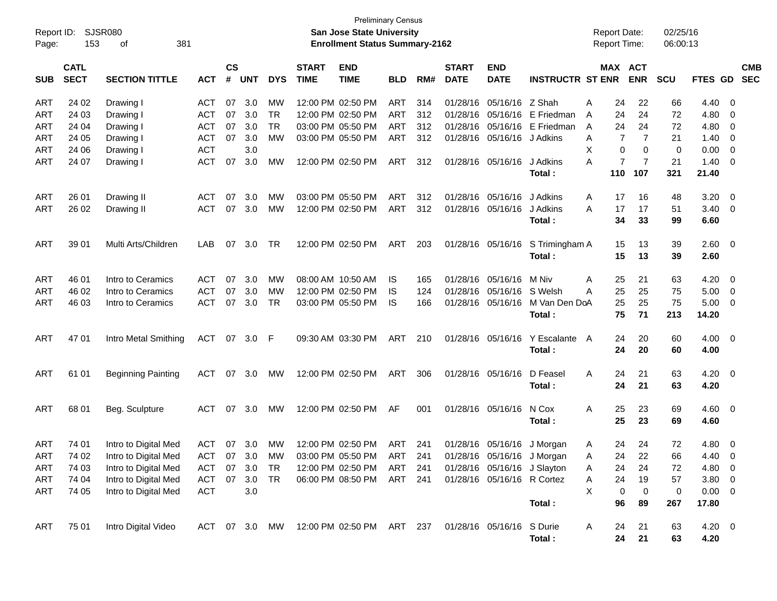| Report ID: |                            | <b>SJSR080</b>                               |            |                |            |               |                             | San Jose State University             | <b>Preliminary Census</b> |     |                             |                                    |                            | <b>Report Date:</b> |                       | 02/25/16   |        |                                  |
|------------|----------------------------|----------------------------------------------|------------|----------------|------------|---------------|-----------------------------|---------------------------------------|---------------------------|-----|-----------------------------|------------------------------------|----------------------------|---------------------|-----------------------|------------|--------|----------------------------------|
| Page:      | 153                        | 381<br>οf                                    |            |                |            |               |                             | <b>Enrollment Status Summary-2162</b> |                           |     |                             |                                    |                            | Report Time:        |                       | 06:00:13   |        |                                  |
| <b>SUB</b> | <b>CATL</b><br><b>SECT</b> | <b>SECTION TITTLE</b>                        | <b>ACT</b> | <b>CS</b><br># | <b>UNT</b> | <b>DYS</b>    | <b>START</b><br><b>TIME</b> | <b>END</b><br><b>TIME</b>             | <b>BLD</b>                | RM# | <b>START</b><br><b>DATE</b> | <b>END</b><br><b>DATE</b>          | <b>INSTRUCTR ST ENR</b>    |                     | MAX ACT<br><b>ENR</b> | <b>SCU</b> |        | <b>CMB</b><br>FTES GD SEC        |
| ART        | 24 02                      | Drawing I                                    | ACT        | 07             | 3.0        | МW            |                             | 12:00 PM 02:50 PM                     | ART                       | 314 |                             | 01/28/16 05/16/16 Z Shah           |                            | 24<br>A             | 22                    | 66         | 4.40   | $\overline{0}$                   |
| ART        | 24 03                      | Drawing I                                    | <b>ACT</b> | 07             | 3.0        | <b>TR</b>     |                             | 12:00 PM 02:50 PM                     | <b>ART</b>                | 312 |                             | 01/28/16 05/16/16                  | E Friedman                 | 24<br>A             | 24                    | 72         | 4.80   | 0                                |
| ART        | 24 04                      | Drawing I                                    | <b>ACT</b> | 07             | 3.0        | <b>TR</b>     |                             | 03:00 PM 05:50 PM                     | <b>ART</b>                | 312 |                             | 01/28/16 05/16/16                  | E Friedman                 | 24<br>A             | 24                    | 72         | 4.80   | 0                                |
| ART        | 24 05                      | Drawing I                                    | <b>ACT</b> | 07             | 3.0        | MW            |                             | 03:00 PM 05:50 PM                     | ART                       | 312 |                             | 01/28/16 05/16/16 J Adkins         |                            | 7<br>A              | 7                     | 21         | 1.40   | 0                                |
| ART        | 24 06                      | Drawing I                                    | <b>ACT</b> |                | 3.0        |               |                             |                                       |                           |     |                             |                                    |                            | X<br>0              | 0                     | 0          | 0.00   | 0                                |
| ART        | 24 07                      | Drawing I                                    | <b>ACT</b> | 07             | 3.0        | MW            |                             | 12:00 PM 02:50 PM                     | ART                       | 312 |                             | 01/28/16 05/16/16                  | J Adkins                   | $\overline{7}$<br>А | $\overline{7}$        | 21         | 1.40   | 0                                |
|            |                            |                                              |            |                |            |               |                             |                                       |                           |     |                             |                                    | Total :                    | 110                 | 107                   | 321        | 21.40  |                                  |
| ART        | 26 01                      | Drawing II                                   | ACT        | 07             | 3.0        | МW            |                             | 03:00 PM 05:50 PM                     | ART                       | 312 |                             | 01/28/16 05/16/16                  | J Adkins                   | A<br>17             | 16                    | 48         | 3.20   | $\overline{0}$                   |
| ART        | 26 02                      | Drawing II                                   | <b>ACT</b> | 07             | 3.0        | МW            |                             | 12:00 PM 02:50 PM                     | ART                       | 312 |                             | 01/28/16 05/16/16                  | J Adkins                   | 17<br>А             | 17                    | 51         | 3.40   | $\mathbf 0$                      |
|            |                            |                                              |            |                |            |               |                             |                                       |                           |     |                             |                                    | Total:                     | 34                  | 33                    | 99         | 6.60   |                                  |
| ART        | 39 01                      | Multi Arts/Children                          | LAB        | 07             | 3.0        | TR            |                             | 12:00 PM 02:50 PM                     | ART                       | 203 |                             | 01/28/16 05/16/16                  | S Trimingham A             | 15                  | 13                    | 39         | 2.60   | $\overline{\mathbf{0}}$          |
|            |                            |                                              |            |                |            |               |                             |                                       |                           |     |                             |                                    | Total:                     | 15                  | 13                    | 39         | 2.60   |                                  |
|            |                            |                                              |            |                |            |               |                             |                                       |                           |     |                             |                                    |                            |                     |                       |            |        |                                  |
| ART        | 46 01                      | Intro to Ceramics                            | <b>ACT</b> | 07             | 3.0        | MW            |                             | 08:00 AM 10:50 AM                     | IS                        | 165 |                             | 01/28/16 05/16/16                  | M Niv                      | 25<br>A             | 21                    | 63         | 4.20   | $\overline{0}$                   |
| ART        | 46 02                      | Intro to Ceramics                            | <b>ACT</b> | 07             | 3.0        | МW            |                             | 12:00 PM 02:50 PM                     | IS                        | 124 |                             | 01/28/16 05/16/16                  | S Welsh                    | 25<br>Α             | 25                    | 75         | 5.00   | 0                                |
| ART        | 46 03                      | Intro to Ceramics                            | <b>ACT</b> | 07             | 3.0        | <b>TR</b>     |                             | 03:00 PM 05:50 PM                     | IS                        | 166 |                             | 01/28/16 05/16/16                  | M Van Den DoA              | 25                  | 25                    | 75         | 5.00   | $\overline{0}$                   |
|            |                            |                                              |            |                |            |               |                             |                                       |                           |     |                             |                                    | Total:                     | 75                  | 71                    | 213        | 14.20  |                                  |
| ART        | 47 01                      | Intro Metal Smithing                         | ACT        |                | 07 3.0 F   |               |                             | 09:30 AM 03:30 PM                     | ART                       | 210 |                             | 01/28/16 05/16/16                  | Y Escalante A              | 24                  | 20                    | 60         | 4.00   | $\overline{\mathbf{0}}$          |
|            |                            |                                              |            |                |            |               |                             |                                       |                           |     |                             |                                    | Total:                     | 24                  | 20                    | 60         | 4.00   |                                  |
|            |                            |                                              |            |                |            |               |                             |                                       |                           |     |                             |                                    |                            |                     |                       |            |        |                                  |
| ART        | 61 01                      | <b>Beginning Painting</b>                    | <b>ACT</b> |                | 07 3.0     | MW            |                             | 12:00 PM 02:50 PM                     | ART                       | 306 |                             | 01/28/16 05/16/16                  | D Feasel                   | 24<br>A             | 21                    | 63         | 4.20   | $\overline{\mathbf{0}}$          |
|            |                            |                                              |            |                |            |               |                             |                                       |                           |     |                             |                                    | Total:                     | 24                  | 21                    | 63         | 4.20   |                                  |
| ART        | 68 01                      | Beg. Sculpture                               | ACT        |                | 07 3.0     | MW            |                             | 12:00 PM 02:50 PM                     | AF                        | 001 |                             | 01/28/16 05/16/16                  | N Cox                      | 25<br>A             | 23                    | 69         | 4.60   | $\overline{\mathbf{0}}$          |
|            |                            |                                              |            |                |            |               |                             |                                       |                           |     |                             |                                    | Total:                     | 25                  | 23                    | 69         | 4.60   |                                  |
|            |                            |                                              |            |                | 07 3.0     |               |                             | 12:00 PM 02:50 PM                     | ART                       |     |                             |                                    | 01/28/16 05/16/16 J Morgan | 24                  | 24                    | 72         | 4.80   |                                  |
| ART<br>ART | 74 01<br>74 02             | Intro to Digital Med<br>Intro to Digital Med | ACT        |                |            | <b>MW</b>     |                             | ACT 07 3.0 MW 03:00 PM 05:50 PM       |                           | 241 |                             | ART 241 01/28/16 05/16/16 J Morgan |                            | A<br>Α              | 24 22                 | 66         | 4.40 0 | $\overline{0}$                   |
| <b>ART</b> | 74 03                      | Intro to Digital Med                         | ACT        | 07             | 3.0        | <b>TR</b>     |                             | 12:00 PM 02:50 PM                     | ART                       | 241 |                             | 01/28/16 05/16/16 J Slayton        |                            | 24                  | 24                    | 72         | 4.80   |                                  |
| <b>ART</b> | 74 04                      | Intro to Digital Med                         | <b>ACT</b> | 07             | 3.0        | TR            |                             | 06:00 PM 08:50 PM                     | ART 241                   |     |                             | 01/28/16 05/16/16 R Cortez         |                            | A<br>24<br>Α        | 19                    | 57         | 3.80   | $\overline{0}$<br>$\overline{0}$ |
| <b>ART</b> | 74 05                      | Intro to Digital Med                         | <b>ACT</b> |                | 3.0        |               |                             |                                       |                           |     |                             |                                    |                            | X<br>0              | 0                     | $\pmb{0}$  | 0.00   | $\overline{\mathbf{0}}$          |
|            |                            |                                              |            |                |            |               |                             |                                       |                           |     |                             |                                    | Total:                     | 96                  | 89                    | 267        | 17.80  |                                  |
|            |                            |                                              |            |                |            |               |                             |                                       |                           |     |                             |                                    |                            |                     |                       |            |        |                                  |
| ART        | 75 01                      | Intro Digital Video                          |            |                |            | ACT 07 3.0 MW |                             | 12:00 PM 02:50 PM ART 237             |                           |     |                             | 01/28/16 05/16/16                  | S Durie                    | A<br>24             | 21                    | 63         | 4.20 0 |                                  |
|            |                            |                                              |            |                |            |               |                             |                                       |                           |     |                             |                                    | Total:                     | 24                  | 21                    | 63         | 4.20   |                                  |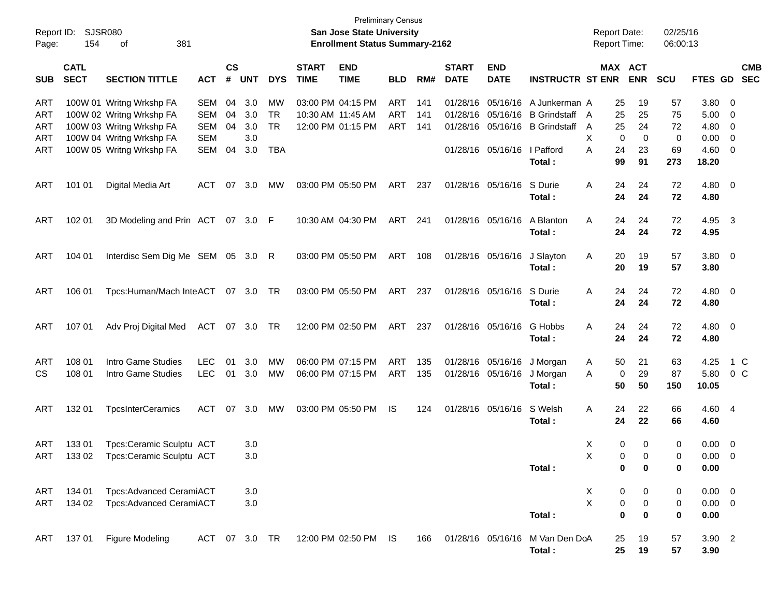| Report ID:<br>Page:      | 154                        | <b>SJSR080</b><br>381<br>οf                                                                                  |                                 |                    |                          |                                     |                             | <b>Preliminary Census</b><br><b>San Jose State University</b><br><b>Enrollment Status Summary-2162</b> |                   |                   |                             |                                        |                                                                          |        |                             | <b>Report Date:</b><br><b>Report Time:</b> | 02/25/16<br>06:00:13 |                                    |                                                                                       |
|--------------------------|----------------------------|--------------------------------------------------------------------------------------------------------------|---------------------------------|--------------------|--------------------------|-------------------------------------|-----------------------------|--------------------------------------------------------------------------------------------------------|-------------------|-------------------|-----------------------------|----------------------------------------|--------------------------------------------------------------------------|--------|-----------------------------|--------------------------------------------|----------------------|------------------------------------|---------------------------------------------------------------------------------------|
| <b>SUB</b>               | <b>CATL</b><br><b>SECT</b> | <b>SECTION TITTLE</b>                                                                                        | <b>ACT</b>                      | $\mathsf{cs}$<br># | <b>UNT</b>               | <b>DYS</b>                          | <b>START</b><br><b>TIME</b> | <b>END</b><br><b>TIME</b>                                                                              | <b>BLD</b>        | RM#               | <b>START</b><br><b>DATE</b> | <b>END</b><br><b>DATE</b>              | <b>INSTRUCTR ST ENR</b>                                                  |        |                             | MAX ACT<br><b>ENR</b>                      | <b>SCU</b>           |                                    | <b>CMB</b><br>FTES GD SEC                                                             |
| ART<br>ART<br>ART<br>ART |                            | 100W 01 Writng Wrkshp FA<br>100W 02 Writng Wrkshp FA<br>100W 03 Writng Wrkshp FA<br>100W 04 Writng Wrkshp FA | SEM<br>SEM<br>SEM<br><b>SEM</b> | 04<br>04<br>04     | 3.0<br>3.0<br>3.0<br>3.0 | <b>MW</b><br><b>TR</b><br><b>TR</b> |                             | 03:00 PM 04:15 PM<br>10:30 AM 11:45 AM<br>12:00 PM 01:15 PM                                            | ART<br>ART<br>ART | 141<br>141<br>141 |                             | 01/28/16 05/16/16<br>01/28/16 05/16/16 | A Junkerman A<br><b>B</b> Grindstaff A<br>01/28/16 05/16/16 B Grindstaff | A<br>X | 25<br>25<br>25<br>0         | 19<br>25<br>24<br>0                        | 57<br>75<br>72<br>0  | 3.80<br>5.00<br>4.80<br>0.00       | $\overline{\phantom{0}}$<br>- 0<br>$\overline{\mathbf{0}}$<br>$\overline{\mathbf{0}}$ |
| ART                      |                            | 100W 05 Writng Wrkshp FA                                                                                     | SEM                             | 04                 | 3.0                      | <b>TBA</b>                          |                             |                                                                                                        |                   |                   |                             | 01/28/16 05/16/16 I Pafford            | Total:                                                                   | A      | 24<br>99                    | 23<br>91                                   | 69<br>273            | 4.60<br>18.20                      | $\overline{\mathbf{0}}$                                                               |
| ART                      | 101 01                     | Digital Media Art                                                                                            | <b>ACT</b>                      | 07                 | 3.0                      | МW                                  |                             | 03:00 PM 05:50 PM                                                                                      | ART               | 237               |                             | 01/28/16 05/16/16                      | S Durie<br>Total:                                                        | Α      | 24<br>24                    | 24<br>24                                   | 72<br>72             | 4.80 0<br>4.80                     |                                                                                       |
| ART                      | 102 01                     | 3D Modeling and Prin ACT 07 3.0 F                                                                            |                                 |                    |                          |                                     |                             | 10:30 AM 04:30 PM                                                                                      | ART               | 241               |                             | 01/28/16 05/16/16                      | A Blanton<br>Total:                                                      | A      | 24<br>24                    | 24<br>24                                   | 72<br>72             | 4.95<br>4.95                       | $\overline{\mathbf{3}}$                                                               |
| ART                      | 104 01                     | Interdisc Sem Dig Me SEM 05 3.0 R                                                                            |                                 |                    |                          |                                     |                             | 03:00 PM 05:50 PM                                                                                      | ART               | 108               |                             | 01/28/16 05/16/16                      | J Slayton<br>Total:                                                      | A      | 20<br>20                    | 19<br>19                                   | 57<br>57             | 3.80 0<br>3.80                     |                                                                                       |
| ART                      | 106 01                     | Tpcs:Human/Mach InteACT 07 3.0 TR                                                                            |                                 |                    |                          |                                     |                             | 03:00 PM 05:50 PM                                                                                      | ART               | 237               |                             | 01/28/16 05/16/16                      | S Durie<br>Total:                                                        | A      | 24<br>24                    | 24<br>24                                   | 72<br>72             | $4.80$ 0<br>4.80                   |                                                                                       |
| ART                      | 107 01                     | Adv Proj Digital Med                                                                                         | ACT                             |                    | 07 3.0 TR                |                                     |                             | 12:00 PM 02:50 PM                                                                                      | ART               | 237               |                             | 01/28/16 05/16/16                      | G Hobbs<br>Total:                                                        | Α      | 24<br>24                    | 24<br>24                                   | 72<br>72             | 4.80 0<br>4.80                     |                                                                                       |
| ART<br>CS                | 108 01<br>108 01           | Intro Game Studies<br>Intro Game Studies                                                                     | <b>LEC</b><br><b>LEC</b>        | 01<br>01           | 3.0<br>3.0               | MW<br><b>MW</b>                     |                             | 06:00 PM 07:15 PM<br>06:00 PM 07:15 PM                                                                 | ART<br>ART        | 135<br>135        |                             | 01/28/16 05/16/16<br>01/28/16 05/16/16 | J Morgan<br>J Morgan<br>Total:                                           | A<br>A | 50<br>0<br>50               | 21<br>29<br>50                             | 63<br>87<br>150      | 4.25<br>5.80<br>10.05              | 1 C<br>0 <sup>o</sup>                                                                 |
| ART                      | 132 01                     | <b>TpcsInterCeramics</b>                                                                                     | ACT                             | 07                 | 3.0                      | МW                                  |                             | 03:00 PM 05:50 PM                                                                                      | IS                | 124               |                             | 01/28/16 05/16/16                      | S Welsh<br>Total:                                                        | A      | 24<br>24                    | 22<br>22                                   | 66<br>66             | 4.60 4<br>4.60                     |                                                                                       |
| ART                      | 13301                      | Tpcs:Ceramic Sculptu ACT<br>ART 133 02 Tpcs:Ceramic Sculptu ACT                                              |                                 |                    | 3.0<br>$3.0\,$           |                                     |                             |                                                                                                        |                   |                   |                             |                                        | Total:                                                                   | X<br>X | 0<br>$\overline{0}$<br>0    | 0<br>$\mathbf 0$<br>0                      | 0<br>0<br>0          | $0.00 \t 0$<br>$0.00 \t 0$<br>0.00 |                                                                                       |
| ART<br>ART               | 134 01<br>134 02           | Tpcs:Advanced CeramiACT<br>Tpcs:Advanced CeramiACT                                                           |                                 |                    | 3.0<br>$3.0\,$           |                                     |                             |                                                                                                        |                   |                   |                             |                                        | Total:                                                                   | X<br>X | 0<br>$\pmb{0}$<br>$\pmb{0}$ | 0<br>$\pmb{0}$<br>$\bf{0}$                 | 0<br>0<br>$\pmb{0}$  | $0.00 \t 0$<br>$0.00 \t 0$<br>0.00 |                                                                                       |
| ART                      | 13701                      | <b>Figure Modeling</b>                                                                                       | ACT 07 3.0 TR                   |                    |                          |                                     |                             | 12:00 PM 02:50 PM IS                                                                                   |                   | 166               |                             | 01/28/16 05/16/16                      | M Van Den DoA<br>Total:                                                  |        | 25<br>25                    | 19<br>19                                   | 57<br>57             | 3.90 2<br>3.90                     |                                                                                       |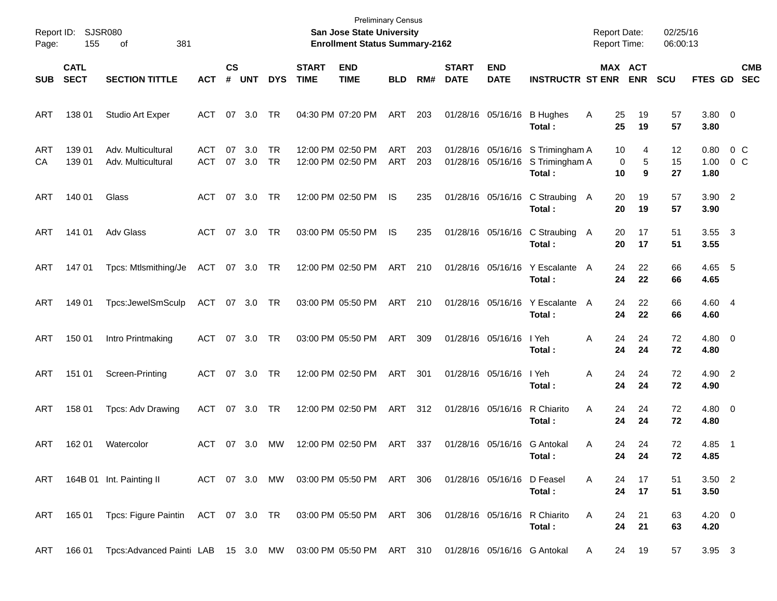| Page:            | Report ID: SJSR080<br>155  | 381<br>οf                                                                                            |                   |                |               |            |                             | <b>Preliminary Census</b><br>San Jose State University<br><b>Enrollment Status Summary-2162</b> |                   |            |                             |                                        |                                            | <b>Report Date:</b><br><b>Report Time:</b> |                       | 02/25/16<br>06:00:13 |                        |                       |                          |
|------------------|----------------------------|------------------------------------------------------------------------------------------------------|-------------------|----------------|---------------|------------|-----------------------------|-------------------------------------------------------------------------------------------------|-------------------|------------|-----------------------------|----------------------------------------|--------------------------------------------|--------------------------------------------|-----------------------|----------------------|------------------------|-----------------------|--------------------------|
| <b>SUB</b>       | <b>CATL</b><br><b>SECT</b> | <b>SECTION TITTLE</b>                                                                                | <b>ACT</b>        | <b>CS</b><br># | <b>UNT</b>    | <b>DYS</b> | <b>START</b><br><b>TIME</b> | <b>END</b><br><b>TIME</b>                                                                       | <b>BLD</b>        | RM#        | <b>START</b><br><b>DATE</b> | <b>END</b><br><b>DATE</b>              | <b>INSTRUCTR ST ENR</b>                    |                                            | MAX ACT<br><b>ENR</b> | <b>SCU</b>           | <b>FTES GD</b>         |                       | <b>CMB</b><br><b>SEC</b> |
| ART              | 138 01                     | <b>Studio Art Exper</b>                                                                              | ACT               | 07             | 3.0           | TR         |                             | 04:30 PM 07:20 PM                                                                               | ART               | 203        |                             | 01/28/16 05/16/16                      | <b>B</b> Hughes<br>Total:                  | A<br>25<br>25                              | 19<br>19              | 57<br>57             | $3.80\ 0$<br>3.80      |                       |                          |
| <b>ART</b><br>CA | 139 01<br>139 01           | Adv. Multicultural<br>Adv. Multicultural                                                             | <b>ACT</b><br>ACT | 07             | 3.0<br>07 3.0 | TR<br>TR   |                             | 12:00 PM 02:50 PM<br>12:00 PM 02:50 PM                                                          | ART<br><b>ART</b> | 203<br>203 |                             | 01/28/16 05/16/16<br>01/28/16 05/16/16 | S Trimingham A<br>S Trimingham A<br>Total: | 10<br>10                                   | 4<br>5<br>0<br>9      | 12<br>15<br>27       | 0.80<br>1.00<br>1.80   | 0 <sup>o</sup><br>0 C |                          |
| ART              | 140 01                     | Glass                                                                                                | ACT               | 07             | 3.0           | TR         |                             | 12:00 PM 02:50 PM                                                                               | IS                | 235        |                             | 01/28/16 05/16/16                      | C Straubing<br>Total:                      | 20<br>A<br>20                              | 19<br>19              | 57<br>57             | 3.90 2<br>3.90         |                       |                          |
| ART              | 141 01                     | <b>Adv Glass</b>                                                                                     | ACT               | 07             | 3.0           | TR         |                             | 03:00 PM 05:50 PM                                                                               | IS                | 235        |                             | 01/28/16 05/16/16                      | C Straubing<br>Total:                      | 20<br>A<br>20                              | 17<br>17              | 51<br>51             | $3.55 \quad 3$<br>3.55 |                       |                          |
| ART              | 147 01                     | Tpcs: Mtlsmithing/Je                                                                                 | ACT 07 3.0        |                |               | TR         |                             | 12:00 PM 02:50 PM                                                                               | ART               | 210        |                             | 01/28/16 05/16/16                      | Y Escalante<br>Total:                      | 24<br>A<br>24                              | 22<br>22              | 66<br>66             | 4.65 5<br>4.65         |                       |                          |
| ART              | 149 01                     | Tpcs:JewelSmSculp                                                                                    | ACT               |                | 07 3.0        | TR         |                             | 03:00 PM 05:50 PM                                                                               | ART               | 210        |                             | 01/28/16 05/16/16                      | Y Escalante<br>Total:                      | 24<br>A<br>24                              | 22<br>22              | 66<br>66             | 4.60 4<br>4.60         |                       |                          |
| ART              | 150 01                     | Intro Printmaking                                                                                    | ACT               |                | 07 3.0        | TR         |                             | 03:00 PM 05:50 PM                                                                               | ART               | 309        |                             | 01/28/16 05/16/16                      | I Yeh<br>Total :                           | 24<br>Α<br>24                              | 24<br>24              | 72<br>72             | $4.80\ 0$<br>4.80      |                       |                          |
| ART              | 151 01                     | Screen-Printing                                                                                      | ACT               |                | 07 3.0        | TR         |                             | 12:00 PM 02:50 PM                                                                               | ART               | 301        |                             | 01/28/16 05/16/16                      | I Yeh<br>Total :                           | Α<br>24<br>24                              | 24<br>24              | 72<br>72             | 4.90 2<br>4.90         |                       |                          |
| ART              | 158 01                     | Tpcs: Adv Drawing                                                                                    | ACT               |                | 07 3.0        | TR         |                             | 12:00 PM 02:50 PM                                                                               | ART               | 312        |                             | 01/28/16 05/16/16                      | R Chiarito<br>Total :                      | Α<br>24<br>24                              | 24<br>24              | 72<br>72             | 4.80 0<br>4.80         |                       |                          |
| ART              | 162 01                     | Watercolor                                                                                           | ACT               |                | 07 3.0        | <b>MW</b>  |                             | 12:00 PM 02:50 PM                                                                               | ART               | 337        |                             | 01/28/16 05/16/16                      | <b>G</b> Antokal<br>Total:                 | Α<br>24<br>24                              | 24<br>24              | 72<br>72             | 4.85<br>4.85           | $\blacksquare$ 1      |                          |
|                  |                            | ART 164B 01 Int. Painting II                                                                         |                   |                |               |            |                             | ACT 07 3.0 MW 03:00 PM 05:50 PM ART 306 01/28/16 05/16/16 D Feasel                              |                   |            |                             |                                        | Total :                                    | A<br>24<br>24                              | 17<br>17              | 51<br>51             | $3.50$ 2<br>3.50       |                       |                          |
|                  |                            | ART 165 01 Tpcs: Figure Paintin ACT 07 3.0 TR 03:00 PM 05:50 PM ART 306 01/28/16 05/16/16 R Chiarito |                   |                |               |            |                             |                                                                                                 |                   |            |                             |                                        | Total:                                     | A<br>24<br>24                              | 21<br>21              | 63<br>63             | $4.20 \ 0$<br>4.20     |                       |                          |
| ART              | 166 01                     | Tpcs:Advanced Painti LAB 15 3.0 MW 03:00 PM 05:50 PM ART 310 01/28/16 05/16/16 G Antokal             |                   |                |               |            |                             |                                                                                                 |                   |            |                             |                                        |                                            | A                                          | 24<br>19              | 57                   | $3.95 \quad 3$         |                       |                          |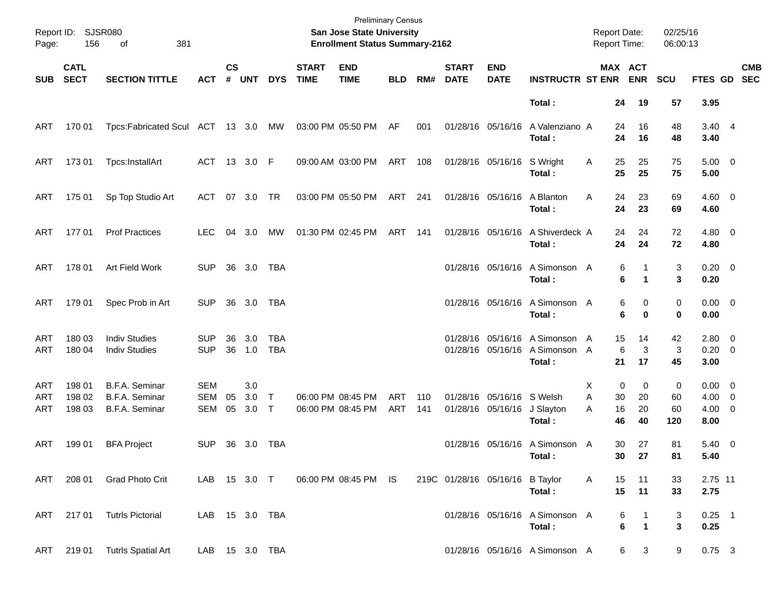| Page:             | Report ID: SJSR080<br>156  | 381<br>of                                          |                                        |                    |                   |                        |                             | <b>Preliminary Census</b><br><b>San Jose State University</b><br><b>Enrollment Status Summary-2162</b> |                          |            |                             |                                                |                                                          | <b>Report Date:</b><br>Report Time: |                                       | 02/25/16<br>06:00:13 |                                                 |                          |
|-------------------|----------------------------|----------------------------------------------------|----------------------------------------|--------------------|-------------------|------------------------|-----------------------------|--------------------------------------------------------------------------------------------------------|--------------------------|------------|-----------------------------|------------------------------------------------|----------------------------------------------------------|-------------------------------------|---------------------------------------|----------------------|-------------------------------------------------|--------------------------|
| <b>SUB</b>        | <b>CATL</b><br><b>SECT</b> | <b>SECTION TITTLE</b>                              | <b>ACT</b>                             | $\mathsf{cs}$<br># | <b>UNT</b>        | <b>DYS</b>             | <b>START</b><br><b>TIME</b> | <b>END</b><br><b>TIME</b>                                                                              | <b>BLD</b>               | RM#        | <b>START</b><br><b>DATE</b> | <b>END</b><br><b>DATE</b>                      | <b>INSTRUCTR ST ENR</b>                                  |                                     | MAX ACT<br><b>ENR</b>                 | <b>SCU</b>           | FTES GD                                         | <b>CMB</b><br><b>SEC</b> |
|                   |                            |                                                    |                                        |                    |                   |                        |                             |                                                                                                        |                          |            |                             |                                                | Total:                                                   | 24                                  | 19                                    | 57                   | 3.95                                            |                          |
| ART               | 170 01                     | Tpcs:Fabricated Scul ACT 13 3.0 MW                 |                                        |                    |                   |                        |                             | 03:00 PM 05:50 PM                                                                                      | AF                       | 001        |                             | 01/28/16 05/16/16                              | A Valenziano A<br>Total:                                 | 24<br>24                            | 16<br>16                              | 48<br>48             | 3.40 4<br>3.40                                  |                          |
| ART               | 17301                      | Tpcs:InstallArt                                    |                                        |                    | ACT 13 3.0 F      |                        |                             | 09:00 AM 03:00 PM                                                                                      | ART                      | 108        |                             | 01/28/16 05/16/16                              | S Wright<br>Total:                                       | 25<br>Α<br>25                       | 25<br>25                              | 75<br>75             | $5.00 \t 0$<br>5.00                             |                          |
| ART               | 175 01                     | Sp Top Studio Art                                  | ACT                                    |                    | 07 3.0            | TR                     |                             | 03:00 PM 05:50 PM                                                                                      | ART 241                  |            |                             | 01/28/16 05/16/16                              | A Blanton<br>Total:                                      | A<br>24<br>24                       | 23<br>23                              | 69<br>69             | $4.60 \ 0$<br>4.60                              |                          |
| ART               | 17701                      | <b>Prof Practices</b>                              | LEC.                                   | 04                 | 3.0               | МW                     |                             | 01:30 PM 02:45 PM                                                                                      | ART                      | 141        |                             | 01/28/16 05/16/16                              | A Shiverdeck A<br>Total:                                 | 24<br>24                            | 24<br>24                              | 72<br>72             | $4.80$ 0<br>4.80                                |                          |
| ART               | 178 01                     | Art Field Work                                     | <b>SUP</b>                             | 36                 | 3.0               | TBA                    |                             |                                                                                                        |                          |            |                             | 01/28/16 05/16/16                              | A Simonson A<br>Total:                                   |                                     | 6<br>1<br>6<br>1                      | 3<br>3               | $0.20 \ 0$<br>0.20                              |                          |
| ART               | 179 01                     | Spec Prob in Art                                   | <b>SUP</b>                             | 36                 | 3.0               | TBA                    |                             |                                                                                                        |                          |            |                             | 01/28/16 05/16/16                              | A Simonson A<br>Total:                                   |                                     | 6<br>0<br>6<br>$\bf{0}$               | 0<br>0               | $0.00 \t 0$<br>0.00                             |                          |
| ART<br>ART        | 180 03<br>180 04           | <b>Indiv Studies</b><br><b>Indiv Studies</b>       | <b>SUP</b><br><b>SUP</b>               | 36<br>36           | 3.0<br>1.0        | TBA<br><b>TBA</b>      |                             |                                                                                                        |                          |            |                             | 01/28/16 05/16/16                              | 01/28/16 05/16/16 A Simonson A<br>A Simonson A<br>Total: | 15<br>$6\phantom{1}6$<br>21         | 14<br>3<br>17                         | 42<br>3<br>45        | $2.80 \t 0$<br>$0.20 \ 0$<br>3.00               |                          |
| ART<br>ART<br>ART | 198 01<br>198 02<br>198 03 | B.F.A. Seminar<br>B.F.A. Seminar<br>B.F.A. Seminar | <b>SEM</b><br><b>SEM</b><br><b>SEM</b> | 05<br>05           | 3.0<br>3.0<br>3.0 | $\top$<br>$\mathsf{T}$ |                             | 06:00 PM 08:45 PM<br>06:00 PM 08:45 PM                                                                 | <b>ART</b><br><b>ART</b> | 110<br>141 |                             | 01/28/16 05/16/16 S Welsh<br>01/28/16 05/16/16 | J Slayton<br>Total:                                      | 0<br>X.<br>A<br>30<br>16<br>Α<br>46 | 0<br>20<br>20<br>40                   | 0<br>60<br>60<br>120 | $0.00 \t 0$<br>$4.00 \ 0$<br>$4.00 \ 0$<br>8.00 |                          |
| ART               | 199 01                     | <b>BFA Project</b>                                 | <b>SUP</b>                             |                    | 36 3.0            | TBA                    |                             |                                                                                                        |                          |            |                             |                                                | 01/28/16 05/16/16 A Simonson A<br>Total:                 | 30                                  | 27<br>30 27                           | 81<br>81             | $5.40 \ 0$<br>5.40                              |                          |
| ART               | 208 01                     | <b>Grad Photo Crit</b>                             | LAB 15 3.0 T                           |                    |                   |                        |                             | 06:00 PM 08:45 PM IS                                                                                   |                          |            |                             | 219C 01/28/16 05/16/16 B Taylor                | Total:                                                   | 15<br>Α<br>15                       | 11<br>11                              | 33<br>33             | 2.75 11<br>2.75                                 |                          |
| ART               | 217 01                     | <b>Tutrls Pictorial</b>                            |                                        |                    | LAB 15 3.0 TBA    |                        |                             |                                                                                                        |                          |            |                             |                                                | 01/28/16 05/16/16 A Simonson A<br>Total:                 |                                     | 6<br>$\mathbf{1}$<br>6<br>$\mathbf 1$ | 3<br>$\mathbf{3}$    | $0.25$ 1<br>0.25                                |                          |
| ART               |                            | 219 01 Tutrls Spatial Art                          |                                        |                    | LAB 15 3.0 TBA    |                        |                             |                                                                                                        |                          |            |                             |                                                | 01/28/16 05/16/16 A Simonson A                           |                                     | 6<br>3                                | 9                    | $0.75$ 3                                        |                          |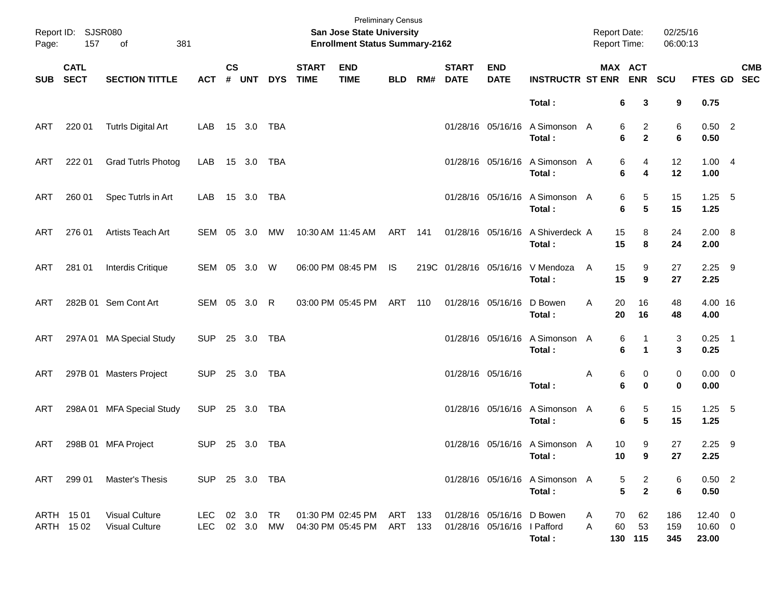| Page:      | Report ID: SJSR080<br>157  | 381<br>of                                      |                |                    |                     |            |                             | <b>Preliminary Census</b><br>San Jose State University<br><b>Enrollment Status Summary-2162</b> |                    |     |                             |                                                          |                                          | <b>Report Date:</b><br>Report Time: |                                                                  | 02/25/16<br>06:00:13 |                                       |            |
|------------|----------------------------|------------------------------------------------|----------------|--------------------|---------------------|------------|-----------------------------|-------------------------------------------------------------------------------------------------|--------------------|-----|-----------------------------|----------------------------------------------------------|------------------------------------------|-------------------------------------|------------------------------------------------------------------|----------------------|---------------------------------------|------------|
| <b>SUB</b> | <b>CATL</b><br><b>SECT</b> | <b>SECTION TITTLE</b>                          | <b>ACT</b>     | $\mathsf{cs}$<br># | <b>UNT</b>          | <b>DYS</b> | <b>START</b><br><b>TIME</b> | <b>END</b><br><b>TIME</b>                                                                       | <b>BLD</b>         | RM# | <b>START</b><br><b>DATE</b> | <b>END</b><br><b>DATE</b>                                | <b>INSTRUCTR ST ENR</b>                  |                                     | MAX ACT<br><b>ENR</b>                                            | SCU                  | FTES GD SEC                           | <b>CMB</b> |
|            |                            |                                                |                |                    |                     |            |                             |                                                                                                 |                    |     |                             |                                                          | Total:                                   |                                     | 6<br>3                                                           | 9                    | 0.75                                  |            |
| ART        | 220 01                     | <b>Tutrls Digital Art</b>                      | LAB            |                    | 15 3.0              | TBA        |                             |                                                                                                 |                    |     |                             | 01/28/16 05/16/16                                        | A Simonson A<br>Total:                   |                                     | $\overline{a}$<br>6<br>$\mathbf{2}$<br>6                         | 6<br>6               | $0.50$ 2<br>0.50                      |            |
| ART        | 222 01                     | <b>Grad Tutrls Photog</b>                      | LAB            |                    | 15 3.0              | TBA        |                             |                                                                                                 |                    |     |                             | 01/28/16 05/16/16                                        | A Simonson A<br>Total:                   |                                     | 6<br>4<br>6<br>4                                                 | 12<br>12             | 1.004<br>1.00                         |            |
| ART        | 260 01                     | Spec Tutrls in Art                             | LAB            |                    | 15 3.0              | TBA        |                             |                                                                                                 |                    |     |                             | 01/28/16 05/16/16                                        | A Simonson A<br>Total:                   |                                     | 5<br>6<br>$5\phantom{.0}$<br>6                                   | 15<br>15             | $1.25$ 5<br>1.25                      |            |
| ART        | 276 01                     | Artists Teach Art                              | SEM            | 05                 | 3.0                 | МW         |                             | 10:30 AM 11:45 AM                                                                               | ART                | 141 |                             | 01/28/16 05/16/16                                        | A Shiverdeck A<br>Total:                 |                                     | 15<br>8<br>15<br>8                                               | 24<br>24             | $2.00\ 8$<br>2.00                     |            |
| ART        | 281 01                     | Interdis Critique                              | SEM 05 3.0     |                    |                     | W          |                             | 06:00 PM 08:45 PM                                                                               | IS                 |     |                             | 219C 01/28/16 05/16/16                                   | V Mendoza<br>Total:                      | A                                   | 15<br>9<br>15<br>9                                               | 27<br>27             | $2.25$ 9<br>2.25                      |            |
| ART        |                            | 282B 01 Sem Cont Art                           | SEM 05 3.0 R   |                    |                     |            |                             | 03:00 PM 05:45 PM                                                                               | ART                | 110 |                             | 01/28/16 05/16/16                                        | D Bowen<br>Total:                        | Α                                   | 20<br>16<br>20<br>16                                             | 48<br>48             | 4.00 16<br>4.00                       |            |
| ART        |                            | 297A 01 MA Special Study                       | <b>SUP</b>     |                    | 25 3.0              | TBA        |                             |                                                                                                 |                    |     |                             | 01/28/16 05/16/16                                        | A Simonson A<br>Total:                   |                                     | 6<br>1<br>6<br>1                                                 | 3<br>3               | $0.25$ 1<br>0.25                      |            |
| ART        |                            | 297B 01 Masters Project                        | <b>SUP</b>     |                    | 25 3.0              | TBA        |                             |                                                                                                 |                    |     |                             | 01/28/16 05/16/16                                        | Total:                                   | Α                                   | 6<br>0<br>6<br>$\bf{0}$                                          | 0<br>0               | $0.00 \t 0$<br>0.00                   |            |
| ART        |                            | 298A 01 MFA Special Study                      | <b>SUP</b>     |                    | 25 3.0              | TBA        |                             |                                                                                                 |                    |     |                             | 01/28/16 05/16/16                                        | A Simonson A<br>Total:                   |                                     | 6<br>5<br>$5\phantom{.0}$<br>6                                   | 15<br>15             | $1.25 - 5$<br>1.25                    |            |
| ART        |                            | 298B 01 MFA Project                            | <b>SUP</b>     |                    | 25 3.0              | TBA        |                             |                                                                                                 |                    |     |                             |                                                          | 01/28/16 05/16/16 A Simonson A<br>Total: |                                     | 10<br>9<br>10<br>9                                               | 27<br>27             | $2.25$ 9<br>2.25                      |            |
| ART        | 299 01                     | Master's Thesis                                | SUP 25 3.0 TBA |                    |                     |            |                             |                                                                                                 |                    |     |                             |                                                          | 01/28/16 05/16/16 A Simonson A<br>Total: |                                     | $\overline{a}$<br>5<br>$\overline{\mathbf{2}}$<br>$5\phantom{a}$ | 6<br>6               | $0.50$ 2<br>0.50                      |            |
|            | ARTH 1501<br>ARTH 1502     | <b>Visual Culture</b><br><b>Visual Culture</b> | LEC.<br>LEC.   |                    | 02 3.0<br>02 3.0 MW | TR         |                             | 01:30 PM 02:45 PM<br>04:30 PM 05:45 PM                                                          | ART 133<br>ART 133 |     |                             | 01/28/16 05/16/16 D Bowen<br>01/28/16 05/16/16 I Pafford | Total:                                   | Α<br>Α                              | 62<br>70<br>60<br>53<br>130 115                                  | 186<br>159<br>345    | $12.40 \t 0$<br>$10.60 \t 0$<br>23.00 |            |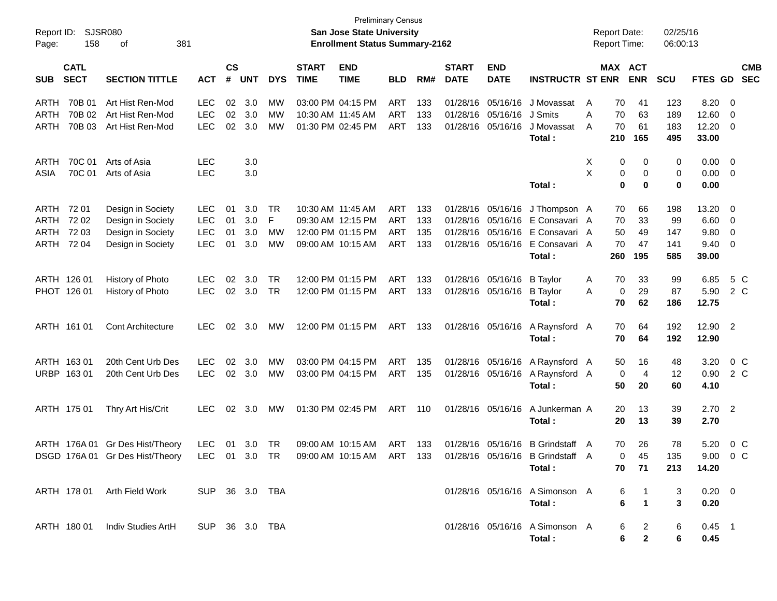| Report ID:<br>Page: | 158                        | <b>SJSR080</b><br>381<br>οf     |                |                    |                |            |                             | <b>Preliminary Census</b><br><b>San Jose State University</b><br><b>Enrollment Status Summary-2162</b> |            |     |                             |                           |                                  |   | <b>Report Date:</b><br><b>Report Time:</b> |                      | 02/25/16<br>06:00:13 |            |                         |                          |
|---------------------|----------------------------|---------------------------------|----------------|--------------------|----------------|------------|-----------------------------|--------------------------------------------------------------------------------------------------------|------------|-----|-----------------------------|---------------------------|----------------------------------|---|--------------------------------------------|----------------------|----------------------|------------|-------------------------|--------------------------|
| <b>SUB</b>          | <b>CATL</b><br><b>SECT</b> | <b>SECTION TITTLE</b>           | <b>ACT</b>     | $\mathsf{cs}$<br># | <b>UNT</b>     | <b>DYS</b> | <b>START</b><br><b>TIME</b> | <b>END</b><br><b>TIME</b>                                                                              | <b>BLD</b> | RM# | <b>START</b><br><b>DATE</b> | <b>END</b><br><b>DATE</b> | <b>INSTRUCTR ST ENR</b>          |   | MAX ACT                                    | <b>ENR</b>           | <b>SCU</b>           | FTES GD    |                         | <b>CMB</b><br><b>SEC</b> |
| ARTH                | 70B 01                     | Art Hist Ren-Mod                | <b>LEC</b>     | 02                 | 3.0            | MW         |                             | 03:00 PM 04:15 PM                                                                                      | <b>ART</b> | 133 |                             | 01/28/16 05/16/16         | J Movassat                       | A | 70                                         | 41                   | 123                  | 8.20       | - 0                     |                          |
| ARTH                | 70B 02                     | Art Hist Ren-Mod                | <b>LEC</b>     | 02                 | 3.0            | МW         |                             | 10:30 AM 11:45 AM                                                                                      | <b>ART</b> | 133 |                             | 01/28/16 05/16/16         | J Smits                          | Α | 70                                         | 63                   | 189                  | 12.60      | $\overline{0}$          |                          |
| ARTH                | 70B 03                     | Art Hist Ren-Mod                | <b>LEC</b>     | 02                 | 3.0            | МW         |                             | 01:30 PM 02:45 PM                                                                                      | <b>ART</b> | 133 | 01/28/16                    | 05/16/16                  | J Movassat                       | A | 70                                         | 61                   | 183                  | 12.20      | - 0                     |                          |
|                     |                            |                                 |                |                    |                |            |                             |                                                                                                        |            |     |                             |                           | Total:                           |   | 210                                        | 165                  | 495                  | 33.00      |                         |                          |
| ARTH                | 70C 01                     | Arts of Asia                    | <b>LEC</b>     |                    | 3.0            |            |                             |                                                                                                        |            |     |                             |                           |                                  | Х | 0                                          | 0                    | 0                    | 0.00       | $\overline{\mathbf{0}}$ |                          |
| ASIA                | 70C 01                     | Arts of Asia                    | <b>LEC</b>     |                    | 3.0            |            |                             |                                                                                                        |            |     |                             |                           |                                  | X | 0                                          | 0                    | 0                    | 0.00       | $\overline{\mathbf{0}}$ |                          |
|                     |                            |                                 |                |                    |                |            |                             |                                                                                                        |            |     |                             |                           | Total:                           |   | 0                                          | 0                    | 0                    | 0.00       |                         |                          |
| ARTH                | 72 01                      | Design in Society               | LEC            | 01                 | 3.0            | TR         |                             | 10:30 AM 11:45 AM                                                                                      | <b>ART</b> | 133 |                             | 01/28/16 05/16/16         | J Thompson A                     |   | 70                                         | 66                   | 198                  | 13.20      | $\overline{0}$          |                          |
| ARTH                | 7202                       | Design in Society               | LEC            | 01                 | 3.0            | F          |                             | 09:30 AM 12:15 PM                                                                                      | <b>ART</b> | 133 |                             | 01/28/16 05/16/16         | E Consavari A                    |   | 70                                         | 33                   | 99                   | 6.60       | $\overline{0}$          |                          |
| ARTH                | 72 03                      | Design in Society               | <b>LEC</b>     | 01                 | 3.0            | MW         |                             | 12:00 PM 01:15 PM                                                                                      | <b>ART</b> | 135 |                             | 01/28/16 05/16/16         | E Consavari A                    |   | 50                                         | 49                   | 147                  | 9.80       | $\mathbf 0$             |                          |
| ARTH                | 72 04                      | Design in Society               | <b>LEC</b>     | 01                 | 3.0            | МW         |                             | 09:00 AM 10:15 AM                                                                                      | <b>ART</b> | 133 |                             | 01/28/16 05/16/16         | E Consavari A                    |   | 70                                         | 47                   | 141                  | 9.40       | 0                       |                          |
|                     |                            |                                 |                |                    |                |            |                             |                                                                                                        |            |     |                             |                           | Total:                           |   | 260                                        | 195                  | 585                  | 39.00      |                         |                          |
| ARTH 126 01         |                            | History of Photo                | <b>LEC</b>     | 02                 | 3.0            | TR         |                             | 12:00 PM 01:15 PM                                                                                      | <b>ART</b> | 133 |                             | 01/28/16 05/16/16         | <b>B</b> Taylor                  | A | 70                                         | 33                   | 99                   | 6.85       | 5 C                     |                          |
| PHOT 126 01         |                            | History of Photo                | <b>LEC</b>     |                    | $02 \quad 3.0$ | TR         |                             | 12:00 PM 01:15 PM                                                                                      | ART        | 133 |                             | 01/28/16 05/16/16         | <b>B</b> Taylor                  | A | 0                                          | 29                   | 87                   | 5.90       | 2 C                     |                          |
|                     |                            |                                 |                |                    |                |            |                             |                                                                                                        |            |     |                             |                           | Total:                           |   | 70                                         | 62                   | 186                  | 12.75      |                         |                          |
| ARTH 161 01         |                            | <b>Cont Architecture</b>        | <b>LEC</b>     | 02                 | 3.0            | MW         |                             | 12:00 PM 01:15 PM                                                                                      | ART        | 133 |                             | 01/28/16 05/16/16         | A Raynsford A                    |   | 70                                         | 64                   | 192                  | 12.90 2    |                         |                          |
|                     |                            |                                 |                |                    |                |            |                             |                                                                                                        |            |     |                             |                           | Total:                           |   | 70                                         | 64                   | 192                  | 12.90      |                         |                          |
| ARTH 163 01         |                            | 20th Cent Urb Des               | <b>LEC</b>     | 02                 | 3.0            | МW         |                             | 03:00 PM 04:15 PM                                                                                      | <b>ART</b> | 135 |                             | 01/28/16 05/16/16         | A Raynsford A                    |   | 50                                         | 16                   | 48                   | 3.20       | $0\,$ C                 |                          |
| URBP 163 01         |                            | 20th Cent Urb Des               | <b>LEC</b>     |                    | 02 3.0         | МW         |                             | 03:00 PM 04:15 PM                                                                                      | ART        | 135 |                             | 01/28/16 05/16/16         | A Raynsford A                    |   | 0                                          | 4                    | 12                   | 0.90       | 2 C                     |                          |
|                     |                            |                                 |                |                    |                |            |                             |                                                                                                        |            |     |                             |                           | Total :                          |   | 50                                         | 20                   | 60                   | 4.10       |                         |                          |
| ARTH 175 01         |                            | Thry Art His/Crit               | <b>LEC</b>     | 02                 | 3.0            | <b>MW</b>  |                             | 01:30 PM 02:45 PM                                                                                      | ART        | 110 |                             | 01/28/16 05/16/16         | A Junkerman A                    |   | 20                                         | 13                   | 39                   | 2.702      |                         |                          |
|                     |                            |                                 |                |                    |                |            |                             |                                                                                                        |            |     |                             |                           | Total:                           |   | 20                                         | 13                   | 39                   | 2.70       |                         |                          |
|                     |                            | ARTH 176A 01 Gr Des Hist/Theory | <b>LEC</b>     | 01                 | 3.0            | TR         |                             | 09:00 AM 10:15 AM                                                                                      | ART        | 133 |                             | 01/28/16 05/16/16         | B Grindstaff A                   |   | 70                                         | 26                   | 78                   | 5.20       | 0 <sup>o</sup>          |                          |
|                     |                            | DSGD 176A 01 Gr Des Hist/Theory | LEC 01 3.0 TR  |                    |                |            |                             | 09:00 AM 10:15 AM                                                                                      | ART        | 133 |                             |                           | 01/28/16 05/16/16 B Grindstaff A |   | $\Omega$                                   | 45                   | 135                  | 9.00       |                         | $0 \, C$                 |
|                     |                            |                                 |                |                    |                |            |                             |                                                                                                        |            |     |                             |                           | Total:                           |   | 70                                         | 71                   | 213                  | 14.20      |                         |                          |
|                     |                            | ARTH 178 01 Arth Field Work     | SUP 36 3.0 TBA |                    |                |            |                             |                                                                                                        |            |     |                             |                           | 01/28/16 05/16/16 A Simonson A   |   | 6                                          |                      | 3                    | $0.20 \ 0$ |                         |                          |
|                     |                            |                                 |                |                    |                |            |                             |                                                                                                        |            |     |                             |                           | Total:                           |   | 6                                          | $\blacktriangleleft$ | 3                    | 0.20       |                         |                          |
|                     |                            |                                 |                |                    |                |            |                             |                                                                                                        |            |     |                             |                           |                                  |   |                                            |                      |                      |            |                         |                          |
|                     | ARTH 180 01                | Indiv Studies ArtH              | SUP 36 3.0 TBA |                    |                |            |                             |                                                                                                        |            |     |                             |                           | 01/28/16 05/16/16 A Simonson A   |   | 6                                          | $\overline{a}$       | 6                    | $0.45$ 1   |                         |                          |
|                     |                            |                                 |                |                    |                |            |                             |                                                                                                        |            |     |                             |                           | Total:                           |   | 6                                          | $\mathbf{2}$         | 6                    | 0.45       |                         |                          |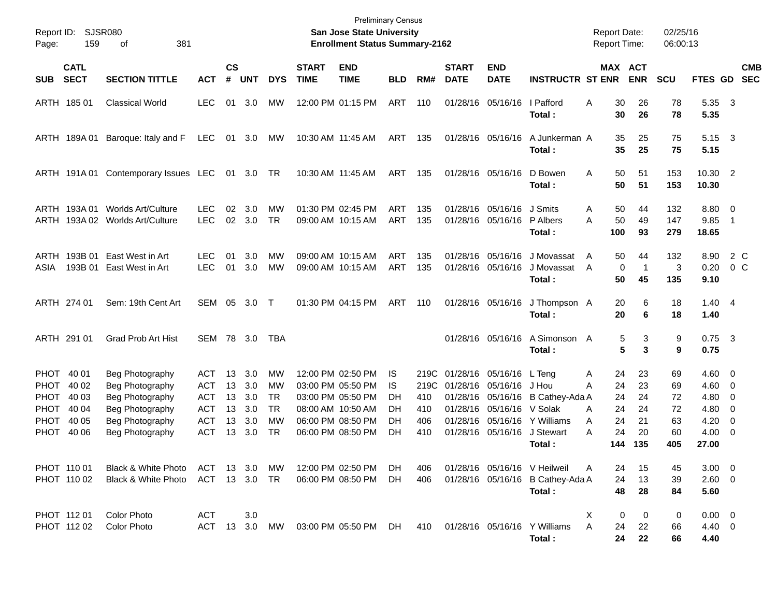| Report ID:<br>159<br>Page:                                                                                            | SJSR080<br>381<br>οf                                                                                           |                                                             |                                  |                                        |                                                       |                             | <b>Preliminary Census</b><br><b>San Jose State University</b><br><b>Enrollment Status Summary-2162</b>                     |                                    |                                  |                             |                                                                                                            |                                                                                          | <b>Report Date:</b><br><b>Report Time:</b>                       |                                           | 02/25/16<br>06:00:13                    |                                                                 |                                                     |
|-----------------------------------------------------------------------------------------------------------------------|----------------------------------------------------------------------------------------------------------------|-------------------------------------------------------------|----------------------------------|----------------------------------------|-------------------------------------------------------|-----------------------------|----------------------------------------------------------------------------------------------------------------------------|------------------------------------|----------------------------------|-----------------------------|------------------------------------------------------------------------------------------------------------|------------------------------------------------------------------------------------------|------------------------------------------------------------------|-------------------------------------------|-----------------------------------------|-----------------------------------------------------------------|-----------------------------------------------------|
| <b>CATL</b><br><b>SECT</b><br><b>SUB</b>                                                                              | <b>SECTION TITTLE</b>                                                                                          | <b>ACT</b>                                                  | <b>CS</b><br>#                   | <b>UNT</b>                             | <b>DYS</b>                                            | <b>START</b><br><b>TIME</b> | <b>END</b><br><b>TIME</b>                                                                                                  | <b>BLD</b>                         | RM#                              | <b>START</b><br><b>DATE</b> | <b>END</b><br><b>DATE</b>                                                                                  | <b>INSTRUCTR ST ENR</b>                                                                  |                                                                  | MAX ACT<br><b>ENR</b>                     | <b>SCU</b>                              | <b>FTES GD</b>                                                  | <b>CMB</b><br><b>SEC</b>                            |
| ARTH 185 01                                                                                                           | <b>Classical World</b>                                                                                         | <b>LEC</b>                                                  |                                  | 01 3.0                                 | МW                                                    |                             | 12:00 PM 01:15 PM                                                                                                          | ART                                | 110                              |                             | 01/28/16 05/16/16                                                                                          | l Pafford<br>Total:                                                                      | 30<br>Α<br>30                                                    | 26<br>26                                  | 78<br>78                                | 5.35<br>5.35                                                    | $\overline{\mathbf{3}}$                             |
| ARTH 189A01                                                                                                           | Baroque: Italy and F                                                                                           | LEC                                                         |                                  | 01 3.0                                 | МW                                                    |                             | 10:30 AM 11:45 AM                                                                                                          | ART                                | 135                              |                             | 01/28/16 05/16/16                                                                                          | A Junkerman A<br>Total:                                                                  | 35<br>35                                                         | 25<br>25                                  | 75<br>75                                | 5.15<br>5.15                                                    | $\overline{\mathbf{3}}$                             |
|                                                                                                                       | ARTH 191A 01 Contemporary Issues LEC                                                                           |                                                             |                                  | 01 3.0 TR                              |                                                       |                             | 10:30 AM 11:45 AM                                                                                                          | ART                                | 135                              |                             | 01/28/16 05/16/16                                                                                          | D Bowen<br>Total:                                                                        | 50<br>Α<br>50                                                    | 51<br>51                                  | 153<br>153                              | 10.30 2<br>10.30                                                |                                                     |
| ARTH 193A 01                                                                                                          | Worlds Art/Culture<br>ARTH 193A 02 Worlds Art/Culture                                                          | <b>LEC</b><br><b>LEC</b>                                    | 02<br>02                         | 3.0<br>3.0                             | <b>MW</b><br><b>TR</b>                                |                             | 01:30 PM 02:45 PM<br>09:00 AM 10:15 AM                                                                                     | ART<br>ART                         | 135<br>135                       |                             | 01/28/16 05/16/16<br>01/28/16 05/16/16                                                                     | J Smits<br>P Albers<br>Total:                                                            | 50<br>A<br>50<br>Α<br>100                                        | 44<br>49<br>93                            | 132<br>147<br>279                       | 8.80<br>9.85<br>18.65                                           | $\overline{\phantom{0}}$<br>$\overline{1}$          |
| ARTH 193B 01<br>193B 01<br>ASIA                                                                                       | East West in Art<br>East West in Art                                                                           | <b>LEC</b><br><b>LEC</b>                                    | 01<br>01                         | 3.0<br>3.0                             | <b>MW</b><br>MW                                       |                             | 09:00 AM 10:15 AM<br>09:00 AM 10:15 AM                                                                                     | ART<br>ART                         | 135<br>135                       |                             | 01/28/16 05/16/16<br>01/28/16 05/16/16                                                                     | J Movassat<br>J Movassat<br>Total:                                                       | 50<br>A<br>A<br>50                                               | 44<br>$\mathbf 0$<br>$\overline{1}$<br>45 | 132<br>3<br>135                         | 8.90<br>0.20<br>9.10                                            | 2 C<br>$0\,$ C                                      |
| ARTH 274 01                                                                                                           | Sem: 19th Cent Art                                                                                             | SEM                                                         |                                  | 05 3.0                                 | $\top$                                                |                             | 01:30 PM 04:15 PM                                                                                                          | ART                                | 110                              |                             | 01/28/16 05/16/16                                                                                          | J Thompson A<br>Total:                                                                   | 20<br>20                                                         | 6<br>6                                    | 18<br>18                                | $1.40 \quad 4$<br>1.40                                          |                                                     |
| ARTH 291 01                                                                                                           | Grad Prob Art Hist                                                                                             | SEM 78 3.0                                                  |                                  |                                        | TBA                                                   |                             |                                                                                                                            |                                    |                                  |                             | 01/28/16 05/16/16                                                                                          | A Simonson A<br>Total:                                                                   |                                                                  | 5<br>3<br>5<br>3                          | 9<br>9                                  | $0.75$ 3<br>0.75                                                |                                                     |
| PHOT 40 01<br>40 02<br>PHOT.<br><b>PHOT</b><br>40 03<br>PHOT<br>40 04<br><b>PHOT</b><br>40 05<br><b>PHOT</b><br>40 06 | Beg Photography<br>Beg Photography<br>Beg Photography<br>Beg Photography<br>Beg Photography<br>Beg Photography | ACT<br><b>ACT</b><br>ACT<br>ACT<br><b>ACT</b><br><b>ACT</b> | 13<br>13<br>13<br>13<br>13<br>13 | 3.0<br>3.0<br>3.0<br>3.0<br>3.0<br>3.0 | МW<br>МW<br><b>TR</b><br><b>TR</b><br>МW<br><b>TR</b> |                             | 12:00 PM 02:50 PM<br>03:00 PM 05:50 PM<br>03:00 PM 05:50 PM<br>08:00 AM 10:50 AM<br>06:00 PM 08:50 PM<br>06:00 PM 08:50 PM | IS.<br>IS.<br>DH<br>DH<br>DH<br>DH | 219C<br>410<br>410<br>406<br>410 |                             | 219C 01/28/16 05/16/16 L Teng<br>01/28/16 05/16/16 J Hou<br>01/28/16 05/16/16 V Solak<br>01/28/16 05/16/16 | 01/28/16 05/16/16 B Cathey-Ada A<br>01/28/16 05/16/16 Y Williams<br>J Stewart<br>Total : | 24<br>Α<br>24<br>Α<br>24<br>24<br>A<br>24<br>A<br>24<br>Α<br>144 | 23<br>23<br>24<br>24<br>21<br>20<br>135   | 69<br>69<br>72<br>72<br>63<br>60<br>405 | $4.60 \quad 0$<br>4.60<br>4.80<br>4.80<br>4.20<br>4.00<br>27.00 | $\overline{\mathbf{0}}$<br>- 0<br>- 0<br>- 0<br>- 0 |
| PHOT 110 01<br>PHOT 110 02                                                                                            | <b>Black &amp; White Photo</b><br>Black & White Photo                                                          | ACT 13 3.0<br>ACT 13 3.0 TR                                 |                                  |                                        | МW                                                    |                             | 12:00 PM 02:50 PM<br>06:00 PM 08:50 PM                                                                                     | DH.<br>DH.                         | 406<br>406                       |                             |                                                                                                            | 01/28/16 05/16/16 V Heilweil<br>01/28/16 05/16/16 B Cathey-Ada A<br>Total:               | 24<br>A<br>24<br>48                                              | 15<br>13<br>28                            | 45<br>39<br>84                          | $3.00 \ 0$<br>2.60 0<br>5.60                                    |                                                     |
| PHOT 11201<br>PHOT 112 02                                                                                             | Color Photo<br>Color Photo                                                                                     | <b>ACT</b><br>ACT 13 3.0 MW                                 |                                  | 3.0                                    |                                                       |                             | 03:00 PM 05:50 PM DH                                                                                                       |                                    | 410                              |                             |                                                                                                            | 01/28/16 05/16/16 Y Williams<br>Total:                                                   | Х<br>A<br>24<br>24                                               | 0<br>0<br>22<br>22                        | 0<br>66<br>66                           | $0.00 \t 0$<br>4.40 0<br>4.40                                   |                                                     |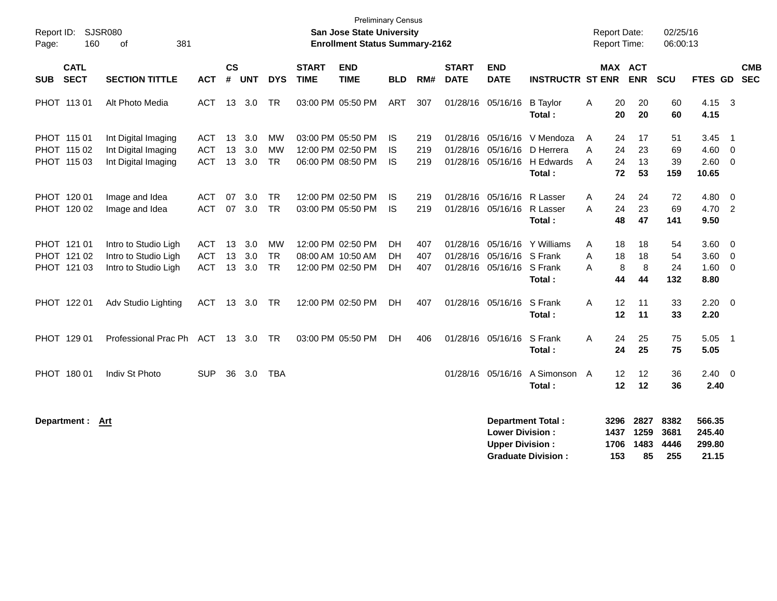| Report ID:<br>160<br>Page:                | <b>SJSR080</b><br>381<br>οf                                          |                                        |                    |                   |                                     |                             | <b>Preliminary Census</b><br><b>San Jose State University</b><br><b>Enrollment Status Summary-2162</b> |                        |                   |                             |                                                    |                                                                 |             | <b>Report Date:</b><br><b>Report Time:</b> |                            | 02/25/16<br>06:00:13        |                                     |                                                                               |            |
|-------------------------------------------|----------------------------------------------------------------------|----------------------------------------|--------------------|-------------------|-------------------------------------|-----------------------------|--------------------------------------------------------------------------------------------------------|------------------------|-------------------|-----------------------------|----------------------------------------------------|-----------------------------------------------------------------|-------------|--------------------------------------------|----------------------------|-----------------------------|-------------------------------------|-------------------------------------------------------------------------------|------------|
| <b>CATL</b><br><b>SECT</b><br><b>SUB</b>  | <b>SECTION TITTLE</b>                                                | ACT                                    | $\mathsf{cs}$<br># | <b>UNT</b>        | <b>DYS</b>                          | <b>START</b><br><b>TIME</b> | <b>END</b><br><b>TIME</b>                                                                              | <b>BLD</b>             | RM#               | <b>START</b><br><b>DATE</b> | <b>END</b><br><b>DATE</b>                          | <b>INSTRUCTR ST ENR</b>                                         |             | MAX ACT                                    | <b>ENR</b>                 | <b>SCU</b>                  | FTES GD SEC                         |                                                                               | <b>CMB</b> |
| PHOT 113 01                               | Alt Photo Media                                                      | ACT.                                   | 13                 | 3.0               | <b>TR</b>                           |                             | 03:00 PM 05:50 PM                                                                                      | <b>ART</b>             | 307               |                             | 01/28/16 05/16/16                                  | <b>B</b> Taylor<br>Total:                                       | A           | 20<br>20                                   | 20<br>20                   | 60<br>60                    | 4.15 3<br>4.15                      |                                                                               |            |
| PHOT 115 01<br>PHOT 115 02<br>PHOT 115 03 | Int Digital Imaging<br>Int Digital Imaging<br>Int Digital Imaging    | <b>ACT</b><br><b>ACT</b><br><b>ACT</b> | 13<br>13<br>13     | 3.0<br>3.0<br>3.0 | <b>MW</b><br><b>MW</b><br><b>TR</b> |                             | 03:00 PM 05:50 PM<br>12:00 PM 02:50 PM<br>06:00 PM 08:50 PM                                            | IS<br>IS<br><b>IS</b>  | 219<br>219<br>219 |                             | 01/28/16 05/16/16<br>01/28/16 05/16/16             | V Mendoza<br>D Herrera<br>01/28/16 05/16/16 H Edwards<br>Total: | A<br>A<br>A | 24<br>24<br>24<br>72                       | 17<br>23<br>13<br>53       | 51<br>69<br>39<br>159       | 3.45<br>4.60<br>2.60<br>10.65       | $\overline{1}$<br>$\overline{\phantom{0}}$<br>$\overline{\phantom{0}}$        |            |
| PHOT 120 01<br>PHOT 120 02                | Image and Idea<br>Image and Idea                                     | <b>ACT</b><br><b>ACT</b>               | 07                 | 3.0<br>07 3.0     | <b>TR</b><br><b>TR</b>              |                             | 12:00 PM 02:50 PM<br>03:00 PM 05:50 PM                                                                 | IS<br>IS               | 219<br>219        |                             | 01/28/16 05/16/16<br>01/28/16 05/16/16             | R Lasser<br>R Lasser<br>Total:                                  | A<br>A      | 24<br>24<br>48                             | 24<br>23<br>47             | 72<br>69<br>141             | 4.80<br>4.70 2<br>9.50              | $\overline{\mathbf{0}}$                                                       |            |
| PHOT 121 01<br>PHOT 121 02<br>PHOT 121 03 | Intro to Studio Ligh<br>Intro to Studio Ligh<br>Intro to Studio Ligh | <b>ACT</b><br><b>ACT</b><br><b>ACT</b> | 13<br>13<br>13     | 3.0<br>3.0<br>3.0 | <b>MW</b><br><b>TR</b><br><b>TR</b> |                             | 12:00 PM 02:50 PM<br>08:00 AM 10:50 AM<br>12:00 PM 02:50 PM                                            | DH<br><b>DH</b><br>DH. | 407<br>407<br>407 | 01/28/16                    | 05/16/16<br>01/28/16 05/16/16<br>01/28/16 05/16/16 | Y Williams<br>S Frank<br>S Frank<br>Total:                      | Α<br>A<br>A | 18<br>18<br>8<br>44                        | 18<br>18<br>8<br>44        | 54<br>54<br>24<br>132       | 3.60<br>3.60<br>1.60<br>8.80        | $\overline{\mathbf{0}}$<br>$\overline{\mathbf{0}}$<br>$\overline{\mathbf{0}}$ |            |
| PHOT 122 01                               | Adv Studio Lighting                                                  | ACT 13 3.0                             |                    |                   | <b>TR</b>                           |                             | 12:00 PM 02:50 PM                                                                                      | DH                     | 407               |                             | 01/28/16 05/16/16                                  | S Frank<br>Total:                                               | A           | 12<br>12                                   | 11<br>11                   | 33<br>33                    | $2.20 \t 0$<br>2.20                 |                                                                               |            |
| PHOT 129 01                               | Professional Prac Ph                                                 | ACT 13 3.0 TR                          |                    |                   |                                     |                             | 03:00 PM 05:50 PM                                                                                      | <b>DH</b>              | 406               |                             | 01/28/16 05/16/16                                  | S Frank<br>Total:                                               | Α           | 24<br>24                                   | 25<br>25                   | 75<br>75                    | $5.05$ 1<br>5.05                    |                                                                               |            |
| PHOT 180 01                               | Indiv St Photo                                                       | <b>SUP</b>                             | 36                 | 3.0               | <b>TBA</b>                          |                             |                                                                                                        |                        |                   |                             | 01/28/16 05/16/16                                  | A Simonson<br>Total:                                            | A           | 12<br>12                                   | 12<br>12                   | 36<br>36                    | $2.40 \quad 0$<br>2.40              |                                                                               |            |
| Department :                              | Art                                                                  |                                        |                    |                   |                                     |                             |                                                                                                        |                        |                   |                             | <b>Lower Division:</b><br><b>Upper Division:</b>   | <b>Department Total:</b><br><b>Graduate Division:</b>           |             | 3296<br>1437<br>1706<br>153                | 2827<br>1259<br>1483<br>85 | 8382<br>3681<br>4446<br>255 | 566.35<br>245.40<br>299.80<br>21.15 |                                                                               |            |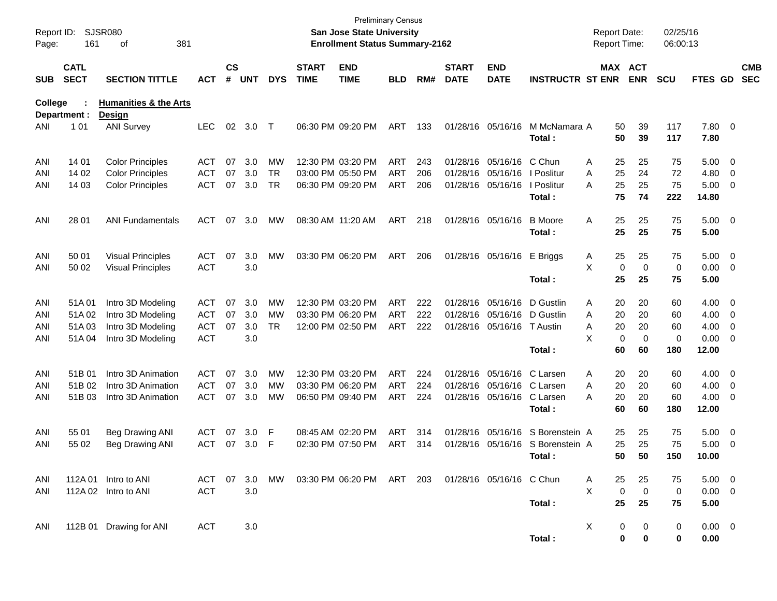| Report ID:<br>Page: | 161                        | <b>SJSR080</b><br>381<br>οf                       |            |                    |            |            |                             | <b>San Jose State University</b><br><b>Enrollment Status Summary-2162</b> | <b>Preliminary Census</b> |     |                             |                            |                                  | <b>Report Date:</b><br><b>Report Time:</b> |                            | 02/25/16<br>06:00:13 |                      |                          |                          |
|---------------------|----------------------------|---------------------------------------------------|------------|--------------------|------------|------------|-----------------------------|---------------------------------------------------------------------------|---------------------------|-----|-----------------------------|----------------------------|----------------------------------|--------------------------------------------|----------------------------|----------------------|----------------------|--------------------------|--------------------------|
| <b>SUB</b>          | <b>CATL</b><br><b>SECT</b> | <b>SECTION TITTLE</b>                             | <b>ACT</b> | $\mathsf{cs}$<br># | <b>UNT</b> | <b>DYS</b> | <b>START</b><br><b>TIME</b> | <b>END</b><br><b>TIME</b>                                                 | <b>BLD</b>                | RM# | <b>START</b><br><b>DATE</b> | <b>END</b><br><b>DATE</b>  | <b>INSTRUCTR ST ENR</b>          |                                            | MAX ACT<br><b>ENR</b>      | <b>SCU</b>           | FTES GD              |                          | <b>CMB</b><br><b>SEC</b> |
| College             | Department :               | <b>Humanities &amp; the Arts</b><br><b>Design</b> |            |                    |            |            |                             |                                                                           |                           |     |                             |                            |                                  |                                            |                            |                      |                      |                          |                          |
| ANI                 | 101                        | <b>ANI Survey</b>                                 | <b>LEC</b> | 02                 | 3.0        | $\top$     |                             | 06:30 PM 09:20 PM                                                         | ART                       | 133 |                             | 01/28/16 05/16/16          | M McNamara A<br>Total:           | 50<br>50                                   | 39<br>39                   | 117<br>117           | 7.80 0<br>7.80       |                          |                          |
| ANI                 | 14 01                      | <b>Color Principles</b>                           | <b>ACT</b> | 07                 | 3.0        | MW         |                             | 12:30 PM 03:20 PM                                                         | <b>ART</b>                | 243 |                             | 01/28/16 05/16/16          | C Chun                           | 25<br>Α                                    | 25                         | 75                   | $5.00 \t 0$          |                          |                          |
| ANI                 | 14 02                      | <b>Color Principles</b>                           | <b>ACT</b> | 07                 | 3.0        | <b>TR</b>  |                             | 03:00 PM 05:50 PM                                                         | <b>ART</b>                | 206 |                             | 01/28/16 05/16/16          | I Poslitur                       | 25<br>A                                    | 24                         | 72                   | 4.80                 | $\overline{\phantom{0}}$ |                          |
| ANI                 | 14 03                      | <b>Color Principles</b>                           | <b>ACT</b> | 07                 | 3.0        | <b>TR</b>  |                             | 06:30 PM 09:20 PM                                                         | <b>ART</b>                | 206 |                             | 01/28/16 05/16/16          | I Poslitur<br>Total :            | 25<br>A<br>75                              | 25<br>74                   | 75<br>222            | $5.00 \t 0$<br>14.80 |                          |                          |
| ANI                 | 28 01                      | <b>ANI Fundamentals</b>                           | <b>ACT</b> | 07                 | 3.0        | MW         |                             | 08:30 AM 11:20 AM                                                         | ART                       | 218 |                             | 01/28/16 05/16/16          | <b>B</b> Moore<br>Total:         | 25<br>Α<br>25                              | 25<br>25                   | 75<br>75             | $5.00 \t 0$<br>5.00  |                          |                          |
| ANI                 | 50 01                      | <b>Visual Principles</b>                          | <b>ACT</b> | 07                 | 3.0        | MW         |                             | 03:30 PM 06:20 PM                                                         | ART                       | 206 |                             | 01/28/16 05/16/16          | E Briggs                         | 25<br>A                                    | 25                         | 75                   | $5.00 \t 0$          |                          |                          |
| ANI                 | 50 02                      | <b>Visual Principles</b>                          | <b>ACT</b> |                    | 3.0        |            |                             |                                                                           |                           |     |                             |                            |                                  | X                                          | $\mathbf 0$<br>$\mathbf 0$ | 0                    | $0.00 \t 0$          |                          |                          |
|                     |                            |                                                   |            |                    |            |            |                             |                                                                           |                           |     |                             |                            | Total:                           | 25                                         | 25                         | 75                   | 5.00                 |                          |                          |
| ANI                 | 51A01                      | Intro 3D Modeling                                 | ACT        | 07                 | 3.0        | MW         |                             | 12:30 PM 03:20 PM                                                         | ART                       | 222 |                             | 01/28/16 05/16/16          | D Gustlin                        | 20<br>Α                                    | 20                         | 60                   | $4.00 \ 0$           |                          |                          |
| ANI                 | 51A02                      | Intro 3D Modeling                                 | <b>ACT</b> | 07                 | 3.0        | MW         |                             | 03:30 PM 06:20 PM                                                         | <b>ART</b>                | 222 |                             | 01/28/16 05/16/16          | D Gustlin                        | 20<br>A                                    | 20                         | 60                   | 4.00                 | $\overline{\phantom{0}}$ |                          |
| ANI                 | 51A03                      | Intro 3D Modeling                                 | <b>ACT</b> | 07                 | 3.0        | <b>TR</b>  |                             | 12:00 PM 02:50 PM                                                         | ART                       | 222 |                             | 01/28/16 05/16/16          | T Austin                         | 20<br>Α                                    | 20                         | 60                   | 4.00                 | $\overline{\phantom{0}}$ |                          |
| ANI                 | 51A04                      | Intro 3D Modeling                                 | <b>ACT</b> |                    | 3.0        |            |                             |                                                                           |                           |     |                             |                            |                                  | X                                          | 0<br>$\mathbf 0$           | 0                    | $0.00 \t 0$          |                          |                          |
|                     |                            |                                                   |            |                    |            |            |                             |                                                                           |                           |     |                             |                            | Total:                           | 60                                         | 60                         | 180                  | 12.00                |                          |                          |
| ANI                 | 51B 01                     | Intro 3D Animation                                | <b>ACT</b> | 07                 | 3.0        | MW         |                             | 12:30 PM 03:20 PM                                                         | <b>ART</b>                | 224 |                             | 01/28/16 05/16/16          | C Larsen                         | 20<br>Α                                    | 20                         | 60                   | $4.00 \ 0$           |                          |                          |
| ANI                 | 51B 02                     | Intro 3D Animation                                | <b>ACT</b> | 07                 | 3.0        | MW         |                             | 03:30 PM 06:20 PM                                                         | ART                       | 224 |                             | 01/28/16 05/16/16 C Larsen |                                  | 20<br>A                                    | 20                         | 60                   | $4.00 \ 0$           |                          |                          |
| ANI                 | 51B 03                     | Intro 3D Animation                                | <b>ACT</b> | 07                 | 3.0        | МW         |                             | 06:50 PM 09:40 PM                                                         | ART                       | 224 |                             | 01/28/16 05/16/16          | C Larsen                         | 20<br>A                                    | 20                         | 60                   | $4.00 \ 0$           |                          |                          |
|                     |                            |                                                   |            |                    |            |            |                             |                                                                           |                           |     |                             |                            | Total :                          | 60                                         | 60                         | 180                  | 12.00                |                          |                          |
| ANI                 | 55 01                      | <b>Beg Drawing ANI</b>                            | ACT        | 07                 | 3.0        | -F         |                             | 08:45 AM 02:20 PM                                                         | ART                       | 314 |                             | 01/28/16 05/16/16          | S Borenstein A                   | 25                                         | 25                         | 75                   | 5.00                 | $\overline{\phantom{0}}$ |                          |
| ANI                 | 55 02                      | Beg Drawing ANI                                   | <b>ACT</b> | 07                 | 3.0        | -F         |                             | 02:30 PM 07:50 PM                                                         | ART                       | 314 |                             |                            | 01/28/16 05/16/16 S Borenstein A | 25                                         | 25                         | 75                   | 5.00                 | $\overline{\phantom{0}}$ |                          |
|                     |                            |                                                   |            |                    |            |            |                             |                                                                           |                           |     |                             |                            | Total:                           |                                            | 50<br>50                   | 150                  | 10.00                |                          |                          |
| ANI                 |                            | 112A 01 Intro to ANI                              | ACT 07     |                    |            |            |                             | 3.0 MW 03:30 PM 06:20 PM ART 203 01/28/16 05/16/16 C Chun                 |                           |     |                             |                            |                                  | 25<br>A                                    | 25                         | 75                   | $5.00 \quad 0$       |                          |                          |
| ANI                 |                            | 112A 02 Intro to ANI                              | <b>ACT</b> |                    | 3.0        |            |                             |                                                                           |                           |     |                             |                            |                                  | X                                          | $\mathbf 0$<br>$\mathbf 0$ | 0                    | $0.00 \t 0$          |                          |                          |
|                     |                            |                                                   |            |                    |            |            |                             |                                                                           |                           |     |                             |                            | Total:                           | 25                                         | 25                         | 75                   | 5.00                 |                          |                          |
| ANI                 |                            | 112B 01 Drawing for ANI                           | <b>ACT</b> |                    | 3.0        |            |                             |                                                                           |                           |     |                             |                            |                                  | Χ                                          | 0<br>0                     | 0                    | $0.00 \t 0$          |                          |                          |
|                     |                            |                                                   |            |                    |            |            |                             |                                                                           |                           |     |                             |                            | Total:                           |                                            | 0<br>$\bf{0}$              | 0                    | 0.00                 |                          |                          |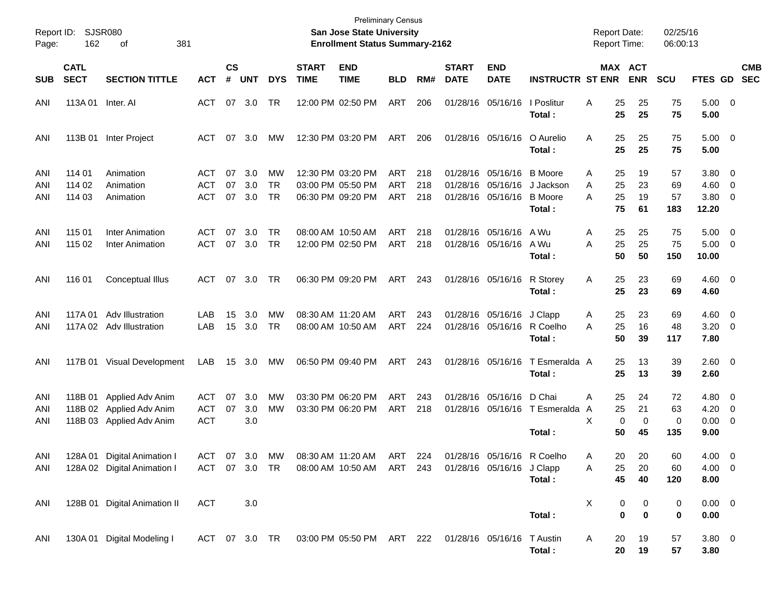| Report ID:<br>Page: | 162                        | SJSR080<br>381<br>οf                                                     |                                 |                |                   |                              |                             | <b>Preliminary Census</b><br>San Jose State University<br><b>Enrollment Status Summary-2162</b> |                          |                   |                             |                                                                     |                                         | <b>Report Date:</b><br><b>Report Time:</b> |                               | 02/25/16<br>06:00:13  |                                              |                           |
|---------------------|----------------------------|--------------------------------------------------------------------------|---------------------------------|----------------|-------------------|------------------------------|-----------------------------|-------------------------------------------------------------------------------------------------|--------------------------|-------------------|-----------------------------|---------------------------------------------------------------------|-----------------------------------------|--------------------------------------------|-------------------------------|-----------------------|----------------------------------------------|---------------------------|
| <b>SUB</b>          | <b>CATL</b><br><b>SECT</b> | <b>SECTION TITTLE</b>                                                    | <b>ACT</b>                      | <b>CS</b><br># | <b>UNT</b>        | <b>DYS</b>                   | <b>START</b><br><b>TIME</b> | <b>END</b><br><b>TIME</b>                                                                       | <b>BLD</b>               | RM#               | <b>START</b><br><b>DATE</b> | <b>END</b><br><b>DATE</b>                                           | <b>INSTRUCTR ST ENR</b>                 |                                            | <b>MAX ACT</b><br><b>ENR</b>  | <b>SCU</b>            |                                              | <b>CMB</b><br>FTES GD SEC |
| ANI                 | 113A 01 Inter. AI          |                                                                          | ACT                             |                | 07 3.0            | <b>TR</b>                    |                             | 12:00 PM 02:50 PM                                                                               | ART                      | 206               |                             | 01/28/16 05/16/16   Poslitur                                        | Total:                                  | 25<br>Α<br>25                              | 25<br>25                      | 75<br>75              | $5.00 \t 0$<br>5.00                          |                           |
| ANI                 | 113B 01                    | Inter Project                                                            | ACT                             |                | 07 3.0            | МW                           |                             | 12:30 PM 03:20 PM                                                                               | ART                      | 206               |                             | 01/28/16 05/16/16                                                   | O Aurelio<br>Total:                     | 25<br>A<br>25                              | 25<br>25                      | 75<br>75              | $5.00 \t 0$<br>5.00                          |                           |
| ANI<br>ANI<br>ANI   | 114 01<br>114 02<br>114 03 | Animation<br>Animation<br>Animation                                      | ACT<br><b>ACT</b><br><b>ACT</b> | 07<br>07<br>07 | 3.0<br>3.0<br>3.0 | МW<br><b>TR</b><br><b>TR</b> |                             | 12:30 PM 03:20 PM<br>03:00 PM 05:50 PM<br>06:30 PM 09:20 PM                                     | ART<br><b>ART</b><br>ART | 218<br>218<br>218 |                             | 01/28/16 05/16/16 B Moore<br>01/28/16 05/16/16<br>01/28/16 05/16/16 | J Jackson<br><b>B</b> Moore<br>Total:   | 25<br>A<br>25<br>Α<br>A<br>25<br>75        | 19<br>23<br>19<br>61          | 57<br>69<br>57<br>183 | $3.80 \ 0$<br>$4.60$ 0<br>$3.80\ 0$<br>12.20 |                           |
| ANI<br>ANI          | 115 01<br>115 02           | <b>Inter Animation</b><br><b>Inter Animation</b>                         | ACT<br><b>ACT</b>               | 07<br>07       | 3.0<br>3.0        | TR<br><b>TR</b>              |                             | 08:00 AM 10:50 AM<br>12:00 PM 02:50 PM                                                          | <b>ART</b><br>ART        | 218<br>218        |                             | 01/28/16 05/16/16<br>01/28/16 05/16/16                              | A Wu<br>A Wu<br>Total:                  | 25<br>A<br>25<br>A<br>50                   | 25<br>25<br>50                | 75<br>75<br>150       | $5.00 \t 0$<br>$5.00 \t 0$<br>10.00          |                           |
| ANI                 | 116 01                     | Conceptual Illus                                                         | ACT                             |                | 07 3.0            | TR                           |                             | 06:30 PM 09:20 PM                                                                               | ART                      | 243               |                             | 01/28/16 05/16/16                                                   | R Storey<br>Total:                      | 25<br>A<br>25                              | 23<br>23                      | 69<br>69              | $4.60$ 0<br>4.60                             |                           |
| ANI<br>ANI          |                            | 117A 01 Adv Illustration<br>117A 02 Adv Illustration                     | LAB<br>LAB                      | 15<br>15       | 3.0<br>3.0        | МW<br>TR                     |                             | 08:30 AM 11:20 AM<br>08:00 AM 10:50 AM                                                          | ART<br>ART               | 243<br>224        |                             | 01/28/16 05/16/16 J Clapp<br>01/28/16 05/16/16 R Coelho             | Total:                                  | 25<br>A<br>25<br>A<br>50                   | 23<br>16<br>39                | 69<br>48<br>117       | $4.60 \quad 0$<br>$3.20 \ 0$<br>7.80         |                           |
| ANI                 |                            | 117B 01 Visual Development                                               | LAB                             |                | 15 3.0            | МW                           |                             | 06:50 PM 09:40 PM                                                                               | ART                      | 243               |                             | 01/28/16 05/16/16                                                   | T Esmeralda A<br>Total:                 | 25<br>25                                   | 13<br>13                      | 39<br>39              | $2.60 \t 0$<br>2.60                          |                           |
| ANI<br>ANI<br>ANI   | 118B 01                    | Applied Adv Anim<br>118B 02 Applied Adv Anim<br>118B 03 Applied Adv Anim | ACT<br><b>ACT</b><br><b>ACT</b> | 07<br>07       | 3.0<br>3.0<br>3.0 | <b>MW</b><br>MW              |                             | 03:30 PM 06:20 PM<br>03:30 PM 06:20 PM                                                          | <b>ART</b><br>ART        | 243<br>218        |                             | 01/28/16 05/16/16 D Chai                                            | 01/28/16 05/16/16 T Esmeralda<br>Total: | 25<br>A<br>25<br>A<br>X<br>0<br>50         | 24<br>21<br>$\mathbf 0$<br>45 | 72<br>63<br>0<br>135  | $4.80\ 0$<br>4.20<br>$0.00 \t 0$<br>9.00     | $\overline{\mathbf{0}}$   |
| <b>ANI</b><br>ANI   |                            | 128A 01 Digital Animation I<br>128A 02 Digital Animation I               | <b>ACT</b><br>ACT 07 3.0 TR     |                | 07 3.0 MW         |                              |                             | 08:30 AM 11:20 AM<br>08:00 AM 10:50 AM                                                          | ART<br>ART 243           | 224               |                             | 01/28/16 05/16/16 R Coelho<br>01/28/16 05/16/16 J Clapp             | Total:                                  | 20<br>A<br>25<br>Α<br>45                   | 20<br>20<br>40                | 60<br>60<br>120       | 4.00 0<br>$4.00 \ 0$<br>8.00                 |                           |
| ANI                 |                            | 128B 01 Digital Animation II                                             | <b>ACT</b>                      |                | 3.0               |                              |                             |                                                                                                 |                          |                   |                             |                                                                     | Total:                                  | Х                                          | 0<br>0<br>$\bf{0}$<br>0       | 0<br>0                | $0.00 \t 0$<br>0.00                          |                           |
| ANI                 |                            | 130A 01 Digital Modeling I                                               | ACT 07 3.0 TR                   |                |                   |                              |                             | 03:00 PM 05:50 PM ART 222 01/28/16 05/16/16 TAustin                                             |                          |                   |                             |                                                                     | Total:                                  | 20<br>A<br>20                              | 19<br>19                      | 57<br>57              | 3.80 0<br>3.80                               |                           |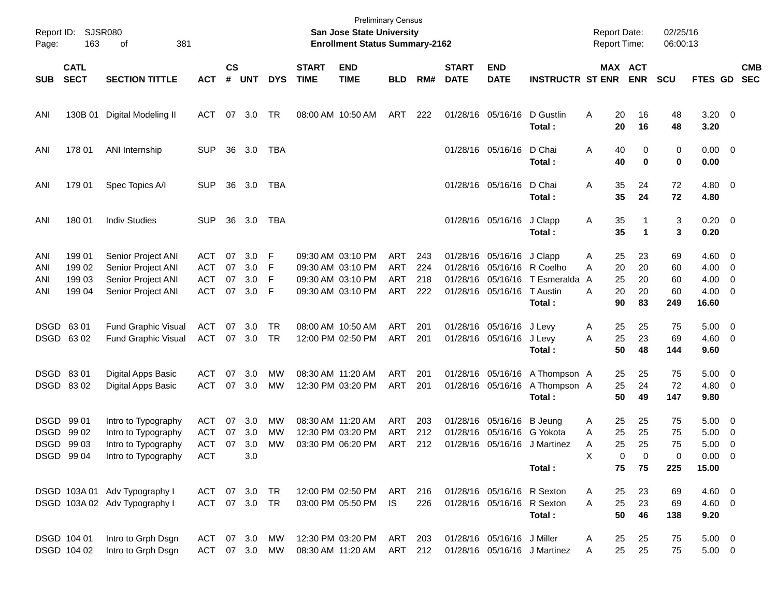| Page:                    | Report ID: SJSR080<br>163              | 381<br>οf                                                                                |                                               |                      |                          |                       |                             | <b>Preliminary Census</b><br>San Jose State University<br><b>Enrollment Status Summary-2162</b> |                                        |                          |                             |                                                                                           |                                                          | <b>Report Date:</b><br><b>Report Time:</b>     |                                | 02/25/16<br>06:00:13        |                                                             |                                                      |                          |
|--------------------------|----------------------------------------|------------------------------------------------------------------------------------------|-----------------------------------------------|----------------------|--------------------------|-----------------------|-----------------------------|-------------------------------------------------------------------------------------------------|----------------------------------------|--------------------------|-----------------------------|-------------------------------------------------------------------------------------------|----------------------------------------------------------|------------------------------------------------|--------------------------------|-----------------------------|-------------------------------------------------------------|------------------------------------------------------|--------------------------|
| <b>SUB</b>               | <b>CATL</b><br><b>SECT</b>             | <b>SECTION TITTLE</b>                                                                    | <b>ACT</b>                                    | $\mathsf{cs}$<br>#   | <b>UNT</b>               | <b>DYS</b>            | <b>START</b><br><b>TIME</b> | <b>END</b><br><b>TIME</b>                                                                       | <b>BLD</b>                             | RM#                      | <b>START</b><br><b>DATE</b> | <b>END</b><br><b>DATE</b>                                                                 | <b>INSTRUCTR ST ENR</b>                                  |                                                | MAX ACT<br><b>ENR</b>          | <b>SCU</b>                  | FTES GD                                                     |                                                      | <b>CMB</b><br><b>SEC</b> |
| ANI                      | 130B 01                                | Digital Modeling II                                                                      | ACT                                           | 07                   | 3.0                      | TR                    | 08:00 AM 10:50 AM           |                                                                                                 | ART                                    | 222                      |                             | 01/28/16 05/16/16                                                                         | D Gustlin<br>Total:                                      | A<br>20<br>20                                  | 16<br>16                       | 48<br>48                    | $3.20 \ 0$<br>3.20                                          |                                                      |                          |
| ANI                      | 178 01                                 | ANI Internship                                                                           | <b>SUP</b>                                    | 36                   | 3.0                      | TBA                   |                             |                                                                                                 |                                        |                          |                             | 01/28/16 05/16/16                                                                         | D Chai<br>Total:                                         | Α<br>40<br>40                                  | 0<br>0                         | 0<br>0                      | $0.00 \t 0$<br>0.00                                         |                                                      |                          |
| ANI                      | 179 01                                 | Spec Topics A/I                                                                          | <b>SUP</b>                                    | 36                   | 3.0                      | TBA                   |                             |                                                                                                 |                                        |                          |                             | 01/28/16 05/16/16                                                                         | D Chai<br>Total:                                         | 35<br>Α<br>35                                  | 24<br>24                       | 72<br>72                    | $4.80\ 0$<br>4.80                                           |                                                      |                          |
| ANI                      | 180 01                                 | <b>Indiv Studies</b>                                                                     | <b>SUP</b>                                    | 36                   | 3.0                      | TBA                   |                             |                                                                                                 |                                        |                          |                             | 01/28/16 05/16/16                                                                         | J Clapp<br>Total:                                        | 35<br>Α<br>35                                  | 1<br>$\mathbf 1$               | 3<br>3                      | $0.20 \ 0$<br>0.20                                          |                                                      |                          |
| ANI<br>ANI<br>ANI<br>ANI | 199 01<br>199 02<br>199 03<br>199 04   | Senior Project ANI<br>Senior Project ANI<br>Senior Project ANI<br>Senior Project ANI     | ACT<br>ACT<br><b>ACT</b><br><b>ACT</b>        | 07<br>07<br>07<br>07 | 3.0<br>3.0<br>3.0<br>3.0 | F<br>F<br>F<br>F      |                             | 09:30 AM 03:10 PM<br>09:30 AM 03:10 PM<br>09:30 AM 03:10 PM<br>09:30 AM 03:10 PM                | ART<br><b>ART</b><br><b>ART</b><br>ART | 243<br>224<br>218<br>222 |                             | 01/28/16 05/16/16<br>01/28/16 05/16/16 R Coelho<br>01/28/16 05/16/16<br>01/28/16 05/16/16 | J Clapp<br>T Esmeralda<br>T Austin<br>Total:             | 25<br>Α<br>20<br>А<br>25<br>A<br>20<br>А<br>90 | 23<br>20<br>20<br>20<br>83     | 69<br>60<br>60<br>60<br>249 | $4.60 \quad 0$<br>$4.00 \ 0$<br>4.00<br>$4.00 \ 0$<br>16.60 | $\overline{\phantom{0}}$                             |                          |
| DSGD 6301                | DSGD 6302                              | Fund Graphic Visual<br>Fund Graphic Visual                                               | ACT<br>ACT                                    | 07<br>07             | 3.0<br>3.0               | TR.<br><b>TR</b>      |                             | 08:00 AM 10:50 AM<br>12:00 PM 02:50 PM                                                          | ART<br>ART                             | 201<br>201               |                             | 01/28/16 05/16/16 J Levy<br>01/28/16 05/16/16                                             | J Levy<br>Total:                                         | 25<br>Α<br>25<br>A<br>50                       | 25<br>23<br>48                 | 75<br>69<br>144             | $5.00 \t 0$<br>$4.60$ 0<br>9.60                             |                                                      |                          |
| DSGD 83 01               | DSGD 8302                              | Digital Apps Basic<br>Digital Apps Basic                                                 | ACT<br>ACT                                    | 07<br>07             | 3.0<br>3.0               | MW<br><b>MW</b>       |                             | 08:30 AM 11:20 AM<br>12:30 PM 03:20 PM                                                          | ART<br>ART                             | 201<br>201               |                             | 01/28/16 05/16/16<br>01/28/16 05/16/16                                                    | A Thompson A<br>A Thompson A<br>Total:                   | 25<br>25<br>50                                 | 25<br>24<br>49                 | 75<br>72<br>147             | $5.00 \t 0$<br>$4.80\ 0$<br>9.80                            |                                                      |                          |
| DSGD 99 01               | DSGD 99 02<br>DSGD 99 03<br>DSGD 99 04 | Intro to Typography<br>Intro to Typography<br>Intro to Typography<br>Intro to Typography | ACT<br><b>ACT</b><br><b>ACT</b><br><b>ACT</b> | 07<br>07<br>07       | 3.0<br>3.0<br>3.0<br>3.0 | МW<br>MW<br><b>MW</b> |                             | 08:30 AM 11:20 AM<br>12:30 PM 03:20 PM<br>03:30 PM 06:20 PM                                     | ART<br><b>ART</b><br>ART               | 203<br>212<br>212        | 01/28/16                    | 01/28/16 05/16/16<br>05/16/16 G Yokota                                                    | <b>B</b> Jeung<br>01/28/16 05/16/16 J Martinez<br>Total: | 25<br>Α<br>25<br>A<br>25<br>Α<br>х<br>75       | 25<br>25<br>25<br>0<br>0<br>75 | 75<br>75<br>75<br>0<br>225  | $5.00 \t 0$<br>5.00<br>5.00<br>$0.00 \t 0$<br>15.00         | $\overline{\phantom{0}}$<br>$\overline{\phantom{0}}$ |                          |
|                          |                                        | DSGD 103A 01 Adv Typography I<br>DSGD 103A 02 Adv Typography I                           | ACT 07 3.0 TR<br>ACT 07 3.0 TR                |                      |                          |                       |                             | 12:00 PM 02:50 PM<br>03:00 PM 05:50 PM                                                          | ART<br>IS.                             | 216<br>226               |                             | 01/28/16 05/16/16 R Sexton<br>01/28/16 05/16/16 R Sexton                                  | Total:                                                   | 25<br>Α<br>25<br>A<br>50                       | 23<br>23<br>46                 | 69<br>69<br>138             | $4.60$ 0<br>$4.60$ 0<br>9.20                                |                                                      |                          |
|                          | DSGD 104 01<br>DSGD 104 02             | Intro to Grph Dsgn<br>Intro to Grph Dsgn                                                 | ACT<br>ACT 07 3.0 MW                          |                      | 07 3.0                   | МW                    |                             | 12:30 PM 03:20 PM<br>08:30 AM 11:20 AM                                                          | ART<br>ART 212                         | 203                      |                             | 01/28/16 05/16/16 J Miller                                                                | 01/28/16 05/16/16 J Martinez                             | 25<br>Α<br>25<br>Α                             | 25<br>25                       | 75<br>75                    | $5.00 \t 0$<br>$5.00 \t 0$                                  |                                                      |                          |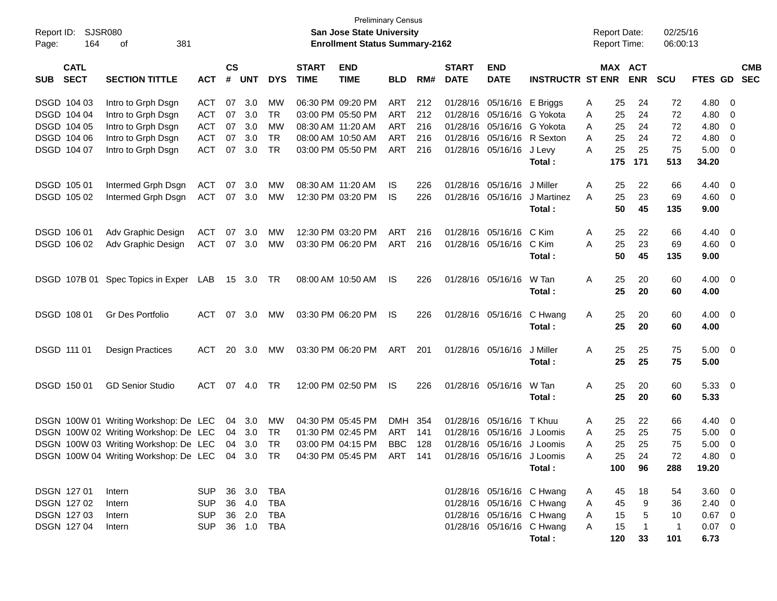| Report ID:  | <b>SJSR080</b>             |                                                                                                      |            |                    |            |            |                             | <b>Preliminary Census</b><br><b>San Jose State University</b> |            |     |                             |                            |                           |   | <b>Report Date:</b> |                | 02/25/16     |                |                          |
|-------------|----------------------------|------------------------------------------------------------------------------------------------------|------------|--------------------|------------|------------|-----------------------------|---------------------------------------------------------------|------------|-----|-----------------------------|----------------------------|---------------------------|---|---------------------|----------------|--------------|----------------|--------------------------|
| Page:       | 164                        | 381<br>οf                                                                                            |            |                    |            |            |                             | <b>Enrollment Status Summary-2162</b>                         |            |     |                             |                            |                           |   | <b>Report Time:</b> |                | 06:00:13     |                |                          |
| <b>SUB</b>  | <b>CATL</b><br><b>SECT</b> | <b>SECTION TITTLE</b>                                                                                | <b>ACT</b> | $\mathsf{cs}$<br># | <b>UNT</b> | <b>DYS</b> | <b>START</b><br><b>TIME</b> | <b>END</b><br><b>TIME</b>                                     | <b>BLD</b> | RM# | <b>START</b><br><b>DATE</b> | <b>END</b><br><b>DATE</b>  | <b>INSTRUCTR ST ENR</b>   |   | MAX ACT             | <b>ENR</b>     | <b>SCU</b>   | FTES GD        | <b>CMB</b><br><b>SEC</b> |
|             | DSGD 104 03                | Intro to Grph Dsgn                                                                                   | ACT        | 07                 | 3.0        | мw         |                             | 06:30 PM 09:20 PM                                             | ART        | 212 |                             | 01/28/16 05/16/16 E Briggs |                           | Α | 25                  | 24             | 72           | 4.80           | - 0                      |
|             | DSGD 104 04                | Intro to Grph Dsgn                                                                                   | <b>ACT</b> | 07                 | 3.0        | TR         |                             | 03:00 PM 05:50 PM                                             | ART        | 212 | 01/28/16                    | 05/16/16                   | G Yokota                  | A | 25                  | 24             | 72           | 4.80           | - 0                      |
|             | DSGD 104 05                | Intro to Grph Dsgn                                                                                   | <b>ACT</b> | 07                 | 3.0        | МW         |                             | 08:30 AM 11:20 AM                                             | <b>ART</b> | 216 | 01/28/16                    | 05/16/16                   | G Yokota                  | A | 25                  | 24             | 72           | 4.80           | $\overline{\mathbf{0}}$  |
|             | DSGD 104 06                | Intro to Grph Dsgn                                                                                   | <b>ACT</b> | 07                 | 3.0        | <b>TR</b>  |                             | 08:00 AM 10:50 AM                                             | ART        | 216 | 01/28/16                    | 05/16/16                   | R Sexton                  | A | 25                  | 24             | 72           | 4.80           | $\overline{0}$           |
|             | DSGD 104 07                | Intro to Grph Dsgn                                                                                   | <b>ACT</b> | 07                 | 3.0        | <b>TR</b>  |                             | 03:00 PM 05:50 PM                                             | ART        | 216 | 01/28/16                    | 05/16/16                   | J Levy                    | Α | 25                  | 25             | 75           | 5.00           | $\overline{\mathbf{0}}$  |
|             |                            |                                                                                                      |            |                    |            |            |                             |                                                               |            |     |                             |                            | Total:                    |   | 175                 | 171            | 513          | 34.20          |                          |
|             | DSGD 105 01                | Intermed Grph Dsgn                                                                                   | <b>ACT</b> | 07                 | 3.0        | <b>MW</b>  |                             | 08:30 AM 11:20 AM                                             | IS         | 226 | 01/28/16                    | 05/16/16                   | J Miller                  | A | 25                  | 22             | 66           | 4.40           | - 0                      |
|             | DSGD 105 02                | Intermed Grph Dsgn                                                                                   | ACT        | 07                 | 3.0        | МW         |                             | 12:30 PM 03:20 PM                                             | IS         | 226 | 01/28/16                    | 05/16/16                   | J Martinez                | A | 25                  | 23             | 69           | 4.60           | $\overline{\phantom{0}}$ |
|             |                            |                                                                                                      |            |                    |            |            |                             |                                                               |            |     |                             |                            | Total:                    |   | 50                  | 45             | 135          | 9.00           |                          |
|             | DSGD 106 01                | Adv Graphic Design                                                                                   | <b>ACT</b> | 07                 | 3.0        | MW         |                             | 12:30 PM 03:20 PM                                             | ART        | 216 | 01/28/16                    | 05/16/16                   | C Kim                     | A | 25                  | 22             | 66           | 4.40           | - 0                      |
|             | DSGD 106 02                | Adv Graphic Design                                                                                   | <b>ACT</b> | 07                 | 3.0        | MW         |                             | 03:30 PM 06:20 PM                                             | ART        | 216 | 01/28/16 05/16/16           |                            | C Kim                     | Α | 25                  | 23             | 69           | $4.60$ 0       |                          |
|             |                            |                                                                                                      |            |                    |            |            |                             |                                                               |            |     |                             |                            | Total:                    |   | 50                  | 45             | 135          | 9.00           |                          |
|             |                            | DSGD 107B 01 Spec Topics in Exper                                                                    | LAB        |                    | 15 3.0     | TR.        |                             | 08:00 AM 10:50 AM                                             | IS         | 226 |                             | 01/28/16 05/16/16          | W Tan                     | A | 25                  | 20             | 60           | 4.00           | $\overline{\phantom{0}}$ |
|             |                            |                                                                                                      |            |                    |            |            |                             |                                                               |            |     |                             |                            | Total:                    |   | 25                  | 20             | 60           | 4.00           |                          |
|             | DSGD 108 01                | Gr Des Portfolio                                                                                     | ACT        | 07                 | 3.0        | МW         |                             | 03:30 PM 06:20 PM                                             | IS         | 226 |                             | 01/28/16 05/16/16          | C Hwang                   | A | 25                  | 20             | 60           | 4.00           | $\overline{\phantom{0}}$ |
|             |                            |                                                                                                      |            |                    |            |            |                             |                                                               |            |     |                             |                            | Total:                    |   | 25                  | 20             | 60           | 4.00           |                          |
| DSGD 111 01 |                            | <b>Design Practices</b>                                                                              | ACT        | 20                 | 3.0        | <b>MW</b>  |                             | 03:30 PM 06:20 PM                                             | ART        | 201 | 01/28/16 05/16/16           |                            | J Miller                  | A | 25                  | 25             | 75           | $5.00 \quad 0$ |                          |
|             |                            |                                                                                                      |            |                    |            |            |                             |                                                               |            |     |                             |                            | Total:                    |   | 25                  | 25             | 75           | 5.00           |                          |
|             | DSGD 150 01                | <b>GD Senior Studio</b>                                                                              | <b>ACT</b> | 07                 | 4.0        | <b>TR</b>  |                             | 12:00 PM 02:50 PM                                             | IS         | 226 |                             | 01/28/16 05/16/16          | W Tan                     | A | 25                  | 20             | 60           | $5.33 \quad 0$ |                          |
|             |                            |                                                                                                      |            |                    |            |            |                             |                                                               |            |     |                             |                            | Total:                    |   | 25                  | 20             | 60           | 5.33           |                          |
|             |                            | DSGN 100W 01 Writing Workshop: De LEC                                                                |            | 04                 | 3.0        | <b>MW</b>  |                             | 04:30 PM 05:45 PM                                             | DMH        | 354 | 01/28/16                    | 05/16/16                   | T Khuu                    | A | 25                  | 22             | 66           | 4.40           | - 0                      |
|             |                            | DSGN 100W 02 Writing Workshop: De LEC                                                                |            | 04                 | 3.0        | TR         |                             | 01:30 PM 02:45 PM                                             | ART        | 141 | 01/28/16                    | 05/16/16                   | J Loomis                  | A | 25                  | 25             | 75           | 5.00           | $\overline{\mathbf{0}}$  |
|             |                            | DSGN 100W 03 Writing Workshop: De LEC                                                                |            |                    | 04 3.0     | <b>TR</b>  |                             | 03:00 PM 04:15 PM                                             | <b>BBC</b> | 128 |                             | 01/28/16 05/16/16 J Loomis |                           | A | 25                  | 25             | 75           | 5.00           | 0                        |
|             |                            | DSGN 100W 04 Writing Workshop: De LEC 04 3.0 TR 04:30 PM 05:45 PM ART 141 01/28/16 05/16/16 J Loomis |            |                    |            |            |                             |                                                               |            |     |                             |                            |                           | A | 25                  | 24             | 72           | 4.80 0         |                          |
|             |                            |                                                                                                      |            |                    |            |            |                             |                                                               |            |     |                             |                            | Total:                    |   | 100                 | 96             | 288          | 19.20          |                          |
|             | DSGN 127 01                | Intern                                                                                               | <b>SUP</b> |                    | 36 3.0     | TBA        |                             |                                                               |            |     |                             | 01/28/16 05/16/16 C Hwang  |                           | A | 45                  | 18             | 54           | $3.60 \ 0$     |                          |
|             | DSGN 127 02                | Intern                                                                                               | <b>SUP</b> |                    | 36 4.0     | <b>TBA</b> |                             |                                                               |            |     |                             | 01/28/16 05/16/16 C Hwang  |                           | A | 45                  | 9              | 36           | $2.40 \ 0$     |                          |
|             | DSGN 127 03                | Intern                                                                                               | <b>SUP</b> |                    | 36 2.0     | TBA        |                             |                                                               |            |     |                             | 01/28/16 05/16/16 C Hwang  |                           | A | 15                  | $\overline{5}$ | 10           | $0.67$ 0       |                          |
|             | DSGN 127 04                | Intern                                                                                               | <b>SUP</b> |                    | 36 1.0     | TBA        |                             |                                                               |            |     |                             |                            | 01/28/16 05/16/16 C Hwang | A | 15                  | $\overline{1}$ | $\mathbf{1}$ | $0.07$ 0       |                          |
|             |                            |                                                                                                      |            |                    |            |            |                             |                                                               |            |     |                             |                            | Total:                    |   | 120                 | 33             | 101          | 6.73           |                          |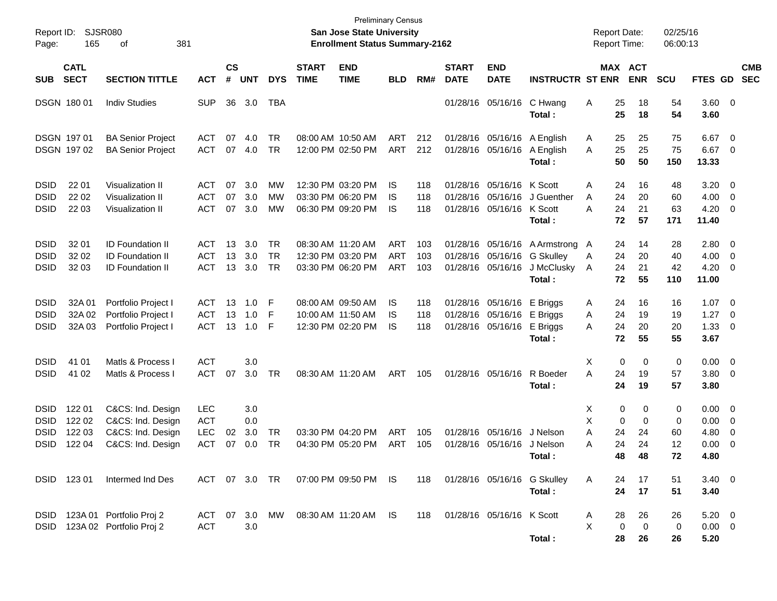| Report ID:<br>Page:                                      | 165                                  | <b>SJSR080</b><br>381<br>οf                                                      |                                        |                             |                          |                              |                             | <b>Preliminary Census</b><br><b>San Jose State University</b><br><b>Enrollment Status Summary-2162</b> |                                 |                   |                             |                                                                               |                                                                    | <b>Report Date:</b><br>Report Time: |                          |                          | 02/25/16<br>06:00:13     |                                       |                                   |            |
|----------------------------------------------------------|--------------------------------------|----------------------------------------------------------------------------------|----------------------------------------|-----------------------------|--------------------------|------------------------------|-----------------------------|--------------------------------------------------------------------------------------------------------|---------------------------------|-------------------|-----------------------------|-------------------------------------------------------------------------------|--------------------------------------------------------------------|-------------------------------------|--------------------------|--------------------------|--------------------------|---------------------------------------|-----------------------------------|------------|
| <b>SUB</b>                                               | <b>CATL</b><br><b>SECT</b>           | <b>SECTION TITTLE</b>                                                            | <b>ACT</b>                             | $\mathbf{c}\mathbf{s}$<br># | <b>UNT</b>               | <b>DYS</b>                   | <b>START</b><br><b>TIME</b> | <b>END</b><br><b>TIME</b>                                                                              | <b>BLD</b>                      | RM#               | <b>START</b><br><b>DATE</b> | <b>END</b><br><b>DATE</b>                                                     | <b>INSTRUCTR ST ENR</b>                                            | MAX ACT                             |                          | <b>ENR</b>               | <b>SCU</b>               | FTES GD SEC                           |                                   | <b>CMB</b> |
|                                                          | DSGN 180 01                          | <b>Indiv Studies</b>                                                             | <b>SUP</b>                             | 36                          | 3.0                      | TBA                          |                             |                                                                                                        |                                 |                   |                             | 01/28/16 05/16/16                                                             | C Hwang<br>Total:                                                  | A                                   | 25<br>25                 | 18<br>18                 | 54<br>54                 | 3.60<br>3.60                          | $\overline{\mathbf{0}}$           |            |
|                                                          | DSGN 197 01<br>DSGN 197 02           | <b>BA Senior Project</b><br><b>BA Senior Project</b>                             | ACT<br>ACT                             | 07                          | 4.0<br>07 4.0            | TR<br><b>TR</b>              |                             | 08:00 AM 10:50 AM<br>12:00 PM 02:50 PM                                                                 | ART<br>ART                      | 212<br>212        |                             | 01/28/16 05/16/16<br>01/28/16 05/16/16                                        | A English<br>A English<br>Total:                                   | A<br>A                              | 25<br>25<br>50           | 25<br>25<br>50           | 75<br>75<br>150          | 6.67<br>6.67<br>13.33                 | - 0<br>$\mathbf 0$                |            |
| <b>DSID</b><br><b>DSID</b><br><b>DSID</b>                | 22 01<br>22 02<br>22 03              | <b>Visualization II</b><br>Visualization II<br>Visualization II                  | ACT<br><b>ACT</b><br>ACT               | 07<br>07                    | 3.0<br>3.0<br>07 3.0     | MW<br>MW<br>MW               |                             | 12:30 PM 03:20 PM<br>03:30 PM 06:20 PM<br>06:30 PM 09:20 PM                                            | IS<br>IS<br>IS                  | 118<br>118<br>118 |                             | 01/28/16 05/16/16 K Scott<br>01/28/16 05/16/16<br>01/28/16 05/16/16 K Scott   | J Guenther<br>Total :                                              | Α<br>A<br>A                         | 24<br>24<br>24<br>72     | 16<br>20<br>21<br>57     | 48<br>60<br>63<br>171    | 3.20<br>4.00<br>4.20<br>11.40         | - 0<br>$\mathbf 0$<br>$\mathbf 0$ |            |
| <b>DSID</b><br><b>DSID</b><br><b>DSID</b>                | 32 01<br>32 02<br>32 03              | <b>ID Foundation II</b><br><b>ID Foundation II</b><br><b>ID Foundation II</b>    | ACT<br><b>ACT</b><br><b>ACT</b>        | 13<br>13                    | 3.0<br>3.0<br>13 3.0     | <b>TR</b><br><b>TR</b><br>TR |                             | 08:30 AM 11:20 AM<br>12:30 PM 03:20 PM<br>03:30 PM 06:20 PM                                            | <b>ART</b><br><b>ART</b><br>ART | 103<br>103<br>103 |                             | 01/28/16 05/16/16<br>01/28/16 05/16/16                                        | 01/28/16 05/16/16 A Armstrong<br>G Skulley<br>J McClusky<br>Total: | $\mathsf{A}$<br>A<br>A              | 24<br>24<br>24<br>72     | 14<br>20<br>21<br>55     | 28<br>40<br>42<br>110    | 2.80<br>4.00<br>4.20<br>11.00         | - 0<br>$\overline{0}$<br>0        |            |
| <b>DSID</b><br><b>DSID</b><br><b>DSID</b>                | 32A 01<br>32A 02<br>32A 03           | Portfolio Project I<br>Portfolio Project I<br>Portfolio Project I                | ACT<br><b>ACT</b><br><b>ACT</b>        | 13<br>13<br>13              | 1.0<br>1.0<br>1.0        | F<br>F<br>F                  |                             | 08:00 AM 09:50 AM<br>10:00 AM 11:50 AM<br>12:30 PM 02:20 PM                                            | IS<br>IS<br>IS                  | 118<br>118<br>118 |                             | 01/28/16 05/16/16 E Briggs<br>01/28/16 05/16/16 E Briggs<br>01/28/16 05/16/16 | E Briggs<br>Total:                                                 | A<br>A<br>A                         | 24<br>24<br>24<br>72     | 16<br>19<br>20<br>55     | 16<br>19<br>20<br>55     | 1.07<br>1.27<br>1.33<br>3.67          | - 0<br>$\mathbf 0$<br>$\mathbf 0$ |            |
| <b>DSID</b><br><b>DSID</b>                               | 41 01<br>41 02                       | Matls & Process I<br>Matls & Process I                                           | <b>ACT</b><br><b>ACT</b>               | 07                          | 3.0<br>3.0               | TR                           |                             | 08:30 AM 11:20 AM                                                                                      | ART                             | 105               |                             | 01/28/16 05/16/16                                                             | R Boeder<br>Total :                                                | Х<br>Α                              | 0<br>24<br>24            | 0<br>19<br>19            | 0<br>57<br>57            | 0.00<br>3.80<br>3.80                  | - 0<br>$\mathbf 0$                |            |
| <b>DSID</b><br><b>DSID</b><br><b>DSID</b><br><b>DSID</b> | 122 01<br>122 02<br>122 03<br>122 04 | C&CS: Ind. Design<br>C&CS: Ind. Design<br>C&CS: Ind. Design<br>C&CS: Ind. Design | LEC<br><b>ACT</b><br><b>LEC</b><br>ACT | 02<br>07                    | 3.0<br>0.0<br>3.0<br>0.0 | TR<br>TR                     |                             | 03:30 PM 04:20 PM<br>04:30 PM 05:20 PM                                                                 | ART<br>ART                      | 105<br>105        |                             | 01/28/16 05/16/16<br>01/28/16 05/16/16                                        | J Nelson<br>J Nelson<br>Total :                                    | Х<br>X<br>A<br>A                    | 0<br>0<br>24<br>24<br>48 | 0<br>0<br>24<br>24<br>48 | 0<br>0<br>60<br>12<br>72 | 0.00<br>0.00<br>4.80<br>0.00<br>4.80  | $\overline{0}$<br>0<br>0<br>0     |            |
|                                                          | DSID 123 01                          | Intermed Ind Des                                                                 |                                        |                             |                          |                              |                             | ACT 07 3.0 TR 07:00 PM 09:50 PM IS                                                                     |                                 | 118               |                             |                                                                               | 01/28/16 05/16/16 G Skulley<br>Total:                              | A                                   | 24<br>24                 | 17<br>17                 | 51<br>51                 | $3.40 \quad 0$<br>3.40                |                                   |            |
|                                                          |                                      | DSID 123A 01 Portfolio Proj 2<br>DSID 123A 02 Portfolio Proj 2                   | <b>ACT</b>                             |                             | 3.0                      |                              |                             | ACT 07 3.0 MW 08:30 AM 11:20 AM IS                                                                     |                                 | 118               |                             | 01/28/16 05/16/16 K Scott                                                     | Total:                                                             | A<br>X                              | 28<br>0<br>28            | 26<br>0<br>26            | 26<br>0<br>26            | $5.20 \quad 0$<br>$0.00 \t 0$<br>5.20 |                                   |            |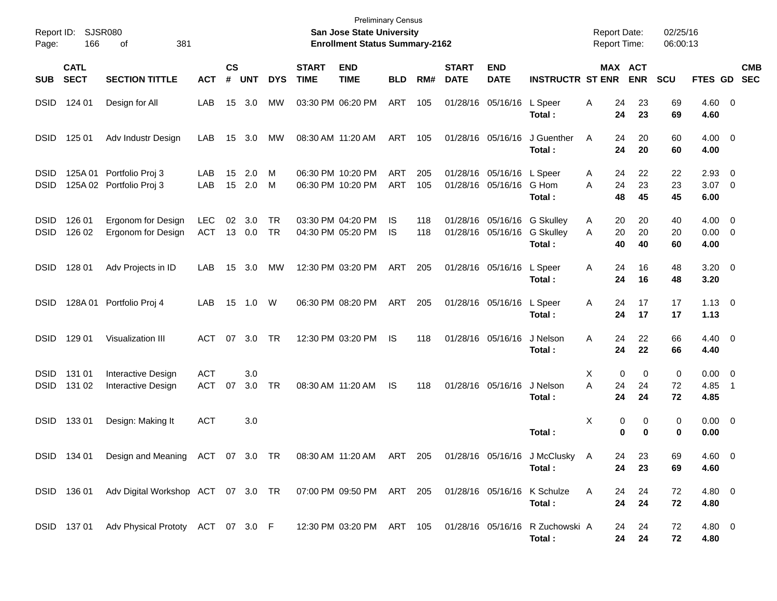| Report ID:<br>Page:        | 166                        | SJSR080<br>381<br>οf                                                                                 |                          |                |               |                 |                             | <b>Preliminary Census</b><br><b>San Jose State University</b><br><b>Enrollment Status Summary-2162</b> |            |            |                             |                                                |                                                                     | <b>Report Date:</b><br><b>Report Time:</b> |                                  | 02/25/16<br>06:00:13 |                                    |                          |
|----------------------------|----------------------------|------------------------------------------------------------------------------------------------------|--------------------------|----------------|---------------|-----------------|-----------------------------|--------------------------------------------------------------------------------------------------------|------------|------------|-----------------------------|------------------------------------------------|---------------------------------------------------------------------|--------------------------------------------|----------------------------------|----------------------|------------------------------------|--------------------------|
| <b>SUB</b>                 | <b>CATL</b><br><b>SECT</b> | <b>SECTION TITTLE</b>                                                                                | <b>ACT</b>               | <b>CS</b><br># | <b>UNT</b>    | <b>DYS</b>      | <b>START</b><br><b>TIME</b> | <b>END</b><br><b>TIME</b>                                                                              | <b>BLD</b> | RM#        | <b>START</b><br><b>DATE</b> | <b>END</b><br><b>DATE</b>                      | <b>INSTRUCTR ST ENR</b>                                             |                                            | MAX ACT<br><b>ENR</b>            | <b>SCU</b>           | <b>FTES GD</b>                     | <b>CMB</b><br><b>SEC</b> |
| <b>DSID</b>                | 124 01                     | Design for All                                                                                       | LAB                      | 15             | 3.0           | МW              |                             | 03:30 PM 06:20 PM                                                                                      | <b>ART</b> | 105        |                             | 01/28/16 05/16/16                              | L Speer<br>Total :                                                  | 24<br>A                                    | 23<br>24<br>23                   | 69<br>69             | 4.60 0<br>4.60                     |                          |
| <b>DSID</b>                | 125 01                     | Adv Industr Design                                                                                   | LAB                      | 15             | 3.0           | МW              |                             | 08:30 AM 11:20 AM                                                                                      | ART        | 105        |                             | 01/28/16 05/16/16                              | J Guenther<br>Total:                                                | A                                          | 24<br>20<br>24<br>20             | 60<br>60             | $4.00 \ 0$<br>4.00                 |                          |
| <b>DSID</b><br><b>DSID</b> |                            | 125A 01 Portfolio Proj 3<br>125A 02 Portfolio Proj 3                                                 | LAB<br>LAB               | 15<br>15       | 2.0<br>2.0    | M<br>M          |                             | 06:30 PM 10:20 PM<br>06:30 PM 10:20 PM                                                                 | ART<br>ART | 205<br>105 |                             | 01/28/16 05/16/16 L Speer<br>01/28/16 05/16/16 | G Hom<br>Total:                                                     | A<br>Α<br>24<br>48                         | 22<br>24<br>23<br>45             | 22<br>23<br>45       | $2.93$ 0<br>$3.07$ 0<br>6.00       |                          |
| <b>DSID</b><br><b>DSID</b> | 126 01<br>126 02           | Ergonom for Design<br>Ergonom for Design                                                             | <b>LEC</b><br>ACT        | 02             | 3.0<br>13 0.0 | <b>TR</b><br>TR |                             | 03:30 PM 04:20 PM<br>04:30 PM 05:20 PM                                                                 | IS.<br>IS  | 118<br>118 |                             | 01/28/16 05/16/16                              | 01/28/16 05/16/16 G Skulley<br>G Skulley<br>Total:                  | A<br>A                                     | 20<br>20<br>20<br>20<br>40<br>40 | 40<br>20<br>60       | $4.00 \t 0$<br>$0.00 \t 0$<br>4.00 |                          |
| <b>DSID</b>                | 128 01                     | Adv Projects in ID                                                                                   | LAB                      | 15             | 3.0           | МW              |                             | 12:30 PM 03:20 PM                                                                                      | ART        | 205        |                             | 01/28/16 05/16/16                              | L Speer<br>Total:                                                   | 24<br>A                                    | 16<br>24<br>16                   | 48<br>48             | $3.20 \ 0$<br>3.20                 |                          |
| <b>DSID</b>                |                            | 128A 01 Portfolio Proj 4                                                                             | LAB                      | 15             | 1.0           | W               |                             | 06:30 PM 08:20 PM                                                                                      | ART        | 205        |                             | 01/28/16 05/16/16                              | L Speer<br>Total:                                                   | 24<br>A                                    | 17<br>24<br>17                   | 17<br>17             | $1.13 \ 0$<br>1.13                 |                          |
| <b>DSID</b>                | 129 01                     | Visualization III                                                                                    | ACT                      |                | 07 3.0        | TR              |                             | 12:30 PM 03:20 PM                                                                                      | IS         | 118        |                             | 01/28/16 05/16/16                              | J Nelson<br>Total :                                                 | A                                          | 24<br>22<br>24<br>22             | 66<br>66             | $4.40 \quad 0$<br>4.40             |                          |
| <b>DSID</b><br><b>DSID</b> | 131 01<br>131 02           | Interactive Design<br>Interactive Design                                                             | <b>ACT</b><br><b>ACT</b> | 07             | 3.0<br>3.0    | TR              |                             | 08:30 AM 11:20 AM                                                                                      | IS.        | 118        |                             | 01/28/16 05/16/16                              | J Nelson<br>Total:                                                  | Х<br>A<br>24                               | 0<br>0<br>24<br>24<br>24         | 0<br>72<br>72        | $0.00 \t 0$<br>4.85<br>4.85        | $\blacksquare$ 1         |
| <b>DSID</b>                | 13301                      | Design: Making It                                                                                    | <b>ACT</b>               |                | 3.0           |                 |                             |                                                                                                        |            |            |                             |                                                | Total:                                                              | X                                          | 0<br>0<br>0<br>$\bf{0}$          | 0<br>0               | $0.00 \t 0$<br>0.00                |                          |
| <b>DSID</b>                | 134 01                     | Design and Meaning                                                                                   | ACT 07 3.0 TR            |                |               |                 |                             | 08:30 AM 11:20 AM                                                                                      | ART        | 205        |                             |                                                | 01/28/16 05/16/16 J McClusky A<br>Total:                            |                                            | 23<br>24.<br>24<br>23            | 69<br>69             | $4.60 \quad 0$<br>4.60             |                          |
|                            |                            | DSID 136 01 Adv Digital Workshop ACT 07 3.0 TR 07:00 PM 09:50 PM ART 205 01/28/16 05/16/16 K Schulze |                          |                |               |                 |                             |                                                                                                        |            |            |                             |                                                | Total:                                                              | A                                          | 24<br>24<br>24<br>24             | 72<br>72             | 4.80 0<br>4.80                     |                          |
|                            |                            | DSID 137 01 Adv Physical Prototy ACT 07 3.0 F                                                        |                          |                |               |                 |                             |                                                                                                        |            |            |                             |                                                | 12:30 PM 03:20 PM ART 105 01/28/16 05/16/16 R Zuchowski A<br>Total: |                                            | 24<br>24<br>24<br>24             | 72<br>72             | 4.80 0<br>4.80                     |                          |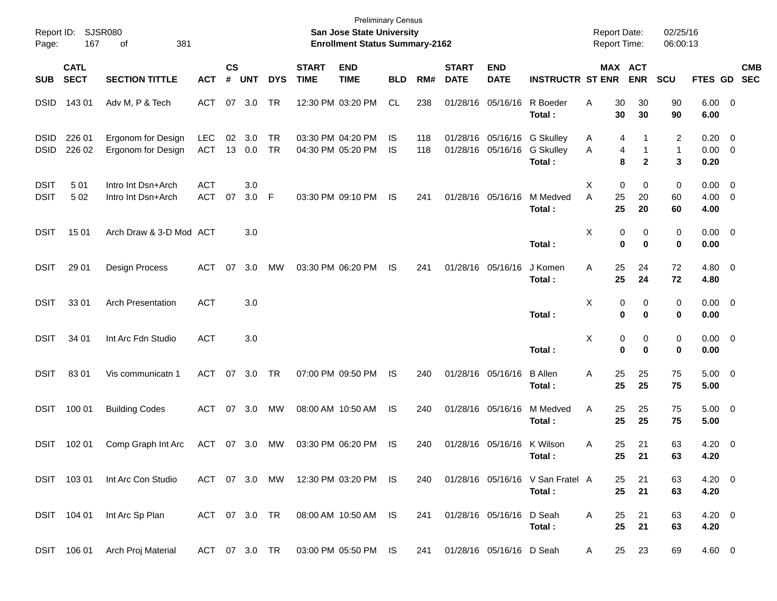| Report ID:<br>Page:        | 167                        | SJSR080<br>381<br>οf                     |                          |                    |            |            |                             | <b>Preliminary Census</b><br>San Jose State University<br><b>Enrollment Status Summary-2162</b> |            |            |                             |                                        |                                                | <b>Report Date:</b><br><b>Report Time:</b> |               |                                  | 02/25/16<br>06:00:13 |                      |                                                      |                          |
|----------------------------|----------------------------|------------------------------------------|--------------------------|--------------------|------------|------------|-----------------------------|-------------------------------------------------------------------------------------------------|------------|------------|-----------------------------|----------------------------------------|------------------------------------------------|--------------------------------------------|---------------|----------------------------------|----------------------|----------------------|------------------------------------------------------|--------------------------|
| <b>SUB</b>                 | <b>CATL</b><br><b>SECT</b> | <b>SECTION TITTLE</b>                    | <b>ACT</b>               | $\mathsf{cs}$<br># | <b>UNT</b> | <b>DYS</b> | <b>START</b><br><b>TIME</b> | <b>END</b><br><b>TIME</b>                                                                       | <b>BLD</b> | RM#        | <b>START</b><br><b>DATE</b> | <b>END</b><br><b>DATE</b>              | <b>INSTRUCTR ST ENR</b>                        |                                            |               | MAX ACT<br><b>ENR</b>            | <b>SCU</b>           | FTES GD              |                                                      | <b>CMB</b><br><b>SEC</b> |
| <b>DSID</b>                | 143 01                     | Adv M, P & Tech                          | ACT                      | 07                 | 3.0        | TR         |                             | 12:30 PM 03:20 PM                                                                               | <b>CL</b>  | 238        |                             | 01/28/16 05/16/16                      | R Boeder<br>Total:                             | Α                                          | 30<br>30      | 30<br>30                         | 90<br>90             | $6.00 \t 0$<br>6.00  |                                                      |                          |
| <b>DSID</b><br><b>DSID</b> | 226 01<br>226 02           | Ergonom for Design<br>Ergonom for Design | LEC<br><b>ACT</b>        | 02<br>13           | 3.0<br>0.0 | TR<br>TR   |                             | 03:30 PM 04:20 PM<br>04:30 PM 05:20 PM                                                          | IS<br>IS   | 118<br>118 |                             | 01/28/16 05/16/16<br>01/28/16 05/16/16 | <b>G Skulley</b><br><b>G Skulley</b><br>Total: | A<br>A                                     | 4<br>4<br>8   | 1<br>$\mathbf 1$<br>$\mathbf{2}$ | 2<br>1<br>3          | 0.20<br>0.00<br>0.20 | $\overline{\phantom{0}}$<br>$\overline{\phantom{0}}$ |                          |
| <b>DSIT</b><br><b>DSIT</b> | 501<br>502                 | Intro Int Dsn+Arch<br>Intro Int Dsn+Arch | <b>ACT</b><br><b>ACT</b> | 07                 | 3.0<br>3.0 | F          |                             | 03:30 PM 09:10 PM                                                                               | IS         | 241        |                             | 01/28/16 05/16/16                      | M Medved<br>Total:                             | Х<br>A                                     | 0<br>25<br>25 | 0<br>20<br>20                    | 0<br>60<br>60        | 0.00<br>4.00<br>4.00 | $\overline{\phantom{0}}$<br>$\overline{\mathbf{0}}$  |                          |
| <b>DSIT</b>                | 15 01                      | Arch Draw & 3-D Mod ACT                  |                          |                    | 3.0        |            |                             |                                                                                                 |            |            |                             |                                        | Total:                                         | Х                                          | 0<br>0        | 0<br>0                           | 0<br>0               | $0.00 \t 0$<br>0.00  |                                                      |                          |
| <b>DSIT</b>                | 29 01                      | Design Process                           | <b>ACT</b>               | 07                 | 3.0        | MW         |                             | 03:30 PM 06:20 PM                                                                               | IS         | 241        |                             | 01/28/16 05/16/16                      | J Komen<br>Total:                              | Α                                          | 25<br>25      | 24<br>24                         | 72<br>72             | 4.80 0<br>4.80       |                                                      |                          |
| <b>DSIT</b>                | 33 01                      | <b>Arch Presentation</b>                 | <b>ACT</b>               |                    | 3.0        |            |                             |                                                                                                 |            |            |                             |                                        | Total:                                         | Х                                          | 0<br>0        | 0<br>0                           | 0<br>0               | $0.00 \t 0$<br>0.00  |                                                      |                          |
| <b>DSIT</b>                | 34 01                      | Int Arc Fdn Studio                       | <b>ACT</b>               |                    | 3.0        |            |                             |                                                                                                 |            |            |                             |                                        | Total:                                         | X                                          | 0<br>0        | 0<br>0                           | 0<br>0               | $0.00 \t 0$<br>0.00  |                                                      |                          |
| <b>DSIT</b>                | 8301                       | Vis communicatn 1                        | <b>ACT</b>               | 07                 | 3.0        | <b>TR</b>  |                             | 07:00 PM 09:50 PM                                                                               | IS         | 240        |                             | 01/28/16 05/16/16                      | <b>B</b> Allen<br>Total:                       | Α                                          | 25<br>25      | 25<br>25                         | 75<br>75             | $5.00 \t 0$<br>5.00  |                                                      |                          |
| <b>DSIT</b>                | 100 01                     | <b>Building Codes</b>                    | <b>ACT</b>               |                    | 07 3.0     | MW         |                             | 08:00 AM 10:50 AM                                                                               | IS         | 240        |                             | 01/28/16 05/16/16                      | M Medved<br>Total:                             | Α                                          | 25<br>25      | 25<br>25                         | 75<br>75             | $5.00 \t 0$<br>5.00  |                                                      |                          |
| DSIT                       | 102 01                     | Comp Graph Int Arc                       | ACT                      |                    | 07 3.0     | MW         |                             | 03:30 PM 06:20 PM                                                                               | IS         | 240        |                             | 01/28/16 05/16/16                      | K Wilson<br>Total:                             | Α                                          | 25<br>25      | 21<br>21                         | 63<br>63             | 4.20<br>4.20         | $\overline{\phantom{0}}$                             |                          |
|                            | DSIT 103 01                | Int Arc Con Studio                       |                          |                    |            |            |                             | ACT 07 3.0 MW 12:30 PM 03:20 PM IS                                                              |            | 240        |                             |                                        | 01/28/16 05/16/16 V San Fratel A<br>Total:     |                                            | 25<br>25      | 21<br>21                         | 63<br>63             | $4.20 \ 0$<br>4.20   |                                                      |                          |
|                            | DSIT 104 01                | Int Arc Sp Plan                          | ACT 07 3.0 TR            |                    |            |            |                             | 08:00 AM 10:50 AM IS                                                                            |            | 241        |                             | 01/28/16 05/16/16 D Seah               | Total:                                         | A                                          | 25<br>25      | 21<br>21                         | 63<br>63             | 4.20 0<br>4.20       |                                                      |                          |
| DSIT                       | 106 01                     | Arch Proj Material                       | ACT 07 3.0 TR            |                    |            |            |                             | 03:00 PM 05:50 PM IS                                                                            |            | 241        |                             | 01/28/16 05/16/16 D Seah               |                                                | A                                          | 25            | 23                               | 69                   | 4.60 0               |                                                      |                          |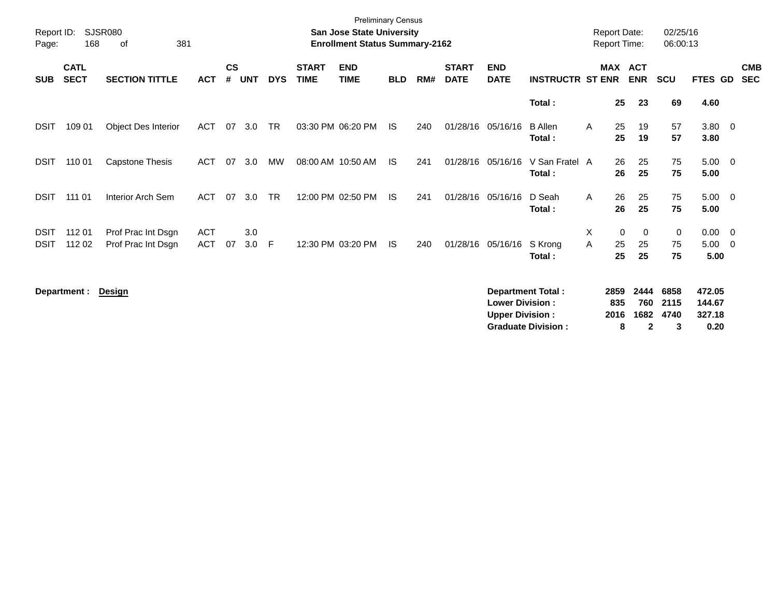| Report ID:<br>Page: | 168                        | <b>SJSR080</b><br>381<br>оf |            |                    |            |            |                             | <b>Preliminary Census</b><br><b>San Jose State University</b><br><b>Enrollment Status Summary-2162</b> |            |     |                             |                                                  |                                                       |   | <b>Report Date:</b><br><b>Report Time:</b> |                                     | 02/25/16<br>06:00:13      |                                    |                          |                          |
|---------------------|----------------------------|-----------------------------|------------|--------------------|------------|------------|-----------------------------|--------------------------------------------------------------------------------------------------------|------------|-----|-----------------------------|--------------------------------------------------|-------------------------------------------------------|---|--------------------------------------------|-------------------------------------|---------------------------|------------------------------------|--------------------------|--------------------------|
| <b>SUB</b>          | <b>CATL</b><br><b>SECT</b> | <b>SECTION TITTLE</b>       | <b>ACT</b> | $\mathsf{cs}$<br># | <b>UNT</b> | <b>DYS</b> | <b>START</b><br><b>TIME</b> | <b>END</b><br><b>TIME</b>                                                                              | <b>BLD</b> | RM# | <b>START</b><br><b>DATE</b> | <b>END</b><br><b>DATE</b>                        | <b>INSTRUCTR ST ENR</b>                               |   | MAX ACT                                    | <b>ENR</b>                          | <b>SCU</b>                | FTES GD                            |                          | <b>CMB</b><br><b>SEC</b> |
|                     |                            |                             |            |                    |            |            |                             |                                                                                                        |            |     |                             |                                                  | Total:                                                |   | 25                                         | 23                                  | 69                        | 4.60                               |                          |                          |
| <b>DSIT</b>         | 109 01                     | <b>Object Des Interior</b>  | <b>ACT</b> | 07                 | 3.0        | <b>TR</b>  |                             | 03:30 PM 06:20 PM                                                                                      | IS.        | 240 | 01/28/16                    | 05/16/16                                         | <b>B</b> Allen<br>Total:                              | A | 25<br>25                                   | 19<br>19                            | 57<br>57                  | $3.80\ 0$<br>3.80                  |                          |                          |
| <b>DSIT</b>         | 110 01                     | <b>Capstone Thesis</b>      | <b>ACT</b> | 07                 | 3.0        | MW         |                             | 08:00 AM 10:50 AM                                                                                      | - IS       | 241 | 01/28/16                    | 05/16/16                                         | V San Fratel A<br>Total:                              |   | 26<br>26                                   | 25<br>25                            | 75<br>75                  | $5.00 \t 0$<br>5.00                |                          |                          |
| <b>DSIT</b>         | 111 01                     | <b>Interior Arch Sem</b>    | <b>ACT</b> | 07                 | 3.0        | <b>TR</b>  |                             | 12:00 PM 02:50 PM                                                                                      | IS.        | 241 | 01/28/16                    | 05/16/16                                         | D Seah<br>Total:                                      | A | 26<br>26                                   | 25<br>25                            | 75<br>75                  | $5.00 \t 0$<br>5.00                |                          |                          |
| <b>DSIT</b>         | 112 01                     | Prof Prac Int Dsgn          | <b>ACT</b> |                    | 3.0        |            |                             |                                                                                                        |            |     |                             |                                                  |                                                       | Χ | 0                                          | 0                                   | 0                         | 0.00                               | $\overline{\phantom{0}}$ |                          |
| <b>DSIT</b>         | 112 02                     | Prof Prac Int Dsgn          | <b>ACT</b> | 07                 | 3.0        | F          |                             | 12:30 PM 03:20 PM                                                                                      | <b>IS</b>  | 240 | 01/28/16                    | 05/16/16                                         | S Krong<br>Total:                                     | A | 25<br>25                                   | 25<br>25                            | 75<br>75                  | 5.00<br>5.00                       | - 0                      |                          |
|                     | Department :               | Design                      |            |                    |            |            |                             |                                                                                                        |            |     |                             | <b>Lower Division:</b><br><b>Upper Division:</b> | <b>Department Total:</b><br><b>Graduate Division:</b> |   | 2859<br>835<br>2016<br>8                   | 2444<br>760<br>1682<br>$\mathbf{2}$ | 6858<br>2115<br>4740<br>3 | 472.05<br>144.67<br>327.18<br>0.20 |                          |                          |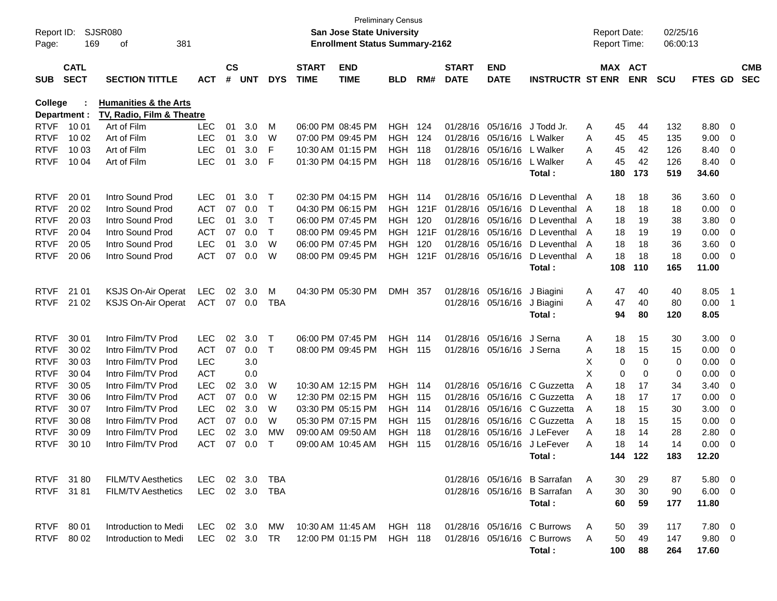| Report ID:<br>Page:        | 169                        | <b>SJSR080</b><br>381<br>оf              |                          |                    |            |                   |                             | <b>San Jose State University</b><br><b>Enrollment Status Summary-2162</b> | Preliminary Census           |      |                             |                                                |                              |        | <b>Report Date:</b><br>Report Time: |             | 02/25/16<br>06:00:13 |                |                                                    |                          |
|----------------------------|----------------------------|------------------------------------------|--------------------------|--------------------|------------|-------------------|-----------------------------|---------------------------------------------------------------------------|------------------------------|------|-----------------------------|------------------------------------------------|------------------------------|--------|-------------------------------------|-------------|----------------------|----------------|----------------------------------------------------|--------------------------|
| <b>SUB</b>                 | <b>CATL</b><br><b>SECT</b> | <b>SECTION TITTLE</b>                    | <b>ACT</b>               | $\mathsf{cs}$<br># | <b>UNT</b> | <b>DYS</b>        | <b>START</b><br><b>TIME</b> | <b>END</b><br><b>TIME</b>                                                 | <b>BLD</b>                   | RM#  | <b>START</b><br><b>DATE</b> | <b>END</b><br><b>DATE</b>                      | <b>INSTRUCTR ST ENR</b>      |        | MAX ACT                             | <b>ENR</b>  | <b>SCU</b>           | FTES GD        |                                                    | <b>CMB</b><br><b>SEC</b> |
| College                    |                            | <b>Humanities &amp; the Arts</b>         |                          |                    |            |                   |                             |                                                                           |                              |      |                             |                                                |                              |        |                                     |             |                      |                |                                                    |                          |
|                            | Department :               | TV, Radio, Film & Theatre                |                          |                    |            |                   |                             |                                                                           |                              |      |                             |                                                |                              |        |                                     |             |                      |                |                                                    |                          |
| <b>RTVF</b><br><b>RTVF</b> | 10 01<br>10 02             | Art of Film<br>Art of Film               | <b>LEC</b><br><b>LEC</b> | 01<br>01           | 3.0<br>3.0 | M<br>W            |                             | 06:00 PM 08:45 PM<br>07:00 PM 09:45 PM                                    | <b>HGH 124</b><br><b>HGH</b> | 124  |                             | 01/28/16 05/16/16<br>01/28/16 05/16/16         | J Todd Jr.<br>L Walker       | A      | 45<br>45                            | 44          | 132<br>135           | 8.80<br>9.00   | $\overline{0}$                                     |                          |
| <b>RTVF</b>                | 10 03                      | Art of Film                              | <b>LEC</b>               | 01                 | 3.0        | F                 |                             | 10:30 AM 01:15 PM                                                         | <b>HGH</b>                   | 118  |                             | 01/28/16 05/16/16                              | L Walker                     | A<br>A | 45                                  | 45<br>42    | 126                  | 8.40           | 0<br>0                                             |                          |
| <b>RTVF</b>                | 10 04                      | Art of Film                              | <b>LEC</b>               | 01                 | 3.0        | F                 |                             | 01:30 PM 04:15 PM                                                         | HGH                          | 118  |                             | 01/28/16 05/16/16                              | L Walker                     | А      | 45                                  | 42          | 126                  | 8.40           | $\overline{0}$                                     |                          |
|                            |                            |                                          |                          |                    |            |                   |                             |                                                                           |                              |      |                             |                                                | Total :                      |        | 180                                 | 173         | 519                  | 34.60          |                                                    |                          |
|                            |                            |                                          |                          |                    |            |                   |                             |                                                                           |                              |      |                             |                                                |                              |        |                                     |             |                      |                |                                                    |                          |
| <b>RTVF</b>                | 20 01                      | Intro Sound Prod                         | <b>LEC</b>               | 01                 | 3.0        | Т                 |                             | 02:30 PM 04:15 PM                                                         | HGH 114                      |      |                             | 01/28/16 05/16/16                              | D Leventhal A                |        | 18                                  | 18          | 36                   | 3.60           | $\overline{\mathbf{0}}$                            |                          |
| <b>RTVF</b>                | 20 02                      | Intro Sound Prod                         | <b>ACT</b>               | 07                 | 0.0        | $\mathsf{T}$      |                             | 04:30 PM 06:15 PM                                                         | HGH.                         | 121F |                             | 01/28/16 05/16/16                              | D Leventhal A                |        | 18                                  | 18          | 18                   | 0.00           | 0                                                  |                          |
| <b>RTVF</b>                | 20 03                      | Intro Sound Prod                         | <b>LEC</b>               | 01                 | 3.0        | $\mathsf{T}$      |                             | 06:00 PM 07:45 PM                                                         | <b>HGH</b>                   | 120  |                             | 01/28/16 05/16/16                              | D Leventhal                  | A      | 18                                  | 19          | 38                   | 3.80           | 0                                                  |                          |
| <b>RTVF</b>                | 20 04                      | Intro Sound Prod                         | <b>ACT</b>               | 07                 | 0.0        | $\mathsf{T}$      |                             | 08:00 PM 09:45 PM                                                         | <b>HGH</b>                   | 121F |                             | 01/28/16 05/16/16                              | D Leventhal                  | A      | 18                                  | 19          | 19                   | 0.00           | 0                                                  |                          |
| <b>RTVF</b>                | 20 05                      | Intro Sound Prod                         | <b>LEC</b>               | 01                 | 3.0        | W                 |                             | 06:00 PM 07:45 PM                                                         | <b>HGH</b>                   | 120  |                             | 01/28/16 05/16/16                              | D Leventhal                  | A      | 18                                  | 18          | 36                   | 3.60           | 0                                                  |                          |
| <b>RTVF</b>                | 20 06                      | Intro Sound Prod                         | <b>ACT</b>               | 07                 | 0.0        | W                 |                             | 08:00 PM 09:45 PM                                                         | HGH                          | 121F |                             | 01/28/16 05/16/16                              | D Leventhal                  | A      | 18                                  | 18          | 18                   | 0.00           | - 0                                                |                          |
|                            |                            |                                          |                          |                    |            |                   |                             |                                                                           |                              |      |                             |                                                | Total:                       |        | 108                                 | 110         | 165                  | 11.00          |                                                    |                          |
|                            |                            |                                          |                          |                    |            |                   |                             |                                                                           |                              |      |                             |                                                |                              |        |                                     |             |                      |                |                                                    |                          |
| <b>RTVF</b>                | 21 01                      | <b>KSJS On-Air Operat</b>                | <b>LEC</b>               | 02                 | 3.0        | M                 |                             | 04:30 PM 05:30 PM                                                         | <b>DMH</b>                   | 357  |                             | 01/28/16 05/16/16                              | J Biagini                    | A      | 47                                  | 40          | 40                   | 8.05           | - 1                                                |                          |
| <b>RTVF</b>                | 21 02                      | <b>KSJS On-Air Operat</b>                | <b>ACT</b>               | 07                 | 0.0        | <b>TBA</b>        |                             |                                                                           |                              |      |                             | 01/28/16 05/16/16                              | J Biagini                    | A      | 47                                  | 40          | 80                   | 0.00           | - 1                                                |                          |
|                            |                            |                                          |                          |                    |            |                   |                             |                                                                           |                              |      |                             |                                                | Total:                       |        | 94                                  | 80          | 120                  | 8.05           |                                                    |                          |
| <b>RTVF</b>                |                            |                                          |                          |                    |            |                   |                             |                                                                           |                              |      |                             |                                                | J Serna                      |        |                                     |             |                      |                |                                                    |                          |
| <b>RTVF</b>                | 30 01<br>30 02             | Intro Film/TV Prod<br>Intro Film/TV Prod | <b>LEC</b><br><b>ACT</b> | 02<br>07           | 3.0<br>0.0 | Т<br>$\mathsf{T}$ |                             | 06:00 PM 07:45 PM<br>08:00 PM 09:45 PM                                    | HGH<br><b>HGH 115</b>        | 114  |                             | 01/28/16 05/16/16<br>01/28/16 05/16/16 J Serna |                              | A<br>A | 18<br>18                            | 15<br>15    | 30<br>15             | 3.00<br>0.00   | $\overline{\mathbf{0}}$<br>$\overline{\mathbf{0}}$ |                          |
| <b>RTVF</b>                | 30 03                      | Intro Film/TV Prod                       | <b>LEC</b>               |                    | 3.0        |                   |                             |                                                                           |                              |      |                             |                                                |                              | X      | 0                                   | 0           | 0                    | 0.00           | 0                                                  |                          |
| <b>RTVF</b>                | 30 04                      | Intro Film/TV Prod                       | <b>ACT</b>               |                    | 0.0        |                   |                             |                                                                           |                              |      |                             |                                                |                              | X      | $\mathbf 0$                         | $\mathbf 0$ | 0                    | 0.00           | 0                                                  |                          |
| <b>RTVF</b>                | 30 05                      | Intro Film/TV Prod                       | <b>LEC</b>               | 02                 | 3.0        | W                 |                             | 10:30 AM 12:15 PM                                                         | <b>HGH 114</b>               |      |                             | 01/28/16 05/16/16                              | C Guzzetta                   | A      | 18                                  | 17          | 34                   | 3.40           | 0                                                  |                          |
| <b>RTVF</b>                | 30 06                      | Intro Film/TV Prod                       | <b>ACT</b>               | 07                 | 0.0        | W                 |                             | 12:30 PM 02:15 PM                                                         | <b>HGH 115</b>               |      |                             | 01/28/16 05/16/16                              | C Guzzetta                   | A      | 18                                  | 17          | 17                   | 0.00           | 0                                                  |                          |
| <b>RTVF</b>                | 30 07                      | Intro Film/TV Prod                       | <b>LEC</b>               | 02                 | 3.0        | W                 |                             | 03:30 PM 05:15 PM                                                         | <b>HGH 114</b>               |      |                             | 01/28/16 05/16/16                              | C Guzzetta                   | A      | 18                                  | 15          | 30                   | 3.00           | 0                                                  |                          |
| <b>RTVF</b>                | 30 08                      | Intro Film/TV Prod                       | <b>ACT</b>               | 07                 | 0.0        | W                 |                             | 05:30 PM 07:15 PM                                                         | <b>HGH 115</b>               |      |                             |                                                | 01/28/16 05/16/16 C Guzzetta | A      | 18                                  | 15          | 15                   | 0.00           | 0                                                  |                          |
| <b>RTVF</b>                | 30 09                      | Intro Film/TV Prod                       | <b>LEC</b>               | 02                 | 3.0        | MW                |                             | 09:00 AM 09:50 AM                                                         | <b>HGH 118</b>               |      |                             | 01/28/16 05/16/16                              | J LeFever                    | A      | 18                                  | 14          | 28                   | 2.80           | 0                                                  |                          |
| <b>RTVF</b>                | 30 10                      | Intro Film/TV Prod                       | <b>ACT</b>               | 07                 | 0.0        | Т                 |                             | 09:00 AM 10:45 AM                                                         | HGH                          | 115  |                             | 01/28/16 05/16/16                              | J LeFever                    | Α      | 18                                  | 14          | 14                   | 0.00           | 0                                                  |                          |
|                            |                            |                                          |                          |                    |            |                   |                             |                                                                           |                              |      |                             |                                                | Total:                       |        | 144                                 | 122         | 183                  | 12.20          |                                                    |                          |
|                            |                            |                                          |                          |                    |            |                   |                             |                                                                           |                              |      |                             |                                                |                              |        |                                     |             |                      |                |                                                    |                          |
|                            | RTVF 3180                  | <b>FILM/TV Aesthetics</b>                | LEC                      |                    | 02 3.0     | TBA               |                             |                                                                           |                              |      |                             |                                                | 01/28/16 05/16/16 B Sarrafan | A      | 30                                  | 29          | 87                   | $5.80 \quad 0$ |                                                    |                          |
|                            | RTVF 3181                  | <b>FILM/TV Aesthetics</b>                | LEC 02 3.0 TBA           |                    |            |                   |                             |                                                                           |                              |      |                             |                                                | 01/28/16 05/16/16 B Sarrafan | A      | 30                                  | 30          | 90                   | $6.00 \quad 0$ |                                                    |                          |
|                            |                            |                                          |                          |                    |            |                   |                             |                                                                           |                              |      |                             |                                                | Total:                       |        | 60                                  | 59          | 177                  | 11.80          |                                                    |                          |
|                            |                            |                                          |                          |                    |            |                   |                             |                                                                           |                              |      |                             |                                                |                              |        |                                     |             |                      |                |                                                    |                          |
|                            | RTVF 80 01                 | Introduction to Medi                     | LEC 02 3.0               |                    |            | MW                | 10:30 AM 11:45 AM           |                                                                           | HGH 118                      |      |                             |                                                | 01/28/16 05/16/16 C Burrows  | A      | 50                                  | 39          | 117                  | $7.80\quad 0$  |                                                    |                          |
|                            | RTVF 80 02                 | Introduction to Medi                     | LEC 02 3.0 TR            |                    |            |                   |                             | 12:00 PM 01:15 PM                                                         | <b>HGH 118</b>               |      |                             |                                                | 01/28/16 05/16/16 C Burrows  | A      | 50                                  | 49          | 147                  | $9.80\quad 0$  |                                                    |                          |
|                            |                            |                                          |                          |                    |            |                   |                             |                                                                           |                              |      |                             |                                                | Total:                       |        | 100                                 | 88          | 264                  | 17.60          |                                                    |                          |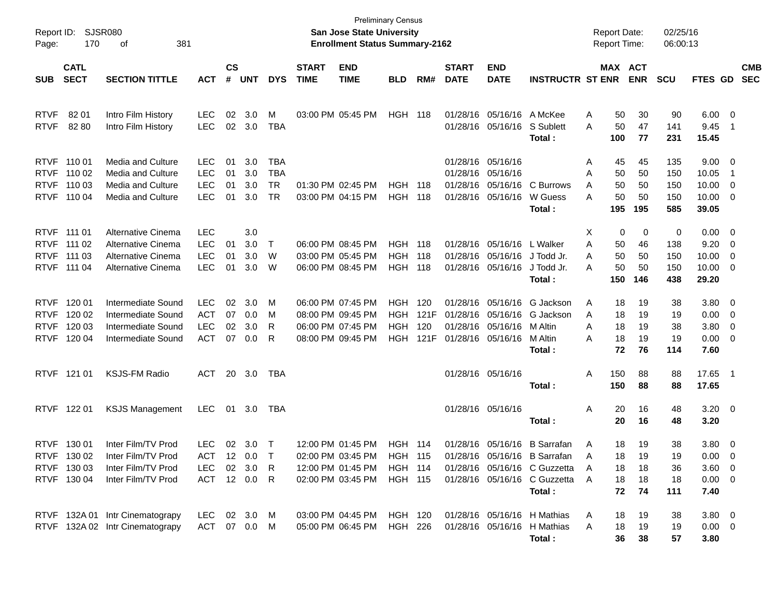| Report ID:<br>Page:                                      | 170                                                 | <b>SJSR080</b><br>381<br>οf                                                          |                                                      |                             |                          |                                             |                                        | <b>Preliminary Census</b><br><b>San Jose State University</b><br><b>Enrollment Status Summary-2162</b> |                                        |                            |                                                       |                                                    |                                                                                                                                        | <b>Report Date:</b><br><b>Report Time:</b> |                                                          | 02/25/16<br>06:00:13            |                                                          |                                            |                          |
|----------------------------------------------------------|-----------------------------------------------------|--------------------------------------------------------------------------------------|------------------------------------------------------|-----------------------------|--------------------------|---------------------------------------------|----------------------------------------|--------------------------------------------------------------------------------------------------------|----------------------------------------|----------------------------|-------------------------------------------------------|----------------------------------------------------|----------------------------------------------------------------------------------------------------------------------------------------|--------------------------------------------|----------------------------------------------------------|---------------------------------|----------------------------------------------------------|--------------------------------------------|--------------------------|
| <b>SUB</b>                                               | <b>CATL</b><br><b>SECT</b>                          | <b>SECTION TITTLE</b>                                                                | <b>ACT</b>                                           | $\mathbf{c}\mathbf{s}$<br># | <b>UNT</b>               | <b>DYS</b>                                  | <b>START</b><br><b>TIME</b>            | <b>END</b><br><b>TIME</b>                                                                              | <b>BLD</b>                             | RM#                        | <b>START</b><br><b>DATE</b>                           | <b>END</b><br><b>DATE</b>                          | <b>INSTRUCTR ST ENR</b>                                                                                                                |                                            | MAX ACT<br><b>ENR</b>                                    | <b>SCU</b>                      | FTES GD                                                  |                                            | <b>CMB</b><br><b>SEC</b> |
| <b>RTVF</b><br><b>RTVF</b>                               | 82 01<br>82 80                                      | Intro Film History<br>Intro Film History                                             | LEC<br><b>LEC</b>                                    | 02<br>02                    | 3.0<br>3.0               | M<br><b>TBA</b>                             |                                        | 03:00 PM 05:45 PM                                                                                      | HGH                                    | 118                        | 01/28/16                                              | 05/16/16 A McKee<br>01/28/16 05/16/16              | S Sublett<br>Total:                                                                                                                    | Α<br>Α<br>100                              | 50<br>30<br>50<br>47<br>77                               | 90<br>141<br>231                | 6.00<br>9.45<br>15.45                                    | $\overline{\phantom{0}}$<br>$\overline{1}$ |                          |
| <b>RTVF</b><br><b>RTVF</b><br><b>RTVF</b><br><b>RTVF</b> | 110 01<br>110 02<br>110 03<br>110 04                | Media and Culture<br>Media and Culture<br>Media and Culture<br>Media and Culture     | <b>LEC</b><br><b>LEC</b><br><b>LEC</b><br><b>LEC</b> | 01<br>01<br>01<br>01        | 3.0<br>3.0<br>3.0<br>3.0 | <b>TBA</b><br><b>TBA</b><br><b>TR</b><br>TR | 01:30 PM 02:45 PM                      | 03:00 PM 04:15 PM                                                                                      | <b>HGH</b><br>HGH                      | 118<br>118                 | 01/28/16<br>01/28/16<br>01/28/16<br>01/28/16          | 05/16/16<br>05/16/16<br>05/16/16<br>05/16/16       | C Burrows<br>W Guess<br>Total:                                                                                                         | A<br>Α<br>A<br>Α<br>195                    | 45<br>45<br>50<br>50<br>50<br>50<br>50<br>50<br>195      | 135<br>150<br>150<br>150<br>585 | 9.00<br>10.05<br>10.00<br>10.00<br>39.05                 | $\overline{\mathbf{0}}$<br>- 1<br>0<br>0   |                          |
| <b>RTVF</b><br><b>RTVF</b><br><b>RTVF</b><br><b>RTVF</b> | 111 01<br>111 02<br>111 03<br>111 04                | Alternative Cinema<br>Alternative Cinema<br>Alternative Cinema<br>Alternative Cinema | <b>LEC</b><br>LEC<br><b>LEC</b><br><b>LEC</b>        | 01<br>01<br>01              | 3.0<br>3.0<br>3.0<br>3.0 | $\top$<br>W<br>W                            | 06:00 PM 08:45 PM<br>03:00 PM 05:45 PM | 06:00 PM 08:45 PM                                                                                      | <b>HGH</b><br><b>HGH</b><br>HGH        | 118<br>118<br>118          | 01/28/16                                              | 01/28/16 05/16/16<br>05/16/16<br>01/28/16 05/16/16 | L Walker<br>J Todd Jr.<br>J Todd Jr.<br>Total:                                                                                         | Х<br>Α<br>A<br>Α<br>150                    | 0<br>0<br>50<br>46<br>50<br>50<br>50<br>50<br>146        | 0<br>138<br>150<br>150<br>438   | 0.00<br>9.20<br>10.00<br>10.00<br>29.20                  | $\overline{\mathbf{0}}$<br>0<br>0<br>0     |                          |
| <b>RTVF</b><br><b>RTVF</b><br><b>RTVF</b><br><b>RTVF</b> | 120 01<br>120 02<br>120 03<br>120 04                | Intermediate Sound<br>Intermediate Sound<br>Intermediate Sound<br>Intermediate Sound | <b>LEC</b><br><b>ACT</b><br><b>LEC</b><br><b>ACT</b> | 02<br>07<br>02<br>07        | 3.0<br>0.0<br>3.0<br>0.0 | M<br>M<br>R<br>R                            | 06:00 PM 07:45 PM<br>08:00 PM 09:45 PM | 06:00 PM 07:45 PM<br>08:00 PM 09:45 PM                                                                 | <b>HGH</b><br>HGH<br><b>HGH</b><br>HGH | 120<br>121F<br>120<br>121F | 01/28/16<br>01/28/16<br>01/28/16<br>01/28/16 05/16/16 | 05/16/16<br>05/16/16<br>05/16/16                   | G Jackson<br>G Jackson<br>M Altin<br>M Altin<br>Total:                                                                                 | A<br>A<br>Α<br>Α                           | 19<br>18<br>18<br>19<br>18<br>19<br>18<br>19<br>72<br>76 | 38<br>19<br>38<br>19<br>114     | 3.80<br>0.00<br>3.80<br>0.00<br>7.60                     | $\overline{\mathbf{0}}$<br>0<br>0<br>0     |                          |
|                                                          | RTVF 121 01                                         | <b>KSJS-FM Radio</b>                                                                 | ACT                                                  |                             | 20 3.0                   | TBA                                         |                                        |                                                                                                        |                                        |                            |                                                       | 01/28/16 05/16/16                                  | Total:                                                                                                                                 | Α<br>150<br>150                            | 88<br>88                                                 | 88<br>88                        | 17.65<br>17.65                                           | $\overline{\phantom{0}}$                   |                          |
|                                                          | RTVF 122 01                                         | <b>KSJS Management</b>                                                               | <b>LEC</b>                                           |                             | 01 3.0                   | TBA                                         |                                        |                                                                                                        |                                        |                            |                                                       | 01/28/16 05/16/16                                  | Total:                                                                                                                                 | Α                                          | 20<br>16<br>20<br>16                                     | 48<br>48                        | $3.20 \ 0$<br>3.20                                       |                                            |                          |
| <b>RTVF</b>                                              | 130 01<br>RTVF 130 02<br>RTVF 130 03<br>RTVF 130 04 | Inter Film/TV Prod<br>Inter Film/TV Prod<br>Inter Film/TV Prod<br>Inter Film/TV Prod | <b>LEC</b><br>ACT 12 0.0 T<br>LEC<br>ACT 12 0.0 R    |                             | 02 3.0<br>02 3.0 R       | $\top$                                      |                                        | 12:00 PM 01:45 PM<br>02:00 PM 03:45 PM<br>12:00 PM 01:45 PM HGH 114<br>02:00 PM 03:45 PM HGH 115       | <b>HGH 114</b><br>HGH 115              |                            |                                                       |                                                    | 01/28/16 05/16/16 B Sarrafan<br>01/28/16 05/16/16 B Sarrafan<br>01/28/16 05/16/16 C Guzzetta<br>01/28/16 05/16/16 C Guzzetta<br>Total: | Α<br>A<br>A<br>A                           | 18<br>19<br>18<br>19<br>18<br>18<br>18<br>18<br>72<br>74 | 38<br>19<br>36<br>18<br>111     | 3.80<br>$0.00 \t 0$<br>$3.60 \ 0$<br>$0.00 \t 0$<br>7.40 | $\overline{\mathbf{0}}$                    |                          |
|                                                          |                                                     | RTVF 132A 01 Intr Cinematograpy<br>RTVF 132A 02 Intr Cinematograpy                   | LEC 02 3.0 M<br>ACT 07 0.0 M                         |                             |                          |                                             |                                        | 03:00 PM 04:45 PM<br>05:00 PM 06:45 PM HGH 226                                                         | HGH 120                                |                            |                                                       |                                                    | 01/28/16 05/16/16 H Mathias<br>01/28/16 05/16/16 H Mathias<br>Total:                                                                   | A<br>Α                                     | 19<br>18<br>18<br>19<br>36<br>38                         | 38<br>19<br>57                  | $3.80\ 0$<br>$0.00 \t 0$<br>3.80                         |                                            |                          |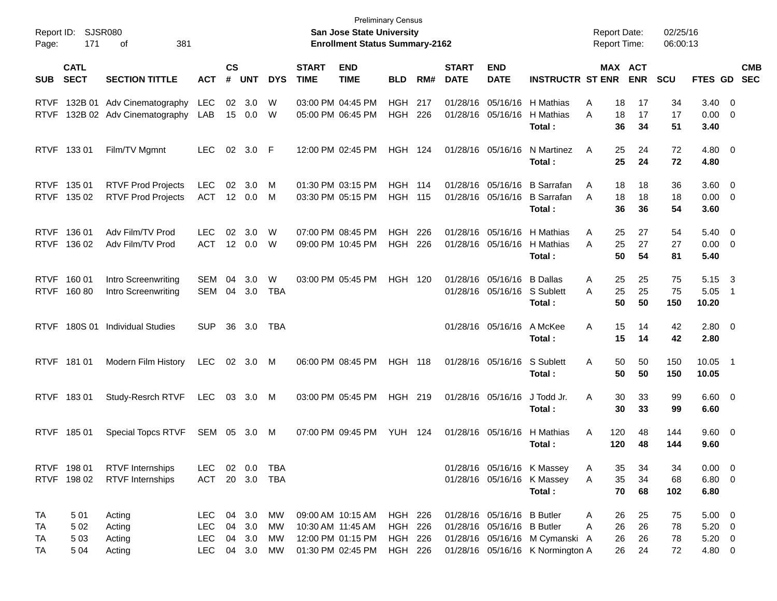| Report ID:<br>Page:        | 171                            | <b>SJSR080</b><br>381<br>οf                              |                                        |                    |                                      |                   |                             | <b>Preliminary Census</b><br>San Jose State University<br><b>Enrollment Status Summary-2162</b> |                                                        |            |                             |                                                          |                                                                    | <b>Report Date:</b><br><b>Report Time:</b> |                      | 02/25/16<br>06:00:13 |                                                   |                          |            |
|----------------------------|--------------------------------|----------------------------------------------------------|----------------------------------------|--------------------|--------------------------------------|-------------------|-----------------------------|-------------------------------------------------------------------------------------------------|--------------------------------------------------------|------------|-----------------------------|----------------------------------------------------------|--------------------------------------------------------------------|--------------------------------------------|----------------------|----------------------|---------------------------------------------------|--------------------------|------------|
| <b>SUB</b>                 | <b>CATL</b><br><b>SECT</b>     | <b>SECTION TITTLE</b>                                    | АСТ                                    | $\mathsf{cs}$<br># | <b>UNT</b>                           | <b>DYS</b>        | <b>START</b><br><b>TIME</b> | <b>END</b><br><b>TIME</b>                                                                       | <b>BLD</b>                                             | RM#        | <b>START</b><br><b>DATE</b> | <b>END</b><br><b>DATE</b>                                | <b>INSTRUCTR ST ENR</b>                                            | MAX ACT                                    | <b>ENR</b>           | <b>SCU</b>           | FTES GD SEC                                       |                          | <b>CMB</b> |
| <b>RTVF</b><br><b>RTVF</b> |                                | 132B 01 Adv Cinematography<br>132B 02 Adv Cinematography | LEC<br>LAB                             | 02<br>15           | 3.0<br>0.0                           | W<br>W            |                             | 03:00 PM 04:45 PM<br>05:00 PM 06:45 PM                                                          | HGH<br><b>HGH</b>                                      | 217<br>226 |                             | 01/28/16 05/16/16                                        | 01/28/16 05/16/16 H Mathias<br>H Mathias<br>Total:                 | 18<br>A<br>A<br>18<br>36                   | 17<br>17<br>34       | 34<br>17<br>51       | $3.40 \ 0$<br>$0.00 \t 0$<br>3.40                 |                          |            |
|                            | RTVF 133 01                    | Film/TV Mgmnt                                            | <b>LEC</b>                             | 02                 | 3.0 F                                |                   |                             | 12:00 PM 02:45 PM                                                                               | HGH 124                                                |            |                             | 01/28/16 05/16/16                                        | N Martinez<br>Total:                                               | 25<br>A<br>25                              | 24<br>24             | 72<br>72             | $4.80\ 0$<br>4.80                                 |                          |            |
|                            | RTVF 135 01<br>RTVF 135 02     | <b>RTVF Prod Projects</b><br><b>RTVF Prod Projects</b>   | <b>LEC</b><br><b>ACT</b>               | 02                 | 3.0<br>12 0.0                        | M<br>M            |                             | 01:30 PM 03:15 PM<br>03:30 PM 05:15 PM                                                          | HGH<br><b>HGH 115</b>                                  | 114        |                             | 01/28/16 05/16/16                                        | 01/28/16 05/16/16 B Sarrafan<br><b>B</b> Sarrafan<br>Total:        | 18<br>A<br>18<br>A<br>36                   | 18<br>18<br>36       | 36<br>18<br>54       | $3.60 \ 0$<br>$0.00 \t 0$<br>3.60                 |                          |            |
|                            | RTVF 136 01<br>RTVF 136 02     | Adv Film/TV Prod<br>Adv Film/TV Prod                     | <b>LEC</b><br><b>ACT</b>               | 02                 | 3.0<br>12 0.0                        | W<br>W            |                             | 07:00 PM 08:45 PM<br>09:00 PM 10:45 PM                                                          | HGH<br><b>HGH</b>                                      | 226<br>226 |                             | 01/28/16 05/16/16                                        | 01/28/16 05/16/16 H Mathias<br>H Mathias<br>Total:                 | 25<br>A<br>25<br>A<br>50                   | 27<br>27<br>54       | 54<br>27<br>81       | $5.40 \ 0$<br>$0.00 \t 0$<br>5.40                 |                          |            |
|                            | RTVF 160 01<br>RTVF 160 80     | Intro Screenwriting<br>Intro Screenwriting               | SEM<br>SEM                             | 04<br>04           | 3.0<br>3.0                           | W<br><b>TBA</b>   |                             | 03:00 PM 05:45 PM                                                                               | <b>HGH 120</b>                                         |            |                             | 01/28/16 05/16/16 B Dallas                               | 01/28/16 05/16/16 S Sublett<br>Total:                              | 25<br>A<br>25<br>A<br>50                   | 25<br>25<br>50       | 75<br>75<br>150      | 5.15<br>5.05<br>10.20                             | $_{3}$<br>$\overline{1}$ |            |
| <b>RTVF</b>                |                                | 180S 01 Individual Studies                               | <b>SUP</b>                             | 36                 | 3.0                                  | TBA               |                             |                                                                                                 |                                                        |            |                             | 01/28/16 05/16/16                                        | A McKee<br>Total:                                                  | 15<br>A<br>15                              | 14<br>14             | 42<br>42             | $2.80 \t 0$<br>2.80                               |                          |            |
|                            | RTVF 181 01                    | Modern Film History                                      | LEC                                    |                    | 02 3.0                               | M                 |                             | 06:00 PM 08:45 PM                                                                               | <b>HGH 118</b>                                         |            |                             | 01/28/16 05/16/16                                        | S Sublett<br>Total:                                                | A<br>50<br>50                              | 50<br>50             | 150<br>150           | 10.05<br>10.05                                    | $\blacksquare$ 1         |            |
|                            | RTVF 18301                     | Study-Resrch RTVF                                        | LEC                                    |                    | 03 3.0 M                             |                   |                             | 03:00 PM 05:45 PM                                                                               | HGH 219                                                |            |                             | 01/28/16 05/16/16                                        | J Todd Jr.<br>Total:                                               | A<br>30<br>30                              | 33<br>33             | 99<br>99             | $6.60$ 0<br>6.60                                  |                          |            |
| <b>RTVF</b>                | 185 01                         | <b>Special Topcs RTVF</b>                                | SEM 05 3.0                             |                    |                                      | M                 |                             | 07:00 PM 09:45 PM                                                                               | <b>YUH 124</b>                                         |            |                             | 01/28/16 05/16/16                                        | H Mathias<br>Total:                                                | 120<br>A<br>120                            | 48<br>48             | 144<br>144           | $9.60 \quad 0$<br>9.60                            |                          |            |
|                            | RTVF 198 01<br>RTVF 198 02     | <b>RTVF</b> Internships<br>RTVF Internships              | <b>LEC</b><br>ACT                      |                    | 02 0.0                               | TBA<br>20 3.0 TBA |                             |                                                                                                 |                                                        |            |                             |                                                          | 01/28/16 05/16/16 K Massey<br>01/28/16 05/16/16 K Massey<br>Total: | 35<br>A<br>35<br>A<br>70                   | 34<br>34<br>68       | 34<br>68<br>102      | $0.00 \t 0$<br>$6.80$ 0<br>6.80                   |                          |            |
| TA<br>TA<br>TA<br>TA       | 501<br>5 0 2<br>5 0 3<br>5 0 4 | Acting<br>Acting<br>Acting<br>Acting                     | <b>LEC</b><br>LEC<br>LEC<br><b>LEC</b> | 04                 | 04 3.0 MW<br>3.0<br>04 3.0<br>04 3.0 | МW<br>МW<br>МW    |                             | 09:00 AM 10:15 AM<br>10:30 AM 11:45 AM<br>12:00 PM 01:15 PM<br>01:30 PM 02:45 PM                | HGH 226<br><b>HGH 226</b><br><b>HGH 226</b><br>HGH 226 |            |                             | 01/28/16 05/16/16 B Butler<br>01/28/16 05/16/16 B Butler | 01/28/16 05/16/16 M Cymanski A<br>01/28/16 05/16/16 K Normington A | 26<br>A<br>26<br>A<br>26<br>26             | 25<br>26<br>26<br>24 | 75<br>78<br>78<br>72 | $5.00 \t 0$<br>$5.20 \ 0$<br>$5.20 \ 0$<br>4.80 0 |                          |            |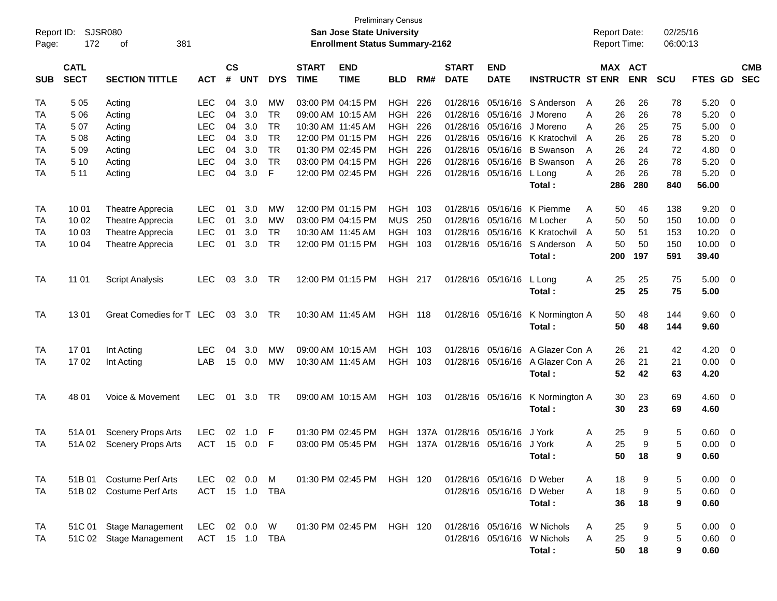| Report ID:<br>Page: | 172                        | <b>SJSR080</b><br>381<br>οf |                |                |            |            |                             | <b>San Jose State University</b><br><b>Enrollment Status Summary-2162</b> | <b>Preliminary Census</b> |      |                             |                               |                                | <b>Report Date:</b><br>Report Time: |            | 02/25/16<br>06:00:13 |                |                          |
|---------------------|----------------------------|-----------------------------|----------------|----------------|------------|------------|-----------------------------|---------------------------------------------------------------------------|---------------------------|------|-----------------------------|-------------------------------|--------------------------------|-------------------------------------|------------|----------------------|----------------|--------------------------|
| <b>SUB</b>          | <b>CATL</b><br><b>SECT</b> | <b>SECTION TITTLE</b>       | <b>ACT</b>     | <b>CS</b><br># | <b>UNT</b> | <b>DYS</b> | <b>START</b><br><b>TIME</b> | <b>END</b><br><b>TIME</b>                                                 | <b>BLD</b>                | RM#  | <b>START</b><br><b>DATE</b> | <b>END</b><br><b>DATE</b>     | <b>INSTRUCTR ST ENR</b>        | <b>MAX ACT</b>                      | <b>ENR</b> | SCU                  | FTES GD        | <b>CMB</b><br><b>SEC</b> |
| TA                  | 5 0 5                      | Acting                      | <b>LEC</b>     | 04             | 3.0        | МW         |                             | 03:00 PM 04:15 PM                                                         | <b>HGH</b>                | 226  |                             |                               | 01/28/16 05/16/16 S Anderson   | 26<br>A                             | 26         | 78                   | 5.20           | - 0                      |
| TA                  | 506                        | Acting                      | <b>LEC</b>     | 04             | 3.0        | <b>TR</b>  |                             | 09:00 AM 10:15 AM                                                         | <b>HGH</b>                | 226  |                             | 01/28/16 05/16/16             | J Moreno                       | 26<br>Α                             | 26         | 78                   | 5.20           | 0                        |
| TA                  | 507                        | Acting                      | <b>LEC</b>     | 04             | 3.0        | <b>TR</b>  |                             | 10:30 AM 11:45 AM                                                         | <b>HGH</b>                | 226  |                             | 01/28/16 05/16/16             | J Moreno                       | А<br>26                             | 25         | 75                   | 5.00           | 0                        |
| TA                  | 508                        | Acting                      | <b>LEC</b>     | 04             | 3.0        | <b>TR</b>  |                             | 12:00 PM 01:15 PM                                                         | <b>HGH</b>                | 226  |                             |                               | 01/28/16 05/16/16 K Kratochvil | A<br>26                             | 26         | 78                   | 5.20           | 0                        |
| TA                  | 509                        | Acting                      | <b>LEC</b>     | 04             | 3.0        | <b>TR</b>  |                             | 01:30 PM 02:45 PM                                                         | <b>HGH</b>                | 226  |                             |                               | 01/28/16 05/16/16 B Swanson    | 26<br>A                             | 24         | 72                   | 4.80           | 0                        |
| TA                  | 5 10                       | Acting                      | <b>LEC</b>     | 04             | 3.0        | <b>TR</b>  |                             | 03:00 PM 04:15 PM                                                         | <b>HGH</b>                | 226  |                             |                               | 01/28/16 05/16/16 B Swanson    | 26<br>A                             | 26         | 78                   | 5.20           | 0                        |
| TA                  | 5 11                       | Acting                      | <b>LEC</b>     | 04             | 3.0        | F          |                             | 12:00 PM 02:45 PM                                                         | HGH                       | 226  |                             | 01/28/16 05/16/16             | L Long                         | 26<br>А                             | 26         | 78                   | 5.20           | $\overline{0}$           |
|                     |                            |                             |                |                |            |            |                             |                                                                           |                           |      |                             |                               | Total:                         | 286                                 | 280        | 840                  | 56.00          |                          |
| TA                  | 10 01                      | Theatre Apprecia            | <b>LEC</b>     | 01             | 3.0        | МW         |                             | 12:00 PM 01:15 PM                                                         | <b>HGH</b>                | 103  |                             |                               | 01/28/16 05/16/16 K Piemme     | 50<br>A                             | 46         | 138                  | 9.20           | 0                        |
| TA                  | 10 02                      | Theatre Apprecia            | <b>LEC</b>     | 01             | 3.0        | МW         |                             | 03:00 PM 04:15 PM                                                         | <b>MUS</b>                | 250  |                             | 01/28/16 05/16/16 M Locher    |                                | 50<br>А                             | 50         | 150                  | 10.00          | 0                        |
| TA                  | 10 03                      | Theatre Apprecia            | <b>LEC</b>     | 01             | 3.0        | <b>TR</b>  |                             | 10:30 AM 11:45 AM                                                         | <b>HGH</b>                | 103  |                             |                               | 01/28/16 05/16/16 K Kratochvil | A<br>50                             | 51         | 153                  | 10.20          | 0                        |
| TA                  | 10 04                      | Theatre Apprecia            | <b>LEC</b>     | 01             | 3.0        | <b>TR</b>  |                             | 12:00 PM 01:15 PM                                                         | <b>HGH</b>                | 103  |                             |                               | 01/28/16 05/16/16 S Anderson   | 50<br>A                             | 50         | 150                  | 10.00          | $\overline{0}$           |
|                     |                            |                             |                |                |            |            |                             |                                                                           |                           |      |                             |                               | Total :                        | 200                                 | 197        | 591                  | 39.40          |                          |
| TA                  | 11 01                      | <b>Script Analysis</b>      | <b>LEC</b>     | 03             | 3.0        | <b>TR</b>  |                             | 12:00 PM 01:15 PM                                                         | <b>HGH 217</b>            |      |                             | 01/28/16 05/16/16             | L Long                         | 25<br>Α                             | 25         | 75                   | 5.00           | $\overline{\mathbf{0}}$  |
|                     |                            |                             |                |                |            |            |                             |                                                                           |                           |      |                             |                               | Total:                         | 25                                  | 25         | 75                   | 5.00           |                          |
| TA                  | 1301                       | Great Comedies for T LEC    |                |                | 03 3.0     | <b>TR</b>  |                             | 10:30 AM 11:45 AM                                                         | <b>HGH 118</b>            |      |                             | 01/28/16 05/16/16             | K Normington A                 | 50                                  | 48         | 144                  | $9.60 \quad 0$ |                          |
|                     |                            |                             |                |                |            |            |                             |                                                                           |                           |      |                             |                               | Total:                         | 50                                  | 48         | 144                  | 9.60           |                          |
| TA                  | 1701                       | Int Acting                  | <b>LEC</b>     | 04             | 3.0        | МW         |                             | 09:00 AM 10:15 AM                                                         | HGH.                      | 103  |                             | 01/28/16 05/16/16             | A Glazer Con A                 | 26                                  | 21         | 42                   | 4.20           | $\overline{\mathbf{0}}$  |
| TA                  | 1702                       | Int Acting                  | LAB            | 15             | 0.0        | MW         |                             | 10:30 AM 11:45 AM                                                         | <b>HGH</b>                | 103  |                             | 01/28/16 05/16/16             | A Glazer Con A                 | 26                                  | 21         | 21                   | 0.00           | $\overline{0}$           |
|                     |                            |                             |                |                |            |            |                             |                                                                           |                           |      |                             |                               | Total :                        | 52                                  | 42         | 63                   | 4.20           |                          |
| TA                  | 48 01                      | Voice & Movement            | <b>LEC</b>     |                | 01 3.0     | TR         |                             | 09:00 AM 10:15 AM                                                         | HGH 103                   |      |                             | 01/28/16 05/16/16             | K Normington A                 | 30                                  | 23         | 69                   | $4.60 \ 0$     |                          |
|                     |                            |                             |                |                |            |            |                             |                                                                           |                           |      |                             |                               | Total:                         | 30                                  | 23         | 69                   | 4.60           |                          |
| TA                  | 51A 01                     | <b>Scenery Props Arts</b>   | <b>LEC</b>     | 02             | 1.0        | F          |                             | 01:30 PM 02:45 PM                                                         | HGH.                      | 137A | 01/28/16                    | 05/16/16                      | J York                         | 25<br>Α                             | 9          | 5                    | 0.60           | - 0                      |
| TA                  | 51A 02                     | <b>Scenery Props Arts</b>   | <b>ACT</b>     |                | 15 0.0     | F          |                             | 03:00 PM 05:45 PM                                                         | HGH                       |      |                             | 137A 01/28/16 05/16/16 J York |                                | 25<br>Α                             | 9          | 5                    | 0.00           | $\overline{0}$           |
|                     |                            |                             |                |                |            |            |                             |                                                                           |                           |      |                             |                               | Total :                        | 50                                  | 18         | 9                    | 0.60           |                          |
| TA                  |                            | 51B 01 Costume Perf Arts    | <b>LEC</b>     |                | 02  0.0  M |            |                             | 01:30 PM 02:45 PM                                                         | HGH 120                   |      |                             | 01/28/16 05/16/16 D Weber     |                                | 18<br>A                             | 9          | 5                    | $0.00 \t 0$    |                          |
| TA                  |                            | 51B 02 Costume Perf Arts    | ACT 15 1.0 TBA |                |            |            |                             |                                                                           |                           |      |                             | 01/28/16 05/16/16 D Weber     |                                | 18<br>A                             | 9          | 5                    | $0.60 \t 0$    |                          |
|                     |                            |                             |                |                |            |            |                             |                                                                           |                           |      |                             |                               | Total:                         | 36                                  | 18         | 9                    | 0.60           |                          |
| TA                  |                            | 51C 01 Stage Management     | LEC            |                | 02  0.0  W |            |                             | 01:30 PM 02:45 PM                                                         | HGH 120                   |      |                             |                               | 01/28/16 05/16/16 W Nichols    | 25<br>A                             | 9          | 5                    | $0.00 \t 0$    |                          |
| TA                  |                            | 51C 02 Stage Management     | ACT 15 1.0 TBA |                |            |            |                             |                                                                           |                           |      |                             |                               | 01/28/16 05/16/16 W Nichols    | 25<br>A                             | 9          | 5                    | $0.60 \t 0$    |                          |
|                     |                            |                             |                |                |            |            |                             |                                                                           |                           |      |                             |                               | Total:                         | 50                                  | 18         | 9                    | 0.60           |                          |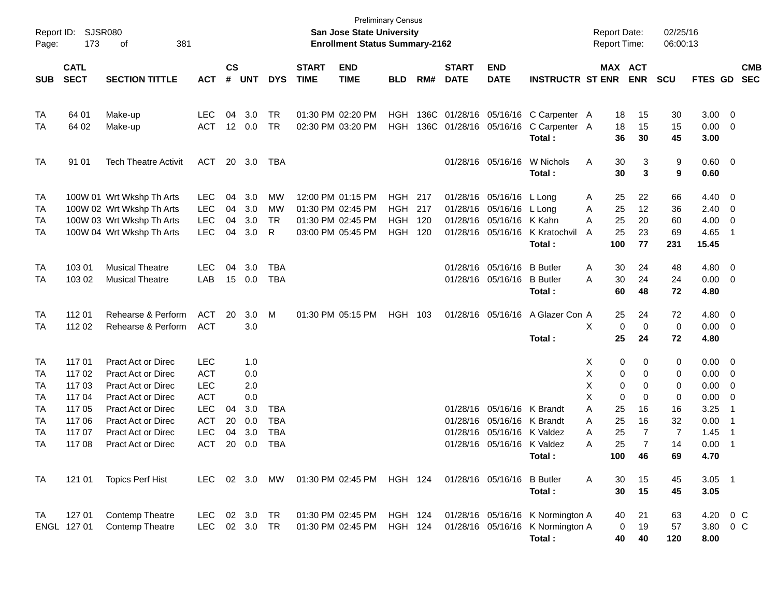| Report ID:<br>Page:                                 | 173                                                                          | SJSR080<br>381<br>οf                                                                                                                                                                              |                                                                                                       |                       |                                                      |                                                      |                             | San Jose State University<br><b>Enrollment Status Summary-2162</b> | <b>Preliminary Census</b>                            |                          |                             |                                                                                           |                                                                                | <b>Report Date:</b><br><b>Report Time:</b>                                              |                                                           | 02/25/16<br>06:00:13                                       |                                                                             |                                                                                               |                          |
|-----------------------------------------------------|------------------------------------------------------------------------------|---------------------------------------------------------------------------------------------------------------------------------------------------------------------------------------------------|-------------------------------------------------------------------------------------------------------|-----------------------|------------------------------------------------------|------------------------------------------------------|-----------------------------|--------------------------------------------------------------------|------------------------------------------------------|--------------------------|-----------------------------|-------------------------------------------------------------------------------------------|--------------------------------------------------------------------------------|-----------------------------------------------------------------------------------------|-----------------------------------------------------------|------------------------------------------------------------|-----------------------------------------------------------------------------|-----------------------------------------------------------------------------------------------|--------------------------|
| <b>SUB</b>                                          | <b>CATL</b><br><b>SECT</b>                                                   | <b>SECTION TITTLE</b>                                                                                                                                                                             | <b>ACT</b>                                                                                            | $\mathsf{cs}$<br>#    | <b>UNT</b>                                           | <b>DYS</b>                                           | <b>START</b><br><b>TIME</b> | <b>END</b><br><b>TIME</b>                                          | <b>BLD</b>                                           | RM#                      | <b>START</b><br><b>DATE</b> | <b>END</b><br><b>DATE</b>                                                                 | <b>INSTRUCTR ST ENR</b>                                                        |                                                                                         | MAX ACT<br><b>ENR</b>                                     | <b>SCU</b>                                                 | FTES GD                                                                     |                                                                                               | <b>CMB</b><br><b>SEC</b> |
| TA<br>TA                                            | 64 01<br>64 02                                                               | Make-up<br>Make-up                                                                                                                                                                                | <b>LEC</b><br><b>ACT</b>                                                                              | 04<br>12 <sup>2</sup> | 3.0<br>0.0                                           | <b>TR</b><br><b>TR</b>                               | 01:30 PM 02:20 PM           | 02:30 PM 03:20 PM                                                  | <b>HGH</b><br><b>HGH</b>                             | 136C<br>136C             |                             |                                                                                           | 01/28/16 05/16/16 C Carpenter A<br>01/28/16 05/16/16 C Carpenter A<br>Total:   | 18<br>18<br>36                                                                          | 15<br>15<br>30                                            | 30<br>15<br>45                                             | 3.00<br>0.00<br>3.00                                                        | $\overline{\phantom{0}}$<br>$\overline{\mathbf{0}}$                                           |                          |
| <b>TA</b>                                           | 91 01                                                                        | <b>Tech Theatre Activit</b>                                                                                                                                                                       | <b>ACT</b>                                                                                            | 20                    | 3.0                                                  | TBA                                                  |                             |                                                                    |                                                      |                          |                             | 01/28/16 05/16/16                                                                         | W Nichols<br>Total:                                                            | 30<br>Α<br>30                                                                           | 3<br>3                                                    | 9<br>9                                                     | 0.60 0<br>0.60                                                              |                                                                                               |                          |
| TA<br>TA<br>TA<br>TA                                |                                                                              | 100W 01 Wrt Wkshp Th Arts<br>100W 02 Wrt Wkshp Th Arts<br>100W 03 Wrt Wkshp Th Arts<br>100W 04 Wrt Wkshp Th Arts                                                                                  | LEC<br><b>LEC</b><br><b>LEC</b><br><b>LEC</b>                                                         | 04<br>04<br>04<br>04  | 3.0<br>3.0<br>3.0<br>3.0                             | MW<br>MW<br><b>TR</b><br>R                           | 01:30 PM 02:45 PM           | 12:00 PM 01:15 PM<br>01:30 PM 02:45 PM<br>03:00 PM 05:45 PM        | <b>HGH</b><br><b>HGH</b><br><b>HGH</b><br><b>HGH</b> | 217<br>217<br>120<br>120 | 01/28/16<br>01/28/16        | 01/28/16 05/16/16<br>05/16/16<br>05/16/16 K Kahn<br>01/28/16 05/16/16                     | L Long<br>L Long<br>K Kratochvil<br>Total:                                     | 25<br>A<br>25<br>Α<br>25<br>A<br>A<br>25<br>100                                         | 22<br>12<br>20<br>23<br>77                                | 66<br>36<br>60<br>69<br>231                                | 4.40<br>2.40<br>4.00<br>4.65<br>15.45                                       | $\overline{\mathbf{0}}$<br>$\overline{\mathbf{0}}$<br>0<br>$\overline{1}$                     |                          |
| TA<br>TA                                            | 103 01<br>103 02                                                             | <b>Musical Theatre</b><br><b>Musical Theatre</b>                                                                                                                                                  | <b>LEC</b><br>LAB                                                                                     | 04                    | 3.0<br>15 0.0                                        | <b>TBA</b><br><b>TBA</b>                             |                             |                                                                    |                                                      |                          |                             | 01/28/16 05/16/16<br>01/28/16 05/16/16                                                    | <b>B</b> Butler<br><b>B</b> Butler<br>Total:                                   | Α<br>30<br>30<br>A<br>60                                                                | 24<br>24<br>48                                            | 48<br>24<br>72                                             | 4.80<br>0.00<br>4.80                                                        | $\overline{\mathbf{0}}$<br>$\overline{\mathbf{0}}$                                            |                          |
| TA<br>TA                                            | 112 01<br>112 02                                                             | Rehearse & Perform<br>Rehearse & Perform                                                                                                                                                          | <b>ACT</b><br><b>ACT</b>                                                                              | 20                    | 3.0<br>3.0                                           | M                                                    |                             | 01:30 PM 05:15 PM                                                  | HGH 103                                              |                          |                             | 01/28/16 05/16/16                                                                         | A Glazer Con A<br>Total:                                                       | 25<br>X<br>0<br>25                                                                      | 24<br>0<br>24                                             | 72<br>0<br>72                                              | 4.80<br>0.00<br>4.80                                                        | $\overline{\mathbf{0}}$<br>$\overline{\mathbf{0}}$                                            |                          |
| TA<br>TA<br>TA<br>TA<br>TA<br>TA<br>TA<br><b>TA</b> | 117 01<br>117 02<br>117 03<br>117 04<br>117 05<br>117 06<br>117 07<br>117 08 | Pract Act or Direc<br>Pract Act or Direc<br>Pract Act or Direc<br>Pract Act or Direc<br>Pract Act or Direc<br><b>Pract Act or Direc</b><br><b>Pract Act or Direc</b><br><b>Pract Act or Direc</b> | <b>LEC</b><br><b>ACT</b><br><b>LEC</b><br><b>ACT</b><br>LEC<br><b>ACT</b><br><b>LEC</b><br><b>ACT</b> | 04<br>20<br>04<br>20  | 1.0<br>0.0<br>2.0<br>0.0<br>3.0<br>0.0<br>3.0<br>0.0 | <b>TBA</b><br><b>TBA</b><br><b>TBA</b><br><b>TBA</b> |                             |                                                                    |                                                      |                          | 01/28/16<br>01/28/16        | 01/28/16 05/16/16 K Brandt<br>05/16/16 K Brandt<br>05/16/16<br>01/28/16 05/16/16 K Valdez | K Valdez<br>Total:                                                             | Х<br>0<br>Χ<br>0<br>Χ<br>0<br>X<br>0<br>A<br>25<br>25<br>A<br>25<br>A<br>25<br>A<br>100 | 0<br>0<br>0<br>0<br>16<br>16<br>7<br>$\overline{7}$<br>46 | 0<br>0<br>0<br>0<br>16<br>32<br>$\overline{7}$<br>14<br>69 | $0.00 \t 0$<br>0.00<br>0.00<br>0.00<br>3.25<br>0.00<br>1.45<br>0.00<br>4.70 | $\overline{\mathbf{0}}$<br>0<br>0<br>-1<br>$\overline{1}$<br>$\overline{1}$<br>$\overline{1}$ |                          |
| TA                                                  | 121 01                                                                       | <b>Topics Perf Hist</b>                                                                                                                                                                           | LEC.                                                                                                  |                       |                                                      |                                                      |                             | 02 3.0 MW  01:30 PM  02:45 PM  HGH  124                            |                                                      |                          |                             | 01/28/16 05/16/16 B Butler                                                                | Total:                                                                         | 30<br>A<br>30                                                                           | 15<br>15                                                  | 45<br>45                                                   | $3.05$ 1<br>3.05                                                            |                                                                                               |                          |
| TA                                                  | 127 01<br>ENGL 127 01                                                        | Contemp Theatre<br><b>Contemp Theatre</b>                                                                                                                                                         | <b>LEC</b><br><b>LEC</b>                                                                              |                       | 02 3.0<br>02 3.0                                     | TR<br><b>TR</b>                                      |                             | 01:30 PM 02:45 PM<br>01:30 PM 02:45 PM                             | HGH 124<br><b>HGH 124</b>                            |                          |                             |                                                                                           | 01/28/16 05/16/16 K Normington A<br>01/28/16 05/16/16 K Normington A<br>Total: | 40<br>0<br>40                                                                           | 21<br>19<br>40                                            | 63<br>57<br>120                                            | 4.20<br>3.80 0 C<br>8.00                                                    | $0\,$ C                                                                                       |                          |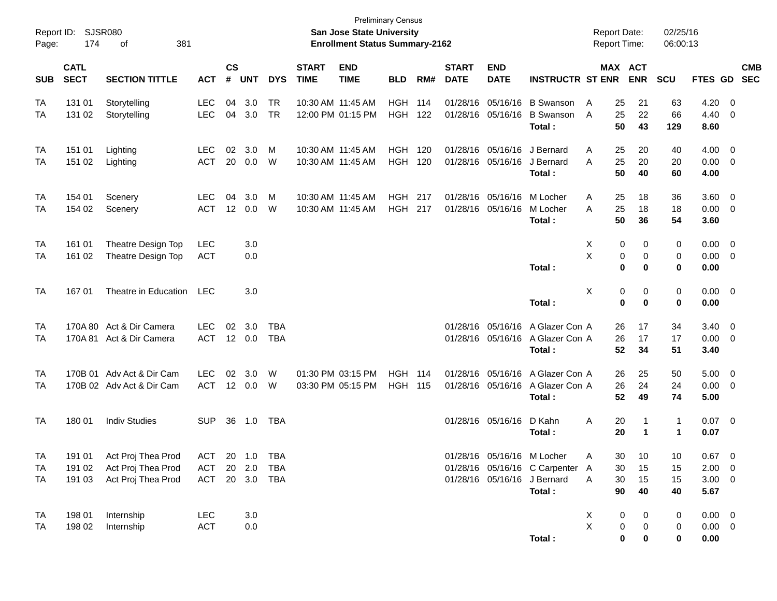| Report ID:<br>Page: | 174                        | <b>SJSR080</b><br>381<br>оf                                    |                          |                    |                      |                          |                             | San Jose State University<br><b>Enrollment Status Summary-2162</b> | <b>Preliminary Census</b>        |            |                             |                               |                                                                                                        | <b>Report Date:</b><br><b>Report Time:</b> |                            | 02/25/16<br>06:00:13          |                                            |                                                    |
|---------------------|----------------------------|----------------------------------------------------------------|--------------------------|--------------------|----------------------|--------------------------|-----------------------------|--------------------------------------------------------------------|----------------------------------|------------|-----------------------------|-------------------------------|--------------------------------------------------------------------------------------------------------|--------------------------------------------|----------------------------|-------------------------------|--------------------------------------------|----------------------------------------------------|
| <b>SUB</b>          | <b>CATL</b><br><b>SECT</b> | <b>SECTION TITTLE</b>                                          | <b>ACT</b>               | $\mathsf{cs}$<br># | <b>UNT</b>           | <b>DYS</b>               | <b>START</b><br><b>TIME</b> | <b>END</b><br><b>TIME</b>                                          | <b>BLD</b>                       | RM#        | <b>START</b><br><b>DATE</b> | <b>END</b><br><b>DATE</b>     | <b>INSTRUCTR ST ENR</b>                                                                                |                                            | MAX ACT<br><b>ENR</b>      | SCU                           | FTES GD                                    | <b>CMB</b><br><b>SEC</b>                           |
| TA<br>TA            | 131 01<br>131 02           | Storytelling<br>Storytelling                                   | <b>LEC</b><br><b>LEC</b> | 04<br>04           | 3.0<br>3.0           | <b>TR</b><br><b>TR</b>   |                             | 10:30 AM 11:45 AM<br>12:00 PM 01:15 PM                             | <b>HGH</b><br><b>HGH</b>         | 114<br>122 | 01/28/16                    | 01/28/16 05/16/16<br>05/16/16 | <b>B</b> Swanson<br><b>B</b> Swanson<br>Total:                                                         | A<br>25<br>A<br>25<br>50                   | 21<br>22<br>43             | 63<br>66<br>129               | 4.20<br>4.40<br>8.60                       | $\overline{0}$<br>$\mathbf 0$                      |
| TA<br>TA            | 151 01<br>151 02           | Lighting<br>Lighting                                           | <b>LEC</b><br><b>ACT</b> | 02<br>20           | 3.0<br>0.0           | M<br>W                   |                             | 10:30 AM 11:45 AM<br>10:30 AM 11:45 AM                             | <b>HGH</b><br><b>HGH</b>         | 120<br>120 | 01/28/16                    | 01/28/16 05/16/16<br>05/16/16 | J Bernard<br>J Bernard<br>Total:                                                                       | A<br>25<br>25<br>A<br>50                   | 20<br>20<br>40             | 40<br>20<br>60                | 4.00<br>0.00<br>4.00                       | $\overline{0}$<br>$\overline{0}$                   |
| TA<br>TA            | 154 01<br>154 02           | Scenery<br>Scenery                                             | LEC<br><b>ACT</b>        | 04<br>12           | 3.0<br>0.0           | M<br>W                   |                             | 10:30 AM 11:45 AM<br>10:30 AM 11:45 AM                             | HGH<br><b>HGH</b>                | 217<br>217 | 01/28/16                    | 01/28/16 05/16/16<br>05/16/16 | M Locher<br>M Locher<br>Total:                                                                         | A<br>25<br>25<br>A<br>50                   | 18<br>18<br>36             | 36<br>18<br>54                | 3.60<br>0.00<br>3.60                       | $\overline{0}$<br>$\overline{0}$                   |
| TA<br>TA            | 161 01<br>161 02           | Theatre Design Top<br>Theatre Design Top                       | <b>LEC</b><br>ACT        |                    | 3.0<br>0.0           |                          |                             |                                                                    |                                  |            |                             |                               | Total:                                                                                                 | X<br>0<br>X                                | 0<br>0<br>0<br>0<br>0      | 0<br>0<br>0                   | 0.00<br>0.00<br>0.00                       | $\overline{\mathbf{0}}$<br>$\overline{\mathbf{0}}$ |
| TA                  | 167 01                     | Theatre in Education                                           | LEC                      |                    | 3.0                  |                          |                             |                                                                    |                                  |            |                             |                               | Total:                                                                                                 | Χ                                          | 0<br>0<br>0<br>$\mathbf 0$ | 0<br>0                        | $0.00 \t 0$<br>0.00                        |                                                    |
| TA<br>TA            |                            | 170A 80 Act & Dir Camera<br>170A 81 Act & Dir Camera           | <b>LEC</b><br><b>ACT</b> | 02                 | 3.0<br>12 0.0        | <b>TBA</b><br><b>TBA</b> |                             |                                                                    |                                  |            |                             | 01/28/16 05/16/16             | 01/28/16 05/16/16 A Glazer Con A<br>A Glazer Con A<br>Total:                                           | 26<br>26<br>52                             | 17<br>17<br>34             | 34<br>17<br>51                | 3.40<br>0.00<br>3.40                       | $\overline{0}$<br>$\overline{0}$                   |
| TA<br>TA            | 170B 01                    | Adv Act & Dir Cam<br>170B 02 Adv Act & Dir Cam                 | <b>LEC</b><br><b>ACT</b> | 02                 | 3.0<br>12  0.0       | W<br>W                   |                             | 01:30 PM 03:15 PM<br>03:30 PM 05:15 PM                             | <b>HGH 114</b><br><b>HGH 115</b> |            |                             | 01/28/16 05/16/16             | 01/28/16 05/16/16 A Glazer Con A<br>A Glazer Con A<br>Total:                                           | 26<br>26<br>52                             | 25<br>24<br>49             | 50<br>24<br>74                | 5.00<br>0.00<br>5.00                       | $\overline{0}$<br>$\overline{0}$                   |
| TA                  | 18001                      | <b>Indiv Studies</b>                                           | <b>SUP</b>               | 36                 | 1.0                  | TBA                      |                             |                                                                    |                                  |            |                             | 01/28/16 05/16/16             | D Kahn<br>Total:                                                                                       | Α<br>20<br>20                              | -1<br>-1                   | $\overline{1}$<br>$\mathbf 1$ | $0.07 \ 0$<br>0.07                         |                                                    |
| TA<br>TA<br>TA      | 191 01<br>191 02<br>191 03 | Act Proj Thea Prod<br>Act Proj Thea Prod<br>Act Proj Thea Prod | ACT<br>ACT<br>ACT        | 20                 | 20 1.0 TBA<br>20 2.0 | TBA<br>3.0 TBA           |                             |                                                                    |                                  |            |                             |                               | 01/28/16 05/16/16 M Locher<br>01/28/16 05/16/16 C Carpenter A<br>01/28/16 05/16/16 J Bernard<br>Total: | 30<br>A<br>30<br>Α<br>30<br>90             | 10<br>15<br>15<br>40       | 10<br>15<br>15<br>40          | 0.67<br>$2.00 \t 0$<br>$3.00 \t 0$<br>5.67 | - 0                                                |
| TA<br>TA            | 198 01<br>198 02           | Internship<br>Internship                                       | LEC<br><b>ACT</b>        |                    | 3.0<br>0.0           |                          |                             |                                                                    |                                  |            |                             |                               | Total:                                                                                                 | X<br>0<br>X                                | 0<br>0<br>0<br>0<br>0      | 0<br>0<br>0                   | $0.00 \quad 0$<br>$0.00 \t 0$<br>0.00      |                                                    |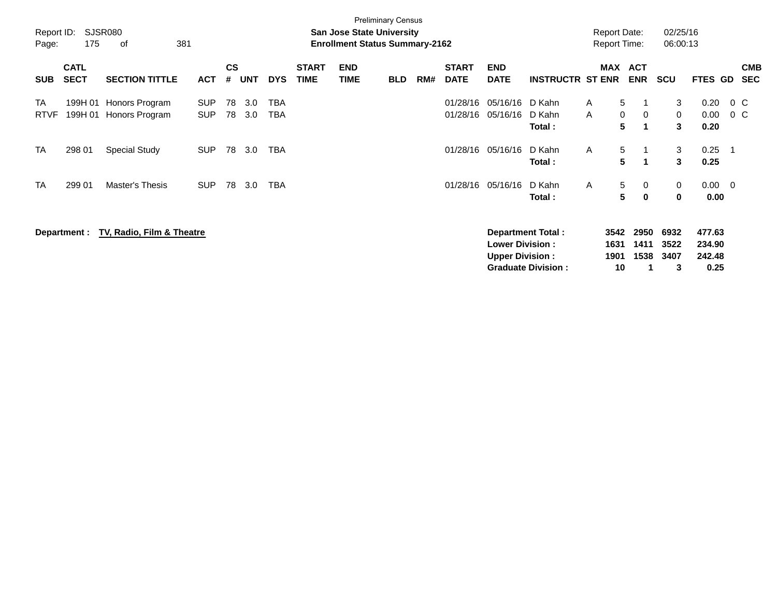| Report ID:<br>Page: | 175                        | SJSR080<br>381<br>0f             |                          |                    |            |                   |                             | San Jose State University<br><b>Enrollment Status Summary-2162</b> | <b>Preliminary Census</b> |     |                             |                                                  |                                                       | <b>Report Date:</b><br><b>Report Time:</b> |                                 | 02/25/16<br>06:00:13      |                                    |                    |                          |
|---------------------|----------------------------|----------------------------------|--------------------------|--------------------|------------|-------------------|-----------------------------|--------------------------------------------------------------------|---------------------------|-----|-----------------------------|--------------------------------------------------|-------------------------------------------------------|--------------------------------------------|---------------------------------|---------------------------|------------------------------------|--------------------|--------------------------|
| <b>SUB</b>          | <b>CATL</b><br><b>SECT</b> | <b>SECTION TITTLE</b>            | <b>ACT</b>               | $\mathsf{cs}$<br># | <b>UNT</b> | <b>DYS</b>        | <b>START</b><br><b>TIME</b> | <b>END</b><br><b>TIME</b>                                          | <b>BLD</b>                | RM# | <b>START</b><br><b>DATE</b> | <b>END</b><br><b>DATE</b>                        | <b>INSTRUCTR ST ENR</b>                               | MAX                                        | <b>ACT</b><br><b>ENR</b>        | <b>SCU</b>                | FTES GD                            |                    | <b>CMB</b><br><b>SEC</b> |
| TA<br><b>RTVF</b>   | 199H 01<br>199H 01         | Honors Program<br>Honors Program | <b>SUP</b><br><b>SUP</b> | 78<br>78           | 3.0<br>3.0 | <b>TBA</b><br>TBA |                             |                                                                    |                           |     | 01/28/16<br>01/28/16        | 05/16/16<br>05/16/16                             | D Kahn<br>D Kahn<br>Total:                            | $\mathsf{A}$<br>$\mathsf{A}$               | 5<br>0<br>$\mathbf 0$<br>5<br>1 | 3<br>$\mathbf{0}$<br>3    | 0.20<br>0.00<br>0.20               | $0\,$ C<br>$0\,$ C |                          |
| TA                  | 298 01                     | <b>Special Study</b>             | <b>SUP</b>               | 78                 | 3.0        | TBA               |                             |                                                                    |                           |     | 01/28/16                    | 05/16/16                                         | D Kahn<br>Total:                                      | $\mathsf{A}$                               | 5<br>5<br>-1                    | 3<br>3                    | 0.25<br>0.25                       | - 1                |                          |
| <b>TA</b>           | 299 01                     | Master's Thesis                  | <b>SUP</b>               | 78                 | 3.0        | <b>TBA</b>        |                             |                                                                    |                           |     | 01/28/16                    | 05/16/16                                         | D Kahn<br>Total:                                      | A                                          | 5<br>0<br>5<br>$\mathbf{0}$     | 0<br>$\mathbf 0$          | $0.00 \t 0$<br>0.00                |                    |                          |
|                     | Department :               | TV, Radio, Film & Theatre        |                          |                    |            |                   |                             |                                                                    |                           |     |                             | <b>Lower Division:</b><br><b>Upper Division:</b> | <b>Department Total:</b><br><b>Graduate Division:</b> | 3542<br>1631<br>1901<br>10                 | 2950<br>1411<br>1538            | 6932<br>3522<br>3407<br>3 | 477.63<br>234.90<br>242.48<br>0.25 |                    |                          |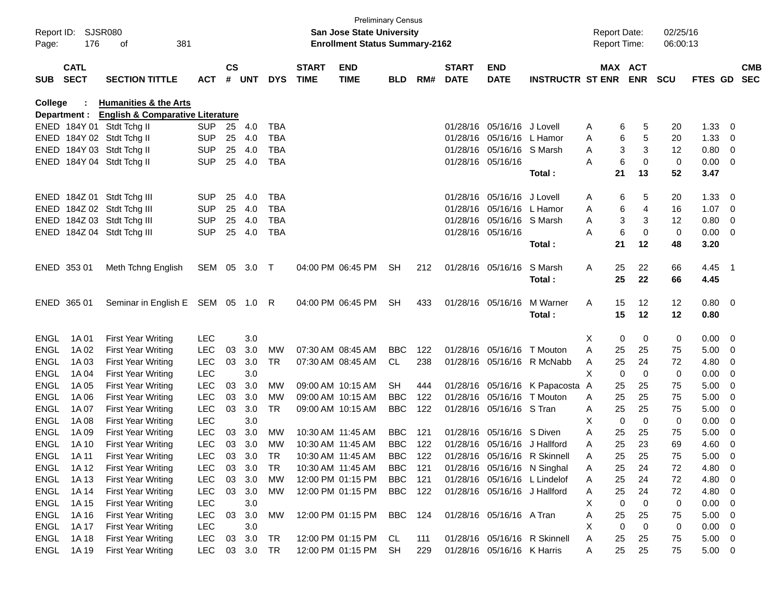| Report ID:<br>Page: | 176                        | SJSR080<br>381<br>оf                        |              |               |         |            |                             | <b>Preliminary Census</b><br><b>San Jose State University</b><br><b>Enrollment Status Summary-2162</b> |            |     |                             |                              |                              | <b>Report Date:</b><br><b>Report Time:</b> |                            | 02/25/16<br>06:00:13 |                  |                          |            |
|---------------------|----------------------------|---------------------------------------------|--------------|---------------|---------|------------|-----------------------------|--------------------------------------------------------------------------------------------------------|------------|-----|-----------------------------|------------------------------|------------------------------|--------------------------------------------|----------------------------|----------------------|------------------|--------------------------|------------|
| <b>SUB</b>          | <b>CATL</b><br><b>SECT</b> | <b>SECTION TITTLE</b>                       | <b>ACT</b>   | $\mathsf{cs}$ | # UNT   | <b>DYS</b> | <b>START</b><br><b>TIME</b> | <b>END</b><br><b>TIME</b>                                                                              | <b>BLD</b> | RM# | <b>START</b><br><b>DATE</b> | <b>END</b><br><b>DATE</b>    | <b>INSTRUCTR ST ENR</b>      |                                            | MAX ACT<br><b>ENR</b>      | <b>SCU</b>           | FTES GD SEC      |                          | <b>CMB</b> |
| College             |                            | <b>Humanities &amp; the Arts</b>            |              |               |         |            |                             |                                                                                                        |            |     |                             |                              |                              |                                            |                            |                      |                  |                          |            |
|                     | Department :               | <b>English &amp; Comparative Literature</b> |              |               |         |            |                             |                                                                                                        |            |     |                             |                              |                              |                                            |                            |                      |                  |                          |            |
|                     |                            | ENED 184Y 01 Stdt Tchg II                   | SUP.         | 25            | 4.0     | <b>TBA</b> |                             |                                                                                                        |            |     | 01/28/16                    | 05/16/16 J Lovell            |                              | Α                                          | 5<br>6                     | 20                   | 1.33             | $\overline{\mathbf{0}}$  |            |
|                     |                            | ENED 184Y 02 Stdt Tchg II                   | <b>SUP</b>   | 25            | 4.0     | <b>TBA</b> |                             |                                                                                                        |            |     | 01/28/16                    | 05/16/16 L Hamor             |                              | A                                          | 6<br>5                     | 20                   | 1.33             | - 0                      |            |
|                     |                            | ENED 184Y 03 Stdt Tchg II                   | <b>SUP</b>   | 25            | 4.0     | <b>TBA</b> |                             |                                                                                                        |            |     | 01/28/16                    | 05/16/16 S Marsh             |                              | A                                          | 3<br>3                     | 12                   | 0.80             | $\overline{\mathbf{0}}$  |            |
|                     |                            | ENED 184Y 04 Stdt Tchg II                   | <b>SUP</b>   | 25            | 4.0     | <b>TBA</b> |                             |                                                                                                        |            |     |                             | 01/28/16 05/16/16            | Total:                       | A<br>21                                    | 6<br>0<br>13               | $\mathbf 0$<br>52    | 0.00<br>3.47     | $\overline{\phantom{0}}$ |            |
|                     |                            | ENED 184Z 01 Stdt Tchg III                  | <b>SUP</b>   | 25            | 4.0     | <b>TBA</b> |                             |                                                                                                        |            |     | 01/28/16                    | 05/16/16 J Lovell            |                              | Α                                          | 5<br>6                     | 20                   | 1.33             | - 0                      |            |
|                     |                            | ENED 184Z 02 Stdt Tchg III                  | <b>SUP</b>   | 25            | 4.0     | <b>TBA</b> |                             |                                                                                                        |            |     | 01/28/16                    | 05/16/16 L Hamor             |                              | A                                          | 6<br>4                     | 16                   | 1.07             | $\overline{\mathbf{0}}$  |            |
|                     |                            | ENED 184Z 03 Stdt Tchg III                  | <b>SUP</b>   | 25            | 4.0     | <b>TBA</b> |                             |                                                                                                        |            |     | 01/28/16                    | 05/16/16 S Marsh             |                              | A                                          | 3<br>3                     | 12                   | 0.80             | $\overline{\mathbf{0}}$  |            |
|                     |                            | ENED 184Z 04 Stdt Tchg III                  | <b>SUP</b>   | 25            | 4.0     | <b>TBA</b> |                             |                                                                                                        |            |     |                             | 01/28/16 05/16/16            |                              | A                                          | 6<br>0                     | 0                    | $0.00 \t 0$      |                          |            |
|                     |                            |                                             |              |               |         |            |                             |                                                                                                        |            |     |                             |                              | Total:                       | 21                                         | 12                         | 48                   | 3.20             |                          |            |
|                     | ENED 353 01                | Meth Tchng English                          | SEM 05 3.0 T |               |         |            |                             | 04:00 PM 06:45 PM                                                                                      | <b>SH</b>  | 212 |                             | 01/28/16 05/16/16            | S Marsh<br>Total:            | 25<br>Α<br>25                              | 22<br>22                   | 66<br>66             | $4.45$ 1<br>4.45 |                          |            |
|                     | ENED 365 01                | Seminar in English E SEM 05 1.0 R           |              |               |         |            |                             | 04:00 PM 06:45 PM                                                                                      | SH         | 433 |                             | 01/28/16 05/16/16            | M Warner                     | 15<br>A                                    | 12                         | 12                   | 0.80 0           |                          |            |
|                     |                            |                                             |              |               |         |            |                             |                                                                                                        |            |     |                             |                              | Total:                       | 15                                         | 12                         | 12                   | 0.80             |                          |            |
| <b>ENGL</b>         | 1A 01                      | <b>First Year Writing</b>                   | <b>LEC</b>   |               | 3.0     |            |                             |                                                                                                        |            |     |                             |                              |                              | X                                          | 0<br>0                     | 0                    | 0.00             | $\overline{\phantom{0}}$ |            |
| <b>ENGL</b>         | 1A 02                      | <b>First Year Writing</b>                   | <b>LEC</b>   | 03            | 3.0     | MW         | 07:30 AM 08:45 AM           |                                                                                                        | <b>BBC</b> | 122 | 01/28/16                    | 05/16/16                     | T Mouton                     | 25<br>Α                                    | 25                         | 75                   | 5.00             | $\overline{\phantom{0}}$ |            |
| <b>ENGL</b>         | 1A03                       | <b>First Year Writing</b>                   | LEC          | 03            | 3.0     | <b>TR</b>  | 07:30 AM 08:45 AM           |                                                                                                        | CL.        | 238 |                             |                              | 01/28/16 05/16/16 R McNabb   | 25<br>Α                                    | 24                         | 72                   | 4.80             | - 0                      |            |
| <b>ENGL</b>         | 1A 04                      | <b>First Year Writing</b>                   | <b>LEC</b>   |               | 3.0     |            |                             |                                                                                                        |            |     |                             |                              |                              | X                                          | $\mathbf 0$<br>$\mathbf 0$ | 0                    | 0.00             | 0                        |            |
| <b>ENGL</b>         | 1A 05                      | <b>First Year Writing</b>                   | <b>LEC</b>   | 03            | 3.0     | MW         | 09:00 AM 10:15 AM           |                                                                                                        | <b>SH</b>  | 444 | 01/28/16                    |                              | 05/16/16 K Papacosta A       | 25                                         | 25                         | 75                   | 5.00             | - 0                      |            |
| <b>ENGL</b>         | 1A 06                      | <b>First Year Writing</b>                   | <b>LEC</b>   | 03            | 3.0     | <b>MW</b>  | 09:00 AM 10:15 AM           |                                                                                                        | <b>BBC</b> | 122 | 01/28/16                    | 05/16/16                     | T Mouton                     | 25<br>Α                                    | 25                         | 75                   | 5.00             | - 0                      |            |
| <b>ENGL</b>         | 1A 07                      | <b>First Year Writing</b>                   | <b>LEC</b>   | 03            | 3.0     | <b>TR</b>  | 09:00 AM 10:15 AM           |                                                                                                        | <b>BBC</b> | 122 | 01/28/16                    | 05/16/16 S Tran              |                              | 25<br>Α                                    | 25                         | 75                   | 5.00             | - 0                      |            |
| <b>ENGL</b>         | 1A 08                      | <b>First Year Writing</b>                   | <b>LEC</b>   |               | 3.0     |            |                             |                                                                                                        |            |     |                             |                              |                              | X                                          | $\mathbf 0$<br>$\mathbf 0$ | $\mathbf 0$          | 0.00             | - 0                      |            |
| <b>ENGL</b>         | 1A 09                      | <b>First Year Writing</b>                   | <b>LEC</b>   | 03            | 3.0     | MW         | 10:30 AM 11:45 AM           |                                                                                                        | <b>BBC</b> | 121 | 01/28/16                    | 05/16/16 S Diven             |                              | 25<br>A                                    | 25                         | 75                   | 5.00             | - 0                      |            |
| <b>ENGL</b>         | 1A 10                      | <b>First Year Writing</b>                   | <b>LEC</b>   | 03            | 3.0     | <b>MW</b>  | 10:30 AM 11:45 AM           |                                                                                                        | <b>BBC</b> | 122 |                             | 01/28/16 05/16/16 J Hallford |                              | 25<br>A                                    | 23                         | 69                   | 4.60             | - 0                      |            |
| <b>ENGL</b>         | 1A 11                      | <b>First Year Writing</b>                   | <b>LEC</b>   | 03            | 3.0     | TR         | 10:30 AM 11:45 AM           |                                                                                                        | <b>BBC</b> | 122 |                             |                              | 01/28/16 05/16/16 R Skinnell | A<br>25                                    | 25                         | 75                   | 5.00             | $\overline{0}$           |            |
| <b>ENGL</b>         | 1A 12                      | <b>First Year Writing</b>                   | <b>LEC</b>   | 03            | 3.0     | <b>TR</b>  | 10:30 AM 11:45 AM           |                                                                                                        | <b>BBC</b> | 121 |                             |                              | 01/28/16 05/16/16 N Singhal  | 25<br>A                                    | 24                         | 72                   | 4.80             | $\overline{\mathbf{0}}$  |            |
| <b>ENGL</b>         | 1A 13                      | <b>First Year Writing</b>                   | <b>LEC</b>   | 03            | 3.0     | MW         |                             | 12:00 PM 01:15 PM                                                                                      | <b>BBC</b> | 121 |                             |                              | 01/28/16 05/16/16 L Lindelof | 25<br>A                                    | 24                         | 72                   | 4.80             | $\overline{\mathbf{0}}$  |            |
| <b>ENGL</b>         | 1A 14                      | <b>First Year Writing</b>                   | <b>LEC</b>   | 03            | 3.0     | MW         |                             | 12:00 PM 01:15 PM                                                                                      | <b>BBC</b> | 122 |                             | 01/28/16 05/16/16 J Hallford |                              | 25<br>A                                    | 24                         | 72                   | 4.80             | $\overline{\phantom{0}}$ |            |
| <b>ENGL</b>         | 1A 15                      | <b>First Year Writing</b>                   | <b>LEC</b>   |               | 3.0     |            |                             |                                                                                                        |            |     |                             |                              |                              | Χ                                          | $\mathbf 0$<br>0           | 0                    | 0.00             | $\overline{\mathbf{0}}$  |            |
| <b>ENGL</b>         | 1A 16                      | <b>First Year Writing</b>                   | LEC          | 03            | $3.0\,$ | MW         |                             | 12:00 PM 01:15 PM                                                                                      | <b>BBC</b> | 124 |                             | 01/28/16 05/16/16 A Tran     |                              | 25<br>Α                                    | 25                         | 75                   | 5.00             | $\overline{\mathbf{0}}$  |            |
| <b>ENGL</b>         | 1A 17                      | <b>First Year Writing</b>                   | <b>LEC</b>   |               | 3.0     |            |                             |                                                                                                        |            |     |                             |                              |                              | Χ                                          | $\mathbf 0$<br>0           | 0                    | 0.00             | $\overline{\mathbf{0}}$  |            |
| <b>ENGL</b>         | 1A 18                      | <b>First Year Writing</b>                   | <b>LEC</b>   | 03            | 3.0     | <b>TR</b>  |                             | 12:00 PM 01:15 PM CL                                                                                   |            | 111 |                             |                              | 01/28/16 05/16/16 R Skinnell | 25<br>Α                                    | 25                         | 75                   | $5.00 \t 0$      |                          |            |
| <b>ENGL</b>         | 1A 19                      | <b>First Year Writing</b>                   | <b>LEC</b>   | 03            | 3.0     | TR         |                             | 12:00 PM 01:15 PM                                                                                      | SH         | 229 |                             | 01/28/16 05/16/16 K Harris   |                              | A                                          | 25<br>25                   | 75                   | 5.00 0           |                          |            |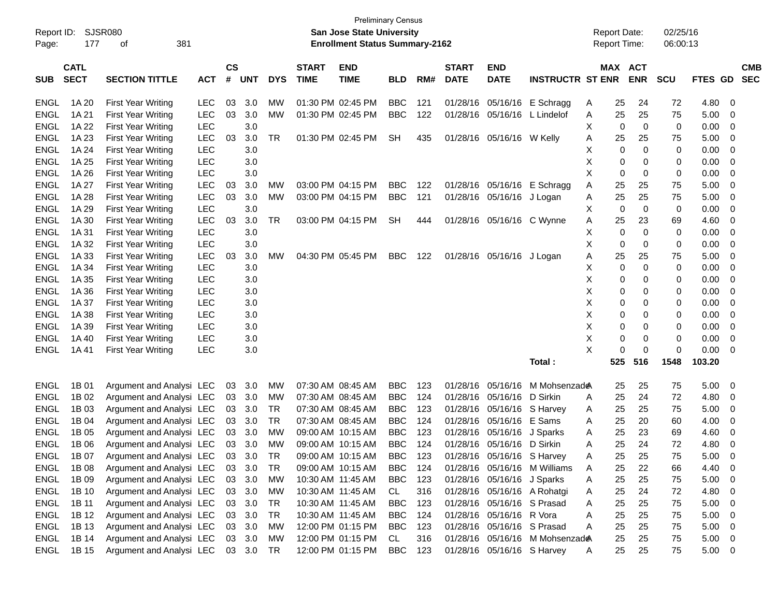|             |                  |                           |            |               |            |            |                   | <b>Preliminary Census</b>             |            |     |              |                            |                                |   |                     |             |            |             |                |            |
|-------------|------------------|---------------------------|------------|---------------|------------|------------|-------------------|---------------------------------------|------------|-----|--------------|----------------------------|--------------------------------|---|---------------------|-------------|------------|-------------|----------------|------------|
| Report ID:  |                  | <b>SJSR080</b>            |            |               |            |            |                   | San Jose State University             |            |     |              |                            |                                |   | <b>Report Date:</b> |             | 02/25/16   |             |                |            |
| Page:       | 381<br>177<br>оf |                           |            |               |            |            |                   | <b>Enrollment Status Summary-2162</b> |            |     |              |                            |                                |   | <b>Report Time:</b> |             | 06:00:13   |             |                |            |
|             |                  |                           |            |               |            |            |                   |                                       |            |     |              |                            |                                |   |                     |             |            |             |                |            |
|             | <b>CATL</b>      |                           |            | $\mathsf{cs}$ |            |            | <b>START</b>      | <b>END</b>                            |            |     | <b>START</b> | <b>END</b>                 |                                |   | <b>MAX ACT</b>      |             |            |             |                | <b>CMB</b> |
| <b>SUB</b>  | <b>SECT</b>      | <b>SECTION TITTLE</b>     | ACT        | #             | <b>UNT</b> | <b>DYS</b> | <b>TIME</b>       | <b>TIME</b>                           | <b>BLD</b> | RM# | <b>DATE</b>  | <b>DATE</b>                | <b>INSTRUCTR ST ENR</b>        |   |                     | <b>ENR</b>  | <b>SCU</b> | <b>FTES</b> | GD.            | <b>SEC</b> |
| <b>ENGL</b> | 1A 20            | <b>First Year Writing</b> | <b>LEC</b> | 03            | 3.0        | МW         |                   | 01:30 PM 02:45 PM                     | <b>BBC</b> | 121 | 01/28/16     |                            | 05/16/16 E Schragg             | A | 25                  | 24          | 72         | 4.80        | - 0            |            |
| <b>ENGL</b> | 1A 21            | <b>First Year Writing</b> | <b>LEC</b> | 03            | 3.0        | MW         |                   | 01:30 PM 02:45 PM                     | <b>BBC</b> | 122 | 01/28/16     | 05/16/16                   | L Lindelof                     | A | 25                  | 25          | 75         | 5.00        | 0              |            |
| <b>ENGL</b> | 1A 22            | <b>First Year Writing</b> | <b>LEC</b> |               | 3.0        |            |                   |                                       |            |     |              |                            |                                | Х | 0                   | $\mathbf 0$ | 0          | 0.00        | 0              |            |
| <b>ENGL</b> | 1A 23            | <b>First Year Writing</b> | <b>LEC</b> | 03            | 3.0        | TR         |                   | 01:30 PM 02:45 PM                     | <b>SH</b>  | 435 |              | 01/28/16 05/16/16 W Kelly  |                                | Α | 25                  | 25          | 75         | 5.00        | 0              |            |
| <b>ENGL</b> | 1A 24            | <b>First Year Writing</b> | <b>LEC</b> |               | 3.0        |            |                   |                                       |            |     |              |                            |                                | х | 0                   | $\mathbf 0$ | 0          | 0.00        | 0              |            |
| <b>ENGL</b> | 1A 25            | <b>First Year Writing</b> | <b>LEC</b> |               | 3.0        |            |                   |                                       |            |     |              |                            |                                | Х | 0                   | 0           | 0          | 0.00        | 0              |            |
| <b>ENGL</b> | 1A 26            | <b>First Year Writing</b> | <b>LEC</b> |               | 3.0        |            |                   |                                       |            |     |              |                            |                                | X | 0                   | 0           | 0          | 0.00        | 0              |            |
| <b>ENGL</b> | 1A 27            | <b>First Year Writing</b> | LEC        | 03            | 3.0        | МW         |                   | 03:00 PM 04:15 PM                     | <b>BBC</b> | 122 | 01/28/16     |                            | 05/16/16 E Schragg             | Α | 25                  | 25          | 75         | 5.00        | 0              |            |
| <b>ENGL</b> | 1A 28            | <b>First Year Writing</b> | <b>LEC</b> | 03            | 3.0        | МW         |                   | 03:00 PM 04:15 PM                     | <b>BBC</b> | 121 |              | 01/28/16 05/16/16 J Logan  |                                | A | 25                  | 25          | 75         | 5.00        | 0              |            |
| <b>ENGL</b> | 1A 29            | <b>First Year Writing</b> | <b>LEC</b> |               | 3.0        |            |                   |                                       |            |     |              |                            |                                | Х | 0                   | $\mathbf 0$ | 0          | 0.00        | 0              |            |
| <b>ENGL</b> | 1A 30            | <b>First Year Writing</b> | <b>LEC</b> | 03            | 3.0        | TR         |                   | 03:00 PM 04:15 PM                     | <b>SH</b>  | 444 |              | 01/28/16 05/16/16 C Wynne  |                                | A | 25                  | 23          | 69         | 4.60        | 0              |            |
| <b>ENGL</b> | 1A 31            | <b>First Year Writing</b> | <b>LEC</b> |               | 3.0        |            |                   |                                       |            |     |              |                            |                                | Х | 0                   | $\mathbf 0$ | 0          | 0.00        | 0              |            |
| <b>ENGL</b> | 1A 32            | <b>First Year Writing</b> | <b>LEC</b> |               | 3.0        |            |                   |                                       |            |     |              |                            |                                | X | 0                   | 0           | 0          | 0.00        | 0              |            |
| <b>ENGL</b> | 1A 33            | <b>First Year Writing</b> | LEC        | 03            | 3.0        | МW         |                   | 04:30 PM 05:45 PM                     | <b>BBC</b> | 122 |              | 01/28/16 05/16/16 J Logan  |                                | Α | 25                  | 25          | 75         | 5.00        | 0              |            |
| <b>ENGL</b> | 1A 34            | <b>First Year Writing</b> | <b>LEC</b> |               | 3.0        |            |                   |                                       |            |     |              |                            |                                | Х | 0                   | $\mathbf 0$ | 0          | 0.00        | 0              |            |
| <b>ENGL</b> | 1A 35            | <b>First Year Writing</b> | <b>LEC</b> |               | 3.0        |            |                   |                                       |            |     |              |                            |                                | X | 0                   | 0           | 0          | 0.00        | 0              |            |
| <b>ENGL</b> | 1A 36            | <b>First Year Writing</b> | <b>LEC</b> |               | 3.0        |            |                   |                                       |            |     |              |                            |                                | Χ | 0                   | 0           | 0          | 0.00        | 0              |            |
| <b>ENGL</b> | 1A 37            | <b>First Year Writing</b> | <b>LEC</b> |               | 3.0        |            |                   |                                       |            |     |              |                            |                                | Χ | 0                   | 0           | 0          | 0.00        | 0              |            |
| <b>ENGL</b> | 1A 38            | <b>First Year Writing</b> | <b>LEC</b> |               | 3.0        |            |                   |                                       |            |     |              |                            |                                | Χ | 0                   | 0           | 0          | 0.00        | 0              |            |
| <b>ENGL</b> | 1A 39            | <b>First Year Writing</b> | <b>LEC</b> |               | 3.0        |            |                   |                                       |            |     |              |                            |                                | X | 0                   | 0           | 0          | 0.00        | 0              |            |
| <b>ENGL</b> | 1A 40            | <b>First Year Writing</b> | LEC        |               | 3.0        |            |                   |                                       |            |     |              |                            |                                | X | 0                   | 0           | 0          | 0.00        | 0              |            |
| <b>ENGL</b> | 1A 41            | <b>First Year Writing</b> |            |               |            |            |                   |                                       |            |     |              |                            |                                | X | $\Omega$            | $\mathbf 0$ | 0          | 0.00        | 0              |            |
|             |                  |                           | <b>LEC</b> |               | 3.0        |            |                   |                                       |            |     |              |                            | Total:                         |   | 525                 | 516         | 1548       | 103.20      |                |            |
|             |                  |                           |            |               |            |            |                   |                                       |            |     |              |                            |                                |   |                     |             |            |             |                |            |
| <b>ENGL</b> | 1B 01            | Argument and Analysi LEC  |            | 03            | 3.0        | МW         | 07:30 AM 08:45 AM |                                       | <b>BBC</b> | 123 | 01/28/16     | 05/16/16                   | M Mohsenzad                    |   | 25                  | 25          | 75         | 5.00        | 0              |            |
| <b>ENGL</b> | 1B 02            | Argument and Analysi LEC  |            | 03            | 3.0        | <b>MW</b>  | 07:30 AM 08:45 AM |                                       | <b>BBC</b> | 124 | 01/28/16     | 05/16/16                   | D Sirkin                       | A | 25                  | 24          | 72         | 4.80        | 0              |            |
| <b>ENGL</b> | 1B 03            | Argument and Analysi LEC  |            | 03            | 3.0        | TR         |                   | 07:30 AM 08:45 AM                     | <b>BBC</b> | 123 | 01/28/16     | 05/16/16                   | S Harvey                       | A | 25                  | 25          | 75         | 5.00        | 0              |            |
| <b>ENGL</b> | 1B 04            | Argument and Analysi LEC  |            | 03            | 3.0        | TR         |                   | 07:30 AM 08:45 AM                     | <b>BBC</b> | 124 | 01/28/16     | 05/16/16                   | E Sams                         | A | 25                  | 20          | 60         | 4.00        | 0              |            |
| <b>ENGL</b> | 1B 05            | Argument and Analysi LEC  |            | 03            | 3.0        | МW         |                   | 09:00 AM 10:15 AM                     | <b>BBC</b> | 123 | 01/28/16     | 05/16/16                   | J Sparks                       | A | 25                  | 23          | 69         | 4.60        | 0              |            |
| <b>ENGL</b> | 1B 06            | Argument and Analysi LEC  |            | 03            | 3.0        | МW         |                   | 09:00 AM 10:15 AM                     | <b>BBC</b> | 124 | 01/28/16     | 05/16/16 D Sirkin          |                                | A | 25                  | 24          | 72         | 4.80        | 0              |            |
| ENGL        | 1B 07            | Argument and Analysi LEC  |            |               | 03 3.0     | <b>TR</b>  |                   | 09:00 AM 10:15 AM                     | <b>BBC</b> | 123 |              |                            | 01/28/16 05/16/16 S Harvey     | Α | 25                  | 25          | 75         | 5.00        | $\mathbf 0$    |            |
| ENGL        | 1B 08            | Argument and Analysi LEC  |            |               | 03 3.0     | TR         |                   | 09:00 AM 10:15 AM                     | BBC        | 124 |              |                            | 01/28/16 05/16/16 M Williams   | A | 25                  | 22          | 66         | 4.40        | 0              |            |
| <b>ENGL</b> | 1B 09            | Argument and Analysi LEC  |            |               | 03 3.0     | MW         |                   | 10:30 AM 11:45 AM                     | <b>BBC</b> | 123 |              | 01/28/16 05/16/16 J Sparks |                                | A | 25                  | 25          | 75         | 5.00        | - 0            |            |
| <b>ENGL</b> | 1B 10            | Argument and Analysi LEC  |            |               | 03 3.0     | MW         | 10:30 AM 11:45 AM |                                       | CL         | 316 |              |                            | 01/28/16 05/16/16 A Rohatgi    | A | 25                  | 24          | 72         | 4.80        | 0              |            |
| <b>ENGL</b> | 1B 11            | Argument and Analysi LEC  |            | 03            | 3.0        | TR         |                   | 10:30 AM 11:45 AM                     | <b>BBC</b> | 123 |              | 01/28/16 05/16/16 S Prasad |                                | A | 25                  | 25          | 75         | 5.00        | $\overline{0}$ |            |
| ENGL        | 1B 12            | Argument and Analysi LEC  |            | 03            | 3.0        | TR         |                   | 10:30 AM 11:45 AM                     | BBC        | 124 |              | 01/28/16 05/16/16 R Vora   |                                | Α | 25                  | 25          | 75         | 5.00        | - 0            |            |
| <b>ENGL</b> | 1B 13            | Argument and Analysi LEC  |            | 03            | 3.0        | MW         |                   | 12:00 PM 01:15 PM                     | <b>BBC</b> | 123 |              | 01/28/16 05/16/16 S Prasad |                                | Α | 25                  | 25          | 75         | 5.00        | - 0            |            |
| <b>ENGL</b> | 1B 14            | Argument and Analysi LEC  |            |               | 03 3.0     | MW         |                   | 12:00 PM 01:15 PM                     | CL         | 316 |              |                            | 01/28/16 05/16/16 M Mohsenzade |   | 25                  | 25          | 75         | 5.00        | $\overline{0}$ |            |
| ENGL        | 1B 15            | Argument and Analysi LEC  |            |               | 03 3.0     | TR         |                   | 12:00 PM 01:15 PM                     | <b>BBC</b> | 123 |              | 01/28/16 05/16/16 S Harvey |                                | A | 25                  | 25          | 75         | $5.00 \t 0$ |                |            |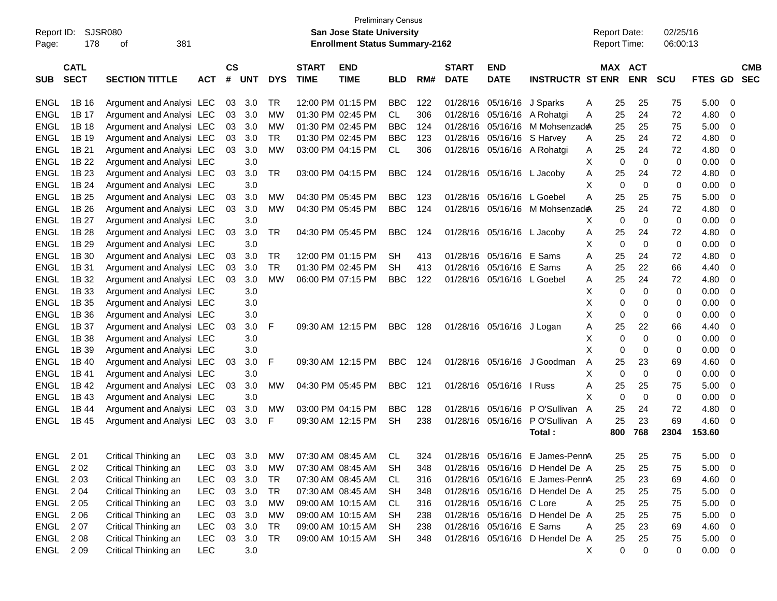| <b>Preliminary Census</b><br><b>SJSR080</b><br><b>San Jose State University</b><br>Report ID: |                            |                          |            |                    |            |            |                             |                                       |            |     |                             | <b>Report Date:</b>        |                                 |   | 02/25/16 |                              |             |             |                          |
|-----------------------------------------------------------------------------------------------|----------------------------|--------------------------|------------|--------------------|------------|------------|-----------------------------|---------------------------------------|------------|-----|-----------------------------|----------------------------|---------------------------------|---|----------|------------------------------|-------------|-------------|--------------------------|
| Page:                                                                                         | 178                        | 381<br>οf                |            |                    |            |            |                             | <b>Enrollment Status Summary-2162</b> |            |     |                             |                            |                                 |   |          | <b>Report Time:</b>          | 06:00:13    |             |                          |
|                                                                                               |                            |                          |            |                    |            |            |                             |                                       |            |     |                             |                            |                                 |   |          |                              |             |             |                          |
| <b>SUB</b>                                                                                    | <b>CATL</b><br><b>SECT</b> | <b>SECTION TITTLE</b>    | <b>ACT</b> | $\mathsf{cs}$<br># | <b>UNT</b> | <b>DYS</b> | <b>START</b><br><b>TIME</b> | <b>END</b><br><b>TIME</b>             | <b>BLD</b> | RM# | <b>START</b><br><b>DATE</b> | <b>END</b><br><b>DATE</b>  | <b>INSTRUCTR ST ENR</b>         |   |          | <b>MAX ACT</b><br><b>ENR</b> | <b>SCU</b>  | FTES GD     | <b>CMB</b><br><b>SEC</b> |
| ENGL                                                                                          | 1B 16                      | Argument and Analysi LEC |            | 03                 | 3.0        | TR.        |                             | 12:00 PM 01:15 PM                     | <b>BBC</b> | 122 | 01/28/16                    | 05/16/16                   | J Sparks                        | Α | 25       | 25                           | 75          | 5.00        | 0                        |
| <b>ENGL</b>                                                                                   | 1B 17                      | Argument and Analysi LEC |            | 03                 | 3.0        | МW         |                             | 01:30 PM 02:45 PM                     | CL.        | 306 | 01/28/16                    | 05/16/16                   | A Rohatgi                       | Α | 25       | 24                           | 72          | 4.80        | -0                       |
| <b>ENGL</b>                                                                                   | 1B 18                      | Argument and Analysi LEC |            | 03                 | 3.0        | МW         |                             | 01:30 PM 02:45 PM                     | <b>BBC</b> | 124 | 01/28/16                    | 05/16/16                   | M Mohsenzad <del></del>         |   | 25       | 25                           | 75          | 5.00        | 0                        |
| <b>ENGL</b>                                                                                   | 1B 19                      | Argument and Analysi LEC |            | 03                 | 3.0        | TR.        |                             | 01:30 PM 02:45 PM                     | <b>BBC</b> | 123 | 01/28/16                    | 05/16/16                   | S Harvey                        | A | 25       | 24                           | 72          | 4.80        | -0                       |
| <b>ENGL</b>                                                                                   | 1B 21                      | Argument and Analysi LEC |            | 03                 | 3.0        | <b>MW</b>  |                             | 03:00 PM 04:15 PM                     | CL         | 306 |                             |                            | 01/28/16 05/16/16 A Rohatgi     | A | 25       | 24                           | 72          | 4.80        | -0                       |
| <b>ENGL</b>                                                                                   | 1B 22                      | Argument and Analysi LEC |            |                    | 3.0        |            |                             |                                       |            |     |                             |                            |                                 | Χ | 0        | $\Omega$                     | $\mathbf 0$ | 0.00        | $\overline{0}$           |
| <b>ENGL</b>                                                                                   | 1B 23                      | Argument and Analysi LEC |            | 03                 | 3.0        | <b>TR</b>  |                             | 03:00 PM 04:15 PM                     | <b>BBC</b> | 124 |                             | 01/28/16 05/16/16 L Jacoby |                                 | Α | 25       | 24                           | 72          | 4.80        | -0                       |
| <b>ENGL</b>                                                                                   | 1B 24                      | Argument and Analysi LEC |            |                    | 3.0        |            |                             |                                       |            |     |                             |                            |                                 | X | 0        | $\Omega$                     | $\mathbf 0$ | 0.00        | -0                       |
| <b>ENGL</b>                                                                                   | 1B 25                      | Argument and Analysi LEC |            | 03                 | 3.0        | <b>MW</b>  |                             | 04:30 PM 05:45 PM                     | <b>BBC</b> | 123 | 01/28/16                    | 05/16/16                   | L Goebel                        | A | 25       | 25                           | 75          | 5.00        | $\overline{0}$           |
| <b>ENGL</b>                                                                                   | 1B 26                      | Argument and Analysi LEC |            | 03                 | 3.0        | <b>MW</b>  |                             | 04:30 PM 05:45 PM                     | <b>BBC</b> | 124 | 01/28/16                    |                            | 05/16/16 M Mohsenzad            |   | 25       | 24                           | 72          | 4.80        | $\overline{0}$           |
| <b>ENGL</b>                                                                                   | 1B 27                      | Argument and Analysi LEC |            |                    | 3.0        |            |                             |                                       |            |     |                             |                            |                                 | х | 0        | $\Omega$                     | $\mathbf 0$ | 0.00        | -0                       |
| <b>ENGL</b>                                                                                   | 1B 28                      | Argument and Analysi LEC |            | 03                 | 3.0        | <b>TR</b>  |                             | 04:30 PM 05:45 PM                     | <b>BBC</b> | 124 |                             | 01/28/16 05/16/16 L Jacoby |                                 | Α | 25       | 24                           | 72          | 4.80        | $\overline{0}$           |
| <b>ENGL</b>                                                                                   | 1B 29                      | Argument and Analysi LEC |            |                    | 3.0        |            |                             |                                       |            |     |                             |                            |                                 | Χ | 0        | $\Omega$                     | $\mathbf 0$ | 0.00        | $\overline{0}$           |
| <b>ENGL</b>                                                                                   | 1B 30                      | Argument and Analysi LEC |            | 03                 | 3.0        | TR.        |                             | 12:00 PM 01:15 PM                     | SН         | 413 | 01/28/16                    | 05/16/16                   | E Sams                          | A | 25       | 24                           | 72          | 4.80        | -0                       |
| <b>ENGL</b>                                                                                   | 1B 31                      | Argument and Analysi LEC |            | 03                 | 3.0        | <b>TR</b>  |                             | 01:30 PM 02:45 PM                     | <b>SH</b>  | 413 | 01/28/16                    | 05/16/16                   | E Sams                          | Α | 25       | 22                           | 66          | 4.40        | -0                       |
| <b>ENGL</b>                                                                                   | 1B 32                      | Argument and Analysi LEC |            | 03                 | 3.0        | <b>MW</b>  |                             | 06:00 PM 07:15 PM                     | <b>BBC</b> | 122 | 01/28/16                    | 05/16/16 L Goebel          |                                 | Α | 25       | 24                           | 72          | 4.80        | $\overline{0}$           |
| <b>ENGL</b>                                                                                   | 1B 33                      | Argument and Analysi LEC |            |                    | 3.0        |            |                             |                                       |            |     |                             |                            |                                 | X | 0        | $\Omega$                     | $\Omega$    | 0.00        | $\overline{0}$           |
| <b>ENGL</b>                                                                                   | 1B 35                      | Argument and Analysi LEC |            |                    | 3.0        |            |                             |                                       |            |     |                             |                            |                                 | Χ | 0        | $\Omega$                     | 0           | 0.00        | 0                        |
|                                                                                               |                            |                          |            |                    |            |            |                             |                                       |            |     |                             |                            |                                 |   | 0        | $\Omega$                     | $\mathbf 0$ |             | $\mathbf 0$              |
| <b>ENGL</b>                                                                                   | 1B 36                      | Argument and Analysi LEC |            |                    | 3.0        |            |                             |                                       |            |     |                             |                            |                                 | Χ | 25       |                              |             | 0.00        |                          |
| <b>ENGL</b>                                                                                   | 1B 37                      | Argument and Analysi LEC |            | 03                 | 3.0        | F          |                             | 09:30 AM 12:15 PM                     | <b>BBC</b> | 128 |                             | 01/28/16 05/16/16 J Logan  |                                 | Α |          | 22                           | 66          | 4.40        | $\overline{0}$           |
| <b>ENGL</b>                                                                                   | 1B 38                      | Argument and Analysi LEC |            |                    | 3.0        |            |                             |                                       |            |     |                             |                            |                                 | Χ | 0        | $\Omega$                     | $\mathbf 0$ | 0.00        | $\overline{0}$           |
| <b>ENGL</b>                                                                                   | 1B 39                      | Argument and Analysi LEC |            |                    | 3.0        |            |                             |                                       |            |     |                             |                            |                                 | X | 0        | $\Omega$                     | $\mathbf 0$ | 0.00        | -0                       |
| <b>ENGL</b>                                                                                   | 1B 40                      | Argument and Analysi LEC |            | 03                 | 3.0        | F          |                             | 09:30 AM 12:15 PM                     | <b>BBC</b> | 124 |                             |                            | 01/28/16 05/16/16 J Goodman     | Α | 25       | 23                           | 69          | 4.60        | 0                        |
| <b>ENGL</b>                                                                                   | 1B 41                      | Argument and Analysi LEC |            |                    | 3.0        |            |                             |                                       |            |     |                             |                            |                                 | Χ | 0        | $\Omega$                     | $\mathbf 0$ | 0.00        | $\overline{0}$           |
| <b>ENGL</b>                                                                                   | 1B 42                      | Argument and Analysi LEC |            | 03                 | 3.0        | <b>MW</b>  |                             | 04:30 PM 05:45 PM                     | <b>BBC</b> | 121 |                             | 01/28/16 05/16/16          | I Russ                          | A | 25       | 25                           | 75          | 5.00        | -0                       |
| <b>ENGL</b>                                                                                   | 1B 43                      | Argument and Analysi LEC |            |                    | 3.0        |            |                             |                                       |            |     |                             |                            |                                 | X | 0        | $\Omega$                     | $\mathbf 0$ | 0.00        | -0                       |
| <b>ENGL</b>                                                                                   | 1B 44                      | Argument and Analysi LEC |            | 03                 | 3.0        | МW         | 03:00 PM 04:15 PM           |                                       | <b>BBC</b> | 128 | 01/28/16                    | 05/16/16                   | P O'Sullivan                    | A | 25       | 24                           | 72          | 4.80        | -0                       |
| ENGL                                                                                          | 1B 45                      | Argument and Analysi LEC |            | 03                 | 3.0        | F          |                             | 09:30 AM 12:15 PM                     | <b>SH</b>  | 238 | 01/28/16                    | 05/16/16                   | PO'Sullivan A                   |   | 25       | 23                           | 69          | 4.60        | - 0                      |
|                                                                                               |                            |                          |            |                    |            |            |                             |                                       |            |     |                             |                            | Total:                          |   | 800      | 768                          | 2304        | 153.60      |                          |
| ENGL                                                                                          | 201                        | Critical Thinking an     | LEC        | 03                 | 3.0        | MW         |                             | 07:30 AM 08:45 AM                     | CL         | 324 |                             |                            | 01/28/16 05/16/16 E James-PennA |   | 25       | 25                           | 75          | 5.00        | 0                        |
| ENGL                                                                                          | 202                        | Critical Thinking an     | LEC        | 03                 | 3.0        | МW         |                             | 07:30 AM 08:45 AM                     | <b>SH</b>  | 348 |                             |                            | 01/28/16 05/16/16 D Hendel De A |   | 25       | 25                           | 75          | 5.00        | - 0                      |
| ENGL                                                                                          | 2 0 3                      | Critical Thinking an     | <b>LEC</b> |                    | 03 3.0     | TR         |                             | 07:30 AM 08:45 AM                     | CL.        | 316 |                             |                            | 01/28/16 05/16/16 E James-PennA |   | 25       | 23                           | 69          | 4.60        | - 0                      |
| ENGL                                                                                          | 2 0 4                      | Critical Thinking an     | <b>LEC</b> | 03                 | 3.0        | TR         |                             | 07:30 AM 08:45 AM                     | <b>SH</b>  | 348 |                             |                            | 01/28/16 05/16/16 D Hendel De A |   | 25       | 25                           | 75          | 5.00        | $\overline{\mathbf{0}}$  |
| ENGL                                                                                          | 2 0 5                      | Critical Thinking an     | <b>LEC</b> | 03                 | 3.0        | МW         |                             | 09:00 AM 10:15 AM                     | CL.        | 316 |                             | 01/28/16 05/16/16 C Lore   |                                 | A | 25       | 25                           | 75          | 5.00        | $\overline{\mathbf{0}}$  |
| ENGL                                                                                          | 206                        | Critical Thinking an     | LEC.       | 03                 | 3.0        | МW         |                             | 09:00 AM 10:15 AM                     | <b>SH</b>  | 238 |                             |                            | 01/28/16 05/16/16 D Hendel De A |   | 25       | 25                           | 75          | 5.00        | - 0                      |
| <b>ENGL</b>                                                                                   | 207                        | Critical Thinking an     | LEC.       | 03                 | 3.0        | TR         |                             | 09:00 AM 10:15 AM                     | <b>SH</b>  | 238 |                             | 01/28/16 05/16/16 E Sams   |                                 | A | 25       | 23                           | 69          | 4.60        | - 0                      |
| ENGL                                                                                          | 208                        | Critical Thinking an     | <b>LEC</b> | 03                 | 3.0        | TR         |                             | 09:00 AM 10:15 AM                     | SH         | 348 |                             |                            | 01/28/16 05/16/16 D Hendel De A |   | 25       | 25                           | 75          | 5.00        | $\overline{\phantom{0}}$ |
| ENGL                                                                                          | 209                        | Critical Thinking an     | <b>LEC</b> |                    | 3.0        |            |                             |                                       |            |     |                             |                            |                                 | X | 0        | 0                            | 0           | $0.00 \t 0$ |                          |
|                                                                                               |                            |                          |            |                    |            |            |                             |                                       |            |     |                             |                            |                                 |   |          |                              |             |             |                          |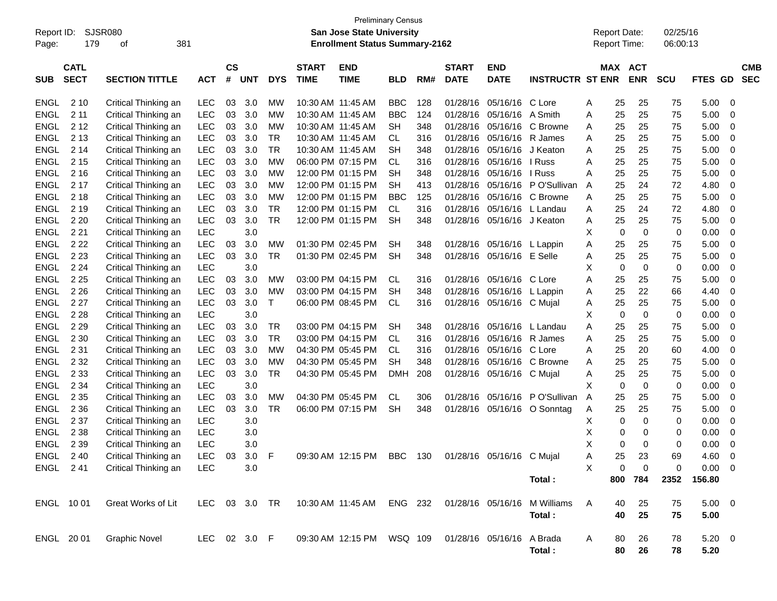| Report ID:<br>Page: | 179                        | SJSR080<br>381<br>of  |              |                    |            |            |                             | <b>Preliminary Census</b><br><b>San Jose State University</b><br><b>Enrollment Status Summary-2162</b> |            |     |                             |                           |                              |   | <b>Report Date:</b><br>Report Time: |             | 02/25/16<br>06:00:13 |                          |                          |
|---------------------|----------------------------|-----------------------|--------------|--------------------|------------|------------|-----------------------------|--------------------------------------------------------------------------------------------------------|------------|-----|-----------------------------|---------------------------|------------------------------|---|-------------------------------------|-------------|----------------------|--------------------------|--------------------------|
| <b>SUB</b>          | <b>CATL</b><br><b>SECT</b> | <b>SECTION TITTLE</b> | <b>ACT</b>   | $\mathsf{cs}$<br># | <b>UNT</b> | <b>DYS</b> | <b>START</b><br><b>TIME</b> | <b>END</b><br><b>TIME</b>                                                                              | <b>BLD</b> | RM# | <b>START</b><br><b>DATE</b> | <b>END</b><br><b>DATE</b> | <b>INSTRUCTR ST ENR</b>      |   | MAX ACT                             | <b>ENR</b>  | <b>SCU</b>           | <b>FTES</b><br><b>GD</b> | <b>CMB</b><br><b>SEC</b> |
| <b>ENGL</b>         | 2 1 0                      | Critical Thinking an  | <b>LEC</b>   | 03                 | 3.0        | МW         |                             | 10:30 AM 11:45 AM                                                                                      | <b>BBC</b> | 128 | 01/28/16                    | 05/16/16                  | C Lore                       | Α | 25                                  | 25          | 75                   | 5.00                     | - 0                      |
| <b>ENGL</b>         | 2 1 1                      | Critical Thinking an  | <b>LEC</b>   | 03                 | 3.0        | МW         |                             | 10:30 AM 11:45 AM                                                                                      | <b>BBC</b> | 124 | 01/28/16                    | 05/16/16                  | A Smith                      | A | 25                                  | 25          | 75                   | 5.00                     | 0                        |
| <b>ENGL</b>         | 2 1 2                      | Critical Thinking an  | <b>LEC</b>   | 03                 | 3.0        | МW         |                             | 10:30 AM 11:45 AM                                                                                      | <b>SH</b>  | 348 | 01/28/16                    | 05/16/16                  | C Browne                     | Α | 25                                  | 25          | 75                   | 5.00                     | 0                        |
| <b>ENGL</b>         | 2 1 3                      | Critical Thinking an  | <b>LEC</b>   | 03                 | 3.0        | TR         |                             | 10:30 AM 11:45 AM                                                                                      | <b>CL</b>  | 316 | 01/28/16                    | 05/16/16                  | R James                      | Α | 25                                  | 25          | 75                   | 5.00                     | 0                        |
| <b>ENGL</b>         | 214                        | Critical Thinking an  | <b>LEC</b>   | 03                 | 3.0        | <b>TR</b>  |                             | 10:30 AM 11:45 AM                                                                                      | <b>SH</b>  | 348 | 01/28/16                    | 05/16/16                  | J Keaton                     | A | 25                                  | 25          | 75                   | 5.00                     | 0                        |
| <b>ENGL</b>         | 2 1 5                      | Critical Thinking an  | LEC          | 03                 | 3.0        | <b>MW</b>  |                             | 06:00 PM 07:15 PM                                                                                      | <b>CL</b>  | 316 | 01/28/16                    | 05/16/16                  | I Russ                       | A | 25                                  | 25          | 75                   | 5.00                     | 0                        |
| <b>ENGL</b>         | 2 1 6                      | Critical Thinking an  | LEC          | 03                 | 3.0        | МW         |                             | 12:00 PM 01:15 PM                                                                                      | <b>SH</b>  | 348 | 01/28/16                    | 05/16/16                  | l Russ                       | A | 25                                  | 25          | 75                   | 5.00                     | 0                        |
| <b>ENGL</b>         | 2 1 7                      | Critical Thinking an  | <b>LEC</b>   | 03                 | 3.0        | МW         |                             | 12:00 PM 01:15 PM                                                                                      | <b>SH</b>  | 413 | 01/28/16                    | 05/16/16                  | P O'Sullivan                 | Α | 25                                  | 24          | 72                   | 4.80                     | 0                        |
| <b>ENGL</b>         | 2 1 8                      | Critical Thinking an  | LEC          | 03                 | 3.0        | МW         |                             | 12:00 PM 01:15 PM                                                                                      | <b>BBC</b> | 125 | 01/28/16                    | 05/16/16                  | C Browne                     | Α | 25                                  | 25          | 75                   | 5.00                     | 0                        |
| <b>ENGL</b>         | 2 1 9                      | Critical Thinking an  | LEC          | 03                 | 3.0        | <b>TR</b>  |                             | 12:00 PM 01:15 PM                                                                                      | <b>CL</b>  | 316 | 01/28/16                    | 05/16/16                  | L Landau                     | A | 25                                  | 24          | 72                   | 4.80                     | 0                        |
| <b>ENGL</b>         | 2 2 0                      | Critical Thinking an  | <b>LEC</b>   | 03                 | 3.0        | <b>TR</b>  |                             | 12:00 PM 01:15 PM                                                                                      | <b>SH</b>  | 348 | 01/28/16                    | 05/16/16 J Keaton         |                              | Α | 25                                  | 25          | 75                   | 5.00                     | 0                        |
| <b>ENGL</b>         | 2 2 1                      | Critical Thinking an  | <b>LEC</b>   |                    | 3.0        |            |                             |                                                                                                        |            |     |                             |                           |                              | X | $\mathbf 0$                         | $\mathbf 0$ | 0                    | 0.00                     | 0                        |
| <b>ENGL</b>         | 2 2 2                      | Critical Thinking an  | LEC          | 03                 | 3.0        | МW         |                             | 01:30 PM 02:45 PM                                                                                      | <b>SH</b>  | 348 | 01/28/16                    | 05/16/16 L Lappin         |                              | Α | 25                                  | 25          | 75                   | 5.00                     | 0                        |
| <b>ENGL</b>         | 2 2 3                      | Critical Thinking an  | LEC          | 03                 | 3.0        | TR         |                             | 01:30 PM 02:45 PM                                                                                      | <b>SH</b>  | 348 | 01/28/16                    | 05/16/16 E Selle          |                              | Α | 25                                  | 25          | 75                   | 5.00                     | 0                        |
| <b>ENGL</b>         | 2 2 4                      | Critical Thinking an  | <b>LEC</b>   |                    | 3.0        |            |                             |                                                                                                        |            |     |                             |                           |                              | X | $\mathbf 0$                         | $\mathbf 0$ | 0                    | 0.00                     | 0                        |
| <b>ENGL</b>         | 2 2 5                      | Critical Thinking an  | LEC          | 03                 | 3.0        | МW         |                             | 03:00 PM 04:15 PM                                                                                      | CL         | 316 | 01/28/16                    | 05/16/16                  | C Lore                       | A | 25                                  | 25          | 75                   | 5.00                     | 0                        |
| <b>ENGL</b>         | 2 2 6                      | Critical Thinking an  | LEC          | 03                 | 3.0        | МW         |                             | 03:00 PM 04:15 PM                                                                                      | <b>SH</b>  | 348 | 01/28/16                    | 05/16/16                  | L Lappin                     | Α | 25                                  | 22          | 66                   | 4.40                     | 0                        |
| <b>ENGL</b>         | 2 2 7                      | Critical Thinking an  | LEC          | 03                 | 3.0        | Τ          |                             | 06:00 PM 08:45 PM                                                                                      | <b>CL</b>  | 316 | 01/28/16                    | 05/16/16 C Mujal          |                              | Α | 25                                  | 25          | 75                   | 5.00                     | 0                        |
| <b>ENGL</b>         | 2 2 8                      | Critical Thinking an  | <b>LEC</b>   |                    | 3.0        |            |                             |                                                                                                        |            |     |                             |                           |                              | Х | $\mathbf 0$                         | $\mathbf 0$ | 0                    | 0.00                     | 0                        |
| <b>ENGL</b>         | 2 2 9                      | Critical Thinking an  | LEC          | 03                 | 3.0        | TR         |                             | 03:00 PM 04:15 PM                                                                                      | <b>SH</b>  | 348 | 01/28/16                    | 05/16/16                  | L Landau                     | A | 25                                  | 25          | 75                   | 5.00                     | 0                        |
| <b>ENGL</b>         | 2 3 0                      | Critical Thinking an  | LEC          | 03                 | 3.0        | <b>TR</b>  |                             | 03:00 PM 04:15 PM                                                                                      | <b>CL</b>  | 316 | 01/28/16                    | 05/16/16                  | R James                      | A | 25                                  | 25          | 75                   | 5.00                     | 0                        |
| <b>ENGL</b>         | 2 3 1                      | Critical Thinking an  | <b>LEC</b>   | 03                 | 3.0        | МW         |                             | 04:30 PM 05:45 PM                                                                                      | <b>CL</b>  | 316 | 01/28/16                    | 05/16/16                  | C Lore                       | A | 25                                  | 20          | 60                   | 4.00                     | 0                        |
| <b>ENGL</b>         | 2 3 2                      | Critical Thinking an  | LEC          | 03                 | 3.0        | МW         |                             | 04:30 PM 05:45 PM                                                                                      | <b>SH</b>  | 348 | 01/28/16                    | 05/16/16                  | C Browne                     | Α | 25                                  | 25          | 75                   | 5.00                     | 0                        |
| <b>ENGL</b>         | 2 3 3                      | Critical Thinking an  | LEC          | 03                 | 3.0        | <b>TR</b>  |                             | 04:30 PM 05:45 PM                                                                                      | <b>DMH</b> | 208 | 01/28/16                    | 05/16/16                  | C Mujal                      | Α | 25                                  | 25          | 75                   | 5.00                     | 0                        |
| <b>ENGL</b>         | 2 3 4                      | Critical Thinking an  | <b>LEC</b>   |                    | 3.0        |            |                             |                                                                                                        |            |     |                             |                           |                              | X | $\mathbf 0$                         | $\mathbf 0$ | 0                    | 0.00                     | 0                        |
| <b>ENGL</b>         | 2 3 5                      | Critical Thinking an  | <b>LEC</b>   | 03                 | 3.0        | МW         |                             | 04:30 PM 05:45 PM                                                                                      | CL         | 306 | 01/28/16                    | 05/16/16                  | P O'Sullivan                 | A | 25                                  | 25          | 75                   | 5.00                     | 0                        |
| <b>ENGL</b>         | 2 3 6                      | Critical Thinking an  | LEC          | 03                 | 3.0        | TR         |                             | 06:00 PM 07:15 PM                                                                                      | <b>SH</b>  | 348 | 01/28/16                    | 05/16/16                  | O Sonntag                    | Α | 25                                  | 25          | 75                   | 5.00                     | 0                        |
| <b>ENGL</b>         | 2 3 7                      | Critical Thinking an  | <b>LEC</b>   |                    | 3.0        |            |                             |                                                                                                        |            |     |                             |                           |                              | х | 0                                   | 0           | 0                    | 0.00                     | 0                        |
| <b>ENGL</b>         | 2 3 8                      | Critical Thinking an  | <b>LEC</b>   |                    | 3.0        |            |                             |                                                                                                        |            |     |                             |                           |                              | Χ | 0                                   | 0           | 0                    | 0.00                     | 0                        |
| <b>ENGL</b>         | 2 3 9                      | Critical Thinking an  | <b>LEC</b>   |                    | 3.0        |            |                             |                                                                                                        |            |     |                             |                           |                              | X | 0                                   | $\Omega$    | 0                    | 0.00                     | $\mathbf 0$              |
| ENGL 240            |                            | Critical Thinking an  | <b>LEC</b>   | 03                 | 3.0 F      |            |                             | 09:30 AM 12:15 PM BBC 130                                                                              |            |     |                             | 01/28/16 05/16/16 C Mujal |                              | Α | 25                                  | 23          | 69                   | 4.60                     | $\overline{0}$           |
| ENGL 241            |                            | Critical Thinking an  | <b>LEC</b>   |                    | 3.0        |            |                             |                                                                                                        |            |     |                             |                           |                              | X | 0                                   | $\mathbf 0$ | 0                    | 0.00                     | $\overline{\phantom{0}}$ |
|                     |                            |                       |              |                    |            |            |                             |                                                                                                        |            |     |                             |                           | Total:                       |   | 800                                 | 784         | 2352                 | 156.80                   |                          |
| ENGL 10 01          |                            | Great Works of Lit    | LEC.         |                    | 03 3.0     | TR         |                             | 10:30 AM 11:45 AM                                                                                      | ENG 232    |     |                             |                           | 01/28/16 05/16/16 M Williams | Α | 40                                  | 25          | 75                   | $5.00 \t 0$              |                          |
|                     |                            |                       |              |                    |            |            |                             |                                                                                                        |            |     |                             |                           | Total:                       |   | 40                                  | 25          | 75                   | 5.00                     |                          |
| ENGL 20 01          |                            | <b>Graphic Novel</b>  | LEC 02 3.0 F |                    |            |            |                             | 09:30 AM 12:15 PM WSQ 109                                                                              |            |     | 01/28/16 05/16/16           |                           | A Brada<br>Total:            | A | 80<br>80                            | 26<br>26    | 78<br>78             | $5.20 \ 0$<br>5.20       |                          |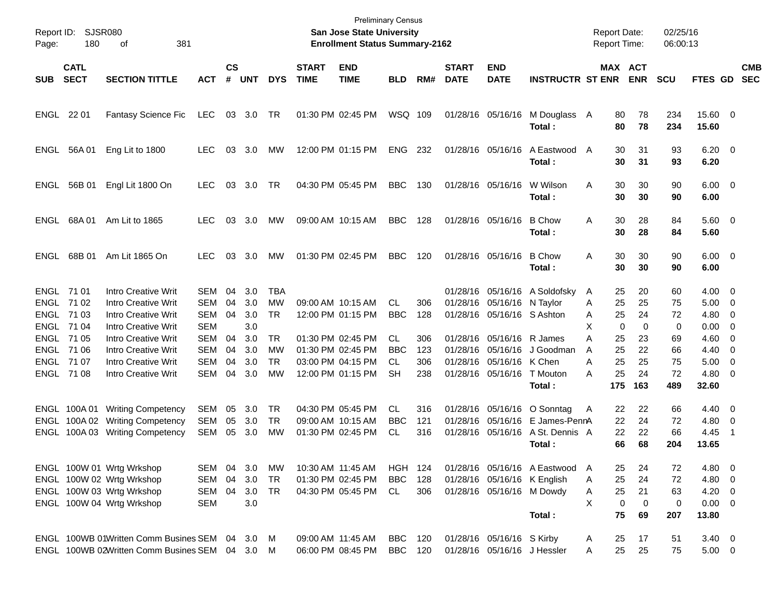| Page:      | Report ID: SJSR080<br>180  | 381<br>οf                                      |            |                             |            |            |                             | <b>Preliminary Census</b><br><b>San Jose State University</b><br><b>Enrollment Status Summary-2162</b> |                |     |                             |                            |                               |   |             | <b>Report Date:</b><br><b>Report Time:</b> | 02/25/16<br>06:00:13 |                        |                          |                          |
|------------|----------------------------|------------------------------------------------|------------|-----------------------------|------------|------------|-----------------------------|--------------------------------------------------------------------------------------------------------|----------------|-----|-----------------------------|----------------------------|-------------------------------|---|-------------|--------------------------------------------|----------------------|------------------------|--------------------------|--------------------------|
| <b>SUB</b> | <b>CATL</b><br><b>SECT</b> | <b>SECTION TITTLE</b>                          | <b>ACT</b> | $\mathsf{cs}$<br>$\pmb{\#}$ | <b>UNT</b> | <b>DYS</b> | <b>START</b><br><b>TIME</b> | <b>END</b><br><b>TIME</b>                                                                              | <b>BLD</b>     | RM# | <b>START</b><br><b>DATE</b> | <b>END</b><br><b>DATE</b>  | <b>INSTRUCTR ST ENR</b>       |   |             | MAX ACT<br><b>ENR</b>                      | <b>SCU</b>           | FTES GD                |                          | <b>CMB</b><br><b>SEC</b> |
| ENGL 22 01 |                            | <b>Fantasy Science Fic</b>                     | LEC        |                             | 03 3.0     | TR         |                             | 01:30 PM 02:45 PM                                                                                      | WSQ 109        |     |                             | 01/28/16 05/16/16          | M Douglass A<br>Total:        |   | 80<br>80    | 78<br>78                                   | 234<br>234           | 15.60 0<br>15.60       |                          |                          |
|            | ENGL 56A 01                | Eng Lit to 1800                                | LEC.       | 03                          | 3.0        | MW         |                             | 12:00 PM 01:15 PM                                                                                      | <b>ENG</b>     | 232 |                             | 01/28/16 05/16/16          | A Eastwood<br>Total:          | A | 30<br>30    | 31<br>31                                   | 93<br>93             | $6.20 \quad 0$<br>6.20 |                          |                          |
| ENGL       | 56B 01                     | Engl Lit 1800 On                               | <b>LEC</b> | 03                          | 3.0        | TR         |                             | 04:30 PM 05:45 PM                                                                                      | <b>BBC</b>     | 130 |                             | 01/28/16 05/16/16          | W Wilson<br>Total:            | Α | 30<br>30    | 30<br>30                                   | 90<br>90             | $6.00 \quad 0$<br>6.00 |                          |                          |
|            | ENGL 68A 01                | Am Lit to 1865                                 | LEC.       | 03                          | 3.0        | МW         |                             | 09:00 AM 10:15 AM                                                                                      | <b>BBC</b>     | 128 |                             | 01/28/16 05/16/16          | <b>B</b> Chow<br>Total:       | Α | 30<br>30    | 28<br>28                                   | 84<br>84             | $5.60$ 0<br>5.60       |                          |                          |
| ENGL       | 68B 01                     | Am Lit 1865 On                                 | <b>LEC</b> | 03                          | 3.0        | МW         |                             | 01:30 PM 02:45 PM                                                                                      | <b>BBC</b>     | 120 |                             | 01/28/16 05/16/16          | <b>B</b> Chow<br>Total:       | Α | 30<br>30    | 30<br>30                                   | 90<br>90             | $6.00 \quad 0$<br>6.00 |                          |                          |
| ENGL 71 01 |                            | Intro Creative Writ                            | SEM        | 04                          | 3.0        | <b>TBA</b> |                             |                                                                                                        |                |     |                             |                            | 01/28/16 05/16/16 A Soldofsky | A | 25          | 20                                         | 60                   | $4.00 \t 0$            |                          |                          |
|            | ENGL 71 02                 | <b>Intro Creative Writ</b>                     | <b>SEM</b> | 04                          | 3.0        | MW         |                             | 09:00 AM 10:15 AM                                                                                      | <b>CL</b>      | 306 |                             | 01/28/16 05/16/16          | N Taylor                      | A | 25          | 25                                         | 75                   | $5.00 \t 0$            |                          |                          |
|            | ENGL 71 03                 | <b>Intro Creative Writ</b>                     | <b>SEM</b> | 04                          | 3.0        | <b>TR</b>  |                             | 12:00 PM 01:15 PM                                                                                      | <b>BBC</b>     | 128 |                             | 01/28/16 05/16/16 S Ashton |                               | A | 25          | 24                                         | 72                   | $4.80\ 0$              |                          |                          |
| ENGL 71 04 |                            | <b>Intro Creative Writ</b>                     | <b>SEM</b> |                             | 3.0        |            |                             |                                                                                                        |                |     |                             |                            |                               | X | $\mathbf 0$ | 0                                          | 0                    | $0.00 \t 0$            |                          |                          |
|            | ENGL 71 05                 | <b>Intro Creative Writ</b>                     | <b>SEM</b> | 04                          | 3.0        | <b>TR</b>  |                             | 01:30 PM 02:45 PM                                                                                      | <b>CL</b>      | 306 |                             | 01/28/16 05/16/16          | R James                       | A | 25          | 23                                         | 69                   | $4.60$ 0               |                          |                          |
|            | ENGL 71 06                 | <b>Intro Creative Writ</b>                     | <b>SEM</b> | 04                          | 3.0        | MW         |                             | 01:30 PM 02:45 PM                                                                                      | <b>BBC</b>     | 123 |                             | 01/28/16 05/16/16          | J Goodman                     | A | 25          | 22                                         | 66                   | 4.40                   | $\overline{\phantom{0}}$ |                          |
| ENGL 71 07 |                            | <b>Intro Creative Writ</b>                     | <b>SEM</b> | 04                          | 3.0        | <b>TR</b>  |                             | 03:00 PM 04:15 PM                                                                                      | <b>CL</b>      | 306 |                             | 01/28/16 05/16/16 K Chen   |                               | Α | 25          | 25                                         | 75                   | 5.00                   | $\overline{\phantom{0}}$ |                          |
|            | ENGL 71 08                 | Intro Creative Writ                            | <b>SEM</b> | 04                          | 3.0        | МW         |                             | 12:00 PM 01:15 PM                                                                                      | <b>SH</b>      | 238 |                             | 01/28/16 05/16/16          | T Mouton<br>Total:            | Α | 25<br>175   | 24<br>163                                  | 72<br>489            | $4.80\ 0$<br>32.60     |                          |                          |
|            | ENGL 100A01                | <b>Writing Competency</b>                      | <b>SEM</b> | 05                          | 3.0        | TR         |                             | 04:30 PM 05:45 PM                                                                                      | CL.            | 316 |                             | 01/28/16 05/16/16          | O Sonntag                     | A | 22          | 22                                         | 66                   | $4.40 \quad 0$         |                          |                          |
|            | ENGL 100A02                | <b>Writing Competency</b>                      | <b>SEM</b> | 05                          | 3.0        | <b>TR</b>  |                             | 09:00 AM 10:15 AM                                                                                      | <b>BBC</b>     | 121 |                             | 01/28/16 05/16/16          | E James-PennA                 |   | 22          | 24                                         | 72                   | $4.80\ 0$              |                          |                          |
|            |                            | ENGL 100A 03 Writing Competency                | SEM        | 05                          | 3.0        | MW         |                             | 01:30 PM 02:45 PM                                                                                      | <b>CL</b>      | 316 |                             | 01/28/16 05/16/16          | A St. Dennis A                |   | 22          | 22                                         | 66                   | 4.45                   | - 1                      |                          |
|            |                            |                                                |            |                             |            |            |                             |                                                                                                        |                |     |                             |                            | Total :                       |   | 66          | 68                                         | 204                  | 13.65                  |                          |                          |
|            |                            | ENGL 100W 01 Wrtg Wrkshop                      | SEM 04     |                             | 3.0        | МW         |                             | 10:30 AM 11:45 AM                                                                                      | <b>HGH 124</b> |     |                             |                            | 01/28/16 05/16/16 A Eastwood  | A | 25          | 24                                         | 72                   | 4.80 0                 |                          |                          |
|            |                            | ENGL 100W 02 Wrtg Wrkshop                      | SEM        | 04                          | 3.0        | TR         |                             | 01:30 PM 02:45 PM                                                                                      | <b>BBC</b>     | 128 |                             |                            | 01/28/16 05/16/16 K English   | A | 25          | 24                                         | 72                   | 4.80 0                 |                          |                          |
|            |                            | ENGL 100W 03 Wrtg Wrkshop                      | SEM        | 04                          | 3.0        | TR         |                             | 04:30 PM 05:45 PM                                                                                      | CL.            | 306 |                             |                            | 01/28/16 05/16/16 M Dowdy     | A | 25          | 21                                         | 63                   | $4.20 \ 0$             |                          |                          |
|            |                            | ENGL 100W 04 Wrtg Wrkshop                      | <b>SEM</b> |                             | 3.0        |            |                             |                                                                                                        |                |     |                             |                            |                               | X | $\mathbf 0$ | 0                                          | 0                    | $0.00 \t 0$            |                          |                          |
|            |                            |                                                |            |                             |            |            |                             |                                                                                                        |                |     |                             |                            | Total:                        |   | 75          | 69                                         | 207                  | 13.80                  |                          |                          |
|            |                            | ENGL 100WB 01Written Comm Busines SEM 04 3.0 M |            |                             |            |            |                             | 09:00 AM 11:45 AM                                                                                      | BBC            | 120 |                             | 01/28/16 05/16/16 S Kirby  |                               | A | 25          | 17                                         | 51                   | $3.40 \ 0$             |                          |                          |
|            |                            | ENGL 100WB 02Written Comm Busines SEM 04 3.0 M |            |                             |            |            |                             | 06:00 PM 08:45 PM                                                                                      | BBC 120        |     |                             |                            | 01/28/16 05/16/16 J Hessler   | A | 25          | 25                                         | 75                   | $5.00 \t 0$            |                          |                          |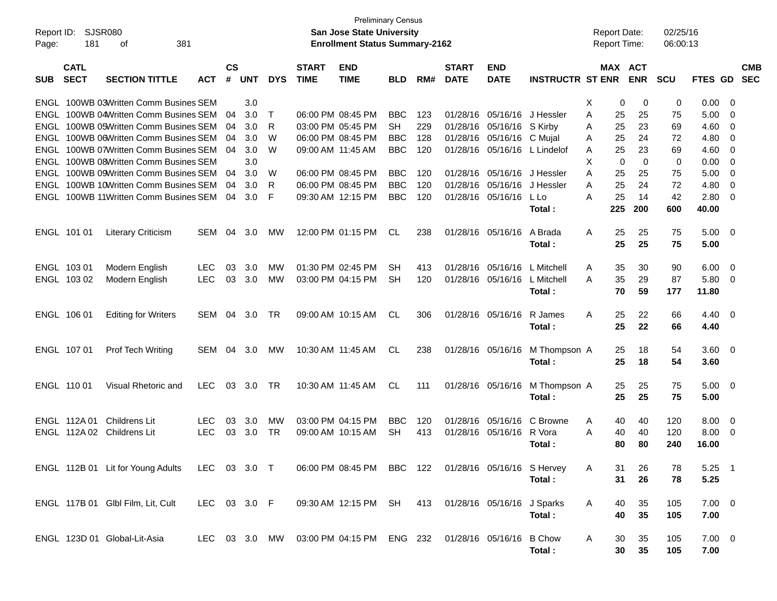| Report ID:<br>Page: | 181                        | SJSR080<br>381<br>οf                                                 |              |                    |            |            |                             | <b>Preliminary Census</b><br><b>San Jose State University</b><br><b>Enrollment Status Summary-2162</b> |                  |            |                             |                           |                         |        | <b>Report Date:</b><br>Report Time: |                          | 02/25/16<br>06:00:13 |                |                          |                          |
|---------------------|----------------------------|----------------------------------------------------------------------|--------------|--------------------|------------|------------|-----------------------------|--------------------------------------------------------------------------------------------------------|------------------|------------|-----------------------------|---------------------------|-------------------------|--------|-------------------------------------|--------------------------|----------------------|----------------|--------------------------|--------------------------|
| <b>SUB</b>          | <b>CATL</b><br><b>SECT</b> | <b>SECTION TITTLE</b>                                                | <b>ACT</b>   | $\mathsf{cs}$<br># | <b>UNT</b> | <b>DYS</b> | <b>START</b><br><b>TIME</b> | <b>END</b><br><b>TIME</b>                                                                              | <b>BLD</b>       | RM#        | <b>START</b><br><b>DATE</b> | <b>END</b><br><b>DATE</b> | <b>INSTRUCTR ST ENR</b> |        | <b>MAX</b>                          | <b>ACT</b><br><b>ENR</b> | <b>SCU</b>           | <b>FTES GD</b> |                          | <b>CMB</b><br><b>SEC</b> |
| ENGL                |                            | 100WB 03Written Comm Busines SEM<br>100WB 04Written Comm Busines SEM |              | 04                 | 3.0        | т          |                             |                                                                                                        |                  |            |                             |                           |                         | Х      | 0                                   | 0                        | 0                    | 0.00           | -0                       |                          |
| ENGL<br>ENGL        |                            | 100WB 05Written Comm Busines SEM                                     |              | 04                 | 3.0<br>3.0 | R          |                             | 06:00 PM 08:45 PM<br>03:00 PM 05:45 PM                                                                 | <b>BBC</b><br>SH | 123<br>229 | 01/28/16<br>01/28/16        | 05/16/16<br>05/16/16      | J Hessler<br>S Kirby    | Α<br>A | 25<br>25                            | 25<br>23                 | 75<br>69             | 5.00<br>4.60   | 0<br>0                   |                          |
| ENGL                |                            | 100WB 06Written Comm Busines SEM                                     |              | 04                 | 3.0        | W          |                             | 06:00 PM 08:45 PM                                                                                      | <b>BBC</b>       | 128        | 01/28/16                    | 05/16/16                  | C Mujal                 | Α      | 25                                  | 24                       | 72                   | 4.80           | 0                        |                          |
| ENGL                |                            | 100WB 07Written Comm Busines SEM                                     |              | 04                 | 3.0        | W          |                             | 09:00 AM 11:45 AM                                                                                      | <b>BBC</b>       | 120        | 01/28/16                    | 05/16/16                  | L Lindelof              | A      | 25                                  | 23                       | 69                   | 4.60           | 0                        |                          |
| ENGL                |                            | 100WB 08Written Comm Busines SEM                                     |              |                    | 3.0        |            |                             |                                                                                                        |                  |            |                             |                           |                         | X      | 0                                   | $\mathbf 0$              | 0                    | 0.00           | 0                        |                          |
| ENGL                |                            | 100WB 09Written Comm Busines SEM                                     |              | 04                 | 3.0        | W          |                             | 06:00 PM 08:45 PM                                                                                      | <b>BBC</b>       | 120        | 01/28/16                    | 05/16/16                  | J Hessler               | A      | 25                                  | 25                       | 75                   | 5.00           | 0                        |                          |
| ENGL                |                            | 100WB 10Written Comm Busines SEM                                     |              | 04                 | 3.0        | R          |                             | 06:00 PM 08:45 PM                                                                                      | <b>BBC</b>       | 120        | 01/28/16                    | 05/16/16                  | J Hessler               | A      | 25                                  | 24                       | 72                   | 4.80           | 0                        |                          |
|                     |                            | <b>ENGL 100WB 11Written Comm Busines SEM</b>                         |              | 04                 | 3.0        | F          |                             | 09:30 AM 12:15 PM                                                                                      | <b>BBC</b>       | 120        | 01/28/16                    | 05/16/16                  | L Lo                    | A      | 25                                  | 14                       | 42                   | 2.80           | 0                        |                          |
|                     |                            |                                                                      |              |                    |            |            |                             |                                                                                                        |                  |            |                             |                           | Total:                  |        | 225                                 | 200                      | 600                  | 40.00          |                          |                          |
|                     | ENGL 101 01                | <b>Literary Criticism</b>                                            | <b>SEM</b>   | 04                 | 3.0        | МW         |                             | 12:00 PM 01:15 PM                                                                                      | CL.              | 238        | 01/28/16                    | 05/16/16                  | A Brada<br>Total:       | A      | 25<br>25                            | 25<br>25                 | 75<br>75             | 5.00<br>5.00   | $\overline{\mathbf{0}}$  |                          |
|                     | ENGL 103 01                | Modern English                                                       | <b>LEC</b>   | 03                 | 3.0        | МW         |                             | 01:30 PM 02:45 PM                                                                                      | SН               | 413        | 01/28/16                    | 05/16/16                  | L Mitchell              | A      | 35                                  | 30                       | 90                   | 6.00           | - 0                      |                          |
|                     | ENGL 103 02                | Modern English                                                       | <b>LEC</b>   | 03                 | 3.0        | МW         |                             | 03:00 PM 04:15 PM                                                                                      | SH               | 120        | 01/28/16                    | 05/16/16                  | L Mitchell              | A      | 35                                  | 29                       | 87                   | 5.80           | - 0                      |                          |
|                     |                            |                                                                      |              |                    |            |            |                             |                                                                                                        |                  |            |                             |                           | Total:                  |        | 70                                  | 59                       | 177                  | 11.80          |                          |                          |
|                     | ENGL 106 01                | <b>Editing for Writers</b>                                           | SEM          | 04                 | 3.0        | TR.        |                             | 09:00 AM 10:15 AM                                                                                      | CL.              | 306        | 01/28/16 05/16/16           |                           | R James<br>Total:       | A      | 25<br>25                            | 22<br>22                 | 66<br>66             | 4.40<br>4.40   | $\overline{\mathbf{0}}$  |                          |
|                     | ENGL 107 01                | <b>Prof Tech Writing</b>                                             | <b>SEM</b>   | 04                 | 3.0        | МW         |                             | 10:30 AM 11:45 AM                                                                                      | CL.              | 238        | 01/28/16 05/16/16           |                           | M Thompson A            |        | 25                                  | 18                       | 54                   | 3.60           | $\overline{\phantom{0}}$ |                          |
|                     |                            |                                                                      |              |                    |            |            |                             |                                                                                                        |                  |            |                             |                           | Total:                  |        | 25                                  | 18                       | 54                   | 3.60           |                          |                          |
|                     | ENGL 110 01                | Visual Rhetoric and                                                  | <b>LEC</b>   | 03                 | 3.0        | TR.        |                             | 10:30 AM 11:45 AM                                                                                      | CL.              | 111        | 01/28/16 05/16/16           |                           | M Thompson A            |        | 25                                  | 25                       | 75                   | 5.00           | $\overline{\mathbf{0}}$  |                          |
|                     |                            |                                                                      |              |                    |            |            |                             |                                                                                                        |                  |            |                             |                           | Total:                  |        | 25                                  | 25                       | 75                   | 5.00           |                          |                          |
|                     | ENGL 112A 01               | Childrens Lit                                                        | <b>LEC</b>   | 03                 | 3.0        | МW         |                             | 03:00 PM 04:15 PM                                                                                      | <b>BBC</b>       | 120        | 01/28/16                    | 05/16/16                  | C Browne                | A      | 40                                  | 40                       | 120                  | 8.00           | - 0                      |                          |
|                     | ENGL 112A02                | Childrens Lit                                                        | <b>LEC</b>   | 03                 | 3.0        | <b>TR</b>  |                             | 09:00 AM 10:15 AM                                                                                      | SН               | 413        | 01/28/16                    | 05/16/16                  | R Vora                  | А      | 40                                  | 40                       | 120                  | 8.00           | - 0                      |                          |
|                     |                            |                                                                      |              |                    |            |            |                             |                                                                                                        |                  |            |                             |                           | Total :                 |        | 80                                  | 80                       | 240                  | 16.00          |                          |                          |
|                     |                            | ENGL 112B 01 Lit for Young Adults                                    | LEC 03 3.0 T |                    |            |            |                             | 06:00 PM 08:45 PM BBC 122 01/28/16 05/16/16 S Hervey                                                   |                  |            |                             |                           |                         | A      | 31                                  | 26                       | 78                   | $5.25$ 1       |                          |                          |
|                     |                            |                                                                      |              |                    |            |            |                             |                                                                                                        |                  |            |                             |                           | Total:                  |        | 31                                  | 26                       | 78                   | 5.25           |                          |                          |
|                     |                            | ENGL 117B 01 Glbl Film, Lit, Cult                                    | LEC 03 3.0 F |                    |            |            |                             | 09:30 AM 12:15 PM SH 413 01/28/16 05/16/16 J Sparks                                                    |                  |            |                             |                           |                         | A      | 40                                  | 35                       | 105                  | $7.00 \t 0$    |                          |                          |
|                     |                            |                                                                      |              |                    |            |            |                             |                                                                                                        |                  |            |                             |                           | Total:                  |        | 40                                  | 35                       | 105                  | 7.00           |                          |                          |
|                     |                            | ENGL 123D 01 Global-Lit-Asia                                         |              |                    |            |            |                             | LEC 03 3.0 MW 03:00 PM 04:15 PM ENG 232 01/28/16 05/16/16                                              |                  |            |                             |                           | <b>B</b> Chow           | A      | 30                                  | 35                       | 105                  | $7.00 \t 0$    |                          |                          |
|                     |                            |                                                                      |              |                    |            |            |                             |                                                                                                        |                  |            |                             |                           | Total:                  |        | 30                                  | 35                       | 105                  | 7.00           |                          |                          |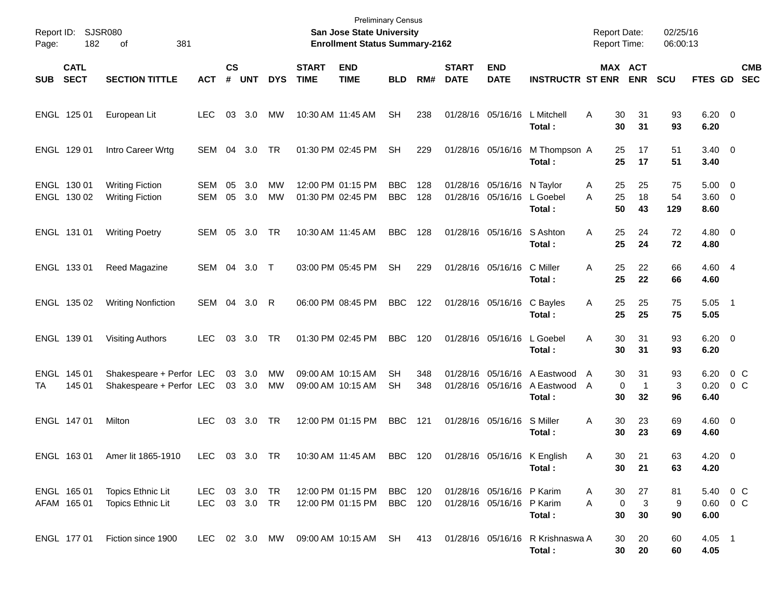| Report ID:<br>Page: | 182                        | SJSR080<br>381<br>οf                                 |                                |                    |                  |            |                             | <b>Preliminary Census</b><br>San Jose State University<br><b>Enrollment Status Summary-2162</b> |                          |            |                             |                                                        |                                                                        | <b>Report Date:</b><br><b>Report Time:</b> |                       | 02/25/16<br>06:00:13 |                                   |               |                          |
|---------------------|----------------------------|------------------------------------------------------|--------------------------------|--------------------|------------------|------------|-----------------------------|-------------------------------------------------------------------------------------------------|--------------------------|------------|-----------------------------|--------------------------------------------------------|------------------------------------------------------------------------|--------------------------------------------|-----------------------|----------------------|-----------------------------------|---------------|--------------------------|
| <b>SUB</b>          | <b>CATL</b><br><b>SECT</b> | <b>SECTION TITTLE</b>                                | <b>ACT</b>                     | $\mathsf{cs}$<br># | <b>UNT</b>       | <b>DYS</b> | <b>START</b><br><b>TIME</b> | <b>END</b><br><b>TIME</b>                                                                       | <b>BLD</b>               | RM#        | <b>START</b><br><b>DATE</b> | <b>END</b><br><b>DATE</b>                              | <b>INSTRUCTR ST ENR</b>                                                |                                            | MAX ACT<br><b>ENR</b> | <b>SCU</b>           | FTES GD                           |               | <b>CMB</b><br><b>SEC</b> |
|                     | ENGL 125 01                | European Lit                                         | <b>LEC</b>                     | 03                 | 3.0              | MW         |                             | 10:30 AM 11:45 AM                                                                               | <b>SH</b>                | 238        |                             | 01/28/16 05/16/16                                      | L Mitchell<br>Total :                                                  | 30<br>A<br>30                              | 31<br>31              | 93<br>93             | $6.20\ 0$<br>6.20                 |               |                          |
|                     | ENGL 129 01                | Intro Career Wrtg                                    | SEM                            | 04                 | 3.0              | TR         |                             | 01:30 PM 02:45 PM                                                                               | <b>SH</b>                | 229        |                             |                                                        | 01/28/16 05/16/16 M Thompson A<br>Total:                               | 25<br>25                                   | 17<br>17              | 51<br>51             | $3.40 \quad 0$<br>3.40            |               |                          |
|                     | ENGL 130 01<br>ENGL 130 02 | <b>Writing Fiction</b><br><b>Writing Fiction</b>     | SEM<br>SEM                     | 05<br>05           | 3.0<br>3.0       | МW<br>MW   |                             | 12:00 PM 01:15 PM<br>01:30 PM 02:45 PM                                                          | <b>BBC</b><br><b>BBC</b> | 128<br>128 |                             | 01/28/16 05/16/16 N Taylor<br>01/28/16 05/16/16        | L Goebel<br>Total:                                                     | 25<br>A<br>25<br>Α<br>50                   | 25<br>18<br>43        | 75<br>54<br>129      | $5.00 \t 0$<br>3.60 0<br>8.60     |               |                          |
|                     | ENGL 131 01                | <b>Writing Poetry</b>                                | SEM                            | 05                 | 3.0              | TR         |                             | 10:30 AM 11:45 AM                                                                               | <b>BBC</b>               | 128        |                             | 01/28/16 05/16/16                                      | S Ashton<br>Total:                                                     | 25<br>Α<br>25                              | 24<br>24              | 72<br>72             | $4.80\ 0$<br>4.80                 |               |                          |
|                     | ENGL 133 01                | Reed Magazine                                        | SEM                            | 04                 | 3.0              | $\top$     |                             | 03:00 PM 05:45 PM                                                                               | <b>SH</b>                | 229        |                             | 01/28/16 05/16/16                                      | C Miller<br>Total:                                                     | 25<br>Α<br>25                              | 22<br>22              | 66<br>66             | 4.60 4<br>4.60                    |               |                          |
|                     | ENGL 135 02                | <b>Writing Nonfiction</b>                            | SEM                            | 04                 | 3.0              | R          |                             | 06:00 PM 08:45 PM                                                                               | <b>BBC</b>               | 122        |                             | 01/28/16 05/16/16                                      | C Bayles<br>Total:                                                     | 25<br>Α<br>25                              | 25<br>25              | 75<br>75             | $5.05$ 1<br>5.05                  |               |                          |
|                     | ENGL 139 01                | Visiting Authors                                     | LEC                            | 03                 | 3.0              | TR         |                             | 01:30 PM 02:45 PM                                                                               | <b>BBC</b>               | 120        |                             | 01/28/16 05/16/16                                      | L Goebel<br>Total :                                                    | A<br>30<br>30                              | 31<br>31              | 93<br>93             | $6.20 \quad 0$<br>6.20            |               |                          |
| TA                  | ENGL 145 01<br>145 01      | Shakespeare + Perfor LEC<br>Shakespeare + Perfor LEC |                                |                    | 03 3.0<br>03 3.0 | MW<br>МW   |                             | 09:00 AM 10:15 AM<br>09:00 AM 10:15 AM                                                          | <b>SH</b><br>SН          | 348<br>348 |                             |                                                        | 01/28/16 05/16/16 A Eastwood<br>01/28/16 05/16/16 A Eastwood<br>Total: | 30<br>A<br>0<br>A<br>30                    | 31<br>-1<br>32        | 93<br>3<br>96        | 6.20<br>0.20<br>6.40              | $0\,C$<br>0 C |                          |
|                     | ENGL 147 01                | Milton                                               | <b>LEC</b>                     | 03                 | 3.0              | TR         |                             | 12:00 PM 01:15 PM                                                                               | <b>BBC</b>               | 121        |                             | 01/28/16 05/16/16                                      | S Miller<br>Total :                                                    | 30<br>Α<br>30                              | 23<br>23              | 69<br>69             | $4.60 \quad 0$<br>4.60            |               |                          |
| <b>ENGL</b>         | 16301                      | Amer lit 1865-1910                                   | LEC 03 3.0 TR                  |                    |                  |            |                             | 10:30 AM 11:45 AM                                                                               | BBC 120                  |            |                             |                                                        | 01/28/16 05/16/16 K English<br>Total:                                  | 30-<br>A<br>30                             | 21<br>21              | 63<br>63             | $4.20 \ 0$<br>4.20                |               |                          |
|                     | ENGL 165 01<br>AFAM 165 01 | Topics Ethnic Lit<br><b>Topics Ethnic Lit</b>        | LEC 03 3.0 TR<br>LEC 03 3.0 TR |                    |                  |            |                             | 12:00 PM 01:15 PM<br>12:00 PM 01:15 PM                                                          | BBC 120<br>BBC 120       |            |                             | 01/28/16 05/16/16 P Karim<br>01/28/16 05/16/16 P Karim | Total:                                                                 | 30<br>A<br>$\mathbf 0$<br>A<br>30          | 27<br>3<br>30         | 81<br>9<br>90        | 5.40 0 C<br>$0.60 \t 0 C$<br>6.00 |               |                          |
|                     | ENGL 177 01                | Fiction since 1900                                   |                                |                    |                  |            |                             | LEC 02 3.0 MW 09:00 AM 10:15 AM SH                                                              |                          |            |                             |                                                        | 413 01/28/16 05/16/16 R Krishnaswa A<br>Total:                         | 30<br>30                                   | 20<br>20              | 60<br>60             | $4.05$ 1<br>4.05                  |               |                          |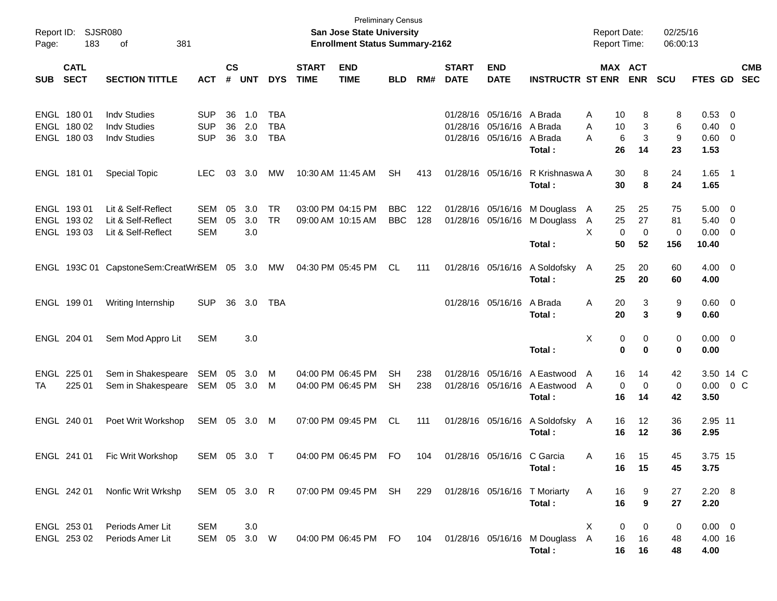| Report ID:<br>Page: | 183                                       | SJSR080<br>381<br>οf                                              |                                        |                    |                   |                                 |                                        | <b>Preliminary Census</b><br><b>San Jose State University</b><br><b>Enrollment Status Summary-2162</b> |                          |            |                             |                                                    |                                          | <b>Report Date:</b><br><b>Report Time:</b> |                                            | 02/25/16<br>06:00:13 |                                  |                                                                               |                          |
|---------------------|-------------------------------------------|-------------------------------------------------------------------|----------------------------------------|--------------------|-------------------|---------------------------------|----------------------------------------|--------------------------------------------------------------------------------------------------------|--------------------------|------------|-----------------------------|----------------------------------------------------|------------------------------------------|--------------------------------------------|--------------------------------------------|----------------------|----------------------------------|-------------------------------------------------------------------------------|--------------------------|
| <b>SUB</b>          | <b>CATL</b><br><b>SECT</b>                | <b>SECTION TITTLE</b>                                             | <b>ACT</b>                             | $\mathsf{cs}$<br># | <b>UNT</b>        | <b>DYS</b>                      | <b>START</b><br><b>TIME</b>            | <b>END</b><br><b>TIME</b>                                                                              | <b>BLD</b>               | RM#        | <b>START</b><br><b>DATE</b> | <b>END</b><br><b>DATE</b>                          | <b>INSTRUCTR ST ENR</b>                  |                                            | MAX ACT<br><b>ENR</b>                      | <b>SCU</b>           | FTES GD                          |                                                                               | <b>CMB</b><br><b>SEC</b> |
|                     | ENGL 180 01<br>ENGL 180 02<br>ENGL 180 03 | <b>Indv Studies</b><br><b>Indv Studies</b><br><b>Indv Studies</b> | <b>SUP</b><br><b>SUP</b><br><b>SUP</b> | 36<br>36<br>36     | 1.0<br>2.0<br>3.0 | TBA<br><b>TBA</b><br><b>TBA</b> |                                        |                                                                                                        |                          |            | 01/28/16                    | 05/16/16<br>01/28/16 05/16/16<br>01/28/16 05/16/16 | A Brada<br>A Brada<br>A Brada<br>Total:  | Α<br>A<br>A                                | 10<br>8<br>10<br>3<br>6<br>3<br>26<br>14   | 8<br>6<br>9<br>23    | 0.53 0<br>0.40<br>0.60 0<br>1.53 | $\overline{\mathbf{0}}$                                                       |                          |
|                     | ENGL 181 01                               | <b>Special Topic</b>                                              | LEC.                                   | 03                 | 3.0               | MW                              | 10:30 AM 11:45 AM                      |                                                                                                        | <b>SH</b>                | 413        |                             | 01/28/16 05/16/16                                  | R Krishnaswa A<br>Total:                 |                                            | 30<br>8<br>30<br>8                         | 24<br>24             | $1.65$ 1<br>1.65                 |                                                                               |                          |
|                     | ENGL 193 01<br>ENGL 193 02<br>ENGL 193 03 | Lit & Self-Reflect<br>Lit & Self-Reflect<br>Lit & Self-Reflect    | <b>SEM</b><br><b>SEM</b><br><b>SEM</b> | 05<br>05           | 3.0<br>3.0<br>3.0 | <b>TR</b><br><b>TR</b>          | 03:00 PM 04:15 PM<br>09:00 AM 10:15 AM |                                                                                                        | <b>BBC</b><br><b>BBC</b> | 122<br>128 |                             | 01/28/16 05/16/16<br>01/28/16 05/16/16             | M Douglass<br>M Douglass<br>Total:       | $\mathsf{A}$<br>$\mathsf{A}$<br>X          | 25<br>25<br>27<br>25<br>0<br>0<br>50<br>52 | 75<br>81<br>0<br>156 | 5.00<br>5.40<br>0.00<br>10.40    | $\overline{\mathbf{0}}$<br>$\overline{\mathbf{0}}$<br>$\overline{\mathbf{0}}$ |                          |
|                     |                                           | ENGL 193C 01 CapstoneSem:CreatWriSEM 05 3.0                       |                                        |                    |                   | MW                              | 04:30 PM 05:45 PM                      |                                                                                                        | CL                       | 111        |                             | 01/28/16 05/16/16                                  | A Soldofsky<br>Total:                    | A                                          | 25<br>20<br>25<br>20                       | 60<br>60             | $4.00 \ 0$<br>4.00               |                                                                               |                          |
|                     | ENGL 199 01                               | Writing Internship                                                | <b>SUP</b>                             | 36                 | 3.0               | TBA                             |                                        |                                                                                                        |                          |            |                             | 01/28/16 05/16/16                                  | A Brada<br>Total:                        | Α                                          | 20<br>3<br>20<br>3                         | 9<br>9               | 0.60 0<br>0.60                   |                                                                               |                          |
|                     | ENGL 204 01                               | Sem Mod Appro Lit                                                 | <b>SEM</b>                             |                    | 3.0               |                                 |                                        |                                                                                                        |                          |            |                             |                                                    | Total:                                   | X                                          | 0<br>0<br>0<br>0                           | 0<br>0               | $0.00 \t 0$<br>0.00              |                                                                               |                          |
| ENGL<br>ТA          | 225 01<br>225 01                          | Sem in Shakespeare<br>Sem in Shakespeare                          | SEM<br>SEM                             | 05<br>05           | 3.0<br>3.0        | M<br>M                          | 04:00 PM 06:45 PM                      | 04:00 PM 06:45 PM                                                                                      | <b>SH</b><br><b>SH</b>   | 238<br>238 |                             | 01/28/16 05/16/16<br>01/28/16 05/16/16             | A Eastwood<br>A Eastwood<br>Total:       | A<br>A                                     | 16<br>14<br>0<br>0<br>16<br>14             | 42<br>0<br>42        | 3.50 14 C<br>0.00<br>3.50        |                                                                               | 0 C                      |
|                     | ENGL 240 01                               | Poet Writ Workshop                                                | SEM                                    | 05                 | 3.0               | M                               | 07:00 PM 09:45 PM                      |                                                                                                        | CL                       | 111        |                             | 01/28/16 05/16/16                                  | A Soldofsky<br>Total:                    | A                                          | 16<br>12<br>16<br>12                       | 36<br>36             | 2.95 11<br>2.95                  |                                                                               |                          |
|                     | ENGL 241 01                               | Fic Writ Workshop                                                 | SEM 05 3.0 T                           |                    |                   |                                 |                                        | 04:00 PM 06:45 PM                                                                                      | <b>FO</b>                | 104        |                             | 01/28/16 05/16/16 C Garcia                         | Total:                                   | A                                          | 15<br>16.<br>16<br>15                      | 45<br>45             | 3.75 15<br>3.75                  |                                                                               |                          |
|                     | ENGL 242 01                               | Nonfic Writ Wrkshp                                                | SEM 05 3.0 R                           |                    |                   |                                 |                                        | 07:00 PM 09:45 PM SH                                                                                   |                          | 229        |                             |                                                    | 01/28/16 05/16/16 T Moriarty<br>Total:   | A                                          | 9<br>16<br>9<br>16                         | 27<br>27             | 2.20 8<br>2.20                   |                                                                               |                          |
|                     | ENGL 253 01<br>ENGL 253 02                | Periods Amer Lit<br>Periods Amer Lit                              | <b>SEM</b><br>SEM 05 3.0 W             |                    | 3.0               |                                 |                                        | 04:00 PM 06:45 PM FO                                                                                   |                          | 104        |                             |                                                    | 01/28/16 05/16/16 M Douglass A<br>Total: | Χ                                          | 0<br>0<br>16<br>16<br>16<br>16             | 0<br>48<br>48        | $0.00 \t 0$<br>4.00 16<br>4.00   |                                                                               |                          |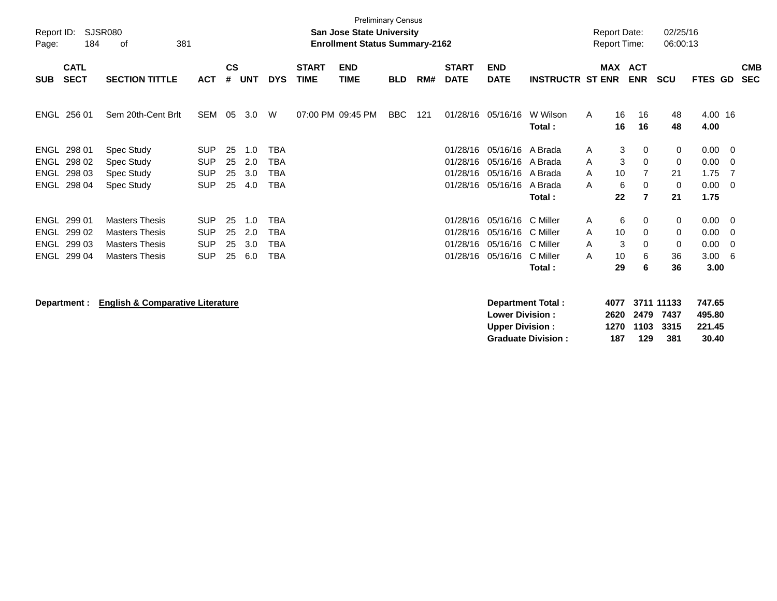| Report ID:<br>Page: | 184                        | <b>SJSR080</b><br>381<br>of                 |            |                    |            |            |                             | <b>Preliminary Census</b><br><b>San Jose State University</b><br><b>Enrollment Status Summary-2162</b> |            |     |                             |                                                  |                          |   | <b>Report Date:</b><br><b>Report Time:</b> |                | 02/25/16<br>06:00:13       |                            |                         |                          |
|---------------------|----------------------------|---------------------------------------------|------------|--------------------|------------|------------|-----------------------------|--------------------------------------------------------------------------------------------------------|------------|-----|-----------------------------|--------------------------------------------------|--------------------------|---|--------------------------------------------|----------------|----------------------------|----------------------------|-------------------------|--------------------------|
| <b>SUB</b>          | <b>CATL</b><br><b>SECT</b> | <b>SECTION TITTLE</b>                       | <b>ACT</b> | $\mathsf{cs}$<br># | <b>UNT</b> | <b>DYS</b> | <b>START</b><br><b>TIME</b> | <b>END</b><br><b>TIME</b>                                                                              | <b>BLD</b> | RM# | <b>START</b><br><b>DATE</b> | <b>END</b><br><b>DATE</b>                        | <b>INSTRUCTR ST ENR</b>  |   | <b>MAX ACT</b>                             | <b>ENR</b>     | <b>SCU</b>                 | <b>FTES GD</b>             |                         | <b>CMB</b><br><b>SEC</b> |
|                     | ENGL 256 01                | Sem 20th-Cent Brlt                          | SEM        | 05                 | 3.0        | W          |                             | 07:00 PM 09:45 PM                                                                                      | <b>BBC</b> | 121 |                             | 01/28/16 05/16/16                                | W Wilson<br>Total:       | A | 16<br>16                                   | 16<br>16       | 48<br>48                   | 4.00 16<br>4.00            |                         |                          |
| <b>ENGL</b>         | 298 01                     | <b>Spec Study</b>                           | <b>SUP</b> | 25                 | 1.0        | <b>TBA</b> |                             |                                                                                                        |            |     | 01/28/16                    | 05/16/16                                         | A Brada                  | A | 3                                          | 0              | 0                          | 0.00                       | $\overline{\mathbf{0}}$ |                          |
| <b>ENGL</b>         | 298 02                     | Spec Study                                  | <b>SUP</b> | 25                 | 2.0        | <b>TBA</b> |                             |                                                                                                        |            |     | 01/28/16                    | 05/16/16                                         | A Brada                  | A | 3                                          | $\mathbf 0$    | 0                          | 0.00                       | - 0                     |                          |
| <b>ENGL</b>         | 298 03                     | Spec Study                                  | <b>SUP</b> | 25                 | 3.0        | <b>TBA</b> |                             |                                                                                                        |            |     | 01/28/16                    | 05/16/16 A Brada                                 |                          | A | 10                                         | $\overline{7}$ | 21                         | 1.75                       | 7                       |                          |
|                     | ENGL 298 04                | Spec Study                                  | <b>SUP</b> | 25                 | 4.0        | <b>TBA</b> |                             |                                                                                                        |            |     | 01/28/16                    | 05/16/16                                         | A Brada                  | A | 6                                          | 0              | 0                          | 0.00                       | $\overline{\mathbf{0}}$ |                          |
|                     |                            |                                             |            |                    |            |            |                             |                                                                                                        |            |     |                             |                                                  | Total:                   |   | 22                                         | $\overline{7}$ | 21                         | 1.75                       |                         |                          |
|                     | ENGL 299 01                | <b>Masters Thesis</b>                       | <b>SUP</b> | 25                 | 1.0        | <b>TBA</b> |                             |                                                                                                        |            |     | 01/28/16                    | 05/16/16                                         | C Miller                 | A | 6                                          | 0              | 0                          | 0.00                       | $\overline{\mathbf{0}}$ |                          |
|                     | ENGL 299 02                | <b>Masters Thesis</b>                       | <b>SUP</b> | 25                 | 2.0        | <b>TBA</b> |                             |                                                                                                        |            |     | 01/28/16                    | 05/16/16                                         | C Miller                 | A | 10                                         | 0              | 0                          | 0.00                       | - 0                     |                          |
|                     | ENGL 299 03                | <b>Masters Thesis</b>                       | <b>SUP</b> | 25                 | 3.0        | <b>TBA</b> |                             |                                                                                                        |            |     | 01/28/16                    | 05/16/16                                         | C Miller                 | A | 3                                          | $\Omega$       | 0                          | 0.00                       | - 0                     |                          |
|                     | ENGL 299 04                | <b>Masters Thesis</b>                       | <b>SUP</b> | 25                 | 6.0        | <b>TBA</b> |                             |                                                                                                        |            |     | 01/28/16                    | 05/16/16                                         | C Miller                 | A | 10                                         | 6              | 36                         | $3.00\ 6$                  |                         |                          |
|                     |                            |                                             |            |                    |            |            |                             |                                                                                                        |            |     |                             |                                                  | Total:                   |   | 29                                         | 6              | 36                         | 3.00                       |                         |                          |
|                     | Department :               | <b>English &amp; Comparative Literature</b> |            |                    |            |            |                             |                                                                                                        |            |     |                             | <b>Lower Division:</b><br><b>Upper Division:</b> | <b>Department Total:</b> |   | 4077<br>2620<br>1270                       | 2479<br>1103   | 3711 11133<br>7437<br>3315 | 747.65<br>495.80<br>221.45 |                         |                          |

**Graduate Division : 187 129 381 30.40**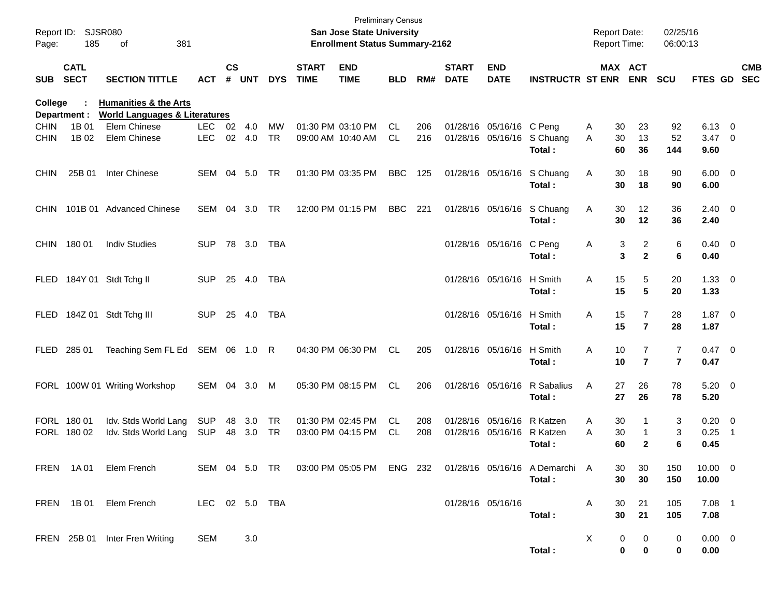| Report ID:<br>Page: | 185                        | <b>SJSR080</b><br>οf<br>381                              |                          |                    |            |                 |                             | <b>Preliminary Census</b><br>San Jose State University<br><b>Enrollment Status Summary-2162</b> |            |            |                             |                                        |                                                                                  |        |                | Report Date:<br>Report Time:     | 02/25/16<br>06:00:13 |                            |                          |                          |
|---------------------|----------------------------|----------------------------------------------------------|--------------------------|--------------------|------------|-----------------|-----------------------------|-------------------------------------------------------------------------------------------------|------------|------------|-----------------------------|----------------------------------------|----------------------------------------------------------------------------------|--------|----------------|----------------------------------|----------------------|----------------------------|--------------------------|--------------------------|
| <b>SUB</b>          | <b>CATL</b><br><b>SECT</b> | <b>SECTION TITTLE</b>                                    | <b>ACT</b>               | $\mathsf{cs}$<br># | <b>UNT</b> | <b>DYS</b>      | <b>START</b><br><b>TIME</b> | <b>END</b><br><b>TIME</b>                                                                       | <b>BLD</b> | RM#        | <b>START</b><br><b>DATE</b> | <b>END</b><br><b>DATE</b>              | <b>INSTRUCTR ST ENR</b>                                                          |        |                | MAX ACT<br><b>ENR</b>            | <b>SCU</b>           | <b>FTES GD</b>             |                          | <b>CMB</b><br><b>SEC</b> |
| <b>College</b>      |                            | <b>Humanities &amp; the Arts</b>                         |                          |                    |            |                 |                             |                                                                                                 |            |            |                             |                                        |                                                                                  |        |                |                                  |                      |                            |                          |                          |
| <b>CHIN</b>         | Department :<br>1B 01      | <b>World Languages &amp; Literatures</b><br>Elem Chinese | LEC.                     | 02                 | 4.0        | MW              |                             | 01:30 PM 03:10 PM                                                                               | CL         | 206        |                             | 01/28/16 05/16/16 C Peng               |                                                                                  | Α      | 30             | 23                               | 92                   | 6.13                       | $\overline{\phantom{0}}$ |                          |
| <b>CHIN</b>         | 1B 02                      | Elem Chinese                                             | <b>LEC</b>               | 02                 | 4.0        | <b>TR</b>       |                             | 09:00 AM 10:40 AM                                                                               | <b>CL</b>  | 216        |                             | 01/28/16 05/16/16                      | S Chuang<br>Total:                                                               | A      | 30<br>60       | 13<br>36                         | 52<br>144            | 3.47<br>9.60               | $\overline{\phantom{0}}$ |                          |
| <b>CHIN</b>         | 25B 01                     | Inter Chinese                                            | SEM                      | 04                 | 5.0        | TR              |                             | 01:30 PM 03:35 PM                                                                               | <b>BBC</b> | 125        |                             | 01/28/16 05/16/16                      | S Chuang<br>Total:                                                               | Α      | 30<br>30       | 18<br>18                         | 90<br>90             | $6.00 \t 0$<br>6.00        |                          |                          |
| <b>CHIN</b>         | 101B 01                    | <b>Advanced Chinese</b>                                  | SEM                      | 04                 | 3.0        | <b>TR</b>       |                             | 12:00 PM 01:15 PM                                                                               | <b>BBC</b> | 221        |                             | 01/28/16 05/16/16                      | S Chuang<br>Total:                                                               | Α      | 30<br>30       | 12<br>12                         | 36<br>36             | $2.40 \ 0$<br>2.40         |                          |                          |
| <b>CHIN</b>         | 18001                      | <b>Indiv Studies</b>                                     | <b>SUP</b>               | 78                 | 3.0        | TBA             |                             |                                                                                                 |            |            |                             | 01/28/16 05/16/16                      | C Peng<br>Total:                                                                 | Α      | 3<br>3         | $\overline{2}$<br>$\mathbf{2}$   | 6<br>6               | $0.40 \quad 0$<br>0.40     |                          |                          |
| <b>FLED</b>         |                            | 184Y 01 Stdt Tchg II                                     | <b>SUP</b>               | 25                 | 4.0        | TBA             |                             |                                                                                                 |            |            |                             | 01/28/16 05/16/16                      | H Smith<br>Total:                                                                | Α      | 15<br>15       | 5<br>5                           | 20<br>20             | $1.33 \ 0$<br>1.33         |                          |                          |
| <b>FLED</b>         | 184Z 01                    | Stdt Tchg III                                            | <b>SUP</b>               |                    | 25 4.0     | <b>TBA</b>      |                             |                                                                                                 |            |            |                             | 01/28/16 05/16/16                      | H Smith<br>Total:                                                                | Α      | 15<br>15       | $\overline{7}$<br>$\overline{7}$ | 28<br>28             | $1.87 \ 0$<br>1.87         |                          |                          |
| <b>FLED</b>         | 285 01                     | Teaching Sem FL Ed                                       | SEM 06 1.0               |                    |            | R               |                             | 04:30 PM 06:30 PM                                                                               | CL         | 205        |                             | 01/28/16 05/16/16                      | H Smith<br>Total:                                                                | Α      | 10<br>10       | 7<br>$\overline{7}$              | 7<br>$\overline{7}$  | $0.47 \quad 0$<br>0.47     |                          |                          |
|                     |                            | FORL 100W 01 Writing Workshop                            | SEM 04                   |                    | 3.0        | M               |                             | 05:30 PM 08:15 PM                                                                               | CL         | 206        |                             | 01/28/16 05/16/16                      | R Sabalius<br>Total:                                                             | A      | 27<br>27       | 26<br>26                         | 78<br>78             | $5.20 \ 0$<br>5.20         |                          |                          |
|                     | FORL 180 01<br>FORL 180 02 | Idv. Stds World Lang<br>Idv. Stds World Lang             | <b>SUP</b><br><b>SUP</b> | 48<br>48           | 3.0<br>3.0 | TR<br><b>TR</b> |                             | 01:30 PM 02:45 PM<br>03:00 PM 04:15 PM                                                          | CL<br>CL   | 208<br>208 |                             | 01/28/16 05/16/16<br>01/28/16 05/16/16 | R Katzen<br>R Katzen<br>Total:                                                   | A<br>A | 30<br>30<br>60 | 1<br>$\mathbf{2}$                | 3<br>3<br>6          | $0.20 \ 0$<br>0.25<br>0.45 | $\overline{1}$           |                          |
|                     |                            | FREN 1A01 Elem French                                    |                          |                    |            |                 |                             |                                                                                                 |            |            |                             |                                        | SEM 04 5.0 TR 03:00 PM 05:05 PM ENG 232 01/28/16 05/16/16 A Demarchi A<br>Total: |        | 30<br>30       | 30<br>30                         | 150<br>150           | $10.00 \t 0$<br>10.00      |                          |                          |
|                     |                            | FREN 1B01 Elem French                                    | LEC 02 5.0 TBA           |                    |            |                 |                             |                                                                                                 |            |            |                             | 01/28/16 05/16/16                      | Total:                                                                           | A      | 30<br>30       | 21<br>21                         | 105<br>105           | $7.08$ 1<br>7.08           |                          |                          |
|                     |                            | FREN 25B 01 Inter Fren Writing                           | SEM                      |                    | 3.0        |                 |                             |                                                                                                 |            |            |                             |                                        | Total:                                                                           | X      | 0<br>0         | 0<br>0                           | 0<br>$\mathbf 0$     | $0.00 \t 0$<br>0.00        |                          |                          |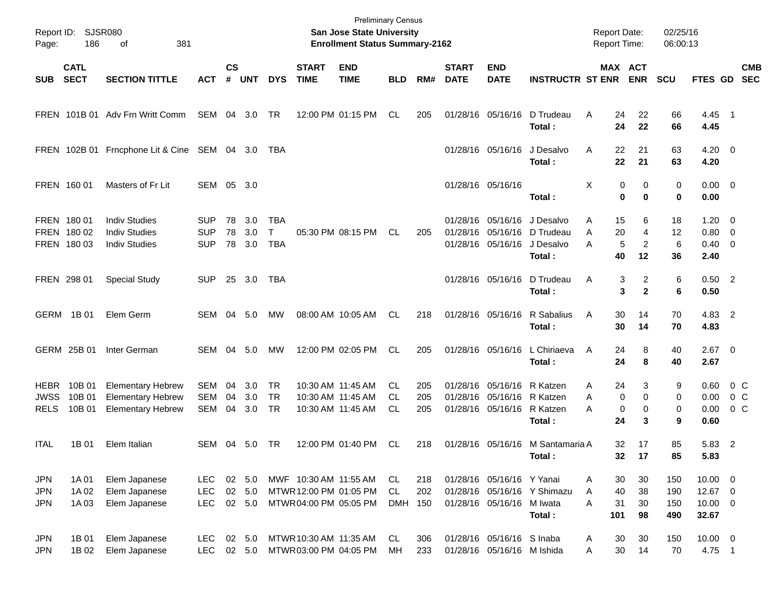| Report ID:<br>Page:                    | 186                                       | <b>SJSR080</b><br>381<br>οf                                                      | <b>Preliminary Census</b><br>San Jose State University<br><b>Enrollment Status Summary-2162</b> |                    |                            |                               |                                                                          |                                                             |                         |                   |                             |                                                                                        | <b>Report Date:</b><br>Report Time:                             |                                      | 02/25/16<br>06:00:13                           |                          |                                                  |                                      |
|----------------------------------------|-------------------------------------------|----------------------------------------------------------------------------------|-------------------------------------------------------------------------------------------------|--------------------|----------------------------|-------------------------------|--------------------------------------------------------------------------|-------------------------------------------------------------|-------------------------|-------------------|-----------------------------|----------------------------------------------------------------------------------------|-----------------------------------------------------------------|--------------------------------------|------------------------------------------------|--------------------------|--------------------------------------------------|--------------------------------------|
| <b>SUB</b>                             | <b>CATL</b><br><b>SECT</b>                | <b>SECTION TITTLE</b>                                                            | <b>ACT</b>                                                                                      | $\mathsf{cs}$<br># | <b>UNT</b>                 | <b>DYS</b>                    | <b>START</b><br><b>TIME</b>                                              | <b>END</b><br><b>TIME</b>                                   | <b>BLD</b>              | RM#               | <b>START</b><br><b>DATE</b> | <b>END</b><br><b>DATE</b>                                                              | <b>INSTRUCTR ST ENR ENR</b>                                     |                                      | MAX ACT                                        | <b>SCU</b>               | <b>FTES GD</b>                                   | <b>CMB</b><br><b>SEC</b>             |
|                                        |                                           | FREN 101B 01 Adv Frn Writt Comm                                                  | SEM 04 3.0                                                                                      |                    |                            | TR                            |                                                                          | 12:00 PM 01:15 PM                                           | CL                      | 205               |                             | 01/28/16 05/16/16                                                                      | D Trudeau<br>Total:                                             | Α                                    | 24<br>22<br>24<br>22                           | 66<br>66                 | 4.45 1<br>4.45                                   |                                      |
|                                        |                                           | FREN 102B 01 Frncphone Lit & Cine SEM 04 3.0                                     |                                                                                                 |                    |                            | TBA                           |                                                                          |                                                             |                         |                   |                             | 01/28/16 05/16/16                                                                      | J Desalvo<br>Total:                                             | A<br>22                              | 21<br>22<br>21                                 | 63<br>63                 | $4.20 \ 0$<br>4.20                               |                                      |
|                                        | FREN 160 01                               | Masters of Fr Lit                                                                | SEM 05                                                                                          |                    | 3.0                        |                               |                                                                          |                                                             |                         |                   |                             | 01/28/16 05/16/16                                                                      | Total:                                                          | X                                    | 0<br>0<br>$\mathbf 0$<br>$\mathbf 0$           | 0<br>0                   | $0.00 \t 0$<br>0.00                              |                                      |
|                                        | FREN 180 01<br>FREN 180 02<br>FREN 180 03 | <b>Indiv Studies</b><br><b>Indiv Studies</b><br><b>Indiv Studies</b>             | SUP.<br><b>SUP</b><br><b>SUP</b>                                                                | 78<br>78<br>78     | 3.0<br>3.0<br>3.0          | <b>TBA</b><br>т<br><b>TBA</b> |                                                                          | 05:30 PM 08:15 PM                                           | <b>CL</b>               | 205               |                             | 01/28/16 05/16/16<br>01/28/16 05/16/16                                                 | J Desalvo<br>01/28/16 05/16/16 D Trudeau<br>J Desalvo<br>Total: | 15<br>A<br>20<br>Α<br>A<br>40        | 6<br>4<br>5<br>$\overline{2}$<br>12            | 18<br>12<br>6<br>36      | $1.20 \t 0$<br>0.80 0<br>$0.40 \ 0$<br>2.40      |                                      |
|                                        | FREN 298 01                               | <b>Special Study</b>                                                             | <b>SUP</b>                                                                                      | 25                 | 3.0                        | TBA                           |                                                                          |                                                             |                         |                   |                             | 01/28/16 05/16/16                                                                      | D Trudeau<br>Total:                                             | Α                                    | 2<br>3<br>3<br>$\mathbf{2}$                    | 6<br>6                   | $0.50$ 2<br>0.50                                 |                                      |
|                                        | GERM 1B 01                                | Elem Germ                                                                        | SEM                                                                                             | 04                 | 5.0                        | MW                            |                                                                          | 08:00 AM 10:05 AM                                           | CL                      | 218               |                             | 01/28/16 05/16/16                                                                      | R Sabalius<br>Total:                                            | 30<br>A<br>30                        | 14<br>14                                       | 70<br>70                 | 4.83 2<br>4.83                                   |                                      |
|                                        | GERM 25B 01                               | Inter German                                                                     | SEM                                                                                             | 04                 | 5.0                        | МW                            |                                                                          | 12:00 PM 02:05 PM                                           | CL                      | 205               |                             |                                                                                        | 01/28/16 05/16/16 L Chiriaeva<br>Total:                         | 24<br>A<br>24                        | 8<br>8                                         | 40<br>40                 | $2.67$ 0<br>2.67                                 |                                      |
| HEBR<br><b>JWSS</b><br><b>RELS</b>     | 10B 01<br>10B 01<br>10B 01                | <b>Elementary Hebrew</b><br><b>Elementary Hebrew</b><br><b>Elementary Hebrew</b> | <b>SEM</b><br><b>SEM</b><br><b>SEM</b>                                                          | 04<br>04<br>04     | 3.0<br>3.0<br>3.0          | TR.<br><b>TR</b><br><b>TR</b> |                                                                          | 10:30 AM 11:45 AM<br>10:30 AM 11:45 AM<br>10:30 AM 11:45 AM | CL.<br>CL.<br>CL        | 205<br>205<br>205 |                             | 01/28/16 05/16/16 R Katzen<br>01/28/16 05/16/16 R Katzen<br>01/28/16 05/16/16 R Katzen | Total:                                                          | 24<br>Α<br>Α<br>A<br>24              | 3<br>$\mathbf 0$<br>$\mathbf 0$<br>0<br>0<br>3 | 9<br>0<br>0<br>9         | 0.60<br>0.00<br>0.00<br>0.60                     | $0\,$ C<br>$0\,$ C<br>0 <sup>o</sup> |
| <b>ITAL</b>                            | 1B 01                                     | Elem Italian                                                                     | <b>SEM</b>                                                                                      | - 04               | 5.0                        | TR                            |                                                                          | 12:00 PM 01:40 PM                                           | CL                      | 218               |                             |                                                                                        | 01/28/16 05/16/16 M Santamaria A<br>Total:                      |                                      | 32<br>17<br>32<br>17                           | 85<br>85                 | 5.83 2<br>5.83                                   |                                      |
| <b>JPN</b><br><b>JPN</b><br><b>JPN</b> | 1A 01<br>1A 02<br>1A03                    | Elem Japanese<br>Elem Japanese<br>Elem Japanese                                  | <b>LEC</b><br><b>LEC</b><br><b>LEC</b>                                                          |                    | 02 5.0<br>02 5.0<br>02 5.0 |                               | MWF 10:30 AM 11:55 AM<br>MTWR 12:00 PM 01:05 PM<br>MTWR04:00 PM 05:05 PM |                                                             | CL<br>CL.<br><b>DMH</b> | 218<br>202<br>150 |                             | 01/28/16 05/16/16 Y Yanai<br>01/28/16 05/16/16 M Iwata                                 | 01/28/16 05/16/16 Y Shimazu<br>Total:                           | 30<br>A<br>40<br>A<br>A<br>31<br>101 | 30<br>38<br>30<br>98                           | 150<br>190<br>150<br>490 | $10.00 \t 0$<br>12.67 0<br>$10.00 \t 0$<br>32.67 |                                      |
| <b>JPN</b><br><b>JPN</b>               | 1B 01<br>1B 02                            | Elem Japanese<br>Elem Japanese                                                   | LEC.<br>LEC.                                                                                    |                    | 02 5.0<br>02 5.0           |                               | MTWR 10:30 AM 11:35 AM                                                   | MTWR03:00 PM 04:05 PM                                       | CL<br>MH                | 306<br>233        |                             | 01/28/16 05/16/16 S Inaba<br>01/28/16 05/16/16 M Ishida                                |                                                                 | 30<br>A<br>Α                         | 30<br>30<br>14                                 | 150<br>70                | $10.00 \t 0$<br>4.75 1                           |                                      |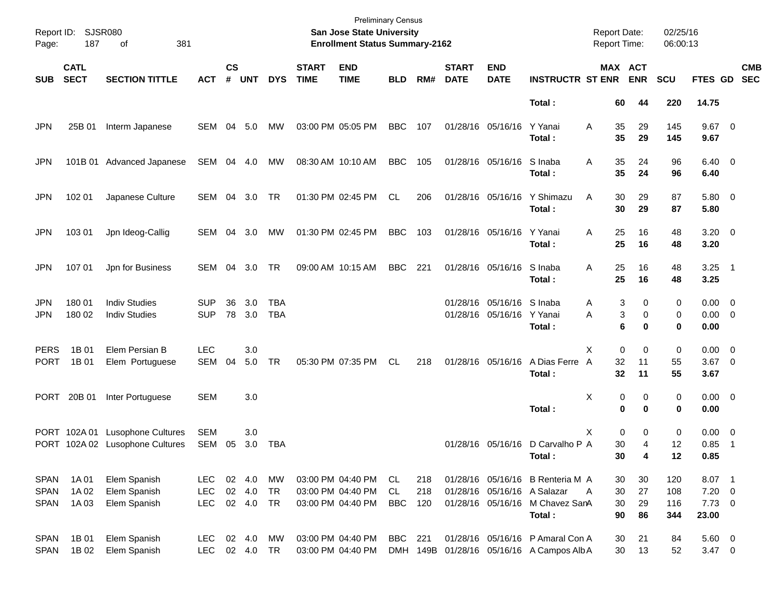| Page:                                     | Report ID: SJSR080<br>187  | 381                                                                |                                        |                    |                                 |                   | <b>Preliminary Census</b><br>San Jose State University<br><b>Enrollment Status Summary-2162</b> |                                                             |                        |                   |                             |                                                | <b>Report Date:</b><br>Report Time:                                                        |                           | 02/25/16<br>06:00:13                    |                          |                                            |                |                          |
|-------------------------------------------|----------------------------|--------------------------------------------------------------------|----------------------------------------|--------------------|---------------------------------|-------------------|-------------------------------------------------------------------------------------------------|-------------------------------------------------------------|------------------------|-------------------|-----------------------------|------------------------------------------------|--------------------------------------------------------------------------------------------|---------------------------|-----------------------------------------|--------------------------|--------------------------------------------|----------------|--------------------------|
| <b>SUB</b>                                | <b>CATL</b><br><b>SECT</b> | <b>SECTION TITTLE</b>                                              | <b>ACT</b>                             | $\mathsf{cs}$<br># | <b>UNT</b>                      | <b>DYS</b>        | <b>START</b><br><b>TIME</b>                                                                     | <b>END</b><br><b>TIME</b>                                   | <b>BLD</b>             | RM#               | <b>START</b><br><b>DATE</b> | <b>END</b><br><b>DATE</b>                      | <b>INSTRUCTR ST ENR</b>                                                                    |                           | MAX ACT<br><b>ENR</b>                   | <b>SCU</b>               | FTES GD                                    |                | <b>CMB</b><br><b>SEC</b> |
|                                           |                            |                                                                    |                                        |                    |                                 |                   |                                                                                                 |                                                             |                        |                   |                             |                                                | Total:                                                                                     | 60                        | 44                                      | 220                      | 14.75                                      |                |                          |
| <b>JPN</b>                                | 25B 01                     | Interm Japanese                                                    | SEM                                    | 04                 | 5.0                             | MW                |                                                                                                 | 03:00 PM 05:05 PM                                           | <b>BBC</b>             | 107               |                             | 01/28/16 05/16/16                              | Y Yanai<br>Total:                                                                          | 35<br>Α<br>35             | 29<br>29                                | 145<br>145               | $9.67$ 0<br>9.67                           |                |                          |
| JPN                                       |                            | 101B 01 Advanced Japanese                                          | SEM                                    |                    | 04 4.0                          | МW                |                                                                                                 | 08:30 AM 10:10 AM                                           | <b>BBC</b>             | 105               |                             | 01/28/16 05/16/16                              | S Inaba<br>Total:                                                                          | 35<br>Α<br>35             | 24<br>24                                | 96<br>96                 | $6.40 \quad 0$<br>6.40                     |                |                          |
| JPN                                       | 102 01                     | Japanese Culture                                                   | SEM                                    | 04                 | 3.0                             | TR                |                                                                                                 | 01:30 PM 02:45 PM                                           | CL                     | 206               |                             | 01/28/16 05/16/16                              | Y Shimazu<br>Total:                                                                        | 30<br>A<br>30             | 29<br>29                                | 87<br>87                 | 5.80 0<br>5.80                             |                |                          |
| JPN                                       | 103 01                     | Jpn Ideog-Callig                                                   | SEM                                    | 04                 | 3.0                             | МW                |                                                                                                 | 01:30 PM 02:45 PM                                           | <b>BBC</b>             | 103               |                             | 01/28/16 05/16/16                              | Y Yanai<br>Total:                                                                          | 25<br>Α<br>25             | 16<br>16                                | 48<br>48                 | $3.20 \ 0$<br>3.20                         |                |                          |
| JPN                                       | 107 01                     | Jpn for Business                                                   | SEM                                    | 04                 | 3.0                             | TR                |                                                                                                 | 09:00 AM 10:15 AM                                           | <b>BBC</b>             | 221               |                             | 01/28/16 05/16/16                              | S Inaba<br>Total:                                                                          | 25<br>Α<br>25             | 16<br>16                                | 48<br>48                 | $3.25$ 1<br>3.25                           |                |                          |
| JPN<br><b>JPN</b>                         | 180 01<br>180 02           | <b>Indiv Studies</b><br><b>Indiv Studies</b>                       | <b>SUP</b><br><b>SUP</b>               | 36<br>78           | 3.0<br>3.0                      | TBA<br><b>TBA</b> |                                                                                                 |                                                             |                        |                   |                             | 01/28/16 05/16/16 S Inaba<br>01/28/16 05/16/16 | Y Yanai<br>Total:                                                                          | Α<br>Α                    | 3<br>0<br>3<br>0<br>6<br>0              | 0<br>0<br>0              | $0.00 \t 0$<br>$0.00 \t 0$<br>0.00         |                |                          |
| <b>PERS</b><br><b>PORT</b>                | 1B 01<br>1B 01             | Elem Persian B<br>Elem Portuguese                                  | <b>LEC</b><br><b>SEM</b>               | 04                 | 3.0<br>5.0                      | <b>TR</b>         |                                                                                                 | 05:30 PM 07:35 PM                                           | <b>CL</b>              | 218               |                             | 01/28/16 05/16/16                              | A Dias Ferre<br>Total:                                                                     | Х<br>32<br>A<br>32        | $\mathbf 0$<br>0<br>11<br>11            | 0<br>55<br>55            | $0.00 \t 0$<br>$3.67$ 0<br>3.67            |                |                          |
| <b>PORT</b>                               | 20B 01                     | Inter Portuguese                                                   | <b>SEM</b>                             |                    | 3.0                             |                   |                                                                                                 |                                                             |                        |                   |                             |                                                | Total:                                                                                     | х                         | 0<br>0<br>0<br>$\bf{0}$                 | 0<br>0                   | $0.00 \t 0$<br>0.00                        |                |                          |
|                                           |                            | PORT 102A 01 Lusophone Cultures<br>PORT 102A 02 Lusophone Cultures | <b>SEM</b><br>SEM                      | 05                 | 3.0<br>3.0                      | TBA               |                                                                                                 |                                                             |                        |                   |                             |                                                | 01/28/16 05/16/16 D Carvalho P A<br>Total:                                                 | Х<br>30<br>30             | $\mathbf 0$<br>0<br>$\overline{4}$<br>4 | 0<br>12<br>12            | $0.00 \t 0$<br>0.85<br>0.85                | $\overline{1}$ |                          |
| <b>SPAN</b><br><b>SPAN</b><br><b>SPAN</b> | 1A 01<br>1A 02<br>1A03     | Elem Spanish<br>Elem Spanish<br>Elem Spanish                       | <b>LEC</b><br><b>LEC</b><br><b>LEC</b> |                    | 02 4.0<br>02 4.0<br>02  4.0  TR | MW<br>TR          |                                                                                                 | 03:00 PM 04:40 PM<br>03:00 PM 04:40 PM<br>03:00 PM 04:40 PM | CL<br>CL<br><b>BBC</b> | 218<br>218<br>120 |                             | 01/28/16 05/16/16                              | 01/28/16 05/16/16 B Renteria M A<br>01/28/16 05/16/16 A Salazar<br>M Chavez SanA<br>Total: | 30<br>30<br>A<br>30<br>90 | 30<br>27<br>29<br>86                    | 120<br>108<br>116<br>344 | 8.07 1<br>$7.20 \t 0$<br>$7.73$ 0<br>23.00 |                |                          |
| <b>SPAN</b><br><b>SPAN</b>                | 1B 01<br>1B 02             | Elem Spanish<br>Elem Spanish                                       | <b>LEC</b><br>LEC                      |                    | 02 4.0<br>02 4.0 TR             | MW                |                                                                                                 | 03:00 PM 04:40 PM<br>03:00 PM 04:40 PM                      | BBC                    | 221               |                             |                                                | 01/28/16 05/16/16 P Amaral Con A<br>DMH 149B 01/28/16 05/16/16 A Campos Alb A              | 30<br>30                  | 21<br>13                                | 84<br>52                 | 5.60 0<br>$3.47 \quad 0$                   |                |                          |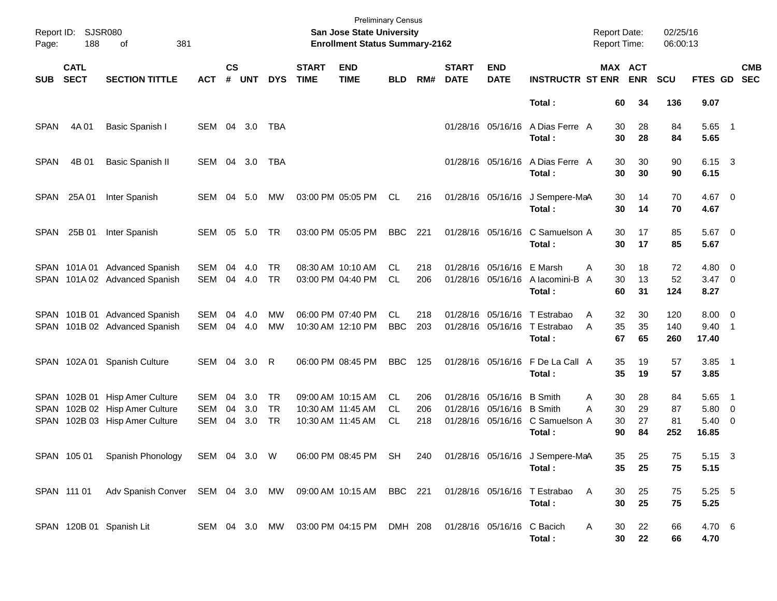| Page:       | Report ID: SJSR080<br>188  | 381<br>of                                                  |            |               |        |               |                             | <b>Preliminary Census</b><br>San Jose State University<br><b>Enrollment Status Summary-2162</b> |            |     |                             |                            |                                                          | <b>Report Date:</b><br>Report Time: |                       | 02/25/16<br>06:00:13 |                        |                          |                          |
|-------------|----------------------------|------------------------------------------------------------|------------|---------------|--------|---------------|-----------------------------|-------------------------------------------------------------------------------------------------|------------|-----|-----------------------------|----------------------------|----------------------------------------------------------|-------------------------------------|-----------------------|----------------------|------------------------|--------------------------|--------------------------|
| <b>SUB</b>  | <b>CATL</b><br><b>SECT</b> | <b>SECTION TITTLE</b>                                      | <b>ACT</b> | $\mathsf{cs}$ | # UNT  | <b>DYS</b>    | <b>START</b><br><b>TIME</b> | <b>END</b><br><b>TIME</b>                                                                       | <b>BLD</b> | RM# | <b>START</b><br><b>DATE</b> | <b>END</b><br><b>DATE</b>  | <b>INSTRUCTR ST ENR</b>                                  |                                     | MAX ACT<br><b>ENR</b> | <b>SCU</b>           | <b>FTES GD</b>         |                          | <b>CMB</b><br><b>SEC</b> |
|             |                            |                                                            |            |               |        |               |                             |                                                                                                 |            |     |                             |                            | Total:                                                   | 60                                  | 34                    | 136                  | 9.07                   |                          |                          |
| <b>SPAN</b> | 4A 01                      | Basic Spanish I                                            | SEM        |               | 04 3.0 | TBA           |                             |                                                                                                 |            |     |                             | 01/28/16 05/16/16          | A Dias Ferre A<br>Total:                                 | 30<br>30                            | 28<br>28              | 84<br>84             | $5.65$ 1<br>5.65       |                          |                          |
| <b>SPAN</b> | 4B 01                      | Basic Spanish II                                           | SEM        |               | 04 3.0 | TBA           |                             |                                                                                                 |            |     |                             | 01/28/16 05/16/16          | A Dias Ferre A<br>Total:                                 | 30<br>30                            | 30<br>30              | 90<br>90             | 6.15 3<br>6.15         |                          |                          |
|             | SPAN 25A 01                | Inter Spanish                                              | SEM        | 04            | 5.0    | МW            |                             | 03:00 PM 05:05 PM                                                                               | CL.        | 216 |                             | 01/28/16 05/16/16          | J Sempere-MaA<br>Total:                                  | 30<br>30                            | 14<br>14              | 70<br>70             | $4.67$ 0<br>4.67       |                          |                          |
|             | SPAN 25B 01                | Inter Spanish                                              | SEM        | 05            | 5.0    | <b>TR</b>     |                             | 03:00 PM 05:05 PM                                                                               | <b>BBC</b> | 221 |                             | 01/28/16 05/16/16          | C Samuelson A<br>Total:                                  | 30<br>30                            | 17<br>17              | 85<br>85             | $5.67$ 0<br>5.67       |                          |                          |
|             |                            | SPAN 101A 01 Advanced Spanish                              | SEM        | 04            | 4.0    | TR            |                             | 08:30 AM 10:10 AM                                                                               | CL.        | 218 |                             | 01/28/16 05/16/16 E Marsh  |                                                          | 30<br>A                             | 18                    | 72                   | $4.80\ 0$              |                          |                          |
|             |                            | SPAN 101A 02 Advanced Spanish                              | SEM        | 04            | 4.0    | <b>TR</b>     |                             | 03:00 PM 04:40 PM                                                                               | <b>CL</b>  | 206 |                             | 01/28/16 05/16/16          | A lacomini-B A<br>Total:                                 | 30<br>60                            | 13<br>31              | 52<br>124            | $3.47 \quad 0$<br>8.27 |                          |                          |
|             |                            | SPAN 101B 01 Advanced Spanish                              | SEM        | 04            | 4.0    | MW            |                             | 06:00 PM 07:40 PM                                                                               | CL         | 218 |                             |                            | 01/28/16 05/16/16 T Estrabao                             | 32<br>A                             | 30                    | 120                  | $8.00 \t 0$            |                          |                          |
|             |                            | SPAN 101B 02 Advanced Spanish                              | <b>SEM</b> | 04            | 4.0    | <b>MW</b>     |                             | 10:30 AM 12:10 PM                                                                               | <b>BBC</b> | 203 |                             |                            | 01/28/16 05/16/16 T Estrabao                             | 35<br>A                             | 35                    | 140                  | 9.40                   | $\overline{\phantom{1}}$ |                          |
|             |                            |                                                            |            |               |        |               |                             |                                                                                                 |            |     |                             |                            | Total:                                                   | 67                                  | 65                    | 260                  | 17.40                  |                          |                          |
|             | SPAN 102A 01               | <b>Spanish Culture</b>                                     | SEM 04     |               | 3.0    | R             |                             | 06:00 PM 08:45 PM                                                                               | <b>BBC</b> | 125 |                             | 01/28/16 05/16/16          | F De La Call A<br>Total:                                 | 35<br>35                            | 19<br>19              | 57<br>57             | $3.85$ 1<br>3.85       |                          |                          |
|             | SPAN 102B 01               | <b>Hisp Amer Culture</b>                                   | SEM        | 04            | 3.0    | <b>TR</b>     |                             | 09:00 AM 10:15 AM                                                                               | CL         | 206 |                             | 01/28/16 05/16/16 B Smith  |                                                          | 30<br>A                             | 28                    | 84                   | 5.65                   | $\overline{\phantom{1}}$ |                          |
| SPAN        |                            | 102B 02 Hisp Amer Culture                                  | <b>SEM</b> | 04            | 3.0    | <b>TR</b>     | 10:30 AM 11:45 AM           |                                                                                                 | <b>CL</b>  | 206 |                             | 01/28/16 05/16/16 B Smith  |                                                          | 30<br>Α                             | 29                    | 87                   | 5.80                   | $\overline{\phantom{0}}$ |                          |
| SPAN        |                            | 102B 03 Hisp Amer Culture                                  | <b>SEM</b> | 04            | 3.0    | <b>TR</b>     |                             | 10:30 AM 11:45 AM                                                                               | <b>CL</b>  | 218 |                             |                            | 01/28/16 05/16/16 C Samuelson A                          | 30                                  | 27                    | 81                   | $5.40 \ 0$             |                          |                          |
|             |                            |                                                            |            |               |        |               |                             |                                                                                                 |            |     |                             |                            | Total:                                                   | 90                                  | 84                    | 252                  | 16.85                  |                          |                          |
|             |                            | SPAN 105 01 Spanish Phonology SEM 04 3.0 W                 |            |               |        |               |                             |                                                                                                 |            |     |                             |                            | 06:00 PM 08:45 PM SH 240 01/28/16 05/16/16 J Sempere-MaA | 35                                  | 25                    | 75                   | 5.15 3                 |                          |                          |
|             |                            |                                                            |            |               |        |               |                             |                                                                                                 |            |     |                             |                            | Total:                                                   | 35                                  | 25                    | 75                   | 5.15                   |                          |                          |
|             | SPAN 111 01                | Adv Spanish Conver SEM 04 3.0 MW 09:00 AM 10:15 AM BBC 221 |            |               |        |               |                             |                                                                                                 |            |     |                             |                            | 01/28/16 05/16/16 T Estrabao                             | 30<br>A                             | 25                    | 75                   | 5.25 5                 |                          |                          |
|             |                            |                                                            |            |               |        |               |                             |                                                                                                 |            |     |                             |                            | Total:                                                   | 30                                  | 25                    | 75                   | 5.25                   |                          |                          |
|             |                            | SPAN 120B 01 Spanish Lit                                   |            |               |        | SEM 04 3.0 MW |                             | 03:00 PM 04:15 PM DMH 208                                                                       |            |     |                             | 01/28/16 05/16/16 C Bacich |                                                          | Α<br>30                             | 22                    | 66                   | 4.70 6                 |                          |                          |
|             |                            |                                                            |            |               |        |               |                             |                                                                                                 |            |     |                             |                            | Total:                                                   | 30                                  | 22                    | 66                   | 4.70                   |                          |                          |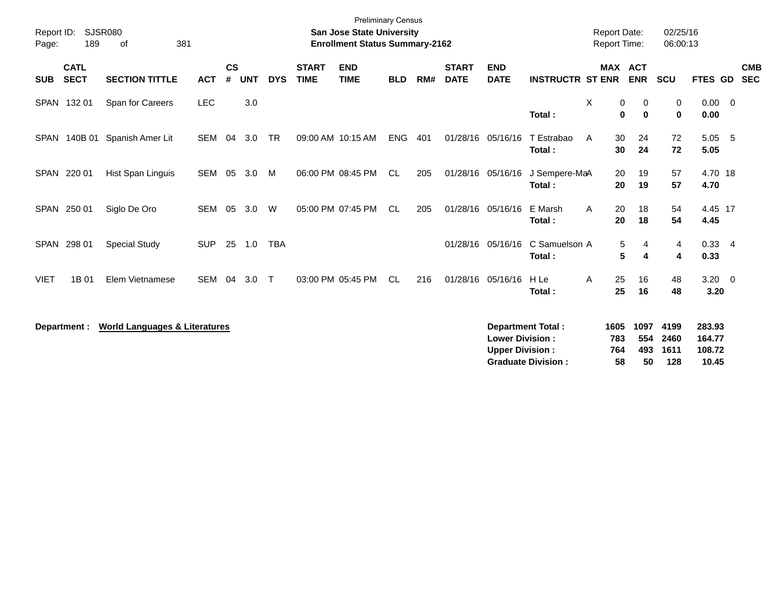| Report ID:<br>Page: | 189                        | <b>SJSR080</b><br>381<br>0f              |            |                |            |            |                             | <b>Preliminary Census</b><br><b>San Jose State University</b><br><b>Enrollment Status Summary-2162</b> |            |     |                             |                                                  |                                                       | <b>Report Date:</b><br><b>Report Time:</b> |                          | 02/25/16<br>06:00:13         |                                     |                          |
|---------------------|----------------------------|------------------------------------------|------------|----------------|------------|------------|-----------------------------|--------------------------------------------------------------------------------------------------------|------------|-----|-----------------------------|--------------------------------------------------|-------------------------------------------------------|--------------------------------------------|--------------------------|------------------------------|-------------------------------------|--------------------------|
| <b>SUB</b>          | <b>CATL</b><br><b>SECT</b> | <b>SECTION TITTLE</b>                    | <b>ACT</b> | <b>CS</b><br># | <b>UNT</b> | <b>DYS</b> | <b>START</b><br><b>TIME</b> | <b>END</b><br><b>TIME</b>                                                                              | <b>BLD</b> | RM# | <b>START</b><br><b>DATE</b> | <b>END</b><br><b>DATE</b>                        | <b>INSTRUCTR ST ENR</b>                               | MAX ACT                                    | <b>ENR</b>               | <b>SCU</b>                   | FTES GD                             | <b>CMB</b><br><b>SEC</b> |
|                     | SPAN 132 01                | Span for Careers                         | <b>LEC</b> |                | 3.0        |            |                             |                                                                                                        |            |     |                             |                                                  | Total:                                                | X<br>0<br>0                                | 0<br>$\bf{0}$            | 0<br>$\mathbf 0$             | $0.00 \quad 0$<br>0.00              |                          |
| SPAN                | 140B 01                    | Spanish Amer Lit                         | SEM        | 04             | 3.0        | <b>TR</b>  |                             | 09:00 AM 10:15 AM                                                                                      | <b>ENG</b> | 401 |                             | 01/28/16 05/16/16                                | T Estrabao<br>Total:                                  | A<br>30<br>30                              | 24<br>24                 | 72<br>72                     | 5.05 5<br>5.05                      |                          |
|                     | SPAN 220 01                | Hist Span Linguis                        | SEM        | 05             | 3.0        | M          |                             | 06:00 PM 08:45 PM                                                                                      | CL         | 205 |                             | 01/28/16 05/16/16                                | J Sempere-MaA<br>Total:                               | 20<br>20                                   | 19<br>19                 | 57<br>57                     | 4.70 18<br>4.70                     |                          |
|                     | SPAN 250 01                | Siglo De Oro                             | SEM        | 05             | 3.0        | W          |                             | 05:00 PM 07:45 PM                                                                                      | CL.        | 205 |                             | 01/28/16 05/16/16                                | E Marsh<br>Total:                                     | 20<br>A<br>20                              | 18<br>18                 | 54<br>54                     | 4.45 17<br>4.45                     |                          |
| <b>SPAN</b>         | 298 01                     | <b>Special Study</b>                     | <b>SUP</b> | 25             | 1.0        | <b>TBA</b> |                             |                                                                                                        |            |     |                             | 01/28/16 05/16/16                                | C Samuelson A<br>Total:                               | 5<br>5                                     | 4<br>4                   | 4<br>$\overline{\mathbf{4}}$ | $0.33 + 4$<br>0.33                  |                          |
| <b>VIET</b>         | 1B 01                      | Elem Vietnamese                          | <b>SEM</b> | 04             | 3.0        | $\top$     |                             | 03:00 PM 05:45 PM                                                                                      | <b>CL</b>  | 216 | 01/28/16                    | 05/16/16                                         | H Le<br>Total:                                        | 25<br>Α<br>25                              | 16<br>16                 | 48<br>48                     | $3.20 \ 0$<br>3.20                  |                          |
|                     | Department :               | <b>World Languages &amp; Literatures</b> |            |                |            |            |                             |                                                                                                        |            |     |                             | <b>Lower Division:</b><br><b>Upper Division:</b> | <b>Department Total:</b><br><b>Graduate Division:</b> | 1605<br>783<br>764<br>58                   | 1097<br>554<br>493<br>50 | 4199<br>2460<br>1611<br>128  | 283.93<br>164.77<br>108.72<br>10.45 |                          |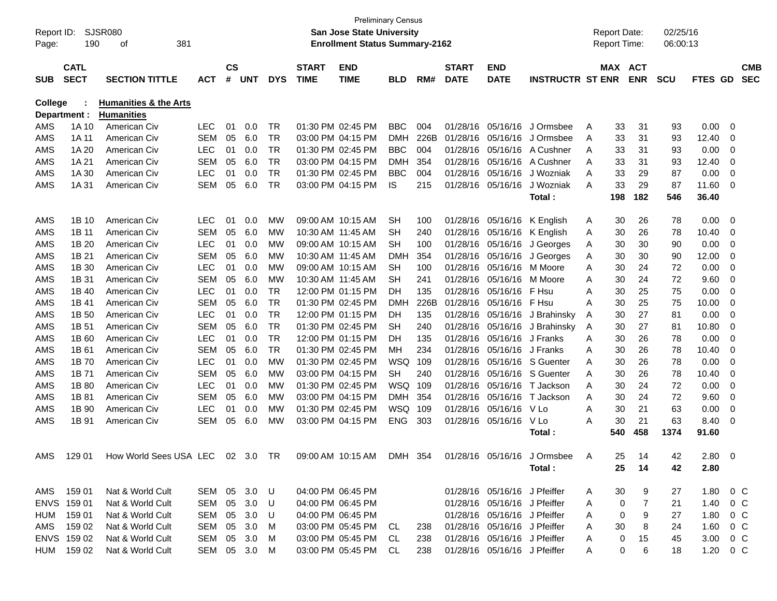|            |              |                                  |              |               |                |            |              | <b>Preliminary Census</b>             |            |      |              |                              |                         |   |                     |            |            |               |     |            |
|------------|--------------|----------------------------------|--------------|---------------|----------------|------------|--------------|---------------------------------------|------------|------|--------------|------------------------------|-------------------------|---|---------------------|------------|------------|---------------|-----|------------|
| Report ID: |              | SJSR080                          |              |               |                |            |              | <b>San Jose State University</b>      |            |      |              |                              |                         |   | <b>Report Date:</b> |            | 02/25/16   |               |     |            |
| Page:      | 190          | 381<br>οf                        |              |               |                |            |              | <b>Enrollment Status Summary-2162</b> |            |      |              |                              |                         |   | <b>Report Time:</b> |            | 06:00:13   |               |     |            |
|            |              |                                  |              |               |                |            |              |                                       |            |      |              |                              |                         |   |                     |            |            |               |     |            |
|            | <b>CATL</b>  |                                  |              | $\mathsf{cs}$ |                |            | <b>START</b> | <b>END</b>                            |            |      | <b>START</b> | <b>END</b>                   |                         |   |                     | MAX ACT    |            |               |     | <b>CMB</b> |
| <b>SUB</b> | <b>SECT</b>  | <b>SECTION TITTLE</b>            | ACT          | #             | <b>UNT</b>     | <b>DYS</b> | <b>TIME</b>  | <b>TIME</b>                           | <b>BLD</b> | RM#  | <b>DATE</b>  | <b>DATE</b>                  | <b>INSTRUCTR ST ENR</b> |   |                     | <b>ENR</b> | <b>SCU</b> | FTES GD       |     | <b>SEC</b> |
| College    |              | <b>Humanities &amp; the Arts</b> |              |               |                |            |              |                                       |            |      |              |                              |                         |   |                     |            |            |               |     |            |
|            | Department : | <b>Humanities</b>                |              |               |                |            |              |                                       |            |      |              |                              |                         |   |                     |            |            |               |     |            |
| AMS        | 1A 10        | American Civ                     | <b>LEC</b>   | 01            | 0.0            | TR         |              | 01:30 PM 02:45 PM                     | <b>BBC</b> | 004  | 01/28/16     | 05/16/16                     | J Ormsbee               | Α | 33                  | 31         | 93         | 0.00          | - 0 |            |
| AMS        | 1A 11        | American Civ                     | <b>SEM</b>   | 05            | 6.0            | <b>TR</b>  |              | 03:00 PM 04:15 PM                     | <b>DMH</b> | 226B | 01/28/16     | 05/16/16                     | J Ormsbee               | A | 33                  | 31         | 93         | 12.40         | 0   |            |
| AMS        | 1A 20        | American Civ                     | <b>LEC</b>   | 01            | 0.0            | <b>TR</b>  |              | 01:30 PM 02:45 PM                     | <b>BBC</b> | 004  | 01/28/16     | 05/16/16                     | A Cushner               | A | 33                  | 31         | 93         | 0.00          | 0   |            |
| AMS        | 1A 21        | American Civ                     | <b>SEM</b>   | 05            | 6.0            | <b>TR</b>  |              | 03:00 PM 04:15 PM                     | <b>DMH</b> | 354  | 01/28/16     | 05/16/16                     | A Cushner               | A | 33                  | 31         | 93         | 12.40         | 0   |            |
| AMS        | 1A 30        | American Civ                     | <b>LEC</b>   | 01            | 0.0            | <b>TR</b>  |              | 01:30 PM 02:45 PM                     | <b>BBC</b> | 004  | 01/28/16     | 05/16/16                     | J Wozniak               | A | 33                  | 29         | 87         | 0.00          | 0   |            |
| AMS        | 1A 31        | American Civ                     | <b>SEM</b>   | 05            | 6.0            | <b>TR</b>  |              | 03:00 PM 04:15 PM                     | IS.        | 215  | 01/28/16     | 05/16/16                     | J Wozniak               | A | 33                  | 29         | 87         | 11.60         | 0   |            |
|            |              |                                  |              |               |                |            |              |                                       |            |      |              |                              | Total :                 |   | 198                 | 182        | 546        | 36.40         |     |            |
|            |              |                                  |              |               |                |            |              |                                       |            |      |              |                              |                         |   |                     |            |            |               |     |            |
| AMS        | 1B 10        | American Civ                     | <b>LEC</b>   | 01            | 0.0            | <b>MW</b>  |              | 09:00 AM 10:15 AM                     | <b>SH</b>  | 100  | 01/28/16     | 05/16/16                     | K English               | A | 30                  | 26         | 78         | 0.00          | 0   |            |
| AMS        | 1B 11        | American Civ                     | <b>SEM</b>   | 05            | 6.0            | МW         |              | 10:30 AM 11:45 AM                     | <b>SH</b>  | 240  | 01/28/16     | 05/16/16                     | K English               | Α | 30                  | 26         | 78         | 10.40         | 0   |            |
| AMS        | 1B 20        | American Civ                     | <b>LEC</b>   | 01            | 0.0            | МW         |              | 09:00 AM 10:15 AM                     | SH         | 100  | 01/28/16     | 05/16/16                     | J Georges               | Α | 30                  | 30         | 90         | 0.00          | 0   |            |
| AMS        | 1B 21        | American Civ                     | <b>SEM</b>   | 05            | 6.0            | МW         |              | 10:30 AM 11:45 AM                     | <b>DMH</b> | 354  | 01/28/16     | 05/16/16                     | J Georges               | Α | 30                  | 30         | 90         | 12.00         | 0   |            |
| AMS        | 1B 30        | American Civ                     | <b>LEC</b>   | 01            | 0.0            | МW         |              | 09:00 AM 10:15 AM                     | <b>SH</b>  | 100  | 01/28/16     | 05/16/16                     | M Moore                 | A | 30                  | 24         | 72         | 0.00          | 0   |            |
| AMS        | 1B 31        | American Civ                     | <b>SEM</b>   | 05            | 6.0            | МW         |              | 10:30 AM 11:45 AM                     | SН         | 241  | 01/28/16     | 05/16/16                     | M Moore                 | A | 30                  | 24         | 72         | 9.60          | 0   |            |
| AMS        | 1B 40        | American Civ                     | <b>LEC</b>   | 01            | 0.0            | TR         |              | 12:00 PM 01:15 PM                     | DH         | 135  | 01/28/16     | 05/16/16                     | F Hsu                   | A | 30                  | 25         | 75         | 0.00          | 0   |            |
| AMS        | 1B 41        | American Civ                     | <b>SEM</b>   | 05            | 6.0            | <b>TR</b>  |              | 01:30 PM 02:45 PM                     | <b>DMH</b> | 226B | 01/28/16     | 05/16/16                     | F Hsu                   | A | 30                  | 25         | 75         | 10.00         | 0   |            |
| AMS        | 1B 50        | American Civ                     | <b>LEC</b>   | 01            | 0.0            | <b>TR</b>  |              | 12:00 PM 01:15 PM                     | DH         | 135  | 01/28/16     | 05/16/16                     | J Brahinsky             | A | 30                  | 27         | 81         | 0.00          | 0   |            |
| AMS        | 1B 51        | American Civ                     | <b>SEM</b>   | 05            | 6.0            | <b>TR</b>  |              | 01:30 PM 02:45 PM                     | SH         | 240  | 01/28/16     | 05/16/16                     | J Brahinsky             | A | 30                  | 27         | 81         | 10.80         | 0   |            |
| AMS        | 1B 60        | American Civ                     | <b>LEC</b>   | 01            | 0.0            | <b>TR</b>  |              | 12:00 PM 01:15 PM                     | DH         | 135  | 01/28/16     | 05/16/16                     | J Franks                | A | 30                  | 26         | 78         | 0.00          | 0   |            |
| AMS        | 1B 61        | American Civ                     | <b>SEM</b>   | 05            | 6.0            | <b>TR</b>  |              | 01:30 PM 02:45 PM                     | MН         | 234  | 01/28/16     | 05/16/16                     | J Franks                | A | 30                  | 26         | 78         | 10.40         | 0   |            |
| AMS        | 1B 70        | American Civ                     | <b>LEC</b>   | 01            | 0.0            | <b>MW</b>  |              | 01:30 PM 02:45 PM                     | <b>WSQ</b> | 109  | 01/28/16     | 05/16/16                     | S Guenter               | A | 30                  | 26         | 78         | 0.00          | 0   |            |
| AMS        | 1B 71        | American Civ                     | <b>SEM</b>   | 05            | 6.0            | МW         |              | 03:00 PM 04:15 PM                     | <b>SH</b>  | 240  | 01/28/16     | 05/16/16                     | S Guenter               | A | 30                  | 26         | 78         | 10.40         | 0   |            |
| AMS        | 1B 80        | American Civ                     | <b>LEC</b>   | 01            | 0.0            | МW         |              | 01:30 PM 02:45 PM                     | <b>WSQ</b> | 109  | 01/28/16     | 05/16/16                     | T Jackson               | A | 30                  | 24         | 72         | 0.00          | 0   |            |
| AMS        | 1B 81        | American Civ                     | <b>SEM</b>   | 05            | 6.0            | МW         |              | 03:00 PM 04:15 PM                     | <b>DMH</b> | 354  | 01/28/16     | 05/16/16                     | T Jackson               | A | 30                  | 24         | 72         | 9.60          | 0   |            |
| AMS        | 1B 90        | American Civ                     | <b>LEC</b>   | 01            | 0.0            | МW         |              | 01:30 PM 02:45 PM                     | WSQ        | 109  | 01/28/16     | 05/16/16                     | V Lo                    | A | 30                  | 21         | 63         | 0.00          | 0   |            |
| AMS        | 1B 91        | American Civ                     | <b>SEM</b>   | 05            | 6.0            | МW         |              | 03:00 PM 04:15 PM                     | <b>ENG</b> | 303  | 01/28/16     | 05/16/16                     | V Lo                    | A | 30                  | 21         | 63         | 8.40          | 0   |            |
|            |              |                                  |              |               |                |            |              |                                       |            |      |              |                              | Total :                 |   | 540                 | 458        | 1374       | 91.60         |     |            |
| AMS        | 129 01       | How World Sees USA LEC           |              |               | $02 \quad 3.0$ | <b>TR</b>  |              | 09:00 AM 10:15 AM                     | <b>DMH</b> | 354  |              | 01/28/16 05/16/16            | J Ormsbee               | A | 25                  | 14         | 42         | 2.80          | - 0 |            |
|            |              |                                  |              |               |                |            |              |                                       |            |      |              |                              | Total:                  |   | 25                  | 14         | 42         | 2.80          |     |            |
|            |              |                                  |              |               |                |            |              |                                       |            |      |              |                              |                         |   |                     |            |            |               |     |            |
|            | AMS 159 01   | Nat & World Cult                 | SEM 05 3.0 U |               |                |            |              | 04:00 PM 06:45 PM                     |            |      |              | 01/28/16 05/16/16 J Pfeiffer |                         | A | 30                  | 9          | 27         | 1.80 0 C      |     |            |
|            | ENVS 159 01  | Nat & World Cult                 | SEM 05       |               | 3.0            | -U         |              | 04:00 PM 06:45 PM                     |            |      |              | 01/28/16 05/16/16 J Pfeiffer |                         | A | 0                   | 7          | 21         | $1.40 \t 0 C$ |     |            |
|            | HUM 159 01   | Nat & World Cult                 | SEM 05 3.0   |               |                | U          |              | 04:00 PM 06:45 PM                     |            |      |              | 01/28/16 05/16/16 J Pfeiffer |                         | A | 0                   | 9          | 27         | $1.80 \t 0 C$ |     |            |
| AMS        | 159 02       | Nat & World Cult                 | SEM 05 3.0   |               |                | M          |              | 03:00 PM 05:45 PM CL                  |            | 238  |              | 01/28/16 05/16/16 J Pfeiffer |                         | A | 30                  | 8          | 24         | $1.60 \t 0 C$ |     |            |
|            | ENVS 159 02  | Nat & World Cult                 | SEM 05 3.0   |               |                | M          |              | 03:00 PM 05:45 PM                     | CL         | 238  |              | 01/28/16 05/16/16 J Pfeiffer |                         | A | 0                   | 15         | 45         | 3.00 0 C      |     |            |
|            | HUM 159 02   | Nat & World Cult                 | SEM 05 3.0   |               |                | M          |              | 03:00 PM 05:45 PM CL                  |            | 238  |              | 01/28/16 05/16/16 J Pfeiffer |                         | A | 0                   | 6          | 18         | 1.20 0 C      |     |            |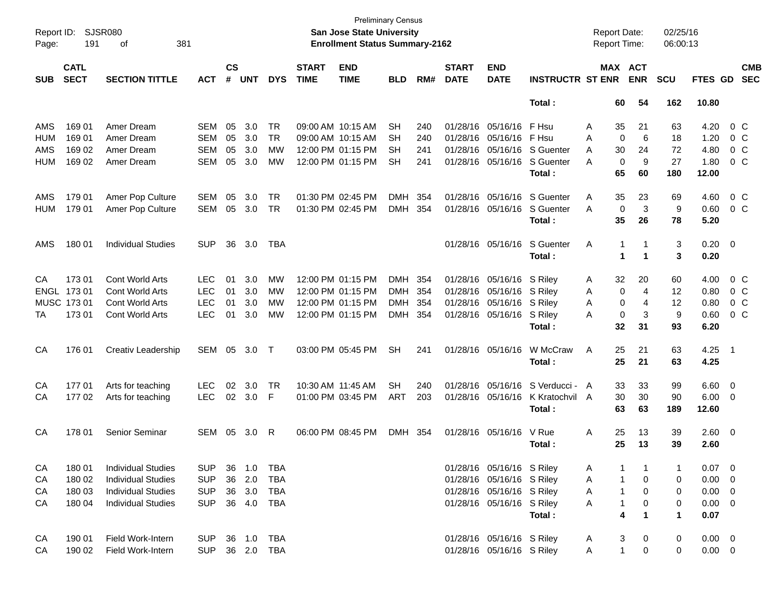| Page:      | Report ID: SJSR080<br>191<br>381<br>οf |                           |            |                    |              |            |                             | <b>Preliminary Census</b><br><b>San Jose State University</b><br><b>Enrollment Status Summary-2162</b> |            |     |                             |                           |                             | <b>Report Date:</b><br>Report Time: |              |                       | 02/25/16<br>06:00:13 |                |                          |                          |
|------------|----------------------------------------|---------------------------|------------|--------------------|--------------|------------|-----------------------------|--------------------------------------------------------------------------------------------------------|------------|-----|-----------------------------|---------------------------|-----------------------------|-------------------------------------|--------------|-----------------------|----------------------|----------------|--------------------------|--------------------------|
| <b>SUB</b> | <b>CATL</b><br><b>SECT</b>             | <b>SECTION TITTLE</b>     | <b>ACT</b> | $\mathsf{cs}$<br># | <b>UNT</b>   | <b>DYS</b> | <b>START</b><br><b>TIME</b> | <b>END</b><br><b>TIME</b>                                                                              | <b>BLD</b> | RM# | <b>START</b><br><b>DATE</b> | <b>END</b><br><b>DATE</b> | <b>INSTRUCTR ST ENR</b>     |                                     |              | MAX ACT<br><b>ENR</b> | <b>SCU</b>           | FTES GD        |                          | <b>CMB</b><br><b>SEC</b> |
|            |                                        |                           |            |                    |              |            |                             |                                                                                                        |            |     |                             |                           | Total:                      |                                     | 60           | 54                    | 162                  | 10.80          |                          |                          |
| AMS        | 169 01                                 | Amer Dream                | SEM        | 05                 | 3.0          | TR         | 09:00 AM 10:15 AM           |                                                                                                        | SН         | 240 |                             | 01/28/16 05/16/16 F Hsu   |                             | Α                                   | 35           | 21                    | 63                   | 4.20           |                          | $0\,$ C                  |
| HUM        | 169 01                                 | Amer Dream                | <b>SEM</b> | 05                 | 3.0          | <b>TR</b>  | 09:00 AM 10:15 AM           |                                                                                                        | SН         | 240 |                             | 01/28/16 05/16/16 F Hsu   |                             | Α                                   | $\mathbf 0$  | 6                     | 18                   | 1.20           |                          | 0 <sup>o</sup>           |
| AMS        | 169 02                                 | Amer Dream                | <b>SEM</b> | 05                 | 3.0          | <b>MW</b>  |                             | 12:00 PM 01:15 PM                                                                                      | SН         | 241 |                             |                           | 01/28/16 05/16/16 S Guenter | A                                   | 30           | 24                    | 72                   | 4.80           |                          | 0 <sup>o</sup>           |
| HUM        | 169 02                                 | Amer Dream                | <b>SEM</b> | 05                 | 3.0          | MW         |                             | 12:00 PM 01:15 PM                                                                                      | <b>SH</b>  | 241 |                             | 01/28/16 05/16/16         | S Guenter                   | A                                   | $\mathbf 0$  | 9                     | 27                   | 1.80           |                          | 0 <sup>o</sup>           |
|            |                                        |                           |            |                    |              |            |                             |                                                                                                        |            |     |                             |                           | Total:                      |                                     | 65           | 60                    | 180                  | 12.00          |                          |                          |
| AMS        | 179 01                                 | Amer Pop Culture          | SEM        | 05                 | 3.0          | <b>TR</b>  | 01:30 PM 02:45 PM           |                                                                                                        | <b>DMH</b> | 354 |                             | 01/28/16 05/16/16         | S Guenter                   | A                                   | 35           | 23                    | 69                   | 4.60           |                          | 0 <sup>o</sup>           |
| <b>HUM</b> | 179 01                                 | Amer Pop Culture          | SEM        | 05                 | 3.0          | TR         | 01:30 PM 02:45 PM           |                                                                                                        | DMH 354    |     |                             | 01/28/16 05/16/16         | S Guenter                   | A                                   | $\mathbf 0$  | 3                     | 9                    | 0.60           |                          | 0 <sup>o</sup>           |
|            |                                        |                           |            |                    |              |            |                             |                                                                                                        |            |     |                             |                           | Total:                      |                                     | 35           | 26                    | 78                   | 5.20           |                          |                          |
| AMS        | 180 01                                 | <b>Individual Studies</b> | <b>SUP</b> | 36                 | 3.0          | <b>TBA</b> |                             |                                                                                                        |            |     |                             | 01/28/16 05/16/16         | S Guenter                   | Α                                   | $\mathbf{1}$ | -1                    | 3                    | 0.20           | $\overline{\phantom{0}}$ |                          |
|            |                                        |                           |            |                    |              |            |                             |                                                                                                        |            |     |                             |                           | Total:                      |                                     | 1            | $\blacktriangleleft$  | 3                    | 0.20           |                          |                          |
| CA         | 173 01                                 | Cont World Arts           | LEC        | 01                 | 3.0          | МW         | 12:00 PM 01:15 PM           |                                                                                                        | DMH 354    |     |                             | 01/28/16 05/16/16 S Riley |                             | A                                   | 32           | 20                    | 60                   | 4.00           |                          | $0\,$ C                  |
|            | ENGL 173 01                            | Cont World Arts           | <b>LEC</b> | 01                 | 3.0          | МW         | 12:00 PM 01:15 PM           |                                                                                                        | DMH 354    |     |                             | 01/28/16 05/16/16 S Riley |                             | A                                   | 0            | 4                     | 12                   | 0.80           |                          | 0 <sup>o</sup>           |
|            | MUSC 173 01                            | Cont World Arts           | <b>LEC</b> | 01                 | 3.0          | МW         | 12:00 PM 01:15 PM           |                                                                                                        | DMH 354    |     |                             | 01/28/16 05/16/16 S Riley |                             | Α                                   | $\mathbf 0$  | 4                     | 12                   | 0.80           |                          | 0 <sup>o</sup>           |
| ТA         | 173 01                                 | <b>Cont World Arts</b>    | <b>LEC</b> | 01                 | 3.0          | МW         |                             | 12:00 PM 01:15 PM                                                                                      | DMH 354    |     |                             | 01/28/16 05/16/16 S Riley |                             | Α                                   | 0            | 3                     | 9                    | 0.60           |                          | 0 <sup>o</sup>           |
|            |                                        |                           |            |                    |              |            |                             |                                                                                                        |            |     |                             |                           | Total:                      |                                     | 32           | 31                    | 93                   | 6.20           |                          |                          |
| CA         | 176 01                                 | Creativ Leadership        | SEM 05     |                    | 3.0          | $\top$     |                             | 03:00 PM 05:45 PM                                                                                      | <b>SH</b>  | 241 |                             | 01/28/16 05/16/16         | W McCraw                    | Α                                   | 25           | 21                    | 63                   | 4.25           | - 1                      |                          |
|            |                                        |                           |            |                    |              |            |                             |                                                                                                        |            |     |                             |                           | Total:                      |                                     | 25           | 21                    | 63                   | 4.25           |                          |                          |
| CA         | 17701                                  | Arts for teaching         | <b>LEC</b> | 02                 | 3.0          | TR         | 10:30 AM 11:45 AM           |                                                                                                        | <b>SH</b>  | 240 |                             | 01/28/16 05/16/16         | S Verducci - A              |                                     | 33           | 33                    | 99                   | 6.60           | $\overline{\phantom{0}}$ |                          |
| CA         | 17702                                  | Arts for teaching         | <b>LEC</b> | 02                 | 3.0          | F          |                             | 01:00 PM 03:45 PM                                                                                      | ART        | 203 |                             | 01/28/16 05/16/16         | K Kratochvil A              |                                     | 30           | 30                    | 90                   | 6.00           | $\overline{\mathbf{0}}$  |                          |
|            |                                        |                           |            |                    |              |            |                             |                                                                                                        |            |     |                             |                           | Total:                      |                                     | 63           | 63                    | 189                  | 12.60          |                          |                          |
| CA         | 178 01                                 | Senior Seminar            | SEM 05     |                    | 3.0          | R          |                             | 06:00 PM 08:45 PM                                                                                      | DMH 354    |     |                             | 01/28/16 05/16/16         | V Rue                       | Α                                   | 25           | 13                    | 39                   | $2.60 \t 0$    |                          |                          |
|            |                                        |                           |            |                    |              |            |                             |                                                                                                        |            |     |                             |                           | Total :                     |                                     | 25           | 13                    | 39                   | 2.60           |                          |                          |
| CA         | 180 01                                 | <b>Individual Studies</b> | <b>SUP</b> |                    | 36 1.0       | TBA        |                             |                                                                                                        |            |     |                             | 01/28/16 05/16/16 S Riley |                             | A                                   |              |                       | -1                   | $0.07 \quad 0$ |                          |                          |
| CA         | 180 02                                 | <b>Individual Studies</b> | <b>SUP</b> |                    | 36 2.0       | <b>TBA</b> |                             |                                                                                                        |            |     |                             | 01/28/16 05/16/16 S Riley |                             | A                                   | $\mathbf{1}$ | 0                     | 0                    | 0.00           | $\overline{\phantom{0}}$ |                          |
| CA         | 180 03                                 | <b>Individual Studies</b> | <b>SUP</b> |                    | 36 3.0       | TBA        |                             |                                                                                                        |            |     |                             | 01/28/16 05/16/16 S Riley |                             | A                                   | $\mathbf{1}$ | 0                     | 0                    | $0.00 \t 0$    |                          |                          |
| CA         | 180 04                                 | <b>Individual Studies</b> | <b>SUP</b> |                    | 36  4.0  TBA |            |                             |                                                                                                        |            |     |                             | 01/28/16 05/16/16 S Riley |                             | A                                   | $\mathbf{1}$ | 0                     | 0                    | $0.00 \t 0$    |                          |                          |
|            |                                        |                           |            |                    |              |            |                             |                                                                                                        |            |     |                             |                           | Total:                      |                                     | 4            | $\mathbf 1$           | $\blacktriangleleft$ | 0.07           |                          |                          |
| CA         | 190 01                                 | Field Work-Intern         | <b>SUP</b> |                    | 36 1.0 TBA   |            |                             |                                                                                                        |            |     |                             | 01/28/16 05/16/16 S Riley |                             | A                                   | 3            | 0                     | 0                    | $0.00 \quad 0$ |                          |                          |
| CA         | 190 02                                 | Field Work-Intern         | <b>SUP</b> |                    | 36 2.0 TBA   |            |                             |                                                                                                        |            |     |                             | 01/28/16 05/16/16 S Riley |                             | A                                   | $\mathbf{1}$ | 0                     | 0                    | $0.00 \t 0$    |                          |                          |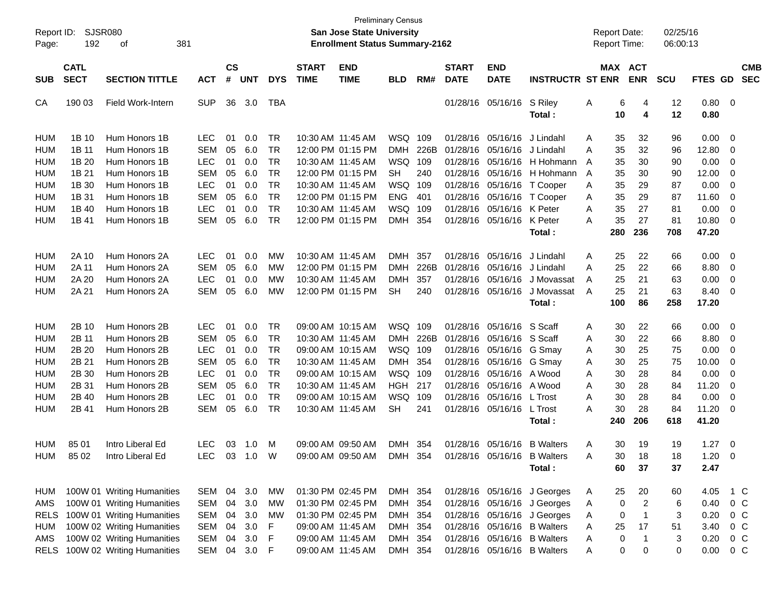| Report ID:<br>Page: | <b>SJSR080</b><br>192      | 381<br>οf                       |            |                    |            |            |                             | <b>San Jose State University</b><br><b>Enrollment Status Summary-2162</b> | <b>Preliminary Census</b> |      |                             |                           |                             |   | <b>Report Date:</b><br><b>Report Time:</b> |                | 02/25/16<br>06:00:13 |                |                          |                          |
|---------------------|----------------------------|---------------------------------|------------|--------------------|------------|------------|-----------------------------|---------------------------------------------------------------------------|---------------------------|------|-----------------------------|---------------------------|-----------------------------|---|--------------------------------------------|----------------|----------------------|----------------|--------------------------|--------------------------|
| <b>SUB</b>          | <b>CATL</b><br><b>SECT</b> | <b>SECTION TITTLE</b>           | <b>ACT</b> | $\mathsf{cs}$<br># | <b>UNT</b> | <b>DYS</b> | <b>START</b><br><b>TIME</b> | <b>END</b><br><b>TIME</b>                                                 | <b>BLD</b>                | RM#  | <b>START</b><br><b>DATE</b> | <b>END</b><br><b>DATE</b> | <b>INSTRUCTR ST ENR</b>     |   | MAX ACT                                    | <b>ENR</b>     | <b>SCU</b>           | <b>FTES GD</b> |                          | <b>CMB</b><br><b>SEC</b> |
|                     |                            |                                 |            |                    |            |            |                             |                                                                           |                           |      |                             |                           |                             |   |                                            |                |                      |                |                          |                          |
| CA                  | 190 03                     | <b>Field Work-Intern</b>        | <b>SUP</b> | 36                 | 3.0        | <b>TBA</b> |                             |                                                                           |                           |      |                             | 01/28/16 05/16/16         | S Riley<br>Total:           | Α | 6<br>10                                    | 4<br>4         | 12<br>12             | 0.80<br>0.80   | $\overline{\phantom{0}}$ |                          |
| HUM                 | 1B 10                      | Hum Honors 1B                   | <b>LEC</b> | 01                 | 0.0        | TR         |                             | 10:30 AM 11:45 AM                                                         | WSQ                       | 109  |                             | 01/28/16 05/16/16         | J Lindahl                   | Α | 35                                         | 32             | 96                   | 0.00           | 0                        |                          |
| HUM                 | 1B 11                      | Hum Honors 1B                   | <b>SEM</b> | 05                 | 6.0        | TR         |                             | 12:00 PM 01:15 PM                                                         | <b>DMH</b>                | 226B |                             | 01/28/16 05/16/16         | J Lindahl                   | A | 35                                         | 32             | 96                   | 12.80          | 0                        |                          |
| <b>HUM</b>          | 1B 20                      | Hum Honors 1B                   | <b>LEC</b> | 01                 | 0.0        | TR         |                             | 10:30 AM 11:45 AM                                                         | WSQ                       | 109  | 01/28/16                    | 05/16/16                  | H Hohmann                   | A | 35                                         | 30             | 90                   | 0.00           | 0                        |                          |
| <b>HUM</b>          | 1B 21                      | Hum Honors 1B                   | <b>SEM</b> | 05                 | 6.0        | TR         |                             | 12:00 PM 01:15 PM                                                         | <b>SH</b>                 | 240  |                             | 01/28/16 05/16/16         | H Hohmann                   | A | 35                                         | 30             | 90                   | 12.00          | 0                        |                          |
| <b>HUM</b>          | 1B 30                      | Hum Honors 1B                   | <b>LEC</b> | 01                 | 0.0        | TR         |                             | 10:30 AM 11:45 AM                                                         | WSQ                       | 109  |                             | 01/28/16 05/16/16         | T Cooper                    | Α | 35                                         | 29             | 87                   | 0.00           | 0                        |                          |
| <b>HUM</b>          | 1B 31                      | Hum Honors 1B                   | <b>SEM</b> | 05                 | 6.0        | TR         |                             | 12:00 PM 01:15 PM                                                         | <b>ENG</b>                | 401  |                             | 01/28/16 05/16/16         | T Cooper                    | Α | 35                                         | 29             | 87                   | 11.60          | 0                        |                          |
| <b>HUM</b>          | 1B 40                      | Hum Honors 1B                   | <b>LEC</b> | 01                 | 0.0        | TR         |                             | 10:30 AM 11:45 AM                                                         | WSQ                       | 109  |                             | 01/28/16 05/16/16         | K Peter                     | A | 35                                         | 27             | 81                   | 0.00           | 0                        |                          |
| HUM                 | 1B 41                      | Hum Honors 1B                   | <b>SEM</b> | 05                 | 6.0        | TR         |                             | 12:00 PM 01:15 PM                                                         | <b>DMH</b>                | 354  |                             | 01/28/16 05/16/16         | K Peter                     | A | 35                                         | 27             | 81                   | 10.80          | 0                        |                          |
|                     |                            |                                 |            |                    |            |            |                             |                                                                           |                           |      |                             |                           | Total:                      |   | 280                                        | 236            | 708                  | 47.20          |                          |                          |
| HUM                 | 2A 10                      | Hum Honors 2A                   | <b>LEC</b> | 01                 | 0.0        | МW         |                             | 10:30 AM 11:45 AM                                                         | <b>DMH</b>                | 357  |                             | 01/28/16 05/16/16         | J Lindahl                   | Α | 25                                         | 22             | 66                   | 0.00           | 0                        |                          |
| HUM                 | 2A 11                      | Hum Honors 2A                   | <b>SEM</b> | 05                 | 6.0        | МW         |                             | 12:00 PM 01:15 PM                                                         | <b>DMH</b>                | 226B | 01/28/16                    | 05/16/16                  | J Lindahl                   | A | 25                                         | 22             | 66                   | 8.80           | 0                        |                          |
| <b>HUM</b>          | 2A 20                      | Hum Honors 2A                   | <b>LEC</b> | 01                 | 0.0        | МW         |                             | 10:30 AM 11:45 AM                                                         | <b>DMH</b>                | 357  | 01/28/16                    | 05/16/16                  | J Movassat                  | A | 25                                         | 21             | 63                   | 0.00           | 0                        |                          |
| <b>HUM</b>          | 2A 21                      | Hum Honors 2A                   | <b>SEM</b> | 05                 | 6.0        | МW         |                             | 12:00 PM 01:15 PM                                                         | SН                        | 240  |                             | 01/28/16 05/16/16         | J Movassat                  | A | 25                                         | 21             | 63                   | 8.40           | 0                        |                          |
|                     |                            |                                 |            |                    |            |            |                             |                                                                           |                           |      |                             |                           | Total:                      |   | 100                                        | 86             | 258                  | 17.20          |                          |                          |
|                     |                            |                                 |            |                    |            |            |                             |                                                                           |                           |      |                             |                           |                             |   |                                            |                |                      |                |                          |                          |
| HUM                 | 2B 10                      | Hum Honors 2B                   | <b>LEC</b> | 01                 | 0.0        | TR         |                             | 09:00 AM 10:15 AM                                                         | WSQ                       | 109  |                             | 01/28/16 05/16/16 S Scaff |                             | Α | 30                                         | 22             | 66                   | 0.00           | 0                        |                          |
| HUM                 | 2B 11                      | Hum Honors 2B                   | <b>SEM</b> | 05                 | 6.0        | TR         |                             | 10:30 AM 11:45 AM                                                         | <b>DMH</b>                | 226B |                             | 01/28/16 05/16/16 S Scaff |                             | Α | 30                                         | 22             | 66                   | 8.80           | 0                        |                          |
| <b>HUM</b>          | 2B 20                      | Hum Honors 2B                   | <b>LEC</b> | 01                 | 0.0        | TR         |                             | 09:00 AM 10:15 AM                                                         | WSQ                       | 109  |                             | 01/28/16 05/16/16         | G Smay                      | Α | 30                                         | 25             | 75                   | 0.00           | 0                        |                          |
| <b>HUM</b>          | 2B 21                      | Hum Honors 2B                   | <b>SEM</b> | 05                 | 6.0        | TR         |                             | 10:30 AM 11:45 AM                                                         | <b>DMH</b>                | 354  |                             | 01/28/16 05/16/16         | G Smay                      | Α | 30                                         | 25             | 75                   | 10.00          | 0                        |                          |
| <b>HUM</b>          | 2B 30                      | Hum Honors 2B                   | <b>LEC</b> | 01                 | 0.0        | TR         |                             | 09:00 AM 10:15 AM                                                         | WSQ                       | 109  |                             | 01/28/16 05/16/16 A Wood  |                             | Α | 30                                         | 28             | 84                   | 0.00           | 0                        |                          |
| <b>HUM</b>          | 2B 31                      | Hum Honors 2B                   | <b>SEM</b> | 05                 | 6.0        | TR         |                             | 10:30 AM 11:45 AM                                                         | HGH                       | 217  |                             | 01/28/16 05/16/16 A Wood  |                             | A | 30                                         | 28             | 84                   | 11.20          | 0                        |                          |
| <b>HUM</b>          | 2B 40                      | Hum Honors 2B                   | <b>LEC</b> | 01                 | 0.0        | TR         |                             | 09:00 AM 10:15 AM                                                         | WSQ                       | 109  |                             | 01/28/16 05/16/16         | L Trost                     | A | 30                                         | 28             | 84                   | 0.00           | 0                        |                          |
| <b>HUM</b>          | 2B 41                      | Hum Honors 2B                   | SEM        | 05                 | 6.0        | <b>TR</b>  |                             | 10:30 AM 11:45 AM                                                         | SН                        | 241  |                             | 01/28/16 05/16/16         | L Trost                     | A | 30                                         | 28             | 84                   | 11.20          | 0                        |                          |
|                     |                            |                                 |            |                    |            |            |                             |                                                                           |                           |      |                             |                           | Total :                     |   | 240                                        | 206            | 618                  | 41.20          |                          |                          |
| HUM                 | 85 01                      | Intro Liberal Ed                | <b>LEC</b> |                    | 03 1.0     | м          |                             | 09:00 AM 09:50 AM                                                         | <b>DMH</b>                | 354  |                             | 01/28/16 05/16/16         | <b>B</b> Walters            | Α | 30                                         | 19             | 19                   | 1.27           | $\overline{\mathbf{0}}$  |                          |
| HUM                 | 85 02                      | Intro Liberal Ed                | LEC        |                    | 03 1.0     | W          |                             | 09:00 AM 09:50 AM                                                         | DMH 354                   |      |                             |                           | 01/28/16 05/16/16 B Walters | A | 30                                         | 18             | 18                   | 1.20           | $\Omega$                 |                          |
|                     |                            |                                 |            |                    |            |            |                             |                                                                           |                           |      |                             |                           | Total:                      |   | 60                                         | 37             | 37                   | 2.47           |                          |                          |
| HUM                 |                            | 100W 01 Writing Humanities      | SEM        | 04                 | 3.0        | МW         |                             | 01:30 PM 02:45 PM                                                         | DMH 354                   |      |                             |                           | 01/28/16 05/16/16 J Georges | A | 25                                         | 20             | 60                   | 4.05           |                          | 1 C                      |
| AMS                 |                            | 100W 01 Writing Humanities      | <b>SEM</b> | 04                 | 3.0        | <b>MW</b>  |                             | 01:30 PM 02:45 PM                                                         | <b>DMH</b>                | 354  |                             |                           | 01/28/16 05/16/16 J Georges | A | 0                                          | $\overline{2}$ | 6                    | 0.40           |                          | 0 <sup>o</sup>           |
| <b>RELS</b>         |                            | 100W 01 Writing Humanities      | <b>SEM</b> | 04                 | 3.0        | МW         |                             | 01:30 PM 02:45 PM                                                         | DMH 354                   |      |                             |                           | 01/28/16 05/16/16 J Georges | A | 0                                          | -1             | 3                    | 0.20           |                          | 0 <sup>o</sup>           |
| HUM                 |                            | 100W 02 Writing Humanities      | <b>SEM</b> | 04                 | 3.0        | F          |                             | 09:00 AM 11:45 AM                                                         | DMH 354                   |      |                             |                           | 01/28/16 05/16/16 B Walters | Α | 25                                         | 17             | 51                   | 3.40           |                          | 0 <sup>o</sup>           |
| AMS                 |                            | 100W 02 Writing Humanities      | <b>SEM</b> | 04                 | 3.0        | F          |                             | 09:00 AM 11:45 AM                                                         | DMH 354                   |      |                             |                           | 01/28/16 05/16/16 B Walters | A | 0                                          | -1             | 3                    | 0.20           |                          | $0\,$ C                  |
|                     |                            | RELS 100W 02 Writing Humanities | SEM        | 04                 | 3.0        | F          |                             | 09:00 AM 11:45 AM                                                         | DMH 354                   |      |                             |                           | 01/28/16 05/16/16 B Walters | A | 0                                          | 0              | 0                    | 0.00           |                          | $0\,C$                   |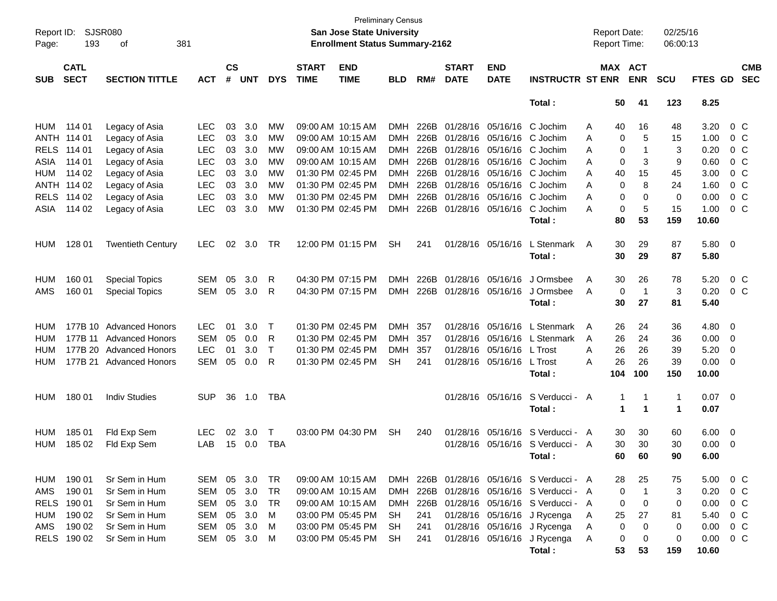| Report ID:<br>Page: | 193                        | <b>SJSR080</b><br>381<br>οf |            |                             |            |              |                             | <b>Preliminary Census</b><br>San Jose State University<br><b>Enrollment Status Summary-2162</b> |            |      |                             |                           |                                           | <b>Report Date:</b><br><b>Report Time:</b> |                               | 02/25/16<br>06:00:13 |                |                          |                          |
|---------------------|----------------------------|-----------------------------|------------|-----------------------------|------------|--------------|-----------------------------|-------------------------------------------------------------------------------------------------|------------|------|-----------------------------|---------------------------|-------------------------------------------|--------------------------------------------|-------------------------------|----------------------|----------------|--------------------------|--------------------------|
| <b>SUB</b>          | <b>CATL</b><br><b>SECT</b> | <b>SECTION TITTLE</b>       | <b>ACT</b> | $\mathbf{c}\mathbf{s}$<br># | <b>UNT</b> | <b>DYS</b>   | <b>START</b><br><b>TIME</b> | <b>END</b><br><b>TIME</b>                                                                       | <b>BLD</b> | RM#  | <b>START</b><br><b>DATE</b> | <b>END</b><br><b>DATE</b> | <b>INSTRUCTR ST ENR</b>                   |                                            | MAX ACT<br><b>ENR</b>         | <b>SCU</b>           | <b>FTES GD</b> |                          | <b>CMB</b><br><b>SEC</b> |
|                     |                            |                             |            |                             |            |              |                             |                                                                                                 |            |      |                             |                           | Total:                                    | 50                                         | 41                            | 123                  | 8.25           |                          |                          |
| HUM                 | 114 01                     | Legacy of Asia              | <b>LEC</b> | 03                          | 3.0        | MW           |                             | 09:00 AM 10:15 AM                                                                               | DMH.       | 226B |                             | 01/28/16 05/16/16         | C Jochim                                  | 40<br>A                                    | 16                            | 48                   | 3.20           | $0\,$ C                  |                          |
|                     | ANTH 114 01                | Legacy of Asia              | <b>LEC</b> | 03                          | 3.0        | MW           |                             | 09:00 AM 10:15 AM                                                                               | DMH        | 226B |                             | 01/28/16 05/16/16         | C Jochim                                  | A                                          | 0<br>5                        | 15                   | 1.00           | 0 <sup>o</sup>           |                          |
| <b>RELS</b>         | 114 01                     | Legacy of Asia              | <b>LEC</b> | 03                          | 3.0        | <b>MW</b>    |                             | 09:00 AM 10:15 AM                                                                               | DMH        | 226B |                             | 01/28/16 05/16/16         | C Jochim                                  | A                                          | 0                             | 3                    | 0.20           | 0 <sup>o</sup>           |                          |
| ASIA                | 114 01                     | Legacy of Asia              | <b>LEC</b> | 03                          | 3.0        | МW           |                             | 09:00 AM 10:15 AM                                                                               | DMH        | 226B |                             | 01/28/16 05/16/16         | C Jochim                                  | A                                          | 0<br>3                        | 9                    | 0.60           | 0 <sup>o</sup>           |                          |
| HUM                 | 114 02                     | Legacy of Asia              | <b>LEC</b> | 03                          | 3.0        | <b>MW</b>    |                             | 01:30 PM 02:45 PM                                                                               | DMH        | 226B |                             | 01/28/16 05/16/16         | C Jochim                                  | A                                          | 15<br>40                      | 45                   | 3.00           | 0 <sup>o</sup>           |                          |
|                     | ANTH 114 02                | Legacy of Asia              | <b>LEC</b> | 03                          | 3.0        | <b>MW</b>    |                             | 01:30 PM 02:45 PM                                                                               | DMH        | 226B |                             | 01/28/16 05/16/16         | C Jochim                                  | A                                          | 8<br>0                        | 24                   | 1.60           | 0 <sup>o</sup>           |                          |
|                     | RELS 114 02                | Legacy of Asia              | <b>LEC</b> | 03                          | 3.0        | MW           |                             | 01:30 PM 02:45 PM                                                                               | DMH        | 226B |                             | 01/28/16 05/16/16         | C Jochim                                  | A                                          | 0<br>0                        | 0                    | 0.00           | 0 <sup>o</sup>           |                          |
| ASIA                | 114 02                     | Legacy of Asia              | <b>LEC</b> | 03                          | 3.0        | MW           |                             | 01:30 PM 02:45 PM                                                                               | DMH        | 226B |                             | 01/28/16 05/16/16         | C Jochim                                  | A                                          | 0<br>5                        | 15                   | 1.00           | 0 <sup>o</sup>           |                          |
|                     |                            |                             |            |                             |            |              |                             |                                                                                                 |            |      |                             |                           | Total :                                   | 80                                         | 53                            | 159                  | 10.60          |                          |                          |
| <b>HUM</b>          | 128 01                     | <b>Twentieth Century</b>    | <b>LEC</b> | 02                          | 3.0        | TR           |                             | 12:00 PM 01:15 PM                                                                               | <b>SH</b>  | 241  |                             | 01/28/16 05/16/16         | L Stenmark                                | 30<br>A                                    | 29                            | 87                   | 5.80           | $\overline{\phantom{0}}$ |                          |
|                     |                            |                             |            |                             |            |              |                             |                                                                                                 |            |      |                             |                           | Total:                                    | 30                                         | 29                            | 87                   | 5.80           |                          |                          |
| <b>HUM</b>          | 160 01                     | <b>Special Topics</b>       | SEM        | 05                          | 3.0        | R            |                             | 04:30 PM 07:15 PM                                                                               | DMH        | 226B |                             | 01/28/16 05/16/16         | J Ormsbee                                 | 30<br>A                                    | 26                            | 78                   | 5.20           | 0 <sup>o</sup>           |                          |
| AMS                 | 160 01                     | <b>Special Topics</b>       | SEM        | 05                          | 3.0        | R            |                             | 04:30 PM 07:15 PM                                                                               | <b>DMH</b> | 226B |                             | 01/28/16 05/16/16         | J Ormsbee                                 | A                                          | $\mathbf 0$<br>$\overline{1}$ | 3                    | 0.20           | 0 <sup>o</sup>           |                          |
|                     |                            |                             |            |                             |            |              |                             |                                                                                                 |            |      |                             |                           | Total:                                    | 30                                         | 27                            | 81                   | 5.40           |                          |                          |
| HUM                 |                            | 177B 10 Advanced Honors     | <b>LEC</b> | 01                          | 3.0        | $\top$       |                             | 01:30 PM 02:45 PM                                                                               | <b>DMH</b> | 357  |                             | 01/28/16 05/16/16         | L Stenmark                                | A                                          | 24<br>26                      | 36                   | 4.80           | 0                        |                          |
| HUM                 |                            | 177B 11 Advanced Honors     | <b>SEM</b> | 05                          | 0.0        | R            |                             | 01:30 PM 02:45 PM                                                                               | <b>DMH</b> | 357  |                             |                           | 01/28/16 05/16/16 L Stenmark              | 26<br>A                                    | 24                            | 36                   | 0.00           | 0                        |                          |
| HUM                 |                            | 177B 20 Advanced Honors     | <b>LEC</b> | 01                          | 3.0        | $\mathsf{T}$ |                             | 01:30 PM 02:45 PM                                                                               | <b>DMH</b> | 357  |                             | 01/28/16 05/16/16 L Trost |                                           | 26<br>A                                    | 26                            | 39                   | 5.20           | 0                        |                          |
| HUM                 |                            | 177B 21 Advanced Honors     | SEM        | 05                          | 0.0        | R            |                             | 01:30 PM 02:45 PM                                                                               | <b>SH</b>  | 241  |                             | 01/28/16 05/16/16         | L Trost                                   | 26<br>A                                    | 26                            | 39                   | 0.00           | $\overline{0}$           |                          |
|                     |                            |                             |            |                             |            |              |                             |                                                                                                 |            |      |                             |                           | Total :                                   | 104                                        | 100                           | 150                  | 10.00          |                          |                          |
| HUM                 | 18001                      | <b>Indiv Studies</b>        | <b>SUP</b> | 36                          | 1.0        | TBA          |                             |                                                                                                 |            |      |                             | 01/28/16 05/16/16         | S Verducci - A                            |                                            | 1                             | 1                    | $0.07$ 0       |                          |                          |
|                     |                            |                             |            |                             |            |              |                             |                                                                                                 |            |      |                             |                           | Total :                                   |                                            | $\mathbf 1$<br>-1             | 1                    | 0.07           |                          |                          |
| <b>HUM</b>          | 185 01                     | Fld Exp Sem                 | <b>LEC</b> | 02                          | 3.0        | Τ            |                             | 03:00 PM 04:30 PM                                                                               | <b>SH</b>  | 240  |                             | 01/28/16 05/16/16         | S Verducci - A                            |                                            | 30<br>30                      | 60                   | 6.00           | $\overline{\mathbf{0}}$  |                          |
| HUM                 | 185 02                     | Fld Exp Sem                 | LAB        | 15                          | 0.0        | TBA          |                             |                                                                                                 |            |      |                             |                           | 01/28/16 05/16/16 S Verducci - A          | 30                                         | 30                            | 30                   | 0.00           | 0                        |                          |
|                     |                            |                             |            |                             |            |              |                             |                                                                                                 |            |      |                             |                           | Total :                                   | 60                                         | 60                            | 90                   | 6.00           |                          |                          |
| HUM                 | 190 01                     | Sr Sem in Hum               | SEM 05 3.0 |                             |            | TR           |                             | 09:00 AM 10:15 AM                                                                               |            |      |                             |                           | DMH 226B 01/28/16 05/16/16 S Verducci - A |                                            | 25<br>28                      | 75                   | 5.00           | 0 C                      |                          |
| AMS                 | 190 01                     | Sr Sem in Hum               | SEM        | 05                          | 3.0        | <b>TR</b>    |                             | 09:00 AM 10:15 AM                                                                               | <b>DMH</b> | 226B |                             |                           | 01/28/16 05/16/16 S Verducci - A          |                                            | 0<br>-1                       | 3                    | 0.20           | $0\,$ C                  |                          |
|                     | RELS 190 01                | Sr Sem in Hum               | SEM 05     |                             | 3.0        | TR           |                             | 09:00 AM 10:15 AM                                                                               | <b>DMH</b> | 226B |                             |                           | 01/28/16 05/16/16 S Verducci - A          |                                            | 0<br>0                        | 0                    | 0.00           | $0\,$ C                  |                          |
| HUM                 | 190 02                     | Sr Sem in Hum               | SEM        | 05                          | 3.0        | M            |                             | 03:00 PM 05:45 PM                                                                               | <b>SH</b>  | 241  |                             |                           | 01/28/16 05/16/16 J Rycenga               | A<br>25                                    | 27                            | 81                   | 5.40           | $0\,$ C                  |                          |
| AMS                 | 190 02                     | Sr Sem in Hum               | SEM        | 05                          | 3.0        | M            |                             | 03:00 PM 05:45 PM                                                                               | <b>SH</b>  | 241  |                             |                           | 01/28/16 05/16/16 J Rycenga               | A                                          | 0<br>0                        | 0                    | 0.00           | $0\,$ C                  |                          |
|                     | RELS 190 02                | Sr Sem in Hum               | SEM 05 3.0 |                             |            | M            |                             | 03:00 PM 05:45 PM                                                                               | <b>SH</b>  | 241  |                             |                           | 01/28/16 05/16/16 J Rycenga               | A                                          | 0<br>0                        | 0                    | 0.00           | $0\,$ C                  |                          |
|                     |                            |                             |            |                             |            |              |                             |                                                                                                 |            |      |                             |                           | Total:                                    | 53                                         | 53                            | 159                  | 10.60          |                          |                          |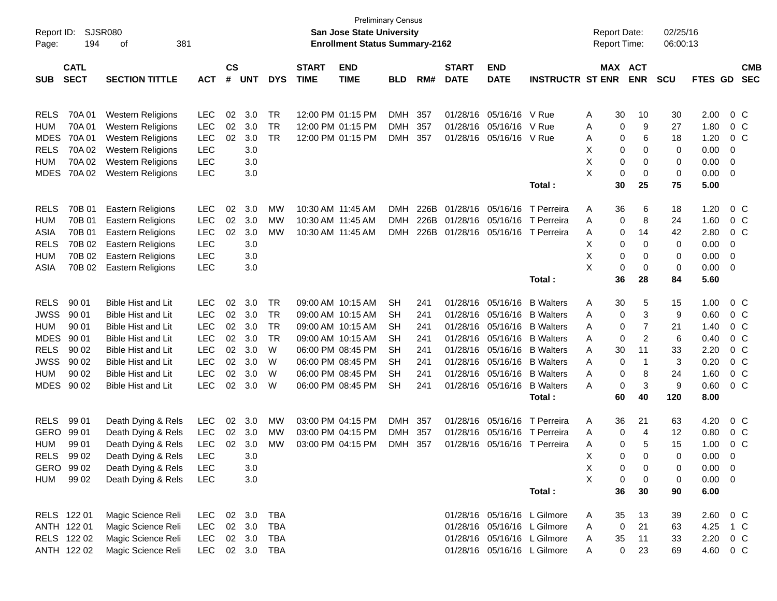| Report ID:  |                  | <b>SJSR080</b>            |                |               |            |            |              | San Jose State University             | <b>Preliminary Census</b> |      |              |                   |                             | <b>Report Date:</b> |    |                | 02/25/16 |                |          |                |
|-------------|------------------|---------------------------|----------------|---------------|------------|------------|--------------|---------------------------------------|---------------------------|------|--------------|-------------------|-----------------------------|---------------------|----|----------------|----------|----------------|----------|----------------|
| Page:       | 194<br>381<br>οf |                           |                |               |            |            |              | <b>Enrollment Status Summary-2162</b> |                           |      |              |                   |                             | Report Time:        |    |                | 06:00:13 |                |          |                |
|             | <b>CATL</b>      |                           |                | $\mathsf{cs}$ |            |            | <b>START</b> | <b>END</b>                            |                           |      | <b>START</b> | <b>END</b>        |                             |                     |    | MAX ACT        |          |                |          | <b>CMB</b>     |
| <b>SUB</b>  | <b>SECT</b>      | <b>SECTION TITTLE</b>     | <b>ACT</b>     | #             | <b>UNT</b> | <b>DYS</b> | <b>TIME</b>  | <b>TIME</b>                           | <b>BLD</b>                | RM#  | <b>DATE</b>  | <b>DATE</b>       | <b>INSTRUCTR ST ENR</b>     |                     |    | <b>ENR</b>     | SCU      | FTES GD        |          | <b>SEC</b>     |
|             |                  |                           |                |               |            |            |              |                                       |                           |      |              |                   |                             |                     |    |                |          |                |          |                |
|             |                  |                           |                |               |            |            |              |                                       |                           |      |              |                   |                             |                     |    |                |          |                |          |                |
| <b>RELS</b> | 70A 01           | <b>Western Religions</b>  | <b>LEC</b>     | 02            | 3.0        | TR         |              | 12:00 PM 01:15 PM                     | DMH                       | 357  |              | 01/28/16 05/16/16 | V Rue                       | Α                   | 30 | 10             | 30       | 2.00           | $0\,$ C  |                |
| <b>HUM</b>  | 70A 01           | <b>Western Religions</b>  | <b>LEC</b>     | 02            | 3.0        | <b>TR</b>  |              | 12:00 PM 01:15 PM                     | DMH                       | 357  |              | 01/28/16 05/16/16 | V Rue                       | Α                   | 0  | 9              | 27       | 1.80           |          | $0\,C$         |
| <b>MDES</b> | 70A 01           | <b>Western Religions</b>  | <b>LEC</b>     | 02            | 3.0        | <b>TR</b>  |              | 12:00 PM 01:15 PM                     | DMH                       | 357  | 01/28/16     | 05/16/16          | V Rue                       | Α                   | 0  | 6              | 18       | 1.20           | $0\,$ C  |                |
| <b>RELS</b> | 70A 02           | <b>Western Religions</b>  | <b>LEC</b>     |               | 3.0        |            |              |                                       |                           |      |              |                   |                             | х                   | 0  | 0              | 0        | 0.00           | 0        |                |
| <b>HUM</b>  | 70A 02           | <b>Western Religions</b>  | <b>LEC</b>     |               | 3.0        |            |              |                                       |                           |      |              |                   |                             | X                   | 0  | 0              | 0        | 0.00           | 0        |                |
| <b>MDES</b> | 70A 02           | <b>Western Religions</b>  | <b>LEC</b>     |               | 3.0        |            |              |                                       |                           |      |              |                   |                             | X                   | 0  | $\mathbf 0$    | 0        | 0.00           | 0        |                |
|             |                  |                           |                |               |            |            |              |                                       |                           |      |              |                   | Total:                      |                     | 30 | 25             | 75       | 5.00           |          |                |
| <b>RELS</b> | 70B 01           | Eastern Religions         | <b>LEC</b>     | 02            | 3.0        | MW         |              | 10:30 AM 11:45 AM                     | <b>DMH</b>                | 226B |              | 01/28/16 05/16/16 | T Perreira                  | A                   | 36 | 6              | 18       | 1.20           | $0\,$ C  |                |
| <b>HUM</b>  | 70B 01           | Eastern Religions         | <b>LEC</b>     | 02            | 3.0        | MW         |              | 10:30 AM 11:45 AM                     | <b>DMH</b>                | 226B |              | 01/28/16 05/16/16 | T Perreira                  | A                   | 0  | 8              | 24       | 1.60           |          | $0\,$ C        |
| ASIA        | 70B 01           | Eastern Religions         | <b>LEC</b>     | 02            | 3.0        | MW         |              | 10:30 AM 11:45 AM                     | <b>DMH</b>                | 226B |              | 01/28/16 05/16/16 | T Perreira                  | Α                   | 0  | 14             | 42       | 2.80           | $0\,$ C  |                |
| <b>RELS</b> | 70B 02           | Eastern Religions         | <b>LEC</b>     |               | 3.0        |            |              |                                       |                           |      |              |                   |                             | х                   | 0  | 0              | 0        | 0.00           | 0        |                |
| <b>HUM</b>  | 70B 02           | <b>Eastern Religions</b>  | <b>LEC</b>     |               | 3.0        |            |              |                                       |                           |      |              |                   |                             | х                   | 0  | 0              | 0        | 0.00           | 0        |                |
| ASIA        | 70B 02           | <b>Eastern Religions</b>  | <b>LEC</b>     |               | 3.0        |            |              |                                       |                           |      |              |                   |                             | X                   | 0  | 0              | 0        | 0.00           | 0        |                |
|             |                  |                           |                |               |            |            |              |                                       |                           |      |              |                   | Total:                      |                     | 36 | 28             | 84       | 5.60           |          |                |
|             |                  |                           |                |               |            |            |              |                                       |                           |      |              |                   |                             |                     |    |                |          |                |          |                |
| <b>RELS</b> | 90 01            | <b>Bible Hist and Lit</b> | <b>LEC</b>     | 02            | 3.0        | <b>TR</b>  |              | 09:00 AM 10:15 AM                     | <b>SH</b>                 | 241  |              | 01/28/16 05/16/16 | <b>B</b> Walters            | A                   | 30 | 5              | 15       | 1.00           | $0\,$ C  |                |
| <b>JWSS</b> | 90 01            | <b>Bible Hist and Lit</b> | <b>LEC</b>     | 02            | 3.0        | <b>TR</b>  |              | 09:00 AM 10:15 AM                     | SН                        | 241  |              | 01/28/16 05/16/16 | <b>B</b> Walters            | Α                   | 0  | 3              | 9        | 0.60           |          | 0 <sup>o</sup> |
| <b>HUM</b>  | 90 01            | <b>Bible Hist and Lit</b> | <b>LEC</b>     | 02            | 3.0        | <b>TR</b>  |              | 09:00 AM 10:15 AM                     | SН                        | 241  |              | 01/28/16 05/16/16 | <b>B</b> Walters            | Α                   | 0  | $\overline{7}$ | 21       | 1.40           |          | 0 <sup>o</sup> |
| <b>MDES</b> | 90 01            | <b>Bible Hist and Lit</b> | <b>LEC</b>     | 02            | 3.0        | <b>TR</b>  |              | 09:00 AM 10:15 AM                     | SН                        | 241  |              | 01/28/16 05/16/16 | <b>B</b> Walters            | Α                   | 0  | 2              | 6        | 0.40           |          | 0 <sup>o</sup> |
| <b>RELS</b> | 90 02            | <b>Bible Hist and Lit</b> | <b>LEC</b>     | 02            | 3.0        | W          |              | 06:00 PM 08:45 PM                     | SН                        | 241  |              | 01/28/16 05/16/16 | <b>B</b> Walters            | A                   | 30 | 11             | 33       | 2.20           |          | 0 <sup>o</sup> |
| <b>JWSS</b> | 90 02            | <b>Bible Hist and Lit</b> | <b>LEC</b>     | 02            | 3.0        | W          |              | 06:00 PM 08:45 PM                     | SН                        | 241  |              | 01/28/16 05/16/16 | <b>B</b> Walters            | Α                   | 0  | -1             | 3        | 0.20           |          | 0 <sup>o</sup> |
| <b>HUM</b>  | 90 02            | <b>Bible Hist and Lit</b> | <b>LEC</b>     | 02            | 3.0        | W          |              | 06:00 PM 08:45 PM                     | SН                        | 241  |              | 01/28/16 05/16/16 | <b>B</b> Walters            | Α                   | 0  | 8              | 24       | 1.60           |          | 0 <sup>o</sup> |
| MDES        | 90 02            | <b>Bible Hist and Lit</b> | <b>LEC</b>     | 02            | 3.0        | W          |              | 06:00 PM 08:45 PM                     | <b>SH</b>                 | 241  |              | 01/28/16 05/16/16 | <b>B</b> Walters            | A                   | 0  | 3              | 9        | 0.60           |          | 0 <sup>o</sup> |
|             |                  |                           |                |               |            |            |              |                                       |                           |      |              |                   | Total:                      |                     | 60 | 40             | 120      | 8.00           |          |                |
| <b>RELS</b> | 99 01            | Death Dying & Rels        | <b>LEC</b>     | 02            | 3.0        | MW         |              | 03:00 PM 04:15 PM                     | DMH                       | 357  |              | 01/28/16 05/16/16 | T Perreira                  | A                   | 36 | 21             | 63       | 4.20           |          | 0 <sup>o</sup> |
| <b>GERO</b> | 99 01            | Death Dying & Rels        | <b>LEC</b>     | 02            | 3.0        | МW         |              | 03:00 PM 04:15 PM                     | <b>DMH</b>                | 357  | 01/28/16     | 05/16/16          | T Perreira                  | A                   | 0  | 4              | 12       | 0.80           |          | 0 <sup>o</sup> |
| <b>HUM</b>  | 99 01            | Death Dying & Rels        | <b>LEC</b>     | 02            | 3.0        | MW         |              | 03:00 PM 04:15 PM                     | DMH                       | 357  |              | 01/28/16 05/16/16 | T Perreira                  | Α                   | 0  | 5              | 15       | 1.00           |          | 0 <sup>o</sup> |
| <b>RELS</b> | 99 02            | Death Dying & Rels        | LEC            |               | 3.0        |            |              |                                       |                           |      |              |                   |                             | х                   | 0  | 0              | $\Omega$ | 0.00           | $\Omega$ |                |
| GERO 99 02  |                  | Death Dying & Rels        | LEC            |               | 3.0        |            |              |                                       |                           |      |              |                   |                             | х                   | 0  | 0              | 0        | $0.00 \quad 0$ |          |                |
| HUM         | 99 02            | Death Dying & Rels        | <b>LEC</b>     |               | 3.0        |            |              |                                       |                           |      |              |                   |                             | X                   | 0  | 0              | 0        | $0.00 \t 0$    |          |                |
|             |                  |                           |                |               |            |            |              |                                       |                           |      |              |                   | Total:                      |                     | 36 | 30             | 90       | 6.00           |          |                |
|             |                  |                           |                |               |            |            |              |                                       |                           |      |              |                   |                             |                     |    |                |          |                |          |                |
| RELS 122 01 |                  | Magic Science Reli        | <b>LEC</b>     |               | 02 3.0     | TBA        |              |                                       |                           |      |              |                   | 01/28/16 05/16/16 L Gilmore | A                   | 35 | 13             | 39       | 2.60           | $0\,$ C  |                |
| ANTH 122 01 |                  | Magic Science Reli        | <b>LEC</b>     |               | 02 3.0     | TBA        |              |                                       |                           |      |              |                   | 01/28/16 05/16/16 L Gilmore | Α                   | 0  | 21             | 63       | 4.25           | 1 C      |                |
|             | RELS 122 02      | Magic Science Reli        | <b>LEC</b>     |               | 02 3.0     | TBA        |              |                                       |                           |      |              |                   | 01/28/16 05/16/16 L Gilmore | A                   | 35 | 11             | 33       | 2.20           | $0\,C$   |                |
|             | ANTH 122 02      | Magic Science Reli        | LEC 02 3.0 TBA |               |            |            |              |                                       |                           |      |              |                   | 01/28/16 05/16/16 L Gilmore | A                   | 0  | 23             | 69       | 4.60 0 C       |          |                |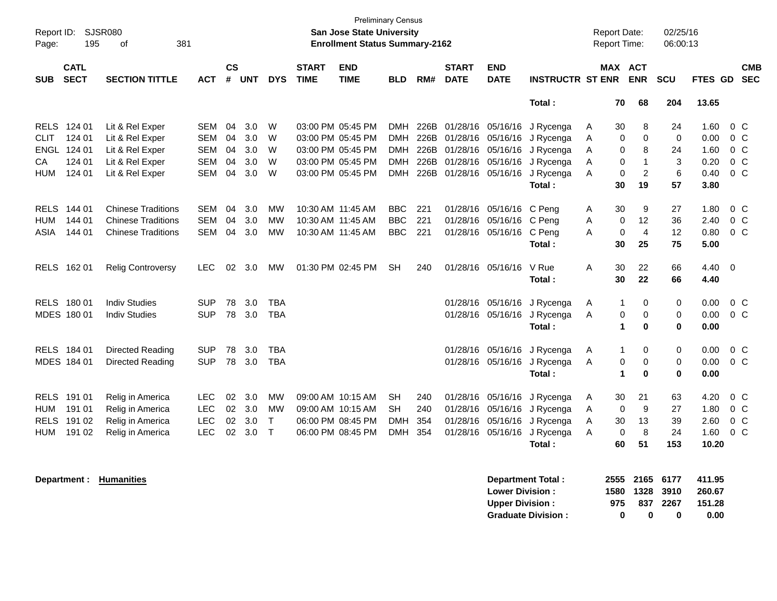| Report ID:<br>Page: | <b>SJSR080</b><br>195      | 381<br>оf                 |            |                    |            |              |                             | <b>Preliminary Census</b><br><b>San Jose State University</b><br><b>Enrollment Status Summary-2162</b> |            |      |                             |                           |                             | <b>Report Date:</b><br>Report Time: |                       |                | 02/25/16<br>06:00:13 |         |                          |
|---------------------|----------------------------|---------------------------|------------|--------------------|------------|--------------|-----------------------------|--------------------------------------------------------------------------------------------------------|------------|------|-----------------------------|---------------------------|-----------------------------|-------------------------------------|-----------------------|----------------|----------------------|---------|--------------------------|
| <b>SUB</b>          | <b>CATL</b><br><b>SECT</b> | <b>SECTION TITTLE</b>     | <b>ACT</b> | $\mathsf{cs}$<br># | <b>UNT</b> | <b>DYS</b>   | <b>START</b><br><b>TIME</b> | <b>END</b><br><b>TIME</b>                                                                              | <b>BLD</b> | RM#  | <b>START</b><br><b>DATE</b> | <b>END</b><br><b>DATE</b> | <b>INSTRUCTR ST ENR</b>     |                                     | MAX ACT<br><b>ENR</b> |                | <b>SCU</b>           | FTES GD | <b>CMB</b><br><b>SEC</b> |
|                     |                            |                           |            |                    |            |              |                             |                                                                                                        |            |      |                             |                           | Total:                      |                                     | 70                    | 68             | 204                  | 13.65   |                          |
| <b>RELS</b>         | 124 01                     | Lit & Rel Exper           | <b>SEM</b> | 04                 | 3.0        | W            |                             | 03:00 PM 05:45 PM                                                                                      | DMH        | 226B |                             | 01/28/16 05/16/16         | J Rycenga                   | A                                   | 30                    | 8              | 24                   | 1.60    | $0\,C$                   |
| <b>CLIT</b>         | 124 01                     | Lit & Rel Exper           | <b>SEM</b> | 04                 | 3.0        | W            |                             | 03:00 PM 05:45 PM                                                                                      | <b>DMH</b> | 226B | 01/28/16                    | 05/16/16                  | J Rycenga                   | A                                   | 0                     | 0              | 0                    | 0.00    | $0\,C$                   |
|                     | ENGL 124 01                | Lit & Rel Exper           | <b>SEM</b> | 04                 | 3.0        | W            |                             | 03:00 PM 05:45 PM                                                                                      | <b>DMH</b> | 226B | 01/28/16                    | 05/16/16                  | J Rycenga                   | Α                                   | 0                     | 8              | 24                   | 1.60    | $0\,C$                   |
| СA                  | 124 01                     | Lit & Rel Exper           | <b>SEM</b> | 04                 | 3.0        | W            |                             | 03:00 PM 05:45 PM                                                                                      | <b>DMH</b> | 226B | 01/28/16                    | 05/16/16                  | J Rycenga                   | A                                   | 0                     | $\mathbf{1}$   | 3                    | 0.20    | $0\,C$                   |
| HUM                 | 124 01                     | Lit & Rel Exper           | <b>SEM</b> | 04                 | 3.0        | W            |                             | 03:00 PM 05:45 PM                                                                                      | <b>DMH</b> | 226B |                             | 01/28/16 05/16/16         | J Rycenga                   | A                                   | $\mathbf 0$           | $\overline{c}$ | 6                    | 0.40    | $0\,C$                   |
|                     |                            |                           |            |                    |            |              |                             |                                                                                                        |            |      |                             |                           | Total:                      |                                     | 30                    | 19             | 57                   | 3.80    |                          |
| <b>RELS</b>         | 144 01                     | <b>Chinese Traditions</b> | <b>SEM</b> | 04                 | 3.0        | <b>MW</b>    | 10:30 AM 11:45 AM           |                                                                                                        | <b>BBC</b> | 221  | 01/28/16                    | 05/16/16 C Peng           |                             | Α                                   | 30                    | 9              | 27                   | 1.80    | $0\,C$                   |
| <b>HUM</b>          | 144 01                     | <b>Chinese Traditions</b> | <b>SEM</b> | 04                 | 3.0        | <b>MW</b>    | 10:30 AM 11:45 AM           |                                                                                                        | <b>BBC</b> | 221  | 01/28/16                    | 05/16/16                  | C Peng                      | Α                                   | 0                     | 12             | 36                   | 2.40    | 0 <sup>o</sup>           |
| ASIA                | 144 01                     | <b>Chinese Traditions</b> | <b>SEM</b> | 04                 | 3.0        | <b>MW</b>    | 10:30 AM 11:45 AM           |                                                                                                        | <b>BBC</b> | 221  |                             | 01/28/16 05/16/16 C Peng  |                             | А                                   | $\mathbf 0$           | $\overline{4}$ | 12                   | 0.80    | $0\,C$                   |
|                     |                            |                           |            |                    |            |              |                             |                                                                                                        |            |      |                             |                           | Total:                      |                                     | 30                    | 25             | 75                   | 5.00    |                          |
|                     | RELS 162 01                | <b>Relig Controversy</b>  | <b>LEC</b> | 02                 | 3.0        | МW           |                             | 01:30 PM 02:45 PM                                                                                      | <b>SH</b>  | 240  |                             | 01/28/16 05/16/16         | V Rue                       | A                                   | 30                    | 22             | 66                   | 4.40    | $\overline{\mathbf{0}}$  |
|                     |                            |                           |            |                    |            |              |                             |                                                                                                        |            |      |                             |                           | Total:                      |                                     | 30                    | 22             | 66                   | 4.40    |                          |
|                     | RELS 180 01                | <b>Indiv Studies</b>      | <b>SUP</b> | 78                 | 3.0        | <b>TBA</b>   |                             |                                                                                                        |            |      | 01/28/16                    | 05/16/16                  | J Rycenga                   | Α                                   | $\mathbf{1}$          | 0              | 0                    | 0.00    | $0\,C$                   |
|                     | MDES 180 01                | <b>Indiv Studies</b>      | <b>SUP</b> | 78                 | 3.0        | <b>TBA</b>   |                             |                                                                                                        |            |      |                             |                           | 01/28/16 05/16/16 J Rycenga | A                                   | 0                     | 0              | 0                    | 0.00    | $0\,C$                   |
|                     |                            |                           |            |                    |            |              |                             |                                                                                                        |            |      |                             |                           | Total:                      |                                     | $\blacktriangleleft$  | 0              | 0                    | 0.00    |                          |
|                     | RELS 184 01                | Directed Reading          | <b>SUP</b> | 78                 | 3.0        | <b>TBA</b>   |                             |                                                                                                        |            |      | 01/28/16                    | 05/16/16                  | J Rycenga                   | A                                   | $\mathbf{1}$          | 0              | 0                    | 0.00    | $0\,C$                   |
|                     | MDES 184 01                | Directed Reading          | <b>SUP</b> | 78                 | 3.0        | <b>TBA</b>   |                             |                                                                                                        |            |      |                             |                           | 01/28/16 05/16/16 J Rycenga | A                                   | 0                     | 0              | 0                    | 0.00    | $0\,C$                   |
|                     |                            |                           |            |                    |            |              |                             |                                                                                                        |            |      |                             |                           | Total:                      |                                     | $\blacktriangleleft$  | $\bf{0}$       | $\bf{0}$             | 0.00    |                          |
| <b>RELS</b>         | 191 01                     | Relig in America          | <b>LEC</b> | 02                 | 3.0        | <b>MW</b>    |                             | 09:00 AM 10:15 AM                                                                                      | <b>SH</b>  | 240  | 01/28/16                    | 05/16/16                  | J Rycenga                   | A                                   | 30                    | 21             | 63                   | 4.20    | $0\,C$                   |
| <b>HUM</b>          | 191 01                     | Relig in America          | <b>LEC</b> | 02                 | 3.0        | <b>MW</b>    |                             | 09:00 AM 10:15 AM                                                                                      | <b>SH</b>  | 240  | 01/28/16                    | 05/16/16                  | J Rycenga                   | A                                   | 0                     | 9              | 27                   | 1.80    | $0\,C$                   |
| <b>RELS</b>         | 191 02                     | Relig in America          | <b>LEC</b> | 02                 | 3.0        | $\mathsf{T}$ |                             | 06:00 PM 08:45 PM                                                                                      | <b>DMH</b> | 354  | 01/28/16                    | 05/16/16                  | J Rycenga                   | Α                                   | 30                    | 13             | 39                   | 2.60    | 0 <sup>o</sup>           |
| <b>HUM</b>          | 191 02                     | Relig in America          | <b>LEC</b> | 02                 | 3.0        | $\top$       |                             | 06:00 PM 08:45 PM                                                                                      | <b>DMH</b> | 354  |                             | 01/28/16 05/16/16         | J Rycenga                   | A                                   | 0                     | 8              | 24                   | 1.60    | 0 <sup>o</sup>           |
|                     |                            |                           |            |                    |            |              |                             |                                                                                                        |            |      |                             |                           | Total :                     |                                     | 60                    | 51             | 153                  | 10.20   |                          |

| Department : |  | <b>Humanities</b> |
|--------------|--|-------------------|
|              |  |                   |

| <b>Department:</b> | <b>Humanities</b> | Department Total:         | 2555 | 2165 | 6177 | 411.95 |
|--------------------|-------------------|---------------------------|------|------|------|--------|
|                    |                   | <b>Lower Division:</b>    | 1580 | 1328 | 3910 | 260.67 |
|                    |                   | <b>Upper Division:</b>    | 975  | 837  | 2267 | 151.28 |
|                    |                   | <b>Graduate Division:</b> |      |      |      | 0.00   |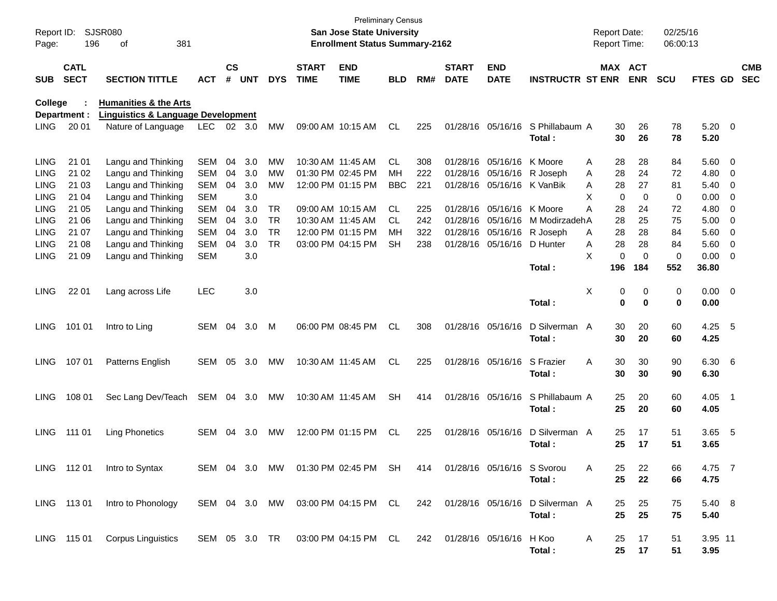| Report ID:<br>Page: | 196                        | <b>SJSR080</b><br>381<br>of                   |            |                    |            |               |                             | <b>Preliminary Census</b><br><b>San Jose State University</b><br><b>Enrollment Status Summary-2162</b> |            |     |                             |                            |                                 | <b>Report Date:</b><br>Report Time: |                       | 02/25/16<br>06:00:13 |                |                          |                          |
|---------------------|----------------------------|-----------------------------------------------|------------|--------------------|------------|---------------|-----------------------------|--------------------------------------------------------------------------------------------------------|------------|-----|-----------------------------|----------------------------|---------------------------------|-------------------------------------|-----------------------|----------------------|----------------|--------------------------|--------------------------|
| <b>SUB</b>          | <b>CATL</b><br><b>SECT</b> | <b>SECTION TITTLE</b>                         | <b>ACT</b> | $\mathsf{cs}$<br># | <b>UNT</b> | <b>DYS</b>    | <b>START</b><br><b>TIME</b> | <b>END</b><br><b>TIME</b>                                                                              | <b>BLD</b> | RM# | <b>START</b><br><b>DATE</b> | <b>END</b><br><b>DATE</b>  | <b>INSTRUCTR ST ENR</b>         |                                     | MAX ACT<br><b>ENR</b> | <b>SCU</b>           | <b>FTES GD</b> |                          | <b>CMB</b><br><b>SEC</b> |
| College             |                            | <b>Humanities &amp; the Arts</b>              |            |                    |            |               |                             |                                                                                                        |            |     |                             |                            |                                 |                                     |                       |                      |                |                          |                          |
|                     | Department :               | <b>Linguistics &amp; Language Development</b> |            |                    |            |               |                             |                                                                                                        |            |     |                             |                            |                                 |                                     |                       |                      |                |                          |                          |
| <b>LING</b>         | 20 01                      | Nature of Language                            | LEC        |                    | 02 3.0     | <b>MW</b>     |                             | 09:00 AM 10:15 AM                                                                                      | <b>CL</b>  | 225 |                             | 01/28/16 05/16/16          | S Phillabaum A                  | 30                                  | 26                    | 78                   | $5.20 \ 0$     |                          |                          |
|                     |                            |                                               |            |                    |            |               |                             |                                                                                                        |            |     |                             |                            | Total:                          | 30                                  | 26                    | 78                   | 5.20           |                          |                          |
| <b>LING</b>         | 21 01                      | Langu and Thinking                            | <b>SEM</b> | 04                 | 3.0        | MW            | 10:30 AM 11:45 AM           |                                                                                                        | CL.        | 308 |                             | 01/28/16 05/16/16          | K Moore                         | 28<br>Α                             | 28                    | 84                   | 5.60 0         |                          |                          |
| <b>LING</b>         | 21 02                      | Langu and Thinking                            | <b>SEM</b> | 04                 | 3.0        | МW            |                             | 01:30 PM 02:45 PM                                                                                      | MН         | 222 |                             | 01/28/16 05/16/16 R Joseph |                                 | 28<br>A                             | 24                    | 72                   | 4.80           | $\overline{\phantom{0}}$ |                          |
| LING                | 21 03                      | Langu and Thinking                            | <b>SEM</b> | 04                 | 3.0        | MW            |                             | 12:00 PM 01:15 PM                                                                                      | <b>BBC</b> | 221 |                             | 01/28/16 05/16/16 K VanBik |                                 | 28<br>A                             | 27                    | 81                   | 5.40           | $\overline{\phantom{0}}$ |                          |
| LING                | 21 04                      | Langu and Thinking                            | <b>SEM</b> |                    | 3.0        |               |                             |                                                                                                        |            |     |                             |                            |                                 | X<br>$\mathbf 0$                    | $\mathbf 0$           | 0                    | 0.00           | $\overline{\mathbf{0}}$  |                          |
| LING                | 21 05                      | Langu and Thinking                            | <b>SEM</b> | 04                 | 3.0        | TR            |                             | 09:00 AM 10:15 AM                                                                                      | CL.        | 225 |                             | 01/28/16 05/16/16          | K Moore                         | Α<br>28                             | 24                    | 72                   | 4.80           | $\overline{\mathbf{0}}$  |                          |
| LING                | 21 06                      | Langu and Thinking                            | <b>SEM</b> | 04                 | 3.0        | <b>TR</b>     | 10:30 AM 11:45 AM           |                                                                                                        | CL.        | 242 |                             | 01/28/16 05/16/16          | M Modirzadeh A                  | 28                                  | 25                    | 75                   | 5.00           | $\overline{\phantom{0}}$ |                          |
| LING                | 21 07                      | Langu and Thinking                            | <b>SEM</b> | 04                 | 3.0        | TR            |                             | 12:00 PM 01:15 PM                                                                                      | MН         | 322 |                             | 01/28/16 05/16/16          | R Joseph                        | 28<br>Α                             | 28                    | 84                   | 5.60           | $\overline{\phantom{0}}$ |                          |
| LING                | 21 08                      | Langu and Thinking                            | <b>SEM</b> | 04                 | 3.0        | <b>TR</b>     |                             | 03:00 PM 04:15 PM                                                                                      | SН         | 238 |                             | 01/28/16 05/16/16          | D Hunter                        | 28<br>A                             | 28                    | 84                   | 5.60           | $\overline{\phantom{0}}$ |                          |
| <b>LING</b>         | 21 09                      | Langu and Thinking                            | <b>SEM</b> |                    | 3.0        |               |                             |                                                                                                        |            |     |                             |                            |                                 | X<br>0                              | $\mathbf 0$           | 0                    | 0.00           | $\overline{\phantom{0}}$ |                          |
|                     |                            |                                               |            |                    |            |               |                             |                                                                                                        |            |     |                             |                            | Total:                          | 196                                 | 184                   | 552                  | 36.80          |                          |                          |
| <b>LING</b>         | 22 01                      | Lang across Life                              | <b>LEC</b> |                    | 3.0        |               |                             |                                                                                                        |            |     |                             |                            |                                 | х<br>0                              | 0                     | 0                    | $0.00 \t 0$    |                          |                          |
|                     |                            |                                               |            |                    |            |               |                             |                                                                                                        |            |     |                             |                            | Total:                          | 0                                   | $\mathbf 0$           | 0                    | 0.00           |                          |                          |
| <b>LING</b>         | 101 01                     | Intro to Ling                                 | SEM        | 04                 | 3.0        | M             |                             | 06:00 PM 08:45 PM                                                                                      | <b>CL</b>  | 308 |                             | 01/28/16 05/16/16          | D Silverman A                   | 30                                  | 20                    | 60                   | $4.25$ 5       |                          |                          |
|                     |                            |                                               |            |                    |            |               |                             |                                                                                                        |            |     |                             |                            | Total:                          | 30                                  | 20                    | 60                   | 4.25           |                          |                          |
| <b>LING</b>         | 107 01                     | Patterns English                              | <b>SEM</b> | 05                 | 3.0        | MW            |                             | 10:30 AM 11:45 AM                                                                                      | CL.        | 225 |                             | 01/28/16 05/16/16          | S Frazier                       | 30<br>Α                             | 30                    | 90                   | 6.30 6         |                          |                          |
|                     |                            |                                               |            |                    |            |               |                             |                                                                                                        |            |     |                             |                            | Total:                          | 30                                  | 30                    | 90                   | 6.30           |                          |                          |
| <b>LING</b>         | 108 01                     | Sec Lang Dev/Teach                            | SEM        | 04                 | 3.0        | МW            |                             | 10:30 AM 11:45 AM                                                                                      | <b>SH</b>  | 414 |                             | 01/28/16 05/16/16          | S Phillabaum A                  | 25                                  | 20                    | 60                   | $4.05$ 1       |                          |                          |
|                     |                            |                                               |            |                    |            |               |                             |                                                                                                        |            |     |                             |                            | Total:                          | 25                                  | 20                    | 60                   | 4.05           |                          |                          |
| <b>LING</b>         | 111 01                     | <b>Ling Phonetics</b>                         | <b>SEM</b> | 04                 | 3.0        | MW            |                             | 12:00 PM 01:15 PM                                                                                      | <b>CL</b>  | 225 |                             | 01/28/16 05/16/16          | D Silverman A                   | 25                                  | 17                    | 51                   | 3.65           | - 5                      |                          |
|                     |                            |                                               |            |                    |            |               |                             |                                                                                                        |            |     |                             |                            | Total :                         | 25                                  | 17                    | 51                   | 3.65           |                          |                          |
|                     |                            |                                               |            |                    |            |               |                             |                                                                                                        |            |     |                             |                            |                                 |                                     |                       |                      |                |                          |                          |
|                     | LING 11201                 | Intro to Syntax                               |            |                    |            | SEM 04 3.0 MW |                             | 01:30 PM 02:45 PM SH                                                                                   |            | 414 |                             | 01/28/16 05/16/16 S Svorou |                                 | Α<br>25                             | 22                    | 66                   | 4.75 7         |                          |                          |
|                     |                            |                                               |            |                    |            |               |                             |                                                                                                        |            |     |                             |                            | Total:                          | 25                                  | 22                    | 66                   | 4.75           |                          |                          |
|                     | LING 113 01                | Intro to Phonology                            |            |                    |            | SEM 04 3.0 MW |                             | 03:00 PM 04:15 PM CL                                                                                   |            | 242 |                             |                            | 01/28/16 05/16/16 D Silverman A | 25                                  | 25                    | 75                   | 5.40 8         |                          |                          |
|                     |                            |                                               |            |                    |            |               |                             |                                                                                                        |            |     |                             |                            | Total:                          | 25                                  | 25                    | 75                   | 5.40           |                          |                          |
|                     | LING 115 01                | <b>Corpus Linguistics</b>                     |            |                    |            | SEM 05 3.0 TR |                             | 03:00 PM 04:15 PM CL                                                                                   |            |     | 242 01/28/16 05/16/16 H Koo |                            |                                 | A<br>25                             | 17                    | 51                   | 3.95 11        |                          |                          |
|                     |                            |                                               |            |                    |            |               |                             |                                                                                                        |            |     |                             |                            | Total:                          | 25                                  | 17                    | 51                   | 3.95           |                          |                          |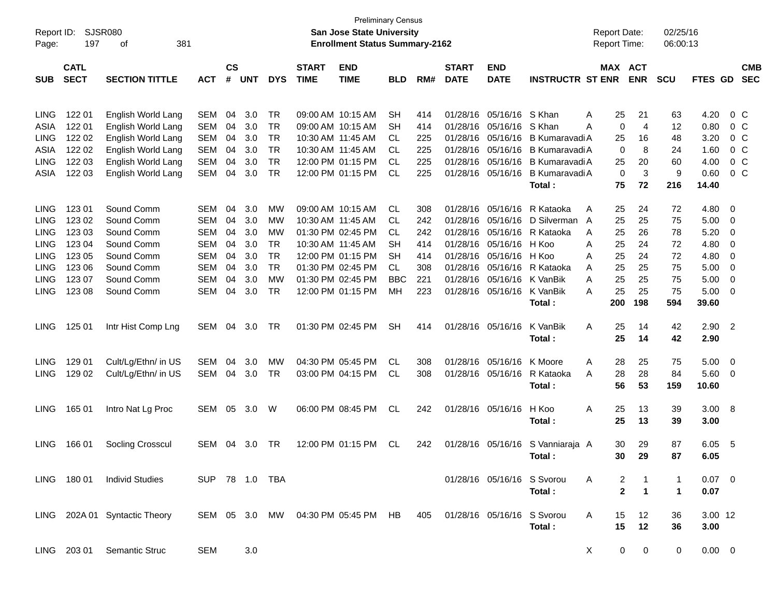| Report ID:<br>Page: | <b>SJSR080</b><br>197      |                               |                |                             |            |            | <b>Preliminary Census</b><br><b>San Jose State University</b><br><b>Enrollment Status Summary-2162</b> |                                    |            |     |                             |                            | <b>Report Date:</b><br><b>Report Time:</b> |              | 02/25/16<br>06:00:13 |            |                |                         |                          |
|---------------------|----------------------------|-------------------------------|----------------|-----------------------------|------------|------------|--------------------------------------------------------------------------------------------------------|------------------------------------|------------|-----|-----------------------------|----------------------------|--------------------------------------------|--------------|----------------------|------------|----------------|-------------------------|--------------------------|
| <b>SUB</b>          | <b>CATL</b><br><b>SECT</b> | <b>SECTION TITTLE</b>         | <b>ACT</b>     | $\mathbf{c}\mathbf{s}$<br># | <b>UNT</b> | <b>DYS</b> | <b>START</b><br><b>TIME</b>                                                                            | <b>END</b><br><b>TIME</b>          | <b>BLD</b> | RM# | <b>START</b><br><b>DATE</b> | <b>END</b><br><b>DATE</b>  | <b>INSTRUCTR ST ENR</b>                    | MAX ACT      | <b>ENR</b>           | <b>SCU</b> | <b>FTES GD</b> |                         | <b>CMB</b><br><b>SEC</b> |
|                     |                            |                               |                |                             |            |            |                                                                                                        |                                    |            |     |                             |                            |                                            |              |                      |            |                |                         |                          |
| <b>LING</b>         | 122 01                     | English World Lang            | SEM            | 04                          | 3.0        | TR         |                                                                                                        | 09:00 AM 10:15 AM                  | <b>SH</b>  | 414 | 01/28/16                    | 05/16/16                   | S Khan                                     | 25<br>Α      | 21                   | 63         | 4.20           |                         | $0\,$ C                  |
| ASIA                | 122 01                     | English World Lang            | SEM            | 04                          | 3.0        | TR         |                                                                                                        | 09:00 AM 10:15 AM                  | <b>SH</b>  | 414 | 01/28/16                    | 05/16/16                   | S Khan                                     | 0<br>Α       | $\overline{4}$       | 12         | 0.80           |                         | $0\,$ C                  |
| <b>LING</b>         | 122 02                     | English World Lang            | SEM            | 04                          | 3.0        | TR         |                                                                                                        | 10:30 AM 11:45 AM                  | CL.        | 225 | 01/28/16                    | 05/16/16                   | B Kumaravadi A                             | 25           | 16                   | 48         | 3.20           |                         | $0\,$ C                  |
| ASIA                | 122 02                     | English World Lang            | SEM            | 04                          | 3.0        | TR         |                                                                                                        | 10:30 AM 11:45 AM                  | CL.        | 225 | 01/28/16                    | 05/16/16                   | B Kumaravadi A                             | 0            | 8                    | 24         | 1.60           |                         | 0 <sup>o</sup>           |
| <b>LING</b>         | 122 03                     | English World Lang            | SEM            | 04                          | 3.0        | TR         |                                                                                                        | 12:00 PM 01:15 PM                  | CL.        | 225 | 01/28/16                    | 05/16/16                   | B Kumaravadi A                             | 25           | 20                   | 60         | 4.00           |                         | 0 <sup>o</sup>           |
| ASIA                | 122 03                     | English World Lang            | SEM            | 04                          | 3.0        | TR         |                                                                                                        | 12:00 PM 01:15 PM                  | <b>CL</b>  | 225 | 01/28/16                    | 05/16/16                   | B Kumaravadi A                             | 0            | 3                    | 9          | 0.60           |                         | $0\,$ C                  |
|                     |                            |                               |                |                             |            |            |                                                                                                        |                                    |            |     |                             |                            | Total:                                     | 75           | 72                   | 216        | 14.40          |                         |                          |
| <b>LING</b>         | 123 01                     | Sound Comm                    | SEM            | 04                          | 3.0        | MW         |                                                                                                        | 09:00 AM 10:15 AM                  | <b>CL</b>  | 308 | 01/28/16                    | 05/16/16                   | R Kataoka                                  | 25<br>Α      | 24                   | 72         | 4.80           | 0                       |                          |
| <b>LING</b>         | 123 02                     | Sound Comm                    | <b>SEM</b>     | 04                          | 3.0        | MW         |                                                                                                        | 10:30 AM 11:45 AM                  | CL.        | 242 | 01/28/16                    | 05/16/16                   | D Silverman                                | 25<br>A      | 25                   | 75         | 5.00           | 0                       |                          |
| <b>LING</b>         | 123 03                     | Sound Comm                    | <b>SEM</b>     | 04                          | 3.0        | MW         |                                                                                                        | 01:30 PM 02:45 PM                  | CL.        | 242 | 01/28/16                    | 05/16/16                   | R Kataoka                                  | 25<br>A      | 26                   | 78         | 5.20           | 0                       |                          |
| <b>LING</b>         | 123 04                     | Sound Comm                    | <b>SEM</b>     | 04                          | 3.0        | TR         |                                                                                                        | 10:30 AM 11:45 AM                  | SН         | 414 | 01/28/16                    | 05/16/16                   | H Koo                                      | Α<br>25      | 24                   | 72         | 4.80           | 0                       |                          |
| <b>LING</b>         | 123 05                     | Sound Comm                    | SEM            | 04                          | 3.0        | TR         |                                                                                                        | 12:00 PM 01:15 PM                  | <b>SH</b>  | 414 | 01/28/16                    | 05/16/16                   | H Koo                                      | Α<br>25      | 24                   | 72         | 4.80           | 0                       |                          |
| <b>LING</b>         | 123 06                     | Sound Comm                    | SEM            | 04                          | 3.0        | <b>TR</b>  |                                                                                                        | 01:30 PM 02:45 PM                  | CL.        | 308 | 01/28/16                    | 05/16/16                   | R Kataoka                                  | 25<br>Α      | 25                   | 75         | 5.00           | 0                       |                          |
| <b>LING</b>         | 123 07                     | Sound Comm                    | SEM            | 04                          | 3.0        | MW         |                                                                                                        | 01:30 PM 02:45 PM                  | <b>BBC</b> | 221 | 01/28/16                    | 05/16/16                   | K VanBik                                   | 25<br>Α      | 25                   | 75         | 5.00           | 0                       |                          |
| <b>LING</b>         | 123 08                     | Sound Comm                    | SEM            | 04                          | 3.0        | <b>TR</b>  |                                                                                                        | 12:00 PM 01:15 PM                  | MH         | 223 | 01/28/16                    | 05/16/16                   | K VanBik                                   | 25<br>Α      | 25                   | 75         | 5.00           | 0                       |                          |
|                     |                            |                               |                |                             |            |            |                                                                                                        |                                    |            |     |                             |                            | Total:                                     | 200          | 198                  | 594        | 39.60          |                         |                          |
| <b>LING</b>         | 125 01                     | Intr Hist Comp Lng            | SEM            | 04                          | 3.0        | TR         |                                                                                                        | 01:30 PM 02:45 PM                  | <b>SH</b>  | 414 |                             | 01/28/16 05/16/16          | K VanBik                                   | Α<br>25      | 14                   | 42         | 2.90           | $\overline{2}$          |                          |
|                     |                            |                               |                |                             |            |            |                                                                                                        |                                    |            |     |                             |                            | Total:                                     | 25           | 14                   | 42         | 2.90           |                         |                          |
| <b>LING</b>         | 129 01                     | Cult/Lg/Ethn/ in US           | SEM            | 04                          | 3.0        | МW         |                                                                                                        | 04:30 PM 05:45 PM                  | <b>CL</b>  | 308 | 01/28/16                    | 05/16/16                   | K Moore                                    | Α<br>28      | 25                   | 75         | 5.00           | $\overline{\mathbf{0}}$ |                          |
| <b>LING</b>         | 129 02                     | Cult/Lg/Ethn/ in US           | SEM            | 04                          | 3.0        | <b>TR</b>  |                                                                                                        | 03:00 PM 04:15 PM                  | CL         | 308 |                             | 01/28/16 05/16/16          | R Kataoka                                  | 28<br>A      | 28                   | 84         | 5.60           | 0                       |                          |
|                     |                            |                               |                |                             |            |            |                                                                                                        |                                    |            |     |                             |                            | Total:                                     | 56           | 53                   | 159        | 10.60          |                         |                          |
|                     |                            |                               |                |                             |            |            |                                                                                                        |                                    |            |     |                             |                            |                                            |              |                      |            |                |                         |                          |
| <b>LING</b>         | 165 01                     | Intro Nat Lg Proc             | SEM            | 05                          | 3.0        | W          |                                                                                                        | 06:00 PM 08:45 PM                  | <b>CL</b>  | 242 |                             | 01/28/16 05/16/16          | H Koo                                      | Α<br>25      | 13                   | 39         | 3.00           | $_{\rm 8}$              |                          |
|                     |                            |                               |                |                             |            |            |                                                                                                        |                                    |            |     |                             |                            | Total:                                     | 25           | 13                   | 39         | 3.00           |                         |                          |
| <b>LING</b>         | 166 01                     | Socling Crosscul              | SEM            | 04                          | 3.0        | TR         |                                                                                                        | 12:00 PM 01:15 PM                  | CL         | 242 |                             | 01/28/16 05/16/16          | S Vanniaraja A                             | 30           | 29                   | 87         | 6.05           | - 5                     |                          |
|                     |                            |                               |                |                             |            |            |                                                                                                        |                                    |            |     |                             |                            | Total :                                    | 30           | 29                   | 87         | 6.05           |                         |                          |
|                     |                            | LING 180 01 Individ Studies   | SUP 78 1.0 TBA |                             |            |            |                                                                                                        |                                    |            |     |                             | 01/28/16 05/16/16 S Svorou |                                            | A<br>2       |                      | 1          | $0.07 \quad 0$ |                         |                          |
|                     |                            |                               |                |                             |            |            |                                                                                                        |                                    |            |     |                             |                            | Total:                                     | $\mathbf{2}$ | 1                    | 1          | 0.07           |                         |                          |
|                     |                            | LING 202A 01 Syntactic Theory |                |                             |            |            |                                                                                                        | SEM 05 3.0 MW 04:30 PM 05:45 PM HB |            | 405 |                             | 01/28/16 05/16/16 S Svorou |                                            | A<br>15      | 12                   | 36         | 3.00 12        |                         |                          |
|                     |                            |                               |                |                             |            |            |                                                                                                        |                                    |            |     |                             |                            | Total:                                     | 15           | 12                   | 36         | 3.00           |                         |                          |
|                     | LING 203 01                | <b>Semantic Struc</b>         | SEM            |                             | 3.0        |            |                                                                                                        |                                    |            |     |                             |                            |                                            | X<br>0       | 0                    | 0          | $0.00 \t 0$    |                         |                          |
|                     |                            |                               |                |                             |            |            |                                                                                                        |                                    |            |     |                             |                            |                                            |              |                      |            |                |                         |                          |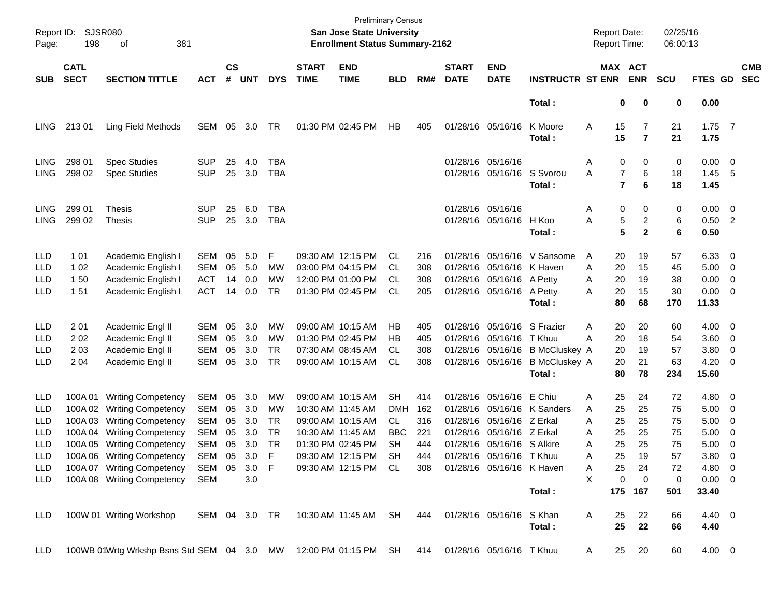| Report ID:<br>Page:                                         | <b>SJSR080</b><br>198        | 381<br>οf                                                                                                                                                                                                                                 |                                                                    |                                  |                                                             |                                   |                             | San Jose State University<br><b>Enrollment Status Summary-2162</b>                                                                                 | <b>Preliminary Census</b>                        |                                               |                                  |                                                                                                                                                  |                                                                             | <b>Report Date:</b><br>Report Time:  |                                                     |                                                       | 02/25/16<br>06:00:13                        |                                                                                |                                                                                                                                        |                          |
|-------------------------------------------------------------|------------------------------|-------------------------------------------------------------------------------------------------------------------------------------------------------------------------------------------------------------------------------------------|--------------------------------------------------------------------|----------------------------------|-------------------------------------------------------------|-----------------------------------|-----------------------------|----------------------------------------------------------------------------------------------------------------------------------------------------|--------------------------------------------------|-----------------------------------------------|----------------------------------|--------------------------------------------------------------------------------------------------------------------------------------------------|-----------------------------------------------------------------------------|--------------------------------------|-----------------------------------------------------|-------------------------------------------------------|---------------------------------------------|--------------------------------------------------------------------------------|----------------------------------------------------------------------------------------------------------------------------------------|--------------------------|
| <b>SUB</b>                                                  | <b>CATL</b><br><b>SECT</b>   | <b>SECTION TITTLE</b>                                                                                                                                                                                                                     | <b>ACT</b>                                                         | $\mathsf{cs}$<br>#               | <b>UNT</b>                                                  | <b>DYS</b>                        | <b>START</b><br><b>TIME</b> | <b>END</b><br><b>TIME</b>                                                                                                                          | <b>BLD</b>                                       | RM#                                           | <b>START</b><br><b>DATE</b>      | <b>END</b><br><b>DATE</b>                                                                                                                        | <b>INSTRUCTR ST ENR</b>                                                     | MAX ACT                              |                                                     | <b>ENR</b>                                            | <b>SCU</b>                                  | FTES GD                                                                        |                                                                                                                                        | <b>CMB</b><br><b>SEC</b> |
|                                                             |                              |                                                                                                                                                                                                                                           |                                                                    |                                  |                                                             |                                   |                             |                                                                                                                                                    |                                                  |                                               |                                  |                                                                                                                                                  | Total:                                                                      |                                      | 0                                                   | 0                                                     | 0                                           | 0.00                                                                           |                                                                                                                                        |                          |
| <b>LING</b>                                                 | 21301                        | Ling Field Methods                                                                                                                                                                                                                        | SEM                                                                | 05                               | 3.0                                                         | TR                                |                             | 01:30 PM 02:45 PM                                                                                                                                  | HB                                               | 405                                           |                                  | 01/28/16 05/16/16                                                                                                                                | K Moore<br>Total:                                                           | Α                                    | 15<br>15                                            | 7<br>$\overline{7}$                                   | 21<br>21                                    | $1.75$ 7<br>1.75                                                               |                                                                                                                                        |                          |
| <b>LING</b><br><b>LING</b>                                  | 298 01<br>298 02             | <b>Spec Studies</b><br><b>Spec Studies</b>                                                                                                                                                                                                | <b>SUP</b><br><b>SUP</b>                                           | 25<br>25                         | 4.0<br>3.0                                                  | TBA<br>TBA                        |                             |                                                                                                                                                    |                                                  |                                               |                                  | 01/28/16 05/16/16<br>01/28/16 05/16/16 S Svorou                                                                                                  | Total:                                                                      | Α<br>Α                               | 0<br>$\overline{7}$<br>$\overline{7}$               | 0<br>6<br>6                                           | 0<br>18<br>18                               | $0.00 \t 0$<br>1.45<br>1.45                                                    | - 5                                                                                                                                    |                          |
| <b>LING</b><br><b>LING</b>                                  | 299 01<br>299 02             | Thesis<br><b>Thesis</b>                                                                                                                                                                                                                   | <b>SUP</b><br><b>SUP</b>                                           | 25<br>25                         | 6.0<br>3.0                                                  | TBA<br><b>TBA</b>                 |                             |                                                                                                                                                    |                                                  |                                               |                                  | 01/28/16 05/16/16<br>01/28/16 05/16/16 H Koo                                                                                                     | Total:                                                                      | Α<br>Α                               | 0<br>5<br>5                                         | 0<br>2<br>$\mathbf{2}$                                | 0<br>6<br>6                                 | $0.00 \t 0$<br>$0.50$ 2<br>0.50                                                |                                                                                                                                        |                          |
| <b>LLD</b><br>LLD<br>LLD<br>LLD                             | 1 0 1<br>1 0 2<br>150<br>151 | Academic English I<br>Academic English I<br>Academic English I<br>Academic English I                                                                                                                                                      | <b>SEM</b><br><b>SEM</b><br><b>ACT</b><br><b>ACT</b>               | 05<br>05<br>14<br>14             | 5.0<br>5.0<br>0.0<br>0.0                                    | F<br>MW<br>MW<br>TR               |                             | 09:30 AM 12:15 PM<br>03:00 PM 04:15 PM<br>12:00 PM 01:00 PM<br>01:30 PM 02:45 PM                                                                   | CL<br>СL<br>СL<br>CL                             | 216<br>308<br>308<br>205                      |                                  | 01/28/16 05/16/16 K Haven<br>01/28/16 05/16/16 A Petty<br>01/28/16 05/16/16 A Petty                                                              | 01/28/16 05/16/16 V Sansome<br>Total:                                       | Α<br>A<br>Α<br>Α                     | 20<br>20<br>20<br>20<br>80                          | 19<br>15<br>19<br>15<br>68                            | 57<br>45<br>38<br>30<br>170                 | $6.33$ 0<br>5.00<br>0.00<br>$0.00 \t 0$<br>11.33                               | $\overline{\phantom{0}}$<br>$\overline{\mathbf{0}}$                                                                                    |                          |
| LLD<br>LLD<br>LLD<br>LLD                                    | 201<br>2 0 2<br>203<br>2 0 4 | Academic Engl II<br>Academic Engl II<br>Academic Engl II<br>Academic Engl II                                                                                                                                                              | <b>SEM</b><br><b>SEM</b><br><b>SEM</b><br><b>SEM</b>               | 05<br>05<br>05<br>05             | 3.0<br>3.0<br>3.0<br>3.0                                    | MW<br>MW<br>TR.<br><b>TR</b>      |                             | 09:00 AM 10:15 AM<br>01:30 PM 02:45 PM<br>07:30 AM 08:45 AM<br>09:00 AM 10:15 AM                                                                   | НB<br>НB<br>СL<br>CL                             | 405<br>405<br>308<br>308                      |                                  | 01/28/16 05/16/16 S Frazier<br>01/28/16 05/16/16<br>01/28/16 05/16/16                                                                            | T Khuu<br>01/28/16 05/16/16 B McCluskey A<br><b>B</b> McCluskey A<br>Total: | Α<br>А                               | 20<br>20<br>20<br>20<br>80                          | 20<br>18<br>19<br>21<br>78                            | 60<br>54<br>57<br>63<br>234                 | 4.00 0<br>3.60<br>3.80<br>4.20<br>15.60                                        | $\overline{\phantom{0}}$<br>$\overline{\mathbf{0}}$<br>$\overline{\phantom{0}}$                                                        |                          |
| LLD<br>LLD<br>LLD<br>LLD<br>LLD<br>LLD<br>LLD<br><b>LLD</b> | 100A 01<br>100A03<br>100A 04 | <b>Writing Competency</b><br>100A 02 Writing Competency<br><b>Writing Competency</b><br><b>Writing Competency</b><br>100A 05 Writing Competency<br>100A 06 Writing Competency<br>100A 07 Writing Competency<br>100A 08 Writing Competency | SEM<br>SEM<br>SEM<br><b>SEM</b><br><b>SEM</b><br>SEM<br>SEM<br>SEM | 05<br>05<br>05<br>05<br>05<br>05 | 3.0<br>3.0<br>3.0<br>3.0<br>3.0<br>05 3.0 F<br>3.0 F<br>3.0 | MW<br>MW<br>TR<br><b>TR</b><br>TR |                             | 09:00 AM 10:15 AM<br>10:30 AM 11:45 AM<br>09:00 AM 10:15 AM<br>10:30 AM 11:45 AM<br>01:30 PM 02:45 PM<br>09:30 AM 12:15 PM<br>09:30 AM 12:15 PM CL | SН<br><b>DMH</b><br>CL<br>BBC<br><b>SH</b><br>SH | 414<br>162<br>316<br>221<br>444<br>444<br>308 | 01/28/16<br>01/28/16<br>01/28/16 | 01/28/16 05/16/16<br>05/16/16 Z Erkal<br>05/16/16 Z Erkal<br>01/28/16 05/16/16 S Alkire<br>01/28/16 05/16/16 T Khuu<br>01/28/16 05/16/16 K Haven | E Chiu<br>05/16/16 K Sanders                                                | Α<br>Α<br>Α<br>Α<br>Α<br>A<br>Α<br>X | 25<br>25<br>25<br>25<br>25<br>25<br>25<br>$\pmb{0}$ | 24<br>25<br>25<br>25<br>25<br>19<br>24<br>$\mathbf 0$ | 72<br>75<br>75<br>75<br>75<br>57<br>72<br>0 | 4.80<br>5.00<br>5.00<br>5.00<br>5.00<br>$3.80\quad 0$<br>4.80 0<br>$0.00 \t 0$ | $\overline{\phantom{0}}$<br>$\overline{\mathbf{0}}$<br>$\overline{\phantom{0}}$<br>$\overline{\mathbf{0}}$<br>$\overline{\phantom{0}}$ |                          |
| <b>LLD</b>                                                  |                              | 100W 01 Writing Workshop                                                                                                                                                                                                                  | SEM 04 3.0 TR                                                      |                                  |                                                             |                                   |                             | 10:30 AM 11:45 AM                                                                                                                                  | SH                                               | 444                                           |                                  | 01/28/16 05/16/16                                                                                                                                | Total:<br>S Khan<br>Total:                                                  | A                                    | 175 167<br>25<br>25                                 | 22<br>22                                              | 501<br>66<br>66                             | 33.40<br>4.40 0<br>4.40                                                        |                                                                                                                                        |                          |
| <b>LLD</b>                                                  |                              | 100WB 01Wrtg Wrkshp Bsns Std SEM 04 3.0 MW                                                                                                                                                                                                |                                                                    |                                  |                                                             |                                   |                             | 12:00 PM 01:15 PM                                                                                                                                  | <b>SH</b>                                        | 414                                           |                                  | 01/28/16 05/16/16 T Khuu                                                                                                                         |                                                                             | A                                    | 25                                                  | 20                                                    | 60                                          | $4.00 \ 0$                                                                     |                                                                                                                                        |                          |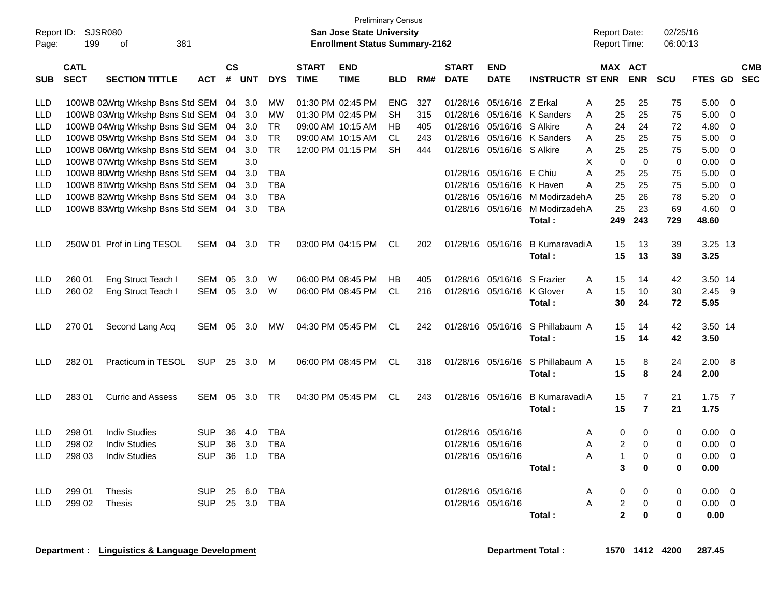| Report ID:<br>Page:                    | 199                                | <b>SJSR080</b><br>381<br>оf                                                                              |                                            |                   |                   |                                        |                             | <b>Preliminary Census</b><br>San Jose State University<br><b>Enrollment Status Summary-2162</b> |                        |                   |                                  |                                                          |                                 | <b>Report Date:</b><br>Report Time: |                                          |                                         | 02/25/16<br>06:00:13 |                                     |                 |                          |
|----------------------------------------|------------------------------------|----------------------------------------------------------------------------------------------------------|--------------------------------------------|-------------------|-------------------|----------------------------------------|-----------------------------|-------------------------------------------------------------------------------------------------|------------------------|-------------------|----------------------------------|----------------------------------------------------------|---------------------------------|-------------------------------------|------------------------------------------|-----------------------------------------|----------------------|-------------------------------------|-----------------|--------------------------|
| <b>SUB</b>                             | <b>CATL</b><br><b>SECT</b>         | <b>SECTION TITTLE</b>                                                                                    | <b>ACT</b>                                 | <b>CS</b><br>$\#$ | <b>UNT</b>        | <b>DYS</b>                             | <b>START</b><br><b>TIME</b> | <b>END</b><br><b>TIME</b>                                                                       | <b>BLD</b>             | RM#               | <b>START</b><br><b>DATE</b>      | <b>END</b><br><b>DATE</b>                                | <b>INSTRUCTR ST ENR</b>         |                                     | MAX ACT                                  | <b>ENR</b>                              | <b>SCU</b>           | <b>FTES GD</b>                      |                 | <b>CMB</b><br><b>SEC</b> |
| <b>LLD</b><br><b>LLD</b><br>LLD        |                                    | 100WB 02Wrtg Wrkshp Bsns Std SEM<br>100WB 03Wrtg Wrkshp Bsns Std SEM<br>100WB 04Wrtg Wrkshp Bsns Std SEM |                                            | 04<br>04<br>04    | 3.0<br>3.0<br>3.0 | МW<br>МW<br>TR                         |                             | 01:30 PM 02:45 PM<br>01:30 PM 02:45 PM<br>09:00 AM 10:15 AM                                     | <b>ENG</b><br>SН<br>HВ | 327<br>315<br>405 | 01/28/16<br>01/28/16<br>01/28/16 | 05/16/16 Z Erkal<br>05/16/16 S Alkire                    | 05/16/16 K Sanders              | A<br>A<br>A                         | 25<br>25<br>24                           | 25<br>25<br>24                          | 75<br>75<br>72       | 5.00<br>5.00<br>4.80                | - 0<br>0<br>0   |                          |
| <b>LLD</b><br><b>LLD</b><br><b>LLD</b> |                                    | 100WB 05Wrtg Wrkshp Bsns Std SEM<br>100WB 06Wrtg Wrkshp Bsns Std SEM<br>100WB 07Wrtg Wrkshp Bsns Std SEM |                                            | 04<br>04          | 3.0<br>3.0<br>3.0 | TR<br><b>TR</b>                        |                             | 09:00 AM 10:15 AM<br>12:00 PM 01:15 PM                                                          | CL<br><b>SH</b>        | 243<br>444        |                                  | 01/28/16 05/16/16 S Alkire                               | 01/28/16 05/16/16 K Sanders     | A<br>A<br>X                         | 25<br>25<br>$\mathbf 0$                  | 25<br>25<br>$\mathbf 0$                 | 75<br>75<br>0        | 5.00<br>5.00<br>0.00                | - 0<br>- 0<br>0 |                          |
| <b>LLD</b><br><b>LLD</b><br>LLD        |                                    | 100WB 80Wrtg Wrkshp Bsns Std SEM<br>100WB 81Wrtg Wrkshp Bsns Std SEM<br>100WB 82Wrtg Wrkshp Bsns Std SEM |                                            | 04<br>04<br>04    | 3.0<br>3.0<br>3.0 | <b>TBA</b><br><b>TBA</b><br><b>TBA</b> |                             |                                                                                                 |                        |                   | 01/28/16<br>01/28/16             | 01/28/16 05/16/16 E Chiu<br>05/16/16 K Haven<br>05/16/16 | M ModirzadehA                   | A<br>А                              | 25<br>25<br>25                           | 25<br>25<br>26                          | 75<br>75<br>78       | 5.00<br>5.00<br>5.20                | 0<br>0<br>0     |                          |
| LLD                                    |                                    | 100WB 83Wrtg Wrkshp Bsns Std SEM                                                                         |                                            | 04                | 3.0               | <b>TBA</b>                             |                             |                                                                                                 |                        |                   |                                  | 01/28/16 05/16/16                                        | M ModirzadehA<br>Total:         |                                     | 25<br>249                                | 23<br>243                               | 69<br>729            | 4.60<br>48.60                       | 0               |                          |
| <b>LLD</b>                             |                                    | 250W 01 Prof in Ling TESOL                                                                               | SEM                                        | 04                | 3.0               | TR                                     |                             | 03:00 PM 04:15 PM                                                                               | CL                     | 202               |                                  | 01/28/16 05/16/16                                        | B Kumaravadi A<br>Total:        |                                     | 15<br>15                                 | 13<br>13                                | 39<br>39             | 3.25 13<br>3.25                     |                 |                          |
| <b>LLD</b><br>LLD                      | 260 01<br>260 02                   | Eng Struct Teach I<br>Eng Struct Teach I                                                                 | SEM<br>SEM                                 | 05<br>05          | 3.0<br>3.0        | W<br>W                                 |                             | 06:00 PM 08:45 PM<br>06:00 PM 08:45 PM                                                          | НB<br><b>CL</b>        | 405<br>216        |                                  | 01/28/16 05/16/16<br>01/28/16 05/16/16                   | S Frazier<br>K Glover<br>Total: | A<br>A                              | 15<br>15<br>30                           | 14<br>10<br>24                          | 42<br>30<br>72       | 3.50 14<br>2.45<br>5.95             | - 9             |                          |
| <b>LLD</b>                             | 270 01                             | Second Lang Acq                                                                                          | SEM                                        | 05                | 3.0               | MW                                     |                             | 04:30 PM 05:45 PM                                                                               | CL                     | 242               |                                  | 01/28/16 05/16/16                                        | S Phillabaum A<br>Total:        |                                     | 15<br>15                                 | 14<br>14                                | 42<br>42             | 3.50 14<br>3.50                     |                 |                          |
| <b>LLD</b>                             | 282 01                             | Practicum in TESOL                                                                                       | <b>SUP</b>                                 | 25                | 3.0               | M                                      |                             | 06:00 PM 08:45 PM                                                                               | CL                     | 318               |                                  | 01/28/16 05/16/16                                        | S Phillabaum A<br>Total:        |                                     | 15<br>15                                 | 8<br>8                                  | 24<br>24             | 2.00 8<br>2.00                      |                 |                          |
| LLD.                                   | 28301                              | <b>Curric and Assess</b>                                                                                 | SEM                                        | 05                | 3.0               | TR                                     |                             | 04:30 PM 05:45 PM                                                                               | CL                     | 243               |                                  | 01/28/16 05/16/16                                        | B Kumaravadi A<br>Total:        |                                     | 15<br>15                                 | 7<br>$\overline{\mathbf{r}}$            | 21<br>21             | $1.75$ 7<br>1.75                    |                 |                          |
| LLD<br>LLD                             | 298 01<br>298 02                   | <b>Indiv Studies</b><br><b>Indiv Studies</b><br>LLD 298 03 Indiv Studies                                 | <b>SUP</b><br><b>SUP</b><br>SUP 36 1.0 TBA | 36<br>36          | 4.0<br>3.0        | <b>TBA</b><br><b>TBA</b>               |                             |                                                                                                 |                        |                   | 01/28/16 05/16/16                | 01/28/16 05/16/16<br>01/28/16 05/16/16                   | Total :                         | A<br>A<br>A                         | 0<br>$\overline{c}$<br>$\mathbf{1}$<br>3 | 0<br>0<br>0<br>$\bf{0}$                 | 0<br>0<br>0          | 0.00<br>0.00<br>$0.00 \t 0$<br>0.00 | - 0<br>- 0      |                          |
| LLD                                    | LLD 299 01 Thesis<br>299 02 Thesis |                                                                                                          | SUP 25 6.0 TBA<br>SUP 25 3.0 TBA           |                   |                   |                                        |                             |                                                                                                 |                        |                   |                                  | 01/28/16 05/16/16<br>01/28/16 05/16/16                   | Total :                         | A<br>A                              | 0<br>$\overline{c}$<br>$\overline{2}$    | $\mathbf{0}$<br>$\mathbf 0$<br>$\bf{0}$ | 0<br>0<br>0          | $0.00 \t 0$<br>$0.00 \t 0$<br>0.00  |                 |                          |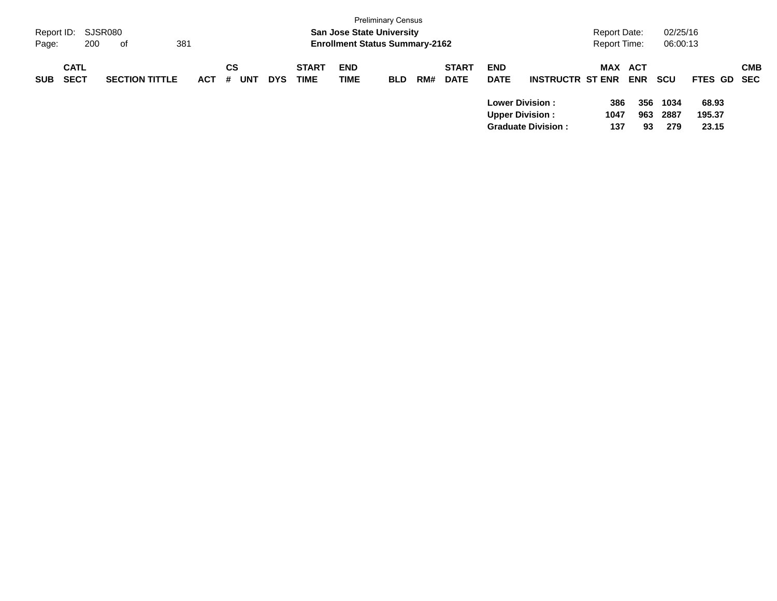| Report ID:<br>Page: | 200                        | SJSR080<br>381<br>оf  |            |         |            |            |                             | <b>San Jose State University</b><br><b>Enrollment Status Summary-2162</b> | <b>Preliminary Census</b> |     |                             |                           |                                                                                | Report Date:<br><b>Report Time:</b> |                   | 02/25/16<br>06:00:13 |                          |            |
|---------------------|----------------------------|-----------------------|------------|---------|------------|------------|-----------------------------|---------------------------------------------------------------------------|---------------------------|-----|-----------------------------|---------------------------|--------------------------------------------------------------------------------|-------------------------------------|-------------------|----------------------|--------------------------|------------|
| <b>SUB</b>          | <b>CATL</b><br><b>SECT</b> | <b>SECTION TITTLE</b> | <b>ACT</b> | CS<br># | <b>UNT</b> | <b>DYS</b> | <b>START</b><br><b>TIME</b> | <b>END</b><br>TIME                                                        | <b>BLD</b>                | RM# | <b>START</b><br><b>DATE</b> | <b>END</b><br><b>DATE</b> | <b>INSTRUCTR ST ENR</b>                                                        | MAX                                 | ACT<br><b>ENR</b> | <b>SCU</b>           | FTES GD SEC              | <b>CMB</b> |
|                     |                            |                       |            |         |            |            |                             |                                                                           |                           |     |                             |                           | <b>Lower Division :</b><br><b>Upper Division:</b><br><b>Graduate Division:</b> | 386<br>1047<br>137                  | 356<br>963<br>93  | 1034<br>2887<br>279  | 68.93<br>195.37<br>23.15 |            |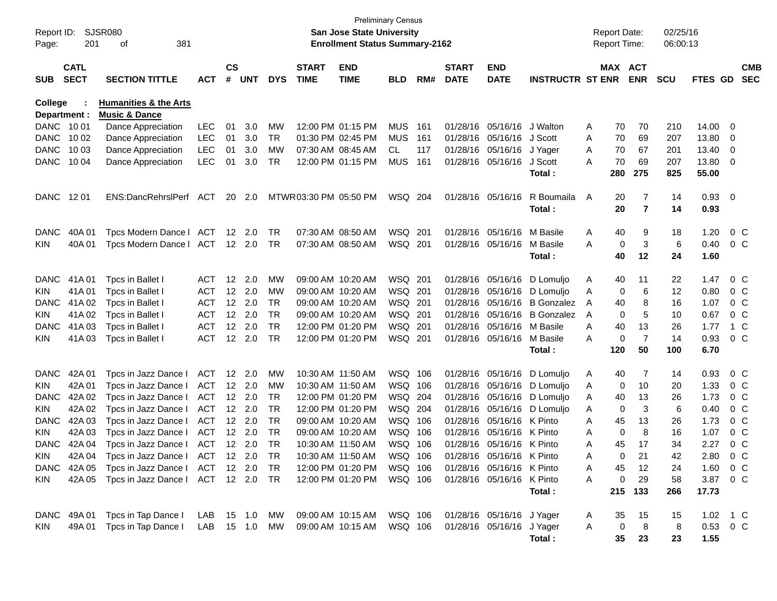| Report ID:<br>Page: | 201                        | SJSR080<br>381<br>of                                         |                  |                    |                |            |                             | San Jose State University<br><b>Enrollment Status Summary-2162</b> | Preliminary Census |      |                             |                            |                              |   | <b>Report Date:</b><br><b>Report Time:</b> |            | 02/25/16<br>06:00:13 |               |                          |                          |
|---------------------|----------------------------|--------------------------------------------------------------|------------------|--------------------|----------------|------------|-----------------------------|--------------------------------------------------------------------|--------------------|------|-----------------------------|----------------------------|------------------------------|---|--------------------------------------------|------------|----------------------|---------------|--------------------------|--------------------------|
| <b>SUB</b>          | <b>CATL</b><br><b>SECT</b> | <b>SECTION TITTLE</b>                                        | АСТ              | $\mathsf{cs}$<br># | <b>UNT</b>     | <b>DYS</b> | <b>START</b><br><b>TIME</b> | <b>END</b><br><b>TIME</b>                                          | <b>BLD</b>         | RM#  | <b>START</b><br><b>DATE</b> | <b>END</b><br><b>DATE</b>  | <b>INSTRUCTR ST ENR</b>      |   | MAX ACT                                    | <b>ENR</b> | <b>SCU</b>           | FTES GD       |                          | <b>CMB</b><br><b>SEC</b> |
| <b>College</b>      | Department :               | <b>Humanities &amp; the Arts</b><br><b>Music &amp; Dance</b> |                  |                    |                |            |                             |                                                                    |                    |      |                             |                            |                              |   |                                            |            |                      |               |                          |                          |
| DANC 1001           |                            | Dance Appreciation                                           | LEC              | 01                 | 3.0            | MW         |                             | 12:00 PM 01:15 PM                                                  | <b>MUS</b>         | -161 |                             | 01/28/16 05/16/16          | J Walton                     | Α | 70                                         | 70         | 210                  | 14.00         | 0                        |                          |
| <b>DANC</b>         | 10 02                      | Dance Appreciation                                           | <b>LEC</b>       | 01                 | 3.0            | TR         |                             | 01:30 PM 02:45 PM                                                  | <b>MUS</b>         | 161  |                             | 01/28/16 05/16/16 J Scott  |                              | Α | 70                                         | 69         | 207                  | 13.80         | 0                        |                          |
| <b>DANC</b>         | 10 03                      | Dance Appreciation                                           | <b>LEC</b>       | 01                 | 3.0            | MW         |                             | 07:30 AM 08:45 AM                                                  | CL                 | 117  |                             | 01/28/16 05/16/16 J Yager  |                              | Α | 70                                         | 67         | 201                  | 13.40         | 0                        |                          |
| <b>DANC</b>         | 10 04                      | Dance Appreciation                                           | <b>LEC</b>       | 01                 | 3.0            | TR         |                             | 12:00 PM 01:15 PM                                                  | <b>MUS</b>         | 161  |                             | 01/28/16 05/16/16          | J Scott                      | Α | 70                                         | 69         | 207                  | 13.80         | 0                        |                          |
|                     |                            |                                                              |                  |                    |                |            |                             |                                                                    |                    |      |                             |                            | Total :                      |   | 280                                        | 275        | 825                  | 55.00         |                          |                          |
| DANC 1201           |                            | ENS:DancRehrslPerf                                           | ACT              | 20                 | 2.0            |            | MTWR 03:30 PM 05:50 PM      |                                                                    | WSQ 204            |      |                             | 01/28/16 05/16/16          | R Boumaila<br>Total :        | A | 20<br>20                                   | 7<br>7     | 14<br>14             | 0.93<br>0.93  | $\overline{\phantom{0}}$ |                          |
| <b>DANC</b>         | 40A 01                     | Tpcs Modern Dance   ACT                                      |                  |                    | 12 2.0         | TR         |                             | 07:30 AM 08:50 AM                                                  | WSQ 201            |      |                             | 01/28/16 05/16/16          | M Basile                     | Α | 40                                         | 9          | 18                   | 1.20          |                          | $0\,$ C                  |
| KIN.                | 40A 01                     | Tpcs Modern Dance   ACT                                      |                  |                    | 12 2.0         | TR         |                             | 07:30 AM 08:50 AM                                                  | WSQ 201            |      |                             | 01/28/16 05/16/16          | M Basile                     | Α | 0                                          | 3          | 6                    | 0.40          |                          | $0\,$ C                  |
|                     |                            |                                                              |                  |                    |                |            |                             |                                                                    |                    |      |                             |                            | Total :                      |   | 40                                         | 12         | 24                   | 1.60          |                          |                          |
| <b>DANC</b>         | 41A 01                     | Tpcs in Ballet I                                             | ACT              |                    | 12 2.0         | MW         |                             | 09:00 AM 10:20 AM                                                  | WSQ 201            |      |                             | 01/28/16 05/16/16          | D Lomuljo                    | Α | 40                                         | 11         | 22                   | 1.47          |                          | $0\,$ C                  |
| KIN                 | 41A01                      | Tpcs in Ballet I                                             | <b>ACT</b>       |                    | 12 2.0         | MW         |                             | 09:00 AM 10:20 AM                                                  | WSQ 201            |      |                             |                            | 01/28/16 05/16/16 D Lomuljo  | Α | 0                                          | 6          | 12                   | 0.80          |                          | $0\,$ C                  |
| DANC.               | 41A 02                     | Tpcs in Ballet I                                             | <b>ACT</b>       |                    | 12 2.0         | TR         |                             | 09:00 AM 10:20 AM                                                  | WSQ 201            |      |                             | 01/28/16 05/16/16          | <b>B</b> Gonzalez            | A | 40                                         | 8          | 16                   | 1.07          |                          | 0 <sup>o</sup>           |
| KIN                 | 41A 02                     | Tpcs in Ballet I                                             | <b>ACT</b>       |                    | 12 2.0         | <b>TR</b>  |                             | 09:00 AM 10:20 AM                                                  | WSQ 201            |      |                             |                            | 01/28/16 05/16/16 B Gonzalez | A | 0                                          | 5          | 10                   | 0.67          |                          | $0\,$ C                  |
| <b>DANC</b>         | 41A03                      | Tpcs in Ballet I                                             | <b>ACT</b>       | 12 <sup>2</sup>    | 2.0            | <b>TR</b>  |                             | 12:00 PM 01:20 PM                                                  | WSQ 201            |      |                             | 01/28/16 05/16/16 M Basile |                              | Α | 40                                         | 13         | 26                   | 1.77          |                          | $1\,C$                   |
| KIN.                | 41A03                      | Tpcs in Ballet I                                             | <b>ACT</b>       |                    | 12 2.0         | TR         |                             | 12:00 PM 01:20 PM                                                  | WSQ 201            |      |                             | 01/28/16 05/16/16          | M Basile                     | Α | 0                                          | 7          | 14                   | 0.93          |                          | $0\,$ C                  |
|                     |                            |                                                              |                  |                    |                |            |                             |                                                                    |                    |      |                             |                            | Total :                      |   | 120                                        | 50         | 100                  | 6.70          |                          |                          |
| <b>DANC</b>         | 42A 01                     | Tpcs in Jazz Dance I                                         | <b>ACT</b>       |                    | 12 2.0         | MW         | 10:30 AM 11:50 AM           |                                                                    | WSQ 106            |      |                             |                            | 01/28/16 05/16/16 D Lomuljo  | Α | 40                                         | 7          | 14                   | 0.93          |                          | $0\,$ C                  |
| KIN                 | 42A 01                     | Tpcs in Jazz Dance I                                         | <b>ACT</b>       |                    | $12 \quad 2.0$ | <b>MW</b>  | 10:30 AM 11:50 AM           |                                                                    | WSQ 106            |      |                             |                            | 01/28/16 05/16/16 D Lomuljo  | A | 0                                          | 10         | 20                   | 1.33          |                          | $0\,$ C                  |
| <b>DANC</b>         | 42A 02                     | Tpcs in Jazz Dance I                                         | <b>ACT</b>       |                    | 12 2.0         | TR         |                             | 12:00 PM 01:20 PM                                                  | WSQ 204            |      |                             | 01/28/16 05/16/16          | D Lomuljo                    | Α | 40                                         | 13         | 26                   | 1.73          |                          | 0 <sup>o</sup>           |
| KIN                 | 42A 02                     | Tpcs in Jazz Dance I                                         | <b>ACT</b>       |                    | 12 2.0         | <b>TR</b>  |                             | 12:00 PM 01:20 PM                                                  | WSQ 204            |      |                             |                            | 01/28/16 05/16/16 D Lomuljo  | Α | 0                                          | 3          | 6                    | 0.40          |                          | 0 <sup>o</sup>           |
| <b>DANC</b>         | 42A 03                     | Tpcs in Jazz Dance I                                         | <b>ACT</b>       |                    | $12 \quad 2.0$ | <b>TR</b>  |                             | 09:00 AM 10:20 AM                                                  | WSQ 106            |      |                             | 01/28/16 05/16/16 K Pinto  |                              | Α | 45                                         | 13         | 26                   | 1.73          |                          | 0 <sup>o</sup>           |
| KIN                 | 42A 03                     | Tpcs in Jazz Dance I                                         | <b>ACT</b>       |                    | $12 \quad 2.0$ | TR         |                             | 09:00 AM 10:20 AM                                                  | WSQ 106            |      |                             | 01/28/16 05/16/16 K Pinto  |                              | Α | 0                                          | 8          | 16                   | 1.07          |                          | 0 <sup>o</sup>           |
| <b>DANC</b>         | 42A 04                     | Tpcs in Jazz Dance I                                         | <b>ACT</b>       |                    | 12 2.0         | <b>TR</b>  | 10:30 AM 11:50 AM           |                                                                    | WSQ 106            |      |                             | 01/28/16 05/16/16 K Pinto  |                              | Α | 45                                         | 17         | 34                   | 2.27          |                          | 0 <sup>o</sup>           |
| KIN                 | 42A 04                     | Tpcs in Jazz Dance I                                         | ACT              |                    | 12 2.0         | TR         |                             | 10:30 AM 11:50 AM                                                  | WSQ 106            |      |                             | 01/28/16 05/16/16 K Pinto  |                              | А | 0                                          | 21         | 42                   | 2.80          |                          | 0 C                      |
|                     |                            | DANC 42A 05 Tpcs in Jazz Dance   ACT 12 2.0 TR               |                  |                    |                |            |                             | 12:00 PM 01:20 PM                                                  | WSQ 106            |      |                             | 01/28/16 05/16/16 K Pinto  |                              | A | 45                                         | 12         | 24                   | 1.60 0 C      |                          |                          |
| KIN.                |                            | 42A 05 Tpcs in Jazz Dance   ACT 12 2.0 TR                    |                  |                    |                |            |                             | 12:00 PM 01:20 PM                                                  | WSQ 106            |      |                             | 01/28/16 05/16/16 K Pinto  |                              | A | 0                                          | 29         | 58                   | 3.87 0 C      |                          |                          |
|                     |                            |                                                              |                  |                    |                |            |                             |                                                                    |                    |      |                             |                            | Total:                       |   |                                            | 215 133    | 266                  | 17.73         |                          |                          |
|                     | DANC 49A 01                | Tpcs in Tap Dance I                                          | LAB 15 1.0 MW    |                    |                |            |                             | 09:00 AM 10:15 AM                                                  | WSQ 106            |      |                             | 01/28/16 05/16/16 J Yager  |                              | A | 35                                         | 15         | 15                   | 1.02 $\,$ 1 C |                          |                          |
| KIN.                | 49A 01                     | Tpcs in Tap Dance I                                          | LAB  15  1.0  MW |                    |                |            |                             | 09:00 AM 10:15 AM                                                  | WSQ 106            |      |                             | 01/28/16 05/16/16 J Yager  |                              | A | 0                                          | 8          | 8                    | $0.53 \t 0 C$ |                          |                          |
|                     |                            |                                                              |                  |                    |                |            |                             |                                                                    |                    |      |                             |                            | Total:                       |   | 35                                         | 23         | 23                   | 1.55          |                          |                          |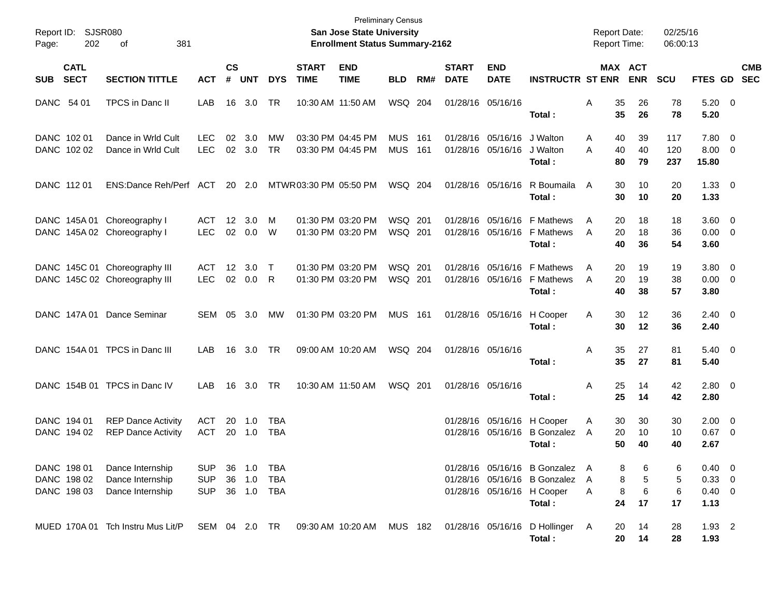| Report ID:<br>202<br>Page:                | SJSR080<br>οf<br>381                                           |                                 |                         |                            |                          |                             | <b>Preliminary Census</b><br>San Jose State University<br><b>Enrollment Status Summary-2162</b> |                    |            |                             |                                                 |                                                                                                        | <b>Report Date:</b><br><b>Report Time:</b> |                                  | 02/25/16<br>06:00:13 |                                                |            |
|-------------------------------------------|----------------------------------------------------------------|---------------------------------|-------------------------|----------------------------|--------------------------|-----------------------------|-------------------------------------------------------------------------------------------------|--------------------|------------|-----------------------------|-------------------------------------------------|--------------------------------------------------------------------------------------------------------|--------------------------------------------|----------------------------------|----------------------|------------------------------------------------|------------|
| <b>CATL</b><br><b>SECT</b><br><b>SUB</b>  | <b>SECTION TITTLE</b>                                          | <b>ACT</b>                      | $\mathsf{cs}$<br>#      | UNT                        | <b>DYS</b>               | <b>START</b><br><b>TIME</b> | <b>END</b><br><b>TIME</b>                                                                       | <b>BLD</b>         | RM#        | <b>START</b><br><b>DATE</b> | <b>END</b><br><b>DATE</b>                       | <b>INSTRUCTR ST ENR</b>                                                                                |                                            | <b>MAX ACT</b><br><b>ENR</b>     | <b>SCU</b>           | FTES GD SEC                                    | <b>CMB</b> |
| DANC 54 01                                | TPCS in Danc II                                                | LAB                             | 16                      | 3.0                        | TR                       |                             | 10:30 AM 11:50 AM                                                                               | WSQ 204            |            |                             | 01/28/16 05/16/16                               | Total:                                                                                                 | Α<br>35<br>35                              | 26<br>26                         | 78<br>78             | $5.20 \ 0$<br>5.20                             |            |
| DANC 102 01<br>DANC 102 02                | Dance in Wrld Cult<br>Dance in Wrld Cult                       | LEC<br><b>LEC</b>               | 02<br>02                | 3.0<br>3.0                 | МW<br><b>TR</b>          |                             | 03:30 PM 04:45 PM<br>03:30 PM 04:45 PM                                                          | MUS<br><b>MUS</b>  | 161<br>161 |                             | 01/28/16 05/16/16 J Walton<br>01/28/16 05/16/16 | J Walton<br>Total:                                                                                     | 40<br>A<br>A<br>40<br>80                   | 39<br>40<br>79                   | 117<br>120<br>237    | 7.80 0<br>$8.00 \t 0$<br>15.80                 |            |
| DANC 112 01                               | ENS:Dance Reh/Perf ACT                                         |                                 |                         | 20 2.0                     |                          | MTWR 03:30 PM 05:50 PM      |                                                                                                 | WSQ 204            |            |                             |                                                 | 01/28/16 05/16/16 R Boumaila<br>Total:                                                                 | 30<br>A<br>30                              | 10<br>10                         | 20<br>20             | $1.33 \ 0$<br>1.33                             |            |
|                                           | DANC 145A 01 Choreography I<br>DANC 145A 02 Choreography I     | ACT<br><b>LEC</b>               | 12<br>02                | 3.0<br>0.0                 | м<br>W                   |                             | 01:30 PM 03:20 PM<br>01:30 PM 03:20 PM                                                          | WSQ 201<br>WSQ 201 |            |                             |                                                 | 01/28/16 05/16/16 F Mathews<br>01/28/16 05/16/16 F Mathews<br>Total:                                   | 20<br>A<br>20<br>A<br>40                   | 18<br>18<br>36                   | 18<br>36<br>54       | 3.60 0<br>$0.00 \t 0$<br>3.60                  |            |
|                                           | DANC 145C 01 Choreography III<br>DANC 145C 02 Choreography III | ACT<br><b>LEC</b>               | $12 \overline{ }$<br>02 | 3.0<br>0.0                 | $\top$<br>R              |                             | 01:30 PM 03:20 PM<br>01:30 PM 03:20 PM                                                          | WSQ 201<br>WSQ 201 |            |                             |                                                 | 01/28/16 05/16/16 F Mathews<br>01/28/16 05/16/16 F Mathews<br>Total:                                   | 20<br>A<br>20<br>A<br>40                   | 19<br>19<br>38                   | 19<br>38<br>57       | 3.80 0<br>$0.00 \t 0$<br>3.80                  |            |
|                                           | DANC 147A 01 Dance Seminar                                     | SEM                             | 05                      | - 3.0                      | МW                       |                             | 01:30 PM 03:20 PM                                                                               | <b>MUS 161</b>     |            |                             | 01/28/16 05/16/16                               | H Cooper<br>Total:                                                                                     | 30<br>Α<br>30                              | 12<br>12                         | 36<br>36             | $2.40 \quad 0$<br>2.40                         |            |
|                                           | DANC 154A 01 TPCS in Danc III                                  | LAB                             | 16                      | - 3.0                      | <b>TR</b>                |                             | 09:00 AM 10:20 AM                                                                               | WSQ 204            |            |                             | 01/28/16 05/16/16                               | Total:                                                                                                 | 35<br>Α<br>35                              | 27<br>27                         | 81<br>81             | $5.40 \ 0$<br>5.40                             |            |
|                                           | DANC 154B 01 TPCS in Danc IV                                   | LAB                             | 16                      | 3.0                        | . TR                     |                             | 10:30 AM 11:50 AM                                                                               | WSQ 201            |            |                             | 01/28/16 05/16/16                               | Total:                                                                                                 | 25<br>Α<br>25                              | 14<br>14                         | 42<br>42             | $2.80 \t 0$<br>2.80                            |            |
| DANC 194 01<br>DANC 194 02                | <b>REP Dance Activity</b><br><b>REP Dance Activity</b>         | ACT<br><b>ACT</b>               | 20<br>20                | $-1.0$<br>1.0              | <b>TBA</b><br><b>TBA</b> |                             |                                                                                                 |                    |            |                             |                                                 | 01/28/16 05/16/16 H Cooper<br>01/28/16 05/16/16 B Gonzalez<br>Total:                                   | 30<br>Α<br>20<br>A<br>50                   | 30<br>10<br>40                   | 30<br>10<br>40       | $2.00 \t 0$<br>$0.67$ 0<br>2.67                |            |
| DANC 198 01<br>DANC 198 02<br>DANC 198 03 | Dance Internship<br>Dance Internship<br>Dance Internship       | SUP<br><b>SUP</b><br><b>SUP</b> |                         | 36 1.0<br>36 1.0<br>36 1.0 | TBA<br>TBA<br>TBA        |                             |                                                                                                 |                    |            |                             |                                                 | 01/28/16 05/16/16 B Gonzalez A<br>01/28/16 05/16/16 B Gonzalez<br>01/28/16 05/16/16 H Cooper<br>Total: | A<br>A<br>24                               | 8<br>6<br>5<br>8<br>6<br>8<br>17 | 6<br>5<br>6<br>17    | $0.40 \quad 0$<br>0.33 0<br>$0.40 \ 0$<br>1.13 |            |
|                                           | MUED 170A 01 Tch Instru Mus Lit/P                              | SEM 04 2.0 TR                   |                         |                            |                          |                             | 09:30 AM 10:20 AM                                                                               |                    | MUS 182    |                             |                                                 | 01/28/16 05/16/16 D Hollinger<br>Total:                                                                | 20<br>A<br>20                              | 14<br>14                         | 28<br>28             | $1.93$ 2<br>1.93                               |            |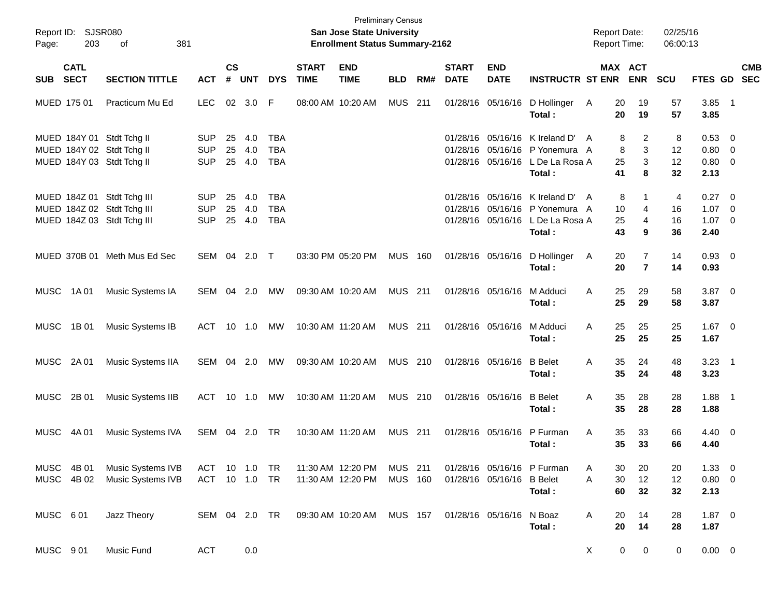| Page:       | Report ID: SJSR080<br>203  | 381<br>of                                                                              |                                        |                    |                      |                                 |                             | <b>Preliminary Census</b><br>San Jose State University<br><b>Enrollment Status Summary-2162</b> |                           |     |                             |                           |                                                                                                                | <b>Report Date:</b><br><b>Report Time:</b> |                                  | 02/25/16<br>06:00:13 |                                                   |            |
|-------------|----------------------------|----------------------------------------------------------------------------------------|----------------------------------------|--------------------|----------------------|---------------------------------|-----------------------------|-------------------------------------------------------------------------------------------------|---------------------------|-----|-----------------------------|---------------------------|----------------------------------------------------------------------------------------------------------------|--------------------------------------------|----------------------------------|----------------------|---------------------------------------------------|------------|
| SUB         | <b>CATL</b><br><b>SECT</b> | <b>SECTION TITTLE</b>                                                                  | <b>ACT</b>                             | $\mathsf{cs}$<br># | <b>UNT</b>           | <b>DYS</b>                      | <b>START</b><br><b>TIME</b> | <b>END</b><br><b>TIME</b>                                                                       | <b>BLD</b>                | RM# | <b>START</b><br><b>DATE</b> | <b>END</b><br><b>DATE</b> | <b>INSTRUCTR ST ENR</b>                                                                                        | MAX ACT                                    | <b>ENR</b>                       | <b>SCU</b>           | FTES GD SEC                                       | <b>CMB</b> |
|             | MUED 175 01                | Practicum Mu Ed                                                                        | <b>LEC</b>                             |                    | 02 3.0               | -F                              |                             | 08:00 AM 10:20 AM                                                                               | MUS                       | 211 |                             | 01/28/16 05/16/16         | D Hollinger<br>Total:                                                                                          | 20<br>A<br>20                              | 19<br>19                         | 57<br>57             | $3.85$ 1<br>3.85                                  |            |
|             |                            | MUED 184Y 01 Stdt Tchg II<br>MUED 184Y 02 Stdt Tchg II<br>MUED 184Y 03 Stdt Tchg II    | <b>SUP</b><br><b>SUP</b><br><b>SUP</b> | 25<br>25           | 4.0<br>4.0<br>25 4.0 | TBA<br><b>TBA</b><br><b>TBA</b> |                             |                                                                                                 |                           |     |                             |                           | 01/28/16 05/16/16 K Ireland D'<br>01/28/16 05/16/16 P Yonemura A<br>01/28/16 05/16/16 L De La Rosa A<br>Total: | 8<br>A<br>8<br>25<br>41                    | $\overline{2}$<br>3<br>3<br>8    | 8<br>12<br>12<br>32  | $0.53$ 0<br>$0.80 \ 0$<br>$0.80 \ 0$<br>2.13      |            |
|             |                            | MUED 184Z 01 Stdt Tchg III<br>MUED 184Z 02 Stdt Tchg III<br>MUED 184Z 03 Stdt Tchg III | <b>SUP</b><br><b>SUP</b><br><b>SUP</b> | 25<br>25           | 4.0<br>4.0<br>25 4.0 | TBA<br><b>TBA</b><br><b>TBA</b> |                             |                                                                                                 |                           |     |                             | 01/28/16 05/16/16         | 01/28/16 05/16/16 K Ireland D'<br>01/28/16 05/16/16 P Yonemura A<br>L De La Rosa A<br>Total:                   | 8<br>A<br>10<br>25<br>43                   | 1<br>4<br>4<br>9                 | 4<br>16<br>16<br>36  | $0.27 \t 0$<br>$1.07 \t 0$<br>$1.07 \t 0$<br>2.40 |            |
|             |                            | MUED 370B 01 Meth Mus Ed Sec                                                           | SEM 04 2.0 T                           |                    |                      |                                 |                             | 03:30 PM 05:20 PM                                                                               | <b>MUS 160</b>            |     |                             | 01/28/16 05/16/16         | D Hollinger<br>Total:                                                                                          | 20<br>A<br>20                              | $\overline{7}$<br>$\overline{7}$ | 14<br>14             | $0.93$ 0<br>0.93                                  |            |
| MUSC        | 1A 01                      | Music Systems IA                                                                       | SEM 04 2.0                             |                    |                      | MW                              |                             | 09:30 AM 10:20 AM                                                                               | <b>MUS 211</b>            |     |                             | 01/28/16 05/16/16         | M Adduci<br>Total:                                                                                             | 25<br>A<br>25                              | 29<br>29                         | 58<br>58             | $3.87$ 0<br>3.87                                  |            |
| MUSC        | 1B 01                      | Music Systems IB                                                                       | ACT                                    |                    | 10 1.0               | MW                              |                             | 10:30 AM 11:20 AM                                                                               | <b>MUS 211</b>            |     |                             | 01/28/16 05/16/16         | M Adduci<br>Total:                                                                                             | 25<br>A<br>25                              | 25<br>25                         | 25<br>25             | $1.67$ 0<br>1.67                                  |            |
|             | MUSC 2A01                  | Music Systems IIA                                                                      | SEM 04 2.0                             |                    |                      | MW                              |                             | 09:30 AM 10:20 AM                                                                               | MUS 210                   |     |                             | 01/28/16 05/16/16         | <b>B</b> Belet<br>Total:                                                                                       | 35<br>A<br>35                              | 24<br>24                         | 48<br>48             | $3.23 \quad 1$<br>3.23                            |            |
| MUSC        | 2B 01                      | Music Systems IIB                                                                      | ACT                                    |                    | 10  1.0              | МW                              |                             | 10:30 AM 11:20 AM                                                                               | MUS 210                   |     |                             | 01/28/16 05/16/16         | <b>B</b> Belet<br>Total:                                                                                       | 35<br>A<br>35                              | 28<br>28                         | 28<br>28             | $1.88$ 1<br>1.88                                  |            |
| <b>MUSC</b> | 4A 01                      | Music Systems IVA                                                                      | SEM                                    | 04                 | 2.0                  | TR                              |                             | 10:30 AM 11:20 AM                                                                               | MUS 211                   |     |                             | 01/28/16 05/16/16         | P Furman<br>Total:                                                                                             | 35<br>A<br>35                              | 33<br>33                         | 66<br>66             | $4.40 \ 0$<br>4.40                                |            |
|             | MUSC 4B 01<br>MUSC 4B 02   | Music Systems IVB<br>Music Systems IVB                                                 | ACT 10 1.0 TR<br>ACT 10 1.0 TR         |                    |                      |                                 |                             | 11:30 AM 12:20 PM<br>11:30 AM 12:20 PM                                                          | MUS 211<br><b>MUS 160</b> |     |                             | 01/28/16 05/16/16 B Belet | 01/28/16 05/16/16 P Furman<br>Total:                                                                           | 30<br>Α<br>A<br>30<br>60                   | 20<br>12<br>32                   | 20<br>12<br>32       | $1.33 \ 0$<br>0.80 0<br>2.13                      |            |
| MUSC 601    |                            | Jazz Theory                                                                            | SEM 04 2.0 TR                          |                    |                      |                                 |                             | 09:30 AM 10:20 AM                                                                               | <b>MUS 157</b>            |     |                             | 01/28/16 05/16/16         | N Boaz<br>Total:                                                                                               | Α<br>20<br>20                              | 14<br>14                         | 28<br>28             | $1.87 \ 0$<br>1.87                                |            |
| MUSC 901    |                            | Music Fund                                                                             | <b>ACT</b>                             |                    | 0.0                  |                                 |                             |                                                                                                 |                           |     |                             |                           |                                                                                                                | 0<br>X                                     | 0                                | 0                    | $0.00 \t 0$                                       |            |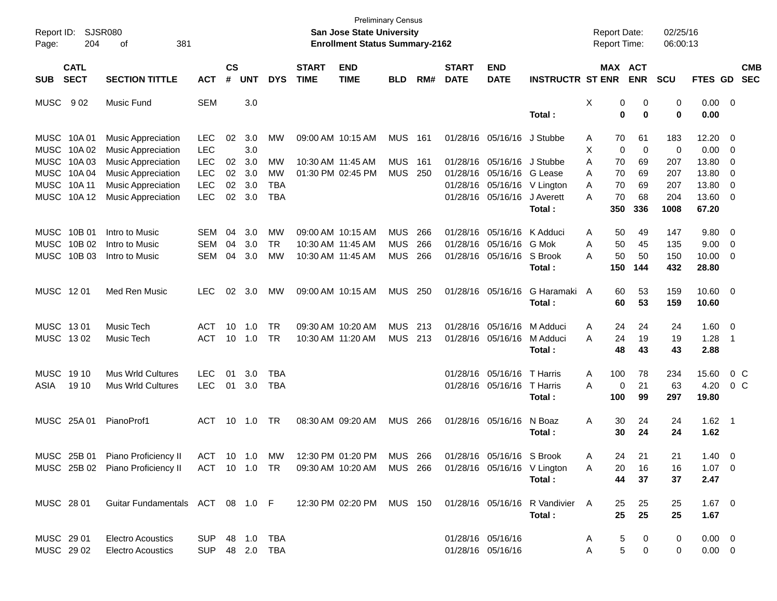| Report ID:<br>Page:      | 204                                                                                    | SJSR080<br>381<br>оf                                                                |                                        |                |                   |                              |                             | <b>San Jose State University</b><br><b>Enrollment Status Summary-2162</b> | <b>Preliminary Census</b>              |                   |                             |                                           |                                                    | <b>Report Date:</b><br>Report Time:  |                                  | 02/25/16<br>06:00:13     |                                   |                                            |
|--------------------------|----------------------------------------------------------------------------------------|-------------------------------------------------------------------------------------|----------------------------------------|----------------|-------------------|------------------------------|-----------------------------|---------------------------------------------------------------------------|----------------------------------------|-------------------|-----------------------------|-------------------------------------------|----------------------------------------------------|--------------------------------------|----------------------------------|--------------------------|-----------------------------------|--------------------------------------------|
| <b>SUB</b>               | <b>CATL</b><br><b>SECT</b><br><b>SECTION TITTLE</b><br><b>ACT</b><br>902<br>Music Fund |                                                                                     |                                        |                | <b>UNT</b>        | <b>DYS</b>                   | <b>START</b><br><b>TIME</b> | <b>END</b><br><b>TIME</b>                                                 | <b>BLD</b>                             | RM#               | <b>START</b><br><b>DATE</b> | <b>END</b><br><b>DATE</b>                 | <b>INSTRUCTR ST ENR</b>                            |                                      | MAX ACT<br><b>ENR</b>            | <b>SCU</b>               | FTES GD                           | <b>CMB</b><br><b>SEC</b>                   |
| <b>MUSC</b>              |                                                                                        |                                                                                     | <b>SEM</b>                             |                | 3.0               |                              |                             |                                                                           |                                        |                   |                             |                                           | Total:                                             | Х                                    | 0<br>0<br>0<br>$\bf{0}$          | 0<br>$\bf{0}$            | $0.00 \t 0$<br>0.00               |                                            |
| <b>MUSC</b>              | MUSC 10A01<br>10A 02                                                                   | <b>Music Appreciation</b><br><b>Music Appreciation</b>                              | <b>LEC</b><br><b>LEC</b>               | 02             | 3.0<br>3.0        | МW                           |                             | 09:00 AM 10:15 AM                                                         | <b>MUS</b>                             | 161               |                             | 01/28/16 05/16/16                         | J Stubbe                                           | 70<br>A<br>X                         | 61<br>$\mathbf 0$<br>$\mathbf 0$ | 183<br>$\mathbf 0$       | 12.20<br>0.00                     | 0<br>0                                     |
| MUSC                     | 10A03<br>MUSC 10A 04<br>MUSC 10A 11                                                    | <b>Music Appreciation</b><br><b>Music Appreciation</b><br><b>Music Appreciation</b> | <b>LEC</b><br><b>LEC</b><br><b>LEC</b> | 02<br>02<br>02 | 3.0<br>3.0<br>3.0 | MW<br>MW<br>TBA              |                             | 10:30 AM 11:45 AM<br>01:30 PM 02:45 PM                                    | <b>MUS</b><br><b>MUS</b>               | - 161<br>-250     |                             | 01/28/16 05/16/16<br>01/28/16 05/16/16    | J Stubbe<br>G Lease<br>01/28/16 05/16/16 V Lington | A<br>70<br>70<br>A<br>70<br>A        | 69<br>69<br>69                   | 207<br>207<br>207        | 13.80<br>13.80<br>13.80           | 0<br>0<br>0                                |
|                          | MUSC 10A12                                                                             | <b>Music Appreciation</b>                                                           | <b>LEC</b>                             | 02             | 3.0               | <b>TBA</b>                   |                             |                                                                           |                                        |                   |                             | 01/28/16 05/16/16                         | J Averett<br>Total:                                | 70<br>А<br>350                       | 68<br>336                        | 204<br>1008              | 13.60<br>67.20                    | $\overline{\mathbf{0}}$                    |
| <b>MUSC</b>              | MUSC 10B 01<br>10B 02<br>MUSC 10B 03                                                   | Intro to Music<br>Intro to Music<br>Intro to Music                                  | <b>SEM</b><br><b>SEM</b><br><b>SEM</b> | 04<br>04<br>04 | 3.0<br>3.0<br>3.0 | MW<br>TR.<br>MW              |                             | 09:00 AM 10:15 AM<br>10:30 AM 11:45 AM<br>10:30 AM 11:45 AM               | <b>MUS</b><br><b>MUS</b><br><b>MUS</b> | 266<br>266<br>266 | 01/28/16<br>01/28/16        | 05/16/16<br>05/16/16<br>01/28/16 05/16/16 | K Adduci<br>G Mok<br>S Brook<br>Total:             | 50<br>A<br>50<br>А<br>50<br>А<br>150 | 49<br>45<br>50<br>144            | 147<br>135<br>150<br>432 | 9.80<br>9.00<br>10.00<br>28.80    | - 0<br>0<br>$\overline{0}$                 |
| MUSC 1201                |                                                                                        | <b>Med Ren Music</b>                                                                | LEC                                    | 02             | 3.0               | МW                           |                             | 09:00 AM 10:15 AM                                                         | MUS                                    | - 250             |                             | 01/28/16 05/16/16                         | G Haramaki A<br>Total:                             | 60<br>60                             | 53<br>53                         | 159<br>159               | $10.60 \t 0$<br>10.60             |                                            |
| MUSC 1301<br>MUSC 1302   |                                                                                        | Music Tech<br>Music Tech                                                            | ACT<br><b>ACT</b>                      | 10<br>10       | 1.0<br>1.0        | TR.<br><b>TR</b>             |                             | 09:30 AM 10:20 AM<br>10:30 AM 11:20 AM                                    | <b>MUS</b><br><b>MUS</b>               | -213<br>213       |                             | 01/28/16 05/16/16<br>01/28/16 05/16/16    | M Adduci<br>M Adduci<br>Total:                     | 24<br>A<br>24<br>А<br>48             | 24<br>19<br>43                   | 24<br>19<br>43           | 1.60<br>1.28<br>2.88              | $\overline{\phantom{0}}$<br>$\overline{1}$ |
| MUSC<br>ASIA             | 19 10<br>19 10                                                                         | <b>Mus Wrld Cultures</b><br><b>Mus Wrld Cultures</b>                                | <b>LEC</b><br><b>LEC</b>               | 01<br>01       | 3.0<br>3.0        | TBA<br><b>TBA</b>            |                             |                                                                           |                                        |                   |                             | 01/28/16 05/16/16<br>01/28/16 05/16/16    | T Harris<br>T Harris<br>Total:                     | 100<br>A<br>A<br>100                 | 78<br>21<br>0<br>99              | 234<br>63<br>297         | 15.60<br>4.20<br>19.80            | $0\,C$<br>0 <sup>o</sup>                   |
|                          | MUSC 25A 01                                                                            | PianoProf1                                                                          | ACT                                    | 10             | 1.0               | TR                           |                             | 08:30 AM 09:20 AM                                                         | <b>MUS</b>                             | - 266             |                             | 01/28/16 05/16/16                         | N Boaz<br>Total:                                   | A<br>30<br>30                        | 24<br>24                         | 24<br>24                 | $1.62$ 1<br>1.62                  |                                            |
|                          |                                                                                        | MUSC 25B 01 Piano Proficiency II<br>MUSC 25B 02 Piano Proficiency II                | ACT 10 1.0 MW<br>ACT 10 1.0 TR         |                |                   |                              |                             | 12:30 PM 01:20 PM MUS 266<br>09:30 AM 10:20 AM                            | MUS 266                                |                   |                             | 01/28/16 05/16/16 S Brook                 | 01/28/16 05/16/16 V Lington<br>Total:              | 24<br>A<br>20<br>A<br>44             | 21<br>16<br>37                   | 21<br>16<br>37           | $1.40 \ 0$<br>$1.07 \t 0$<br>2.47 |                                            |
| MUSC 28 01               |                                                                                        | Guitar Fundamentals ACT 08 1.0 F                                                    |                                        |                |                   |                              |                             | 12:30 PM 02:20 PM MUS 150                                                 |                                        |                   |                             |                                           | 01/28/16 05/16/16 R Vandivier A<br>Total:          | 25<br>25                             | 25<br>25                         | 25<br>25                 | $1.67$ 0<br>1.67                  |                                            |
| MUSC 29 01<br>MUSC 29 02 |                                                                                        | <b>Electro Acoustics</b><br><b>Electro Acoustics</b>                                | <b>SUP</b><br><b>SUP</b>               |                |                   | 48  1.0  TBA<br>48  2.0  TBA |                             |                                                                           |                                        |                   |                             | 01/28/16 05/16/16<br>01/28/16 05/16/16    |                                                    | A<br>Α                               | 5<br>0<br>5<br>0                 | 0<br>0                   | $0.00 \t 0$<br>$0.00 \t 0$        |                                            |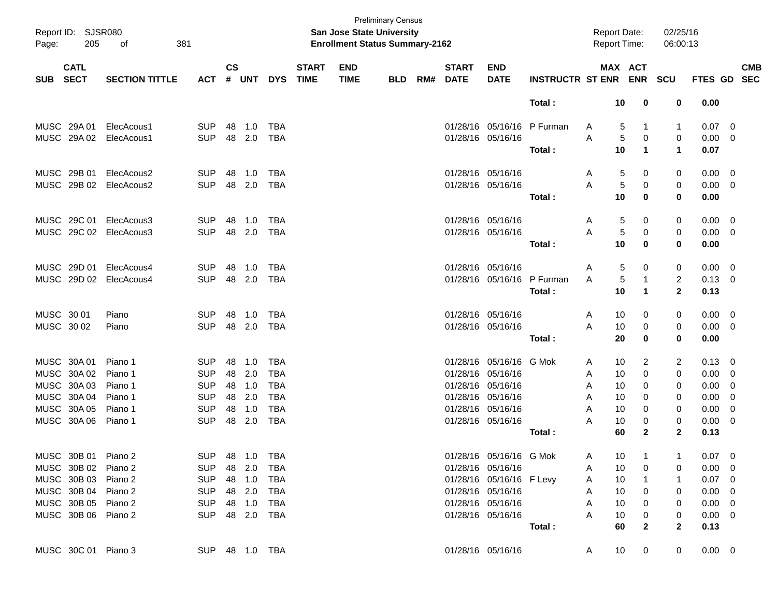| Report ID: SJSR080<br>Page: | 205                        | 381<br>of              |                |                    |            |            |                             | San Jose State University<br><b>Enrollment Status Summary-2162</b> | <b>Preliminary Census</b> |     |                             |                           |                            | <b>Report Date:</b><br><b>Report Time:</b> |                      | 02/25/16<br>06:00:13 |                |                          |                          |
|-----------------------------|----------------------------|------------------------|----------------|--------------------|------------|------------|-----------------------------|--------------------------------------------------------------------|---------------------------|-----|-----------------------------|---------------------------|----------------------------|--------------------------------------------|----------------------|----------------------|----------------|--------------------------|--------------------------|
| <b>SUB</b>                  | <b>CATL</b><br><b>SECT</b> | <b>SECTION TITTLE</b>  | <b>ACT</b>     | $\mathsf{cs}$<br># | <b>UNT</b> | <b>DYS</b> | <b>START</b><br><b>TIME</b> | <b>END</b><br><b>TIME</b>                                          | <b>BLD</b>                | RM# | <b>START</b><br><b>DATE</b> | <b>END</b><br><b>DATE</b> | <b>INSTRUCTR ST ENR</b>    |                                            | MAX ACT              | <b>ENR SCU</b>       | <b>FTES GD</b> |                          | <b>CMB</b><br><b>SEC</b> |
|                             |                            |                        |                |                    |            |            |                             |                                                                    |                           |     |                             |                           | Total:                     | 10                                         | 0                    | 0                    | 0.00           |                          |                          |
| MUSC 29A 01                 |                            | ElecAcous1             | <b>SUP</b>     | 48                 | 1.0        | <b>TBA</b> |                             |                                                                    |                           |     |                             |                           | 01/28/16 05/16/16 P Furman | 5<br>A                                     | 1                    | 1                    | $0.07$ 0       |                          |                          |
| MUSC 29A 02                 |                            | ElecAcous1             | <b>SUP</b>     | 48                 | 2.0        | TBA        |                             |                                                                    |                           |     |                             | 01/28/16 05/16/16         |                            | A<br>5                                     | 0                    | 0                    | 0.00           | - 0                      |                          |
|                             |                            |                        |                |                    |            |            |                             |                                                                    |                           |     |                             |                           | Total:                     | 10                                         | $\blacktriangleleft$ | $\mathbf{1}$         | 0.07           |                          |                          |
| MUSC 29B 01                 |                            | ElecAcous2             | <b>SUP</b>     | 48                 | 1.0        | <b>TBA</b> |                             |                                                                    |                           |     |                             | 01/28/16 05/16/16         |                            | 5<br>A                                     | 0                    | 0                    | $0.00 \quad 0$ |                          |                          |
| MUSC 29B 02                 |                            | ElecAcous2             | <b>SUP</b>     | 48                 | 2.0        | <b>TBA</b> |                             |                                                                    |                           |     |                             | 01/28/16 05/16/16         |                            | A<br>5                                     | 0                    | 0                    | 0.00           | - 0                      |                          |
|                             |                            |                        |                |                    |            |            |                             |                                                                    |                           |     |                             |                           | Total:                     | 10                                         | $\bf{0}$             | $\bf{0}$             | 0.00           |                          |                          |
| MUSC 29C 01                 |                            | ElecAcous3             | <b>SUP</b>     | 48                 | 1.0        | <b>TBA</b> |                             |                                                                    |                           |     |                             | 01/28/16 05/16/16         |                            | 5<br>A                                     | 0                    | 0                    | $0.00 \quad 0$ |                          |                          |
|                             |                            | MUSC 29C 02 ElecAcous3 | <b>SUP</b>     | 48                 | 2.0        | <b>TBA</b> |                             |                                                                    |                           |     |                             | 01/28/16 05/16/16         |                            | A<br>5                                     | 0                    | 0                    | 0.00           | - 0                      |                          |
|                             |                            |                        |                |                    |            |            |                             |                                                                    |                           |     |                             |                           | Total:                     | 10                                         | $\bf{0}$             | $\bf{0}$             | 0.00           |                          |                          |
| MUSC 29D 01                 |                            | ElecAcous4             | <b>SUP</b>     | 48                 | 1.0        | <b>TBA</b> |                             |                                                                    |                           |     |                             | 01/28/16 05/16/16         |                            | 5<br>A                                     | 0                    | 0                    | $0.00 \quad 0$ |                          |                          |
| MUSC 29D 02                 |                            | ElecAcous4             | <b>SUP</b>     | 48                 | 2.0        | <b>TBA</b> |                             |                                                                    |                           |     |                             |                           | 01/28/16 05/16/16 P Furman | 5<br>A                                     | $\mathbf 1$          | $\overline{c}$       | $0.13 \ 0$     |                          |                          |
|                             |                            |                        |                |                    |            |            |                             |                                                                    |                           |     |                             |                           | Total:                     | 10                                         | $\mathbf{1}$         | $\mathbf{2}$         | 0.13           |                          |                          |
| MUSC 30 01                  |                            | Piano                  | <b>SUP</b>     | 48                 | 1.0        | <b>TBA</b> |                             |                                                                    |                           |     |                             | 01/28/16 05/16/16         |                            | 10<br>A                                    | 0                    | 0                    | $0.00 \quad 0$ |                          |                          |
| MUSC 30 02                  |                            | Piano                  | <b>SUP</b>     | 48                 | 2.0        | <b>TBA</b> |                             |                                                                    |                           |     |                             | 01/28/16 05/16/16         |                            | A<br>10                                    | 0                    | 0                    | 0.00           | $\overline{\phantom{0}}$ |                          |
|                             |                            |                        |                |                    |            |            |                             |                                                                    |                           |     |                             |                           | Total:                     | 20                                         | $\bf{0}$             | 0                    | 0.00           |                          |                          |
| MUSC 30A 01                 |                            | Piano 1                | <b>SUP</b>     | 48                 | 1.0        | <b>TBA</b> |                             |                                                                    |                           |     | 01/28/16                    | 05/16/16 G Mok            |                            | 10<br>A                                    | 2                    | 2                    | 0.13           | - 0                      |                          |
| MUSC 30A 02                 |                            | Piano 1                | <b>SUP</b>     | 48                 | 2.0        | <b>TBA</b> |                             |                                                                    |                           |     | 01/28/16                    | 05/16/16                  |                            | Α<br>10                                    | $\mathbf 0$          | 0                    | 0.00           | 0                        |                          |
| MUSC 30A 03                 |                            | Piano 1                | <b>SUP</b>     | 48                 | 1.0        | <b>TBA</b> |                             |                                                                    |                           |     |                             | 01/28/16 05/16/16         |                            | A<br>10                                    | 0                    | 0                    | 0.00           | - 0                      |                          |
| MUSC 30A 04                 |                            | Piano 1                | <b>SUP</b>     | 48                 | 2.0        | <b>TBA</b> |                             |                                                                    |                           |     |                             | 01/28/16 05/16/16         |                            | A<br>10                                    | $\Omega$             | 0                    | 0.00           | - 0                      |                          |
| MUSC 30A 05                 |                            | Piano 1                | <b>SUP</b>     | 48                 | 1.0        | <b>TBA</b> |                             |                                                                    |                           |     |                             | 01/28/16 05/16/16         |                            | A<br>10                                    | $\Omega$             | 0                    | 0.00           | 0                        |                          |
| MUSC 30A 06                 |                            | Piano 1                | <b>SUP</b>     | 48                 | 2.0        | <b>TBA</b> |                             |                                                                    |                           |     |                             | 01/28/16 05/16/16         |                            | 10<br>A                                    | 0                    | 0                    | 0.00           | - 0                      |                          |
|                             |                            |                        |                |                    |            |            |                             |                                                                    |                           |     |                             |                           | Total:                     | 60                                         | $\mathbf{2}$         | $\mathbf{2}$         | 0.13           |                          |                          |
| MUSC 30B 01 Piano 2         |                            |                        | <b>SUP</b>     |                    | 48 1.0     | TBA        |                             |                                                                    |                           |     |                             | 01/28/16 05/16/16 G Mok   |                            | 10<br>A                                    |                      |                      | $0.07$ 0       |                          |                          |
| MUSC 30B 02 Piano 2         |                            |                        | <b>SUP</b>     |                    | 48 2.0     | TBA        |                             |                                                                    |                           |     |                             | 01/28/16 05/16/16         |                            | 10<br>A                                    | 0                    | 0                    | $0.00 \t 0$    |                          |                          |
| MUSC 30B 03 Piano 2         |                            |                        | <b>SUP</b>     |                    | 48 1.0     | TBA        |                             |                                                                    |                           |     |                             | 01/28/16 05/16/16 F Levy  |                            | 10<br>A                                    |                      | 1                    | $0.07$ 0       |                          |                          |
| MUSC 30B 04 Piano 2         |                            |                        | <b>SUP</b>     |                    | 48 2.0     | TBA        |                             |                                                                    |                           |     |                             | 01/28/16 05/16/16         |                            | 10<br>A                                    | 0                    | 0                    | $0.00 \t 0$    |                          |                          |
| MUSC 30B 05 Piano 2         |                            |                        | <b>SUP</b>     |                    | 48 1.0     | TBA        |                             |                                                                    |                           |     |                             | 01/28/16 05/16/16         |                            | 10<br>A                                    | 0                    | 0                    | $0.00 \t 0$    |                          |                          |
| MUSC 30B 06 Piano 2         |                            |                        | <b>SUP</b>     |                    | 48 2.0 TBA |            |                             |                                                                    |                           |     |                             | 01/28/16 05/16/16         |                            | Α<br>10                                    | 0                    | 0                    | $0.00 \t 0$    |                          |                          |
|                             |                            |                        |                |                    |            |            |                             |                                                                    |                           |     |                             |                           | Total:                     | 60                                         | $\mathbf{2}$         | $\mathbf{2}$         | 0.13           |                          |                          |
| MUSC 30C 01 Piano 3         |                            |                        | SUP 48 1.0 TBA |                    |            |            |                             |                                                                    |                           |     |                             | 01/28/16 05/16/16         |                            | 10<br>A                                    | 0                    | 0                    | $0.00 \t 0$    |                          |                          |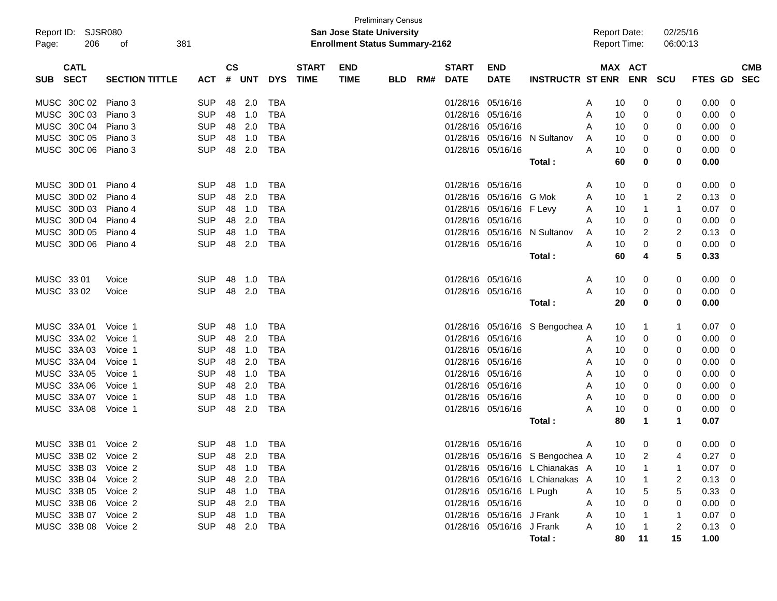| Report ID:<br>206<br>Page:               | SJSR080<br>381<br>оf  |            |                    |            |            |                             | <b>San Jose State University</b><br><b>Enrollment Status Summary-2162</b> | <b>Preliminary Census</b> |     |                             |                           |                                 | <b>Report Date:</b><br><b>Report Time:</b> |    |                       | 02/25/16<br>06:00:13 |                |                          |
|------------------------------------------|-----------------------|------------|--------------------|------------|------------|-----------------------------|---------------------------------------------------------------------------|---------------------------|-----|-----------------------------|---------------------------|---------------------------------|--------------------------------------------|----|-----------------------|----------------------|----------------|--------------------------|
| <b>CATL</b><br><b>SECT</b><br><b>SUB</b> | <b>SECTION TITTLE</b> | <b>ACT</b> | $\mathsf{cs}$<br># | <b>UNT</b> | <b>DYS</b> | <b>START</b><br><b>TIME</b> | <b>END</b><br><b>TIME</b>                                                 | <b>BLD</b>                | RM# | <b>START</b><br><b>DATE</b> | <b>END</b><br><b>DATE</b> | <b>INSTRUCTR ST ENR</b>         |                                            |    | MAX ACT<br><b>ENR</b> | <b>SCU</b>           | <b>FTES GD</b> | <b>CMB</b><br><b>SEC</b> |
| MUSC 30C 02 Piano 3                      |                       | <b>SUP</b> | 48                 | 2.0        | <b>TBA</b> |                             |                                                                           |                           |     |                             | 01/28/16 05/16/16         |                                 | A                                          | 10 | 0                     | 0                    | 0.00           | -0                       |
| MUSC 30C 03                              | Piano 3               | <b>SUP</b> | 48                 | 1.0        | <b>TBA</b> |                             |                                                                           |                           |     |                             | 01/28/16 05/16/16         |                                 | A                                          | 10 | 0                     | 0                    | 0.00           | 0                        |
| MUSC 30C 04 Piano 3                      |                       | <b>SUP</b> | 48                 | 2.0        | <b>TBA</b> |                             |                                                                           |                           |     |                             | 01/28/16 05/16/16         |                                 | A                                          | 10 | 0                     | 0                    | 0.00           | 0                        |
| MUSC 30C 05                              | Piano 3               | <b>SUP</b> | 48                 | 1.0        | <b>TBA</b> |                             |                                                                           |                           |     |                             | 01/28/16 05/16/16         | N Sultanov                      | A                                          | 10 | 0                     | 0                    | 0.00           | 0                        |
| MUSC 30C 06 Piano 3                      |                       | <b>SUP</b> | 48                 | 2.0        | <b>TBA</b> |                             |                                                                           |                           |     |                             | 01/28/16 05/16/16         |                                 | A                                          | 10 | 0                     | 0                    | 0.00           | 0                        |
|                                          |                       |            |                    |            |            |                             |                                                                           |                           |     |                             |                           | Total:                          |                                            | 60 | 0                     | 0                    | 0.00           |                          |
| MUSC 30D 01                              | Piano 4               | <b>SUP</b> | 48                 | 1.0        | <b>TBA</b> |                             |                                                                           |                           |     | 01/28/16 05/16/16           |                           |                                 | Α                                          | 10 | 0                     | 0                    | 0.00           | 0                        |
| MUSC 30D 02                              | Piano 4               | <b>SUP</b> | 48                 | 2.0        | <b>TBA</b> |                             |                                                                           |                           |     |                             | 01/28/16 05/16/16 G Mok   |                                 | Α                                          | 10 | 1                     | 2                    | 0.13           | 0                        |
| MUSC 30D 03                              | Piano 4               | <b>SUP</b> | 48                 | 1.0        | <b>TBA</b> |                             |                                                                           |                           |     |                             | 01/28/16 05/16/16 F Levy  |                                 | Α                                          | 10 | 1                     | 1                    | 0.07           | 0                        |
| MUSC 30D 04 Piano 4                      |                       | <b>SUP</b> | 48                 | 2.0        | <b>TBA</b> |                             |                                                                           |                           |     | 01/28/16 05/16/16           |                           |                                 | Α                                          | 10 | 0                     | 0                    | 0.00           | 0                        |
| MUSC 30D 05                              | Piano 4               | <b>SUP</b> | 48                 | 1.0        | <b>TBA</b> |                             |                                                                           |                           |     |                             | 01/28/16 05/16/16         | N Sultanov                      | Α                                          | 10 | 2                     | 2                    | 0.13           | 0                        |
| MUSC 30D 06 Piano 4                      |                       | <b>SUP</b> | 48                 | 2.0        | <b>TBA</b> |                             |                                                                           |                           |     |                             | 01/28/16 05/16/16         |                                 | A                                          | 10 | 0                     | 0                    | 0.00           | 0                        |
|                                          |                       |            |                    |            |            |                             |                                                                           |                           |     |                             |                           | Total:                          |                                            | 60 | 4                     | 5                    | 0.33           |                          |
| MUSC 33 01                               | Voice                 | <b>SUP</b> | 48                 | 1.0        | <b>TBA</b> |                             |                                                                           |                           |     | 01/28/16 05/16/16           |                           |                                 | A                                          | 10 | 0                     | 0                    | 0.00           | - 0                      |
| MUSC 33 02                               | Voice                 | <b>SUP</b> | 48                 | 2.0        | <b>TBA</b> |                             |                                                                           |                           |     |                             | 01/28/16 05/16/16         |                                 | A                                          | 10 | 0                     | 0                    | 0.00           | - 0                      |
|                                          |                       |            |                    |            |            |                             |                                                                           |                           |     |                             |                           | Total:                          |                                            | 20 | 0                     | 0                    | 0.00           |                          |
| MUSC 33A 01                              | Voice 1               | <b>SUP</b> | 48                 | 1.0        | <b>TBA</b> |                             |                                                                           |                           |     |                             |                           | 01/28/16 05/16/16 S Bengochea A |                                            | 10 | 1                     | 1                    | 0.07           | - 0                      |
| MUSC 33A 02                              | Voice 1               | <b>SUP</b> | 48                 | 2.0        | <b>TBA</b> |                             |                                                                           |                           |     |                             | 01/28/16 05/16/16         |                                 | A                                          | 10 | 0                     | 0                    | 0.00           | 0                        |
| MUSC 33A 03                              | Voice 1               | <b>SUP</b> | 48                 | 1.0        | <b>TBA</b> |                             |                                                                           |                           |     |                             | 01/28/16 05/16/16         |                                 | Α                                          | 10 | 0                     | 0                    | 0.00           | 0                        |
| MUSC 33A 04                              | Voice 1               | <b>SUP</b> | 48                 | 2.0        | <b>TBA</b> |                             |                                                                           |                           |     |                             | 01/28/16 05/16/16         |                                 | Α                                          | 10 | 0                     | 0                    | 0.00           | 0                        |
| MUSC 33A 05                              | Voice 1               | <b>SUP</b> | 48                 | 1.0        | <b>TBA</b> |                             |                                                                           |                           |     | 01/28/16 05/16/16           |                           |                                 | Α                                          | 10 | 0                     | 0                    | 0.00           | 0                        |
| MUSC 33A 06                              | Voice 1               | <b>SUP</b> | 48                 | 2.0        | <b>TBA</b> |                             |                                                                           |                           |     | 01/28/16 05/16/16           |                           |                                 | Α                                          | 10 | 0                     | 0                    | 0.00           | 0                        |
| MUSC 33A 07                              | Voice 1               | <b>SUP</b> | 48                 | 1.0        | <b>TBA</b> |                             |                                                                           |                           |     |                             | 01/28/16 05/16/16         |                                 | Α                                          | 10 | 0                     | 0                    | 0.00           | 0                        |
| MUSC 33A 08                              | Voice 1               | <b>SUP</b> | 48                 | 2.0        | <b>TBA</b> |                             |                                                                           |                           |     |                             | 01/28/16 05/16/16         |                                 | A                                          | 10 | 0                     | 0                    | 0.00           | 0                        |
|                                          |                       |            |                    |            |            |                             |                                                                           |                           |     |                             |                           | Total:                          |                                            | 80 | 1                     | $\mathbf 1$          | 0.07           |                          |
| MUSC 33B 01 Voice 2                      |                       | <b>SUP</b> |                    | 48 1.0     | TBA        |                             |                                                                           |                           |     |                             | 01/28/16 05/16/16         |                                 | A                                          | 10 | 0                     | 0                    | $0.00 \quad 0$ |                          |
| MUSC 33B 02 Voice 2                      |                       | SUP 48 2.0 |                    |            | <b>TBA</b> |                             |                                                                           |                           |     |                             |                           | 01/28/16 05/16/16 S Bengochea A |                                            | 10 | 2                     |                      | $0.27 \t 0$    |                          |
| MUSC 33B 03 Voice 2                      |                       | <b>SUP</b> | 48                 | 1.0        | TBA        |                             |                                                                           |                           |     |                             |                           | 01/28/16 05/16/16 L Chianakas A |                                            | 10 |                       |                      | 0.07           | 0                        |
| MUSC 33B 04 Voice 2                      |                       | <b>SUP</b> |                    | 48 2.0     | <b>TBA</b> |                             |                                                                           |                           |     |                             |                           | 01/28/16 05/16/16 L Chianakas A |                                            | 10 |                       | 2                    | 0.13           | 0                        |
| MUSC 33B 05 Voice 2                      |                       | <b>SUP</b> |                    | 48 1.0     | <b>TBA</b> |                             |                                                                           |                           |     |                             | 01/28/16 05/16/16 L Pugh  |                                 | Α                                          | 10 |                       | 5                    | 0.33           | -0                       |
| MUSC 33B 06 Voice 2                      |                       | <b>SUP</b> |                    | 48 2.0     | <b>TBA</b> |                             |                                                                           |                           |     |                             | 01/28/16 05/16/16         |                                 | Α                                          | 10 |                       | 0                    | 0.00           | 0                        |
| MUSC 33B 07 Voice 2                      |                       | <b>SUP</b> |                    | 48 1.0     | <b>TBA</b> |                             |                                                                           |                           |     |                             | 01/28/16 05/16/16 J Frank |                                 | Α                                          | 10 |                       |                      | 0.07           | - 0                      |
| MUSC 33B 08 Voice 2                      |                       | <b>SUP</b> |                    | 48 2.0     | TBA        |                             |                                                                           |                           |     |                             | 01/28/16 05/16/16 J Frank |                                 | A                                          | 10 |                       | 2                    | 0.13           | $\overline{\mathbf{0}}$  |
|                                          |                       |            |                    |            |            |                             |                                                                           |                           |     |                             |                           | Total:                          |                                            | 80 | 11                    | 15                   | 1.00           |                          |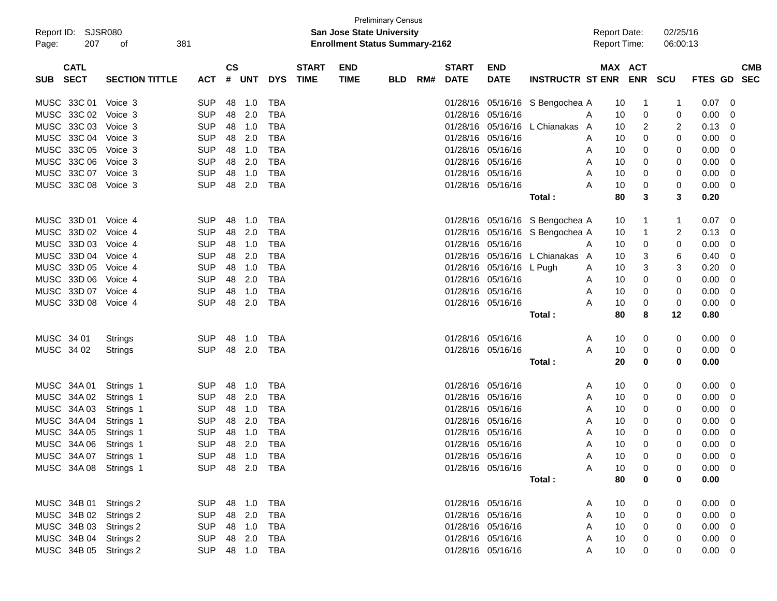| <b>Preliminary Census</b><br>Report ID: SJSR080<br><b>San Jose State University</b><br><b>Report Date:</b><br>02/25/16 |                       |                |               |        |            |              |                                       |            |     |                   |                          |                                 |   |                     |          |             |             |   |            |
|------------------------------------------------------------------------------------------------------------------------|-----------------------|----------------|---------------|--------|------------|--------------|---------------------------------------|------------|-----|-------------------|--------------------------|---------------------------------|---|---------------------|----------|-------------|-------------|---|------------|
|                                                                                                                        |                       |                |               |        |            |              | <b>Enrollment Status Summary-2162</b> |            |     |                   |                          |                                 |   |                     |          |             |             |   |            |
| 207<br>Page:                                                                                                           | 381<br>оf             |                |               |        |            |              |                                       |            |     |                   |                          |                                 |   | <b>Report Time:</b> |          | 06:00:13    |             |   |            |
| <b>CATL</b>                                                                                                            |                       |                | $\mathsf{cs}$ |        |            | <b>START</b> | <b>END</b>                            |            |     | <b>START</b>      | <b>END</b>               |                                 |   | MAX ACT             |          |             |             |   | <b>CMB</b> |
| <b>SECT</b><br>SUB                                                                                                     | <b>SECTION TITTLE</b> | <b>ACT</b>     |               | # UNT  | <b>DYS</b> | <b>TIME</b>  | <b>TIME</b>                           | <b>BLD</b> | RM# | <b>DATE</b>       | <b>DATE</b>              | <b>INSTRUCTR ST ENR ENR</b>     |   |                     |          | <b>SCU</b>  | FTES GD SEC |   |            |
| MUSC 33C 01                                                                                                            | Voice 3               | <b>SUP</b>     | 48            | 1.0    | TBA        |              |                                       |            |     |                   |                          | 01/28/16 05/16/16 S Bengochea A |   | 10                  |          | -1          | 0.07        | 0 |            |
| MUSC 33C 02                                                                                                            | Voice 3               | <b>SUP</b>     |               | 48 2.0 | TBA        |              |                                       |            |     | 01/28/16 05/16/16 |                          |                                 | Α | 10                  | 0        | 0           | 0.00        | 0 |            |
| MUSC 33C 03                                                                                                            | Voice 3               | <b>SUP</b>     |               | 48 1.0 | <b>TBA</b> |              |                                       |            |     |                   | 01/28/16 05/16/16        | L Chianakas A                   |   | 10                  | 2        | 2           | 0.13        | 0 |            |
| MUSC 33C 04                                                                                                            | Voice 3               | <b>SUP</b>     | 48            | 2.0    | <b>TBA</b> |              |                                       |            |     | 01/28/16 05/16/16 |                          |                                 | A | 10                  | 0        | 0           | 0.00        | 0 |            |
| MUSC 33C 05                                                                                                            | Voice 3               | <b>SUP</b>     |               | 48 1.0 | <b>TBA</b> |              |                                       |            |     | 01/28/16 05/16/16 |                          |                                 | Α | 10                  | 0        | 0           | 0.00        | 0 |            |
| MUSC 33C 06                                                                                                            | Voice 3               | <b>SUP</b>     | 48            | 2.0    | <b>TBA</b> |              |                                       |            |     | 01/28/16 05/16/16 |                          |                                 | A | 10                  | 0        | 0           | 0.00        | 0 |            |
| MUSC 33C 07                                                                                                            | Voice 3               | <b>SUP</b>     | 48            | $-1.0$ | <b>TBA</b> |              |                                       |            |     | 01/28/16 05/16/16 |                          |                                 | A | 10                  | 0        | 0           | 0.00        | 0 |            |
| MUSC 33C 08                                                                                                            | Voice 3               | <b>SUP</b>     | 48            | 2.0    | <b>TBA</b> |              |                                       |            |     | 01/28/16 05/16/16 |                          |                                 | Α | 10                  | 0        | 0           | 0.00        | 0 |            |
|                                                                                                                        |                       |                |               |        |            |              |                                       |            |     |                   |                          | Total :                         |   | 80                  | 3        | 3           | 0.20        |   |            |
| MUSC 33D 01                                                                                                            | Voice 4               | <b>SUP</b>     | 48            | 1.0    | <b>TBA</b> |              |                                       |            |     |                   |                          | 01/28/16 05/16/16 S Bengochea A |   | 10                  |          |             | 0.07        | 0 |            |
| MUSC 33D 02                                                                                                            | Voice 4               | <b>SUP</b>     | 48            | 2.0    | TBA        |              |                                       |            |     |                   |                          | 01/28/16 05/16/16 S Bengochea A |   | 10                  |          | 2           | 0.13        | 0 |            |
| MUSC 33D 03                                                                                                            | Voice 4               | <b>SUP</b>     |               | 48 1.0 | <b>TBA</b> |              |                                       |            |     | 01/28/16 05/16/16 |                          |                                 | Α | 10                  | 0        | 0           | 0.00        | 0 |            |
| MUSC 33D 04                                                                                                            | Voice 4               | <b>SUP</b>     | 48            | 2.0    | <b>TBA</b> |              |                                       |            |     |                   |                          | 01/28/16 05/16/16 L Chianakas A |   | 10                  | 3        | 6           | 0.40        | 0 |            |
| MUSC 33D 05                                                                                                            | Voice 4               | <b>SUP</b>     |               | 48 1.0 | <b>TBA</b> |              |                                       |            |     |                   | 01/28/16 05/16/16 L Pugh |                                 | A | 10                  | 3        | 3           | 0.20        | 0 |            |
| MUSC 33D 06                                                                                                            | Voice 4               | <b>SUP</b>     | 48            | 2.0    | <b>TBA</b> |              |                                       |            |     | 01/28/16 05/16/16 |                          |                                 | A | 10                  | 0        | 0           | 0.00        | 0 |            |
| MUSC 33D 07                                                                                                            | Voice 4               | <b>SUP</b>     | 48            | $-1.0$ | <b>TBA</b> |              |                                       |            |     | 01/28/16 05/16/16 |                          |                                 | A | 10                  | 0        | 0           | 0.00        | 0 |            |
| MUSC 33D 08                                                                                                            | Voice 4               | <b>SUP</b>     | 48            | 2.0    | TBA        |              |                                       |            |     |                   | 01/28/16 05/16/16        |                                 | Α | 10                  | 0        | 0           | 0.00        | 0 |            |
|                                                                                                                        |                       |                |               |        |            |              |                                       |            |     |                   |                          | Total:                          |   | 80                  | 8        | 12          | 0.80        |   |            |
| MUSC 34 01                                                                                                             | Strings               | <b>SUP</b>     | 48            | - 1.0  | TBA        |              |                                       |            |     |                   | 01/28/16 05/16/16        |                                 | A | 10                  | 0        | 0           | 0.00        | 0 |            |
| MUSC 34 02                                                                                                             | <b>Strings</b>        | <b>SUP</b>     |               | 48 2.0 | TBA        |              |                                       |            |     |                   | 01/28/16 05/16/16        |                                 | Α | 10                  | 0        | 0           | 0.00        | 0 |            |
|                                                                                                                        |                       |                |               |        |            |              |                                       |            |     |                   |                          | Total :                         |   | 20                  | 0        | 0           | 0.00        |   |            |
| MUSC 34A 01                                                                                                            | Strings 1             | <b>SUP</b>     | 48            | 1.0    | <b>TBA</b> |              |                                       |            |     |                   | 01/28/16 05/16/16        |                                 | A | 10                  | 0        | 0           | 0.00        | 0 |            |
| MUSC 34A 02                                                                                                            | Strings 1             | <b>SUP</b>     |               | 48 2.0 | TBA        |              |                                       |            |     | 01/28/16 05/16/16 |                          |                                 | A | 10                  | 0        | 0           | 0.00        | 0 |            |
| MUSC 34A 03                                                                                                            | Strings 1             | <b>SUP</b>     |               | 48 1.0 | <b>TBA</b> |              |                                       |            |     | 01/28/16 05/16/16 |                          |                                 | A | 10                  | 0        | 0           | 0.00        | 0 |            |
| MUSC 34A 04                                                                                                            | Strings 1             | <b>SUP</b>     | 48            | 2.0    | TBA        |              |                                       |            |     | 01/28/16 05/16/16 |                          |                                 | A | 10                  | 0        | 0           | 0.00        | 0 |            |
| MUSC 34A 05                                                                                                            | Strings 1             | <b>SUP</b>     |               | 48 1.0 | TBA        |              |                                       |            |     |                   | 01/28/16 05/16/16        |                                 | Α | 10                  | 0        | 0           | 0.00        | 0 |            |
| MUSC 34A 06 Strings 1                                                                                                  |                       | <b>SUP</b>     |               | 48 2.0 | <b>TBA</b> |              |                                       |            |     |                   | 01/28/16 05/16/16        |                                 | Α | 10                  | $\Omega$ | 0           | 0.00        | 0 |            |
| MUSC 34A 07 Strings 1                                                                                                  |                       | SUP 48 1.0 TBA |               |        |            |              |                                       |            |     |                   | 01/28/16 05/16/16        |                                 | Α | 10                  |          | 0           | $0.00 \t 0$ |   |            |
| MUSC 34A 08 Strings 1                                                                                                  |                       | SUP 48 2.0 TBA |               |        |            |              |                                       |            |     |                   | 01/28/16 05/16/16        |                                 | Α | 10                  | 0        | 0           | $0.00 \t 0$ |   |            |
|                                                                                                                        |                       |                |               |        |            |              |                                       |            |     |                   |                          | Total:                          |   | 80                  | 0        | 0           | 0.00        |   |            |
| MUSC 34B 01 Strings 2                                                                                                  |                       | SUP 48 1.0     |               |        | <b>TBA</b> |              |                                       |            |     |                   | 01/28/16 05/16/16        |                                 | A | 10                  | 0        | $\mathbf 0$ | $0.00 \t 0$ |   |            |
| MUSC 34B 02 Strings 2                                                                                                  |                       | SUP 48 2.0     |               |        | <b>TBA</b> |              |                                       |            |     |                   | 01/28/16 05/16/16        |                                 | Α | 10                  | 0        | 0           | $0.00 \t 0$ |   |            |
| MUSC 34B 03 Strings 2                                                                                                  |                       | SUP 48 1.0     |               |        | <b>TBA</b> |              |                                       |            |     | 01/28/16 05/16/16 |                          |                                 | Α | 10                  | 0        | 0           | $0.00 \t 0$ |   |            |
| MUSC 34B 04 Strings 2                                                                                                  |                       | SUP 48 2.0     |               |        | <b>TBA</b> |              |                                       |            |     | 01/28/16 05/16/16 |                          |                                 | Α | 10                  | 0        | 0           | $0.00 \t 0$ |   |            |
| MUSC 34B 05 Strings 2                                                                                                  |                       | SUP 48 1.0     |               |        | <b>TBA</b> |              |                                       |            |     |                   | 01/28/16 05/16/16        |                                 | Α | 10                  | 0        | 0           | $0.00 \t 0$ |   |            |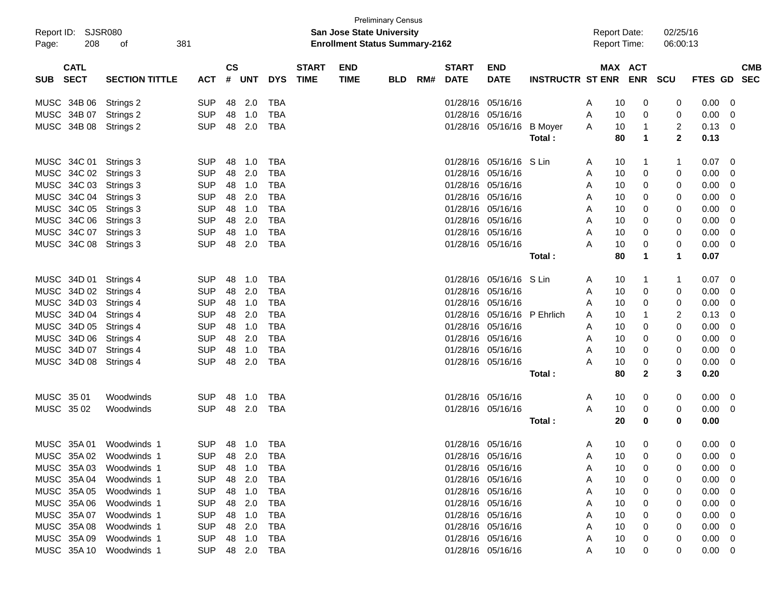| <b>Preliminary Census</b><br><b>SJSR080</b><br>02/25/16<br><b>San Jose State University</b><br><b>Report Date:</b> |                       |                |               |            |            |              |                                       |            |     |                   |                           |                             |   |                     |              |                |                |                         |            |
|--------------------------------------------------------------------------------------------------------------------|-----------------------|----------------|---------------|------------|------------|--------------|---------------------------------------|------------|-----|-------------------|---------------------------|-----------------------------|---|---------------------|--------------|----------------|----------------|-------------------------|------------|
| Report ID:                                                                                                         |                       |                |               |            |            |              |                                       |            |     |                   |                           |                             |   |                     |              |                |                |                         |            |
| 208<br>Page:                                                                                                       | 381<br>оf             |                |               |            |            |              | <b>Enrollment Status Summary-2162</b> |            |     |                   |                           |                             |   | <b>Report Time:</b> |              | 06:00:13       |                |                         |            |
|                                                                                                                    |                       |                |               |            |            |              |                                       |            |     |                   |                           |                             |   |                     |              |                |                |                         |            |
| <b>CATL</b>                                                                                                        |                       |                | $\mathsf{cs}$ |            |            | <b>START</b> | <b>END</b>                            |            |     | <b>START</b>      | <b>END</b>                |                             |   | MAX ACT             |              |                |                |                         | <b>CMB</b> |
| <b>SECT</b><br><b>SUB</b>                                                                                          | <b>SECTION TITTLE</b> | ACT            | #             | <b>UNT</b> | <b>DYS</b> | <b>TIME</b>  | <b>TIME</b>                           | <b>BLD</b> | RM# | <b>DATE</b>       | <b>DATE</b>               | <b>INSTRUCTR ST ENR ENR</b> |   |                     |              | <b>SCU</b>     | FTES GD        |                         | <b>SEC</b> |
|                                                                                                                    |                       |                |               |            |            |              |                                       |            |     |                   |                           |                             |   |                     |              |                |                |                         |            |
| MUSC 34B 06 Strings 2                                                                                              |                       | <b>SUP</b>     | 48            | 2.0        | <b>TBA</b> |              |                                       |            |     | 01/28/16 05/16/16 |                           |                             | A | 10                  | 0            | 0              | 0.00           | 0                       |            |
| MUSC 34B 07 Strings 2                                                                                              |                       | <b>SUP</b>     |               | 48 1.0     | <b>TBA</b> |              |                                       |            |     | 01/28/16 05/16/16 |                           |                             | A | 10                  | 0            | 0              | 0.00           | $\mathbf 0$             |            |
| MUSC 34B 08 Strings 2                                                                                              |                       | <b>SUP</b>     |               | 48 2.0     | <b>TBA</b> |              |                                       |            |     |                   | 01/28/16 05/16/16 B Moyer |                             | A | 10                  | $\mathbf{1}$ | $\overline{2}$ | 0.13           | - 0                     |            |
|                                                                                                                    |                       |                |               |            |            |              |                                       |            |     |                   |                           | Total:                      |   | 80                  | 1            | $\mathbf{2}$   | 0.13           |                         |            |
|                                                                                                                    |                       |                |               |            |            |              |                                       |            |     |                   |                           |                             |   |                     |              |                |                |                         |            |
| MUSC 34C 01 Strings 3                                                                                              |                       | <b>SUP</b>     | 48            | 1.0        | <b>TBA</b> |              |                                       |            |     |                   | 01/28/16 05/16/16 S Lin   |                             | A | 10                  | 1            |                | 0.07           | $\overline{0}$          |            |
| MUSC 34C 02 Strings 3                                                                                              |                       | <b>SUP</b>     | 48            | 2.0        | <b>TBA</b> |              |                                       |            |     | 01/28/16 05/16/16 |                           |                             | A | 10                  | 0            | 0              | 0.00           | $\mathbf 0$             |            |
| MUSC 34C 03 Strings 3                                                                                              |                       | <b>SUP</b>     |               | 48 1.0     | <b>TBA</b> |              |                                       |            |     |                   | 01/28/16 05/16/16         |                             | A | 10                  | 0            | 0              | 0.00           | $\mathbf{0}$            |            |
| MUSC 34C 04 Strings 3                                                                                              |                       | <b>SUP</b>     |               | 48 2.0     | <b>TBA</b> |              |                                       |            |     | 01/28/16 05/16/16 |                           |                             | A | 10                  | 0            | 0              | 0.00           | $\mathbf{0}$            |            |
| MUSC 34C 05 Strings 3                                                                                              |                       | <b>SUP</b>     |               | 48 1.0     | <b>TBA</b> |              |                                       |            |     | 01/28/16 05/16/16 |                           |                             | A | 10                  | 0            | 0              | 0.00           | $\overline{0}$          |            |
| MUSC 34C 06 Strings 3                                                                                              |                       | <b>SUP</b>     | 48            | 2.0        | <b>TBA</b> |              |                                       |            |     | 01/28/16 05/16/16 |                           |                             | A | 10                  | 0            | 0              | 0.00           | $\overline{0}$          |            |
| MUSC 34C 07 Strings 3                                                                                              |                       | <b>SUP</b>     | 48            | 1.0        | <b>TBA</b> |              |                                       |            |     | 01/28/16 05/16/16 |                           |                             | A | 10                  | 0            | 0              | 0.00           | $\overline{0}$          |            |
| MUSC 34C 08 Strings 3                                                                                              |                       | <b>SUP</b>     | 48            | 2.0        | <b>TBA</b> |              |                                       |            |     | 01/28/16 05/16/16 |                           |                             | А | 10                  | 0            | 0              | 0.00           | 0                       |            |
|                                                                                                                    |                       |                |               |            |            |              |                                       |            |     |                   |                           | Total:                      |   | 80                  | 1            | 1              | 0.07           |                         |            |
| MUSC 34D 01 Strings 4                                                                                              |                       | <b>SUP</b>     | 48            | 1.0        | TBA        |              |                                       |            |     |                   | 01/28/16 05/16/16 S Lin   |                             | A | 10                  | 1            | -1             | 0.07           | $\overline{0}$          |            |
| MUSC 34D 02 Strings 4                                                                                              |                       | <b>SUP</b>     | 48            | 2.0        | <b>TBA</b> |              |                                       |            |     | 01/28/16 05/16/16 |                           |                             | A | 10                  | 0            | 0              | 0.00           | $\mathbf 0$             |            |
| MUSC 34D 03 Strings 4                                                                                              |                       | <b>SUP</b>     |               | 48 1.0     | <b>TBA</b> |              |                                       |            |     | 01/28/16 05/16/16 |                           |                             | Α | 10                  | 0            | 0              | 0.00           | $\mathbf{0}$            |            |
| MUSC 34D 04 Strings 4                                                                                              |                       | <b>SUP</b>     | 48            | 2.0        | <b>TBA</b> |              |                                       |            |     |                   | 01/28/16 05/16/16         | P Ehrlich                   | A | 10                  | 1            | 2              | 0.13           | 0                       |            |
| MUSC 34D 05 Strings 4                                                                                              |                       | <b>SUP</b>     |               | 48 1.0     | <b>TBA</b> |              |                                       |            |     | 01/28/16 05/16/16 |                           |                             | A | 10                  | 0            | 0              | 0.00           | 0                       |            |
| MUSC 34D 06 Strings 4                                                                                              |                       | <b>SUP</b>     | 48            | 2.0        | <b>TBA</b> |              |                                       |            |     | 01/28/16 05/16/16 |                           |                             | A | 10                  | 0            | 0              | 0.00           | $\mathbf{0}$            |            |
| MUSC 34D 07 Strings 4                                                                                              |                       | <b>SUP</b>     | 48            | 1.0        | <b>TBA</b> |              |                                       |            |     | 01/28/16 05/16/16 |                           |                             | A | 10                  | 0            | 0              | 0.00           | $\mathbf{0}$            |            |
| MUSC 34D 08 Strings 4                                                                                              |                       | <b>SUP</b>     | 48            | 2.0        | <b>TBA</b> |              |                                       |            |     | 01/28/16 05/16/16 |                           |                             | А | 10                  | 0            | 0              | 0.00           | 0                       |            |
|                                                                                                                    |                       |                |               |            |            |              |                                       |            |     |                   |                           | Total:                      |   | 80                  | $\mathbf{2}$ | 3              | 0.20           |                         |            |
|                                                                                                                    |                       |                |               |            |            |              |                                       |            |     |                   |                           |                             |   |                     |              |                |                |                         |            |
| MUSC 35 01                                                                                                         | Woodwinds             | <b>SUP</b>     | 48            | 1.0        | TBA        |              |                                       |            |     | 01/28/16 05/16/16 |                           |                             | A | 10                  | 0            | 0              | 0.00           | $\overline{\mathbf{0}}$ |            |
| MUSC 3502                                                                                                          | Woodwinds             | <b>SUP</b>     |               | 48 2.0     | TBA        |              |                                       |            |     | 01/28/16 05/16/16 |                           |                             | А | 10                  | 0            | 0              | 0.00           | $\overline{\mathbf{0}}$ |            |
|                                                                                                                    |                       |                |               |            |            |              |                                       |            |     |                   |                           | Total:                      |   | 20                  | 0            | 0              | 0.00           |                         |            |
| MUSC 35A 01                                                                                                        | Woodwinds 1           | <b>SUP</b>     |               | 48 1.0     | TBA        |              |                                       |            |     | 01/28/16 05/16/16 |                           |                             | A | 10                  | 0            | 0              | $0.00 \quad 0$ |                         |            |
|                                                                                                                    |                       | SUP 48 2.0 TBA |               |            |            |              |                                       |            |     | 01/28/16 05/16/16 |                           |                             |   |                     |              | $\overline{0}$ |                |                         |            |
| MUSC 35A 02 Woodwinds 1                                                                                            |                       |                |               |            |            |              |                                       |            |     |                   |                           |                             | Α | 10 <sup>1</sup>     | $\mathbf 0$  |                | $0.00 \t 0$    |                         |            |
| MUSC 35A 03 Woodwinds 1                                                                                            |                       | <b>SUP</b>     |               | 48 1.0     | TBA        |              |                                       |            |     | 01/28/16 05/16/16 |                           |                             | A | 10                  | 0            | 0              | $0.00 \quad 0$ |                         |            |
| MUSC 35A 04 Woodwinds 1                                                                                            |                       | <b>SUP</b>     | 48            | 2.0        | TBA        |              |                                       |            |     |                   | 01/28/16 05/16/16         |                             | A | 10                  | 0            | 0              | 0.00           | - 0                     |            |
| MUSC 35A 05                                                                                                        | Woodwinds 1           | <b>SUP</b>     |               | 48 1.0     | TBA        |              |                                       |            |     |                   | 01/28/16 05/16/16         |                             | A | 10                  | 0            | 0              | 0.00           | $\overline{0}$          |            |
| MUSC 35A 06                                                                                                        | Woodwinds 1           | <b>SUP</b>     | 48            | 2.0        | TBA        |              |                                       |            |     |                   | 01/28/16 05/16/16         |                             | A | 10                  |              |                | 0.00           | - 0                     |            |
| MUSC 35A 07                                                                                                        | Woodwinds 1           | <b>SUP</b>     | 48            | 1.0        | TBA        |              |                                       |            |     | 01/28/16 05/16/16 |                           |                             | Α | 10                  |              | 0              | 0.00           | - 0                     |            |
| MUSC 35A 08                                                                                                        | Woodwinds 1           | <b>SUP</b>     | 48            | 2.0        | TBA        |              |                                       |            |     | 01/28/16 05/16/16 |                           |                             | Α | 10                  | 0            | 0              | 0.00           | $\overline{\mathbf{0}}$ |            |
| MUSC 35A 09                                                                                                        | Woodwinds 1           | <b>SUP</b>     |               | 48 1.0     | TBA        |              |                                       |            |     | 01/28/16 05/16/16 |                           |                             | Α | 10                  | 0            | 0              | 0.00           | $\overline{\mathbf{0}}$ |            |
| MUSC 35A 10 Woodwinds 1                                                                                            |                       | <b>SUP</b>     |               |            | 48 2.0 TBA |              |                                       |            |     | 01/28/16 05/16/16 |                           |                             | A | 10                  | 0            | 0              | $0.00 \t 0$    |                         |            |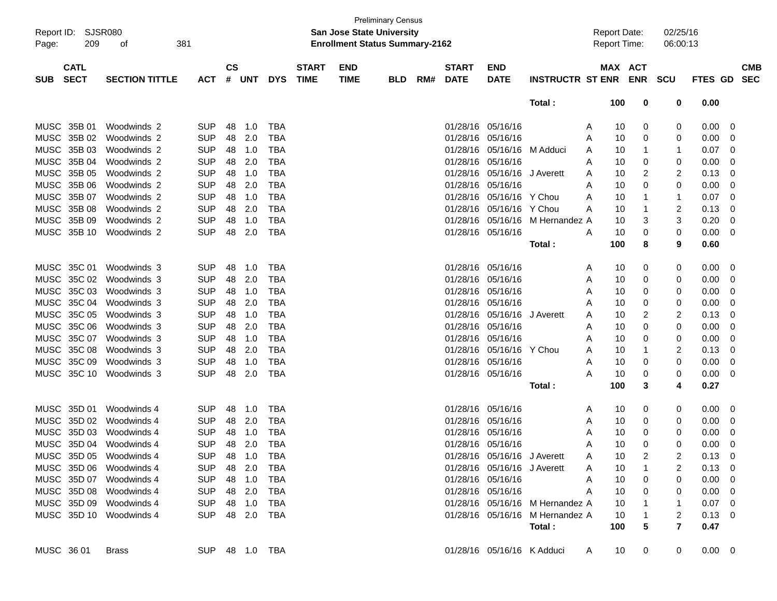| Report ID:<br>Page:                      | SJSR080<br>209<br>οf    | 381        |               |                |            |                             |                           | <b>Preliminary Census</b><br><b>San Jose State University</b><br><b>Enrollment Status Summary-2162</b> |     |                             |                             |                                 | <b>Report Date:</b><br>Report Time: |         |            | 02/25/16<br>06:00:13 |                |                          |
|------------------------------------------|-------------------------|------------|---------------|----------------|------------|-----------------------------|---------------------------|--------------------------------------------------------------------------------------------------------|-----|-----------------------------|-----------------------------|---------------------------------|-------------------------------------|---------|------------|----------------------|----------------|--------------------------|
| <b>CATL</b><br><b>SECT</b><br><b>SUB</b> | <b>SECTION TITTLE</b>   | <b>ACT</b> | $\mathsf{cs}$ | # UNT          | <b>DYS</b> | <b>START</b><br><b>TIME</b> | <b>END</b><br><b>TIME</b> | <b>BLD</b>                                                                                             | RM# | <b>START</b><br><b>DATE</b> | <b>END</b><br><b>DATE</b>   | <b>INSTRUCTR ST ENR</b>         |                                     | MAX ACT | <b>ENR</b> | <b>SCU</b>           | FTES GD        | <b>CMB</b><br><b>SEC</b> |
|                                          |                         |            |               |                |            |                             |                           |                                                                                                        |     |                             |                             | Total:                          |                                     | 100     | 0          | 0                    | 0.00           |                          |
| MUSC 35B 01                              | Woodwinds 2             | <b>SUP</b> | 48            | 1.0            | <b>TBA</b> |                             |                           |                                                                                                        |     | 01/28/16                    | 05/16/16                    |                                 | A                                   | 10      | 0          | 0                    | 0.00           | 0                        |
| MUSC 35B 02                              | Woodwinds 2             | <b>SUP</b> | 48            | 2.0            | <b>TBA</b> |                             |                           |                                                                                                        |     | 01/28/16                    | 05/16/16                    |                                 | A                                   | 10      | 0          | 0                    | 0.00           | 0                        |
| MUSC 35B 03                              | Woodwinds 2             | <b>SUP</b> | 48            | 1.0            | <b>TBA</b> |                             |                           |                                                                                                        |     | 01/28/16                    | 05/16/16 M Adduci           |                                 | A                                   | 10      | 1          | -1                   | 0.07           | 0                        |
| MUSC 35B 04                              | Woodwinds 2             | <b>SUP</b> | 48            | 2.0            | <b>TBA</b> |                             |                           |                                                                                                        |     | 01/28/16                    | 05/16/16                    |                                 | A                                   | 10      | 0          | 0                    | 0.00           | 0                        |
| MUSC 35B 05                              | Woodwinds 2             | <b>SUP</b> | 48            | 1.0            | <b>TBA</b> |                             |                           |                                                                                                        |     | 01/28/16                    | 05/16/16                    | J Averett                       | A                                   | 10      | 2          | 2                    | 0.13           | 0                        |
| MUSC 35B 06                              | Woodwinds 2             | <b>SUP</b> | 48            | 2.0            | <b>TBA</b> |                             |                           |                                                                                                        |     | 01/28/16                    | 05/16/16                    |                                 | A                                   | 10      | 0          | 0                    | 0.00           | 0                        |
| MUSC 35B 07                              | Woodwinds 2             | <b>SUP</b> | 48            | 1.0            | <b>TBA</b> |                             |                           |                                                                                                        |     | 01/28/16                    | 05/16/16 Y Chou             |                                 | A                                   | 10      | 1          | 1                    | 0.07           | 0                        |
| MUSC 35B 08                              | Woodwinds 2             | <b>SUP</b> | 48            | 2.0            | <b>TBA</b> |                             |                           |                                                                                                        |     | 01/28/16                    | 05/16/16 Y Chou             |                                 | A                                   | 10      | 1          | 2                    | 0.13           | 0                        |
| MUSC 35B 09                              | Woodwinds 2             | <b>SUP</b> | 48            | 1.0            | <b>TBA</b> |                             |                           |                                                                                                        |     | 01/28/16                    | 05/16/16                    | M Hernandez A                   |                                     | 10      | 3          | 3                    | 0.20           | 0                        |
| MUSC 35B 10                              | Woodwinds 2             | <b>SUP</b> | 48            | 2.0            | <b>TBA</b> |                             |                           |                                                                                                        |     |                             | 01/28/16 05/16/16           |                                 | A                                   | 10      | 0          | 0                    | 0.00           | 0                        |
|                                          |                         |            |               |                |            |                             |                           |                                                                                                        |     |                             |                             | Total :                         |                                     | 100     | 8          | 9                    | 0.60           |                          |
|                                          |                         |            |               |                |            |                             |                           |                                                                                                        |     |                             |                             |                                 |                                     |         |            |                      |                |                          |
| MUSC 35C 01                              | Woodwinds 3             | <b>SUP</b> | 48            | 1.0            | <b>TBA</b> |                             |                           |                                                                                                        |     | 01/28/16 05/16/16           |                             |                                 | A                                   | 10      | 0          | 0                    | 0.00           | 0                        |
| MUSC 35C 02                              | Woodwinds 3             | <b>SUP</b> | 48            | 2.0            | <b>TBA</b> |                             |                           |                                                                                                        |     | 01/28/16                    | 05/16/16                    |                                 | A                                   | 10      | 0          | 0                    | 0.00           | 0                        |
| MUSC 35C 03                              | Woodwinds 3             | <b>SUP</b> | 48            | 1.0            | <b>TBA</b> |                             |                           |                                                                                                        |     | 01/28/16 05/16/16           |                             |                                 | A                                   | 10      | 0          | 0                    | 0.00           | 0                        |
| MUSC 35C 04                              | Woodwinds 3             | <b>SUP</b> | 48            | 2.0            | <b>TBA</b> |                             |                           |                                                                                                        |     | 01/28/16 05/16/16           |                             |                                 | A                                   | 10      | 0          | 0                    | 0.00           | 0                        |
| MUSC 35C 05                              | Woodwinds 3             | <b>SUP</b> | 48            | 1.0            | <b>TBA</b> |                             |                           |                                                                                                        |     | 01/28/16                    | 05/16/16                    | J Averett                       | A                                   | 10      | 2          | 2                    | 0.13           | 0                        |
| MUSC 35C 06                              | Woodwinds 3             | <b>SUP</b> | 48            | 2.0            | <b>TBA</b> |                             |                           |                                                                                                        |     | 01/28/16                    | 05/16/16                    |                                 | A                                   | 10      | 0          | 0                    | 0.00           | 0                        |
| MUSC 35C 07                              | Woodwinds 3             | <b>SUP</b> | 48            | 1.0            | <b>TBA</b> |                             |                           |                                                                                                        |     | 01/28/16 05/16/16           |                             |                                 | A                                   | 10      | 0          | 0                    | 0.00           | 0                        |
| MUSC 35C 08                              | Woodwinds 3             | <b>SUP</b> | 48            | 2.0            | <b>TBA</b> |                             |                           |                                                                                                        |     | 01/28/16                    | 05/16/16                    | Y Chou                          | A                                   | 10      | 1          | 2                    | 0.13           | 0                        |
| MUSC 35C 09                              | Woodwinds 3             | <b>SUP</b> | 48            | 1.0            | <b>TBA</b> |                             |                           |                                                                                                        |     | 01/28/16 05/16/16           |                             |                                 | A                                   | 10      | 0          | 0                    | 0.00           | 0                        |
| MUSC 35C 10                              | Woodwinds 3             | <b>SUP</b> | 48            | 2.0            | <b>TBA</b> |                             |                           |                                                                                                        |     |                             | 01/28/16 05/16/16           |                                 | Α                                   | 10      | 0          | 0                    | 0.00           | 0                        |
|                                          |                         |            |               |                |            |                             |                           |                                                                                                        |     |                             |                             | Total:                          |                                     | 100     | 3          | 4                    | 0.27           |                          |
| MUSC 35D 01                              | Woodwinds 4             | <b>SUP</b> | 48            | 1.0            | TBA        |                             |                           |                                                                                                        |     | 01/28/16                    | 05/16/16                    |                                 | A                                   | 10      | 0          | 0                    | 0.00           | 0                        |
| MUSC                                     | 35D 02<br>Woodwinds 4   | <b>SUP</b> | 48            | 2.0            | <b>TBA</b> |                             |                           |                                                                                                        |     | 01/28/16                    | 05/16/16                    |                                 | A                                   | 10      | 0          | 0                    | 0.00           | 0                        |
| <b>MUSC</b>                              | 35D 03<br>Woodwinds 4   | <b>SUP</b> | 48            | 1.0            | <b>TBA</b> |                             |                           |                                                                                                        |     | 01/28/16                    | 05/16/16                    |                                 | A                                   | 10      | 0          | 0                    | 0.00           | 0                        |
| MUSC 35D 04                              | Woodwinds 4             | <b>SUP</b> | 48            | 2.0            | <b>TBA</b> |                             |                           |                                                                                                        |     | 01/28/16 05/16/16           |                             |                                 | A                                   | 10      | 0          | 0                    | 0.00           | 0                        |
| MUSC 35D 05                              | Woodwinds 4             | <b>SUP</b> | 48            | 1.0            | <b>IBA</b> |                             |                           |                                                                                                        |     |                             | 01/28/16 05/16/16 J Averett |                                 | A                                   | 10      | 2          | 2                    | $0.13 \quad 0$ |                          |
| MUSC 35D 06                              | Woodwinds 4             | <b>SUP</b> | 48            | 2.0            | TBA        |                             |                           |                                                                                                        |     |                             | 01/28/16 05/16/16 J Averett |                                 | A                                   | 10      |            | 2                    | $0.13 \ 0$     |                          |
| MUSC 35D 07                              | Woodwinds 4             | <b>SUP</b> |               | 48 1.0         | TBA        |                             |                           |                                                                                                        |     | 01/28/16 05/16/16           |                             |                                 | Α                                   | 10      | 0          | 0                    | 0.00           | - 0                      |
| MUSC 35D 08                              | Woodwinds 4             | <b>SUP</b> |               | 48 2.0         | TBA        |                             |                           |                                                                                                        |     | 01/28/16 05/16/16           |                             |                                 | Α                                   | 10      | 0          | 0                    | 0.00           | - 0                      |
| MUSC 35D 09                              | Woodwinds 4             | <b>SUP</b> |               | 48 1.0         | TBA        |                             |                           |                                                                                                        |     |                             |                             | 01/28/16 05/16/16 M Hernandez A |                                     | 10      |            |                      | $0.07 \quad 0$ |                          |
|                                          | MUSC 35D 10 Woodwinds 4 | <b>SUP</b> |               | 48 2.0         | TBA        |                             |                           |                                                                                                        |     |                             |                             | 01/28/16 05/16/16 M Hernandez A |                                     | 10      |            | 2                    | $0.13 \quad 0$ |                          |
|                                          |                         |            |               |                |            |                             |                           |                                                                                                        |     |                             |                             | Total:                          |                                     | 100     | 5          | $\overline{7}$       | 0.47           |                          |
|                                          |                         |            |               |                |            |                             |                           |                                                                                                        |     |                             |                             |                                 |                                     |         |            |                      |                |                          |
| MUSC 36 01                               | <b>Brass</b>            |            |               | SUP 48 1.0 TBA |            |                             |                           |                                                                                                        |     |                             | 01/28/16 05/16/16 K Adduci  |                                 | A                                   | 10      | 0          | 0                    | $0.00 \t 0$    |                          |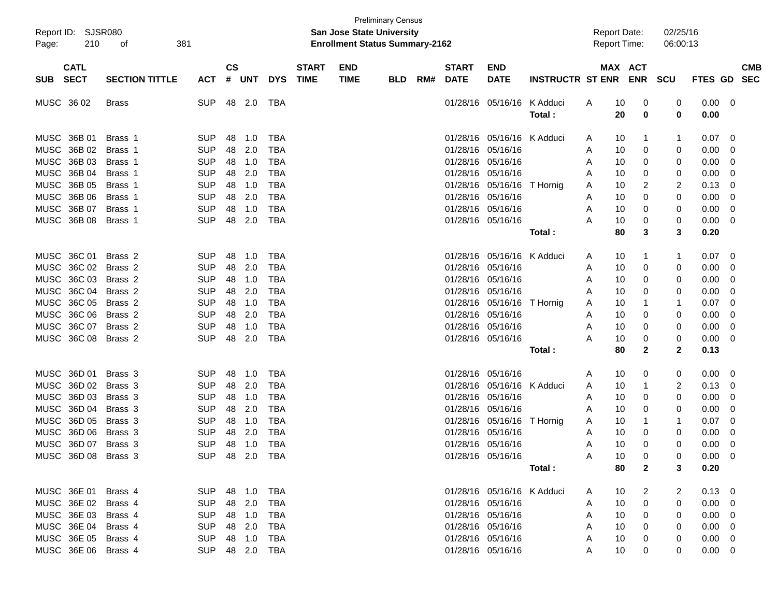| Report ID:<br>210<br>Page:                                                                                                                                           | SJSR080<br>381<br>оf                                                                 |                                                                                                                  |                                              |                                                      |                                                                                                              |                             | <b>San Jose State University</b><br><b>Enrollment Status Summary-2162</b> | <b>Preliminary Census</b> |     |                                                                                                                            |                                                                                                                                     |                                 | <b>Report Date:</b><br>Report Time:  |                                                                                                            | 02/25/16<br>06:00:13                                           |                                                                                       |                                      |            |
|----------------------------------------------------------------------------------------------------------------------------------------------------------------------|--------------------------------------------------------------------------------------|------------------------------------------------------------------------------------------------------------------|----------------------------------------------|------------------------------------------------------|--------------------------------------------------------------------------------------------------------------|-----------------------------|---------------------------------------------------------------------------|---------------------------|-----|----------------------------------------------------------------------------------------------------------------------------|-------------------------------------------------------------------------------------------------------------------------------------|---------------------------------|--------------------------------------|------------------------------------------------------------------------------------------------------------|----------------------------------------------------------------|---------------------------------------------------------------------------------------|--------------------------------------|------------|
| <b>CATL</b><br><b>SECT</b><br><b>SUB</b>                                                                                                                             | <b>SECTION TITTLE</b>                                                                | <b>ACT</b>                                                                                                       | <b>CS</b><br>#                               | <b>UNT</b>                                           | <b>DYS</b>                                                                                                   | <b>START</b><br><b>TIME</b> | <b>END</b><br><b>TIME</b>                                                 | <b>BLD</b>                | RM# | <b>START</b><br><b>DATE</b>                                                                                                | <b>END</b><br><b>DATE</b>                                                                                                           | <b>INSTRUCTR ST ENR</b>         |                                      | MAX ACT                                                                                                    | ENR SCU                                                        | FTES GD SEC                                                                           |                                      | <b>CMB</b> |
| MUSC 36 02                                                                                                                                                           | Brass                                                                                | <b>SUP</b>                                                                                                       |                                              | 48 2.0                                               | TBA                                                                                                          |                             |                                                                           |                           |     |                                                                                                                            | 01/28/16 05/16/16                                                                                                                   | K Adduci<br>Total:              | A                                    | 10<br>0<br>20<br>0                                                                                         | 0<br>0                                                         | 0.00<br>0.00                                                                          | 0                                    |            |
| MUSC 36B 01<br>MUSC 36B 02<br>MUSC 36B 03<br>MUSC 36B 04<br>MUSC 36B 05<br><b>MUSC</b><br>36B 06<br>MUSC 36B 07                                                      | Brass 1<br>Brass 1<br>Brass 1<br>Brass 1<br>Brass 1<br>Brass 1<br>Brass 1            | <b>SUP</b><br><b>SUP</b><br><b>SUP</b><br><b>SUP</b><br><b>SUP</b><br><b>SUP</b><br><b>SUP</b>                   | 48<br>48<br>48<br>48<br>48<br>48<br>48       | 1.0<br>2.0<br>1.0<br>2.0<br>1.0<br>2.0<br>1.0        | <b>TBA</b><br><b>TBA</b><br><b>TBA</b><br><b>TBA</b><br><b>TBA</b><br><b>TBA</b><br><b>TBA</b>               |                             |                                                                           |                           |     | 01/28/16<br>01/28/16<br>01/28/16 05/16/16<br>01/28/16 05/16/16<br>01/28/16<br>01/28/16 05/16/16<br>01/28/16 05/16/16       | 05/16/16 K Adduci<br>05/16/16<br>05/16/16                                                                                           | T Hornig                        | A<br>A<br>A<br>A<br>A<br>A<br>A      | 10<br>1<br>10<br>0<br>10<br>0<br>10<br>0<br>10<br>2<br>10<br>0<br>0<br>10                                  | $\mathbf 1$<br>0<br>0<br>0<br>2<br>0<br>0                      | 0.07<br>0.00<br>0.00<br>0.00<br>0.13<br>0.00<br>0.00                                  | 0<br>0<br>0<br>0<br>0<br>0<br>0      |            |
| MUSC 36B 08                                                                                                                                                          | Brass 1                                                                              | <b>SUP</b>                                                                                                       | 48                                           | 2.0                                                  | <b>TBA</b>                                                                                                   |                             |                                                                           |                           |     | 01/28/16 05/16/16                                                                                                          |                                                                                                                                     | Total:                          | Α                                    | 10<br>0<br>80<br>3                                                                                         | 0<br>3                                                         | 0.00<br>0.20                                                                          | 0                                    |            |
| MUSC 36C 01<br>36C 02<br><b>MUSC</b><br>MUSC 36C 03<br>MUSC 36C 04<br>36C 05<br><b>MUSC</b><br><b>MUSC</b><br>36C 06<br>MUSC 36C 07<br>MUSC 36C 08                   | Brass 2<br>Brass 2<br>Brass 2<br>Brass 2<br>Brass 2<br>Brass 2<br>Brass 2<br>Brass 2 | <b>SUP</b><br><b>SUP</b><br><b>SUP</b><br><b>SUP</b><br><b>SUP</b><br><b>SUP</b><br><b>SUP</b><br><b>SUP</b>     | 48<br>48<br>48<br>48<br>48<br>48<br>48<br>48 | 1.0<br>2.0<br>1.0<br>2.0<br>1.0<br>2.0<br>1.0<br>2.0 | <b>TBA</b><br><b>TBA</b><br><b>TBA</b><br><b>TBA</b><br><b>TBA</b><br><b>TBA</b><br><b>TBA</b><br><b>TBA</b> |                             |                                                                           |                           |     | 01/28/16 05/16/16<br>01/28/16 05/16/16<br>01/28/16 05/16/16<br>01/28/16 05/16/16<br>01/28/16 05/16/16<br>01/28/16 05/16/16 | 01/28/16 05/16/16 K Adduci<br>01/28/16 05/16/16                                                                                     | T Hornig<br>Total :             | A<br>A<br>A<br>A<br>Α<br>A<br>A<br>Α | 10<br>1<br>10<br>0<br>10<br>0<br>10<br>0<br>10<br>1<br>10<br>0<br>10<br>0<br>10<br>0<br>80<br>$\mathbf{2}$ | $\mathbf 1$<br>0<br>0<br>0<br>-1<br>0<br>0<br>0<br>$\mathbf 2$ | 0.07<br>0.00<br>0.00<br>0.00<br>0.07<br>0.00<br>0.00<br>0.00<br>0.13                  | 0<br>0<br>0<br>0<br>0<br>0<br>0<br>0 |            |
| MUSC 36D 01<br><b>MUSC</b><br>36D 02<br><b>MUSC</b><br>36D 03<br>MUSC 36D 04<br><b>MUSC</b><br>36D 05<br><b>MUSC</b><br>36D 06<br>MUSC 36D 07<br>MUSC 36D 08 Brass 3 | Brass 3<br>Brass 3<br>Brass 3<br>Brass 3<br>Brass 3<br>Brass 3<br>Brass 3            | <b>SUP</b><br><b>SUP</b><br><b>SUP</b><br><b>SUP</b><br><b>SUP</b><br><b>SUP</b><br><b>SUP</b><br>SUP 48 2.0 TBA | 48<br>48<br>48<br>48<br>48<br>48<br>48       | 1.0<br>2.0<br>1.0<br>2.0<br>1.0<br>2.0<br>1.0        | <b>TBA</b><br><b>TBA</b><br><b>TBA</b><br><b>TBA</b><br><b>TBA</b><br><b>TBA</b><br><b>TBA</b>               |                             |                                                                           |                           |     | 01/28/16 05/16/16<br>01/28/16<br>01/28/16 05/16/16<br>01/28/16 05/16/16<br>01/28/16 05/16/16<br>01/28/16 05/16/16          | 05/16/16<br>01/28/16 05/16/16<br>01/28/16 05/16/16                                                                                  | K Adduci<br>T Hornig<br>Total : | A<br>A<br>A<br>A<br>A<br>A<br>A<br>A | 10<br>0<br>10<br>1<br>10<br>0<br>10<br>0<br>10<br>1<br>10<br>0<br>10<br>0<br>10<br>0<br>80<br>$\mathbf{2}$ | 0<br>2<br>0<br>0<br>1<br>0<br>0<br>0<br>3                      | 0.00<br>0.13<br>0.00<br>0.00<br>0.07<br>0.00<br>0.00<br>$0.00 \quad 0$<br>0.20        | 0<br>0<br>0<br>0<br>0<br>0<br>0      |            |
| MUSC 36E 01 Brass 4<br>MUSC 36E 02 Brass 4<br>MUSC 36E 03<br>MUSC 36E 04<br>MUSC 36E 05 Brass 4<br>MUSC 36E 06 Brass 4                                               | Brass 4<br>Brass 4                                                                   | SUP 48 1.0 TBA<br><b>SUP</b><br><b>SUP</b><br><b>SUP</b><br><b>SUP</b><br>SUP 48 2.0 TBA                         |                                              | 48 2.0<br>48 1.0<br>48 2.0<br>48 1.0                 | TBA<br>TBA<br>TBA<br>TBA                                                                                     |                             |                                                                           |                           |     |                                                                                                                            | 01/28/16 05/16/16 K Adduci<br>01/28/16 05/16/16<br>01/28/16 05/16/16<br>01/28/16 05/16/16<br>01/28/16 05/16/16<br>01/28/16 05/16/16 |                                 | A<br>A<br>A<br>A<br>A<br>A           | 10<br>2<br>10<br>0<br>10<br>0<br>10<br>0<br>10<br>0<br>10<br>0                                             | 2<br>0<br>0<br>0<br>0<br>0                                     | $0.13 \ 0$<br>$0.00 \t 0$<br>$0.00 \t 0$<br>$0.00 \t 0$<br>$0.00 \t 0$<br>$0.00 \t 0$ |                                      |            |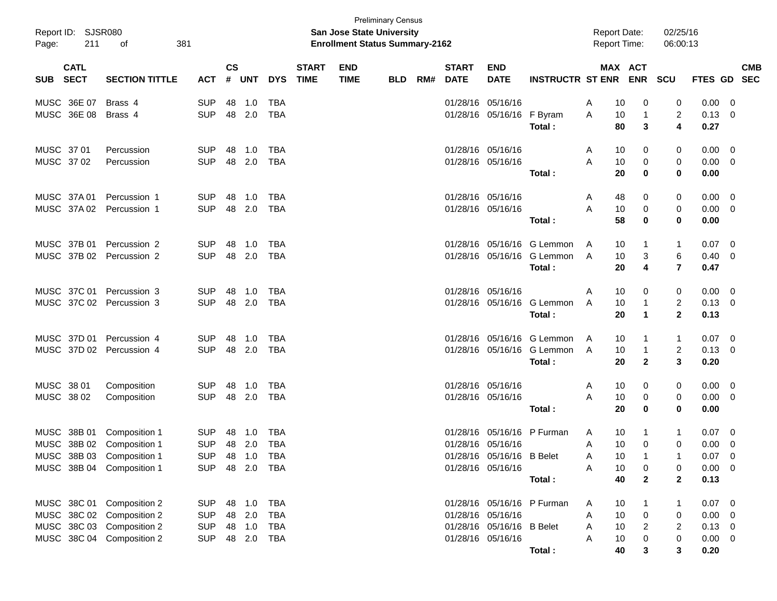| Report ID: SJSR080<br>Page:              | 211<br>of<br>381          |            |                    |        |              |                             | <b>San Jose State University</b><br><b>Enrollment Status Summary-2162</b> | <b>Preliminary Census</b> |     |                             |                           |                            | <b>Report Date:</b><br><b>Report Time:</b> |                       | 02/25/16<br>06:00:13    |                    |                           |
|------------------------------------------|---------------------------|------------|--------------------|--------|--------------|-----------------------------|---------------------------------------------------------------------------|---------------------------|-----|-----------------------------|---------------------------|----------------------------|--------------------------------------------|-----------------------|-------------------------|--------------------|---------------------------|
| <b>CATL</b><br><b>SECT</b><br><b>SUB</b> | <b>SECTION TITTLE</b>     | <b>ACT</b> | $\mathsf{cs}$<br># | UNT    | <b>DYS</b>   | <b>START</b><br><b>TIME</b> | <b>END</b><br><b>TIME</b>                                                 | <b>BLD</b>                | RM# | <b>START</b><br><b>DATE</b> | <b>END</b><br><b>DATE</b> | <b>INSTRUCTR ST ENR</b>    |                                            | MAX ACT<br><b>ENR</b> | SCU                     |                    | <b>CMB</b><br>FTES GD SEC |
| MUSC 36E 07                              | Brass 4                   | <b>SUP</b> | 48                 | 1.0    | TBA          |                             |                                                                           |                           |     |                             | 01/28/16 05/16/16         |                            | 10<br>A                                    | 0                     | 0                       | 0.00               | 0                         |
| MUSC 36E 08                              | Brass 4                   | <b>SUP</b> |                    | 48 2.0 | <b>TBA</b>   |                             |                                                                           |                           |     |                             | 01/28/16 05/16/16         | F Byram<br>Total:          | Α<br>10<br>80                              | 1<br>3                | 2<br>4                  | $0.13 \ 0$<br>0.27 |                           |
| MUSC 37 01                               | Percussion                | <b>SUP</b> | 48                 | 1.0    | TBA          |                             |                                                                           |                           |     |                             | 01/28/16 05/16/16         |                            | 10<br>A                                    | 0                     | 0                       | $0.00 \t 0$        |                           |
| MUSC 3702                                | Percussion                | <b>SUP</b> |                    | 48 2.0 | <b>TBA</b>   |                             |                                                                           |                           |     |                             | 01/28/16 05/16/16         |                            | A<br>10                                    | 0                     | 0                       | $0.00 \t 0$        |                           |
|                                          |                           |            |                    |        |              |                             |                                                                           |                           |     |                             |                           | Total:                     | 20                                         | 0                     | 0                       | 0.00               |                           |
| MUSC 37A 01                              | Percussion 1              | <b>SUP</b> | 48                 | 1.0    | TBA          |                             |                                                                           |                           |     |                             | 01/28/16 05/16/16         |                            | 48<br>A                                    | 0                     | 0                       | $0.00 \t 0$        |                           |
| MUSC 37A02                               | Percussion 1              | <b>SUP</b> |                    | 48 2.0 | <b>TBA</b>   |                             |                                                                           |                           |     |                             | 01/28/16 05/16/16         |                            | A<br>10                                    | 0                     | 0                       | $0.00 \t 0$        |                           |
|                                          |                           |            |                    |        |              |                             |                                                                           |                           |     |                             |                           | Total:                     | 58                                         | 0                     | 0                       | 0.00               |                           |
| MUSC 37B 01                              | Percussion 2              | <b>SUP</b> | 48                 | 1.0    | TBA          |                             |                                                                           |                           |     |                             |                           | 01/28/16 05/16/16 G Lemmon | 10<br>A                                    | $\mathbf 1$           | 1                       | 0.07               | - 0                       |
|                                          | MUSC 37B 02 Percussion 2  | <b>SUP</b> |                    | 48 2.0 | <b>TBA</b>   |                             |                                                                           |                           |     |                             |                           | 01/28/16 05/16/16 G Lemmon | 10<br>A                                    | 3                     | 6                       | 0.40               | 0                         |
|                                          |                           |            |                    |        |              |                             |                                                                           |                           |     |                             |                           | Total:                     | 20                                         | 4                     | $\overline{7}$          | 0.47               |                           |
| MUSC 37C 01                              | Percussion 3              | <b>SUP</b> | 48                 | 1.0    | TBA          |                             |                                                                           |                           |     |                             | 01/28/16 05/16/16         |                            | 10<br>Α                                    | 0                     | 0                       | $0.00 \t 0$        |                           |
|                                          | MUSC 37C 02 Percussion 3  | <b>SUP</b> |                    | 48 2.0 | <b>TBA</b>   |                             |                                                                           |                           |     |                             |                           | 01/28/16 05/16/16 G Lemmon | 10<br>A                                    | $\mathbf 1$           | $\overline{\mathbf{c}}$ | $0.13 \ 0$         |                           |
|                                          |                           |            |                    |        |              |                             |                                                                           |                           |     |                             |                           | Total:                     | 20                                         | $\mathbf 1$           | $\mathbf 2$             | 0.13               |                           |
| MUSC 37D 01                              | Percussion 4              | <b>SUP</b> | 48                 | 1.0    | TBA          |                             |                                                                           |                           |     |                             |                           | 01/28/16 05/16/16 G Lemmon | 10<br>A                                    | $\mathbf 1$           | 1                       | 0.07               | $\overline{\mathbf{0}}$   |
|                                          | MUSC 37D 02 Percussion 4  | <b>SUP</b> |                    | 48 2.0 | <b>TBA</b>   |                             |                                                                           |                           |     |                             |                           | 01/28/16 05/16/16 G Lemmon | 10<br>A                                    | $\mathbf{1}$          | $\overline{\mathbf{c}}$ | 0.13               | - 0                       |
|                                          |                           |            |                    |        |              |                             |                                                                           |                           |     |                             |                           | Total:                     | 20                                         | $\mathbf{2}$          | 3                       | 0.20               |                           |
| MUSC 38 01                               | Composition               | <b>SUP</b> | 48                 | 1.0    | TBA          |                             |                                                                           |                           |     |                             | 01/28/16 05/16/16         |                            | 10<br>A                                    | 0                     | 0                       | $0.00 \t 0$        |                           |
| MUSC 38 02                               | Composition               | <b>SUP</b> | 48                 | 2.0    | TBA          |                             |                                                                           |                           |     |                             | 01/28/16 05/16/16         |                            | 10<br>A                                    | 0                     | 0                       | 0.00               | 0                         |
|                                          |                           |            |                    |        |              |                             |                                                                           |                           |     |                             |                           | Total:                     | 20                                         | 0                     | 0                       | 0.00               |                           |
| MUSC 38B 01                              | Composition 1             | <b>SUP</b> | 48                 | 1.0    | TBA          |                             |                                                                           |                           |     | 01/28/16                    | 05/16/16                  | P Furman                   | 10<br>A                                    | -1                    | 1                       | 0.07               | 0                         |
|                                          | MUSC 38B 02 Composition 1 | <b>SUP</b> |                    | 48 2.0 | TBA          |                             |                                                                           |                           |     |                             | 01/28/16 05/16/16         |                            | 10<br>Α                                    | 0                     | 0                       | 0.00               | 0                         |
|                                          | MUSC 38B 03 Composition 1 | <b>SUP</b> |                    |        | 48  1.0  TBA |                             |                                                                           |                           |     |                             | 01/28/16 05/16/16 B Belet |                            | 10<br>Α                                    | 1                     |                         | $0.07$ 0           |                           |
|                                          | MUSC 38B 04 Composition 1 | <b>SUP</b> |                    |        | 48 2.0 TBA   |                             |                                                                           |                           |     |                             | 01/28/16 05/16/16         |                            | 10<br>Α                                    | 0                     | 0                       | $0.00 \t 0$        |                           |
|                                          |                           |            |                    |        |              |                             |                                                                           |                           |     |                             |                           | Total:                     | 40                                         | $\mathbf{2}$          | $\mathbf 2$             | 0.13               |                           |
|                                          | MUSC 38C 01 Composition 2 | <b>SUP</b> |                    | 48 1.0 | TBA          |                             |                                                                           |                           |     |                             |                           | 01/28/16 05/16/16 P Furman | 10<br>A                                    | -1                    | 1                       | 0.07               | $\overline{\mathbf{0}}$   |
|                                          | MUSC 38C 02 Composition 2 | <b>SUP</b> |                    | 48 2.0 | <b>TBA</b>   |                             |                                                                           |                           |     |                             | 01/28/16 05/16/16         |                            | 10<br>Α                                    | $\boldsymbol{0}$      | 0                       | $0.00 \t 0$        |                           |
|                                          | MUSC 38C 03 Composition 2 | <b>SUP</b> |                    | 48 1.0 | TBA          |                             |                                                                           |                           |     |                             | 01/28/16 05/16/16 B Belet |                            | 10<br>Α                                    | 2                     | 2                       | $0.13 \ 0$         |                           |
|                                          | MUSC 38C 04 Composition 2 | <b>SUP</b> |                    | 48 2.0 | TBA          |                             |                                                                           |                           |     |                             | 01/28/16 05/16/16         |                            | Α<br>10                                    | 0                     | 0                       | $0.00 \t 0$        |                           |
|                                          |                           |            |                    |        |              |                             |                                                                           |                           |     |                             |                           | Total:                     | 40                                         | 3                     | 3                       | 0.20               |                           |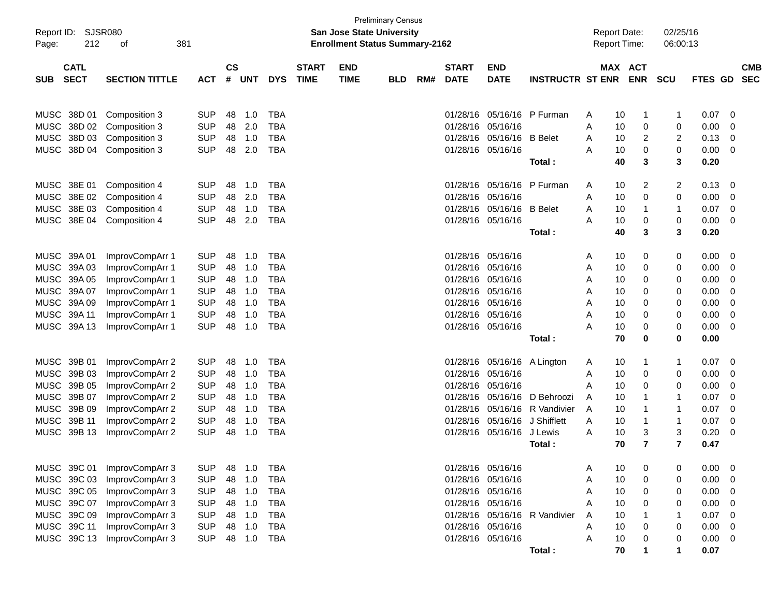| Report ID:                                     | <b>SJSR080</b>                 |                          |               |            |                          |              | <b>San Jose State University</b>      | <b>Preliminary Census</b> |     |                      |                      |                         |        | <b>Report Date:</b> |            | 02/25/16          |              |        |            |
|------------------------------------------------|--------------------------------|--------------------------|---------------|------------|--------------------------|--------------|---------------------------------------|---------------------------|-----|----------------------|----------------------|-------------------------|--------|---------------------|------------|-------------------|--------------|--------|------------|
| Page:                                          | 212<br>οf                      | 381                      |               |            |                          |              | <b>Enrollment Status Summary-2162</b> |                           |     |                      |                      |                         |        | Report Time:        |            | 06:00:13          |              |        |            |
| <b>CATL</b>                                    |                                |                          | $\mathsf{cs}$ |            |                          | <b>START</b> | <b>END</b>                            |                           |     | <b>START</b>         | <b>END</b>           |                         |        | <b>MAX</b>          | <b>ACT</b> |                   |              |        | <b>CMB</b> |
| <b>SECT</b><br><b>SUB</b>                      | <b>SECTION TITTLE</b>          | <b>ACT</b>               | #             | <b>UNT</b> | <b>DYS</b>               | <b>TIME</b>  | <b>TIME</b>                           | <b>BLD</b>                | RM# | <b>DATE</b>          | <b>DATE</b>          | <b>INSTRUCTR ST ENR</b> |        |                     | <b>ENR</b> | <b>SCU</b>        | FTES GD      |        | <b>SEC</b> |
|                                                |                                |                          |               |            |                          |              |                                       |                           |     |                      |                      |                         |        |                     |            |                   |              |        |            |
| 38D 01<br><b>MUSC</b><br>38D 02<br><b>MUSC</b> | Composition 3<br>Composition 3 | <b>SUP</b><br><b>SUP</b> | 48<br>48      | 1.0<br>2.0 | <b>TBA</b><br><b>TBA</b> |              |                                       |                           |     | 01/28/16<br>01/28/16 | 05/16/16<br>05/16/16 | P Furman                | A<br>Α | 10<br>10            | 1<br>0     | 1<br>0            | 0.07<br>0.00 | 0<br>0 |            |
| <b>MUSC</b><br>38D 03                          | Composition 3                  | <b>SUP</b>               | 48            | 1.0        | <b>TBA</b>               |              |                                       |                           |     | 01/28/16             | 05/16/16             | <b>B</b> Belet          | A      | 10                  | 2          | $\overline{c}$    | 0.13         | 0      |            |
| <b>MUSC</b><br>38D 04                          | Composition 3                  | <b>SUP</b>               | 48            | 2.0        | <b>TBA</b>               |              |                                       |                           |     |                      | 01/28/16 05/16/16    |                         | A      | 10                  | 0          | 0                 | 0.00         | 0      |            |
|                                                |                                |                          |               |            |                          |              |                                       |                           |     |                      |                      | Total:                  |        | 40                  | 3          | 3                 | 0.20         |        |            |
|                                                |                                |                          |               |            |                          |              |                                       |                           |     |                      |                      |                         |        |                     |            |                   |              |        |            |
| <b>MUSC</b><br>38E 01                          | Composition 4                  | <b>SUP</b>               | 48            | 1.0        | <b>TBA</b>               |              |                                       |                           |     | 01/28/16             | 05/16/16             | P Furman                | Α      | 10                  | 2          | $\overline{c}$    | 0.13         | 0      |            |
| 38E 02<br><b>MUSC</b><br><b>MUSC</b><br>38E 03 | Composition 4<br>Composition 4 | <b>SUP</b><br><b>SUP</b> | 48<br>48      | 2.0<br>1.0 | <b>TBA</b><br><b>TBA</b> |              |                                       |                           |     | 01/28/16<br>01/28/16 | 05/16/16<br>05/16/16 | <b>B</b> Belet          | Α<br>A | 10<br>10            | 0<br>1     | 0<br>$\mathbf{1}$ | 0.00<br>0.07 | 0<br>0 |            |
| <b>MUSC</b><br>38E 04                          | Composition 4                  | <b>SUP</b>               | 48            | 2.0        | <b>TBA</b>               |              |                                       |                           |     |                      | 01/28/16 05/16/16    |                         | А      | 10                  | 0          | 0                 | 0.00         | 0      |            |
|                                                |                                |                          |               |            |                          |              |                                       |                           |     |                      |                      | Total:                  |        | 40                  | 3          | 3                 | 0.20         |        |            |
|                                                |                                |                          |               |            |                          |              |                                       |                           |     |                      |                      |                         |        |                     |            |                   |              |        |            |
| <b>MUSC</b><br>39A 01                          | ImprovCompArr 1                | <b>SUP</b>               | 48            | 1.0        | <b>TBA</b>               |              |                                       |                           |     | 01/28/16             | 05/16/16             |                         | Α      | 10                  | 0          | 0                 | 0.00         | 0      |            |
| <b>MUSC</b><br>39A03                           | ImprovCompArr 1                | <b>SUP</b>               | 48            | 1.0        | <b>TBA</b>               |              |                                       |                           |     | 01/28/16             | 05/16/16             |                         | Α      | 10                  | 0          | 0                 | 0.00         | 0      |            |
| <b>MUSC</b><br>39A 05                          | ImprovCompArr 1                | <b>SUP</b>               | 48            | 1.0        | <b>TBA</b>               |              |                                       |                           |     | 01/28/16             | 05/16/16             |                         | Α      | 10                  | 0          | 0                 | 0.00         | 0      |            |
| <b>MUSC</b><br>39A 07                          | ImprovCompArr 1                | <b>SUP</b>               | 48            | 1.0        | <b>TBA</b>               |              |                                       |                           |     | 01/28/16             | 05/16/16             |                         | Α      | 10                  | 0          | 0                 | 0.00         | 0      |            |
| <b>MUSC</b><br>39A09                           | ImprovCompArr 1                | <b>SUP</b>               | 48            | 1.0        | <b>TBA</b>               |              |                                       |                           |     | 01/28/16             | 05/16/16             |                         | Α      | 10                  | 0          | 0                 | 0.00         | 0      |            |
| <b>MUSC</b><br>39A 11                          | ImprovCompArr 1                | <b>SUP</b>               | 48            | 1.0        | <b>TBA</b>               |              |                                       |                           |     | 01/28/16             | 05/16/16             |                         | A      | 10                  | 0          | 0                 | 0.00         | 0      |            |
| <b>MUSC</b><br>39A 13                          | ImprovCompArr 1                | <b>SUP</b>               | 48            | 1.0        | <b>TBA</b>               |              |                                       |                           |     |                      | 01/28/16 05/16/16    |                         | А      | 10                  | 0          | 0                 | 0.00         | 0      |            |
|                                                |                                |                          |               |            |                          |              |                                       |                           |     |                      |                      | Total:                  |        | 70                  | 0          | 0                 | 0.00         |        |            |
| <b>MUSC</b><br>39B 01                          | ImprovCompArr 2                | <b>SUP</b>               | 48            | 1.0        | <b>TBA</b>               |              |                                       |                           |     | 01/28/16             | 05/16/16             | A Lington               | A      | 10                  | 1          | 1                 | 0.07         | 0      |            |
| <b>MUSC</b><br>39B 03                          | ImprovCompArr 2                | <b>SUP</b>               | 48            | 1.0        | <b>TBA</b>               |              |                                       |                           |     | 01/28/16             | 05/16/16             |                         | A      | 10                  | 0          | 0                 | 0.00         | 0      |            |
| <b>MUSC</b><br>39B 05                          | ImprovCompArr 2                | <b>SUP</b>               | 48            | 1.0        | <b>TBA</b>               |              |                                       |                           |     | 01/28/16             | 05/16/16             |                         | A      | 10                  | 0          | 0                 | 0.00         | 0      |            |
| <b>MUSC</b><br>39B 07                          | ImprovCompArr 2                | <b>SUP</b>               | 48            | 1.0        | <b>TBA</b>               |              |                                       |                           |     | 01/28/16             | 05/16/16             | D Behroozi              | A      | 10                  | 1          | $\mathbf 1$       | 0.07         | 0      |            |
| <b>MUSC</b><br>39B 09                          | ImprovCompArr 2                | <b>SUP</b>               | 48            | 1.0        | <b>TBA</b>               |              |                                       |                           |     | 01/28/16             | 05/16/16             | R Vandivier             | A      | 10                  | 1          | $\mathbf 1$       | 0.07         | 0      |            |
| <b>MUSC</b><br>39B 11                          | ImprovCompArr 2                | <b>SUP</b>               | 48            | 1.0        | <b>TBA</b>               |              |                                       |                           |     | 01/28/16             | 05/16/16             | J Shifflett             | A      | 10                  | 1          | 1                 | 0.07         | 0      |            |
| <b>MUSC</b><br>39B 13                          | ImprovCompArr 2                | <b>SUP</b>               | 48            | 1.0        | <b>TBA</b>               |              |                                       |                           |     | 01/28/16             | 05/16/16             | J Lewis                 | A      | 10                  | 3          | 3                 | 0.20         | 0      |            |
|                                                |                                |                          |               |            |                          |              |                                       |                           |     |                      |                      | Total:                  |        | 70                  | 7          | $\overline{7}$    | 0.47         |        |            |
| MUSC 39C 01                                    | ImprovCompArr 3                | <b>SUP</b>               | 48            | 1.0        | <b>TBA</b>               |              |                                       |                           |     |                      | 01/28/16 05/16/16    |                         | Α      | 10                  | 0          | 0                 | 0.00         | 0      |            |
| MUSC 39C 03                                    | ImprovCompArr 3                | <b>SUP</b>               | 48            | 1.0        | <b>TBA</b>               |              |                                       |                           |     |                      | 01/28/16 05/16/16    |                         | Α      | 10                  | 0          | 0                 | 0.00         | 0      |            |
| MUSC 39C 05                                    | ImprovCompArr 3                | <b>SUP</b>               | 48            | 1.0        | <b>TBA</b>               |              |                                       |                           |     |                      | 01/28/16 05/16/16    |                         | Α      | 10                  | 0          | 0                 | 0.00         | 0      |            |
| MUSC 39C 07                                    | ImprovCompArr 3                | <b>SUP</b>               | 48            | 1.0        | <b>TBA</b>               |              |                                       |                           |     |                      | 01/28/16 05/16/16    |                         | A      | 10                  | 0          | 0                 | 0.00         | 0      |            |
| MUSC 39C 09                                    | ImprovCompArr 3                | <b>SUP</b>               | 48            | 1.0        | <b>TBA</b>               |              |                                       |                           |     |                      | 01/28/16 05/16/16    | R Vandivier             | A      | 10                  | 1          | 1                 | 0.07         | 0      |            |
| MUSC 39C 11                                    | ImprovCompArr 3                | <b>SUP</b>               | 48            | 1.0        | <b>TBA</b>               |              |                                       |                           |     |                      | 01/28/16 05/16/16    |                         | A      | 10                  | 0          | 0                 | 0.00         | 0      |            |
| MUSC 39C 13                                    | ImprovCompArr 3                | <b>SUP</b>               | 48            | 1.0        | <b>TBA</b>               |              |                                       |                           |     |                      | 01/28/16 05/16/16    |                         | Α      | 10                  | 0          | 0                 | 0.00         | 0      |            |
|                                                |                                |                          |               |            |                          |              |                                       |                           |     |                      |                      | Total:                  |        | 70                  |            |                   | 0.07         |        |            |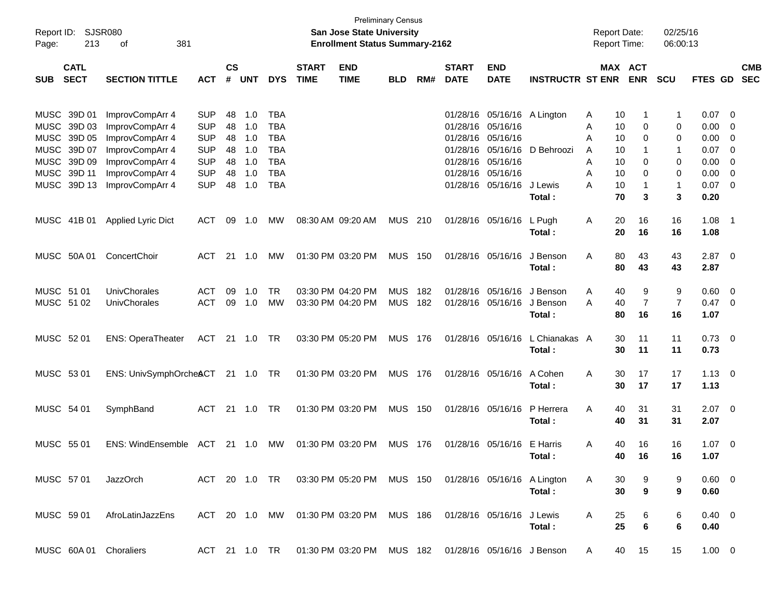| Report ID:<br>213<br>Page:                                                                       | SJSR080<br>381<br>οf                                                     |                                                      |                      |                          |                                                      |                             | San Jose State University<br><b>Enrollment Status Summary-2162</b>         | <b>Preliminary Census</b> |            |                                  |                                                       |                                |                  |                      | <b>Report Date:</b><br><b>Report Time:</b> | 02/25/16<br>06:00:13       |                                |                            |                          |
|--------------------------------------------------------------------------------------------------|--------------------------------------------------------------------------|------------------------------------------------------|----------------------|--------------------------|------------------------------------------------------|-----------------------------|----------------------------------------------------------------------------|---------------------------|------------|----------------------------------|-------------------------------------------------------|--------------------------------|------------------|----------------------|--------------------------------------------|----------------------------|--------------------------------|----------------------------|--------------------------|
| <b>CATL</b><br><b>SECT</b><br><b>SUB</b>                                                         | <b>SECTION TITTLE</b>                                                    | <b>ACT</b>                                           | $\mathsf{cs}$<br>#   | <b>UNT</b>               | <b>DYS</b>                                           | <b>START</b><br><b>TIME</b> | <b>END</b><br><b>TIME</b>                                                  | <b>BLD</b>                | RM#        | <b>START</b><br><b>DATE</b>      | <b>END</b><br><b>DATE</b>                             | <b>INSTRUCTR ST ENR</b>        |                  |                      | MAX ACT<br><b>ENR</b>                      | <b>SCU</b>                 | FTES GD                        |                            | <b>CMB</b><br><b>SEC</b> |
| MUSC 39D 01<br><b>MUSC</b><br>39D 03                                                             | ImprovCompArr 4<br>ImprovCompArr 4                                       | <b>SUP</b><br><b>SUP</b>                             | 48<br>48             | 1.0<br>1.0               | <b>TBA</b><br><b>TBA</b>                             |                             |                                                                            |                           |            | 01/28/16                         | 01/28/16 05/16/16<br>05/16/16                         | A Lington                      | Α<br>Α           | 10<br>10             | 0                                          | $\mathbf 1$<br>0           | 0.07<br>0.00                   | - 0<br>0                   |                          |
| 39D 05<br><b>MUSC</b><br>39D 07<br><b>MUSC</b><br>39D 09<br><b>MUSC</b><br>39D 11<br><b>MUSC</b> | ImprovCompArr 4<br>ImprovCompArr 4<br>ImprovCompArr 4<br>ImprovCompArr 4 | <b>SUP</b><br><b>SUP</b><br><b>SUP</b><br><b>SUP</b> | 48<br>48<br>48<br>48 | 1.0<br>1.0<br>1.0<br>1.0 | <b>TBA</b><br><b>TBA</b><br><b>TBA</b><br><b>TBA</b> |                             |                                                                            |                           |            | 01/28/16<br>01/28/16<br>01/28/16 | 05/16/16<br>01/28/16 05/16/16<br>05/16/16<br>05/16/16 | D Behroozi                     | A<br>A<br>A<br>A | 10<br>10<br>10<br>10 | 0<br>0<br>0                                | 0<br>$\mathbf 1$<br>0<br>0 | 0.00<br>0.07<br>0.00<br>0.00   | 0<br>0<br>0<br>$\mathbf 0$ |                          |
| MUSC 39D 13                                                                                      | ImprovCompArr 4                                                          | <b>SUP</b>                                           | 48                   | 1.0                      | <b>TBA</b>                                           |                             |                                                                            |                           |            |                                  | 01/28/16 05/16/16                                     | J Lewis<br>Total:              | A                | 10<br>70             | 3                                          | $\overline{1}$<br>3        | 0.07<br>0.20                   | $\overline{\phantom{0}}$   |                          |
| MUSC 41B 01                                                                                      | <b>Applied Lyric Dict</b>                                                | <b>ACT</b>                                           | 09                   | 1.0                      | МW                                                   |                             | 08:30 AM 09:20 AM                                                          | <b>MUS</b>                | 210        |                                  | 01/28/16 05/16/16                                     | L Pugh<br>Total:               | A                | 20<br>20             | 16<br>16                                   | 16<br>16                   | 1.08<br>1.08                   | - 1                        |                          |
| MUSC 50A 01                                                                                      | ConcertChoir                                                             | <b>ACT</b>                                           |                      | 21 1.0                   | МW                                                   |                             | 01:30 PM 03:20 PM                                                          | <b>MUS</b>                | 150        |                                  | 01/28/16 05/16/16                                     | J Benson<br>Total:             | Α                | 80<br>80             | 43<br>43                                   | 43<br>43                   | $2.87$ 0<br>2.87               |                            |                          |
| MUSC 51 01<br>MUSC 51 02                                                                         | UnivChorales<br>UnivChorales                                             | <b>ACT</b><br><b>ACT</b>                             | 09<br>09             | 1.0<br>1.0               | <b>TR</b><br>MW                                      |                             | 03:30 PM 04:20 PM<br>03:30 PM 04:20 PM                                     | <b>MUS</b><br><b>MUS</b>  | 182<br>182 |                                  | 01/28/16 05/16/16<br>01/28/16 05/16/16                | J Benson<br>J Benson<br>Total: | Α<br>A           | 40<br>40<br>80       | 9<br>$\overline{7}$<br>16                  | 9<br>$\overline{7}$<br>16  | 0.60<br>$0.47 \quad 0$<br>1.07 | 0                          |                          |
| MUSC 52 01                                                                                       | <b>ENS: OperaTheater</b>                                                 | <b>ACT</b>                                           |                      | $21 \t 1.0$              | TR                                                   |                             | 03:30 PM 05:20 PM                                                          | <b>MUS</b>                | 176        |                                  | 01/28/16 05/16/16                                     | L Chianakas A<br>Total:        |                  | 30<br>30             | 11<br>11                                   | 11<br>11                   | 0.73<br>0.73                   | $\overline{\phantom{0}}$   |                          |
| MUSC 53 01                                                                                       | ENS: UnivSymphOrcheACT                                                   |                                                      |                      | $21 \t 1.0$              | TR                                                   |                             | 01:30 PM 03:20 PM                                                          | MUS 176                   |            |                                  | 01/28/16 05/16/16                                     | A Cohen<br>Total:              | A                | 30<br>30             | 17<br>17                                   | 17<br>17                   | $1.13 \ 0$<br>1.13             |                            |                          |
| MUSC 54 01                                                                                       | SymphBand                                                                | <b>ACT</b>                                           |                      | $21 \t 1.0$              | <b>TR</b>                                            |                             | 01:30 PM 03:20 PM                                                          | <b>MUS</b>                | 150        |                                  | 01/28/16 05/16/16                                     | P Herrera<br>Total:            | A                | 40<br>40             | 31<br>31                                   | 31<br>31                   | $2.07$ 0<br>2.07               |                            |                          |
| MUSC 55 01                                                                                       | <b>ENS: WindEnsemble</b>                                                 | ACT                                                  |                      | 21 1.0                   | МW                                                   |                             | 01:30 PM 03:20 PM                                                          | <b>MUS</b>                | 176        |                                  | 01/28/16 05/16/16                                     | E Harris<br>Total:             | Α                | 40<br>4በ             | 16<br>16                                   | 16<br>16                   | 1.07<br>1.07                   | $\overline{\mathbf{0}}$    |                          |
| MUSC 57 01                                                                                       | JazzOrch                                                                 |                                                      |                      |                          |                                                      |                             | ACT 20 1.0 TR  03:30 PM  05:20 PM  MUS  150  01/28/16  05/16/16  A Lington |                           |            |                                  |                                                       | Total:                         | A                | 30<br>30             | 9<br>9                                     | 9<br>9                     | $0.60 \quad 0$<br>0.60         |                            |                          |
| MUSC 59 01                                                                                       | AfroLatinJazzEns                                                         |                                                      |                      |                          |                                                      |                             | ACT 20 1.0 MW 01:30 PM 03:20 PM MUS 186 01/28/16 05/16/16 J Lewis          |                           |            |                                  |                                                       | Total:                         | A                | 25<br>25             | 6<br>6                                     | 6<br>6                     | $0.40 \quad 0$<br>0.40         |                            |                          |
| MUSC 60A 01 Choraliers                                                                           |                                                                          |                                                      |                      |                          |                                                      |                             | ACT 21 1.0 TR  01:30 PM  03:20 PM  MUS  182  01/28/16  05/16/16  J Benson  |                           |            |                                  |                                                       |                                | A                | 40                   | 15                                         | 15                         | $1.00 \t 0$                    |                            |                          |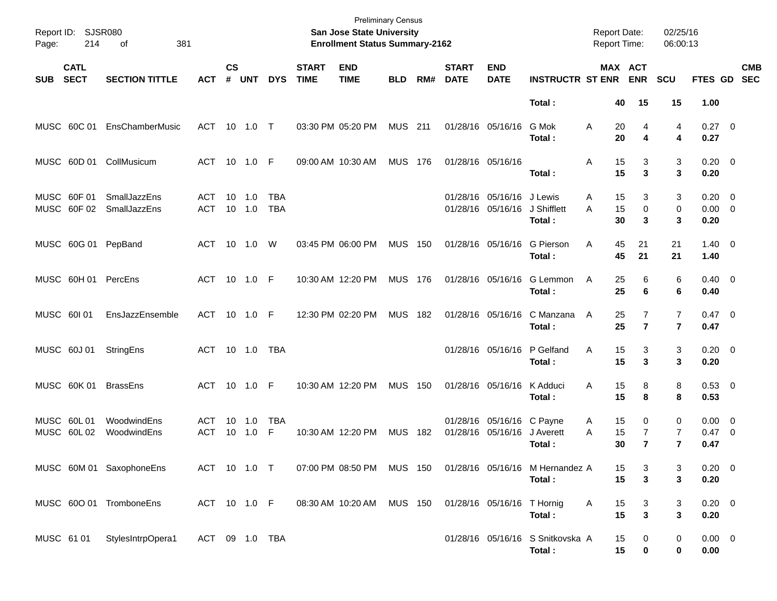| Page:      | Report ID: SJSR080<br>214  | 381<br>оf                    |                          |                |               |                          |                             | <b>Preliminary Census</b><br>San Jose State University<br><b>Enrollment Status Summary-2162</b> |                |     |                             |                                                |                                            | <b>Report Date:</b><br><b>Report Time:</b> |                                                         | 02/25/16<br>06:00:13             |                                          |                          |
|------------|----------------------------|------------------------------|--------------------------|----------------|---------------|--------------------------|-----------------------------|-------------------------------------------------------------------------------------------------|----------------|-----|-----------------------------|------------------------------------------------|--------------------------------------------|--------------------------------------------|---------------------------------------------------------|----------------------------------|------------------------------------------|--------------------------|
| <b>SUB</b> | <b>CATL</b><br><b>SECT</b> | <b>SECTION TITTLE</b>        | <b>ACT</b>               | <b>CS</b><br># | <b>UNT</b>    | <b>DYS</b>               | <b>START</b><br><b>TIME</b> | <b>END</b><br><b>TIME</b>                                                                       | <b>BLD</b>     | RM# | <b>START</b><br><b>DATE</b> | <b>END</b><br><b>DATE</b>                      | <b>INSTRUCTR ST ENR</b>                    |                                            | MAX ACT<br><b>ENR</b>                                   | SCU                              | FTES GD                                  | <b>CMB</b><br><b>SEC</b> |
|            |                            |                              |                          |                |               |                          |                             |                                                                                                 |                |     |                             |                                                | Total:                                     |                                            | 15<br>40                                                | 15                               | 1.00                                     |                          |
|            | MUSC 60C 01                | EnsChamberMusic              | ACT 10 1.0 T             |                |               |                          |                             | 03:30 PM 05:20 PM                                                                               | <b>MUS</b> 211 |     |                             | 01/28/16 05/16/16                              | G Mok<br>Total:                            | A                                          | 20<br>4<br>20<br>4                                      | 4<br>4                           | $0.27$ 0<br>0.27                         |                          |
|            |                            | MUSC 60D 01 CollMusicum      | ACT 10 1.0 F             |                |               |                          |                             | 09:00 AM 10:30 AM                                                                               | <b>MUS 176</b> |     | 01/28/16 05/16/16           |                                                | Total:                                     | A                                          | 15<br>3<br>15<br>3                                      | 3<br>3                           | $0.20 \ 0$<br>0.20                       |                          |
|            | MUSC 60F 01<br>MUSC 60F 02 | SmallJazzEns<br>SmallJazzEns | ACT<br><b>ACT</b>        | 10             | 1.0<br>10 1.0 | <b>TBA</b><br><b>TBA</b> |                             |                                                                                                 |                |     |                             | 01/28/16 05/16/16<br>01/28/16 05/16/16         | J Lewis<br>J Shifflett<br>Total:           | A<br>A                                     | 15<br>3<br>15<br>$\mathbf 0$<br>30<br>3                 | 3<br>0<br>3                      | $0.20 \ 0$<br>$0.00 \t 0$<br>0.20        |                          |
|            |                            | MUSC 60G 01 PepBand          | ACT 10 1.0               |                |               | W                        |                             | 03:45 PM 06:00 PM                                                                               | <b>MUS</b>     | 150 |                             | 01/28/16 05/16/16                              | G Pierson<br>Total:                        | Α                                          | 45<br>21<br>45<br>21                                    | 21<br>21                         | $1.40 \quad 0$<br>1.40                   |                          |
|            |                            | MUSC 60H 01 PercEns          | ACT 10 1.0 F             |                |               |                          |                             | 10:30 AM 12:20 PM                                                                               | <b>MUS 176</b> |     |                             | 01/28/16 05/16/16                              | G Lemmon<br>Total:                         | A                                          | 25<br>6<br>25<br>6                                      | 6<br>6                           | $0.40 \quad 0$<br>0.40                   |                          |
| MUSC 60101 |                            | EnsJazzEnsemble              | ACT 10 1.0 F             |                |               |                          |                             | 12:30 PM 02:20 PM                                                                               | <b>MUS</b>     | 182 |                             | 01/28/16 05/16/16                              | C Manzana<br>Total:                        | A                                          | 25<br>7<br>25<br>$\overline{\mathbf{r}}$                | $\overline{7}$<br>$\overline{7}$ | $0.47 \quad 0$<br>0.47                   |                          |
|            | MUSC 60J 01                | StringEns                    | ACT 10 1.0               |                |               | TBA                      |                             |                                                                                                 |                |     |                             | 01/28/16 05/16/16                              | P Gelfand<br>Total:                        | A                                          | 15<br>3<br>15<br>3                                      | 3<br>3                           | $0.20 \ 0$<br>0.20                       |                          |
|            | MUSC 60K 01                | <b>BrassEns</b>              | ACT 10 1.0 F             |                |               |                          |                             | 10:30 AM 12:20 PM                                                                               | <b>MUS</b>     | 150 |                             | 01/28/16 05/16/16                              | K Adduci<br>Total:                         | A                                          | 15<br>8<br>15<br>8                                      | 8<br>8                           | 0.53 0<br>0.53                           |                          |
|            | MUSC 60L01<br>MUSC 60L02   | WoodwindEns<br>WoodwindEns   | <b>ACT</b><br><b>ACT</b> | 10<br>10       | 1.0<br>1.0    | <b>TBA</b><br>F          |                             | 10:30 AM 12:20 PM                                                                               | <b>MUS</b>     | 182 |                             | 01/28/16 05/16/16 C Payne<br>01/28/16 05/16/16 | J Averett<br>Total:                        | A<br>A                                     | 15<br>0<br>15<br>$\overline{7}$<br>$\overline{7}$<br>30 | 0<br>7<br>$\overline{7}$         | $0.00 \quad 0$<br>$0.47 \quad 0$<br>0.47 |                          |
|            |                            | MUSC 60M 01 SaxophoneEns     | ACT 10 1.0 T             |                |               |                          |                             | 07:00 PM 08:50 PM MUS 150                                                                       |                |     |                             |                                                | 01/28/16 05/16/16 M Hernandez A<br>Total:  |                                            | 15<br>3<br>$\mathbf{3}$<br>15                           | 3<br>3                           | $0.20 \ 0$<br>0.20                       |                          |
|            |                            | MUSC 60O 01 TromboneEns      | ACT 10 1.0 F             |                |               |                          |                             | 08:30 AM 10:20 AM                                                                               | <b>MUS 150</b> |     |                             | 01/28/16 05/16/16 T Hornig                     | Total:                                     | A                                          | 15<br>3<br>15<br>$\mathbf 3$                            | 3<br>3                           | $0.20 \ 0$<br>0.20                       |                          |
| MUSC 61 01 |                            | StylesIntrpOpera1            | ACT 09 1.0 TBA           |                |               |                          |                             |                                                                                                 |                |     |                             |                                                | 01/28/16 05/16/16 S Snitkovska A<br>Total: |                                            | 15<br>0<br>15<br>0                                      | 0<br>0                           | $0.00 \t 0$<br>0.00                      |                          |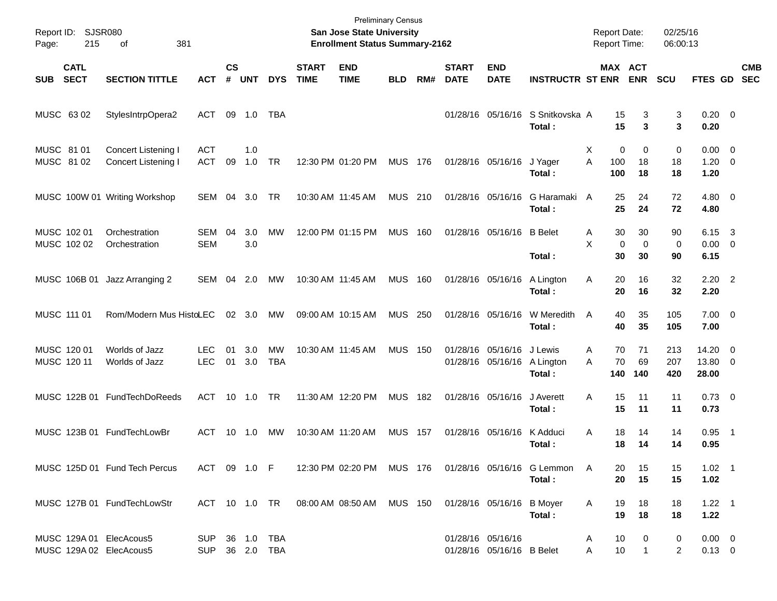| Page:      | Report ID: SJSR080<br>215  | 381<br>of                                          |                   |                    |            |                  |                             | <b>Preliminary Census</b><br>San Jose State University<br><b>Enrollment Status Summary-2162</b> |                |       |                             |                                                |                                                                  | <b>Report Date:</b><br>Report Time: |                         | 02/25/16<br>06:00:13 |                                    |                         |                          |
|------------|----------------------------|----------------------------------------------------|-------------------|--------------------|------------|------------------|-----------------------------|-------------------------------------------------------------------------------------------------|----------------|-------|-----------------------------|------------------------------------------------|------------------------------------------------------------------|-------------------------------------|-------------------------|----------------------|------------------------------------|-------------------------|--------------------------|
| <b>SUB</b> | <b>CATL</b><br><b>SECT</b> | <b>SECTION TITTLE</b>                              | <b>ACT</b>        | $\mathsf{cs}$<br># | <b>UNT</b> | <b>DYS</b>       | <b>START</b><br><b>TIME</b> | <b>END</b><br><b>TIME</b>                                                                       | <b>BLD</b>     | RM#   | <b>START</b><br><b>DATE</b> | <b>END</b><br><b>DATE</b>                      | <b>INSTRUCTR ST ENR</b>                                          | MAX ACT                             | <b>ENR</b>              | <b>SCU</b>           | FTES GD                            |                         | <b>CMB</b><br><b>SEC</b> |
|            | MUSC 6302                  | StylesIntrpOpera2                                  | ACT               | 09                 | 1.0        | TBA              |                             |                                                                                                 |                |       |                             | 01/28/16 05/16/16                              | S Snitkovska A<br>Total:                                         | 15<br>15                            | 3<br>3                  | 3<br>3               | $0.20 \ 0$<br>0.20                 |                         |                          |
| MUSC 81 01 | MUSC 81 02                 | Concert Listening I<br>Concert Listening I         | <b>ACT</b><br>ACT | 09                 | 1.0<br>1.0 | <b>TR</b>        |                             | 12:30 PM 01:20 PM                                                                               | <b>MUS 176</b> |       |                             | 01/28/16 05/16/16                              | J Yager<br>Total:                                                | 0<br>X<br>A<br>100<br>100           | 0<br>18<br>18           | 0<br>18<br>18        | $0.00 \t 0$<br>$1.20 \t 0$<br>1.20 |                         |                          |
|            |                            | MUSC 100W 01 Writing Workshop                      | SEM               | 04                 | 3.0        | TR               |                             | 10:30 AM 11:45 AM                                                                               | MUS 210        |       |                             | 01/28/16 05/16/16                              | G Haramaki A<br>Total:                                           | 25<br>25                            | 24<br>24                | 72<br>72             | $4.80$ 0<br>4.80                   |                         |                          |
|            | MUSC 102 01<br>MUSC 102 02 | Orchestration<br>Orchestration                     | SEM<br><b>SEM</b> | 04                 | 3.0<br>3.0 | MW               |                             | 12:00 PM 01:15 PM                                                                               | <b>MUS</b>     | 160   |                             | 01/28/16 05/16/16                              | <b>B</b> Belet<br>Total:                                         | 30<br>A<br>X<br>$\mathbf 0$<br>30   | 30<br>$\mathbf 0$<br>30 | 90<br>0<br>90        | 6.15<br>$0.00 \t 0$<br>6.15        | $\overline{\mathbf{3}}$ |                          |
|            | MUSC 106B 01               | Jazz Arranging 2                                   | SEM               | 04                 | 2.0        | MW               |                             | 10:30 AM 11:45 AM                                                                               | MUS            | 160   |                             | 01/28/16 05/16/16                              | A Lington<br>Total:                                              | Α<br>20<br>20                       | 16<br>16                | 32<br>32             | $2.20$ 2<br>2.20                   |                         |                          |
|            | MUSC 111 01                | Rom/Modern Mus HistoLEC                            |                   |                    | 02 3.0     | MW               |                             | 09:00 AM 10:15 AM                                                                               | MUS            | - 250 |                             | 01/28/16 05/16/16                              | W Meredith<br>Total:                                             | 40<br>A<br>40                       | 35<br>35                | 105<br>105           | $7.00 \t 0$<br>7.00                |                         |                          |
|            | MUSC 120 01<br>MUSC 120 11 | Worlds of Jazz<br>Worlds of Jazz                   | LEC<br><b>LEC</b> | 01<br>01           | 3.0<br>3.0 | МW<br><b>TBA</b> |                             | 10:30 AM 11:45 AM                                                                               | <b>MUS</b>     | - 150 |                             | 01/28/16 05/16/16<br>01/28/16 05/16/16         | J Lewis<br>A Lington<br>Total:                                   | 70<br>Α<br>70<br>A<br>140           | 71<br>69<br>140         | 213<br>207<br>420    | 14.20<br>13.80 0<br>28.00          | - 0                     |                          |
|            |                            | MUSC 122B 01 FundTechDoReeds                       | ACT               |                    | 10 1.0     | <b>TR</b>        |                             | 11:30 AM 12:20 PM                                                                               | <b>MUS</b>     | 182   |                             | 01/28/16 05/16/16                              | J Averett<br>Total:                                              | A<br>15<br>15                       | 11<br>11                | 11<br>11             | $0.73 \quad 0$<br>0.73             |                         |                          |
|            |                            | MUSC 123B 01 FundTechLowBr                         | ACT               | 10                 | 1.0        | MW               |                             | 10:30 AM 11:20 AM                                                                               | <b>MUS</b>     | 157   |                             | 01/28/16 05/16/16                              | K Adduci<br>Total:                                               | Α<br>18<br>18                       | 14<br>14                | 14<br>14             | 0.95<br>0.95                       | - 1                     |                          |
|            |                            | MUSC 125D 01 Fund Tech Percus                      | ACT 09 1.0 F      |                    |            |                  |                             |                                                                                                 |                |       |                             |                                                | 12:30 PM 02:20 PM MUS 176 01/28/16 05/16/16 G Lemmon A<br>Total: | 20<br>20                            | 15<br>15                | 15<br>15             | $1.02$ 1<br>1.02                   |                         |                          |
|            |                            | MUSC 127B 01 FundTechLowStr                        |                   |                    |            |                  |                             | ACT 10 1.0 TR  08:00 AM  08:50 AM  MUS  150                                                     |                |       |                             | 01/28/16 05/16/16 B Moyer                      | Total:                                                           | Α<br>19<br>19                       | 18<br>18                | 18<br>18             | $1.22$ 1<br>1.22                   |                         |                          |
|            |                            | MUSC 129A 01 ElecAcous5<br>MUSC 129A 02 ElecAcous5 | SUP 36 1.0 TBA    |                    |            | SUP 36 2.0 TBA   |                             |                                                                                                 |                |       |                             | 01/28/16 05/16/16<br>01/28/16 05/16/16 B Belet |                                                                  | 10<br>A<br>A<br>10                  | 0<br>$\mathbf{1}$       | 0<br>2               | $0.00 \t 0$<br>$0.13 \ 0$          |                         |                          |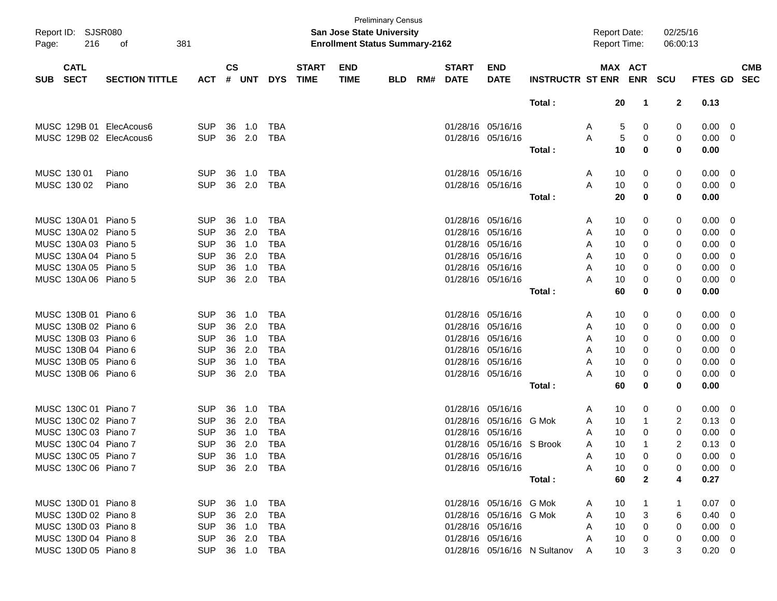| Page:      | Report ID: SJSR080<br>216  | 381<br>оf               |                |                    |              |            |                             | <b>San Jose State University</b><br><b>Enrollment Status Summary-2162</b> | <b>Preliminary Census</b> |     |                             |                           |                              | <b>Report Date:</b><br>Report Time: |                    | 02/25/16<br>06:00:13 |                |                          |
|------------|----------------------------|-------------------------|----------------|--------------------|--------------|------------|-----------------------------|---------------------------------------------------------------------------|---------------------------|-----|-----------------------------|---------------------------|------------------------------|-------------------------------------|--------------------|----------------------|----------------|--------------------------|
| <b>SUB</b> | <b>CATL</b><br><b>SECT</b> | <b>SECTION TITTLE</b>   | <b>ACT</b>     | $\mathsf{cs}$<br># | <b>UNT</b>   | <b>DYS</b> | <b>START</b><br><b>TIME</b> | <b>END</b><br><b>TIME</b>                                                 | <b>BLD</b>                | RM# | <b>START</b><br><b>DATE</b> | <b>END</b><br><b>DATE</b> | <b>INSTRUCTR ST ENR</b>      |                                     | MAX ACT            | ENR SCU              | <b>FTES GD</b> | <b>CMB</b><br><b>SEC</b> |
|            |                            |                         |                |                    |              |            |                             |                                                                           |                           |     |                             |                           | Total:                       |                                     | 20<br>1            | $\mathbf{2}$         | 0.13           |                          |
|            |                            | MUSC 129B 01 ElecAcous6 | <b>SUP</b>     | 36                 | 1.0          | <b>TBA</b> |                             |                                                                           |                           |     | 01/28/16 05/16/16           |                           |                              | A                                   | 5<br>0             | 0                    | 0.00           | - 0                      |
|            |                            | MUSC 129B 02 ElecAcous6 | <b>SUP</b>     |                    | 36 2.0       | <b>TBA</b> |                             |                                                                           |                           |     | 01/28/16 05/16/16           |                           |                              | A                                   | 5<br>0             | 0                    | 0.00           | - 0                      |
|            |                            |                         |                |                    |              |            |                             |                                                                           |                           |     |                             |                           | Total :                      |                                     | 10<br>0            | 0                    | 0.00           |                          |
|            | MUSC 130 01                | Piano                   | <b>SUP</b>     | 36                 | 1.0          | <b>TBA</b> |                             |                                                                           |                           |     | 01/28/16 05/16/16           |                           |                              | A                                   | 10<br>0            | 0                    | 0.00           | - 0                      |
|            | MUSC 130 02                | Piano                   | <b>SUP</b>     | 36                 | 2.0          | <b>TBA</b> |                             |                                                                           |                           |     | 01/28/16 05/16/16           |                           |                              | A                                   | 10<br>0            | 0                    | 0.00           | - 0                      |
|            |                            |                         |                |                    |              |            |                             |                                                                           |                           |     |                             |                           | Total:                       |                                     | 20<br>0            | 0                    | 0.00           |                          |
|            | MUSC 130A 01 Piano 5       |                         | <b>SUP</b>     | 36                 | 1.0          | <b>TBA</b> |                             |                                                                           |                           |     | 01/28/16 05/16/16           |                           |                              | A                                   | 10<br>0            | 0                    | 0.00           | $\overline{\mathbf{0}}$  |
|            | MUSC 130A 02 Piano 5       |                         | <b>SUP</b>     | 36                 | 2.0          | <b>TBA</b> |                             |                                                                           |                           |     | 01/28/16 05/16/16           |                           |                              | A                                   | 10<br>0            | 0                    | 0.00           | 0                        |
|            | MUSC 130A 03 Piano 5       |                         | <b>SUP</b>     | 36                 | 1.0          | <b>TBA</b> |                             |                                                                           |                           |     | 01/28/16 05/16/16           |                           |                              | A                                   | 10<br>0            | 0                    | 0.00           | 0                        |
|            | MUSC 130A 04 Piano 5       |                         | <b>SUP</b>     | 36                 | 2.0          | <b>TBA</b> |                             |                                                                           |                           |     | 01/28/16 05/16/16           |                           |                              | A                                   | 10<br>0            | 0                    | 0.00           | 0                        |
|            | MUSC 130A 05 Piano 5       |                         | <b>SUP</b>     | 36                 | 1.0          | <b>TBA</b> |                             |                                                                           |                           |     | 01/28/16 05/16/16           |                           |                              | A                                   | 10<br>0            | 0                    | 0.00           | 0                        |
|            | MUSC 130A 06 Piano 5       |                         | <b>SUP</b>     |                    | 36 2.0       | <b>TBA</b> |                             |                                                                           |                           |     | 01/28/16 05/16/16           |                           |                              | А                                   | 10<br>0            | 0                    | 0.00           | 0                        |
|            |                            |                         |                |                    |              |            |                             |                                                                           |                           |     |                             |                           | Total:                       |                                     | 60<br>0            | 0                    | 0.00           |                          |
|            | MUSC 130B 01 Piano 6       |                         | <b>SUP</b>     | 36                 | 1.0          | <b>TBA</b> |                             |                                                                           |                           |     | 01/28/16 05/16/16           |                           |                              | A                                   | 10<br>0            | 0                    | 0.00           | $\overline{\mathbf{0}}$  |
|            | MUSC 130B 02 Piano 6       |                         | <b>SUP</b>     | 36                 | 2.0          | <b>TBA</b> |                             |                                                                           |                           |     | 01/28/16 05/16/16           |                           |                              | A                                   | 10<br>0            | 0                    | 0.00           | 0                        |
|            | MUSC 130B 03 Piano 6       |                         | <b>SUP</b>     | 36                 | 1.0          | <b>TBA</b> |                             |                                                                           |                           |     | 01/28/16 05/16/16           |                           |                              | A                                   | 0<br>10            | 0                    | 0.00           | 0                        |
|            | MUSC 130B 04 Piano 6       |                         | <b>SUP</b>     | 36                 | 2.0          | <b>TBA</b> |                             |                                                                           |                           |     | 01/28/16 05/16/16           |                           |                              | A                                   | 10<br>0            | 0                    | 0.00           | 0                        |
|            | MUSC 130B 05 Piano 6       |                         | <b>SUP</b>     | 36                 | 1.0          | <b>TBA</b> |                             |                                                                           |                           |     | 01/28/16 05/16/16           |                           |                              | A                                   | 0<br>10            | 0                    | 0.00           | 0                        |
|            | MUSC 130B 06 Piano 6       |                         | <b>SUP</b>     | 36                 | 2.0          | <b>TBA</b> |                             |                                                                           |                           |     | 01/28/16 05/16/16           |                           |                              | Α                                   | 10<br>0            | 0                    | 0.00           | 0                        |
|            |                            |                         |                |                    |              |            |                             |                                                                           |                           |     |                             |                           | Total:                       |                                     | 60<br>0            | 0                    | 0.00           |                          |
|            | MUSC 130C 01 Piano 7       |                         | <b>SUP</b>     | 36                 | 1.0          | <b>TBA</b> |                             |                                                                           |                           |     | 01/28/16 05/16/16           |                           |                              | A                                   | 10<br>0            | 0                    | 0.00           | $\overline{\mathbf{0}}$  |
|            | MUSC 130C 02 Piano 7       |                         | <b>SUP</b>     | 36                 | 2.0          | <b>TBA</b> |                             |                                                                           |                           |     | 01/28/16                    | 05/16/16                  | G Mok                        | A                                   | 10<br>$\mathbf 1$  | 2                    | 0.13           | 0                        |
|            | MUSC 130C 03 Piano 7       |                         | <b>SUP</b>     | 36                 | 1.0          | <b>TBA</b> |                             |                                                                           |                           |     | 01/28/16                    | 05/16/16                  |                              | A                                   | 10<br>$\Omega$     | 0                    | 0.00           | 0                        |
|            | MUSC 130C 04 Piano 7       |                         | <b>SUP</b>     | 36                 | 2.0          | <b>TBA</b> |                             |                                                                           |                           |     |                             | 01/28/16 05/16/16 S Brook |                              | A                                   | 10<br>-1           | $\overline{c}$       | 0.13           | 0                        |
|            | MUSC 130C 05 Piano 7       |                         | SUP 36 1.0 TBA |                    |              |            |                             |                                                                           |                           |     | 01/28/16 05/16/16           |                           |                              | A                                   | 10<br>0            | 0                    | $0.00 \quad 0$ |                          |
|            | MUSC 130C 06 Piano 7       |                         | <b>SUP</b>     |                    | 36  2.0  TBA |            |                             |                                                                           |                           |     |                             | 01/28/16 05/16/16         |                              | A                                   | 10<br>0            | 0                    | $0.00 \t 0$    |                          |
|            |                            |                         |                |                    |              |            |                             |                                                                           |                           |     |                             |                           | Total:                       |                                     | 60<br>$\mathbf{2}$ | 4                    | 0.27           |                          |
|            | MUSC 130D 01 Piano 8       |                         | <b>SUP</b>     |                    | 36 1.0 TBA   |            |                             |                                                                           |                           |     |                             | 01/28/16 05/16/16 G Mok   |                              | A                                   | 10                 |                      | $0.07$ 0       |                          |
|            | MUSC 130D 02 Piano 8       |                         | <b>SUP</b>     |                    | 36 2.0       | TBA        |                             |                                                                           |                           |     |                             | 01/28/16 05/16/16 G Mok   |                              | A                                   | 10<br>3            | 6                    | $0.40 \quad 0$ |                          |
|            | MUSC 130D 03 Piano 8       |                         | <b>SUP</b>     |                    | 36 1.0       | TBA        |                             |                                                                           |                           |     |                             | 01/28/16 05/16/16         |                              | A                                   | 10<br>0            | 0                    | $0.00 \t 0$    |                          |
|            | MUSC 130D 04 Piano 8       |                         | <b>SUP</b>     |                    | 36 2.0       | TBA        |                             |                                                                           |                           |     |                             | 01/28/16 05/16/16         |                              | A                                   | 10<br>0            | 0                    | $0.00 \t 0$    |                          |
|            | MUSC 130D 05 Piano 8       |                         | <b>SUP</b>     |                    | 36 1.0 TBA   |            |                             |                                                                           |                           |     |                             |                           | 01/28/16 05/16/16 N Sultanov | A                                   | 10<br>3            | 3                    | $0.20 \ 0$     |                          |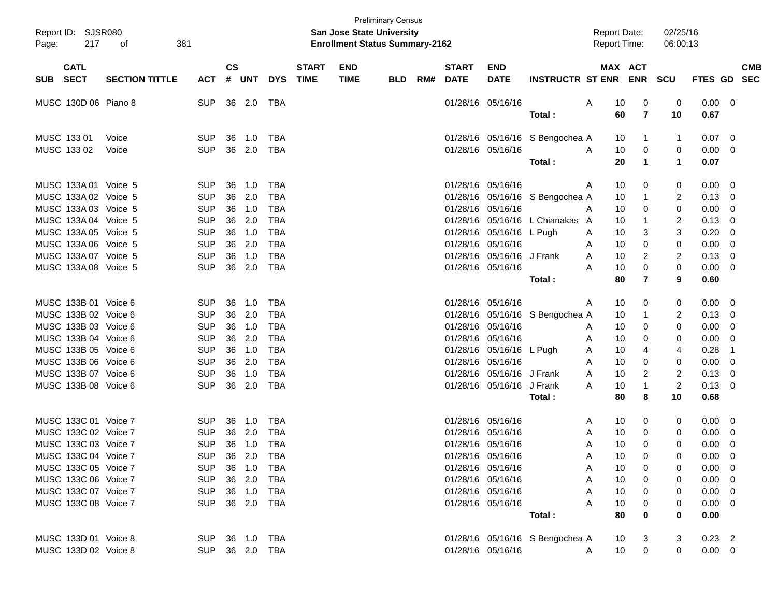| Page:       | Report ID: SJSR080<br>217 | 381<br>оf             |                |               |              |            |                             | <b>San Jose State University</b><br><b>Enrollment Status Summary-2162</b> | <b>Preliminary Census</b> |     |                             |                           |                                 |   | <b>Report Date:</b><br><b>Report Time:</b> |                       | 02/25/16<br>06:00:13 |                |                          |            |
|-------------|---------------------------|-----------------------|----------------|---------------|--------------|------------|-----------------------------|---------------------------------------------------------------------------|---------------------------|-----|-----------------------------|---------------------------|---------------------------------|---|--------------------------------------------|-----------------------|----------------------|----------------|--------------------------|------------|
| SUB SECT    | <b>CATL</b>               | <b>SECTION TITTLE</b> | ACT            | $\mathsf{cs}$ | # UNT        | <b>DYS</b> | <b>START</b><br><b>TIME</b> | <b>END</b><br><b>TIME</b>                                                 | <b>BLD</b>                | RM# | <b>START</b><br><b>DATE</b> | <b>END</b><br><b>DATE</b> | <b>INSTRUCTR ST ENR</b>         |   |                                            | MAX ACT<br><b>ENR</b> | SCU                  | FTES GD SEC    |                          | <b>CMB</b> |
|             | MUSC 130D 06 Piano 8      |                       | <b>SUP</b>     |               | 36 2.0       | TBA        |                             |                                                                           |                           |     |                             | 01/28/16 05/16/16         |                                 | Α | 10                                         | 0                     | 0                    | 0.00           | - 0                      |            |
|             |                           |                       |                |               |              |            |                             |                                                                           |                           |     |                             |                           | Total:                          |   | 60                                         | $\overline{7}$        | 10                   | 0.67           |                          |            |
| MUSC 133 01 |                           | Voice                 | <b>SUP</b>     | 36            | 1.0          | TBA        |                             |                                                                           |                           |     |                             |                           | 01/28/16 05/16/16 S Bengochea A |   | 10                                         | $\mathbf{1}$          | -1                   | 0.07           | $\overline{\phantom{0}}$ |            |
| MUSC 133 02 |                           | Voice                 | <b>SUP</b>     |               | 36 2.0       | TBA        |                             |                                                                           |                           |     |                             | 01/28/16 05/16/16         |                                 | A | 10                                         | 0                     | 0                    | 0.00           | - 0                      |            |
|             |                           |                       |                |               |              |            |                             |                                                                           |                           |     |                             |                           | Total:                          |   | 20                                         | 1                     | $\mathbf 1$          | 0.07           |                          |            |
|             | MUSC 133A 01 Voice 5      |                       | <b>SUP</b>     | 36            | 1.0          | TBA        |                             |                                                                           |                           |     |                             | 01/28/16 05/16/16         |                                 | A | 10                                         | 0                     | 0                    | 0.00           | - 0                      |            |
|             | MUSC 133A 02 Voice 5      |                       | <b>SUP</b>     |               | 36 2.0       | TBA        |                             |                                                                           |                           |     |                             |                           | 01/28/16 05/16/16 S Bengochea A |   | 10                                         | $\mathbf{1}$          | 2                    | 0.13           | $\mathbf 0$              |            |
|             | MUSC 133A 03 Voice 5      |                       | <b>SUP</b>     |               | 36 1.0       | TBA        |                             |                                                                           |                           |     |                             | 01/28/16 05/16/16         |                                 | A | 10                                         | 0                     | 0                    | 0.00           | 0                        |            |
|             | MUSC 133A 04 Voice 5      |                       | <b>SUP</b>     | 36            | 2.0          | TBA        |                             |                                                                           |                           |     |                             |                           | 01/28/16 05/16/16 L Chianakas A |   | 10                                         | $\mathbf{1}$          | 2                    | 0.13           | 0                        |            |
|             | MUSC 133A 05 Voice 5      |                       | <b>SUP</b>     | 36            | 1.0          | TBA        |                             |                                                                           |                           |     |                             | 01/28/16 05/16/16 L Pugh  |                                 | A | 10                                         | 3                     | 3                    | 0.20           | 0                        |            |
|             | MUSC 133A 06 Voice 5      |                       | <b>SUP</b>     | 36            | 2.0          | TBA        |                             |                                                                           |                           |     | 01/28/16 05/16/16           |                           |                                 | A | 10                                         | 0                     | 0                    | 0.00           | $\mathbf 0$              |            |
|             | MUSC 133A 07 Voice 5      |                       | <b>SUP</b>     | 36            | 1.0          | TBA        |                             |                                                                           |                           |     |                             | 01/28/16 05/16/16 J Frank |                                 | A | 10                                         | 2                     | 2                    | 0.13           | 0                        |            |
|             | MUSC 133A 08 Voice 5      |                       | <b>SUP</b>     | 36            | 2.0          | TBA        |                             |                                                                           |                           |     |                             | 01/28/16 05/16/16         |                                 | A | 10                                         | 0                     | 0                    | 0.00           | 0                        |            |
|             |                           |                       |                |               |              |            |                             |                                                                           |                           |     |                             |                           | Total :                         |   | 80                                         | $\overline{7}$        | 9                    | 0.60           |                          |            |
|             | MUSC 133B 01 Voice 6      |                       | <b>SUP</b>     | 36            | 1.0          | TBA        |                             |                                                                           |                           |     |                             | 01/28/16 05/16/16         |                                 | A | 10                                         | 0                     | 0                    | 0.00           | - 0                      |            |
|             | MUSC 133B 02 Voice 6      |                       | <b>SUP</b>     |               | 36 2.0       | TBA        |                             |                                                                           |                           |     |                             |                           | 01/28/16 05/16/16 S Bengochea A |   | 10                                         | $\mathbf{1}$          | 2                    | 0.13           | $\mathbf 0$              |            |
|             | MUSC 133B 03 Voice 6      |                       | <b>SUP</b>     |               | 36 1.0       | TBA        |                             |                                                                           |                           |     |                             | 01/28/16 05/16/16         |                                 | A | 10                                         | 0                     | 0                    | 0.00           | 0                        |            |
|             | MUSC 133B 04 Voice 6      |                       | <b>SUP</b>     | 36            | 2.0          | TBA        |                             |                                                                           |                           |     |                             | 01/28/16 05/16/16         |                                 | A | 10                                         | 0                     | 0                    | 0.00           | $\mathbf 0$              |            |
|             | MUSC 133B 05 Voice 6      |                       | <b>SUP</b>     | 36            | 1.0          | TBA        |                             |                                                                           |                           |     |                             | 01/28/16 05/16/16 L Pugh  |                                 | A | 10                                         | 4                     | 4                    | 0.28           | -1                       |            |
|             | MUSC 133B 06 Voice 6      |                       | <b>SUP</b>     |               | 36 2.0       | TBA        |                             |                                                                           |                           |     | 01/28/16 05/16/16           |                           |                                 | A | 10                                         | 0                     | 0                    | 0.00           | 0                        |            |
|             | MUSC 133B 07 Voice 6      |                       | <b>SUP</b>     | 36            | 1.0          | TBA        |                             |                                                                           |                           |     |                             | 01/28/16 05/16/16 J Frank |                                 | A | 10                                         | 2                     | 2                    | 0.13           | 0                        |            |
|             | MUSC 133B 08 Voice 6      |                       | <b>SUP</b>     | 36            | 2.0          | TBA        |                             |                                                                           |                           |     |                             | 01/28/16 05/16/16 J Frank |                                 | A | 10                                         | 1                     | $\overline{c}$       | 0.13           | $\mathbf 0$              |            |
|             |                           |                       |                |               |              |            |                             |                                                                           |                           |     |                             |                           | Total:                          |   | 80                                         | 8                     | 10                   | 0.68           |                          |            |
|             | MUSC 133C 01 Voice 7      |                       | SUP.           | 36            | 1.0          | TBA        |                             |                                                                           |                           |     |                             | 01/28/16 05/16/16         |                                 | A | 10                                         | 0                     | 0                    | 0.00           | $\overline{0}$           |            |
|             | MUSC 133C 02 Voice 7      |                       | <b>SUP</b>     | 36            | 2.0          | TBA        |                             |                                                                           |                           |     |                             | 01/28/16 05/16/16         |                                 | A | 10                                         | 0                     | 0                    | 0.00           | $\mathbf 0$              |            |
|             | MUSC 133C 03 Voice 7      |                       | <b>SUP</b>     |               | 36 1.0       | TBA        |                             |                                                                           |                           |     | 01/28/16 05/16/16           |                           |                                 | A | 10                                         | 0                     | 0                    | 0.00           | $\mathbf{0}$             |            |
|             | MUSC 133C 04 Voice 7      |                       | SUP 36 2.0 TBA |               |              |            |                             |                                                                           |                           |     | 01/28/16 05/16/16           |                           |                                 | Α | 10                                         | 0                     | 0                    | $0.00 \t 0$    |                          |            |
|             | MUSC 133C 05 Voice 7      |                       | <b>SUP</b>     |               | 36 1.0       | TBA        |                             |                                                                           |                           |     |                             | 01/28/16 05/16/16         |                                 | Α | 10                                         | 0                     | 0                    | $0.00 \quad 0$ |                          |            |
|             | MUSC 133C 06 Voice 7      |                       | <b>SUP</b>     |               | 36 2.0       | TBA        |                             |                                                                           |                           |     |                             | 01/28/16 05/16/16         |                                 | Α | 10                                         | 0                     | 0                    | $0.00 \t 0$    |                          |            |
|             | MUSC 133C 07 Voice 7      |                       | <b>SUP</b>     |               | 36 1.0       | TBA        |                             |                                                                           |                           |     |                             | 01/28/16 05/16/16         |                                 | A | 10                                         | 0                     | 0                    | 0.00           | $\overline{\phantom{0}}$ |            |
|             | MUSC 133C 08 Voice 7      |                       | <b>SUP</b>     |               | 36  2.0  TBA |            |                             |                                                                           |                           |     |                             | 01/28/16 05/16/16         |                                 | A | 10                                         | 0                     | 0                    | $0.00 \quad 0$ |                          |            |
|             |                           |                       |                |               |              |            |                             |                                                                           |                           |     |                             |                           | Total:                          |   | 80                                         | 0                     | 0                    | 0.00           |                          |            |
|             | MUSC 133D 01 Voice 8      |                       | SUP 36 1.0 TBA |               |              |            |                             |                                                                           |                           |     |                             |                           | 01/28/16 05/16/16 S Bengochea A |   | 10                                         | 3                     | 3                    | $0.23$ 2       |                          |            |
|             | MUSC 133D 02 Voice 8      |                       | SUP 36 2.0 TBA |               |              |            |                             |                                                                           |                           |     |                             | 01/28/16 05/16/16         |                                 | A | 10                                         | $\mathbf 0$           | 0                    | $0.00 \t 0$    |                          |            |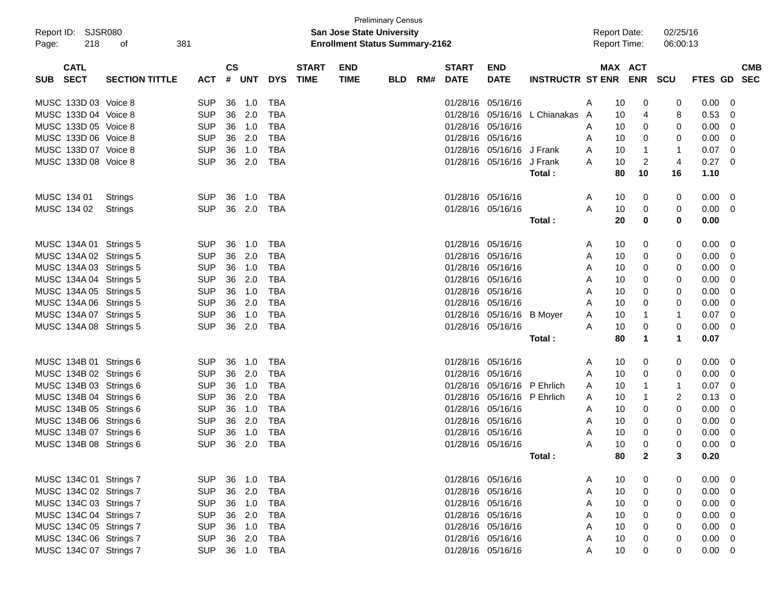| Report ID: SJSR080<br>Page:              | 218 | 381<br>οf             |            |                    |            |            |                             | <b>San Jose State University</b><br><b>Enrollment Status Summary-2162</b> | <b>Preliminary Census</b> |     |                             |                             |                                 |   | <b>Report Date:</b><br><b>Report Time:</b> |                | 02/25/16<br>06:00:13 |             |             |            |
|------------------------------------------|-----|-----------------------|------------|--------------------|------------|------------|-----------------------------|---------------------------------------------------------------------------|---------------------------|-----|-----------------------------|-----------------------------|---------------------------------|---|--------------------------------------------|----------------|----------------------|-------------|-------------|------------|
| <b>CATL</b><br><b>SECT</b><br><b>SUB</b> |     | <b>SECTION TITTLE</b> | <b>ACT</b> | $\mathsf{cs}$<br># | <b>UNT</b> | <b>DYS</b> | <b>START</b><br><b>TIME</b> | <b>END</b><br><b>TIME</b>                                                 | <b>BLD</b>                | RM# | <b>START</b><br><b>DATE</b> | <b>END</b><br><b>DATE</b>   | INSTRUCTR ST ENR ENR            |   | MAX ACT                                    |                | SCU                  | FTES GD SEC |             | <b>CMB</b> |
| MUSC 133D 03 Voice 8                     |     |                       | <b>SUP</b> | 36                 | 1.0        | TBA        |                             |                                                                           |                           |     | 01/28/16 05/16/16           |                             |                                 | A | 10                                         | 0              | 0                    | 0.00        | 0           |            |
| MUSC 133D 04 Voice 8                     |     |                       | <b>SUP</b> |                    | 36 2.0     | <b>TBA</b> |                             |                                                                           |                           |     |                             |                             | 01/28/16 05/16/16 L Chianakas A |   | 10                                         | 4              | 8                    | 0.53        | 0           |            |
| MUSC 133D 05 Voice 8                     |     |                       | <b>SUP</b> |                    | 36 1.0     | <b>TBA</b> |                             |                                                                           |                           |     | 01/28/16                    | 05/16/16                    |                                 | A | 10                                         | 0              | 0                    | 0.00        | 0           |            |
| MUSC 133D 06 Voice 8                     |     |                       | <b>SUP</b> | 36                 | 2.0        | <b>TBA</b> |                             |                                                                           |                           |     | 01/28/16 05/16/16           |                             |                                 | A | 10                                         | 0              | 0                    | 0.00        | 0           |            |
| MUSC 133D 07 Voice 8                     |     |                       | <b>SUP</b> | 36                 | 1.0        | <b>TBA</b> |                             |                                                                           |                           |     |                             | 01/28/16 05/16/16 J Frank   |                                 | A | 10                                         | $\mathbf{1}$   | -1                   | 0.07        | 0           |            |
| MUSC 133D 08 Voice 8                     |     |                       | <b>SUP</b> |                    | 36 2.0     | TBA        |                             |                                                                           |                           |     |                             | 01/28/16 05/16/16 J Frank   |                                 | A | 10                                         | $\overline{c}$ | $\overline{4}$       | 0.27        | 0           |            |
|                                          |     |                       |            |                    |            |            |                             |                                                                           |                           |     |                             |                             | Total:                          |   | 80                                         | 10             | 16                   | 1.10        |             |            |
| MUSC 134 01                              |     | Strings               | <b>SUP</b> | 36                 | 1.0        | <b>TBA</b> |                             |                                                                           |                           |     | 01/28/16 05/16/16           |                             |                                 | A | 10                                         | 0              | 0                    | 0.00        | 0           |            |
| MUSC 134 02                              |     | Strings               | <b>SUP</b> |                    | 36 2.0     | TBA        |                             |                                                                           |                           |     |                             | 01/28/16 05/16/16           |                                 | A | 10                                         | 0              | 0                    | 0.00        | 0           |            |
|                                          |     |                       |            |                    |            |            |                             |                                                                           |                           |     |                             |                             | Total:                          |   | 20                                         | 0              | 0                    | 0.00        |             |            |
| MUSC 134A 01 Strings 5                   |     |                       | <b>SUP</b> | 36                 | 1.0        | <b>TBA</b> |                             |                                                                           |                           |     | 01/28/16 05/16/16           |                             |                                 | A | 10                                         | 0              | 0                    | 0.00        | 0           |            |
| MUSC 134A 02 Strings 5                   |     |                       | <b>SUP</b> |                    | 36 2.0     | <b>TBA</b> |                             |                                                                           |                           |     | 01/28/16 05/16/16           |                             |                                 | A | 10                                         | 0              | 0                    | 0.00        | 0           |            |
| MUSC 134A 03 Strings 5                   |     |                       | <b>SUP</b> |                    | 36 1.0     | <b>TBA</b> |                             |                                                                           |                           |     | 01/28/16 05/16/16           |                             |                                 | A | 10                                         | 0              | 0                    | 0.00        | 0           |            |
| MUSC 134A 04 Strings 5                   |     |                       | <b>SUP</b> |                    | 36 2.0     | <b>TBA</b> |                             |                                                                           |                           |     | 01/28/16 05/16/16           |                             |                                 | A | 10                                         | 0              | 0                    | 0.00        | 0           |            |
| MUSC 134A 05 Strings 5                   |     |                       | <b>SUP</b> | 36                 | 1.0        | <b>TBA</b> |                             |                                                                           |                           |     | 01/28/16 05/16/16           |                             |                                 | A | 10                                         | 0              | 0                    | 0.00        | 0           |            |
| MUSC 134A 06 Strings 5                   |     |                       | <b>SUP</b> | 36                 | 2.0        | <b>TBA</b> |                             |                                                                           |                           |     | 01/28/16 05/16/16           |                             |                                 | A | 10                                         | 0              | 0                    | 0.00        | 0           |            |
| MUSC 134A 07 Strings 5                   |     |                       | <b>SUP</b> | 36                 | 1.0        | <b>TBA</b> |                             |                                                                           |                           |     |                             | 01/28/16 05/16/16 B Moyer   |                                 | A | 10                                         | $\mathbf 1$    | -1                   | 0.07        | 0           |            |
| MUSC 134A 08 Strings 5                   |     |                       | <b>SUP</b> |                    | 36 2.0     | TBA        |                             |                                                                           |                           |     |                             | 01/28/16 05/16/16           |                                 | A | 10                                         | 0              | 0                    | 0.00        | 0           |            |
|                                          |     |                       |            |                    |            |            |                             |                                                                           |                           |     |                             |                             | Total:                          |   | 80                                         | $\mathbf 1$    | $\mathbf 1$          | 0.07        |             |            |
| MUSC 134B 01 Strings 6                   |     |                       | <b>SUP</b> | 36                 | 1.0        | TBA        |                             |                                                                           |                           |     | 01/28/16 05/16/16           |                             |                                 | A | 10                                         | 0              | 0                    | 0.00        | 0           |            |
| MUSC 134B 02 Strings 6                   |     |                       | <b>SUP</b> |                    | 36 2.0     | <b>TBA</b> |                             |                                                                           |                           |     | 01/28/16 05/16/16           |                             |                                 | A | 10                                         | 0              | 0                    | 0.00        | 0           |            |
| MUSC 134B 03 Strings 6                   |     |                       | <b>SUP</b> | 36                 | 1.0        | <b>TBA</b> |                             |                                                                           |                           |     |                             | 01/28/16 05/16/16 P Ehrlich |                                 | A | 10                                         | 1              | 1                    | 0.07        | 0           |            |
| MUSC 134B 04 Strings 6                   |     |                       | <b>SUP</b> | 36                 | 2.0        | <b>TBA</b> |                             |                                                                           |                           |     |                             | 01/28/16 05/16/16 P Ehrlich |                                 | A | 10                                         | 1              | 2                    | 0.13        | 0           |            |
| MUSC 134B 05 Strings 6                   |     |                       | <b>SUP</b> | 36                 | 1.0        | <b>TBA</b> |                             |                                                                           |                           |     | 01/28/16 05/16/16           |                             |                                 | A | 10                                         | 0              | 0                    | 0.00        | 0           |            |
| MUSC 134B 06 Strings 6                   |     |                       | <b>SUP</b> |                    | 36 2.0     | <b>TBA</b> |                             |                                                                           |                           |     | 01/28/16 05/16/16           |                             |                                 | A | 10                                         | 0              | 0                    | 0.00        | 0           |            |
| MUSC 134B 07 Strings 6                   |     |                       | <b>SUP</b> | 36                 | 1.0        | <b>TBA</b> |                             |                                                                           |                           |     | 01/28/16 05/16/16           |                             |                                 | A | 10                                         | 0              | 0                    | 0.00        | 0           |            |
| MUSC 134B 08 Strings 6                   |     |                       | <b>SUP</b> | 36                 | 2.0        | <b>TBA</b> |                             |                                                                           |                           |     |                             | 01/28/16 05/16/16           |                                 | A | 10                                         | 0              | 0                    | 0.00        | 0           |            |
|                                          |     |                       |            |                    |            |            |                             |                                                                           |                           |     |                             |                             | Total :                         |   | 80                                         |                | 3                    | 0.20        |             |            |
| MUSC 134C 01 Strings 7                   |     |                       | <b>SUP</b> |                    | 36 1.0 TBA |            |                             |                                                                           |                           |     | 01/28/16 05/16/16           |                             |                                 | A | 10                                         | 0              | 0                    | $0.00 \t 0$ |             |            |
| MUSC 134C 02 Strings 7                   |     |                       | <b>SUP</b> |                    | 36 2.0     | <b>TBA</b> |                             |                                                                           |                           |     | 01/28/16 05/16/16           |                             |                                 | A | 10                                         | $\pmb{0}$      | 0                    | 0.00        | 0           |            |
| MUSC 134C 03 Strings 7                   |     |                       | <b>SUP</b> |                    | 36 1.0     | <b>TBA</b> |                             |                                                                           |                           |     | 01/28/16 05/16/16           |                             |                                 | A | 10                                         | 0              | 0                    | 0.00        | 0           |            |
| MUSC 134C 04 Strings 7                   |     |                       | <b>SUP</b> |                    | 36 2.0     | <b>TBA</b> |                             |                                                                           |                           |     | 01/28/16 05/16/16           |                             |                                 | Α | 10                                         | 0              | 0                    | 0.00        | 0           |            |
| MUSC 134C 05 Strings 7                   |     |                       | <b>SUP</b> |                    | 36 1.0     | <b>TBA</b> |                             |                                                                           |                           |     | 01/28/16 05/16/16           |                             |                                 | Α | 10                                         | 0              | 0                    | 0.00        | 0           |            |
| MUSC 134C 06 Strings 7                   |     |                       | <b>SUP</b> |                    | 36 2.0     | <b>TBA</b> |                             |                                                                           |                           |     |                             | 01/28/16 05/16/16           |                                 | A | 10                                         | 0              | 0                    | 0.00        | $\mathbf 0$ |            |
| MUSC 134C 07 Strings 7                   |     |                       | <b>SUP</b> |                    | 36 1.0 TBA |            |                             |                                                                           |                           |     |                             | 01/28/16 05/16/16           |                                 | Α | 10                                         | 0              | 0                    | $0.00 \t 0$ |             |            |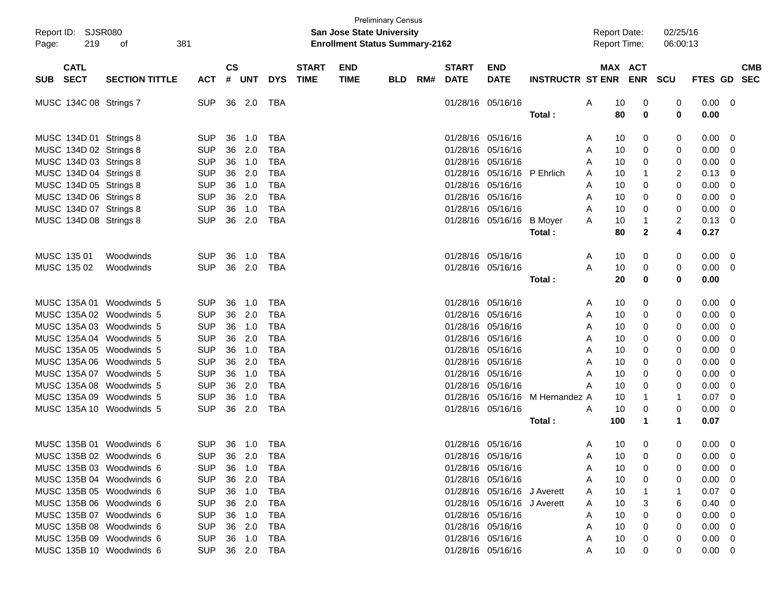| Report ID: SJSR080<br>Page: | 219         | 381<br>οf                |                |               |            |            |              | <b>San Jose State University</b><br><b>Enrollment Status Summary-2162</b> | <b>Preliminary Census</b> |     |                   |                             |                             |     | <b>Report Date:</b><br><b>Report Time:</b> |              | 02/25/16<br>06:00:13 |                |            |
|-----------------------------|-------------|--------------------------|----------------|---------------|------------|------------|--------------|---------------------------------------------------------------------------|---------------------------|-----|-------------------|-----------------------------|-----------------------------|-----|--------------------------------------------|--------------|----------------------|----------------|------------|
|                             | <b>CATL</b> |                          |                | $\mathsf{cs}$ |            |            | <b>START</b> | <b>END</b>                                                                |                           |     | <b>START</b>      | <b>END</b>                  |                             |     | MAX ACT                                    |              |                      |                | <b>CMB</b> |
| <b>SUB</b>                  | <b>SECT</b> | <b>SECTION TITTLE</b>    | <b>ACT</b>     | #             | <b>UNT</b> | <b>DYS</b> | <b>TIME</b>  | <b>TIME</b>                                                               | <b>BLD</b>                | RM# | <b>DATE</b>       | <b>DATE</b>                 | <b>INSTRUCTR ST ENR ENR</b> |     |                                            | SCU          | FTES GD SEC          |                |            |
| MUSC 134C 08 Strings 7      |             |                          | SUP            |               | 36 2.0     | TBA        |              |                                                                           |                           |     | 01/28/16 05/16/16 |                             |                             | A   | 10                                         | 0            | 0.00<br>0            | $\overline{0}$ |            |
|                             |             |                          |                |               |            |            |              |                                                                           |                           |     |                   |                             | Total:                      |     | 80                                         | 0            | 0<br>0.00            |                |            |
| MUSC 134D 01 Strings 8      |             |                          | SUP            | 36            | 1.0        | TBA        |              |                                                                           |                           |     | 01/28/16 05/16/16 |                             |                             | A   | 10                                         | 0            | 0<br>0.00            | 0              |            |
| MUSC 134D 02 Strings 8      |             |                          | <b>SUP</b>     |               | 36 2.0     | <b>TBA</b> |              |                                                                           |                           |     | 01/28/16 05/16/16 |                             |                             | A   | 10                                         | 0            | 0.00<br>0            | 0              |            |
| MUSC 134D 03 Strings 8      |             |                          | <b>SUP</b>     |               | 36 1.0     | <b>TBA</b> |              |                                                                           |                           |     | 01/28/16 05/16/16 |                             |                             | A   | 10                                         | 0            | 0<br>0.00            | $\mathbf 0$    |            |
| MUSC 134D 04 Strings 8      |             |                          | <b>SUP</b>     |               | 36 2.0     | <b>TBA</b> |              |                                                                           |                           |     |                   | 01/28/16 05/16/16 P Ehrlich |                             | A   | 10                                         | 1            | 2<br>0.13            | 0              |            |
| MUSC 134D 05 Strings 8      |             |                          | <b>SUP</b>     |               | 36 1.0     | <b>TBA</b> |              |                                                                           |                           |     | 01/28/16 05/16/16 |                             |                             | Α   | 10                                         | 0            | 0<br>0.00            | 0              |            |
| MUSC 134D 06 Strings 8      |             |                          | <b>SUP</b>     | 36            | 2.0        | <b>TBA</b> |              |                                                                           |                           |     | 01/28/16 05/16/16 |                             |                             | A   | 10                                         | 0            | 0<br>0.00            | 0              |            |
| MUSC 134D 07 Strings 8      |             |                          | <b>SUP</b>     | 36            | 1.0        | <b>TBA</b> |              |                                                                           |                           |     | 01/28/16 05/16/16 |                             |                             | A   | 10                                         | 0            | 0<br>0.00            | 0              |            |
| MUSC 134D 08 Strings 8      |             |                          | <b>SUP</b>     |               | 36 2.0     | <b>TBA</b> |              |                                                                           |                           |     |                   | 01/28/16 05/16/16 B Moyer   |                             | Α   | 10                                         | 1            | 2<br>0.13            | $\mathbf 0$    |            |
|                             |             |                          |                |               |            |            |              |                                                                           |                           |     |                   |                             | Total:                      |     | 80                                         | $\mathbf{2}$ | 4<br>0.27            |                |            |
|                             |             |                          |                |               |            |            |              |                                                                           |                           |     |                   |                             |                             |     |                                            |              |                      |                |            |
| MUSC 135 01                 |             | Woodwinds                | <b>SUP</b>     | 36            | 1.0        | TBA        |              |                                                                           |                           |     | 01/28/16 05/16/16 |                             |                             | A   | 10                                         | 0            | 0.00<br>0            | 0              |            |
| MUSC 135 02                 |             | Woodwinds                | <b>SUP</b>     |               | 36 2.0     | <b>TBA</b> |              |                                                                           |                           |     | 01/28/16 05/16/16 |                             |                             | Α   | 10                                         | 0            | 0<br>0.00            | 0              |            |
|                             |             |                          |                |               |            |            |              |                                                                           |                           |     |                   |                             | Total:                      |     | 20                                         | 0            | 0<br>0.00            |                |            |
|                             |             |                          |                |               |            |            |              |                                                                           |                           |     |                   |                             |                             |     |                                            |              |                      |                |            |
|                             |             | MUSC 135A 01 Woodwinds 5 | <b>SUP</b>     | 36            | 1.0        | TBA        |              |                                                                           |                           |     | 01/28/16 05/16/16 |                             |                             | A   | 10                                         | 0            | 0<br>0.00            | 0              |            |
|                             |             | MUSC 135A 02 Woodwinds 5 | <b>SUP</b>     | 36            | 2.0        | <b>TBA</b> |              |                                                                           |                           |     | 01/28/16 05/16/16 |                             |                             | A   | 10                                         | 0            | 0.00<br>0            | 0              |            |
|                             |             | MUSC 135A 03 Woodwinds 5 | <b>SUP</b>     |               | 36 1.0     | <b>TBA</b> |              |                                                                           |                           |     | 01/28/16 05/16/16 |                             |                             | A   | 10                                         | 0            | 0.00<br>0            | $\mathbf 0$    |            |
|                             |             | MUSC 135A 04 Woodwinds 5 | <b>SUP</b>     |               | 36 2.0     | <b>TBA</b> |              |                                                                           |                           |     | 01/28/16 05/16/16 |                             |                             | A   | 10                                         | 0            | 0.00<br>0            | 0              |            |
|                             |             | MUSC 135A 05 Woodwinds 5 | <b>SUP</b>     |               | 36 1.0     | <b>TBA</b> |              |                                                                           |                           |     | 01/28/16 05/16/16 |                             |                             | A   | 10                                         | 0            | 0.00<br>0            | 0              |            |
|                             |             | MUSC 135A 06 Woodwinds 5 | <b>SUP</b>     | 36            | 2.0        | <b>TBA</b> |              |                                                                           |                           |     | 01/28/16 05/16/16 |                             |                             | A   | 10                                         | 0            | 0<br>0.00            | 0              |            |
|                             |             | MUSC 135A 07 Woodwinds 5 | <b>SUP</b>     | 36            | 1.0        | <b>TBA</b> |              |                                                                           |                           |     | 01/28/16 05/16/16 |                             |                             | A   | 10                                         | 0            | 0<br>0.00            | 0              |            |
|                             |             | MUSC 135A 08 Woodwinds 5 | <b>SUP</b>     | 36            | 2.0        | <b>TBA</b> |              |                                                                           |                           |     | 01/28/16 05/16/16 |                             |                             | A   | 10                                         | 0            | 0<br>0.00            | 0              |            |
|                             |             | MUSC 135A 09 Woodwinds 5 | <b>SUP</b>     | 36            | 1.0        | <b>TBA</b> |              |                                                                           |                           |     |                   | 01/28/16 05/16/16           | M Hernandez A               |     | 10                                         | 1            | 0.07<br>1            | $\mathbf 0$    |            |
|                             |             | MUSC 135A 10 Woodwinds 5 | <b>SUP</b>     |               | 36 2.0     | <b>TBA</b> |              |                                                                           |                           |     | 01/28/16 05/16/16 |                             |                             | A   | 10                                         | 0            | 0<br>0.00            | 0              |            |
|                             |             |                          |                |               |            |            |              |                                                                           |                           |     |                   |                             | Total :                     | 100 |                                            | $\mathbf 1$  | 0.07<br>$\mathbf 1$  |                |            |
|                             |             |                          |                |               |            |            |              |                                                                           |                           |     |                   |                             |                             |     |                                            |              |                      |                |            |
|                             |             | MUSC 135B 01 Woodwinds 6 | <b>SUP</b>     |               | 36 1.0     | TBA        |              |                                                                           |                           |     | 01/28/16 05/16/16 |                             |                             | A   | 10                                         | 0            | 0<br>0.00            | $\mathbf 0$    |            |
|                             |             | MUSC 135B 02 Woodwinds 6 | SUP 36 2.0 TBA |               |            |            |              |                                                                           |                           |     | 01/28/16 05/16/16 |                             |                             |     | 10                                         | $\mathbf 0$  | $0.00 \t 0$<br>0     |                |            |
|                             |             | MUSC 135B 03 Woodwinds 6 | <b>SUP</b>     |               | 36 1.0     | TBA        |              |                                                                           |                           |     | 01/28/16 05/16/16 |                             |                             | Α   | 10                                         | 0            | 0.00<br>0            | $\mathbf 0$    |            |
|                             |             | MUSC 135B 04 Woodwinds 6 | <b>SUP</b>     |               | 36 2.0     | TBA        |              |                                                                           |                           |     | 01/28/16 05/16/16 |                             |                             | Α   | 10                                         | 0            | 0.00<br>0            | $\mathbf 0$    |            |
|                             |             | MUSC 135B 05 Woodwinds 6 | <b>SUP</b>     |               | 36 1.0     | TBA        |              |                                                                           |                           |     |                   | 01/28/16 05/16/16 J Averett |                             | Α   | 10                                         |              | 0.07                 | $\mathbf 0$    |            |
|                             |             | MUSC 135B 06 Woodwinds 6 | <b>SUP</b>     |               | 36 2.0     | TBA        |              |                                                                           |                           |     |                   | 01/28/16 05/16/16 J Averett |                             | Α   | 10                                         | 3            | 0.40<br>6            | $\mathbf 0$    |            |
|                             |             | MUSC 135B 07 Woodwinds 6 | <b>SUP</b>     |               | 36 1.0     | TBA        |              |                                                                           |                           |     | 01/28/16 05/16/16 |                             |                             | Α   | 10                                         | 0            | 0.00<br>0            | $\mathbf 0$    |            |
|                             |             | MUSC 135B 08 Woodwinds 6 | <b>SUP</b>     |               | 36 2.0     | TBA        |              |                                                                           |                           |     | 01/28/16 05/16/16 |                             |                             | A   | 10                                         | 0            | 0.00<br>0            | $\mathbf 0$    |            |
|                             |             | MUSC 135B 09 Woodwinds 6 | <b>SUP</b>     |               | 36 1.0     | TBA        |              |                                                                           |                           |     | 01/28/16 05/16/16 |                             |                             | Α   | 10<br>0                                    |              | 0.00<br>0            | 0              |            |
|                             |             | MUSC 135B 10 Woodwinds 6 | <b>SUP</b>     |               | 36 2.0 TBA |            |              |                                                                           |                           |     | 01/28/16 05/16/16 |                             |                             | Α   | 10                                         | 0            | $0.00 \quad 0$<br>0  |                |            |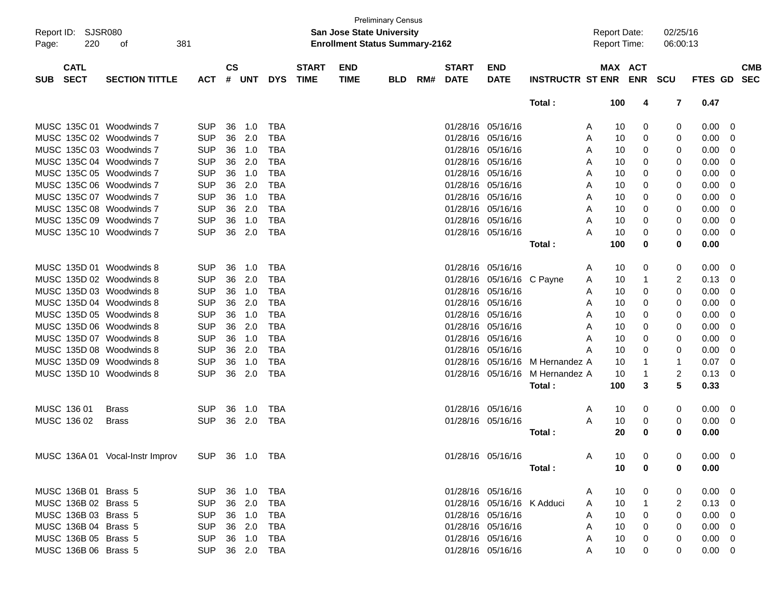| Report ID: |                      | <b>SJSR080</b>                  |                |               |            |            |                             | <b>San Jose State University</b>      | <b>Preliminary Census</b> |     |                   |                            |                         | <b>Report Date:</b>             |                | 02/25/16    |                |                          |
|------------|----------------------|---------------------------------|----------------|---------------|------------|------------|-----------------------------|---------------------------------------|---------------------------|-----|-------------------|----------------------------|-------------------------|---------------------------------|----------------|-------------|----------------|--------------------------|
| Page:      | 220                  | 381<br>οf                       |                |               |            |            |                             | <b>Enrollment Status Summary-2162</b> |                           |     |                   |                            |                         | <b>Report Time:</b>             |                | 06:00:13    |                |                          |
|            | <b>CATL</b>          |                                 |                | $\mathsf{cs}$ | <b>UNT</b> | <b>DYS</b> | <b>START</b><br><b>TIME</b> | <b>END</b>                            |                           |     | <b>START</b>      | <b>END</b>                 |                         | MAX ACT                         |                | SCU         | <b>FTES GD</b> | <b>CMB</b><br><b>SEC</b> |
| <b>SUB</b> | <b>SECT</b>          | <b>SECTION TITTLE</b>           | <b>ACT</b>     | #             |            |            |                             | <b>TIME</b>                           | <b>BLD</b>                | RM# | <b>DATE</b>       | <b>DATE</b>                | <b>INSTRUCTR ST ENR</b> |                                 | <b>ENR</b>     |             |                |                          |
|            |                      |                                 |                |               |            |            |                             |                                       |                           |     |                   |                            | Total:                  | 100                             | 4              | 7           | 0.47           |                          |
|            |                      | MUSC 135C 01 Woodwinds 7        | <b>SUP</b>     | 36            | 1.0        | <b>TBA</b> |                             |                                       |                           |     | 01/28/16          | 05/16/16                   |                         | 10<br>Α                         | 0              | 0           | 0.00           | 0                        |
|            |                      | MUSC 135C 02 Woodwinds 7        | <b>SUP</b>     | 36            | 2.0        | <b>TBA</b> |                             |                                       |                           |     | 01/28/16          | 05/16/16                   |                         | 10<br>Α                         | 0              | 0           | 0.00           | 0                        |
|            |                      | MUSC 135C 03 Woodwinds 7        | <b>SUP</b>     | 36            | 1.0        | <b>TBA</b> |                             |                                       |                           |     | 01/28/16          | 05/16/16                   |                         | 10<br>Α                         | 0              | 0           | 0.00           | 0                        |
|            |                      | MUSC 135C 04 Woodwinds 7        | <b>SUP</b>     | 36            | 2.0        | <b>TBA</b> |                             |                                       |                           |     | 01/28/16          | 05/16/16                   |                         | 10<br>Α                         | 0              | 0           | 0.00           | 0                        |
|            |                      | MUSC 135C 05 Woodwinds 7        | <b>SUP</b>     | 36            | 1.0        | <b>TBA</b> |                             |                                       |                           |     | 01/28/16          | 05/16/16                   |                         | 10<br>Α                         | 0              | 0           | 0.00           | 0                        |
|            |                      | MUSC 135C 06 Woodwinds 7        | <b>SUP</b>     | 36            | 2.0        | <b>TBA</b> |                             |                                       |                           |     | 01/28/16          | 05/16/16                   |                         | 10<br>Α                         | 0              | 0           | 0.00           | 0                        |
|            |                      | MUSC 135C 07 Woodwinds 7        | <b>SUP</b>     | 36            | 1.0        | <b>TBA</b> |                             |                                       |                           |     | 01/28/16          | 05/16/16                   |                         | 10<br>A                         | 0              | 0           | 0.00           | 0                        |
|            |                      | MUSC 135C 08 Woodwinds 7        | <b>SUP</b>     | 36            | 2.0        | <b>TBA</b> |                             |                                       |                           |     | 01/28/16          | 05/16/16                   |                         | 10<br>A                         | 0              | 0           | 0.00           | 0                        |
|            |                      | MUSC 135C 09 Woodwinds 7        | <b>SUP</b>     | 36            | 1.0        | <b>TBA</b> |                             |                                       |                           |     | 01/28/16          | 05/16/16                   |                         | 10<br>A                         | 0              | 0           | 0.00           | 0                        |
|            |                      | MUSC 135C 10 Woodwinds 7        | <b>SUP</b>     | 36            | 2.0        | <b>TBA</b> |                             |                                       |                           |     | 01/28/16 05/16/16 |                            |                         | 10<br>A                         | 0              | 0           | 0.00           | 0                        |
|            |                      |                                 |                |               |            |            |                             |                                       |                           |     |                   |                            | Total:                  | 100                             | 0              | 0           | 0.00           |                          |
|            |                      |                                 |                |               |            |            |                             |                                       |                           |     |                   |                            |                         |                                 |                |             |                |                          |
|            |                      | MUSC 135D 01 Woodwinds 8        | <b>SUP</b>     | 36            | 1.0        | <b>TBA</b> |                             |                                       |                           |     | 01/28/16          | 05/16/16                   |                         | 10<br>Α                         | 0              | 0           | 0.00           | 0                        |
|            |                      | MUSC 135D 02 Woodwinds 8        | <b>SUP</b>     | 36            | 2.0        | <b>TBA</b> |                             |                                       |                           |     | 01/28/16          | 05/16/16                   | C Pavne                 | 10<br>Α                         | 1              | 2           | 0.13           | 0                        |
|            |                      | MUSC 135D 03 Woodwinds 8        | <b>SUP</b>     | 36            | 1.0        | <b>TBA</b> |                             |                                       |                           |     | 01/28/16          | 05/16/16                   |                         | 10<br>Α                         | 0              | 0           | 0.00           | 0                        |
|            |                      | MUSC 135D 04 Woodwinds 8        | <b>SUP</b>     | 36            | 2.0        | <b>TBA</b> |                             |                                       |                           |     | 01/28/16          | 05/16/16                   |                         | 10<br>Α                         | 0              | 0           | 0.00           | 0                        |
|            |                      | MUSC 135D 05 Woodwinds 8        | <b>SUP</b>     | 36            | 1.0        | <b>TBA</b> |                             |                                       |                           |     | 01/28/16          | 05/16/16                   |                         | 10<br>Α                         | 0              | 0           | 0.00           | 0                        |
|            |                      | MUSC 135D 06 Woodwinds 8        | <b>SUP</b>     | 36            | 2.0        | <b>TBA</b> |                             |                                       |                           |     | 01/28/16          | 05/16/16                   |                         | 10<br>A                         | 0              | 0           | 0.00           | 0                        |
|            |                      | MUSC 135D 07 Woodwinds 8        | <b>SUP</b>     | 36            | 1.0        | <b>TBA</b> |                             |                                       |                           |     | 01/28/16          | 05/16/16                   |                         | 10<br>A                         | 0              | 0           | 0.00           | 0                        |
|            |                      | MUSC 135D 08 Woodwinds 8        | <b>SUP</b>     | 36            | 2.0        | <b>TBA</b> |                             |                                       |                           |     | 01/28/16          | 05/16/16                   |                         | 10<br>А                         | 0              | 0           | 0.00           | 0                        |
|            |                      | MUSC 135D 09 Woodwinds 8        | <b>SUP</b>     | 36            | 1.0        | <b>TBA</b> |                             |                                       |                           |     | 01/28/16          | 05/16/16                   | M Hernandez A           | 10                              | 1              | 1           | 0.07           | 0                        |
|            |                      | MUSC 135D 10 Woodwinds 8        | <b>SUP</b>     | 36            | 2.0        | <b>TBA</b> |                             |                                       |                           |     |                   | 01/28/16 05/16/16          | M Hernandez A           | 10                              | 1              | 2           | 0.13           | 0                        |
|            |                      |                                 |                |               |            |            |                             |                                       |                           |     |                   |                            | Total:                  | 100                             | 3              | 5           | 0.33           |                          |
|            |                      |                                 |                |               |            |            |                             |                                       |                           |     |                   |                            |                         |                                 |                |             |                |                          |
|            | MUSC 136 01          | <b>Brass</b>                    | <b>SUP</b>     | 36            | 1.0        | <b>TBA</b> |                             |                                       |                           |     | 01/28/16 05/16/16 |                            |                         | 10<br>A                         | 0              | 0           | 0.00           | 0                        |
|            | MUSC 136 02          | <b>Brass</b>                    | <b>SUP</b>     | 36            | 2.0        | <b>TBA</b> |                             |                                       |                           |     | 01/28/16 05/16/16 |                            |                         | A<br>10                         | 0              | 0           | 0.00           | 0                        |
|            |                      |                                 |                |               |            |            |                             |                                       |                           |     |                   |                            | Total:                  | 20                              | 0              | 0           | 0.00           |                          |
|            |                      |                                 |                |               |            |            |                             |                                       |                           |     |                   |                            |                         |                                 |                |             |                |                          |
|            |                      | MUSC 136A 01 Vocal-Instr Improv | SUP 36 1.0 TBA |               |            |            |                             |                                       |                           |     |                   | 01/28/16 05/16/16          |                         | $\mathsf{A}$<br>10 <sup>°</sup> | $\overline{0}$ | $\mathbf 0$ | $0.00 \t 0$    |                          |
|            |                      |                                 |                |               |            |            |                             |                                       |                           |     |                   |                            | Total:                  | 10                              | 0              | 0           | 0.00           |                          |
|            |                      |                                 |                |               |            |            |                             |                                       |                           |     |                   |                            |                         |                                 |                |             |                |                          |
|            | MUSC 136B 01 Brass 5 |                                 | SUP            |               | 36 1.0     | TBA        |                             |                                       |                           |     |                   | 01/28/16 05/16/16          |                         | 10<br>A                         | 0              | 0           | $0.00 \t 0$    |                          |
|            | MUSC 136B 02 Brass 5 |                                 | <b>SUP</b>     |               | 36 2.0     | <b>TBA</b> |                             |                                       |                           |     |                   | 01/28/16 05/16/16 K Adduci |                         | 10<br>A                         | $\mathbf{1}$   | 2           | $0.13 \ 0$     |                          |
|            | MUSC 136B 03 Brass 5 |                                 | <b>SUP</b>     |               | 36 1.0     | <b>TBA</b> |                             |                                       |                           |     |                   | 01/28/16 05/16/16          |                         | 10<br>A                         | 0              | 0           | $0.00 \t 0$    |                          |
|            | MUSC 136B 04 Brass 5 |                                 | <b>SUP</b>     |               | 36 2.0     | <b>TBA</b> |                             |                                       |                           |     |                   | 01/28/16 05/16/16          |                         | 10<br>A                         | 0              | 0           | $0.00 \t 0$    |                          |
|            | MUSC 136B 05 Brass 5 |                                 | <b>SUP</b>     |               | 36 1.0     | <b>TBA</b> |                             |                                       |                           |     |                   | 01/28/16 05/16/16          |                         | 10<br>A                         | 0              | 0           | $0.00 \t 0$    |                          |
|            | MUSC 136B 06 Brass 5 |                                 | <b>SUP</b>     |               | 36 2.0 TBA |            |                             |                                       |                           |     |                   | 01/28/16 05/16/16          |                         | 10<br>A                         | 0              | 0           | $0.00 \t 0$    |                          |
|            |                      |                                 |                |               |            |            |                             |                                       |                           |     |                   |                            |                         |                                 |                |             |                |                          |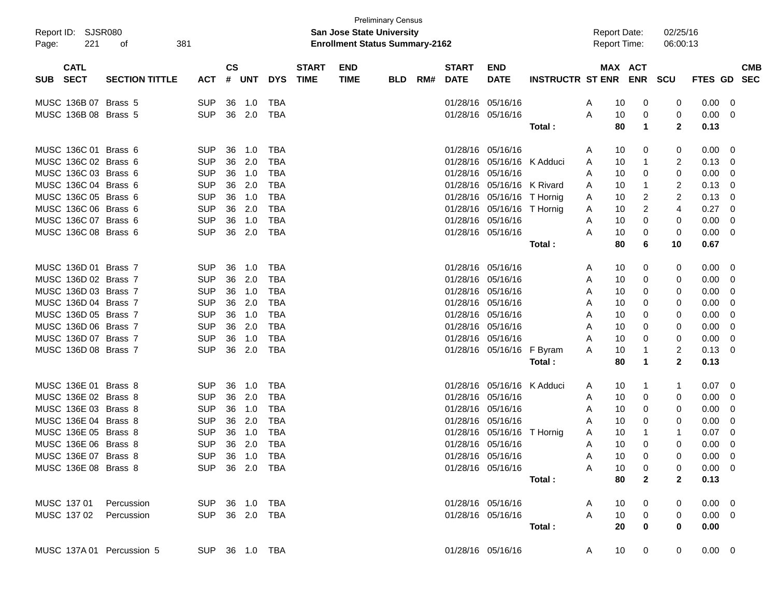| Report ID: SJSR080<br>221<br>381<br>Page:<br>οf |                            |                                          |            |               | <b>Preliminary Census</b><br><b>San Jose State University</b><br><b>Enrollment Status Summary-2162</b> |            |                             |                           |            |     |                             |                            |                             | <b>Report Date:</b><br><b>Report Time:</b> |    |                         | 02/25/16<br>06:00:13 |                |                          |
|-------------------------------------------------|----------------------------|------------------------------------------|------------|---------------|--------------------------------------------------------------------------------------------------------|------------|-----------------------------|---------------------------|------------|-----|-----------------------------|----------------------------|-----------------------------|--------------------------------------------|----|-------------------------|----------------------|----------------|--------------------------|
| SUB                                             | <b>CATL</b><br><b>SECT</b> | <b>SECTION TITTLE</b>                    | ACT        | $\mathsf{cs}$ | # UNT                                                                                                  | <b>DYS</b> | <b>START</b><br><b>TIME</b> | <b>END</b><br><b>TIME</b> | <b>BLD</b> | RM# | <b>START</b><br><b>DATE</b> | <b>END</b><br><b>DATE</b>  | <b>INSTRUCTR ST ENR ENR</b> |                                            |    | MAX ACT                 | SCU                  | FTES GD        | <b>CMB</b><br><b>SEC</b> |
|                                                 | MUSC 136B 07 Brass 5       |                                          | <b>SUP</b> | 36            | 1.0                                                                                                    | TBA        |                             |                           |            |     |                             | 01/28/16 05/16/16          |                             | A                                          | 10 | 0                       | 0                    | 0.00           | 0                        |
|                                                 | MUSC 136B 08 Brass 5       |                                          | <b>SUP</b> | 36            | 2.0                                                                                                    | TBA        |                             |                           |            |     |                             | 01/28/16 05/16/16          |                             | A                                          | 10 | 0                       | 0                    | 0.00           | 0                        |
|                                                 |                            |                                          |            |               |                                                                                                        |            |                             |                           |            |     |                             |                            | Total:                      |                                            | 80 | 1                       | $\mathbf{2}$         | 0.13           |                          |
|                                                 | MUSC 136C 01 Brass 6       |                                          | <b>SUP</b> | 36            | 1.0                                                                                                    | TBA        |                             |                           |            |     |                             | 01/28/16 05/16/16          |                             | A                                          | 10 | 0                       | 0                    | 0.00           | 0                        |
|                                                 | MUSC 136C 02 Brass 6       |                                          | <b>SUP</b> | 36            | 2.0                                                                                                    | <b>TBA</b> |                             |                           |            |     |                             | 01/28/16 05/16/16 K Adduci |                             | A                                          | 10 | 1                       | 2                    | 0.13           | 0                        |
|                                                 | MUSC 136C 03 Brass 6       |                                          | <b>SUP</b> | 36            | 1.0                                                                                                    | <b>TBA</b> |                             |                           |            |     |                             | 01/28/16 05/16/16          |                             | A                                          | 10 | 0                       | 0                    | 0.00           | 0                        |
|                                                 | MUSC 136C 04 Brass 6       |                                          | <b>SUP</b> | 36            | 2.0                                                                                                    | <b>TBA</b> |                             |                           |            |     |                             | 01/28/16 05/16/16 K Rivard |                             | A                                          | 10 | 1                       | 2                    | 0.13           | 0                        |
|                                                 | MUSC 136C 05 Brass 6       |                                          | <b>SUP</b> | 36            | 1.0                                                                                                    | <b>TBA</b> |                             |                           |            |     |                             | 01/28/16 05/16/16 T Hornig |                             | A                                          | 10 | 2                       | $\overline{2}$       | 0.13           | 0                        |
|                                                 | MUSC 136C 06 Brass 6       |                                          | <b>SUP</b> | 36            | 2.0                                                                                                    | <b>TBA</b> |                             |                           |            |     |                             | 01/28/16 05/16/16 T Hornig |                             | A                                          | 10 | 2                       | 4                    | 0.27           | 0                        |
|                                                 | MUSC 136C 07 Brass 6       |                                          | <b>SUP</b> | 36            | 1.0                                                                                                    | <b>TBA</b> |                             |                           |            |     |                             | 01/28/16 05/16/16          |                             | A                                          | 10 | 0                       | 0                    | 0.00           | 0                        |
|                                                 | MUSC 136C 08 Brass 6       |                                          | <b>SUP</b> | 36            | 2.0                                                                                                    | TBA        |                             |                           |            |     |                             | 01/28/16 05/16/16          |                             | A                                          | 10 | 0                       | 0                    | 0.00           | 0                        |
|                                                 |                            |                                          |            |               |                                                                                                        |            |                             |                           |            |     |                             |                            | Total:                      |                                            | 80 | 6                       | 10                   | 0.67           |                          |
|                                                 | MUSC 136D 01 Brass 7       |                                          | <b>SUP</b> | 36            | 1.0                                                                                                    | TBA        |                             |                           |            |     |                             | 01/28/16 05/16/16          |                             | A                                          | 10 | 0                       | 0                    | 0.00           | 0                        |
|                                                 | MUSC 136D 02 Brass 7       |                                          | <b>SUP</b> | 36            | 2.0                                                                                                    | <b>TBA</b> |                             |                           |            |     |                             | 01/28/16 05/16/16          |                             | A                                          | 10 | 0                       | 0                    | 0.00           | 0                        |
|                                                 | MUSC 136D 03 Brass 7       |                                          | <b>SUP</b> | 36            | 1.0                                                                                                    | <b>TBA</b> |                             |                           |            |     |                             | 01/28/16 05/16/16          |                             | A                                          | 10 | 0                       | 0                    | 0.00           | 0                        |
|                                                 | MUSC 136D 04 Brass 7       |                                          | <b>SUP</b> | 36            | 2.0                                                                                                    | <b>TBA</b> |                             |                           |            |     |                             | 01/28/16 05/16/16          |                             | A                                          | 10 | 0                       | 0                    | 0.00           | 0                        |
|                                                 | MUSC 136D 05 Brass 7       |                                          | <b>SUP</b> | 36            | 1.0                                                                                                    | <b>TBA</b> |                             |                           |            |     |                             | 01/28/16 05/16/16          |                             | A                                          | 10 | 0                       | 0                    | 0.00           | 0                        |
|                                                 | MUSC 136D 06 Brass 7       |                                          | <b>SUP</b> | 36            | 2.0                                                                                                    | <b>TBA</b> |                             |                           |            |     |                             | 01/28/16 05/16/16          |                             | A                                          | 10 | 0                       | 0                    | 0.00           | 0                        |
|                                                 | MUSC 136D 07 Brass 7       |                                          | <b>SUP</b> | 36            | 1.0                                                                                                    | <b>TBA</b> |                             |                           |            |     |                             | 01/28/16 05/16/16          |                             | A                                          | 10 | 0                       | 0                    | 0.00           | 0                        |
|                                                 | MUSC 136D 08 Brass 7       |                                          | <b>SUP</b> | 36            | 2.0                                                                                                    | TBA        |                             |                           |            |     |                             | 01/28/16 05/16/16          | F Byram                     | A                                          | 10 | 1                       | 2                    | 0.13           | 0                        |
|                                                 |                            |                                          |            |               |                                                                                                        |            |                             |                           |            |     |                             |                            | Total :                     |                                            | 80 | 1                       | $\mathbf{2}$         | 0.13           |                          |
|                                                 | MUSC 136E 01 Brass 8       |                                          | <b>SUP</b> | 36            | 1.0                                                                                                    | TBA        |                             |                           |            |     |                             | 01/28/16 05/16/16 K Adduci |                             | A                                          | 10 | 1                       | 1                    | 0.07           | 0                        |
|                                                 | MUSC 136E 02 Brass 8       |                                          | <b>SUP</b> | 36            | 2.0                                                                                                    | <b>TBA</b> |                             |                           |            |     |                             | 01/28/16 05/16/16          |                             | A                                          | 10 | 0                       | 0                    | 0.00           | 0                        |
|                                                 | MUSC 136E 03 Brass 8       |                                          | <b>SUP</b> | 36            | 1.0                                                                                                    | <b>TBA</b> |                             |                           |            |     |                             | 01/28/16 05/16/16          |                             | A                                          | 10 | 0                       | 0                    | 0.00           | 0                        |
|                                                 | MUSC 136E 04 Brass 8       |                                          | <b>SUP</b> | 36            | 2.0                                                                                                    | <b>TBA</b> |                             |                           |            |     |                             | 01/28/16 05/16/16          |                             | A                                          | 10 | 0                       | 0                    | 0.00           | 0                        |
|                                                 | MUSC 136E 05 Brass 8       |                                          | <b>SUP</b> | 36            | 1.0                                                                                                    | <b>TBA</b> |                             |                           |            |     |                             | 01/28/16 05/16/16 T Hornig |                             | A                                          | 10 | 1                       | 1                    | 0.07           | 0                        |
|                                                 | MUSC 136E 06 Brass 8       |                                          | <b>SUP</b> | 36            | 2.0                                                                                                    | <b>TBA</b> |                             |                           |            |     |                             | 01/28/16 05/16/16          |                             | A                                          | 10 | 0                       | 0                    | 0.00           | 0                        |
|                                                 | MUSC 136E 07 Brass 8       |                                          | <b>SUP</b> |               | 36 1.0                                                                                                 | TBA        |                             |                           |            |     |                             | 01/28/16 05/16/16          |                             | A                                          | 10 | 0                       | 0                    | 0.00           | 0                        |
|                                                 | MUSC 136E 08 Brass 8       | SUP 36 2.0 TBA                           |            |               |                                                                                                        |            |                             |                           |            |     |                             | 01/28/16 05/16/16          |                             | A                                          | 10 | $\mathbf 0$             | 0                    | $0.00 \quad 0$ |                          |
|                                                 |                            |                                          |            |               |                                                                                                        |            |                             |                           |            |     |                             |                            | Total :                     |                                            | 80 | $\mathbf{2}$            | $\mathbf{2}$         | 0.13           |                          |
|                                                 |                            | MUSC 137 01 Percussion<br>SUP 36 1.0 TBA |            |               |                                                                                                        |            |                             |                           |            |     |                             |                            | 01/28/16 05/16/16           | $A \quad \Box$                             | 10 | $\mathbf{0}$            | $\mathbf{0}$         | $0.00 \quad 0$ |                          |
|                                                 |                            | SUP 36 2.0 TBA<br>MUSC 137 02 Percussion |            |               |                                                                                                        |            |                             |                           |            |     |                             | 01/28/16 05/16/16          |                             | A                                          | 10 | $\overline{\mathbf{0}}$ | $\overline{0}$       | $0.00 \quad 0$ |                          |
|                                                 |                            |                                          |            |               |                                                                                                        |            |                             |                           |            |     |                             |                            | Total :                     |                                            | 20 | $\mathbf 0$             | $\mathbf{0}$         | 0.00           |                          |
|                                                 |                            | MUSC 137A 01 Percussion 5 SUP 36 1.0 TBA |            |               |                                                                                                        |            |                             |                           |            |     |                             |                            | 01/28/16 05/16/16           | A                                          |    | $10 \qquad 0$           | $\overline{0}$       | $0.00 \t 0$    |                          |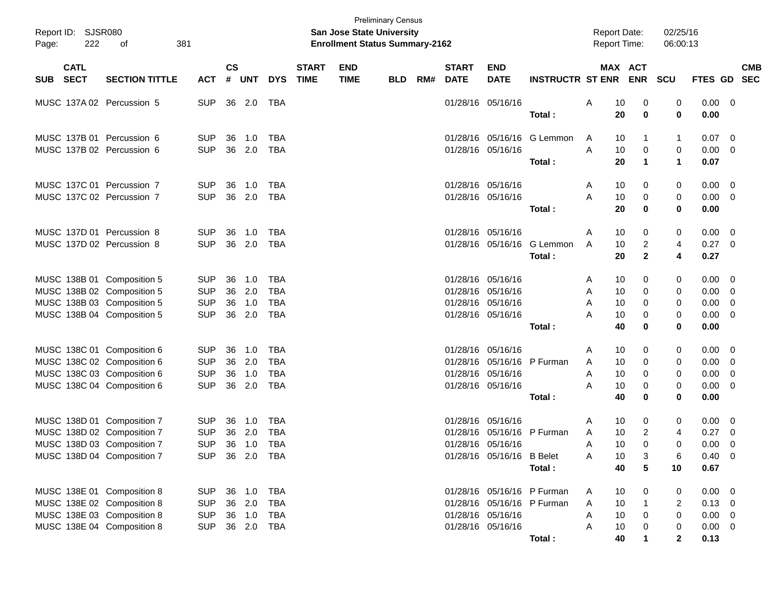| Report ID: SJSR080<br>381<br>222<br>of<br>Page: |                            |                                                                                                                      |                                                      |                    | <b>Preliminary Census</b><br><b>San Jose State University</b><br><b>Enrollment Status Summary-2162</b> |                                                      |                             |                           |            |     |                             |                                                                                  |                                      | <b>Report Date:</b><br>Report Time:            |                                      | 02/25/16<br>06:00:13                   |                                           |                                                     |
|-------------------------------------------------|----------------------------|----------------------------------------------------------------------------------------------------------------------|------------------------------------------------------|--------------------|--------------------------------------------------------------------------------------------------------|------------------------------------------------------|-----------------------------|---------------------------|------------|-----|-----------------------------|----------------------------------------------------------------------------------|--------------------------------------|------------------------------------------------|--------------------------------------|----------------------------------------|-------------------------------------------|-----------------------------------------------------|
| SUB.                                            | <b>CATL</b><br><b>SECT</b> | <b>SECTION TITTLE</b>                                                                                                | <b>ACT</b>                                           | $\mathsf{cs}$<br># | <b>UNT</b>                                                                                             | <b>DYS</b>                                           | <b>START</b><br><b>TIME</b> | <b>END</b><br><b>TIME</b> | <b>BLD</b> | RM# | <b>START</b><br><b>DATE</b> | <b>END</b><br><b>DATE</b>                                                        | <b>INSTRUCTR ST ENR</b>              |                                                | MAX ACT<br><b>ENR</b>                | SCU                                    | <b>FTES GD</b>                            | <b>CMB</b><br><b>SEC</b>                            |
|                                                 |                            | MUSC 137A 02 Percussion 5                                                                                            | <b>SUP</b>                                           |                    | 36 2.0                                                                                                 | TBA                                                  |                             |                           |            |     |                             | 01/28/16 05/16/16                                                                | Total:                               | A<br>10<br>20                                  | 0<br>0                               | 0<br>0                                 | $0.00 \t 0$<br>0.00                       |                                                     |
|                                                 |                            | MUSC 137B 01 Percussion 6<br>MUSC 137B 02 Percussion 6                                                               | <b>SUP</b><br><b>SUP</b>                             | 36                 | 1.0<br>36 2.0                                                                                          | <b>TBA</b><br><b>TBA</b>                             |                             |                           |            |     |                             | 01/28/16 05/16/16<br>01/28/16 05/16/16                                           | G Lemmon<br>Total :                  | 10<br>A<br>A<br>10<br>20                       | -1<br>0<br>1                         | $\mathbf{1}$<br>0<br>$\mathbf{1}$      | 0.07<br>0.00<br>0.07                      | - 0<br>- 0                                          |
|                                                 |                            | MUSC 137C 01 Percussion 7<br>MUSC 137C 02 Percussion 7                                                               | <b>SUP</b><br><b>SUP</b>                             | 36                 | 1.0<br>36 2.0                                                                                          | <b>TBA</b><br><b>TBA</b>                             |                             |                           |            |     |                             | 01/28/16 05/16/16<br>01/28/16 05/16/16                                           | Total:                               | 10<br>A<br>10<br>A<br>20                       | 0<br>0<br>0                          | 0<br>0<br>$\mathbf 0$                  | 0.00<br>0.00<br>0.00                      | - 0<br>- 0                                          |
|                                                 |                            | MUSC 137D 01 Percussion 8<br>MUSC 137D 02 Percussion 8                                                               | <b>SUP</b><br><b>SUP</b>                             | 36                 | 1.0<br>36 2.0                                                                                          | <b>TBA</b><br><b>TBA</b>                             |                             |                           |            |     |                             | 01/28/16 05/16/16<br>01/28/16 05/16/16                                           | G Lemmon<br>Total:                   | 10<br>A<br>10<br>A<br>20                       | 0<br>$\overline{c}$<br>$\mathbf{2}$  | 0<br>4<br>4                            | 0.00<br>0.27<br>0.27                      | $\overline{\mathbf{0}}$<br>$\overline{\phantom{0}}$ |
|                                                 |                            | MUSC 138B 01 Composition 5<br>MUSC 138B 02 Composition 5<br>MUSC 138B 03 Composition 5<br>MUSC 138B 04 Composition 5 | <b>SUP</b><br><b>SUP</b><br><b>SUP</b><br><b>SUP</b> | 36<br>36<br>36     | 1.0<br>2.0<br>1.0<br>36 2.0                                                                            | <b>TBA</b><br><b>TBA</b><br><b>TBA</b><br><b>TBA</b> |                             |                           |            |     |                             | 01/28/16 05/16/16<br>01/28/16 05/16/16<br>01/28/16 05/16/16<br>01/28/16 05/16/16 |                                      | 10<br>A<br>10<br>A<br>10<br>A<br>10<br>A       | 0<br>0<br>0<br>0                     | 0<br>0<br>0<br>0                       | 0.00<br>0.00<br>0.00<br>0.00              | $\overline{\mathbf{0}}$<br>0<br>0<br>0              |
|                                                 |                            | MUSC 138C 01 Composition 6<br>MUSC 138C 02 Composition 6<br>MUSC 138C 03 Composition 6<br>MUSC 138C 04 Composition 6 | <b>SUP</b><br><b>SUP</b><br><b>SUP</b><br><b>SUP</b> | 36<br>36<br>36     | 1.0<br>2.0<br>1.0<br>36 2.0                                                                            | <b>TBA</b><br><b>TBA</b><br><b>TBA</b><br><b>TBA</b> |                             |                           |            |     |                             | 01/28/16 05/16/16<br>01/28/16 05/16/16<br>01/28/16 05/16/16<br>01/28/16 05/16/16 | Total:<br>P Furman                   | 40<br>10<br>A<br>10<br>A<br>10<br>A<br>10<br>A | 0<br>0<br>0<br>0<br>0                | 0<br>0<br>0<br>0<br>0                  | 0.00<br>0.00<br>0.00<br>0.00<br>0.00      | $\overline{\mathbf{0}}$<br>0<br>0<br>$\overline{0}$ |
|                                                 |                            | MUSC 138D 01 Composition 7<br>MUSC 138D 02 Composition 7<br>MUSC 138D 03 Composition 7                               | <b>SUP</b><br><b>SUP</b><br><b>SUP</b>               | 36<br>36<br>36     | 1.0<br>2.0<br>1.0                                                                                      | <b>TBA</b><br><b>TBA</b><br><b>TBA</b>               |                             |                           |            |     | 01/28/16                    | 01/28/16 05/16/16<br>05/16/16<br>01/28/16 05/16/16                               | Total:<br>P Furman                   | 40<br>10<br>A<br>10<br>A<br>10<br>A            | 0<br>0<br>$\overline{2}$<br>$\Omega$ | 0<br>0<br>4<br>0                       | 0.00<br>0.00<br>0.27<br>0.00              | - 0<br>0<br>0                                       |
|                                                 |                            | MUSC 138D 04 Composition 7<br>MUSC 138E 01 Composition 8                                                             | <b>SUP</b>                                           |                    | SUP 36 2.0 TBA<br>36 1.0                                                                               | <b>TBA</b>                                           |                             |                           |            |     |                             | 01/28/16 05/16/16 B Belet                                                        | Total:<br>01/28/16 05/16/16 P Furman | 10<br>A<br>40<br>10<br>A                       | 3<br>5<br>0                          | 6<br>10<br>0                           | $0.40 \quad 0$<br>0.67<br>$0.00 \t 0$     |                                                     |
|                                                 |                            | MUSC 138E 02 Composition 8<br>MUSC 138E 03 Composition 8<br>MUSC 138E 04 Composition 8                               | <b>SUP</b><br><b>SUP</b><br><b>SUP</b>               |                    | 36 2.0<br>36 1.0<br>36 2.0                                                                             | <b>TBA</b><br><b>TBA</b><br><b>TBA</b>               |                             |                           |            |     |                             | 01/28/16 05/16/16<br>01/28/16 05/16/16                                           | 01/28/16 05/16/16 P Furman<br>Total: | A<br>10<br>10<br>A<br>Α<br>10<br>40            | 1<br>0<br>0                          | 2<br>0<br>0<br>$\overline{\mathbf{2}}$ | $0.13 \ 0$<br>0.00<br>$0.00 \t 0$<br>0.13 | $\overline{\mathbf{0}}$                             |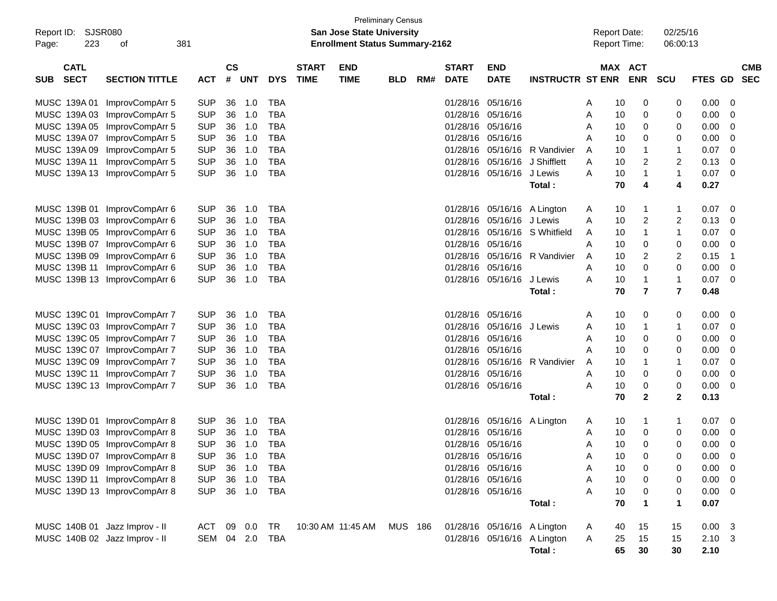| Report ID:<br>223<br>Page:               | SJSR080<br>381<br>of          |                |                    |            |            |                             | <b>San Jose State University</b><br><b>Enrollment Status Summary-2162</b> | <b>Preliminary Census</b> |     |                             |                             |                             | <b>Report Date:</b><br><b>Report Time:</b> |         |                | 02/25/16<br>06:00:13    |                |                          |
|------------------------------------------|-------------------------------|----------------|--------------------|------------|------------|-----------------------------|---------------------------------------------------------------------------|---------------------------|-----|-----------------------------|-----------------------------|-----------------------------|--------------------------------------------|---------|----------------|-------------------------|----------------|--------------------------|
| <b>CATL</b><br><b>SECT</b><br><b>SUB</b> | <b>SECTION TITTLE</b>         | <b>ACT</b>     | $\mathsf{cs}$<br># | <b>UNT</b> | <b>DYS</b> | <b>START</b><br><b>TIME</b> | <b>END</b><br><b>TIME</b>                                                 | <b>BLD</b>                | RM# | <b>START</b><br><b>DATE</b> | <b>END</b><br><b>DATE</b>   | <b>INSTRUCTR ST ENR</b>     |                                            | MAX ACT | <b>ENR</b>     | <b>SCU</b>              | FTES GD        | <b>CMB</b><br><b>SEC</b> |
| MUSC 139A 01                             | ImprovCompArr 5               | <b>SUP</b>     | 36                 | 1.0        | <b>TBA</b> |                             |                                                                           |                           |     | 01/28/16                    | 05/16/16                    |                             | A                                          | 10      | 0              | 0                       | 0.00           | 0                        |
| MUSC 139A 03                             | ImprovCompArr 5               | <b>SUP</b>     | 36                 | 1.0        | <b>TBA</b> |                             |                                                                           |                           |     | 01/28/16                    | 05/16/16                    |                             | A                                          | 10      | 0              | 0                       | 0.00           | 0                        |
|                                          | MUSC 139A 05 ImprovCompArr 5  | <b>SUP</b>     | 36                 | 1.0        | <b>TBA</b> |                             |                                                                           |                           |     | 01/28/16                    | 05/16/16                    |                             | A                                          | 10      | 0              | 0                       | 0.00           | 0                        |
|                                          | MUSC 139A 07 ImprovCompArr 5  | <b>SUP</b>     | 36                 | 1.0        | <b>TBA</b> |                             |                                                                           |                           |     | 01/28/16                    | 05/16/16                    |                             | A                                          | 10      | 0              | 0                       | 0.00           | 0                        |
|                                          | MUSC 139A 09 ImprovCompArr 5  | <b>SUP</b>     | 36                 | 1.0        | <b>TBA</b> |                             |                                                                           |                           |     | 01/28/16                    |                             | 05/16/16 R Vandivier        | A                                          | 10      | 1              | 1                       | 0.07           | 0                        |
| MUSC 139A 11                             | ImprovCompArr 5               | <b>SUP</b>     | 36                 | 1.0        | <b>TBA</b> |                             |                                                                           |                           |     | 01/28/16                    | 05/16/16                    | J Shifflett                 | A                                          | 10      | 2              | $\overline{\mathbf{c}}$ | 0.13           | 0                        |
|                                          | MUSC 139A 13 ImprovCompArr 5  | <b>SUP</b>     | 36                 | 1.0        | <b>TBA</b> |                             |                                                                           |                           |     |                             | 01/28/16 05/16/16 J Lewis   |                             | A                                          | 10      | 1              | $\mathbf{1}$            | 0.07           | 0                        |
|                                          |                               |                |                    |            |            |                             |                                                                           |                           |     |                             |                             | Total:                      |                                            | 70      | 4              | 4                       | 0.27           |                          |
|                                          | MUSC 139B 01 ImprovCompArr 6  | <b>SUP</b>     | 36                 | 1.0        | <b>TBA</b> |                             |                                                                           |                           |     | 01/28/16                    |                             | 05/16/16 A Lington          | A                                          | 10      | 1              | 1                       | 0.07           | 0                        |
|                                          | MUSC 139B 03 ImprovCompArr 6  | <b>SUP</b>     | 36                 | 1.0        | <b>TBA</b> |                             |                                                                           |                           |     | 01/28/16                    | 05/16/16 J Lewis            |                             | A                                          | 10      | 2              | 2                       | 0.13           | 0                        |
|                                          | MUSC 139B 05 ImprovCompArr 6  | <b>SUP</b>     | 36                 | 1.0        | <b>TBA</b> |                             |                                                                           |                           |     | 01/28/16                    | 05/16/16                    | S Whitfield                 | A                                          | 10      | 1              | 1                       | 0.07           | 0                        |
|                                          | MUSC 139B 07 ImprovCompArr 6  | <b>SUP</b>     | 36                 | 1.0        | <b>TBA</b> |                             |                                                                           |                           |     | 01/28/16                    | 05/16/16                    |                             | A                                          | 10      | 0              | 0                       | 0.00           | 0                        |
|                                          | MUSC 139B 09 ImprovCompArr 6  | <b>SUP</b>     | 36                 | 1.0        | <b>TBA</b> |                             |                                                                           |                           |     | 01/28/16                    | 05/16/16                    | R Vandivier                 | A                                          | 10      | 2              | 2                       | 0.15           | -1                       |
|                                          | MUSC 139B 11 ImprovCompArr 6  | <b>SUP</b>     | 36                 | 1.0        | <b>TBA</b> |                             |                                                                           |                           |     | 01/28/16                    | 05/16/16                    |                             | A                                          | 10      | 0              | 0                       | 0.00           | 0                        |
|                                          | MUSC 139B 13 ImprovCompArr 6  | <b>SUP</b>     | 36                 | 1.0        | <b>TBA</b> |                             |                                                                           |                           |     |                             | 01/28/16 05/16/16 J Lewis   |                             | A                                          | 10      | 1              | 1                       | 0.07           | 0                        |
|                                          |                               |                |                    |            |            |                             |                                                                           |                           |     |                             |                             | Total:                      |                                            | 70      | $\overline{7}$ | $\overline{7}$          | 0.48           |                          |
|                                          |                               |                |                    |            |            |                             |                                                                           |                           |     |                             |                             |                             |                                            |         |                |                         |                |                          |
|                                          | MUSC 139C 01 ImprovCompArr 7  | <b>SUP</b>     | 36                 | 1.0        | <b>TBA</b> |                             |                                                                           |                           |     |                             | 01/28/16 05/16/16           |                             | A                                          | 10      | 0              | 0                       | 0.00           | 0                        |
|                                          | MUSC 139C 03 ImprovCompArr 7  | <b>SUP</b>     | 36                 | 1.0        | <b>TBA</b> |                             |                                                                           |                           |     | 01/28/16                    | 05/16/16 J Lewis            |                             | A                                          | 10      | 1              | 1                       | 0.07           | 0                        |
|                                          | MUSC 139C 05 ImprovCompArr 7  | <b>SUP</b>     | 36                 | 1.0        | <b>TBA</b> |                             |                                                                           |                           |     |                             | 01/28/16 05/16/16           |                             | A                                          | 10      | 0              | 0                       | 0.00           | 0                        |
|                                          | MUSC 139C 07 ImprovCompArr 7  | <b>SUP</b>     | 36                 | 1.0        | <b>TBA</b> |                             |                                                                           |                           |     |                             | 01/28/16 05/16/16           |                             | A                                          | 10      | 0              | 0                       | 0.00           | 0                        |
|                                          | MUSC 139C 09 ImprovCompArr 7  | <b>SUP</b>     | 36                 | 1.0        | <b>TBA</b> |                             |                                                                           |                           |     | 01/28/16                    | 05/16/16                    | R Vandivier                 | A                                          | 10      | 1              | 1                       | 0.07           | 0                        |
|                                          | MUSC 139C 11 ImprovCompArr 7  | <b>SUP</b>     | 36                 | 1.0        | <b>TBA</b> |                             |                                                                           |                           |     |                             | 01/28/16 05/16/16           |                             | A                                          | 10      | 0              | 0                       | 0.00           | 0                        |
|                                          | MUSC 139C 13 ImprovCompArr 7  | <b>SUP</b>     | 36                 | 1.0        | <b>TBA</b> |                             |                                                                           |                           |     |                             | 01/28/16 05/16/16           |                             | A                                          | 10      | 0              | 0                       | 0.00           | 0                        |
|                                          |                               |                |                    |            |            |                             |                                                                           |                           |     |                             |                             | Total:                      |                                            | 70      | $\mathbf{2}$   | $\mathbf 2$             | 0.13           |                          |
|                                          | MUSC 139D 01 ImprovCompArr 8  | <b>SUP</b>     | 36                 | 1.0        | <b>TBA</b> |                             |                                                                           |                           |     | 01/28/16                    | 05/16/16 A Lington          |                             | A                                          | 10      | 1              | 1                       | 0.07           | - 0                      |
|                                          | MUSC 139D 03 ImprovCompArr 8  | <b>SUP</b>     | 36                 | 1.0        | <b>TBA</b> |                             |                                                                           |                           |     |                             | 01/28/16 05/16/16           |                             | A                                          | 10      | 0              | 0                       | 0.00           | 0                        |
|                                          | MUSC 139D 05 ImprovCompArr 8  | <b>SUP</b>     | 36                 | 1.0        | <b>TBA</b> |                             |                                                                           |                           |     |                             | 01/28/16 05/16/16           |                             | A                                          | 10      | $\mathbf 0$    | 0                       | 0.00           | 0                        |
|                                          | MUSC 139D 07 ImprovCompArr 8  | <b>SUP</b>     | 36                 | 1.0        | <b>TBA</b> |                             |                                                                           |                           |     |                             | 01/28/16 05/16/16           |                             | A                                          | 10      | 0              | 0                       | 0.00           | $\overline{\mathbf{0}}$  |
|                                          | MUSC 139D 09 ImprovCompArr 8  | <b>SUP</b>     | 36                 | 1.0        | <b>TBA</b> |                             |                                                                           |                           |     |                             | 01/28/16 05/16/16           |                             | A                                          | 10      | 0              | 0                       | 0.00           | - 0                      |
|                                          | MUSC 139D 11 ImprovCompArr 8  | <b>SUP</b>     |                    | 36 1.0     | <b>TBA</b> |                             |                                                                           |                           |     |                             | 01/28/16 05/16/16           |                             | Α                                          | 10      | 0              | 0                       | 0.00           | - 0                      |
|                                          | MUSC 139D 13 ImprovCompArr 8  | <b>SUP</b>     |                    | 36 1.0 TBA |            |                             |                                                                           |                           |     |                             | 01/28/16 05/16/16           |                             | A                                          | 10      | 0              | 0                       | 0.00           | - 0                      |
|                                          |                               |                |                    |            |            |                             |                                                                           |                           |     |                             |                             | Total:                      |                                            | 70      | 1              | 1                       | 0.07           |                          |
| MUSC 140B 01 Jazz Improv - II            |                               | ACT            |                    | 09 0.0     | TR         |                             | 10:30 AM 11:45 AM                                                         | MUS 186                   |     |                             | 01/28/16 05/16/16 A Lington |                             | A                                          | 40      | 15             | 15                      | $0.00 \quad 3$ |                          |
|                                          | MUSC 140B 02 Jazz Improv - II | SEM 04 2.0 TBA |                    |            |            |                             |                                                                           |                           |     |                             |                             | 01/28/16 05/16/16 A Lington | A                                          | 25      | 15             | 15                      | $2.10 \quad 3$ |                          |
|                                          |                               |                |                    |            |            |                             |                                                                           |                           |     |                             |                             | Total:                      |                                            | 65      | 30             | 30                      | 2.10           |                          |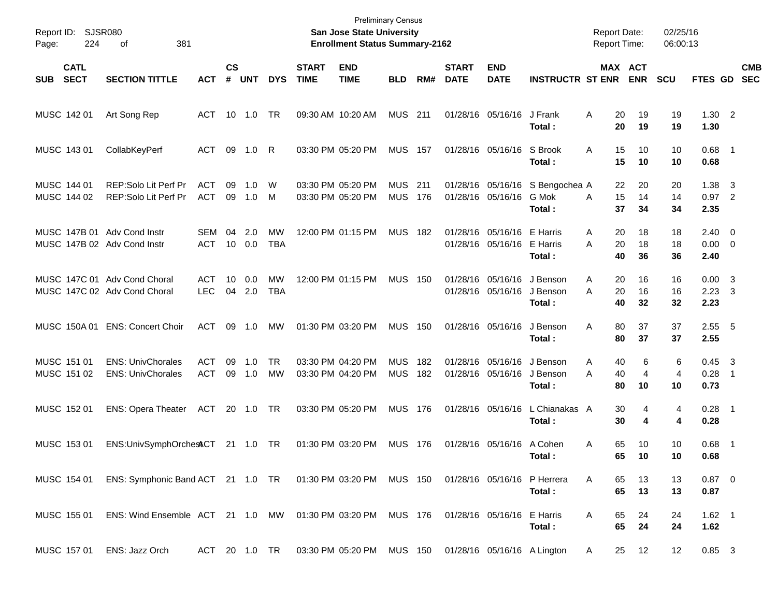| Report ID:<br>Page: | 224                        | SJSR080<br>381<br>οf                                            |                          |                    |            |                  |                             | <b>Preliminary Census</b><br>San Jose State University<br><b>Enrollment Status Summary-2162</b> |                          |            |                             |                                        |                                       | <b>Report Date:</b><br><b>Report Time:</b> |                       | 02/25/16<br>06:00:13 |                            |                                           |                          |
|---------------------|----------------------------|-----------------------------------------------------------------|--------------------------|--------------------|------------|------------------|-----------------------------|-------------------------------------------------------------------------------------------------|--------------------------|------------|-----------------------------|----------------------------------------|---------------------------------------|--------------------------------------------|-----------------------|----------------------|----------------------------|-------------------------------------------|--------------------------|
| <b>SUB</b>          | <b>CATL</b><br><b>SECT</b> | <b>SECTION TITTLE</b>                                           | <b>ACT</b>               | $\mathsf{cs}$<br># | <b>UNT</b> | <b>DYS</b>       | <b>START</b><br><b>TIME</b> | <b>END</b><br><b>TIME</b>                                                                       | <b>BLD</b>               | RM#        | <b>START</b><br><b>DATE</b> | <b>END</b><br><b>DATE</b>              | <b>INSTRUCTR ST ENR</b>               |                                            | MAX ACT<br><b>ENR</b> | <b>SCU</b>           | <b>FTES GD</b>             |                                           | <b>CMB</b><br><b>SEC</b> |
|                     | MUSC 142 01                | Art Song Rep                                                    | ACT                      | 10                 | 1.0        | TR               |                             | 09:30 AM 10:20 AM                                                                               | <b>MUS</b>               | 211        |                             | 01/28/16 05/16/16                      | J Frank<br>Total:                     | Α<br>20<br>20                              | 19<br>19              | 19<br>19             | $1.30$ 2<br>1.30           |                                           |                          |
|                     | MUSC 143 01                | CollabKeyPerf                                                   | ACT                      | 09                 | 1.0        | R                |                             | 03:30 PM 05:20 PM                                                                               | <b>MUS</b>               | 157        |                             | 01/28/16 05/16/16                      | S Brook<br>Total:                     | A<br>15<br>15                              | 10<br>10              | 10<br>10             | $0.68$ 1<br>0.68           |                                           |                          |
|                     | MUSC 144 01<br>MUSC 144 02 | REP:Solo Lit Perf Pr<br>REP:Solo Lit Perf Pr                    | <b>ACT</b><br><b>ACT</b> | 09<br>09           | 1.0<br>1.0 | W<br>М           |                             | 03:30 PM 05:20 PM<br>03:30 PM 05:20 PM                                                          | <b>MUS</b><br><b>MUS</b> | 211<br>176 |                             | 01/28/16 05/16/16<br>01/28/16 05/16/16 | S Bengochea A<br>G Mok<br>Total:      | 22<br>15<br>A<br>37                        | 20<br>14<br>34        | 20<br>14<br>34       | 1.38<br>$0.97$ 2<br>2.35   | -3                                        |                          |
|                     |                            | MUSC 147B 01 Adv Cond Instr<br>MUSC 147B 02 Adv Cond Instr      | SEM<br><b>ACT</b>        | 04<br>10           | 2.0<br>0.0 | MW<br>TBA        |                             | 12:00 PM 01:15 PM                                                                               | <b>MUS</b>               | 182        |                             | 01/28/16 05/16/16<br>01/28/16 05/16/16 | E Harris<br>E Harris<br>Total:        | A<br>20<br>A<br>20<br>40                   | 18<br>18<br>36        | 18<br>18<br>36       | $2.40 \ 0$<br>0.00<br>2.40 | $\overline{\phantom{0}}$                  |                          |
|                     |                            | MUSC 147C 01 Adv Cond Choral<br>MUSC 147C 02 Adv Cond Choral    | <b>ACT</b><br><b>LEC</b> | 10<br>04           | 0.0<br>2.0 | <b>MW</b><br>TBA |                             | 12:00 PM 01:15 PM                                                                               | <b>MUS</b>               | 150        |                             | 01/28/16 05/16/16<br>01/28/16 05/16/16 | J Benson<br>J Benson<br>Total:        | 20<br>A<br>A<br>20<br>40                   | 16<br>16<br>32        | 16<br>16<br>32       | 0.00<br>2.23<br>2.23       | $\overline{\mathbf{3}}$<br>-3             |                          |
|                     | MUSC 150A 01               | <b>ENS: Concert Choir</b>                                       | <b>ACT</b>               | 09                 | 1.0        | MW               |                             | 01:30 PM 03:20 PM                                                                               | <b>MUS</b>               | 150        |                             | 01/28/16 05/16/16                      | J Benson<br>Total:                    | Α<br>80<br>80                              | 37<br>37              | 37<br>37             | 2.55<br>2.55               | $-5$                                      |                          |
|                     | MUSC 151 01<br>MUSC 151 02 | <b>ENS: UnivChorales</b><br><b>ENS: UnivChorales</b>            | <b>ACT</b><br><b>ACT</b> | 09<br>09           | 1.0<br>1.0 | <b>TR</b><br>MW  |                             | 03:30 PM 04:20 PM<br>03:30 PM 04:20 PM                                                          | <b>MUS</b><br><b>MUS</b> | 182<br>182 |                             | 01/28/16 05/16/16<br>01/28/16 05/16/16 | J Benson<br>J Benson<br>Total:        | A<br>40<br>A<br>40<br>80                   | 6<br>4<br>10          | 6<br>4<br>10         | 0.45<br>0.28<br>0.73       | $\overline{\mathbf{3}}$<br>$\overline{1}$ |                          |
|                     | MUSC 152 01                | <b>ENS: Opera Theater</b>                                       | ACT                      |                    | 20 1.0     | - TR             |                             | 03:30 PM 05:20 PM                                                                               | <b>MUS</b>               | 176        |                             | 01/28/16 05/16/16                      | L Chianakas A<br>Total:               | 30<br>30                                   | 4<br>4                | 4<br>4               | $0.28$ 1<br>0.28           |                                           |                          |
|                     | MUSC 153 01                | ENS:UnivSymphOrchesACT                                          |                          |                    | 21  1.0    | TR               |                             | 01:30 PM 03:20 PM                                                                               | <b>MUS</b>               | 176        |                             | 01/28/16 05/16/16                      | A Cohen<br>Total :                    | 65<br>Α<br>65                              | 10<br>10              | 10<br>10             | 0.68<br>0.68               | $\overline{\phantom{1}}$                  |                          |
|                     | MUSC 154 01                | ENS: Symphonic Band ACT 21 1.0 TR  01:30 PM  03:20 PM  MUS  150 |                          |                    |            |                  |                             |                                                                                                 |                          |            |                             |                                        | 01/28/16 05/16/16 P Herrera<br>Total: | A<br>65<br>65                              | 13<br>13              | 13<br>13             | $0.87 \quad 0$<br>0.87     |                                           |                          |
|                     | MUSC 155 01                | ENS: Wind Ensemble ACT 21 1.0 MW 01:30 PM 03:20 PM MUS 176      |                          |                    |            |                  |                             |                                                                                                 |                          |            |                             | 01/28/16 05/16/16 E Harris             | Total:                                | A<br>65<br>65                              | 24<br>24              | 24<br>24             | $1.62$ 1<br>1.62           |                                           |                          |
|                     | MUSC 157 01                | ENS: Jazz Orch                                                  | ACT 20 1.0 TR            |                    |            |                  |                             | 03:30 PM 05:20 PM MUS 150 01/28/16 05/16/16 A Lington                                           |                          |            |                             |                                        |                                       | A                                          | 12<br>25              | 12                   | $0.85$ 3                   |                                           |                          |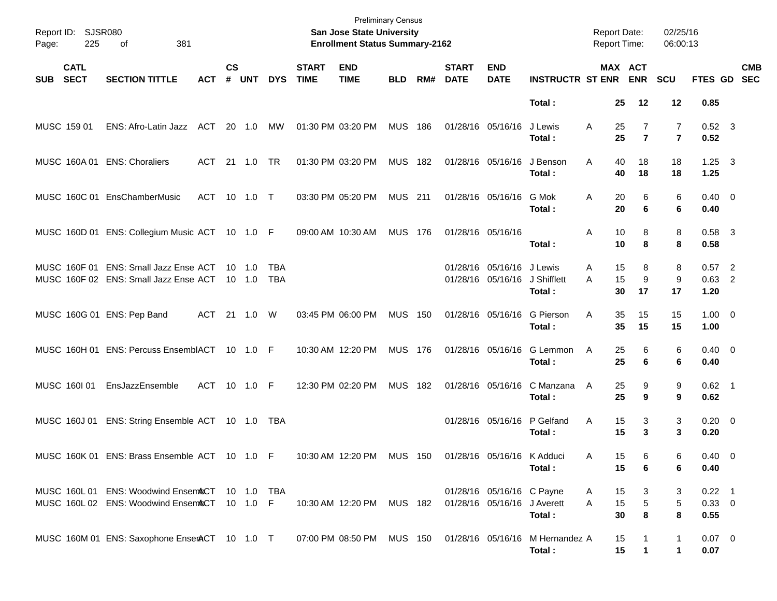| Report ID: SJSR080<br>Page: | 225                        | 381<br>of                                                                                     |            |                                  |            |                   |                             | <b>Preliminary Census</b><br>San Jose State University<br><b>Enrollment Status Summary-2162</b> |                |     |                             |                                                            |                                                                     | <b>Report Date:</b><br>Report Time: |                                  | 02/25/16<br>06:00:13             |                              |                           |
|-----------------------------|----------------------------|-----------------------------------------------------------------------------------------------|------------|----------------------------------|------------|-------------------|-----------------------------|-------------------------------------------------------------------------------------------------|----------------|-----|-----------------------------|------------------------------------------------------------|---------------------------------------------------------------------|-------------------------------------|----------------------------------|----------------------------------|------------------------------|---------------------------|
| <b>SUB</b>                  | <b>CATL</b><br><b>SECT</b> | <b>SECTION TITTLE</b>                                                                         | <b>ACT</b> | $\mathsf{cs}$<br>#               | <b>UNT</b> | <b>DYS</b>        | <b>START</b><br><b>TIME</b> | <b>END</b><br><b>TIME</b>                                                                       | <b>BLD</b>     | RM# | <b>START</b><br><b>DATE</b> | <b>END</b><br><b>DATE</b>                                  | <b>INSTRUCTR ST ENR ENR</b>                                         |                                     | MAX ACT                          | <b>SCU</b>                       |                              | <b>CMB</b><br>FTES GD SEC |
|                             |                            |                                                                                               |            |                                  |            |                   |                             |                                                                                                 |                |     |                             |                                                            | Total:                                                              | 25                                  | 12                               | 12                               | 0.85                         |                           |
| MUSC 159 01                 |                            | ENS: Afro-Latin Jazz                                                                          | ACT        | 20 1.0                           |            | МW                |                             | 01:30 PM 03:20 PM                                                                               | <b>MUS 186</b> |     |                             | 01/28/16 05/16/16                                          | J Lewis<br>Total:                                                   | Α<br>25<br>25                       | $\overline{7}$<br>$\overline{7}$ | $\overline{7}$<br>$\overline{7}$ | $0.52$ 3<br>0.52             |                           |
|                             |                            | MUSC 160A 01 ENS: Choraliers                                                                  | ACT        | 21 1.0                           |            | TR.               |                             | 01:30 PM 03:20 PM                                                                               | <b>MUS 182</b> |     |                             | 01/28/16 05/16/16                                          | J Benson<br>Total:                                                  | A<br>40<br>40                       | 18<br>18                         | 18<br>18                         | $1.25 \quad 3$<br>1.25       |                           |
|                             |                            | MUSC 160C 01 EnsChamberMusic                                                                  | <b>ACT</b> |                                  |            |                   |                             | 03:30 PM 05:20 PM                                                                               | <b>MUS 211</b> |     |                             | 01/28/16 05/16/16                                          | G Mok<br>Total:                                                     | Α<br>20<br>20                       | 6<br>6                           | 6<br>6                           | $0.40 \quad 0$<br>0.40       |                           |
|                             |                            | MUSC 160D 01 ENS: Collegium Music ACT 10 1.0 F                                                |            |                                  |            |                   |                             | 09:00 AM 10:30 AM                                                                               | <b>MUS 176</b> |     |                             | 01/28/16 05/16/16                                          | Total:                                                              | Α<br>10<br>10                       | 8<br>8                           | 8<br>8                           | $0.58$ 3<br>0.58             |                           |
|                             |                            | MUSC 160F 01 ENS: Small Jazz Ense ACT<br>MUSC 160F 02 ENS: Small Jazz Ense ACT                |            | $10 \quad 1.0$<br>$10 \quad 1.0$ |            | TBA<br><b>TBA</b> |                             |                                                                                                 |                |     |                             | 01/28/16 05/16/16 J Lewis<br>01/28/16 05/16/16 J Shifflett | Total:                                                              | 15<br>Α<br>15<br>A<br>30            | 8<br>9<br>17                     | 8<br>9<br>17                     | $0.57$ 2<br>$0.63$ 2<br>1.20 |                           |
|                             |                            | MUSC 160G 01 ENS: Pep Band                                                                    | <b>ACT</b> | 21 1.0                           |            | W                 |                             | 03:45 PM 06:00 PM                                                                               | <b>MUS 150</b> |     |                             | 01/28/16 05/16/16                                          | G Pierson<br>Total:                                                 | 35<br>A<br>35                       | 15<br>15                         | 15<br>15                         | $1.00 \t 0$<br>1.00          |                           |
|                             |                            | MUSC 160H 01 ENS: Percuss EnsemblACT 10 1.0 F                                                 |            |                                  |            |                   |                             | 10:30 AM 12:20 PM                                                                               | <b>MUS 176</b> |     |                             | 01/28/16 05/16/16                                          | G Lemmon<br>Total:                                                  | 25<br>A<br>25                       | 6<br>6                           | 6<br>6                           | $0.40 \quad 0$<br>0.40       |                           |
| MUSC 160101                 |                            | EnsJazzEnsemble                                                                               | <b>ACT</b> |                                  | 10 1.0     | F                 |                             | 12:30 PM 02:20 PM                                                                               | MUS            | 182 |                             | 01/28/16 05/16/16                                          | C Manzana<br>Total:                                                 | 25<br>A<br>25                       | 9<br>9                           | 9<br>9                           | $0.62$ 1<br>0.62             |                           |
| MUSC 160J 01                |                            | ENS: String Ensemble ACT 10 1.0 TBA                                                           |            |                                  |            |                   |                             |                                                                                                 |                |     |                             | 01/28/16 05/16/16                                          | P Gelfand<br>Total:                                                 | 15<br>Α<br>15                       | 3<br>3                           | 3<br>3                           | $0.20 \ 0$<br>0.20           |                           |
|                             |                            | MUSC 160K 01 ENS: Brass Ensemble ACT 10 1.0 F                                                 |            |                                  |            |                   |                             | 10:30 AM 12:20 PM MUS 150 01/28/16 05/16/16 K Adduci                                            |                |     |                             |                                                            | Total:                                                              | Α<br>15<br>15                       | 6<br>6                           | 6<br>6                           | $0.40 \quad 0$<br>0.40       |                           |
|                             |                            | MUSC 160L 01 ENS: Woodwind Ensem#CT 10 1.0 TBA<br>MUSC 160L02 ENS: Woodwind Ensem&CT 10 1.0 F |            |                                  |            |                   |                             | 10:30 AM 12:20 PM                                                                               | MUS 182        |     |                             | 01/28/16 05/16/16 C Payne<br>01/28/16 05/16/16 J Averett   | Total:                                                              | 15<br>A<br>15<br>A<br>30            | 3<br>$\,$ 5 $\,$<br>$\pmb{8}$    | 3<br>5<br>8                      | $0.22$ 1<br>0.33 0<br>0.55   |                           |
|                             |                            | MUSC 160M 01 ENS: Saxophone EnserACT 10 1.0 T                                                 |            |                                  |            |                   |                             |                                                                                                 |                |     |                             |                                                            | 07:00 PM 08:50 PM MUS 150 01/28/16 05/16/16 M Hernandez A<br>Total: | 15<br>15                            | $\mathbf 1$                      | $\mathbf{1}$<br>$\mathbf 1$      | $0.07$ 0<br>0.07             |                           |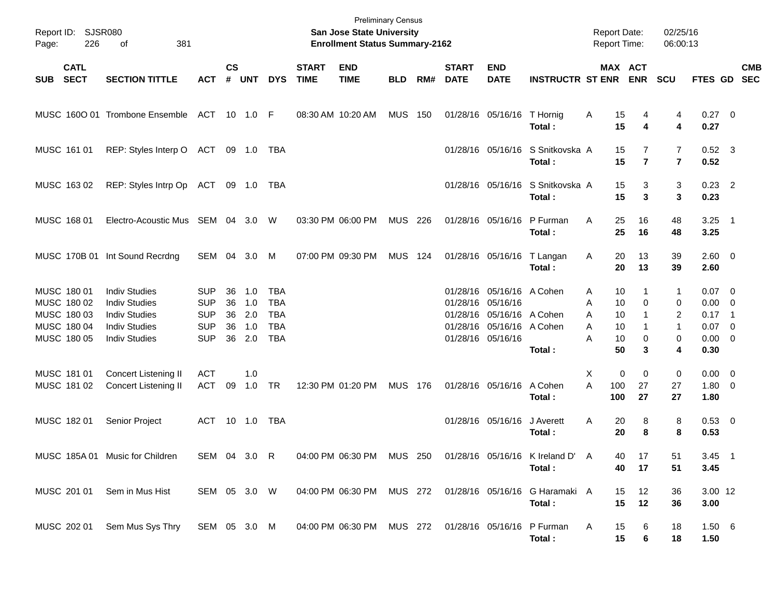| Page:      | Report ID: SJSR080<br>226                                               | 381<br>оf                                                                                                            |                                                                    |                            |                                 |                                                                    |                             | <b>Preliminary Census</b><br>San Jose State University<br><b>Enrollment Status Summary-2162</b> |                |         |                             |                                                                                                                               |                                            | <b>Report Date:</b><br><b>Report Time:</b> |                                                           | 02/25/16<br>06:00:13       |                                                                              |            |
|------------|-------------------------------------------------------------------------|----------------------------------------------------------------------------------------------------------------------|--------------------------------------------------------------------|----------------------------|---------------------------------|--------------------------------------------------------------------|-----------------------------|-------------------------------------------------------------------------------------------------|----------------|---------|-----------------------------|-------------------------------------------------------------------------------------------------------------------------------|--------------------------------------------|--------------------------------------------|-----------------------------------------------------------|----------------------------|------------------------------------------------------------------------------|------------|
| <b>SUB</b> | <b>CATL</b><br><b>SECT</b>                                              | <b>SECTION TITTLE</b>                                                                                                | <b>ACT</b>                                                         | $\mathsf{cs}$<br>#         | <b>UNT</b>                      | <b>DYS</b>                                                         | <b>START</b><br><b>TIME</b> | <b>END</b><br><b>TIME</b>                                                                       | <b>BLD</b>     | RM#     | <b>START</b><br><b>DATE</b> | <b>END</b><br><b>DATE</b>                                                                                                     | <b>INSTRUCTR ST ENR</b>                    |                                            | MAX ACT<br><b>ENR</b>                                     | <b>SCU</b>                 | FTES GD SEC                                                                  | <b>CMB</b> |
|            |                                                                         | MUSC 1600 01 Trombone Ensemble ACT 10 1.0 F                                                                          |                                                                    |                            |                                 |                                                                    | 08:30 AM 10:20 AM           |                                                                                                 | <b>MUS 150</b> |         |                             | 01/28/16 05/16/16                                                                                                             | T Hornig<br>Total:                         | A                                          | 15<br>4<br>15<br>4                                        | 4<br>4                     | $0.27$ 0<br>0.27                                                             |            |
|            | MUSC 161 01                                                             | REP: Styles Interp O ACT 09 1.0 TBA                                                                                  |                                                                    |                            |                                 |                                                                    |                             |                                                                                                 |                |         |                             | 01/28/16 05/16/16                                                                                                             | S Snitkovska A<br>Total:                   |                                            | 15<br>7<br>15<br>$\overline{7}$                           | 7<br>$\overline{7}$        | $0.52$ 3<br>0.52                                                             |            |
|            | MUSC 16302                                                              | REP: Styles Intrp Op ACT 09 1.0 TBA                                                                                  |                                                                    |                            |                                 |                                                                    |                             |                                                                                                 |                |         |                             | 01/28/16 05/16/16                                                                                                             | S Snitkovska A<br>Total:                   |                                            | 15<br>3<br>15<br>3                                        | 3<br>3                     | $0.23$ 2<br>0.23                                                             |            |
|            | MUSC 168 01                                                             | Electro-Acoustic Mus SEM 04 3.0 W                                                                                    |                                                                    |                            |                                 |                                                                    | 03:30 PM 06:00 PM           |                                                                                                 | MUS 226        |         |                             | 01/28/16 05/16/16                                                                                                             | P Furman<br>Total:                         | A                                          | 25<br>16<br>25<br>16                                      | 48<br>48                   | $3.25$ 1<br>3.25                                                             |            |
|            |                                                                         | MUSC 170B 01 Int Sound Recrdng                                                                                       | SEM 04 3.0                                                         |                            |                                 | M                                                                  | 07:00 PM 09:30 PM           |                                                                                                 | MUS 124        |         |                             | 01/28/16 05/16/16                                                                                                             | T Langan<br>Total:                         | A                                          | 20<br>13<br>20<br>13                                      | 39<br>39                   | 2.60 0<br>2.60                                                               |            |
|            | MUSC 180 01<br>MUSC 180 02<br>MUSC 180 03<br>MUSC 180 04<br>MUSC 180 05 | <b>Indiv Studies</b><br><b>Indiv Studies</b><br><b>Indiv Studies</b><br><b>Indiv Studies</b><br><b>Indiv Studies</b> | <b>SUP</b><br><b>SUP</b><br><b>SUP</b><br><b>SUP</b><br><b>SUP</b> | 36<br>36<br>36<br>36<br>36 | 1.0<br>1.0<br>2.0<br>1.0<br>2.0 | <b>TBA</b><br><b>TBA</b><br><b>TBA</b><br><b>TBA</b><br><b>TBA</b> |                             |                                                                                                 |                |         |                             | 01/28/16 05/16/16 A Cohen<br>01/28/16 05/16/16<br>01/28/16 05/16/16 A Cohen<br>01/28/16 05/16/16 A Cohen<br>01/28/16 05/16/16 | Total :                                    | A<br>Α<br>A<br>A<br>A                      | 10<br>1<br>10<br>0<br>10<br>10<br>1<br>10<br>0<br>50<br>3 | 1<br>0<br>2<br>1<br>0<br>4 | $0.07 \quad 0$<br>$0.00 \t 0$<br>$0.17$ 1<br>$0.07$ 0<br>$0.00 \t 0$<br>0.30 |            |
|            | MUSC 181 01<br>MUSC 181 02                                              | Concert Listening II<br>Concert Listening II                                                                         | <b>ACT</b><br>ACT                                                  | 09                         | 1.0<br>1.0 TR                   |                                                                    |                             | 12:30 PM 01:20 PM                                                                               | <b>MUS 176</b> |         |                             | 01/28/16 05/16/16                                                                                                             | A Cohen<br>Total:                          | Х<br>A<br>100<br>100                       | 0<br>0<br>27<br>27                                        | 0<br>27<br>27              | $0.00 \t 0$<br>$1.80 \ 0$<br>1.80                                            |            |
|            | MUSC 182 01                                                             | Senior Project                                                                                                       | ACT 10 1.0 TBA                                                     |                            |                                 |                                                                    |                             |                                                                                                 |                |         |                             | 01/28/16 05/16/16                                                                                                             | J Averett<br>Total :                       | A                                          | 20<br>8<br>20<br>8                                        | 8<br>8                     | 0.53 0<br>0.53                                                               |            |
|            |                                                                         | MUSC 185A 01 Music for Children                                                                                      | SEM 04 3.0                                                         |                            |                                 | R                                                                  |                             | 04:00 PM 06:30 PM                                                                               |                | MUS 250 |                             |                                                                                                                               | 01/28/16 05/16/16 K Ireland D' A<br>Total: |                                            | 40 -<br>17<br>40<br>17                                    | 51<br>51                   | $3.45$ 1<br>3.45                                                             |            |
|            | MUSC 201 01                                                             | Sem in Mus Hist                                                                                                      | SEM 05 3.0 W                                                       |                            |                                 |                                                                    |                             | 04:00 PM 06:30 PM MUS 272                                                                       |                |         |                             |                                                                                                                               | 01/28/16 05/16/16 G Haramaki A<br>Total:   |                                            | 15<br>12<br>15<br>12                                      | 36<br>36                   | 3.00 12<br>3.00                                                              |            |
|            | MUSC 202 01                                                             | Sem Mus Sys Thry                                                                                                     | SEM 05 3.0 M                                                       |                            |                                 |                                                                    |                             | 04:00 PM 06:30 PM MUS 272                                                                       |                |         |                             |                                                                                                                               | 01/28/16 05/16/16 P Furman<br>Total:       | A                                          | 15<br>6<br>15<br>6                                        | 18<br>18                   | $1.50\ 6$<br>1.50                                                            |            |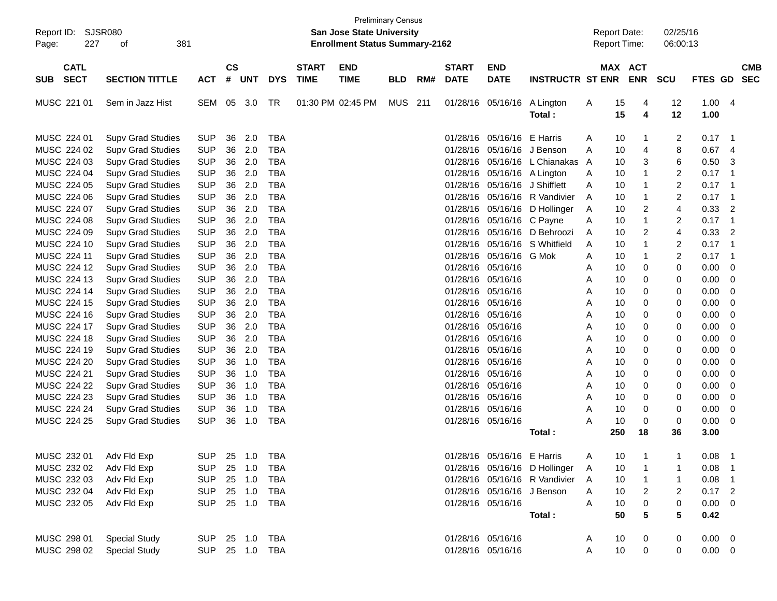| $\mathsf{cs}$<br><b>CATL</b><br>MAX ACT<br><b>START</b><br><b>END</b><br><b>START</b><br><b>END</b><br><b>CMB</b><br><b>SECT</b><br>#<br><b>TIME</b><br><b>TIME</b><br><b>DATE</b><br><b>DATE</b><br><b>ENR</b><br><b>SEC</b><br><b>SECTION TITTLE</b><br><b>ACT</b><br><b>UNT</b><br><b>DYS</b><br>RM#<br><b>INSTRUCTR ST ENR</b><br><b>SCU</b><br><b>FTES GD</b><br><b>SUB</b><br><b>BLD</b><br>SEM 05 3.0<br><b>MUS 211</b><br>01/28/16 05/16/16<br>15<br>12<br>1.004<br>MUSC 221 01<br>Sem in Jazz Hist<br>TR<br>01:30 PM 02:45 PM<br>A Lington<br>Α<br>4<br>15<br>$\overline{\mathbf{4}}$<br>12<br>Total:<br>1.00<br>36<br>2.0<br>MUSC 224 01<br><b>SUP</b><br><b>TBA</b><br>05/16/16<br>2<br>0.17<br><b>Supv Grad Studies</b><br>01/28/16<br>E Harris<br>10<br>A<br>-1<br>- 1<br><b>SUP</b><br>36<br>2.0<br>8<br>0.67<br>MUSC 224 02<br><b>TBA</b><br>05/16/16<br>10<br>$\overline{4}$<br><b>Supv Grad Studies</b><br>01/28/16<br>J Benson<br>A<br>4<br>36<br>2.0<br>6<br>0.50<br>MUSC 224 03<br><b>SUP</b><br><b>TBA</b><br>05/16/16<br>3<br>3<br><b>Supv Grad Studies</b><br>01/28/16<br>L Chianakas A<br>10<br><b>SUP</b><br>36<br>2.0<br><b>TBA</b><br>$\overline{\mathbf{c}}$<br>MUSC 224 04<br>01/28/16<br>05/16/16<br>10<br>$\mathbf{1}$<br>0.17<br><b>Supv Grad Studies</b><br>A Lington<br>$\mathbf 1$<br>A<br>$\overline{c}$<br><b>SUP</b><br>36<br>2.0<br><b>TBA</b><br>MUSC 224 05<br>05/16/16<br>10<br>$\mathbf{1}$<br>0.17<br><b>Supv Grad Studies</b><br>01/28/16<br>J Shifflett<br>A<br>-1<br><b>SUP</b><br>36<br>2.0<br><b>TBA</b><br>$\overline{\mathbf{c}}$<br>MUSC 224 06<br>01/28/16<br>05/16/16<br>R Vandivier<br>10<br>$\mathbf{1}$<br>0.17<br><b>Supv Grad Studies</b><br>A<br>-1<br><b>SUP</b><br>36<br>2.0<br><b>TBA</b><br>4<br>0.33<br>MUSC 224 07<br>01/28/16<br>05/16/16<br>10<br>2<br>$\overline{2}$<br><b>Supv Grad Studies</b><br>D Hollinger<br>Α<br><b>SUP</b><br>36<br>2.0<br><b>TBA</b><br>$\mathbf{1}$<br>$\overline{\mathbf{c}}$<br>MUSC 224 08<br>01/28/16<br>05/16/16<br>10<br>0.17<br><b>Supv Grad Studies</b><br>C Payne<br>Α<br>-1<br><b>SUP</b><br>36<br>2.0<br><b>TBA</b><br>$\overline{c}$<br>4<br>0.33<br>$\overline{2}$<br>MUSC 224 09<br>01/28/16<br>05/16/16<br>10<br><b>Supv Grad Studies</b><br>D Behroozi<br>A<br><b>SUP</b><br>36<br>2.0<br><b>TBA</b><br>$\overline{\mathbf{c}}$<br>MUSC 224 10<br>01/28/16<br>05/16/16<br>S Whitfield<br>10<br>$\mathbf{1}$<br>0.17<br><b>Supv Grad Studies</b><br>A<br>-1<br><b>SUP</b><br>36<br>2.0<br><b>TBA</b><br>2<br>MUSC 224 11<br>01/28/16<br>05/16/16<br>G Mok<br>10<br>$\mathbf{1}$<br>0.17<br><b>Supv Grad Studies</b><br>A<br>-1<br><b>SUP</b><br>36<br>2.0<br><b>TBA</b><br>0<br>0.00<br>MUSC 224 12<br>01/28/16<br>05/16/16<br>10<br>0<br>$\mathbf 0$<br><b>Supv Grad Studies</b><br>A<br><b>SUP</b><br>36<br>2.0<br><b>TBA</b><br>0.00<br>MUSC 224 13<br>01/28/16<br>05/16/16<br>10<br>0<br>0<br>$\mathbf 0$<br><b>Supv Grad Studies</b><br>A<br><b>SUP</b><br>36<br>2.0<br><b>TBA</b><br>MUSC 224 14<br>01/28/16<br>05/16/16<br>10<br>0<br>0.00<br>$\mathbf 0$<br><b>Supv Grad Studies</b><br>Α<br>0<br><b>SUP</b><br>36<br>2.0<br><b>TBA</b><br>MUSC 224 15<br>01/28/16<br>05/16/16<br>0<br>0.00<br>$\mathbf 0$<br><b>Supv Grad Studies</b><br>A<br>10<br>0<br><b>SUP</b><br>36<br>2.0<br><b>TBA</b><br>MUSC 224 16<br>01/28/16<br>05/16/16<br>10<br>0<br>0<br>0.00<br>$\mathbf 0$<br><b>Supv Grad Studies</b><br>A<br><b>SUP</b><br>36<br>2.0<br><b>TBA</b><br>MUSC 224 17<br>01/28/16<br>05/16/16<br>10<br>0<br>0<br>0.00<br>$\mathbf 0$<br><b>Supv Grad Studies</b><br>A<br><b>SUP</b><br>36<br>2.0<br><b>TBA</b><br>MUSC 224 18<br>01/28/16<br>05/16/16<br>10<br>0<br>0.00<br>$\mathbf 0$<br><b>Supv Grad Studies</b><br>A<br>0<br><b>SUP</b><br>2.0<br><b>TBA</b><br>MUSC 224 19<br>36<br>01/28/16<br>05/16/16<br>0<br>0.00<br><b>Supv Grad Studies</b><br>10<br>0<br>0<br>A<br><b>SUP</b><br><b>TBA</b><br>MUSC 224 20<br>36<br>1.0<br>01/28/16<br>05/16/16<br>10<br>0<br>0<br>0.00<br>$\mathbf 0$<br><b>Supv Grad Studies</b><br>A<br><b>SUP</b><br><b>TBA</b><br>MUSC 224 21<br>36<br>1.0<br>01/28/16<br>05/16/16<br>10<br>0<br>0<br>0.00<br>$\mathbf 0$<br><b>Supv Grad Studies</b><br>Α<br><b>SUP</b><br><b>TBA</b><br>MUSC 224 22<br>36<br>1.0<br>05/16/16<br>0<br>0.00<br><b>Supv Grad Studies</b><br>01/28/16<br>A<br>10<br>0<br>0<br><b>SUP</b><br><b>TBA</b><br>MUSC 224 23<br>36<br>1.0<br>05/16/16<br>0<br>0.00<br><b>Supv Grad Studies</b><br>01/28/16<br>A<br>10<br>0<br>0<br><b>SUP</b><br><b>TBA</b><br>MUSC 224 24<br>36<br>1.0<br>01/28/16<br>05/16/16<br>10<br>0<br>0<br>0.00<br>0<br><b>Supv Grad Studies</b><br>Α<br><b>SUP</b><br><b>TBA</b><br>MUSC 224 25<br>36<br>1.0<br>01/28/16 05/16/16<br>10<br>$\mathbf 0$<br>0<br>0.00<br>$\mathbf 0$<br><b>Supv Grad Studies</b><br>Α<br>250<br>18<br>36<br>3.00<br>Total :<br>MUSC 232 01<br>Adv Fld Exp<br><b>SUP</b><br>25 1.0<br>01/28/16 05/16/16 E Harris<br>A<br>$10$<br>$\mathbf{1}$<br>0.08<br>$\overline{1}$<br><b>TBA</b><br>MUSC 232 02<br>25 1.0<br>0.08<br>Adv Fld Exp<br><b>SUP</b><br>TBA<br>01/28/16 05/16/16 D Hollinger<br>10<br>A<br>-1<br>MUSC 232 03<br><b>SUP</b><br>25 1.0<br><b>TBA</b><br>01/28/16 05/16/16 R Vandivier<br>Α<br>0.08<br>Adv Fld Exp<br>10<br>1<br>1<br>$\overline{1}$<br>MUSC 232 04<br><b>SUP</b><br>25 1.0<br><b>TBA</b><br>01/28/16 05/16/16<br>J Benson<br>2<br>0.17<br>Adv Fld Exp<br>Α<br>10<br>$\overline{\mathbf{c}}$<br>$\overline{\phantom{a}}$<br><b>SUP</b><br>0<br>MUSC 232 05<br>25 1.0<br>TBA<br>01/28/16 05/16/16<br>0<br>0.00<br>Adv Fld Exp<br>Α<br>10<br>0<br>5<br>5<br>0.42<br>50<br>Total:<br><b>TBA</b><br>01/28/16 05/16/16<br>$0.00 \t 0$<br>MUSC 298 01<br><b>Special Study</b><br><b>SUP</b><br>25 1.0<br>10<br>0<br>$\boldsymbol{0}$<br>A | Report ID:<br>227<br>Page: | SJSR080<br>381<br>of |  |  | <b>Preliminary Census</b><br><b>San Jose State University</b><br><b>Enrollment Status Summary-2162</b> |  |  | <b>Report Date:</b><br><b>Report Time:</b> |  | 02/25/16<br>06:00:13 |  |  |
|------------------------------------------------------------------------------------------------------------------------------------------------------------------------------------------------------------------------------------------------------------------------------------------------------------------------------------------------------------------------------------------------------------------------------------------------------------------------------------------------------------------------------------------------------------------------------------------------------------------------------------------------------------------------------------------------------------------------------------------------------------------------------------------------------------------------------------------------------------------------------------------------------------------------------------------------------------------------------------------------------------------------------------------------------------------------------------------------------------------------------------------------------------------------------------------------------------------------------------------------------------------------------------------------------------------------------------------------------------------------------------------------------------------------------------------------------------------------------------------------------------------------------------------------------------------------------------------------------------------------------------------------------------------------------------------------------------------------------------------------------------------------------------------------------------------------------------------------------------------------------------------------------------------------------------------------------------------------------------------------------------------------------------------------------------------------------------------------------------------------------------------------------------------------------------------------------------------------------------------------------------------------------------------------------------------------------------------------------------------------------------------------------------------------------------------------------------------------------------------------------------------------------------------------------------------------------------------------------------------------------------------------------------------------------------------------------------------------------------------------------------------------------------------------------------------------------------------------------------------------------------------------------------------------------------------------------------------------------------------------------------------------------------------------------------------------------------------------------------------------------------------------------------------------------------------------------------------------------------------------------------------------------------------------------------------------------------------------------------------------------------------------------------------------------------------------------------------------------------------------------------------------------------------------------------------------------------------------------------------------------------------------------------------------------------------------------------------------------------------------------------------------------------------------------------------------------------------------------------------------------------------------------------------------------------------------------------------------------------------------------------------------------------------------------------------------------------------------------------------------------------------------------------------------------------------------------------------------------------------------------------------------------------------------------------------------------------------------------------------------------------------------------------------------------------------------------------------------------------------------------------------------------------------------------------------------------------------------------------------------------------------------------------------------------------------------------------------------------------------------------------------------------------------------------------------------------------------------------------------------------------------------------------------------------------------------------------------------------------------------------------------------------------------------------------------------------------------------------------------------------------------------------------------------------------------------------------------------------------------------------------------------------------------------------------------------------------------------------------------------------------------------------------------------------------------------------------------------------------------------------------------------------------------------------------------------------------------------------------------------------------------------------------------------------------------------------------------------------------------------------------------------------------------------------|----------------------------|----------------------|--|--|--------------------------------------------------------------------------------------------------------|--|--|--------------------------------------------|--|----------------------|--|--|
|                                                                                                                                                                                                                                                                                                                                                                                                                                                                                                                                                                                                                                                                                                                                                                                                                                                                                                                                                                                                                                                                                                                                                                                                                                                                                                                                                                                                                                                                                                                                                                                                                                                                                                                                                                                                                                                                                                                                                                                                                                                                                                                                                                                                                                                                                                                                                                                                                                                                                                                                                                                                                                                                                                                                                                                                                                                                                                                                                                                                                                                                                                                                                                                                                                                                                                                                                                                                                                                                                                                                                                                                                                                                                                                                                                                                                                                                                                                                                                                                                                                                                                                                                                                                                                                                                                                                                                                                                                                                                                                                                                                                                                                                                                                                                                                                                                                                                                                                                                                                                                                                                                                                                                                                                                                                                                                                                                                                                                                                                                                                                                                                                                                                                                                                                                                                      |                            |                      |  |  |                                                                                                        |  |  |                                            |  |                      |  |  |
|                                                                                                                                                                                                                                                                                                                                                                                                                                                                                                                                                                                                                                                                                                                                                                                                                                                                                                                                                                                                                                                                                                                                                                                                                                                                                                                                                                                                                                                                                                                                                                                                                                                                                                                                                                                                                                                                                                                                                                                                                                                                                                                                                                                                                                                                                                                                                                                                                                                                                                                                                                                                                                                                                                                                                                                                                                                                                                                                                                                                                                                                                                                                                                                                                                                                                                                                                                                                                                                                                                                                                                                                                                                                                                                                                                                                                                                                                                                                                                                                                                                                                                                                                                                                                                                                                                                                                                                                                                                                                                                                                                                                                                                                                                                                                                                                                                                                                                                                                                                                                                                                                                                                                                                                                                                                                                                                                                                                                                                                                                                                                                                                                                                                                                                                                                                                      |                            |                      |  |  |                                                                                                        |  |  |                                            |  |                      |  |  |
|                                                                                                                                                                                                                                                                                                                                                                                                                                                                                                                                                                                                                                                                                                                                                                                                                                                                                                                                                                                                                                                                                                                                                                                                                                                                                                                                                                                                                                                                                                                                                                                                                                                                                                                                                                                                                                                                                                                                                                                                                                                                                                                                                                                                                                                                                                                                                                                                                                                                                                                                                                                                                                                                                                                                                                                                                                                                                                                                                                                                                                                                                                                                                                                                                                                                                                                                                                                                                                                                                                                                                                                                                                                                                                                                                                                                                                                                                                                                                                                                                                                                                                                                                                                                                                                                                                                                                                                                                                                                                                                                                                                                                                                                                                                                                                                                                                                                                                                                                                                                                                                                                                                                                                                                                                                                                                                                                                                                                                                                                                                                                                                                                                                                                                                                                                                                      |                            |                      |  |  |                                                                                                        |  |  |                                            |  |                      |  |  |
|                                                                                                                                                                                                                                                                                                                                                                                                                                                                                                                                                                                                                                                                                                                                                                                                                                                                                                                                                                                                                                                                                                                                                                                                                                                                                                                                                                                                                                                                                                                                                                                                                                                                                                                                                                                                                                                                                                                                                                                                                                                                                                                                                                                                                                                                                                                                                                                                                                                                                                                                                                                                                                                                                                                                                                                                                                                                                                                                                                                                                                                                                                                                                                                                                                                                                                                                                                                                                                                                                                                                                                                                                                                                                                                                                                                                                                                                                                                                                                                                                                                                                                                                                                                                                                                                                                                                                                                                                                                                                                                                                                                                                                                                                                                                                                                                                                                                                                                                                                                                                                                                                                                                                                                                                                                                                                                                                                                                                                                                                                                                                                                                                                                                                                                                                                                                      |                            |                      |  |  |                                                                                                        |  |  |                                            |  |                      |  |  |
|                                                                                                                                                                                                                                                                                                                                                                                                                                                                                                                                                                                                                                                                                                                                                                                                                                                                                                                                                                                                                                                                                                                                                                                                                                                                                                                                                                                                                                                                                                                                                                                                                                                                                                                                                                                                                                                                                                                                                                                                                                                                                                                                                                                                                                                                                                                                                                                                                                                                                                                                                                                                                                                                                                                                                                                                                                                                                                                                                                                                                                                                                                                                                                                                                                                                                                                                                                                                                                                                                                                                                                                                                                                                                                                                                                                                                                                                                                                                                                                                                                                                                                                                                                                                                                                                                                                                                                                                                                                                                                                                                                                                                                                                                                                                                                                                                                                                                                                                                                                                                                                                                                                                                                                                                                                                                                                                                                                                                                                                                                                                                                                                                                                                                                                                                                                                      |                            |                      |  |  |                                                                                                        |  |  |                                            |  |                      |  |  |
|                                                                                                                                                                                                                                                                                                                                                                                                                                                                                                                                                                                                                                                                                                                                                                                                                                                                                                                                                                                                                                                                                                                                                                                                                                                                                                                                                                                                                                                                                                                                                                                                                                                                                                                                                                                                                                                                                                                                                                                                                                                                                                                                                                                                                                                                                                                                                                                                                                                                                                                                                                                                                                                                                                                                                                                                                                                                                                                                                                                                                                                                                                                                                                                                                                                                                                                                                                                                                                                                                                                                                                                                                                                                                                                                                                                                                                                                                                                                                                                                                                                                                                                                                                                                                                                                                                                                                                                                                                                                                                                                                                                                                                                                                                                                                                                                                                                                                                                                                                                                                                                                                                                                                                                                                                                                                                                                                                                                                                                                                                                                                                                                                                                                                                                                                                                                      |                            |                      |  |  |                                                                                                        |  |  |                                            |  |                      |  |  |
|                                                                                                                                                                                                                                                                                                                                                                                                                                                                                                                                                                                                                                                                                                                                                                                                                                                                                                                                                                                                                                                                                                                                                                                                                                                                                                                                                                                                                                                                                                                                                                                                                                                                                                                                                                                                                                                                                                                                                                                                                                                                                                                                                                                                                                                                                                                                                                                                                                                                                                                                                                                                                                                                                                                                                                                                                                                                                                                                                                                                                                                                                                                                                                                                                                                                                                                                                                                                                                                                                                                                                                                                                                                                                                                                                                                                                                                                                                                                                                                                                                                                                                                                                                                                                                                                                                                                                                                                                                                                                                                                                                                                                                                                                                                                                                                                                                                                                                                                                                                                                                                                                                                                                                                                                                                                                                                                                                                                                                                                                                                                                                                                                                                                                                                                                                                                      |                            |                      |  |  |                                                                                                        |  |  |                                            |  |                      |  |  |
|                                                                                                                                                                                                                                                                                                                                                                                                                                                                                                                                                                                                                                                                                                                                                                                                                                                                                                                                                                                                                                                                                                                                                                                                                                                                                                                                                                                                                                                                                                                                                                                                                                                                                                                                                                                                                                                                                                                                                                                                                                                                                                                                                                                                                                                                                                                                                                                                                                                                                                                                                                                                                                                                                                                                                                                                                                                                                                                                                                                                                                                                                                                                                                                                                                                                                                                                                                                                                                                                                                                                                                                                                                                                                                                                                                                                                                                                                                                                                                                                                                                                                                                                                                                                                                                                                                                                                                                                                                                                                                                                                                                                                                                                                                                                                                                                                                                                                                                                                                                                                                                                                                                                                                                                                                                                                                                                                                                                                                                                                                                                                                                                                                                                                                                                                                                                      |                            |                      |  |  |                                                                                                        |  |  |                                            |  |                      |  |  |
|                                                                                                                                                                                                                                                                                                                                                                                                                                                                                                                                                                                                                                                                                                                                                                                                                                                                                                                                                                                                                                                                                                                                                                                                                                                                                                                                                                                                                                                                                                                                                                                                                                                                                                                                                                                                                                                                                                                                                                                                                                                                                                                                                                                                                                                                                                                                                                                                                                                                                                                                                                                                                                                                                                                                                                                                                                                                                                                                                                                                                                                                                                                                                                                                                                                                                                                                                                                                                                                                                                                                                                                                                                                                                                                                                                                                                                                                                                                                                                                                                                                                                                                                                                                                                                                                                                                                                                                                                                                                                                                                                                                                                                                                                                                                                                                                                                                                                                                                                                                                                                                                                                                                                                                                                                                                                                                                                                                                                                                                                                                                                                                                                                                                                                                                                                                                      |                            |                      |  |  |                                                                                                        |  |  |                                            |  |                      |  |  |
|                                                                                                                                                                                                                                                                                                                                                                                                                                                                                                                                                                                                                                                                                                                                                                                                                                                                                                                                                                                                                                                                                                                                                                                                                                                                                                                                                                                                                                                                                                                                                                                                                                                                                                                                                                                                                                                                                                                                                                                                                                                                                                                                                                                                                                                                                                                                                                                                                                                                                                                                                                                                                                                                                                                                                                                                                                                                                                                                                                                                                                                                                                                                                                                                                                                                                                                                                                                                                                                                                                                                                                                                                                                                                                                                                                                                                                                                                                                                                                                                                                                                                                                                                                                                                                                                                                                                                                                                                                                                                                                                                                                                                                                                                                                                                                                                                                                                                                                                                                                                                                                                                                                                                                                                                                                                                                                                                                                                                                                                                                                                                                                                                                                                                                                                                                                                      |                            |                      |  |  |                                                                                                        |  |  |                                            |  |                      |  |  |
|                                                                                                                                                                                                                                                                                                                                                                                                                                                                                                                                                                                                                                                                                                                                                                                                                                                                                                                                                                                                                                                                                                                                                                                                                                                                                                                                                                                                                                                                                                                                                                                                                                                                                                                                                                                                                                                                                                                                                                                                                                                                                                                                                                                                                                                                                                                                                                                                                                                                                                                                                                                                                                                                                                                                                                                                                                                                                                                                                                                                                                                                                                                                                                                                                                                                                                                                                                                                                                                                                                                                                                                                                                                                                                                                                                                                                                                                                                                                                                                                                                                                                                                                                                                                                                                                                                                                                                                                                                                                                                                                                                                                                                                                                                                                                                                                                                                                                                                                                                                                                                                                                                                                                                                                                                                                                                                                                                                                                                                                                                                                                                                                                                                                                                                                                                                                      |                            |                      |  |  |                                                                                                        |  |  |                                            |  |                      |  |  |
|                                                                                                                                                                                                                                                                                                                                                                                                                                                                                                                                                                                                                                                                                                                                                                                                                                                                                                                                                                                                                                                                                                                                                                                                                                                                                                                                                                                                                                                                                                                                                                                                                                                                                                                                                                                                                                                                                                                                                                                                                                                                                                                                                                                                                                                                                                                                                                                                                                                                                                                                                                                                                                                                                                                                                                                                                                                                                                                                                                                                                                                                                                                                                                                                                                                                                                                                                                                                                                                                                                                                                                                                                                                                                                                                                                                                                                                                                                                                                                                                                                                                                                                                                                                                                                                                                                                                                                                                                                                                                                                                                                                                                                                                                                                                                                                                                                                                                                                                                                                                                                                                                                                                                                                                                                                                                                                                                                                                                                                                                                                                                                                                                                                                                                                                                                                                      |                            |                      |  |  |                                                                                                        |  |  |                                            |  |                      |  |  |
|                                                                                                                                                                                                                                                                                                                                                                                                                                                                                                                                                                                                                                                                                                                                                                                                                                                                                                                                                                                                                                                                                                                                                                                                                                                                                                                                                                                                                                                                                                                                                                                                                                                                                                                                                                                                                                                                                                                                                                                                                                                                                                                                                                                                                                                                                                                                                                                                                                                                                                                                                                                                                                                                                                                                                                                                                                                                                                                                                                                                                                                                                                                                                                                                                                                                                                                                                                                                                                                                                                                                                                                                                                                                                                                                                                                                                                                                                                                                                                                                                                                                                                                                                                                                                                                                                                                                                                                                                                                                                                                                                                                                                                                                                                                                                                                                                                                                                                                                                                                                                                                                                                                                                                                                                                                                                                                                                                                                                                                                                                                                                                                                                                                                                                                                                                                                      |                            |                      |  |  |                                                                                                        |  |  |                                            |  |                      |  |  |
|                                                                                                                                                                                                                                                                                                                                                                                                                                                                                                                                                                                                                                                                                                                                                                                                                                                                                                                                                                                                                                                                                                                                                                                                                                                                                                                                                                                                                                                                                                                                                                                                                                                                                                                                                                                                                                                                                                                                                                                                                                                                                                                                                                                                                                                                                                                                                                                                                                                                                                                                                                                                                                                                                                                                                                                                                                                                                                                                                                                                                                                                                                                                                                                                                                                                                                                                                                                                                                                                                                                                                                                                                                                                                                                                                                                                                                                                                                                                                                                                                                                                                                                                                                                                                                                                                                                                                                                                                                                                                                                                                                                                                                                                                                                                                                                                                                                                                                                                                                                                                                                                                                                                                                                                                                                                                                                                                                                                                                                                                                                                                                                                                                                                                                                                                                                                      |                            |                      |  |  |                                                                                                        |  |  |                                            |  |                      |  |  |
|                                                                                                                                                                                                                                                                                                                                                                                                                                                                                                                                                                                                                                                                                                                                                                                                                                                                                                                                                                                                                                                                                                                                                                                                                                                                                                                                                                                                                                                                                                                                                                                                                                                                                                                                                                                                                                                                                                                                                                                                                                                                                                                                                                                                                                                                                                                                                                                                                                                                                                                                                                                                                                                                                                                                                                                                                                                                                                                                                                                                                                                                                                                                                                                                                                                                                                                                                                                                                                                                                                                                                                                                                                                                                                                                                                                                                                                                                                                                                                                                                                                                                                                                                                                                                                                                                                                                                                                                                                                                                                                                                                                                                                                                                                                                                                                                                                                                                                                                                                                                                                                                                                                                                                                                                                                                                                                                                                                                                                                                                                                                                                                                                                                                                                                                                                                                      |                            |                      |  |  |                                                                                                        |  |  |                                            |  |                      |  |  |
|                                                                                                                                                                                                                                                                                                                                                                                                                                                                                                                                                                                                                                                                                                                                                                                                                                                                                                                                                                                                                                                                                                                                                                                                                                                                                                                                                                                                                                                                                                                                                                                                                                                                                                                                                                                                                                                                                                                                                                                                                                                                                                                                                                                                                                                                                                                                                                                                                                                                                                                                                                                                                                                                                                                                                                                                                                                                                                                                                                                                                                                                                                                                                                                                                                                                                                                                                                                                                                                                                                                                                                                                                                                                                                                                                                                                                                                                                                                                                                                                                                                                                                                                                                                                                                                                                                                                                                                                                                                                                                                                                                                                                                                                                                                                                                                                                                                                                                                                                                                                                                                                                                                                                                                                                                                                                                                                                                                                                                                                                                                                                                                                                                                                                                                                                                                                      |                            |                      |  |  |                                                                                                        |  |  |                                            |  |                      |  |  |
|                                                                                                                                                                                                                                                                                                                                                                                                                                                                                                                                                                                                                                                                                                                                                                                                                                                                                                                                                                                                                                                                                                                                                                                                                                                                                                                                                                                                                                                                                                                                                                                                                                                                                                                                                                                                                                                                                                                                                                                                                                                                                                                                                                                                                                                                                                                                                                                                                                                                                                                                                                                                                                                                                                                                                                                                                                                                                                                                                                                                                                                                                                                                                                                                                                                                                                                                                                                                                                                                                                                                                                                                                                                                                                                                                                                                                                                                                                                                                                                                                                                                                                                                                                                                                                                                                                                                                                                                                                                                                                                                                                                                                                                                                                                                                                                                                                                                                                                                                                                                                                                                                                                                                                                                                                                                                                                                                                                                                                                                                                                                                                                                                                                                                                                                                                                                      |                            |                      |  |  |                                                                                                        |  |  |                                            |  |                      |  |  |
|                                                                                                                                                                                                                                                                                                                                                                                                                                                                                                                                                                                                                                                                                                                                                                                                                                                                                                                                                                                                                                                                                                                                                                                                                                                                                                                                                                                                                                                                                                                                                                                                                                                                                                                                                                                                                                                                                                                                                                                                                                                                                                                                                                                                                                                                                                                                                                                                                                                                                                                                                                                                                                                                                                                                                                                                                                                                                                                                                                                                                                                                                                                                                                                                                                                                                                                                                                                                                                                                                                                                                                                                                                                                                                                                                                                                                                                                                                                                                                                                                                                                                                                                                                                                                                                                                                                                                                                                                                                                                                                                                                                                                                                                                                                                                                                                                                                                                                                                                                                                                                                                                                                                                                                                                                                                                                                                                                                                                                                                                                                                                                                                                                                                                                                                                                                                      |                            |                      |  |  |                                                                                                        |  |  |                                            |  |                      |  |  |
|                                                                                                                                                                                                                                                                                                                                                                                                                                                                                                                                                                                                                                                                                                                                                                                                                                                                                                                                                                                                                                                                                                                                                                                                                                                                                                                                                                                                                                                                                                                                                                                                                                                                                                                                                                                                                                                                                                                                                                                                                                                                                                                                                                                                                                                                                                                                                                                                                                                                                                                                                                                                                                                                                                                                                                                                                                                                                                                                                                                                                                                                                                                                                                                                                                                                                                                                                                                                                                                                                                                                                                                                                                                                                                                                                                                                                                                                                                                                                                                                                                                                                                                                                                                                                                                                                                                                                                                                                                                                                                                                                                                                                                                                                                                                                                                                                                                                                                                                                                                                                                                                                                                                                                                                                                                                                                                                                                                                                                                                                                                                                                                                                                                                                                                                                                                                      |                            |                      |  |  |                                                                                                        |  |  |                                            |  |                      |  |  |
|                                                                                                                                                                                                                                                                                                                                                                                                                                                                                                                                                                                                                                                                                                                                                                                                                                                                                                                                                                                                                                                                                                                                                                                                                                                                                                                                                                                                                                                                                                                                                                                                                                                                                                                                                                                                                                                                                                                                                                                                                                                                                                                                                                                                                                                                                                                                                                                                                                                                                                                                                                                                                                                                                                                                                                                                                                                                                                                                                                                                                                                                                                                                                                                                                                                                                                                                                                                                                                                                                                                                                                                                                                                                                                                                                                                                                                                                                                                                                                                                                                                                                                                                                                                                                                                                                                                                                                                                                                                                                                                                                                                                                                                                                                                                                                                                                                                                                                                                                                                                                                                                                                                                                                                                                                                                                                                                                                                                                                                                                                                                                                                                                                                                                                                                                                                                      |                            |                      |  |  |                                                                                                        |  |  |                                            |  |                      |  |  |
|                                                                                                                                                                                                                                                                                                                                                                                                                                                                                                                                                                                                                                                                                                                                                                                                                                                                                                                                                                                                                                                                                                                                                                                                                                                                                                                                                                                                                                                                                                                                                                                                                                                                                                                                                                                                                                                                                                                                                                                                                                                                                                                                                                                                                                                                                                                                                                                                                                                                                                                                                                                                                                                                                                                                                                                                                                                                                                                                                                                                                                                                                                                                                                                                                                                                                                                                                                                                                                                                                                                                                                                                                                                                                                                                                                                                                                                                                                                                                                                                                                                                                                                                                                                                                                                                                                                                                                                                                                                                                                                                                                                                                                                                                                                                                                                                                                                                                                                                                                                                                                                                                                                                                                                                                                                                                                                                                                                                                                                                                                                                                                                                                                                                                                                                                                                                      |                            |                      |  |  |                                                                                                        |  |  |                                            |  |                      |  |  |
|                                                                                                                                                                                                                                                                                                                                                                                                                                                                                                                                                                                                                                                                                                                                                                                                                                                                                                                                                                                                                                                                                                                                                                                                                                                                                                                                                                                                                                                                                                                                                                                                                                                                                                                                                                                                                                                                                                                                                                                                                                                                                                                                                                                                                                                                                                                                                                                                                                                                                                                                                                                                                                                                                                                                                                                                                                                                                                                                                                                                                                                                                                                                                                                                                                                                                                                                                                                                                                                                                                                                                                                                                                                                                                                                                                                                                                                                                                                                                                                                                                                                                                                                                                                                                                                                                                                                                                                                                                                                                                                                                                                                                                                                                                                                                                                                                                                                                                                                                                                                                                                                                                                                                                                                                                                                                                                                                                                                                                                                                                                                                                                                                                                                                                                                                                                                      |                            |                      |  |  |                                                                                                        |  |  |                                            |  |                      |  |  |
|                                                                                                                                                                                                                                                                                                                                                                                                                                                                                                                                                                                                                                                                                                                                                                                                                                                                                                                                                                                                                                                                                                                                                                                                                                                                                                                                                                                                                                                                                                                                                                                                                                                                                                                                                                                                                                                                                                                                                                                                                                                                                                                                                                                                                                                                                                                                                                                                                                                                                                                                                                                                                                                                                                                                                                                                                                                                                                                                                                                                                                                                                                                                                                                                                                                                                                                                                                                                                                                                                                                                                                                                                                                                                                                                                                                                                                                                                                                                                                                                                                                                                                                                                                                                                                                                                                                                                                                                                                                                                                                                                                                                                                                                                                                                                                                                                                                                                                                                                                                                                                                                                                                                                                                                                                                                                                                                                                                                                                                                                                                                                                                                                                                                                                                                                                                                      |                            |                      |  |  |                                                                                                        |  |  |                                            |  |                      |  |  |
|                                                                                                                                                                                                                                                                                                                                                                                                                                                                                                                                                                                                                                                                                                                                                                                                                                                                                                                                                                                                                                                                                                                                                                                                                                                                                                                                                                                                                                                                                                                                                                                                                                                                                                                                                                                                                                                                                                                                                                                                                                                                                                                                                                                                                                                                                                                                                                                                                                                                                                                                                                                                                                                                                                                                                                                                                                                                                                                                                                                                                                                                                                                                                                                                                                                                                                                                                                                                                                                                                                                                                                                                                                                                                                                                                                                                                                                                                                                                                                                                                                                                                                                                                                                                                                                                                                                                                                                                                                                                                                                                                                                                                                                                                                                                                                                                                                                                                                                                                                                                                                                                                                                                                                                                                                                                                                                                                                                                                                                                                                                                                                                                                                                                                                                                                                                                      |                            |                      |  |  |                                                                                                        |  |  |                                            |  |                      |  |  |
|                                                                                                                                                                                                                                                                                                                                                                                                                                                                                                                                                                                                                                                                                                                                                                                                                                                                                                                                                                                                                                                                                                                                                                                                                                                                                                                                                                                                                                                                                                                                                                                                                                                                                                                                                                                                                                                                                                                                                                                                                                                                                                                                                                                                                                                                                                                                                                                                                                                                                                                                                                                                                                                                                                                                                                                                                                                                                                                                                                                                                                                                                                                                                                                                                                                                                                                                                                                                                                                                                                                                                                                                                                                                                                                                                                                                                                                                                                                                                                                                                                                                                                                                                                                                                                                                                                                                                                                                                                                                                                                                                                                                                                                                                                                                                                                                                                                                                                                                                                                                                                                                                                                                                                                                                                                                                                                                                                                                                                                                                                                                                                                                                                                                                                                                                                                                      |                            |                      |  |  |                                                                                                        |  |  |                                            |  |                      |  |  |
|                                                                                                                                                                                                                                                                                                                                                                                                                                                                                                                                                                                                                                                                                                                                                                                                                                                                                                                                                                                                                                                                                                                                                                                                                                                                                                                                                                                                                                                                                                                                                                                                                                                                                                                                                                                                                                                                                                                                                                                                                                                                                                                                                                                                                                                                                                                                                                                                                                                                                                                                                                                                                                                                                                                                                                                                                                                                                                                                                                                                                                                                                                                                                                                                                                                                                                                                                                                                                                                                                                                                                                                                                                                                                                                                                                                                                                                                                                                                                                                                                                                                                                                                                                                                                                                                                                                                                                                                                                                                                                                                                                                                                                                                                                                                                                                                                                                                                                                                                                                                                                                                                                                                                                                                                                                                                                                                                                                                                                                                                                                                                                                                                                                                                                                                                                                                      |                            |                      |  |  |                                                                                                        |  |  |                                            |  |                      |  |  |
|                                                                                                                                                                                                                                                                                                                                                                                                                                                                                                                                                                                                                                                                                                                                                                                                                                                                                                                                                                                                                                                                                                                                                                                                                                                                                                                                                                                                                                                                                                                                                                                                                                                                                                                                                                                                                                                                                                                                                                                                                                                                                                                                                                                                                                                                                                                                                                                                                                                                                                                                                                                                                                                                                                                                                                                                                                                                                                                                                                                                                                                                                                                                                                                                                                                                                                                                                                                                                                                                                                                                                                                                                                                                                                                                                                                                                                                                                                                                                                                                                                                                                                                                                                                                                                                                                                                                                                                                                                                                                                                                                                                                                                                                                                                                                                                                                                                                                                                                                                                                                                                                                                                                                                                                                                                                                                                                                                                                                                                                                                                                                                                                                                                                                                                                                                                                      |                            |                      |  |  |                                                                                                        |  |  |                                            |  |                      |  |  |
|                                                                                                                                                                                                                                                                                                                                                                                                                                                                                                                                                                                                                                                                                                                                                                                                                                                                                                                                                                                                                                                                                                                                                                                                                                                                                                                                                                                                                                                                                                                                                                                                                                                                                                                                                                                                                                                                                                                                                                                                                                                                                                                                                                                                                                                                                                                                                                                                                                                                                                                                                                                                                                                                                                                                                                                                                                                                                                                                                                                                                                                                                                                                                                                                                                                                                                                                                                                                                                                                                                                                                                                                                                                                                                                                                                                                                                                                                                                                                                                                                                                                                                                                                                                                                                                                                                                                                                                                                                                                                                                                                                                                                                                                                                                                                                                                                                                                                                                                                                                                                                                                                                                                                                                                                                                                                                                                                                                                                                                                                                                                                                                                                                                                                                                                                                                                      |                            |                      |  |  |                                                                                                        |  |  |                                            |  |                      |  |  |
|                                                                                                                                                                                                                                                                                                                                                                                                                                                                                                                                                                                                                                                                                                                                                                                                                                                                                                                                                                                                                                                                                                                                                                                                                                                                                                                                                                                                                                                                                                                                                                                                                                                                                                                                                                                                                                                                                                                                                                                                                                                                                                                                                                                                                                                                                                                                                                                                                                                                                                                                                                                                                                                                                                                                                                                                                                                                                                                                                                                                                                                                                                                                                                                                                                                                                                                                                                                                                                                                                                                                                                                                                                                                                                                                                                                                                                                                                                                                                                                                                                                                                                                                                                                                                                                                                                                                                                                                                                                                                                                                                                                                                                                                                                                                                                                                                                                                                                                                                                                                                                                                                                                                                                                                                                                                                                                                                                                                                                                                                                                                                                                                                                                                                                                                                                                                      |                            |                      |  |  |                                                                                                        |  |  |                                            |  |                      |  |  |
|                                                                                                                                                                                                                                                                                                                                                                                                                                                                                                                                                                                                                                                                                                                                                                                                                                                                                                                                                                                                                                                                                                                                                                                                                                                                                                                                                                                                                                                                                                                                                                                                                                                                                                                                                                                                                                                                                                                                                                                                                                                                                                                                                                                                                                                                                                                                                                                                                                                                                                                                                                                                                                                                                                                                                                                                                                                                                                                                                                                                                                                                                                                                                                                                                                                                                                                                                                                                                                                                                                                                                                                                                                                                                                                                                                                                                                                                                                                                                                                                                                                                                                                                                                                                                                                                                                                                                                                                                                                                                                                                                                                                                                                                                                                                                                                                                                                                                                                                                                                                                                                                                                                                                                                                                                                                                                                                                                                                                                                                                                                                                                                                                                                                                                                                                                                                      |                            |                      |  |  |                                                                                                        |  |  |                                            |  |                      |  |  |
|                                                                                                                                                                                                                                                                                                                                                                                                                                                                                                                                                                                                                                                                                                                                                                                                                                                                                                                                                                                                                                                                                                                                                                                                                                                                                                                                                                                                                                                                                                                                                                                                                                                                                                                                                                                                                                                                                                                                                                                                                                                                                                                                                                                                                                                                                                                                                                                                                                                                                                                                                                                                                                                                                                                                                                                                                                                                                                                                                                                                                                                                                                                                                                                                                                                                                                                                                                                                                                                                                                                                                                                                                                                                                                                                                                                                                                                                                                                                                                                                                                                                                                                                                                                                                                                                                                                                                                                                                                                                                                                                                                                                                                                                                                                                                                                                                                                                                                                                                                                                                                                                                                                                                                                                                                                                                                                                                                                                                                                                                                                                                                                                                                                                                                                                                                                                      |                            |                      |  |  |                                                                                                        |  |  |                                            |  |                      |  |  |
|                                                                                                                                                                                                                                                                                                                                                                                                                                                                                                                                                                                                                                                                                                                                                                                                                                                                                                                                                                                                                                                                                                                                                                                                                                                                                                                                                                                                                                                                                                                                                                                                                                                                                                                                                                                                                                                                                                                                                                                                                                                                                                                                                                                                                                                                                                                                                                                                                                                                                                                                                                                                                                                                                                                                                                                                                                                                                                                                                                                                                                                                                                                                                                                                                                                                                                                                                                                                                                                                                                                                                                                                                                                                                                                                                                                                                                                                                                                                                                                                                                                                                                                                                                                                                                                                                                                                                                                                                                                                                                                                                                                                                                                                                                                                                                                                                                                                                                                                                                                                                                                                                                                                                                                                                                                                                                                                                                                                                                                                                                                                                                                                                                                                                                                                                                                                      |                            |                      |  |  |                                                                                                        |  |  |                                            |  |                      |  |  |
|                                                                                                                                                                                                                                                                                                                                                                                                                                                                                                                                                                                                                                                                                                                                                                                                                                                                                                                                                                                                                                                                                                                                                                                                                                                                                                                                                                                                                                                                                                                                                                                                                                                                                                                                                                                                                                                                                                                                                                                                                                                                                                                                                                                                                                                                                                                                                                                                                                                                                                                                                                                                                                                                                                                                                                                                                                                                                                                                                                                                                                                                                                                                                                                                                                                                                                                                                                                                                                                                                                                                                                                                                                                                                                                                                                                                                                                                                                                                                                                                                                                                                                                                                                                                                                                                                                                                                                                                                                                                                                                                                                                                                                                                                                                                                                                                                                                                                                                                                                                                                                                                                                                                                                                                                                                                                                                                                                                                                                                                                                                                                                                                                                                                                                                                                                                                      |                            |                      |  |  |                                                                                                        |  |  |                                            |  |                      |  |  |
|                                                                                                                                                                                                                                                                                                                                                                                                                                                                                                                                                                                                                                                                                                                                                                                                                                                                                                                                                                                                                                                                                                                                                                                                                                                                                                                                                                                                                                                                                                                                                                                                                                                                                                                                                                                                                                                                                                                                                                                                                                                                                                                                                                                                                                                                                                                                                                                                                                                                                                                                                                                                                                                                                                                                                                                                                                                                                                                                                                                                                                                                                                                                                                                                                                                                                                                                                                                                                                                                                                                                                                                                                                                                                                                                                                                                                                                                                                                                                                                                                                                                                                                                                                                                                                                                                                                                                                                                                                                                                                                                                                                                                                                                                                                                                                                                                                                                                                                                                                                                                                                                                                                                                                                                                                                                                                                                                                                                                                                                                                                                                                                                                                                                                                                                                                                                      |                            |                      |  |  |                                                                                                        |  |  |                                            |  |                      |  |  |
|                                                                                                                                                                                                                                                                                                                                                                                                                                                                                                                                                                                                                                                                                                                                                                                                                                                                                                                                                                                                                                                                                                                                                                                                                                                                                                                                                                                                                                                                                                                                                                                                                                                                                                                                                                                                                                                                                                                                                                                                                                                                                                                                                                                                                                                                                                                                                                                                                                                                                                                                                                                                                                                                                                                                                                                                                                                                                                                                                                                                                                                                                                                                                                                                                                                                                                                                                                                                                                                                                                                                                                                                                                                                                                                                                                                                                                                                                                                                                                                                                                                                                                                                                                                                                                                                                                                                                                                                                                                                                                                                                                                                                                                                                                                                                                                                                                                                                                                                                                                                                                                                                                                                                                                                                                                                                                                                                                                                                                                                                                                                                                                                                                                                                                                                                                                                      |                            |                      |  |  |                                                                                                        |  |  |                                            |  |                      |  |  |
|                                                                                                                                                                                                                                                                                                                                                                                                                                                                                                                                                                                                                                                                                                                                                                                                                                                                                                                                                                                                                                                                                                                                                                                                                                                                                                                                                                                                                                                                                                                                                                                                                                                                                                                                                                                                                                                                                                                                                                                                                                                                                                                                                                                                                                                                                                                                                                                                                                                                                                                                                                                                                                                                                                                                                                                                                                                                                                                                                                                                                                                                                                                                                                                                                                                                                                                                                                                                                                                                                                                                                                                                                                                                                                                                                                                                                                                                                                                                                                                                                                                                                                                                                                                                                                                                                                                                                                                                                                                                                                                                                                                                                                                                                                                                                                                                                                                                                                                                                                                                                                                                                                                                                                                                                                                                                                                                                                                                                                                                                                                                                                                                                                                                                                                                                                                                      |                            |                      |  |  |                                                                                                        |  |  |                                            |  |                      |  |  |
| $10$<br>$\pmb{0}$<br>0<br>MUSC 298 02<br><b>SUP</b><br>25 1.0<br><b>TBA</b><br>01/28/16 05/16/16<br>Α<br>$0.00 \t 0$<br><b>Special Study</b>                                                                                                                                                                                                                                                                                                                                                                                                                                                                                                                                                                                                                                                                                                                                                                                                                                                                                                                                                                                                                                                                                                                                                                                                                                                                                                                                                                                                                                                                                                                                                                                                                                                                                                                                                                                                                                                                                                                                                                                                                                                                                                                                                                                                                                                                                                                                                                                                                                                                                                                                                                                                                                                                                                                                                                                                                                                                                                                                                                                                                                                                                                                                                                                                                                                                                                                                                                                                                                                                                                                                                                                                                                                                                                                                                                                                                                                                                                                                                                                                                                                                                                                                                                                                                                                                                                                                                                                                                                                                                                                                                                                                                                                                                                                                                                                                                                                                                                                                                                                                                                                                                                                                                                                                                                                                                                                                                                                                                                                                                                                                                                                                                                                         |                            |                      |  |  |                                                                                                        |  |  |                                            |  |                      |  |  |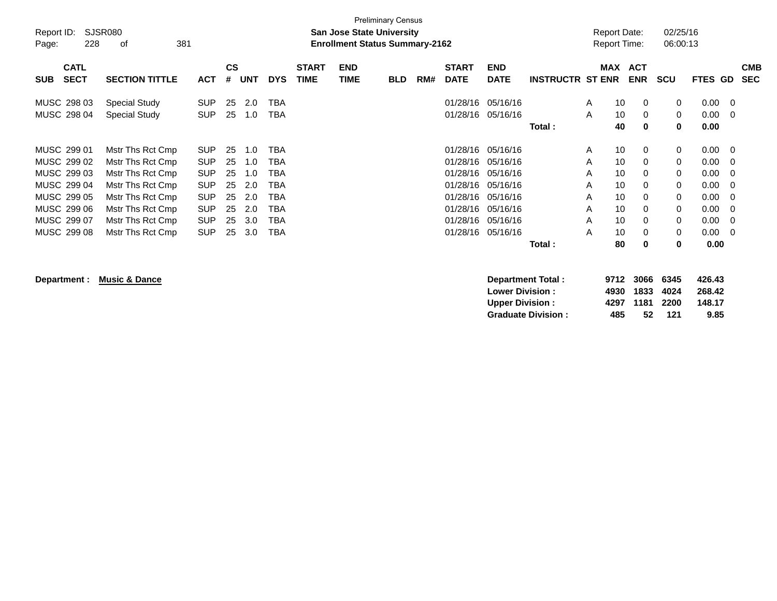| Report ID: |             | SJSR080               |            |               |            |            |              |            | <b>Preliminary Census</b><br><b>San Jose State University</b> |     |              |             |                         |   | <b>Report Date:</b> |            | 02/25/16   |         |              |            |
|------------|-------------|-----------------------|------------|---------------|------------|------------|--------------|------------|---------------------------------------------------------------|-----|--------------|-------------|-------------------------|---|---------------------|------------|------------|---------|--------------|------------|
| Page:      | 228         | 0f                    | 381        |               |            |            |              |            | <b>Enrollment Status Summary-2162</b>                         |     |              |             |                         |   | <b>Report Time:</b> |            | 06:00:13   |         |              |            |
|            | <b>CATL</b> |                       |            | $\mathsf{cs}$ |            |            | <b>START</b> | <b>END</b> |                                                               |     | <b>START</b> | <b>END</b>  |                         |   | MAX                 | ACT        |            |         |              | <b>CMB</b> |
| <b>SUB</b> | <b>SECT</b> | <b>SECTION TITTLE</b> | <b>ACT</b> | #             | <b>UNT</b> | <b>DYS</b> | <b>TIME</b>  | TIME       | <b>BLD</b>                                                    | RM# | <b>DATE</b>  | <b>DATE</b> | <b>INSTRUCTR ST ENR</b> |   |                     | <b>ENR</b> | <b>SCU</b> | FTES GD |              | <b>SEC</b> |
|            | MUSC 298 03 | <b>Special Study</b>  | <b>SUP</b> | 25            | 2.0        | <b>TBA</b> |              |            |                                                               |     | 01/28/16     | 05/16/16    |                         | A | 10                  | $\Omega$   | 0          | 0.00    | - 0          |            |
|            | MUSC 298 04 | <b>Special Study</b>  | <b>SUP</b> | 25            | 1.0        | TBA        |              |            |                                                               |     | 01/28/16     | 05/16/16    |                         | A | 10                  | 0          | 0          | 0.00    | $\mathbf{0}$ |            |
|            |             |                       |            |               |            |            |              |            |                                                               |     |              |             | Total:                  |   | 40                  | $\bf{0}$   | $\bf{0}$   | 0.00    |              |            |
|            | MUSC 299 01 | Mstr Ths Rct Cmp      | <b>SUP</b> | 25            | 1.0        | TBA        |              |            |                                                               |     | 01/28/16     | 05/16/16    |                         | A | 10                  | 0          | 0          | 0.00    | - 0          |            |
|            | MUSC 299 02 | Mstr Ths Rct Cmp      | <b>SUP</b> | 25            | 1.0        | TBA        |              |            |                                                               |     | 01/28/16     | 05/16/16    |                         | A | 10                  | $\Omega$   | 0          | 0.00    | - 0          |            |
|            | MUSC 299 03 | Mstr Ths Rct Cmp      | <b>SUP</b> | 25            | 1.0        | TBA        |              |            |                                                               |     | 01/28/16     | 05/16/16    |                         | A | 10                  | $\Omega$   | 0          | 0.00    | $\Omega$     |            |
|            | MUSC 299 04 | Mstr Ths Rct Cmp      | <b>SUP</b> | 25            | 2.0        | TBA        |              |            |                                                               |     | 01/28/16     | 05/16/16    |                         | A | 10                  | 0          | 0          | 0.00    | 0            |            |
|            | MUSC 299 05 | Mstr Ths Rct Cmp      | <b>SUP</b> | 25            | 2.0        | TBA        |              |            |                                                               |     | 01/28/16     | 05/16/16    |                         | A | 10                  | $\Omega$   | 0          | 0.00    | - 0          |            |
|            | MUSC 299 06 | Mstr Ths Rct Cmp      | <b>SUP</b> | 25            | 2.0        | TBA        |              |            |                                                               |     | 01/28/16     | 05/16/16    |                         | A | 10                  | 0          | 0          | 0.00    | $\mathbf{0}$ |            |
|            | MUSC 299 07 | Mstr Ths Rct Cmp      | <b>SUP</b> | 25            | 3.0        | TBA        |              |            |                                                               |     | 01/28/16     | 05/16/16    |                         | A | 10                  | 0          | 0          | 0.00    | - 0          |            |
|            | MUSC 299 08 | Mstr Ths Rct Cmp      | <b>SUP</b> | 25            | 3.0        | TBA        |              |            |                                                               |     | 01/28/16     | 05/16/16    |                         | A | 10                  | 0          | 0          | 0.00    | - 0          |            |
|            |             |                       |            |               |            |            |              |            |                                                               |     |              |             | Total:                  |   | 80                  | 0          | 0          | 0.00    |              |            |

**Department : Music & Dance Department Total : 9712 3066 6345 426.43 Lower Division : 4930 1833 4024 268.42 Upper Division : 4297 1181 2200 148.17 Graduate Division : 485 52 121 9.85**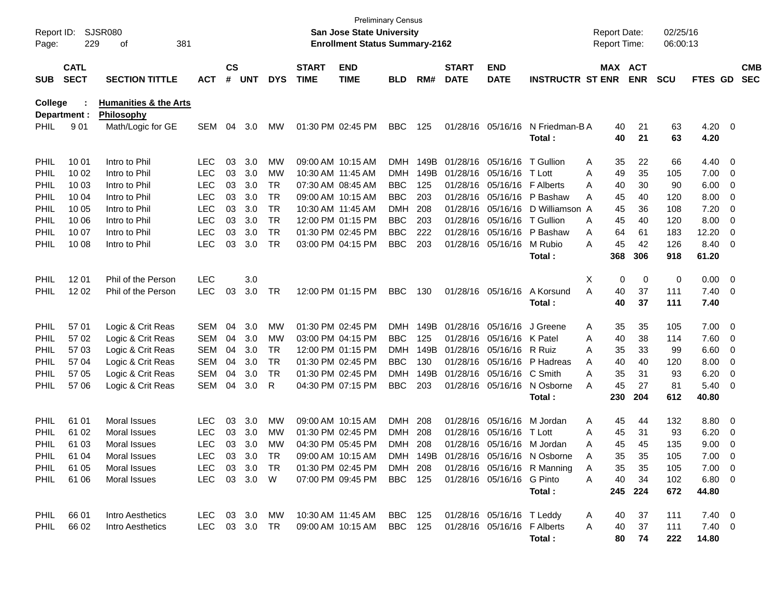| Report ID:<br>Page: | 229                        | <b>SJSR080</b><br>381<br>оf                           |               |                    |            |            |                             | <b>San Jose State University</b><br><b>Enrollment Status Summary-2162</b> | <b>Preliminary Census</b> |      |                             |                             |                                        | <b>Report Date:</b><br><b>Report Time:</b> |                       | 02/25/16<br>06:00:13 |                     |                          |                          |
|---------------------|----------------------------|-------------------------------------------------------|---------------|--------------------|------------|------------|-----------------------------|---------------------------------------------------------------------------|---------------------------|------|-----------------------------|-----------------------------|----------------------------------------|--------------------------------------------|-----------------------|----------------------|---------------------|--------------------------|--------------------------|
| <b>SUB</b>          | <b>CATL</b><br><b>SECT</b> | <b>SECTION TITTLE</b>                                 | <b>ACT</b>    | $\mathsf{cs}$<br># | <b>UNT</b> | <b>DYS</b> | <b>START</b><br><b>TIME</b> | <b>END</b><br><b>TIME</b>                                                 | <b>BLD</b>                | RM#  | <b>START</b><br><b>DATE</b> | <b>END</b><br><b>DATE</b>   | <b>INSTRUCTR ST ENR</b>                |                                            | MAX ACT<br><b>ENR</b> | <b>SCU</b>           | FTES GD             |                          | <b>CMB</b><br><b>SEC</b> |
| <b>College</b>      | Department :               | <b>Humanities &amp; the Arts</b><br><b>Philosophy</b> |               |                    |            |            |                             |                                                                           |                           |      |                             |                             |                                        |                                            |                       |                      |                     |                          |                          |
| PHIL                | 901                        | Math/Logic for GE                                     | <b>SEM</b>    | 04                 | 3.0        | <b>MW</b>  |                             | 01:30 PM 02:45 PM                                                         | <b>BBC</b>                | 125  |                             | 01/28/16 05/16/16           | N Friedman-B A<br>Total :              | 40<br>40                                   | 21<br>21              | 63<br>63             | 4.20 0<br>4.20      |                          |                          |
| PHIL                | 10 01                      | Intro to Phil                                         | <b>LEC</b>    | 03                 | 3.0        | MW         |                             | 09:00 AM 10:15 AM                                                         | DMH                       | 149B |                             | 01/28/16 05/16/16           | T Gullion                              | 35<br>Α                                    | 22                    | 66                   | 4.40 0              |                          |                          |
| <b>PHIL</b>         | 10 02                      | Intro to Phil                                         | <b>LEC</b>    | 03                 | 3.0        | MW         |                             | 10:30 AM 11:45 AM                                                         | DMH                       | 149B |                             | 01/28/16 05/16/16           | T Lott                                 | 49<br>Α                                    | 35                    | 105                  | $7.00 \t 0$         |                          |                          |
| PHIL                | 10 03                      | Intro to Phil                                         | <b>LEC</b>    | 03                 | 3.0        | TR         |                             | 07:30 AM 08:45 AM                                                         | <b>BBC</b>                | 125  |                             | 01/28/16 05/16/16 F Alberts |                                        | 40<br>A                                    | 30                    | 90                   | 6.00                | $\overline{\phantom{0}}$ |                          |
| PHIL                | 10 04                      | Intro to Phil                                         | <b>LEC</b>    | 03                 | 3.0        | <b>TR</b>  |                             | 09:00 AM 10:15 AM                                                         | <b>BBC</b>                | 203  |                             |                             | 01/28/16 05/16/16 P Bashaw             | 45<br>A                                    | 40                    | 120                  | 8.00                | $\overline{\phantom{0}}$ |                          |
| PHIL                | 10 05                      | Intro to Phil                                         | <b>LEC</b>    | 03                 | 3.0        | <b>TR</b>  |                             | 10:30 AM 11:45 AM                                                         | <b>DMH</b>                | 208  |                             | 01/28/16 05/16/16           | D Williamson A                         | 45                                         | 36                    | 108                  | 7.20                | $\overline{\mathbf{0}}$  |                          |
| PHIL                | 10 06                      | Intro to Phil                                         | <b>LEC</b>    | 03                 | 3.0        | <b>TR</b>  |                             | 12:00 PM 01:15 PM                                                         | <b>BBC</b>                | 203  |                             | 01/28/16 05/16/16           | T Gullion                              | 45<br>A                                    | 40                    | 120                  | 8.00                | $\overline{\mathbf{0}}$  |                          |
| <b>PHIL</b>         | 10 07                      | Intro to Phil                                         | <b>LEC</b>    | 03                 | 3.0        | <b>TR</b>  |                             | 01:30 PM 02:45 PM                                                         | <b>BBC</b>                | 222  |                             |                             | 01/28/16 05/16/16 P Bashaw             | 64<br>Α                                    | 61                    | 183                  | 12.20               | $\overline{\mathbf{0}}$  |                          |
| PHIL                | 10 08                      | Intro to Phil                                         | <b>LEC</b>    | 03                 | 3.0        | TR         |                             | 03:00 PM 04:15 PM                                                         | <b>BBC</b>                | 203  |                             | 01/28/16 05/16/16           | M Rubio                                | 45<br>A                                    | 42                    | 126                  | 8.40 0              |                          |                          |
|                     |                            |                                                       |               |                    |            |            |                             |                                                                           |                           |      |                             |                             | Total :                                | 368                                        | 306                   | 918                  | 61.20               |                          |                          |
| PHIL                | 12 01                      | Phil of the Person                                    | <b>LEC</b>    |                    | 3.0        |            |                             |                                                                           |                           |      |                             |                             |                                        | X                                          | 0<br>0                | 0                    | $0.00 \t 0$         |                          |                          |
| <b>PHIL</b>         | 12 02                      | Phil of the Person                                    | <b>LEC</b>    | 03                 | 3.0        | TR         |                             | 12:00 PM 01:15 PM                                                         | <b>BBC</b>                | 130  |                             | 01/28/16 05/16/16           | A Korsund                              | 40<br>A                                    | 37                    | 111                  | $7.40 \quad 0$      |                          |                          |
|                     |                            |                                                       |               |                    |            |            |                             |                                                                           |                           |      |                             |                             | Total :                                | 40                                         | 37                    | 111                  | 7.40                |                          |                          |
|                     |                            |                                                       |               |                    |            |            |                             |                                                                           |                           |      |                             |                             |                                        |                                            |                       |                      |                     |                          |                          |
| <b>PHIL</b>         | 57 01                      | Logic & Crit Reas                                     | <b>SEM</b>    | 04                 | 3.0        | MW         |                             | 01:30 PM 02:45 PM                                                         | DMH                       | 149B |                             | 01/28/16 05/16/16           | J Greene                               | 35<br>Α                                    | 35                    | 105                  | $7.00 \t 0$         |                          |                          |
| <b>PHIL</b>         | 57 02                      | Logic & Crit Reas                                     | <b>SEM</b>    | 04                 | 3.0        | MW         |                             | 03:00 PM 04:15 PM                                                         | <b>BBC</b>                | 125  |                             | 01/28/16 05/16/16 K Patel   |                                        | 40<br>A                                    | 38                    | 114                  | 7.60 0              |                          |                          |
| <b>PHIL</b>         | 57 03                      | Logic & Crit Reas                                     | <b>SEM</b>    | 04                 | 3.0        | TR         |                             | 12:00 PM 01:15 PM                                                         | DMH                       | 149B |                             | 01/28/16 05/16/16 R Ruiz    |                                        | 35<br>A                                    | 33                    | 99                   | $6.60$ 0            |                          |                          |
| <b>PHIL</b>         | 57 04                      | Logic & Crit Reas                                     | <b>SEM</b>    | 04                 | 3.0        | <b>TR</b>  |                             | 01:30 PM 02:45 PM                                                         | <b>BBC</b>                | 130  |                             | 01/28/16 05/16/16           | P Hadreas                              | 40<br>A                                    | 40                    | 120                  | 8.00                | $\overline{\phantom{0}}$ |                          |
| <b>PHIL</b>         | 57 05                      | Logic & Crit Reas                                     | <b>SEM</b>    | 04                 | 3.0        | TR         |                             | 01:30 PM 02:45 PM                                                         | DMH                       | 149B |                             | 01/28/16 05/16/16 C Smith   |                                        | 35<br>A                                    | 31                    | 93                   | 6.20                | $\overline{\mathbf{0}}$  |                          |
| PHIL                | 57 06                      | Logic & Crit Reas                                     | SEM           | 04                 | 3.0        | R          |                             | 04:30 PM 07:15 PM                                                         | <b>BBC</b>                | 203  |                             |                             | 01/28/16 05/16/16 N Osborne<br>Total : | 45<br>A<br>230                             | 27<br>204             | 81<br>612            | $5.40 \ 0$<br>40.80 |                          |                          |
|                     |                            |                                                       |               |                    |            |            |                             |                                                                           |                           |      |                             |                             |                                        |                                            |                       |                      |                     |                          |                          |
| PHIL                | 61 01                      | Moral Issues                                          | <b>LEC</b>    | 03                 | 3.0        | MW         |                             | 09:00 AM 10:15 AM                                                         | DMH                       | 208  |                             | 01/28/16 05/16/16           | M Jordan                               | 45<br>Α                                    | 44                    | 132                  | 8.80 0              |                          |                          |
| <b>PHIL</b>         | 61 02                      | Moral Issues                                          | <b>LEC</b>    | 03                 | 3.0        | <b>MW</b>  |                             | 01:30 PM 02:45 PM                                                         | <b>DMH</b>                | 208  |                             | 01/28/16 05/16/16           | T Lott                                 | A<br>45                                    | 31                    | 93                   | 6.20                | $\overline{\phantom{0}}$ |                          |
| <b>PHIL</b>         | 61 03                      | Moral Issues                                          | <b>LEC</b>    | 03                 | 3.0        | MW         |                             | 04:30 PM 05:45 PM                                                         | <b>DMH</b>                | 208  |                             |                             | 01/28/16 05/16/16 M Jordan             | 45<br>Α                                    | 45                    | 135                  | 9.00                | $\overline{\mathbf{0}}$  |                          |
| PHIL                | 61 04                      | Moral Issues                                          | <b>LEC</b>    |                    | 03 3.0     | <b>TR</b>  |                             | 09:00 AM 10:15 AM                                                         |                           |      |                             |                             | DMH 149B 01/28/16 05/16/16 N Osborne   | 35<br>Α                                    | 35                    | 105                  | 7.00                | - 0                      |                          |
|                     | PHIL 61 05                 | Moral Issues                                          | LEC 03 3.0 TR |                    |            |            |                             | 01:30 PM 02:45 PM DMH 208                                                 |                           |      |                             |                             | 01/28/16 05/16/16 R Manning            | A<br>35                                    | 35                    | 105                  | $7.00 \t 0$         |                          |                          |
|                     | PHIL 61 06                 | Moral Issues                                          | LEC 03 3.0 W  |                    |            |            |                             | 07:00 PM 09:45 PM                                                         | BBC 125                   |      |                             | 01/28/16 05/16/16 G Pinto   |                                        | 40<br>A                                    | 34                    | 102                  | $6.80\ 0$           |                          |                          |
|                     |                            |                                                       |               |                    |            |            |                             |                                                                           |                           |      |                             |                             | Total:                                 |                                            | 245 224               | 672                  | 44.80               |                          |                          |
|                     | PHIL 66 01                 | Intro Aesthetics                                      |               |                    |            |            |                             | LEC 03 3.0 MW 10:30 AM 11:45 AM BBC 125                                   |                           |      |                             | 01/28/16 05/16/16 T Leddy   |                                        | A<br>40                                    | 37                    | 111                  | $7.40 \quad 0$      |                          |                          |
| PHIL                | 66 02                      | Intro Aesthetics                                      | LEC 03 3.0 TR |                    |            |            |                             | 09:00 AM 10:15 AM BBC 125 01/28/16 05/16/16 F Alberts                     |                           |      |                             |                             |                                        | 40<br>A                                    | 37                    | 111                  | $7.40 \ 0$          |                          |                          |
|                     |                            |                                                       |               |                    |            |            |                             |                                                                           |                           |      |                             |                             | Total:                                 | 80                                         | 74                    | 222                  | 14.80               |                          |                          |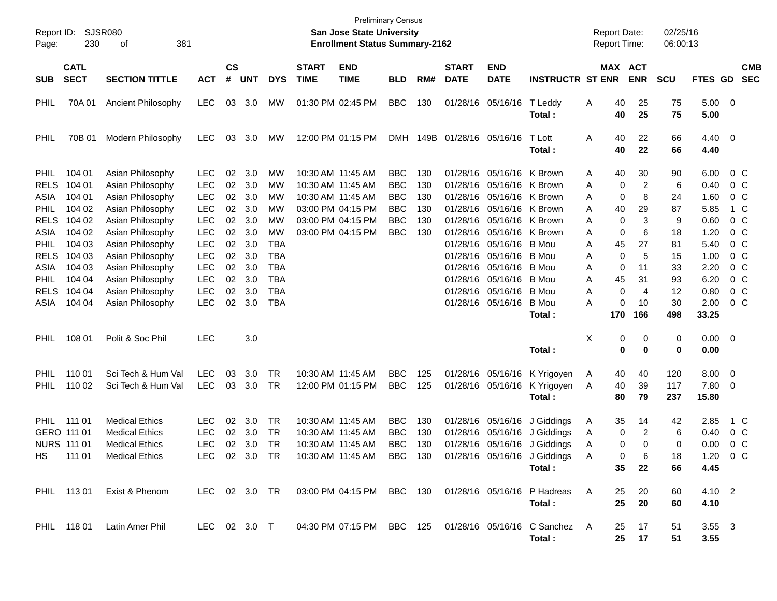| Report ID:<br>Page:                                                                     | 230                                                                | SJSR080<br>381<br>οf                                                                                                                     |                                                                                   |                                        |                                               |                                                      |                             | <b>San Jose State University</b><br><b>Enrollment Status Summary-2162</b>                                                  | <b>Preliminary Census</b>                                                        |                                        |                             |                                                                                                                                                                         |                                                                                      | <b>Report Date:</b><br><b>Report Time:</b> |                                                                          | 02/25/16<br>06:00:13                 |                                                      |                                                       |
|-----------------------------------------------------------------------------------------|--------------------------------------------------------------------|------------------------------------------------------------------------------------------------------------------------------------------|-----------------------------------------------------------------------------------|----------------------------------------|-----------------------------------------------|------------------------------------------------------|-----------------------------|----------------------------------------------------------------------------------------------------------------------------|----------------------------------------------------------------------------------|----------------------------------------|-----------------------------|-------------------------------------------------------------------------------------------------------------------------------------------------------------------------|--------------------------------------------------------------------------------------|--------------------------------------------|--------------------------------------------------------------------------|--------------------------------------|------------------------------------------------------|-------------------------------------------------------|
| <b>SUB</b>                                                                              | <b>CATL</b><br><b>SECT</b>                                         | <b>SECTION TITTLE</b>                                                                                                                    | <b>ACT</b>                                                                        | $\mathbf{c}\mathbf{s}$<br>#            | <b>UNT</b>                                    | <b>DYS</b>                                           | <b>START</b><br><b>TIME</b> | <b>END</b><br><b>TIME</b>                                                                                                  | <b>BLD</b>                                                                       | RM#                                    | <b>START</b><br><b>DATE</b> | <b>END</b><br><b>DATE</b>                                                                                                                                               | <b>INSTRUCTR ST ENR</b>                                                              |                                            | MAX ACT<br><b>ENR</b>                                                    | <b>SCU</b>                           | FTES GD                                              | <b>CMB</b><br><b>SEC</b>                              |
| PHIL                                                                                    | 70A 01                                                             | Ancient Philosophy                                                                                                                       | <b>LEC</b>                                                                        | 03                                     | 3.0                                           | <b>MW</b>                                            |                             | 01:30 PM 02:45 PM                                                                                                          | <b>BBC</b>                                                                       | 130                                    |                             | 01/28/16 05/16/16                                                                                                                                                       | T Leddy<br>Total :                                                                   | A                                          | 25<br>40<br>40<br>25                                                     | 75<br>75                             | 5.00 0<br>5.00                                       |                                                       |
| PHIL                                                                                    | 70B 01                                                             | Modern Philosophy                                                                                                                        | LEC.                                                                              | 03                                     | 3.0                                           | <b>MW</b>                                            |                             | 12:00 PM 01:15 PM                                                                                                          |                                                                                  |                                        | DMH 149B 01/28/16 05/16/16  |                                                                                                                                                                         | T Lott<br>Total :                                                                    | A                                          | 40<br>22<br>40<br>22                                                     | 66<br>66                             | $4.40 \ 0$<br>4.40                                   |                                                       |
| <b>PHIL</b><br><b>RELS</b><br>ASIA<br><b>PHIL</b><br><b>RELS</b><br>ASIA<br><b>PHIL</b> | 104 01<br>104 01<br>104 01<br>104 02<br>104 02<br>104 02<br>104 03 | Asian Philosophy<br>Asian Philosophy<br>Asian Philosophy<br>Asian Philosophy<br>Asian Philosophy<br>Asian Philosophy<br>Asian Philosophy | LEC.<br><b>LEC</b><br><b>LEC</b><br><b>LEC</b><br><b>LEC</b><br>LEC<br><b>LEC</b> | 02<br>02<br>02<br>02<br>02<br>02<br>02 | 3.0<br>3.0<br>3.0<br>3.0<br>3.0<br>3.0<br>3.0 | МW<br>МW<br>МW<br>МW<br>МW<br><b>MW</b><br>TBA       |                             | 10:30 AM 11:45 AM<br>10:30 AM 11:45 AM<br>10:30 AM 11:45 AM<br>03:00 PM 04:15 PM<br>03:00 PM 04:15 PM<br>03:00 PM 04:15 PM | <b>BBC</b><br><b>BBC</b><br><b>BBC</b><br><b>BBC</b><br><b>BBC</b><br><b>BBC</b> | 130<br>130<br>130<br>130<br>130<br>130 |                             | 01/28/16 05/16/16<br>01/28/16 05/16/16 K Brown<br>01/28/16 05/16/16<br>01/28/16 05/16/16 K Brown<br>01/28/16 05/16/16 K Brown<br>01/28/16 05/16/16<br>01/28/16 05/16/16 | K Brown<br>K Brown<br>K Brown<br>B Mou                                               | A<br>Α<br>Α<br>A<br>Α<br>Α<br>Α            | 30<br>40<br>0<br>2<br>0<br>8<br>29<br>40<br>0<br>3<br>0<br>6<br>27<br>45 | 90<br>6<br>24<br>87<br>9<br>18<br>81 | 6.00<br>0.40<br>1.60<br>5.85<br>0.60<br>1.20<br>5.40 | 0 C<br>0 C<br>0 C<br>1 C<br>0 C<br>$0\,$ C<br>$0\,$ C |
| <b>RELS</b><br>ASIA<br><b>PHIL</b><br><b>RELS</b><br>ASIA                               | 104 03<br>104 03<br>104 04<br>104 04<br>104 04                     | Asian Philosophy<br>Asian Philosophy<br>Asian Philosophy<br>Asian Philosophy<br>Asian Philosophy                                         | LEC<br>LEC<br>LEC<br>LEC<br><b>LEC</b>                                            | 02<br>02<br>02<br>02<br>02             | 3.0<br>3.0<br>3.0<br>3.0<br>3.0               | <b>TBA</b><br><b>TBA</b><br><b>TBA</b><br>TBA<br>TBA |                             |                                                                                                                            |                                                                                  |                                        |                             | 01/28/16 05/16/16<br>01/28/16 05/16/16<br>01/28/16 05/16/16<br>01/28/16 05/16/16<br>01/28/16 05/16/16                                                                   | B Mou<br>B Mou<br>B Mou<br>B Mou<br><b>B</b> Mou<br>Total :                          | Α<br>Α<br>Α<br>Α<br>A<br>170               | 0<br>5<br>0<br>11<br>45<br>31<br>0<br>4<br>0<br>10<br>166                | 15<br>33<br>93<br>12<br>30<br>498    | 1.00<br>2.20<br>6.20<br>0.80<br>2.00<br>33.25        | 0 C<br>$0\,$ C<br>0 C<br>0 C<br>0 C                   |
| <b>PHIL</b>                                                                             | 108 01                                                             | Polit & Soc Phil                                                                                                                         | <b>LEC</b>                                                                        |                                        | 3.0                                           |                                                      |                             |                                                                                                                            |                                                                                  |                                        |                             |                                                                                                                                                                         | Total:                                                                               | X                                          | 0<br>0<br>0<br>0                                                         | 0<br>0                               | $0.00 \t 0$<br>0.00                                  |                                                       |
| <b>PHIL</b><br><b>PHIL</b>                                                              | 110 01<br>110 02                                                   | Sci Tech & Hum Val<br>Sci Tech & Hum Val                                                                                                 | <b>LEC</b><br><b>LEC</b>                                                          | 03<br>03                               | 3.0<br>3.0                                    | TR<br>TR                                             |                             | 10:30 AM 11:45 AM<br>12:00 PM 01:15 PM                                                                                     | <b>BBC</b><br><b>BBC</b>                                                         | 125<br>125                             |                             | 01/28/16 05/16/16<br>01/28/16 05/16/16                                                                                                                                  | K Yrigoyen<br>K Yrigoyen<br>Total:                                                   | A<br>A                                     | 40<br>40<br>40<br>39<br>80<br>79                                         | 120<br>117<br>237                    | $8.00 \t 0$<br>7.80 0<br>15.80                       |                                                       |
| HS .                                                                                    | PHIL 111 01<br>GERO 111 01<br><b>NURS 111 01</b><br>111 01         | <b>Medical Ethics</b><br><b>Medical Ethics</b><br><b>Medical Ethics</b><br><b>Medical Ethics</b>                                         | <b>LEC</b><br><b>LEC</b><br><b>LEC</b><br>LEC                                     | 02<br>02<br>02                         | 3.0<br>3.0<br>3.0<br>02 3.0                   | TR<br>TR<br>TR<br>TR                                 |                             | 10:30 AM 11:45 AM<br>10:30 AM 11:45 AM<br>10:30 AM 11:45 AM<br>10:30 AM 11:45 AM                                           | <b>BBC</b><br><b>BBC</b><br><b>BBC</b><br>BBC 130                                | 130<br>130<br>130                      |                             | 01/28/16 05/16/16<br>01/28/16 05/16/16<br>01/28/16 05/16/16                                                                                                             | J Giddings<br>J Giddings<br>J Giddings<br>01/28/16 05/16/16 J Giddings<br>Total :    | A<br>A<br>A<br>A                           | 35<br>14<br>0<br>2<br>0<br>0<br>0<br>6<br>35<br>22                       | 42<br>6<br>0<br>18<br>66             | 2.85<br>0.40<br>0.00<br>1.20<br>4.45                 | 1 C<br>0 C<br>0 C<br>0 C                              |
|                                                                                         |                                                                    | PHIL 113 01 Exist & Phenom                                                                                                               |                                                                                   |                                        |                                               |                                                      |                             |                                                                                                                            |                                                                                  |                                        |                             |                                                                                                                                                                         | LEC 02 3.0 TR  03:00 PM 04:15 PM  BBC  130  01/28/16  05/16/16  P  Hadreas<br>Total: | A                                          | 25<br>20<br>25<br>20                                                     | 60<br>60                             | $4.10 \quad 2$<br>4.10                               |                                                       |
|                                                                                         |                                                                    | PHIL 118 01 Latin Amer Phil                                                                                                              |                                                                                   |                                        |                                               |                                                      |                             |                                                                                                                            |                                                                                  |                                        |                             |                                                                                                                                                                         | LEC 02 3.0 T  04:30 PM 07:15 PM BBC 125  01/28/16  05/16/16  C Sanchez  A<br>Total:  |                                            | 25 17<br>25 17                                                           | 51<br>51                             | $3.55 \quad 3$<br>3.55                               |                                                       |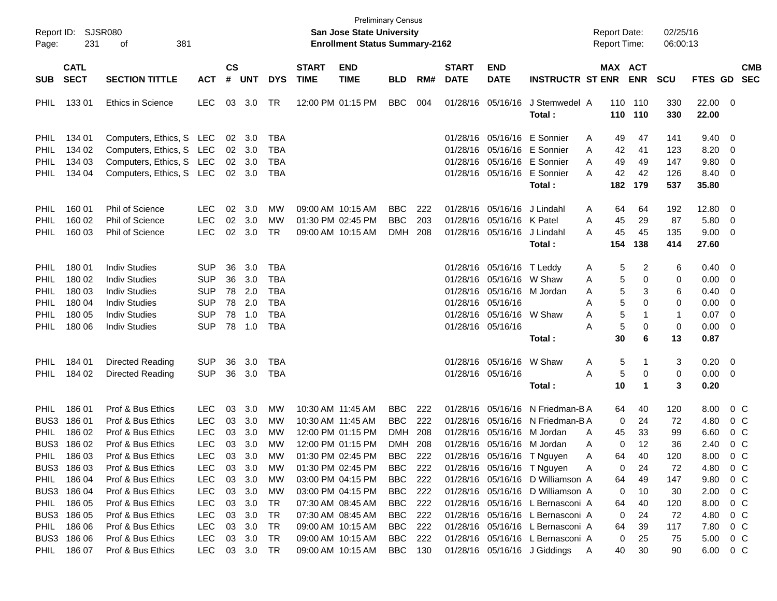| Report ID:<br>Page:        | 231                        | <b>SJSR080</b><br>381<br>оf                  |                          |                |            |                          |                             | <b>San Jose State University</b><br><b>Enrollment Status Summary-2162</b> | <b>Preliminary Census</b> |     |                             |                                                       |                                  | <b>Report Date:</b><br>Report Time: |                       | 02/25/16<br>06:00:13 |                  |                          |                          |
|----------------------------|----------------------------|----------------------------------------------|--------------------------|----------------|------------|--------------------------|-----------------------------|---------------------------------------------------------------------------|---------------------------|-----|-----------------------------|-------------------------------------------------------|----------------------------------|-------------------------------------|-----------------------|----------------------|------------------|--------------------------|--------------------------|
| <b>SUB</b>                 | <b>CATL</b><br><b>SECT</b> | <b>SECTION TITTLE</b>                        | <b>ACT</b>               | <b>CS</b><br># | <b>UNT</b> | <b>DYS</b>               | <b>START</b><br><b>TIME</b> | <b>END</b><br><b>TIME</b>                                                 | <b>BLD</b>                | RM# | <b>START</b><br><b>DATE</b> | <b>END</b><br><b>DATE</b>                             | <b>INSTRUCTR ST ENR</b>          |                                     | MAX ACT<br><b>ENR</b> | <b>SCU</b>           | <b>FTES GD</b>   |                          | <b>CMB</b><br><b>SEC</b> |
| <b>PHIL</b>                | 13301                      | <b>Ethics in Science</b>                     | <b>LEC</b>               |                | 03 3.0     | TR                       |                             | 12:00 PM 01:15 PM                                                         | <b>BBC</b>                | 004 |                             | 01/28/16 05/16/16                                     | J Stemwedel A<br>Total:          |                                     | 110 110<br>110 110    | 330<br>330           | 22.00 0<br>22.00 |                          |                          |
| PHIL                       | 134 01                     | Computers, Ethics, S LEC                     |                          | 02             | 3.0        | <b>TBA</b>               |                             |                                                                           |                           |     |                             |                                                       | 01/28/16 05/16/16 E Sonnier      | Α<br>49                             | 47                    | 141                  | 9.40             | $\overline{\mathbf{0}}$  |                          |
| <b>PHIL</b>                | 134 02                     | Computers, Ethics, S LEC                     |                          | 02             | 3.0        | <b>TBA</b>               |                             |                                                                           |                           |     |                             |                                                       | 01/28/16 05/16/16 E Sonnier      | 42<br>A                             | 41                    | 123                  | 8.20             | 0                        |                          |
| PHIL                       | 134 03                     | Computers, Ethics, S LEC                     |                          | 02             | 3.0        | <b>TBA</b>               |                             |                                                                           |                           |     |                             |                                                       | 01/28/16 05/16/16 E Sonnier      | 49<br>Α                             | 49                    | 147                  | 9.80             | 0                        |                          |
| PHIL                       | 134 04                     | Computers, Ethics, S LEC                     |                          |                | 02 3.0     | <b>TBA</b>               |                             |                                                                           |                           |     |                             |                                                       | 01/28/16 05/16/16 E Sonnier      | 42<br>A                             | 42                    | 126                  | 8.40             | 0                        |                          |
|                            |                            |                                              |                          |                |            |                          |                             |                                                                           |                           |     |                             |                                                       | Total:                           | 182                                 | 179                   | 537                  | 35.80            |                          |                          |
| PHIL                       | 160 01                     | <b>Phil of Science</b>                       | <b>LEC</b>               | 02             | 3.0        | MW                       |                             | 09:00 AM 10:15 AM                                                         | <b>BBC</b>                | 222 |                             | 01/28/16 05/16/16                                     | J Lindahl                        | 64<br>A                             | 64                    | 192                  | 12.80            | 0                        |                          |
| PHIL                       | 160 02                     | <b>Phil of Science</b>                       | <b>LEC</b>               | 02             | 3.0        | <b>MW</b>                |                             | 01:30 PM 02:45 PM                                                         | <b>BBC</b>                | 203 |                             | 01/28/16 05/16/16 K Patel                             |                                  | 45<br>Α                             | 29                    | 87                   | 5.80             | 0                        |                          |
| PHIL                       | 160 03                     | Phil of Science                              | <b>LEC</b>               |                | 02 3.0     | <b>TR</b>                |                             | 09:00 AM 10:15 AM                                                         | <b>DMH</b>                | 208 |                             | 01/28/16 05/16/16 J Lindahl                           | Total:                           | 45<br>A<br>154                      | 45<br>138             | 135<br>414           | 9.00<br>27.60    | $\overline{\mathbf{0}}$  |                          |
|                            |                            |                                              |                          |                |            |                          |                             |                                                                           |                           |     |                             |                                                       |                                  |                                     |                       |                      |                  |                          |                          |
| PHIL<br>PHIL               | 18001<br>180 02            | <b>Indiv Studies</b><br><b>Indiv Studies</b> | <b>SUP</b><br><b>SUP</b> | 36<br>36       | 3.0<br>3.0 | <b>TBA</b><br><b>TBA</b> |                             |                                                                           |                           |     |                             | 01/28/16 05/16/16 T Leddy<br>01/28/16 05/16/16 W Shaw |                                  | A                                   | 5<br>2                | 6                    | 0.40             | - 0                      |                          |
|                            | 180 03                     | <b>Indiv Studies</b>                         | <b>SUP</b>               | 78             | 2.0        | <b>TBA</b>               |                             |                                                                           |                           |     |                             | 01/28/16 05/16/16 M Jordan                            |                                  | Α                                   | 5<br>0<br>5<br>3      | 0<br>6               | 0.00<br>0.40     | 0<br>0                   |                          |
| <b>PHIL</b><br><b>PHIL</b> | 180 04                     | <b>Indiv Studies</b>                         | <b>SUP</b>               | 78             | 2.0        | <b>TBA</b>               |                             |                                                                           |                           |     |                             | 01/28/16 05/16/16                                     |                                  | Α<br>Α                              | 5<br>0                | 0                    | 0.00             | 0                        |                          |
| PHIL                       | 180 05                     | <b>Indiv Studies</b>                         | <b>SUP</b>               | 78             | 1.0        | <b>TBA</b>               |                             |                                                                           |                           |     |                             | 01/28/16 05/16/16 W Shaw                              |                                  | A                                   | 5<br>1                | $\overline{1}$       | 0.07             | 0                        |                          |
| <b>PHIL</b>                | 180 06                     | <b>Indiv Studies</b>                         | <b>SUP</b>               | 78             | 1.0        | <b>TBA</b>               |                             |                                                                           |                           |     |                             | 01/28/16 05/16/16                                     |                                  | Α                                   | 5<br>0                | 0                    | 0.00             | $\mathbf 0$              |                          |
|                            |                            |                                              |                          |                |            |                          |                             |                                                                           |                           |     |                             |                                                       | Total:                           | 30                                  | 6                     | 13                   | 0.87             |                          |                          |
| PHIL                       | 184 01                     | Directed Reading                             | <b>SUP</b>               | 36             | 3.0        | <b>TBA</b>               |                             |                                                                           |                           |     |                             | 01/28/16 05/16/16                                     | W Shaw                           | A                                   | 5<br>1                | 3                    | 0.20             | $\overline{\phantom{0}}$ |                          |
| PHIL                       | 184 02                     | Directed Reading                             | <b>SUP</b>               | 36             | 3.0        | <b>TBA</b>               |                             |                                                                           |                           |     |                             | 01/28/16 05/16/16                                     |                                  | A                                   | 5<br>0                | 0                    | 0.00             | $\overline{\mathbf{0}}$  |                          |
|                            |                            |                                              |                          |                |            |                          |                             |                                                                           |                           |     |                             |                                                       | Total:                           | 10                                  | $\blacktriangleleft$  | 3                    | 0.20             |                          |                          |
| <b>PHIL</b>                | 18601                      | Prof & Bus Ethics                            | <b>LEC</b>               | 03             | 3.0        | MW                       |                             | 10:30 AM 11:45 AM                                                         | <b>BBC</b>                | 222 |                             |                                                       | 01/28/16 05/16/16 N Friedman-B A | 64                                  | 40                    | 120                  | 8.00             | $0\,$ C                  |                          |
| BUS3                       | 18601                      | Prof & Bus Ethics                            | <b>LEC</b>               | 03             | 3.0        | MW                       |                             | 10:30 AM 11:45 AM                                                         | <b>BBC</b>                | 222 | 01/28/16                    |                                                       | 05/16/16 N Friedman-B A          |                                     | 24<br>0               | 72                   | 4.80             | 0 <sup>o</sup>           |                          |
| PHIL                       | 186 02                     | Prof & Bus Ethics                            | <b>LEC</b>               | 03             | 3.0        | МW                       |                             | 12:00 PM 01:15 PM                                                         | <b>DMH</b>                | 208 | 01/28/16                    | 05/16/16                                              | M Jordan                         | 45<br>A                             | 33                    | 99                   | 6.60             | 0 <sup>o</sup>           |                          |
|                            | BUS3 186 02                | Prof & Bus Ethics                            | <b>LEC</b>               | 03             | 3.0        | <b>MW</b>                |                             | 12:00 PM 01:15 PM                                                         | DMH 208                   |     |                             | 01/28/16 05/16/16 M Jordan                            |                                  | A                                   | 12<br>0               | 36                   | 2.40             | $0\,C$                   |                          |
| <b>PHIL</b>                | 186 03                     | Prof & Bus Ethics                            | <b>LEC</b>               | 03             | 3.0        | <b>MW</b>                |                             | 01:30 PM 02:45 PM                                                         | <b>BBC</b>                | 222 |                             | 01/28/16 05/16/16                                     | T Nguyen                         | A<br>64                             | 40                    | 120                  | 8.00             | $0\,$ C                  |                          |
|                            | BUS3 186 03                | Prof & Bus Ethics                            | LEC                      | 03             | 3.0        | <b>MW</b>                |                             | 01:30 PM 02:45 PM                                                         | <b>BBC</b>                | 222 |                             |                                                       | 01/28/16 05/16/16 T Nguyen       | Α                                   | 24<br>0               | 72                   | 4.80             | 0 <sup>o</sup>           |                          |
| <b>PHIL</b>                | 186 04                     | Prof & Bus Ethics                            | <b>LEC</b>               | 03             | 3.0        | МW                       |                             | 03:00 PM 04:15 PM                                                         | <b>BBC</b>                | 222 |                             |                                                       | 01/28/16 05/16/16 D Williamson A | 64                                  | 49                    | 147                  | 9.80             | 0 <sup>o</sup>           |                          |
|                            | BUS3 186 04                | Prof & Bus Ethics                            | <b>LEC</b>               | 03             | 3.0        | МW                       |                             | 03:00 PM 04:15 PM                                                         | <b>BBC</b>                | 222 |                             |                                                       | 01/28/16 05/16/16 D Williamson A |                                     | 0<br>10               | 30                   | 2.00             | $0\,C$                   |                          |
| <b>PHIL</b>                | 186 05                     | Prof & Bus Ethics                            | <b>LEC</b>               | 03             | 3.0        | TR                       |                             | 07:30 AM 08:45 AM                                                         | <b>BBC</b>                | 222 |                             |                                                       | 01/28/16 05/16/16 L Bernasconi A | 64                                  | 40                    | 120                  | 8.00             | 0 <sup>o</sup>           |                          |
|                            | BUS3 186 05                | Prof & Bus Ethics                            | <b>LEC</b>               | 03             | 3.0        | <b>TR</b>                |                             | 07:30 AM 08:45 AM                                                         | <b>BBC</b>                | 222 |                             |                                                       | 01/28/16 05/16/16 L Bernasconi A |                                     | 24<br>0               | 72                   | 4.80             | 0 <sup>o</sup>           |                          |
| <b>PHIL</b>                | 186 06                     | Prof & Bus Ethics                            | <b>LEC</b>               | 03             | 3.0        | <b>TR</b>                |                             | 09:00 AM 10:15 AM                                                         | <b>BBC</b>                | 222 |                             |                                                       | 01/28/16 05/16/16 L Bernasconi A | 64                                  | 39                    | 117                  | 7.80             | 0 <sup>o</sup>           |                          |
|                            | BUS3 186 06                | Prof & Bus Ethics                            | <b>LEC</b>               | 03             | 3.0        | <b>TR</b>                |                             | 09:00 AM 10:15 AM                                                         | <b>BBC</b>                | 222 |                             |                                                       | 01/28/16 05/16/16 L Bernasconi A |                                     | $\pmb{0}$<br>25       | 75                   | 5.00             | $0\,$ C                  |                          |
| PHIL                       | 186 07                     | Prof & Bus Ethics                            | <b>LEC</b>               |                | 03 3.0 TR  |                          |                             | 09:00 AM 10:15 AM                                                         | BBC                       | 130 |                             |                                                       | 01/28/16 05/16/16 J Giddings     | 40<br>- A                           | 30                    | 90                   | 6.00             | $0\,C$                   |                          |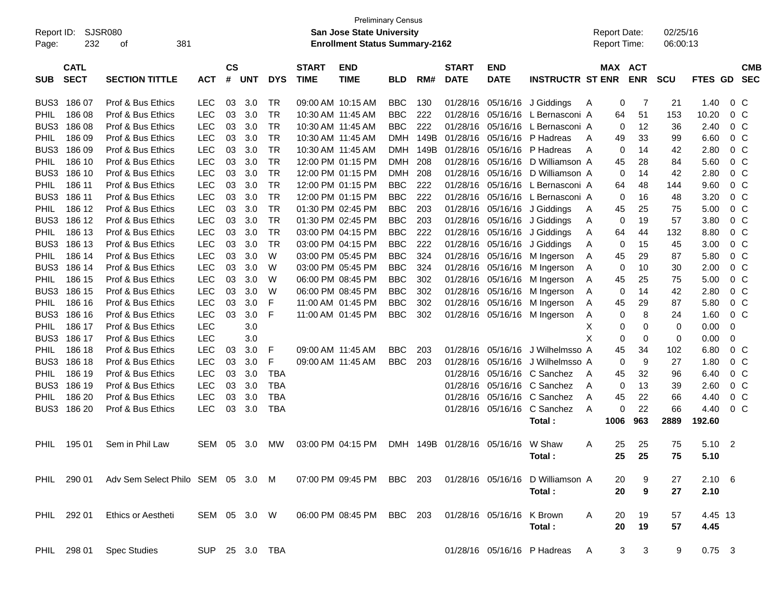| Report ID:<br>Page: | 232                        | SJSR080<br>381<br>ot              |                |                             |            |            |                             | <b>Preliminary Census</b><br><b>San Jose State University</b><br><b>Enrollment Status Summary-2162</b> |            |      |                             |                           |                             |   | <b>Report Date:</b><br>Report Time: |                       | 02/25/16<br>06:00:13 |                |                |                          |
|---------------------|----------------------------|-----------------------------------|----------------|-----------------------------|------------|------------|-----------------------------|--------------------------------------------------------------------------------------------------------|------------|------|-----------------------------|---------------------------|-----------------------------|---|-------------------------------------|-----------------------|----------------------|----------------|----------------|--------------------------|
| <b>SUB</b>          | <b>CATL</b><br><b>SECT</b> | <b>SECTION TITTLE</b>             | <b>ACT</b>     | $\mathbf{c}\mathbf{s}$<br># | <b>UNT</b> | <b>DYS</b> | <b>START</b><br><b>TIME</b> | <b>END</b><br><b>TIME</b>                                                                              | <b>BLD</b> | RM#  | <b>START</b><br><b>DATE</b> | <b>END</b><br><b>DATE</b> | <b>INSTRUCTR ST ENR</b>     |   |                                     | MAX ACT<br><b>ENR</b> | <b>SCU</b>           | <b>FTES GD</b> |                | <b>CMB</b><br><b>SEC</b> |
| BUS3                | 186 07                     | Prof & Bus Ethics                 | <b>LEC</b>     | 03                          | 3.0        | TR         |                             | 09:00 AM 10:15 AM                                                                                      | <b>BBC</b> | 130  | 01/28/16                    | 05/16/16                  | J Giddings                  | A | 0                                   | 7                     | 21                   | 1.40           | 0 <sup>o</sup> |                          |
| PHIL                | 186 08                     | Prof & Bus Ethics                 | <b>LEC</b>     | 03                          | 3.0        | TR         |                             | 10:30 AM 11:45 AM                                                                                      | <b>BBC</b> | 222  | 01/28/16                    | 05/16/16                  | L Bernasconi A              |   | 64                                  | 51                    | 153                  | 10.20          | 0 <sup>o</sup> |                          |
| BUS3                | 186 08                     | Prof & Bus Ethics                 | <b>LEC</b>     | 03                          | 3.0        | TR         |                             | 10:30 AM 11:45 AM                                                                                      | <b>BBC</b> | 222  | 01/28/16                    | 05/16/16                  | L Bernasconi A              |   | 0                                   | 12                    | 36                   | 2.40           | 0 <sup>o</sup> |                          |
| PHIL                | 186 09                     | Prof & Bus Ethics                 | <b>LEC</b>     | 03                          | 3.0        | TR         |                             | 10:30 AM 11:45 AM                                                                                      | <b>DMH</b> | 149B | 01/28/16                    | 05/16/16                  | P Hadreas                   | A | 49                                  | 33                    | 99                   | 6.60           | 0 <sup>o</sup> |                          |
| BUS3                | 186 09                     | Prof & Bus Ethics                 | <b>LEC</b>     | 03                          | 3.0        | TR         |                             | 10:30 AM 11:45 AM                                                                                      | DMH        | 149B | 01/28/16                    | 05/16/16                  | P Hadreas                   | A | 0                                   | 14                    | 42                   | 2.80           | 0 <sup>o</sup> |                          |
| PHIL                | 186 10                     | Prof & Bus Ethics                 | <b>LEC</b>     | 03                          | 3.0        | TR         |                             | 12:00 PM 01:15 PM                                                                                      | <b>DMH</b> | 208  | 01/28/16                    | 05/16/16                  | D Williamson A              |   | 45                                  | 28                    | 84                   | 5.60           | 0 <sup>o</sup> |                          |
| BUS3                | 186 10                     | Prof & Bus Ethics                 | <b>LEC</b>     | 03                          | 3.0        | TR         |                             | 12:00 PM 01:15 PM                                                                                      | <b>DMH</b> | 208  | 01/28/16                    | 05/16/16                  | D Williamson A              |   | 0                                   | 14                    | 42                   | 2.80           | 0 <sup>o</sup> |                          |
| PHIL                | 186 11                     | Prof & Bus Ethics                 | <b>LEC</b>     | 03                          | 3.0        | TR         |                             | 12:00 PM 01:15 PM                                                                                      | <b>BBC</b> | 222  | 01/28/16                    | 05/16/16                  | L Bernasconi A              |   | 64                                  | 48                    | 144                  | 9.60           | 0 <sup>o</sup> |                          |
| BUS3                | 186 11                     | Prof & Bus Ethics                 | <b>LEC</b>     | 03                          | 3.0        | TR         |                             | 12:00 PM 01:15 PM                                                                                      | <b>BBC</b> | 222  | 01/28/16                    | 05/16/16                  | L Bernasconi A              |   | 0                                   | 16                    | 48                   | 3.20           | 0 <sup>o</sup> |                          |
| PHIL                | 186 12                     | Prof & Bus Ethics                 | <b>LEC</b>     | 03                          | 3.0        | TR         |                             | 01:30 PM 02:45 PM                                                                                      | <b>BBC</b> | 203  | 01/28/16                    | 05/16/16                  | J Giddings                  | A | 45                                  | 25                    | 75                   | 5.00           | 0 <sup>o</sup> |                          |
| BUS3                | 186 12                     | Prof & Bus Ethics                 | <b>LEC</b>     | 03                          | 3.0        | TR         |                             | 01:30 PM 02:45 PM                                                                                      | <b>BBC</b> | 203  | 01/28/16                    | 05/16/16                  | J Giddings                  | A | 0                                   | 19                    | 57                   | 3.80           | 0 <sup>o</sup> |                          |
| PHIL                | 186 13                     | Prof & Bus Ethics                 | <b>LEC</b>     | 03                          | 3.0        | TR         |                             | 03:00 PM 04:15 PM                                                                                      | <b>BBC</b> | 222  | 01/28/16                    | 05/16/16                  | J Giddings                  | A | 64                                  | 44                    | 132                  | 8.80           | 0 <sup>o</sup> |                          |
| BUS3                | 186 13                     | Prof & Bus Ethics                 | <b>LEC</b>     | 03                          | 3.0        | TR         |                             | 03:00 PM 04:15 PM                                                                                      | <b>BBC</b> | 222  | 01/28/16                    | 05/16/16                  | J Giddings                  | A | 0                                   | 15                    | 45                   | 3.00           | 0 <sup>o</sup> |                          |
| PHIL                | 186 14                     | Prof & Bus Ethics                 | <b>LEC</b>     | 03                          | 3.0        | W          |                             | 03:00 PM 05:45 PM                                                                                      | <b>BBC</b> | 324  | 01/28/16                    | 05/16/16                  | M Ingerson                  | A | 45                                  | 29                    | 87                   | 5.80           | 0 <sup>o</sup> |                          |
| BUS3                | 186 14                     | Prof & Bus Ethics                 | <b>LEC</b>     | 03                          | 3.0        | W          |                             | 03:00 PM 05:45 PM                                                                                      | <b>BBC</b> | 324  | 01/28/16                    | 05/16/16                  | M Ingerson                  | A | 0                                   | 10                    | 30                   | 2.00           | 0 <sup>o</sup> |                          |
| PHIL                | 186 15                     | Prof & Bus Ethics                 | <b>LEC</b>     | 03                          | 3.0        | W          |                             | 06:00 PM 08:45 PM                                                                                      | <b>BBC</b> | 302  | 01/28/16                    | 05/16/16                  | M Ingerson                  | A | 45                                  | 25                    | 75                   | 5.00           | 0 <sup>o</sup> |                          |
| BUS3                | 186 15                     | Prof & Bus Ethics                 | <b>LEC</b>     | 03                          | 3.0        | W          |                             | 06:00 PM 08:45 PM                                                                                      | <b>BBC</b> | 302  | 01/28/16                    | 05/16/16                  | M Ingerson                  | A | 0                                   | 14                    | 42                   | 2.80           | 0 <sup>o</sup> |                          |
| PHIL                | 186 16                     | Prof & Bus Ethics                 | <b>LEC</b>     | 03                          | 3.0        | F          |                             | 11:00 AM 01:45 PM                                                                                      | <b>BBC</b> | 302  | 01/28/16                    | 05/16/16                  | M Ingerson                  | A | 45                                  | 29                    | 87                   | 5.80           | 0 <sup>o</sup> |                          |
| BUS3                | 186 16                     | Prof & Bus Ethics                 | <b>LEC</b>     | 03                          | 3.0        | F          |                             | 11:00 AM 01:45 PM                                                                                      | <b>BBC</b> | 302  | 01/28/16                    | 05/16/16                  | M Ingerson                  | A | 0                                   | 8                     | 24                   | 1.60           | 0 <sup>o</sup> |                          |
| PHIL                | 186 17                     | Prof & Bus Ethics                 | <b>LEC</b>     |                             | 3.0        |            |                             |                                                                                                        |            |      |                             |                           |                             | Х | 0                                   | 0                     | 0                    | 0.00           | 0              |                          |
| BUS3                | 186 17                     | Prof & Bus Ethics                 | <b>LEC</b>     |                             | 3.0        |            |                             |                                                                                                        |            |      |                             |                           |                             | X | 0                                   | 0                     | 0                    | 0.00           | 0              |                          |
| PHIL                | 186 18                     | Prof & Bus Ethics                 | <b>LEC</b>     | 03                          | 3.0        | F          |                             | 09:00 AM 11:45 AM                                                                                      | <b>BBC</b> | 203  | 01/28/16                    | 05/16/16                  | J Wilhelmsso A              |   | 45                                  | 34                    | 102                  | 6.80           | 0 <sup>o</sup> |                          |
| BUS3                | 186 18                     | Prof & Bus Ethics                 | <b>LEC</b>     | 03                          | 3.0        | F          |                             | 09:00 AM 11:45 AM                                                                                      | <b>BBC</b> | 203  | 01/28/16                    | 05/16/16                  | J Wilhelmsso A              |   | 0                                   | 9                     | 27                   | 1.80           | 0 <sup>o</sup> |                          |
| PHIL                | 186 19                     | Prof & Bus Ethics                 | <b>LEC</b>     | 03                          | 3.0        | <b>TBA</b> |                             |                                                                                                        |            |      | 01/28/16                    | 05/16/16                  | C Sanchez                   | A | 45                                  | 32                    | 96                   | 6.40           | 0 <sup>o</sup> |                          |
| BUS3                | 186 19                     | Prof & Bus Ethics                 | <b>LEC</b>     | 03                          | 3.0        | <b>TBA</b> |                             |                                                                                                        |            |      | 01/28/16                    | 05/16/16                  | C Sanchez                   | A | 0                                   | 13                    | 39                   | 2.60           | 0 <sup>o</sup> |                          |
| PHIL                | 186 20                     | Prof & Bus Ethics                 | <b>LEC</b>     | 03                          | 3.0        | <b>TBA</b> |                             |                                                                                                        |            |      | 01/28/16                    | 05/16/16                  | C Sanchez                   | A | 45                                  | 22                    | 66                   | 4.40           | 0 <sup>o</sup> |                          |
| BUS3                | 186 20                     | Prof & Bus Ethics                 | <b>LEC</b>     | 03                          | 3.0        | <b>TBA</b> |                             |                                                                                                        |            |      | 01/28/16                    | 05/16/16                  | C Sanchez                   | A | 0                                   | 22                    | 66                   | 4.40           | 0 <sup>o</sup> |                          |
|                     |                            |                                   |                |                             |            |            |                             |                                                                                                        |            |      |                             |                           | Total:                      |   | 1006                                | 963                   | 2889                 | 192.60         |                |                          |
| PHIL                | 195 01                     | Sem in Phil Law                   | <b>SEM</b>     | 05                          | 3.0        | <b>MW</b>  |                             | 03:00 PM 04:15 PM                                                                                      | DMH        |      | 149B 01/28/16               | 05/16/16                  | W Shaw                      | A | 25                                  | 25                    | 75                   | 5.10           | $\overline{2}$ |                          |
|                     |                            |                                   |                |                             |            |            |                             |                                                                                                        |            |      |                             |                           | Total:                      |   | 25                                  | 25                    | 75                   | 5.10           |                |                          |
|                     |                            |                                   |                |                             |            |            |                             |                                                                                                        |            |      |                             |                           |                             |   |                                     |                       |                      |                |                |                          |
| PHIL                | 290 01                     | Adv Sem Select Philo SEM 05 3.0 M |                |                             |            |            |                             | 07:00 PM 09:45 PM                                                                                      | BBC 203    |      |                             | 01/28/16 05/16/16         | D Williamson A              |   | 20                                  | 9                     | 27                   | $2.10\ 6$      |                |                          |
|                     |                            |                                   |                |                             |            |            |                             |                                                                                                        |            |      |                             |                           | Total:                      |   | 20                                  | 9                     | 27                   | 2.10           |                |                          |
| PHIL                | 292 01                     | Ethics or Aestheti                | SEM 05 3.0 W   |                             |            |            |                             | 06:00 PM 08:45 PM                                                                                      | BBC 203    |      |                             | 01/28/16 05/16/16         | K Brown                     | A | 20                                  | 19                    | 57                   | 4.45 13        |                |                          |
|                     |                            |                                   |                |                             |            |            |                             |                                                                                                        |            |      |                             |                           | Total:                      |   | 20                                  | 19                    | 57                   | 4.45           |                |                          |
| PHIL                | 298 01                     | <b>Spec Studies</b>               | SUP 25 3.0 TBA |                             |            |            |                             |                                                                                                        |            |      |                             |                           | 01/28/16 05/16/16 P Hadreas | A | 3                                   | 3                     | 9                    | $0.75$ 3       |                |                          |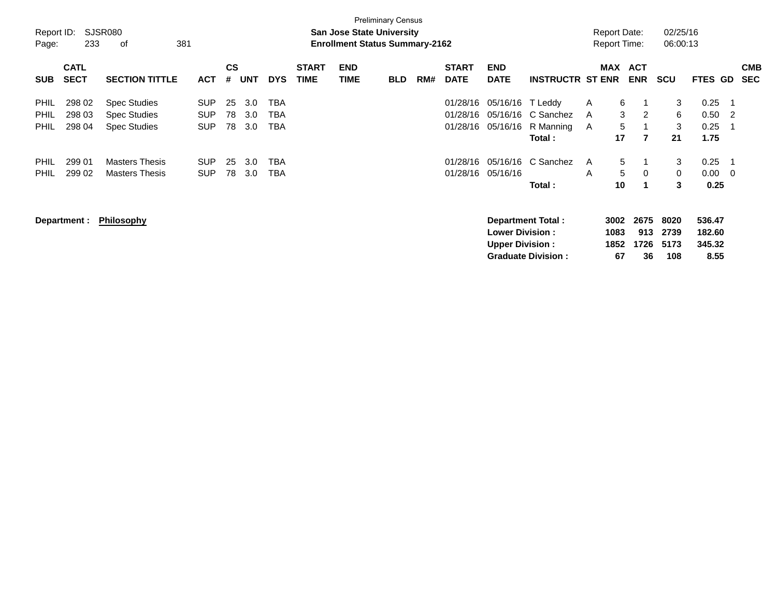| Report ID:<br>Page: | 233                        | SJSR080<br>381<br>оf  |            |                |            |            |                             | <b>San Jose State University</b><br><b>Enrollment Status Summary-2162</b> | <b>Preliminary Census</b> |     |                             |                           |                           |   | <b>Report Date:</b><br><b>Report Time:</b> |                      | 02/25/16<br>06:00:13 |                  |     |                          |
|---------------------|----------------------------|-----------------------|------------|----------------|------------|------------|-----------------------------|---------------------------------------------------------------------------|---------------------------|-----|-----------------------------|---------------------------|---------------------------|---|--------------------------------------------|----------------------|----------------------|------------------|-----|--------------------------|
| <b>SUB</b>          | <b>CATL</b><br><b>SECT</b> | <b>SECTION TITTLE</b> | <b>ACT</b> | <b>CS</b><br># | <b>UNT</b> | <b>DYS</b> | <b>START</b><br><b>TIME</b> | <b>END</b><br><b>TIME</b>                                                 | <b>BLD</b>                | RM# | <b>START</b><br><b>DATE</b> | <b>END</b><br><b>DATE</b> | <b>INSTRUCTR ST ENR</b>   |   | MAX ACT                                    | <b>ENR</b>           | SCU                  | <b>FTES GD</b>   |     | <b>CMB</b><br><b>SEC</b> |
| <b>PHIL</b>         | 298 02                     | <b>Spec Studies</b>   | <b>SUP</b> | 25             | 3.0        | <b>TBA</b> |                             |                                                                           |                           |     | 01/28/16                    | 05/16/16                  | T Leddy                   | A | 6                                          |                      | 3                    | 0.25             |     |                          |
| <b>PHIL</b>         | 298 03                     | <b>Spec Studies</b>   | <b>SUP</b> | 78             | 3.0        | TBA        |                             |                                                                           |                           |     | 01/28/16                    | 05/16/16                  | C Sanchez                 | A | 3                                          | 2                    | 6                    | 0.50             | -2  |                          |
| <b>PHIL</b>         | 298 04                     | <b>Spec Studies</b>   | <b>SUP</b> | 78             | 3.0        | TBA        |                             |                                                                           |                           |     | 01/28/16                    | 05/16/16                  | R Manning                 | A | 5                                          |                      | 3                    | 0.25             |     |                          |
|                     |                            |                       |            |                |            |            |                             |                                                                           |                           |     |                             |                           | Total:                    |   | 17                                         | $\overline{7}$       | 21                   | 1.75             |     |                          |
| <b>PHIL</b>         | 299 01                     | <b>Masters Thesis</b> | <b>SUP</b> | 25             | 3.0        | <b>TBA</b> |                             |                                                                           |                           |     | 01/28/16                    | 05/16/16                  | C Sanchez                 | A | 5                                          | 1                    | 3                    | 0.25             |     |                          |
| <b>PHIL</b>         | 299 02                     | <b>Masters Thesis</b> | <b>SUP</b> | 78             | 3.0        | TBA        |                             |                                                                           |                           |     | 01/28/16                    | 05/16/16                  |                           | A | 5                                          | 0                    | 0                    | 0.00             | - 0 |                          |
|                     |                            |                       |            |                |            |            |                             |                                                                           |                           |     |                             |                           | Total:                    |   | 10                                         | $\blacktriangleleft$ | 3                    | 0.25             |     |                          |
|                     | Department :               | <b>Philosophy</b>     |            |                |            |            |                             |                                                                           |                           |     |                             | <b>Lower Division:</b>    | <b>Department Total:</b>  |   | 3002<br>1083                               | 2675<br>913          | 8020<br>2739         | 536.47<br>182.60 |     |                          |
|                     |                            |                       |            |                |            |            |                             |                                                                           |                           |     |                             | <b>Upper Division:</b>    |                           |   | 1852                                       | 1726                 | 5173                 | 345.32           |     |                          |
|                     |                            |                       |            |                |            |            |                             |                                                                           |                           |     |                             |                           | <b>Graduate Division:</b> |   | 67                                         | 36                   | 108                  | 8.55             |     |                          |